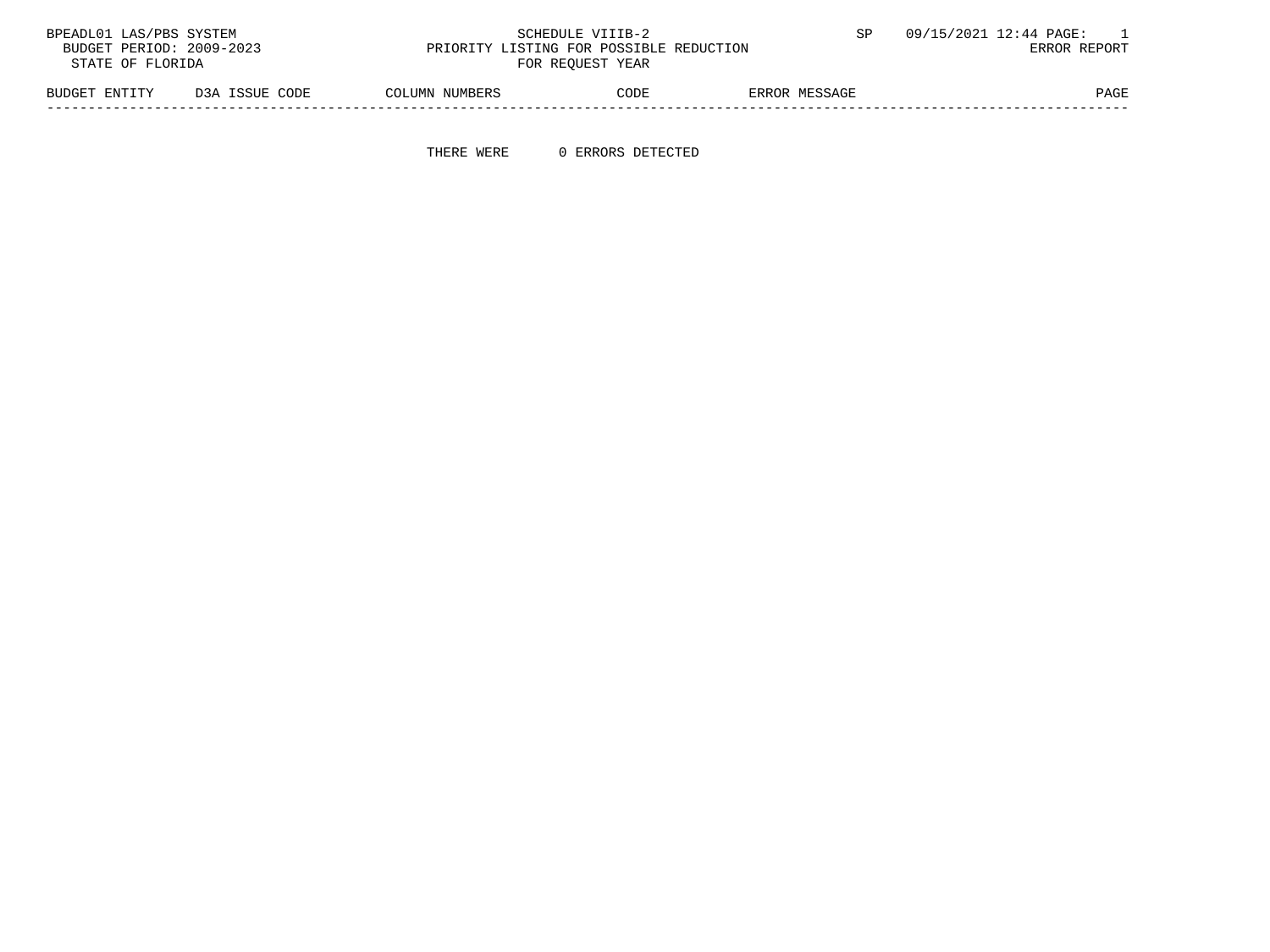| BPEADL01 LAS/PBS SYSTEM                                             |                |                | SCHEDULE VIIIB-2 |               | 09/15/2021 12:44 PAGE: |
|---------------------------------------------------------------------|----------------|----------------|------------------|---------------|------------------------|
| BUDGET PERIOD: 2009-2023<br>PRIORITY LISTING FOR POSSIBLE REDUCTION |                |                |                  |               | ERROR REPORT           |
| STATE OF FLORIDA                                                    |                |                | FOR REOUEST YEAR |               |                        |
| BUDGET ENTITY                                                       | D3A ISSUE CODE | COLUMN NUMBERS | CODE             | ERROR MESSAGE | PAGE                   |

-----------------------------------------------------------------------------------------------------------------------------------

THERE WERE 0 ERRORS DETECTED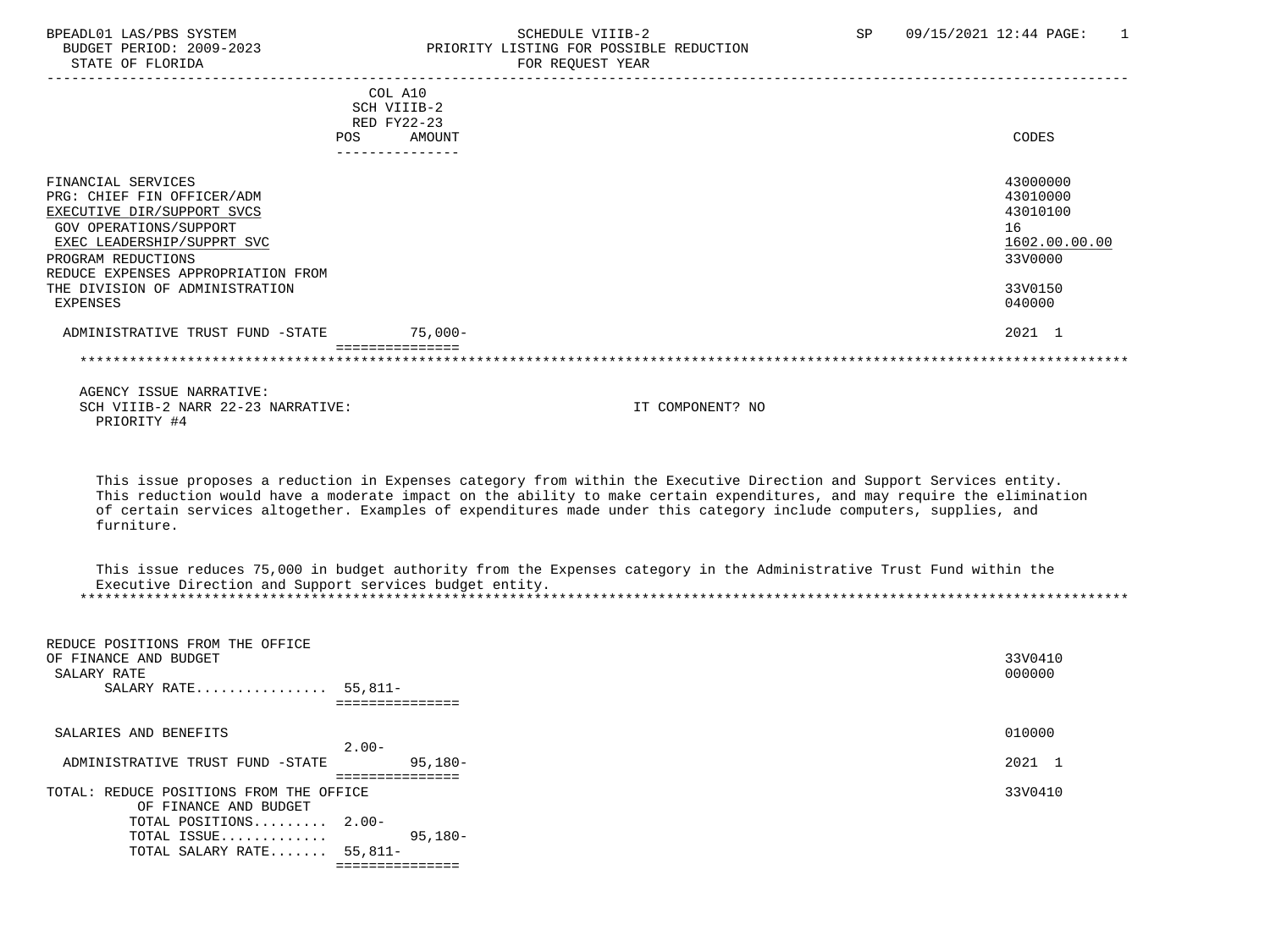## BPEADL01 LAS/PBS SYSTEM SALL SOME SCHEDULE VIIIB-2 SCHEDULE SP 09/15/2021 12:44 PAGE: 1 BUDGET PERIOD: 2009-2023 PRIORITY LISTING FOR POSSIBLE REDUCTION

|                                                                                                          |     | COL A10<br>SCH VIIIB-2<br>RED FY22-23 |                  |                                        |
|----------------------------------------------------------------------------------------------------------|-----|---------------------------------------|------------------|----------------------------------------|
|                                                                                                          | POS | AMOUNT<br>---------------             |                  | CODES                                  |
| FINANCIAL SERVICES<br>PRG: CHIEF FIN OFFICER/ADM<br>EXECUTIVE DIR/SUPPORT SVCS<br>GOV OPERATIONS/SUPPORT |     |                                       |                  | 43000000<br>43010000<br>43010100<br>16 |
| EXEC LEADERSHIP/SUPPRT SVC                                                                               |     |                                       |                  | 1602.00.00.00                          |
| PROGRAM REDUCTIONS                                                                                       |     |                                       |                  | 33V0000                                |
| REDUCE EXPENSES APPROPRIATION FROM<br>THE DIVISION OF ADMINISTRATION<br>EXPENSES                         |     |                                       |                  | 33V0150<br>040000                      |
| ADMINISTRATIVE TRUST FUND -STATE                                                                         |     | $75,000-$                             |                  | 2021 1                                 |
| AGENCY ISSUE NARRATIVE:                                                                                  |     |                                       |                  |                                        |
| SCH VIIIB-2 NARR 22-23 NARRATIVE:<br>PRIORITY #4                                                         |     |                                       | IT COMPONENT? NO |                                        |

 This issue proposes a reduction in Expenses category from within the Executive Direction and Support Services entity. This reduction would have a moderate impact on the ability to make certain expenditures, and may require the elimination of certain services altogether. Examples of expenditures made under this category include computers, supplies, and furniture.

 This issue reduces 75,000 in budget authority from the Expenses category in the Administrative Trust Fund within the Executive Direction and Support services budget entity. \*\*\*\*\*\*\*\*\*\*\*\*\*\*\*\*\*\*\*\*\*\*\*\*\*\*\*\*\*\*\*\*\*\*\*\*\*\*\*\*\*\*\*\*\*\*\*\*\*\*\*\*\*\*\*\*\*\*\*\*\*\*\*\*\*\*\*\*\*\*\*\*\*\*\*\*\*\*\*\*\*\*\*\*\*\*\*\*\*\*\*\*\*\*\*\*\*\*\*\*\*\*\*\*\*\*\*\*\*\*\*\*\*\*\*\*\*\*\*\*\*\*\*\*\*\*\*

| 010000<br>SALARIES AND BENEFITS<br>$2.00 -$<br>2021 1<br>$95,180-$<br>ADMINISTRATIVE TRUST FUND -STATE<br>:=============<br>33V0410<br>TOTAL: REDUCE POSITIONS FROM THE OFFICE<br>OF FINANCE AND BUDGET<br>TOTAL POSITIONS 2.00-<br>95,180-<br>TOTAL ISSUE | REDUCE POSITIONS FROM THE OFFICE<br>OF FINANCE AND BUDGET<br>SALARY RATE<br>SALARY RATE $55,811-$ | 33V0410<br>000000 |
|------------------------------------------------------------------------------------------------------------------------------------------------------------------------------------------------------------------------------------------------------------|---------------------------------------------------------------------------------------------------|-------------------|
|                                                                                                                                                                                                                                                            |                                                                                                   |                   |
|                                                                                                                                                                                                                                                            |                                                                                                   |                   |
|                                                                                                                                                                                                                                                            |                                                                                                   |                   |
|                                                                                                                                                                                                                                                            |                                                                                                   |                   |
|                                                                                                                                                                                                                                                            |                                                                                                   |                   |
| TOTAL SALARY RATE 55,811-                                                                                                                                                                                                                                  |                                                                                                   |                   |
|                                                                                                                                                                                                                                                            |                                                                                                   |                   |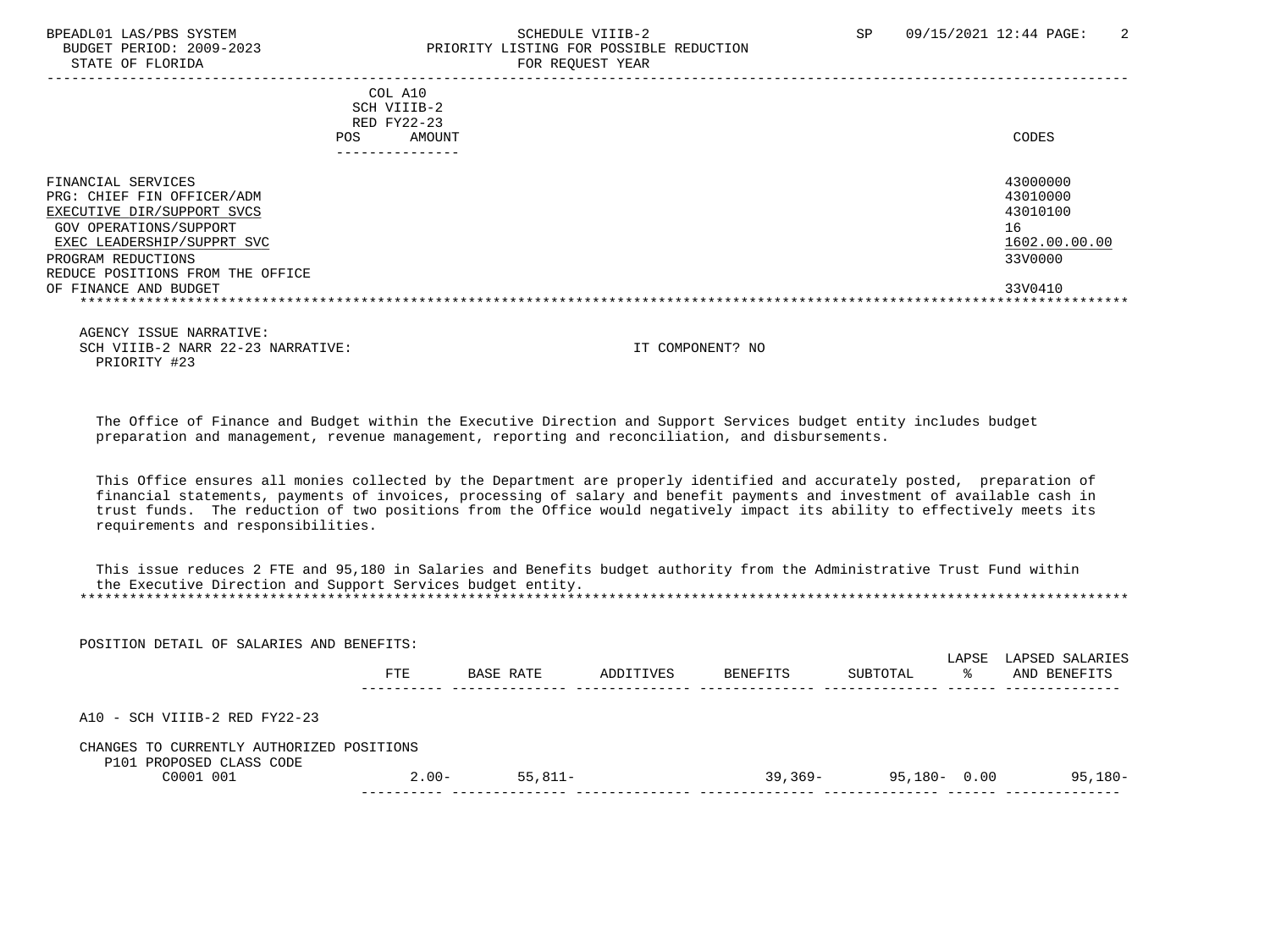### BPEADL01 LAS/PBS SYSTEM SCHEDULE VIIIB-2 SCHEDULE VIIIB-2 SP 09/15/2021 12:44 PAGE: 2<br>BUDGET PERIOD: 2009-2023 PRIORITY LISTING FOR POSSIBLE REDUCTION BUDGET PERIOD: 2009-2023 PRIORITY LISTING FOR POSSIBLE REDUCTION<br>STATE OF FLORIDA FOR REQUEST YEAR

| COL A10<br>SCH VIIIB-2<br>RED FY22-23<br>AMOUNT<br>POS.                                                                                | CODES                                                   |
|----------------------------------------------------------------------------------------------------------------------------------------|---------------------------------------------------------|
| FINANCIAL SERVICES<br>PRG: CHIEF FIN OFFICER/ADM<br>EXECUTIVE DIR/SUPPORT SVCS<br>GOV OPERATIONS/SUPPORT<br>EXEC LEADERSHIP/SUPPRT SVC | 43000000<br>43010000<br>43010100<br>16<br>1602.00.00.00 |
| PROGRAM REDUCTIONS<br>REDUCE POSITIONS FROM THE OFFICE<br>OF FINANCE AND BUDGET                                                        | 33V0000<br>33V0410                                      |
|                                                                                                                                        |                                                         |

 AGENCY ISSUE NARRATIVE: SCH VIIIB-2 NARR 22-23 NARRATIVE: IT COMPONENT? NO PRIORITY #23

 The Office of Finance and Budget within the Executive Direction and Support Services budget entity includes budget preparation and management, revenue management, reporting and reconciliation, and disbursements.

 This Office ensures all monies collected by the Department are properly identified and accurately posted, preparation of financial statements, payments of invoices, processing of salary and benefit payments and investment of available cash in trust funds. The reduction of two positions from the Office would negatively impact its ability to effectively meets its requirements and responsibilities.

 This issue reduces 2 FTE and 95,180 in Salaries and Benefits budget authority from the Administrative Trust Fund within the Executive Direction and Support Services budget entity. \*\*\*\*\*\*\*\*\*\*\*\*\*\*\*\*\*\*\*\*\*\*\*\*\*\*\*\*\*\*\*\*\*\*\*\*\*\*\*\*\*\*\*\*\*\*\*\*\*\*\*\*\*\*\*\*\*\*\*\*\*\*\*\*\*\*\*\*\*\*\*\*\*\*\*\*\*\*\*\*\*\*\*\*\*\*\*\*\*\*\*\*\*\*\*\*\*\*\*\*\*\*\*\*\*\*\*\*\*\*\*\*\*\*\*\*\*\*\*\*\*\*\*\*\*\*\*

POSITION DETAIL OF SALARIES AND BENEFITS:

|                                                                       | FTE     | BASE RATE | ADDITIVES | BENEFITS  | SUBTOTAL     | LAPSE<br>°≈ | LAPSED SALARIES<br>AND BENEFITS |
|-----------------------------------------------------------------------|---------|-----------|-----------|-----------|--------------|-------------|---------------------------------|
| A10 - SCH VIIIB-2 RED FY22-23                                         |         |           |           |           |              |             |                                 |
| CHANGES TO CURRENTLY AUTHORIZED POSITIONS<br>P101 PROPOSED CLASS CODE |         |           |           |           |              |             |                                 |
| C0001 001                                                             | $2.00-$ | $55.811-$ |           | $39,369-$ | 95,180- 0.00 |             | 95,180-                         |
|                                                                       |         |           |           |           |              |             |                                 |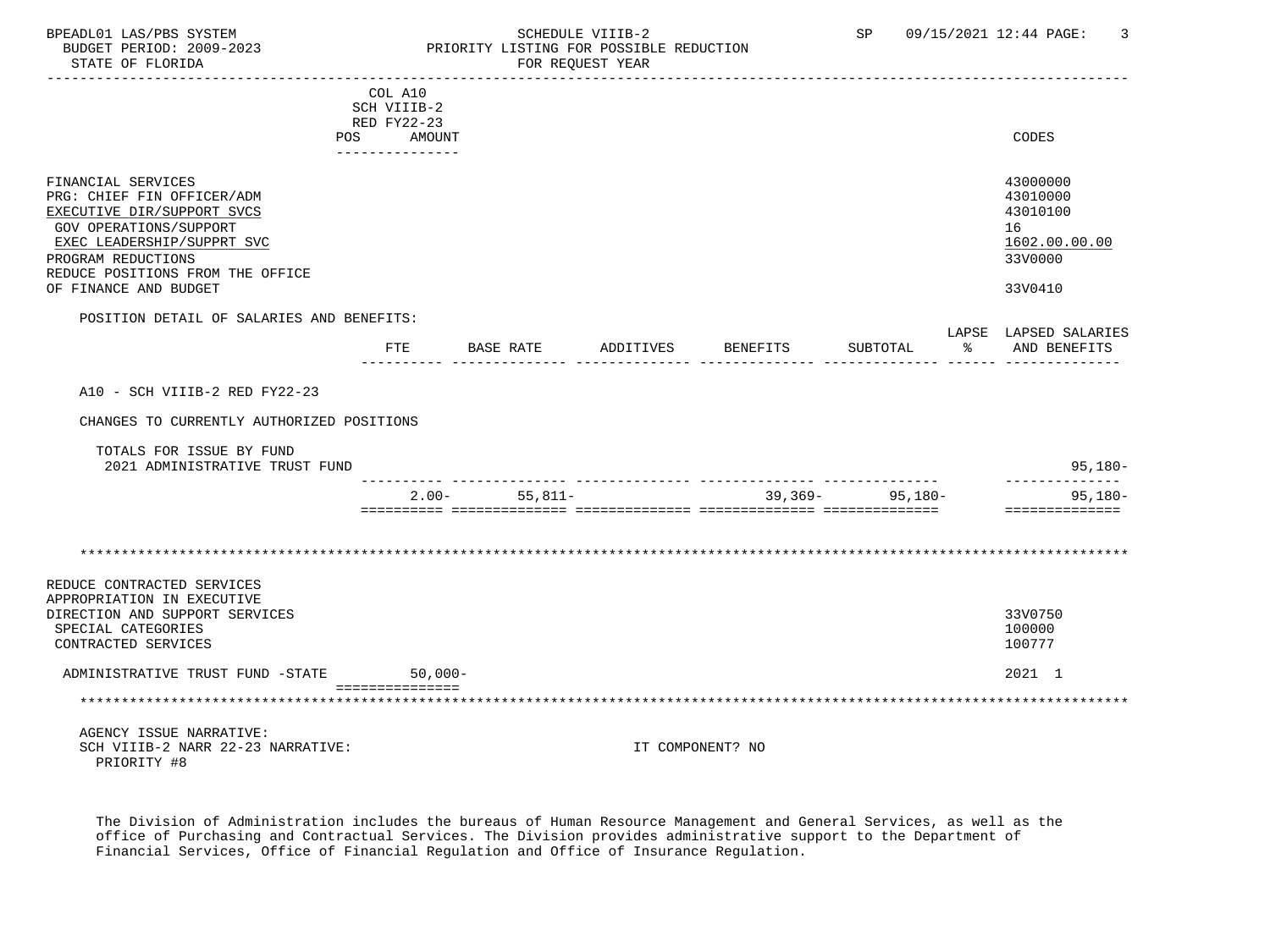### BPEADL01 LAS/PBS SYSTEM SALL SOLUTION SCHEDULE VIIIB-2 SP 09/15/2021 12:44 PAGE: 3<br>BUDGET PERIOD: 2009-2023 PRIORITY LISTING FOR POSSIBLE REDUCTION BUDGET PERIOD: 2009-2023 PRIORITY LISTING FOR POSSIBLE REDUCTION<br>FOR REQUEST YEAR FOR REQUEST YEAR

|                                                                                                                                                                                                                                  | COL A10<br>SCH VIIIB-2                       |           |           |           |                  |                     |                      |                                                                               |
|----------------------------------------------------------------------------------------------------------------------------------------------------------------------------------------------------------------------------------|----------------------------------------------|-----------|-----------|-----------|------------------|---------------------|----------------------|-------------------------------------------------------------------------------|
|                                                                                                                                                                                                                                  | RED FY22-23<br>POS AMOUNT<br>_______________ |           |           |           |                  |                     |                      | CODES                                                                         |
| FINANCIAL SERVICES<br>PRG: CHIEF FIN OFFICER/ADM<br>EXECUTIVE DIR/SUPPORT SVCS<br><b>GOV OPERATIONS/SUPPORT</b><br>EXEC LEADERSHIP/SUPPRT SVC<br>PROGRAM REDUCTIONS<br>REDUCE POSITIONS FROM THE OFFICE<br>OF FINANCE AND BUDGET |                                              |           |           |           |                  |                     |                      | 43000000<br>43010000<br>43010100<br>16<br>1602.00.00.00<br>33V0000<br>33V0410 |
| POSITION DETAIL OF SALARIES AND BENEFITS:                                                                                                                                                                                        |                                              |           |           |           |                  |                     |                      |                                                                               |
|                                                                                                                                                                                                                                  | FTE                                          |           | BASE RATE | ADDITIVES | BENEFITS         | SUBTOTAL            | $\sim$ $\sim$ $\sim$ | LAPSE LAPSED SALARIES<br>AND BENEFITS                                         |
| A10 - SCH VIIIB-2 RED FY22-23                                                                                                                                                                                                    |                                              |           |           |           |                  |                     |                      |                                                                               |
| CHANGES TO CURRENTLY AUTHORIZED POSITIONS                                                                                                                                                                                        |                                              |           |           |           |                  |                     |                      |                                                                               |
| TOTALS FOR ISSUE BY FUND<br>2021 ADMINISTRATIVE TRUST FUND                                                                                                                                                                       |                                              |           |           |           |                  |                     |                      | $95,180-$                                                                     |
|                                                                                                                                                                                                                                  |                                              | $2.00 -$  | $55,811-$ |           |                  | $39,369 - 95,180 -$ |                      | --------------<br>$95,180-$<br>==============                                 |
|                                                                                                                                                                                                                                  |                                              |           |           |           |                  |                     |                      |                                                                               |
| REDUCE CONTRACTED SERVICES<br>APPROPRIATION IN EXECUTIVE                                                                                                                                                                         |                                              |           |           |           |                  |                     |                      |                                                                               |
| DIRECTION AND SUPPORT SERVICES<br>SPECIAL CATEGORIES<br>CONTRACTED SERVICES                                                                                                                                                      |                                              |           |           |           |                  |                     |                      | 33V0750<br>100000<br>100777                                                   |
| ADMINISTRATIVE TRUST FUND -STATE                                                                                                                                                                                                 |                                              | $50,000-$ |           |           |                  |                     |                      | 2021 1                                                                        |
|                                                                                                                                                                                                                                  | ===============                              |           |           |           |                  |                     |                      |                                                                               |
| AGENCY ISSUE NARRATIVE:<br>SCH VIIIB-2 NARR 22-23 NARRATIVE:<br>PRIORITY #8                                                                                                                                                      |                                              |           |           |           | IT COMPONENT? NO |                     |                      |                                                                               |

 The Division of Administration includes the bureaus of Human Resource Management and General Services, as well as the office of Purchasing and Contractual Services. The Division provides administrative support to the Department of Financial Services, Office of Financial Regulation and Office of Insurance Regulation.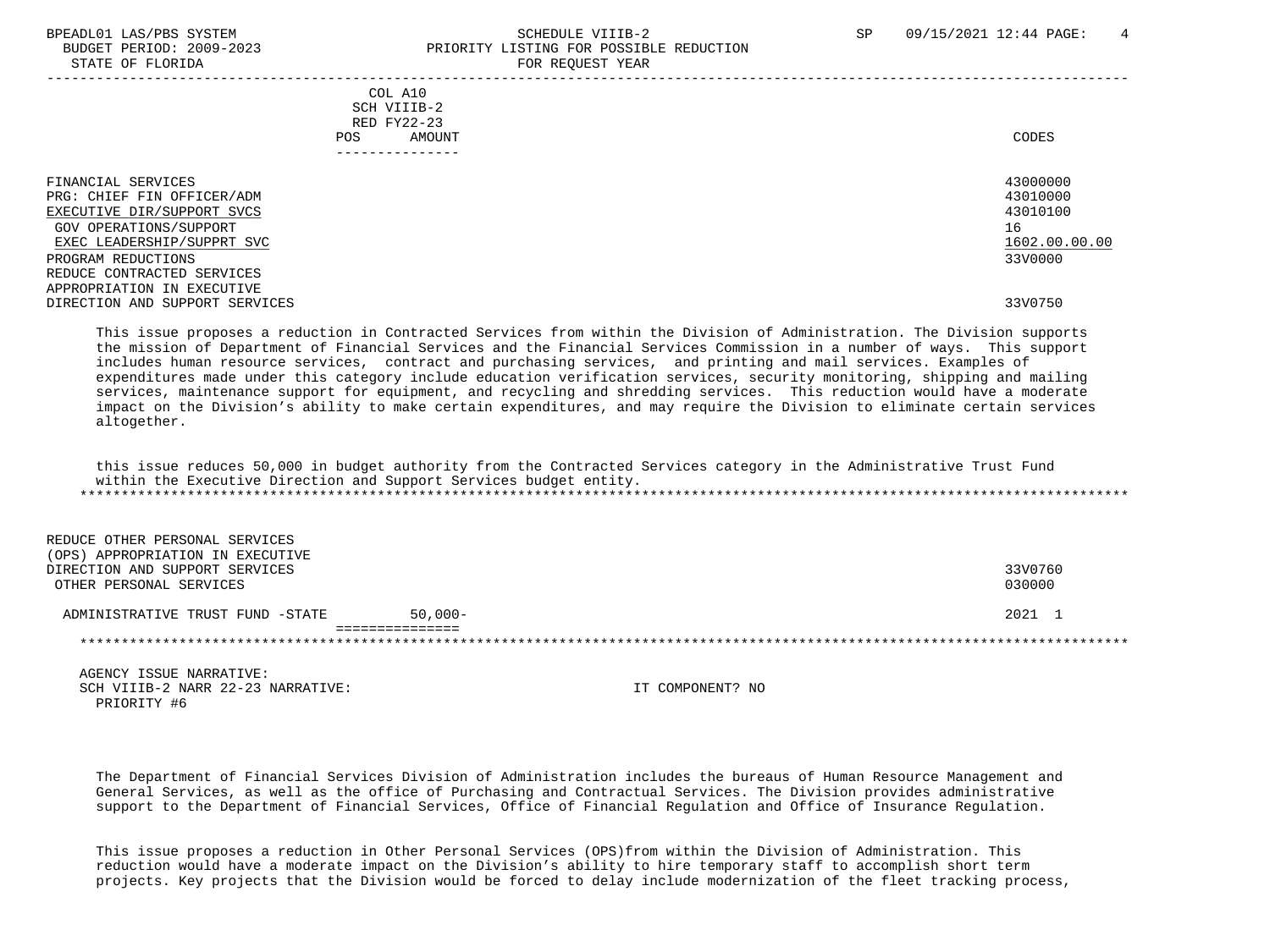STATE OF FLORIDA FOR REQUEST YEAR FOR REQUEST YEAR

## BPEADL01 LAS/PBS SYSTEM STRANGERS AND SCHEDULE VIIIB-2 SP 09/15/2021 12:44 PAGE: 4 BUDGET PERIOD: 2009-2023 PRIORITY LISTING FOR POSSIBLE REDUCTION

| COL A10<br>SCH VIIIB-2<br>RED FY22-23<br>AMOUNT<br><b>POS</b><br>------------                                                                                | CODES                                                              |
|--------------------------------------------------------------------------------------------------------------------------------------------------------------|--------------------------------------------------------------------|
| FINANCIAL SERVICES<br>PRG: CHIEF FIN OFFICER/ADM<br>EXECUTIVE DIR/SUPPORT SVCS<br>GOV OPERATIONS/SUPPORT<br>EXEC LEADERSHIP/SUPPRT SVC<br>PROGRAM REDUCTIONS | 43000000<br>43010000<br>43010100<br>16<br>1602.00.00.00<br>33V0000 |
| REDUCE CONTRACTED SERVICES<br>APPROPRIATION IN EXECUTIVE<br>DIRECTION AND SUPPORT SERVICES                                                                   | 33V0750                                                            |

 This issue proposes a reduction in Contracted Services from within the Division of Administration. The Division supports the mission of Department of Financial Services and the Financial Services Commission in a number of ways. This support includes human resource services, contract and purchasing services, and printing and mail services. Examples of expenditures made under this category include education verification services, security monitoring, shipping and mailing services, maintenance support for equipment, and recycling and shredding services. This reduction would have a moderate impact on the Division's ability to make certain expenditures, and may require the Division to eliminate certain services altogether.

 this issue reduces 50,000 in budget authority from the Contracted Services category in the Administrative Trust Fund within the Executive Direction and Support Services budget entity. \*\*\*\*\*\*\*\*\*\*\*\*\*\*\*\*\*\*\*\*\*\*\*\*\*\*\*\*\*\*\*\*\*\*\*\*\*\*\*\*\*\*\*\*\*\*\*\*\*\*\*\*\*\*\*\*\*\*\*\*\*\*\*\*\*\*\*\*\*\*\*\*\*\*\*\*\*\*\*\*\*\*\*\*\*\*\*\*\*\*\*\*\*\*\*\*\*\*\*\*\*\*\*\*\*\*\*\*\*\*\*\*\*\*\*\*\*\*\*\*\*\*\*\*\*\*\*

 REDUCE OTHER PERSONAL SERVICES (OPS) APPROPRIATION IN EXECUTIVE DIRECTION AND SUPPORT SERVICES 33V0760 OTHER PERSONAL SERVICES 030000 ADMINISTRATIVE TRUST FUND -STATE 50,000-<br>
2021 1 =============== \*\*\*\*\*\*\*\*\*\*\*\*\*\*\*\*\*\*\*\*\*\*\*\*\*\*\*\*\*\*\*\*\*\*\*\*\*\*\*\*\*\*\*\*\*\*\*\*\*\*\*\*\*\*\*\*\*\*\*\*\*\*\*\*\*\*\*\*\*\*\*\*\*\*\*\*\*\*\*\*\*\*\*\*\*\*\*\*\*\*\*\*\*\*\*\*\*\*\*\*\*\*\*\*\*\*\*\*\*\*\*\*\*\*\*\*\*\*\*\*\*\*\*\*\*\*\*

 AGENCY ISSUE NARRATIVE: SCH VIIIB-2 NARR 22-23 NARRATIVE: IT COMPONENT? NO PRIORITY #6

 The Department of Financial Services Division of Administration includes the bureaus of Human Resource Management and General Services, as well as the office of Purchasing and Contractual Services. The Division provides administrative support to the Department of Financial Services, Office of Financial Regulation and Office of Insurance Regulation.

 This issue proposes a reduction in Other Personal Services (OPS)from within the Division of Administration. This reduction would have a moderate impact on the Division's ability to hire temporary staff to accomplish short term projects. Key projects that the Division would be forced to delay include modernization of the fleet tracking process,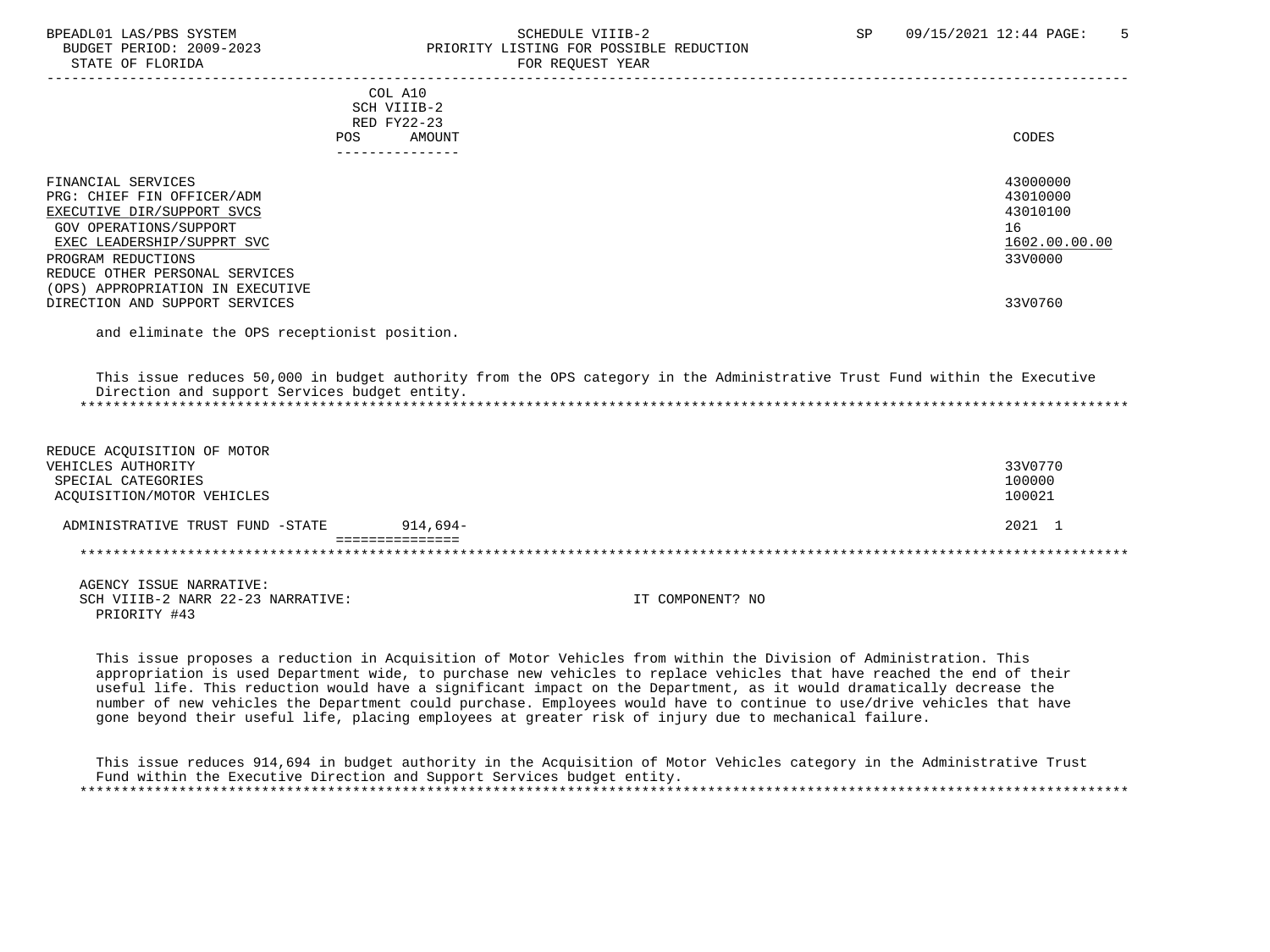#### BPEADL01 LAS/PBS SYSTEM SALL SOMEDULE VIIIB-2 SP 09/15/2021 12:44 PAGE: 5 BUDGET PERIOD: 2009-2023 PRIORITY LISTING FOR POSSIBLE REDUCTION STATE OF FLORIDA FOR REQUEST YEAR

| CODES                                                              |
|--------------------------------------------------------------------|
| 43000000<br>43010000<br>43010100<br>16<br>1602.00.00.00<br>33V0000 |
| 33V0760                                                            |
|                                                                    |

and eliminate the OPS receptionist position.

 This issue reduces 50,000 in budget authority from the OPS category in the Administrative Trust Fund within the Executive Direction and support Services budget entity. \*\*\*\*\*\*\*\*\*\*\*\*\*\*\*\*\*\*\*\*\*\*\*\*\*\*\*\*\*\*\*\*\*\*\*\*\*\*\*\*\*\*\*\*\*\*\*\*\*\*\*\*\*\*\*\*\*\*\*\*\*\*\*\*\*\*\*\*\*\*\*\*\*\*\*\*\*\*\*\*\*\*\*\*\*\*\*\*\*\*\*\*\*\*\*\*\*\*\*\*\*\*\*\*\*\*\*\*\*\*\*\*\*\*\*\*\*\*\*\*\*\*\*\*\*\*\*

| REDUCE ACQUISITION OF MOTOR       |            |                  |         |
|-----------------------------------|------------|------------------|---------|
| VEHICLES AUTHORITY                |            |                  | 33V0770 |
| SPECIAL CATEGORIES                |            |                  | 100000  |
| ACOUISITION/MOTOR VEHICLES        |            |                  | 100021  |
| ADMINISTRATIVE TRUST FUND -STATE  | $914.694-$ |                  | 2021 1  |
|                                   |            |                  |         |
|                                   |            |                  |         |
| AGENCY ISSUE NARRATIVE:           |            |                  |         |
| SCH VIIIB-2 NARR 22-23 NARRATIVE: |            | IT COMPONENT? NO |         |
| PRIORITY #43                      |            |                  |         |

 This issue proposes a reduction in Acquisition of Motor Vehicles from within the Division of Administration. This appropriation is used Department wide, to purchase new vehicles to replace vehicles that have reached the end of their useful life. This reduction would have a significant impact on the Department, as it would dramatically decrease the number of new vehicles the Department could purchase. Employees would have to continue to use/drive vehicles that have gone beyond their useful life, placing employees at greater risk of injury due to mechanical failure.

 This issue reduces 914,694 in budget authority in the Acquisition of Motor Vehicles category in the Administrative Trust Fund within the Executive Direction and Support Services budget entity. \*\*\*\*\*\*\*\*\*\*\*\*\*\*\*\*\*\*\*\*\*\*\*\*\*\*\*\*\*\*\*\*\*\*\*\*\*\*\*\*\*\*\*\*\*\*\*\*\*\*\*\*\*\*\*\*\*\*\*\*\*\*\*\*\*\*\*\*\*\*\*\*\*\*\*\*\*\*\*\*\*\*\*\*\*\*\*\*\*\*\*\*\*\*\*\*\*\*\*\*\*\*\*\*\*\*\*\*\*\*\*\*\*\*\*\*\*\*\*\*\*\*\*\*\*\*\*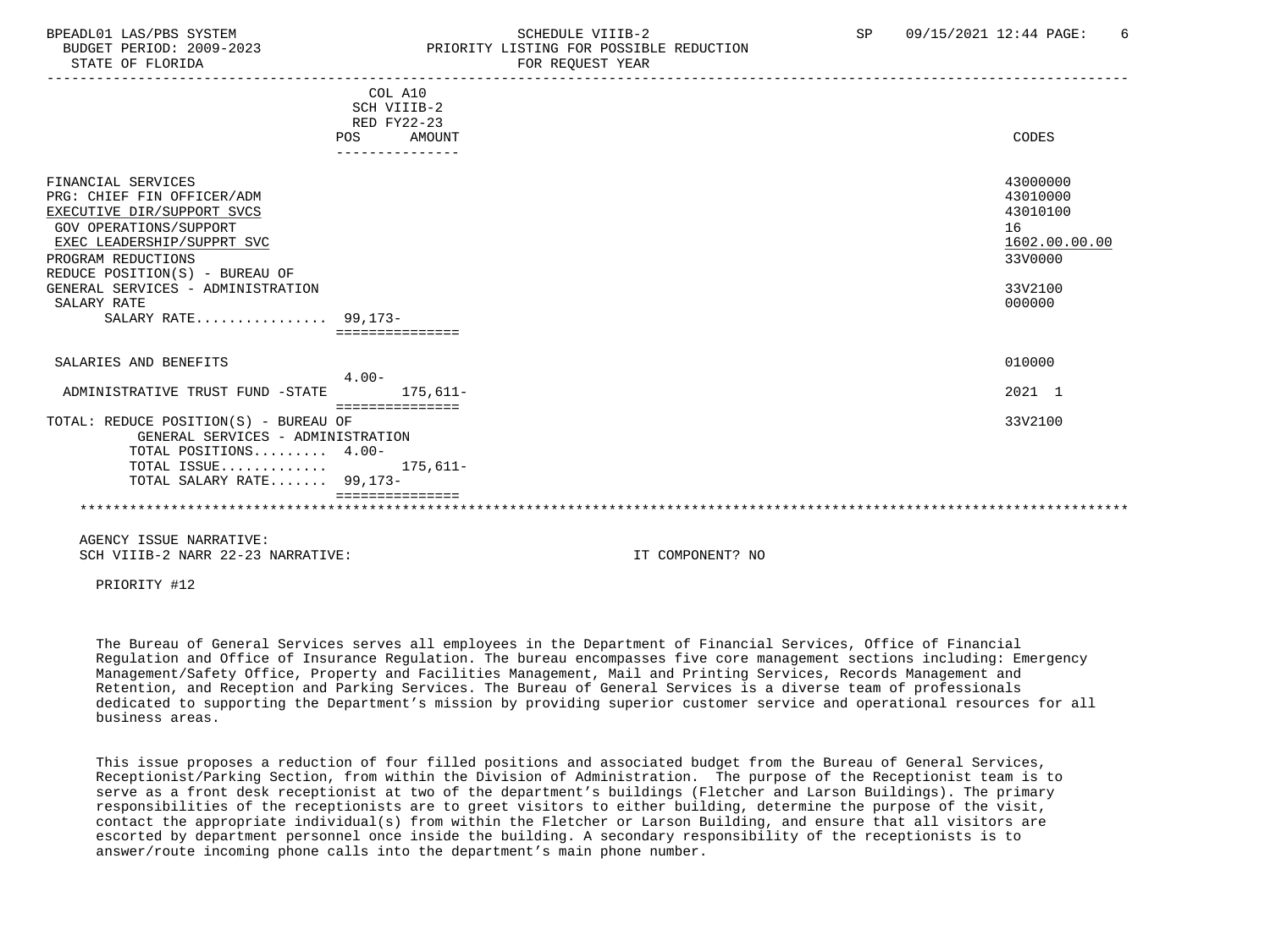### BPEADL01 LAS/PBS SYSTEM STRANGERS AND SCHEDULE VIIIB-2 SP 09/15/2021 12:44 PAGE: 6 BUDGET PERIOD: 2009-2023 PRIORITY LISTING FOR POSSIBLE REDUCTION

-----------------------------------------------------------------------------------------------------------------------------------

|                                                                                                                                                                                                                                                                                  | COL A10<br>SCH VIIIB-2<br>RED FY22-23<br>AMOUNT<br><b>POS</b><br>--------------- | CODES                                                                                   |
|----------------------------------------------------------------------------------------------------------------------------------------------------------------------------------------------------------------------------------------------------------------------------------|----------------------------------------------------------------------------------|-----------------------------------------------------------------------------------------|
| FINANCIAL SERVICES<br>PRG: CHIEF FIN OFFICER/ADM<br>EXECUTIVE DIR/SUPPORT SVCS<br><b>GOV OPERATIONS/SUPPORT</b><br>EXEC LEADERSHIP/SUPPRT SVC<br>PROGRAM REDUCTIONS<br>REDUCE POSITION(S) - BUREAU OF<br>GENERAL SERVICES - ADMINISTRATION<br>SALARY RATE<br>SALARY RATE 99,173- |                                                                                  | 43000000<br>43010000<br>43010100<br>16<br>1602.00.00.00<br>33V0000<br>33V2100<br>000000 |
| SALARIES AND BENEFITS                                                                                                                                                                                                                                                            | $4.00 -$                                                                         | 010000                                                                                  |
| ADMINISTRATIVE TRUST FUND -STATE                                                                                                                                                                                                                                                 | $175.611 -$                                                                      | 2021 1                                                                                  |
| TOTAL: REDUCE POSITION(S) - BUREAU OF<br>GENERAL SERVICES - ADMINISTRATION<br>TOTAL POSITIONS 4.00-<br>TOTAL ISSUE<br>TOTAL SALARY RATE 99,173-                                                                                                                                  | ===============<br>$175,611-$                                                    | 33V2100                                                                                 |

 AGENCY ISSUE NARRATIVE: SCH VIIIB-2 NARR 22-23 NARRATIVE: IT COMPONENT? NO

PRIORITY #12

 The Bureau of General Services serves all employees in the Department of Financial Services, Office of Financial Regulation and Office of Insurance Regulation. The bureau encompasses five core management sections including: Emergency Management/Safety Office, Property and Facilities Management, Mail and Printing Services, Records Management and Retention, and Reception and Parking Services. The Bureau of General Services is a diverse team of professionals dedicated to supporting the Department's mission by providing superior customer service and operational resources for all business areas.

 This issue proposes a reduction of four filled positions and associated budget from the Bureau of General Services, Receptionist/Parking Section, from within the Division of Administration. The purpose of the Receptionist team is to serve as a front desk receptionist at two of the department's buildings (Fletcher and Larson Buildings). The primary responsibilities of the receptionists are to greet visitors to either building, determine the purpose of the visit, contact the appropriate individual(s) from within the Fletcher or Larson Building, and ensure that all visitors are escorted by department personnel once inside the building. A secondary responsibility of the receptionists is to answer/route incoming phone calls into the department's main phone number.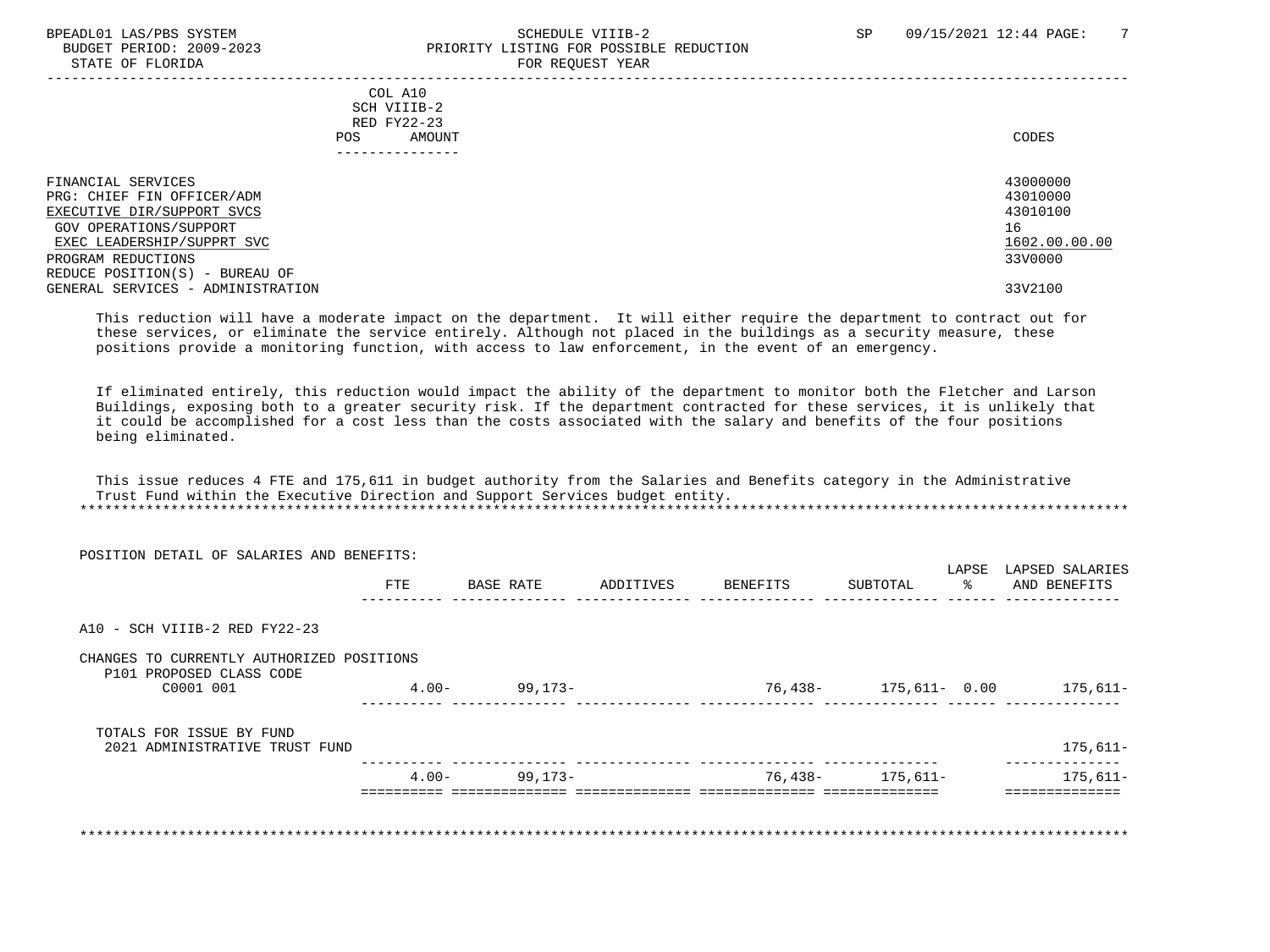#### BPEADL01 LAS/PBS SYSTEM SOHEDULE VIIIB-2 SCHEDULE VIIIB-2 SP 09/15/2021 12:44 PAGE: 7<br>BUDGET PERIOD: 2009-2023 SP PRIORITY LISTING FOR POSSIBLE REDUCTION PRIORITY LISTING FOR POSSIBLE REDUCTION STATE OF FLORIDA FOR REQUEST YEAR

| COL A10<br>SCH VIIIB-2<br>RED FY22-23<br>AMOUNT<br>POS.                                                  | CODES                                  |
|----------------------------------------------------------------------------------------------------------|----------------------------------------|
| FINANCIAL SERVICES<br>PRG: CHIEF FIN OFFICER/ADM<br>EXECUTIVE DIR/SUPPORT SVCS<br>GOV OPERATIONS/SUPPORT | 43000000<br>43010000<br>43010100<br>16 |
| EXEC LEADERSHIP/SUPPRT SVC                                                                               | 1602.00.00.00                          |
| PROGRAM REDUCTIONS                                                                                       | 33V0000                                |
| REDUCE POSITION(S) - BUREAU OF                                                                           |                                        |
| GENERAL SERVICES - ADMINISTRATION                                                                        | 33V2100                                |

 This reduction will have a moderate impact on the department. It will either require the department to contract out for these services, or eliminate the service entirely. Although not placed in the buildings as a security measure, these positions provide a monitoring function, with access to law enforcement, in the event of an emergency.

 If eliminated entirely, this reduction would impact the ability of the department to monitor both the Fletcher and Larson Buildings, exposing both to a greater security risk. If the department contracted for these services, it is unlikely that it could be accomplished for a cost less than the costs associated with the salary and benefits of the four positions being eliminated.

 This issue reduces 4 FTE and 175,611 in budget authority from the Salaries and Benefits category in the Administrative Trust Fund within the Executive Direction and Support Services budget entity. \*\*\*\*\*\*\*\*\*\*\*\*\*\*\*\*\*\*\*\*\*\*\*\*\*\*\*\*\*\*\*\*\*\*\*\*\*\*\*\*\*\*\*\*\*\*\*\*\*\*\*\*\*\*\*\*\*\*\*\*\*\*\*\*\*\*\*\*\*\*\*\*\*\*\*\*\*\*\*\*\*\*\*\*\*\*\*\*\*\*\*\*\*\*\*\*\*\*\*\*\*\*\*\*\*\*\*\*\*\*\*\*\*\*\*\*\*\*\*\*\*\*\*\*\*\*\*

| <b>FTE</b>                                | BASE RATE | ADDITIVES         | BENEFITS | SUBTOTAL | LAPSE<br>LAPSED SALARIES<br>ႜၟ<br>AND BENEFITS |
|-------------------------------------------|-----------|-------------------|----------|----------|------------------------------------------------|
|                                           |           |                   |          |          |                                                |
|                                           |           |                   |          |          |                                                |
| CHANGES TO CURRENTLY AUTHORIZED POSITIONS |           |                   |          |          |                                                |
| $4.00-$                                   | 99,173-   |                   |          |          | 175,611–                                       |
|                                           |           |                   |          |          |                                                |
|                                           |           |                   |          |          | $175,611-$                                     |
|                                           |           |                   |          |          | 175,611-                                       |
|                                           |           | $4.00 - 99,173 -$ |          |          | 76,438- 175,611- 0.00<br>76,438- 175,611-      |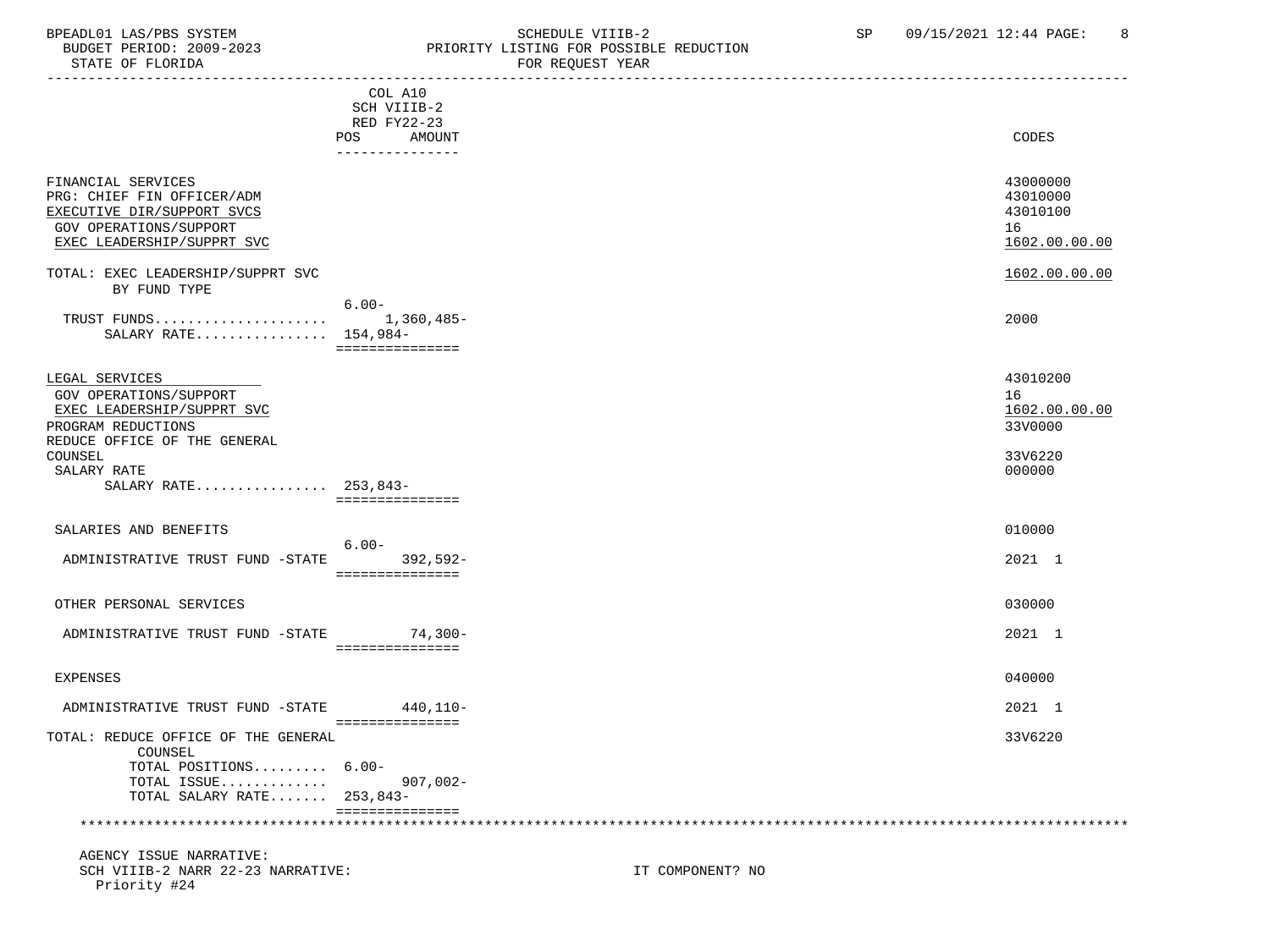### BPEADL01 LAS/PBS SYSTEM SALLE SOMEDULE VIIIB-2 SCHEDULE VIIIB-2 SP 09/15/2021 12:44 PAGE: 8<br>BUDGET PERIOD: 2009-2023 PRIORITY LISTING FOR POSSIBLE REDUCTION BUDGET PERIOD: 2009-2023 PRIORITY LISTING FOR POSSIBLE REDUCTION<br>STATE OF FLORIDA FOR REOUEST YEAR

|                                                                                                                                                                                | COL A10<br>SCH VIIIB-2<br>RED FY22-23<br>POS<br>AMOUNT | CODES                                                           |
|--------------------------------------------------------------------------------------------------------------------------------------------------------------------------------|--------------------------------------------------------|-----------------------------------------------------------------|
| FINANCIAL SERVICES<br>PRG: CHIEF FIN OFFICER/ADM<br>EXECUTIVE DIR/SUPPORT SVCS<br>GOV OPERATIONS/SUPPORT<br>EXEC LEADERSHIP/SUPPRT SVC                                         | ---------------                                        | 43000000<br>43010000<br>43010100<br>16<br>1602.00.00.00         |
| TOTAL: EXEC LEADERSHIP/SUPPRT SVC<br>BY FUND TYPE                                                                                                                              |                                                        | 1602.00.00.00                                                   |
| SALARY RATE 154,984-                                                                                                                                                           | $6.00 -$<br>===============                            | 2000                                                            |
| LEGAL SERVICES<br>GOV OPERATIONS/SUPPORT<br>EXEC LEADERSHIP/SUPPRT SVC<br>PROGRAM REDUCTIONS<br>REDUCE OFFICE OF THE GENERAL<br>COUNSEL<br>SALARY RATE<br>SALARY RATE 253,843- |                                                        | 43010200<br>16<br>1602.00.00.00<br>33V0000<br>33V6220<br>000000 |
|                                                                                                                                                                                | ===============                                        |                                                                 |
| SALARIES AND BENEFITS                                                                                                                                                          | $6.00 -$                                               | 010000                                                          |
| ADMINISTRATIVE TRUST FUND -STATE                                                                                                                                               | $392,592-$<br>===============                          | 2021 1                                                          |
| OTHER PERSONAL SERVICES                                                                                                                                                        |                                                        | 030000                                                          |
| ADMINISTRATIVE TRUST FUND -STATE 74,300-                                                                                                                                       | ===============                                        | 2021 1                                                          |
| EXPENSES                                                                                                                                                                       |                                                        | 040000                                                          |
| ADMINISTRATIVE TRUST FUND -STATE 440,110-                                                                                                                                      | ----------------                                       | 2021 1                                                          |
| TOTAL: REDUCE OFFICE OF THE GENERAL<br>COUNSEL<br>TOTAL POSITIONS 6.00-<br>TOTAL ISSUE<br>TOTAL SALARY RATE 253,843-                                                           | $907,002 -$                                            | 33V6220                                                         |
|                                                                                                                                                                                | ===============                                        |                                                                 |
| AGENCY ISSUE NARRATIVE:                                                                                                                                                        |                                                        |                                                                 |

SCH VIIIB-2 NARR 22-23 NARRATIVE: IT COMPONENT? NO Priority #24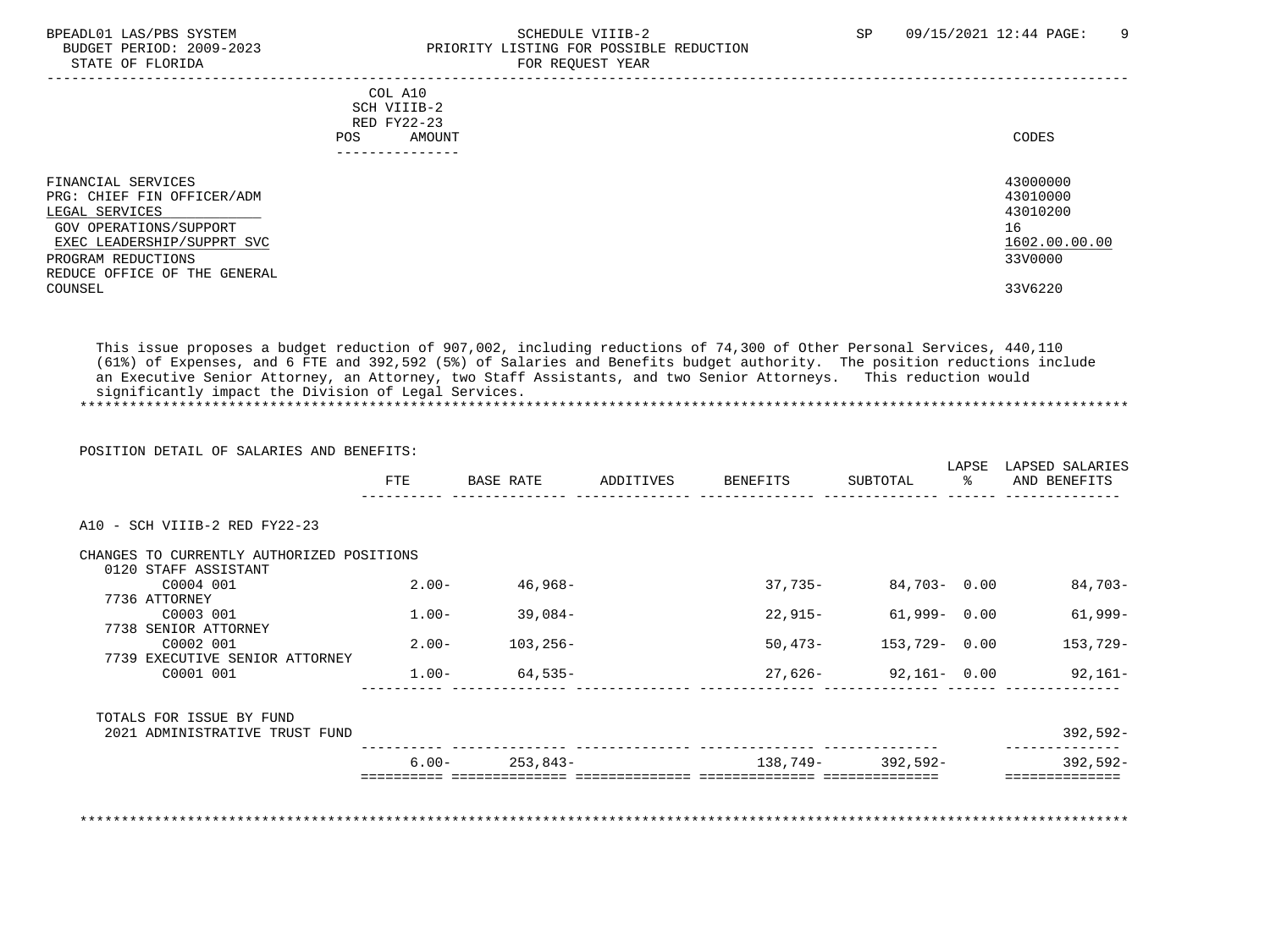#### BPEADL01 LAS/PBS SYSTEM SOHEDULE VIIIB-2 SCHEDULE VIIIB-2 SP 09/15/2021 12:44 PAGE: 9 PRIORITY LISTING FOR POSSIBLE REDUCTION STATE OF FLORIDA FOR REQUEST YEAR FOR REQUEST YEAR

| COL A10<br>SCH VIIIB-2<br>RED FY22-23<br>AMOUNT<br>POS.<br>-------------- | CODES         |
|---------------------------------------------------------------------------|---------------|
| FINANCIAL SERVICES                                                        | 43000000      |
| PRG: CHIEF FIN OFFICER/ADM                                                | 43010000      |
| LEGAL SERVICES                                                            | 43010200      |
| GOV OPERATIONS/SUPPORT                                                    | 16            |
| EXEC LEADERSHIP/SUPPRT SVC                                                | 1602.00.00.00 |
| PROGRAM REDUCTIONS                                                        | 33V0000       |
| REDUCE OFFICE OF THE GENERAL                                              |               |
| COUNSEL                                                                   | 33V6220       |
|                                                                           |               |

 This issue proposes a budget reduction of 907,002, including reductions of 74,300 of Other Personal Services, 440,110 (61%) of Expenses, and 6 FTE and 392,592 (5%) of Salaries and Benefits budget authority. The position reductions include an Executive Senior Attorney, an Attorney, two Staff Assistants, and two Senior Attorneys. This reduction would significantly impact the Division of Legal Services. \*\*\*\*\*\*\*\*\*\*\*\*\*\*\*\*\*\*\*\*\*\*\*\*\*\*\*\*\*\*\*\*\*\*\*\*\*\*\*\*\*\*\*\*\*\*\*\*\*\*\*\*\*\*\*\*\*\*\*\*\*\*\*\*\*\*\*\*\*\*\*\*\*\*\*\*\*\*\*\*\*\*\*\*\*\*\*\*\*\*\*\*\*\*\*\*\*\*\*\*\*\*\*\*\*\*\*\*\*\*\*\*\*\*\*\*\*\*\*\*\*\*\*\*\*\*\*

|                                           | POSITION DETAIL OF SALARIES AND BENEFITS: |                      |                    |                       | LAPSE | LAPSED SALARIES                  |
|-------------------------------------------|-------------------------------------------|----------------------|--------------------|-----------------------|-------|----------------------------------|
|                                           | FTE                                       | BASE RATE            | ADDITIVES BENEFITS | SUBTOTAL              | ႜႜႜ႙  | AND BENEFITS                     |
| A10 - SCH VIIIB-2 RED FY22-23             |                                           |                      |                    |                       |       |                                  |
| CHANGES TO CURRENTLY AUTHORIZED POSITIONS |                                           |                      |                    |                       |       |                                  |
| 0120 STAFF ASSISTANT<br>C0004 001         | $2 \, . \, 00 -$                          | $46,968-$            | 37,735-            | 84,703-0.00           |       | 84,703-                          |
| 7736 ATTORNEY                             |                                           |                      |                    |                       |       |                                  |
| C0003 001                                 | 1.00-                                     | $39,084-$            | 22,915-            | 61,999- 0.00          |       | 61,999-                          |
| 7738 SENIOR ATTORNEY<br>C0002 001         | $2.00 -$                                  | 103,256-             |                    | 50,473- 153,729- 0.00 |       | 153,729-                         |
| 7739 EXECUTIVE SENIOR ATTORNEY            |                                           |                      |                    |                       |       |                                  |
| C0001 001                                 |                                           | $1.00 - 64,535 -$    |                    |                       |       | $27,626 - 92,161 - 0.00$ 92,161- |
| TOTALS FOR ISSUE BY FUND                  |                                           |                      |                    |                       |       |                                  |
| 2021 ADMINISTRATIVE TRUST FUND            |                                           |                      |                    |                       |       | $392,592-$                       |
|                                           |                                           | $6.00 -$<br>253,843- |                    | 138,749- 392,592-     |       | $392,592-$                       |

\*\*\*\*\*\*\*\*\*\*\*\*\*\*\*\*\*\*\*\*\*\*\*\*\*\*\*\*\*\*\*\*\*\*\*\*\*\*\*\*\*\*\*\*\*\*\*\*\*\*\*\*\*\*\*\*\*\*\*\*\*\*\*\*\*\*\*\*\*\*\*\*\*\*\*\*\*\*\*\*\*\*\*\*\*\*\*\*\*\*\*\*\*\*\*\*\*\*\*\*\*\*\*\*\*\*\*\*\*\*\*\*\*\*\*\*\*\*\*\*\*\*\*\*\*\*\*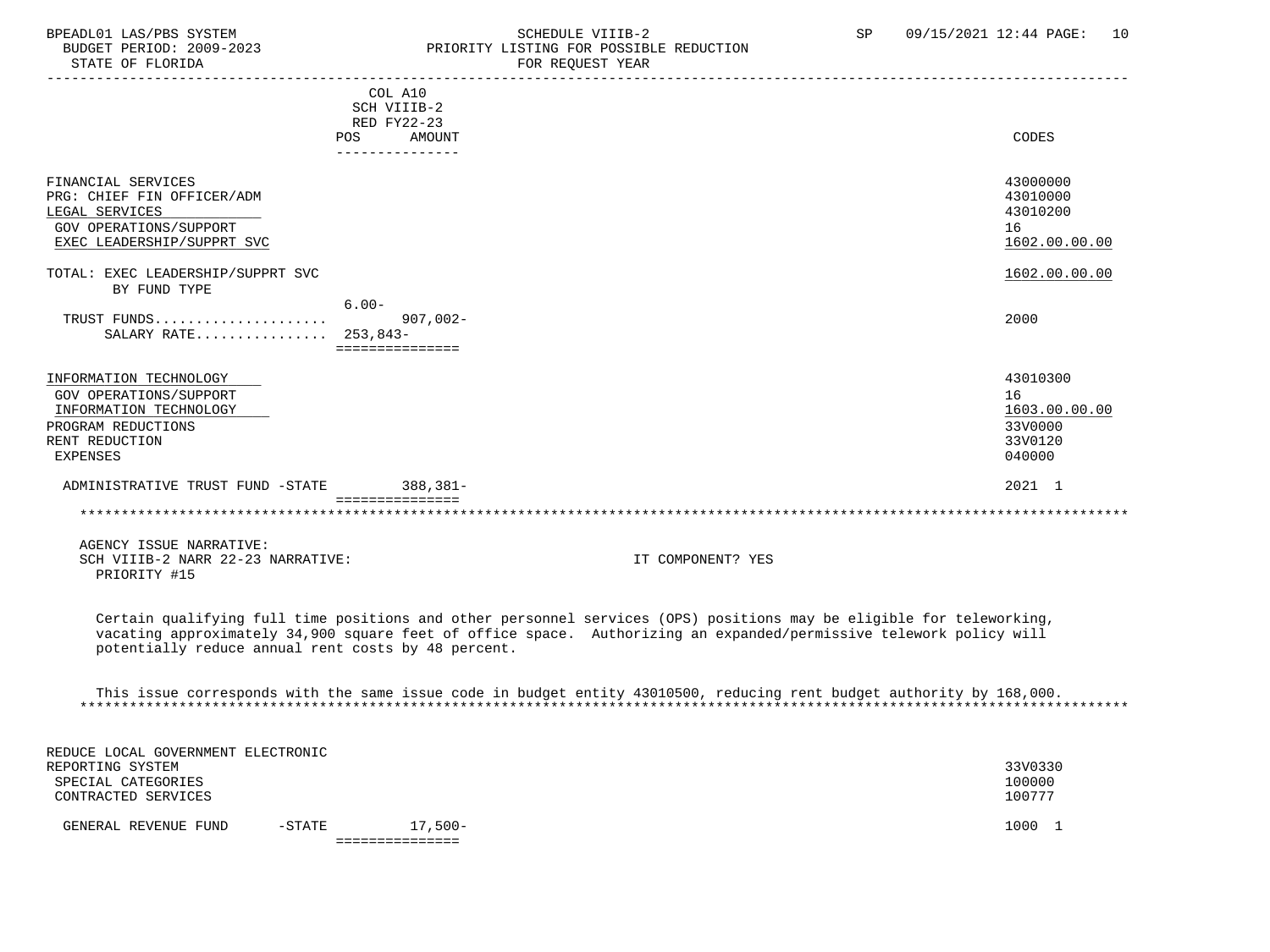### BPEADL01 LAS/PBS SYSTEM STREADULE SCHEDULE VIIIB-2 SP 09/15/2021 12:44 PAGE: 10 BUDGET PERIOD: 2009-2023<br>
STATE OF FLORIDA<br>
FOR REOUEST YEAR
FOR FRAME OF FLORIDA FOR REQUEST YEAR

|                                   |          | COL A10                       |                   |               |
|-----------------------------------|----------|-------------------------------|-------------------|---------------|
|                                   |          | SCH VIIIB-2                   |                   |               |
|                                   |          | RED FY22-23                   |                   |               |
|                                   | POS      | AMOUNT                        |                   | CODES         |
|                                   |          | . _ _ _ _ _ _ _ _ _ _ _ _ _ _ |                   |               |
| FINANCIAL SERVICES                |          |                               |                   | 43000000      |
| PRG: CHIEF FIN OFFICER/ADM        |          |                               |                   | 43010000      |
| LEGAL SERVICES                    |          |                               |                   | 43010200      |
| GOV OPERATIONS/SUPPORT            |          |                               |                   | 16            |
| EXEC LEADERSHIP/SUPPRT SVC        |          |                               |                   | 1602.00.00.00 |
|                                   |          |                               |                   |               |
| TOTAL: EXEC LEADERSHIP/SUPPRT SVC |          |                               |                   | 1602.00.00.00 |
| BY FUND TYPE                      |          |                               |                   |               |
|                                   | $6.00 -$ |                               |                   |               |
| TRUST FUNDS                       |          | 907,002-                      |                   | 2000          |
| SALARY RATE 253,843-              |          |                               |                   |               |
|                                   |          | ===============               |                   |               |
|                                   |          |                               |                   |               |
| INFORMATION TECHNOLOGY            |          |                               |                   | 43010300      |
| <b>GOV OPERATIONS/SUPPORT</b>     |          |                               |                   | 16            |
| INFORMATION TECHNOLOGY            |          |                               |                   | 1603.00.00.00 |
| PROGRAM REDUCTIONS                |          |                               |                   | 33V0000       |
| RENT REDUCTION                    |          |                               |                   | 33V0120       |
| <b>EXPENSES</b>                   |          |                               |                   | 040000        |
| ADMINISTRATIVE TRUST FUND -STATE  |          | 388,381-                      |                   | 2021 1        |
|                                   |          | ===============               |                   |               |
|                                   |          |                               |                   |               |
| AGENCY ISSUE NARRATIVE:           |          |                               |                   |               |
| SCH VIIIB-2 NARR 22-23 NARRATIVE: |          |                               | IT COMPONENT? YES |               |
| PRIORITY #15                      |          |                               |                   |               |

 Certain qualifying full time positions and other personnel services (OPS) positions may be eligible for teleworking, vacating approximately 34,900 square feet of office space. Authorizing an expanded/permissive telework policy will potentially reduce annual rent costs by 48 percent.

 This issue corresponds with the same issue code in budget entity 43010500, reducing rent budget authority by 168,000. \*\*\*\*\*\*\*\*\*\*\*\*\*\*\*\*\*\*\*\*\*\*\*\*\*\*\*\*\*\*\*\*\*\*\*\*\*\*\*\*\*\*\*\*\*\*\*\*\*\*\*\*\*\*\*\*\*\*\*\*\*\*\*\*\*\*\*\*\*\*\*\*\*\*\*\*\*\*\*\*\*\*\*\*\*\*\*\*\*\*\*\*\*\*\*\*\*\*\*\*\*\*\*\*\*\*\*\*\*\*\*\*\*\*\*\*\*\*\*\*\*\*\*\*\*\*\*

| REDUCE LOCAL GOVERNMENT ELECTRONIC |           |            |         |
|------------------------------------|-----------|------------|---------|
| REPORTING SYSTEM                   |           |            | 33V0330 |
| SPECIAL CATEGORIES                 |           |            | 100000  |
| CONTRACTED SERVICES                |           |            | 100777  |
| GENERAL REVENUE FUND               | $-$ STATE | $17.500 -$ | 1000    |
|                                    |           |            |         |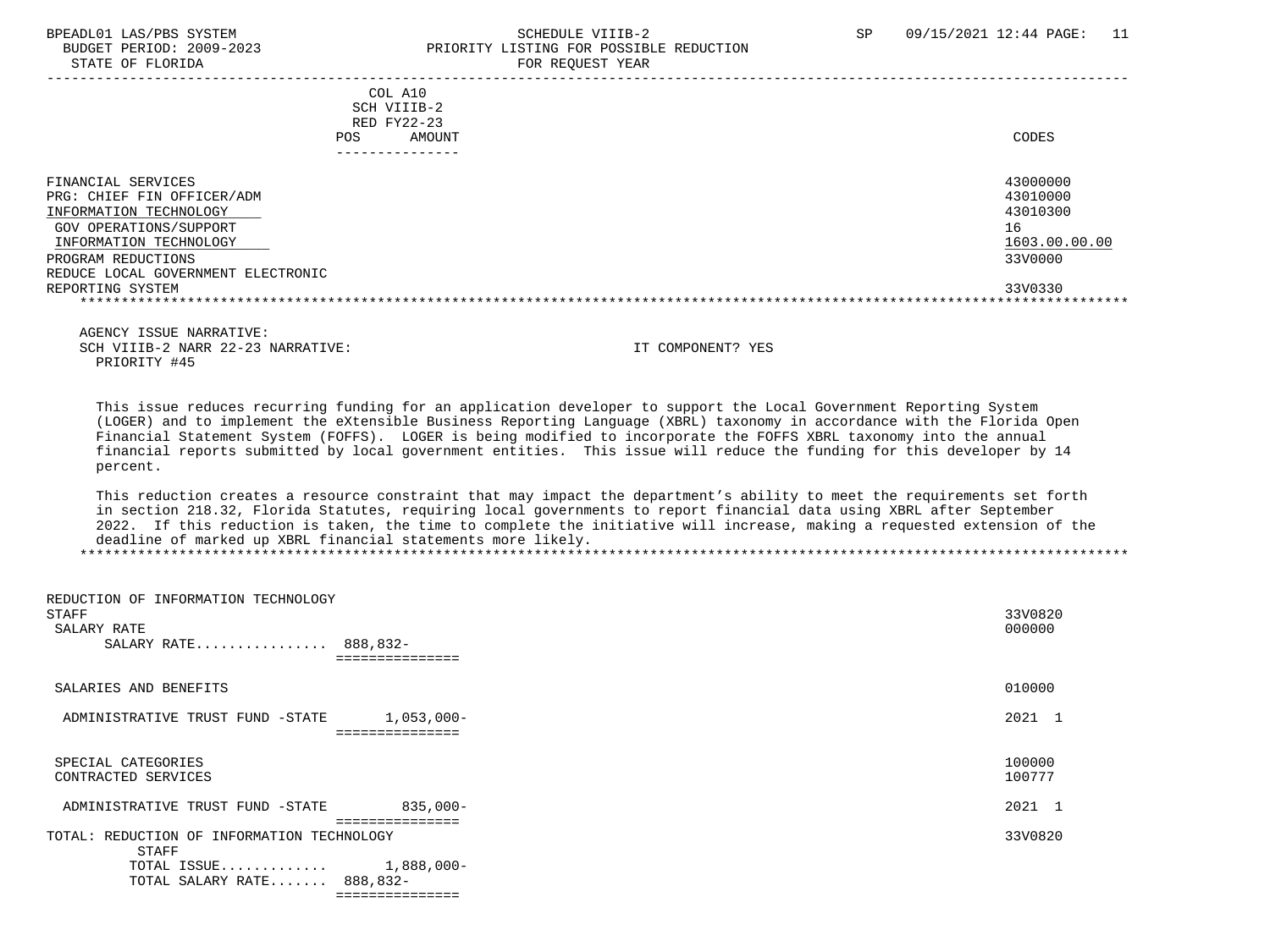#### BPEADL01 LAS/PBS SYSTEM STRING THE SCHEDULE VIIIB-2 SCHEDULE SCHEDULE SP 09/15/2021 12:44 PAGE: 11 PRIORITY LISTING FOR POSSIBLE REDUCTION STATE OF FLORIDA FOR REQUEST YEAR

| COL A10<br>SCH VIIIB-2<br>RED FY22-23<br>AMOUNT<br>POS.                                                                                                                                    | CODES                                                              |
|--------------------------------------------------------------------------------------------------------------------------------------------------------------------------------------------|--------------------------------------------------------------------|
| FINANCIAL SERVICES<br>PRG: CHIEF FIN OFFICER/ADM<br>INFORMATION TECHNOLOGY<br>GOV OPERATIONS/SUPPORT<br>INFORMATION TECHNOLOGY<br>PROGRAM REDUCTIONS<br>REDUCE LOCAL GOVERNMENT ELECTRONIC | 43000000<br>43010000<br>43010300<br>16<br>1603.00.00.00<br>33V0000 |
| REPORTING SYSTEM                                                                                                                                                                           | 33V0330                                                            |

 AGENCY ISSUE NARRATIVE: SCH VIIIB-2 NARR 22-23 NARRATIVE: IT COMPONENT? YES PRIORITY #45

 This issue reduces recurring funding for an application developer to support the Local Government Reporting System (LOGER) and to implement the eXtensible Business Reporting Language (XBRL) taxonomy in accordance with the Florida Open Financial Statement System (FOFFS). LOGER is being modified to incorporate the FOFFS XBRL taxonomy into the annual financial reports submitted by local government entities. This issue will reduce the funding for this developer by 14 percent.

 This reduction creates a resource constraint that may impact the department's ability to meet the requirements set forth in section 218.32, Florida Statutes, requiring local governments to report financial data using XBRL after September 2022. If this reduction is taken, the time to complete the initiative will increase, making a requested extension of the deadline of marked up XBRL financial statements more likely. \*\*\*\*\*\*\*\*\*\*\*\*\*\*\*\*\*\*\*\*\*\*\*\*\*\*\*\*\*\*\*\*\*\*\*\*\*\*\*\*\*\*\*\*\*\*\*\*\*\*\*\*\*\*\*\*\*\*\*\*\*\*\*\*\*\*\*\*\*\*\*\*\*\*\*\*\*\*\*\*\*\*\*\*\*\*\*\*\*\*\*\*\*\*\*\*\*\*\*\*\*\*\*\*\*\*\*\*\*\*\*\*\*\*\*\*\*\*\*\*\*\*\*\*\*\*\*

| REDUCTION OF INFORMATION TECHNOLOGY<br>STAFF<br>SALARY RATE<br>SALARY RATE 888,832-<br>=============               | 33V0820<br>000000 |
|--------------------------------------------------------------------------------------------------------------------|-------------------|
| SALARIES AND BENEFITS                                                                                              | 010000            |
| 1,053,000-<br>ADMINISTRATIVE TRUST FUND -STATE<br>===============                                                  | 2021 1            |
| SPECIAL CATEGORIES<br>CONTRACTED SERVICES                                                                          | 100000<br>100777  |
| $835,000-$<br>ADMINISTRATIVE TRUST FUND -STATE<br>=============                                                    | 2021 1            |
| TOTAL: REDUCTION OF INFORMATION TECHNOLOGY<br><b>STAFF</b><br>TOTAL ISSUE 1,888,000-<br>TOTAL SALARY RATE 888,832- | 33V0820           |
| ===============                                                                                                    |                   |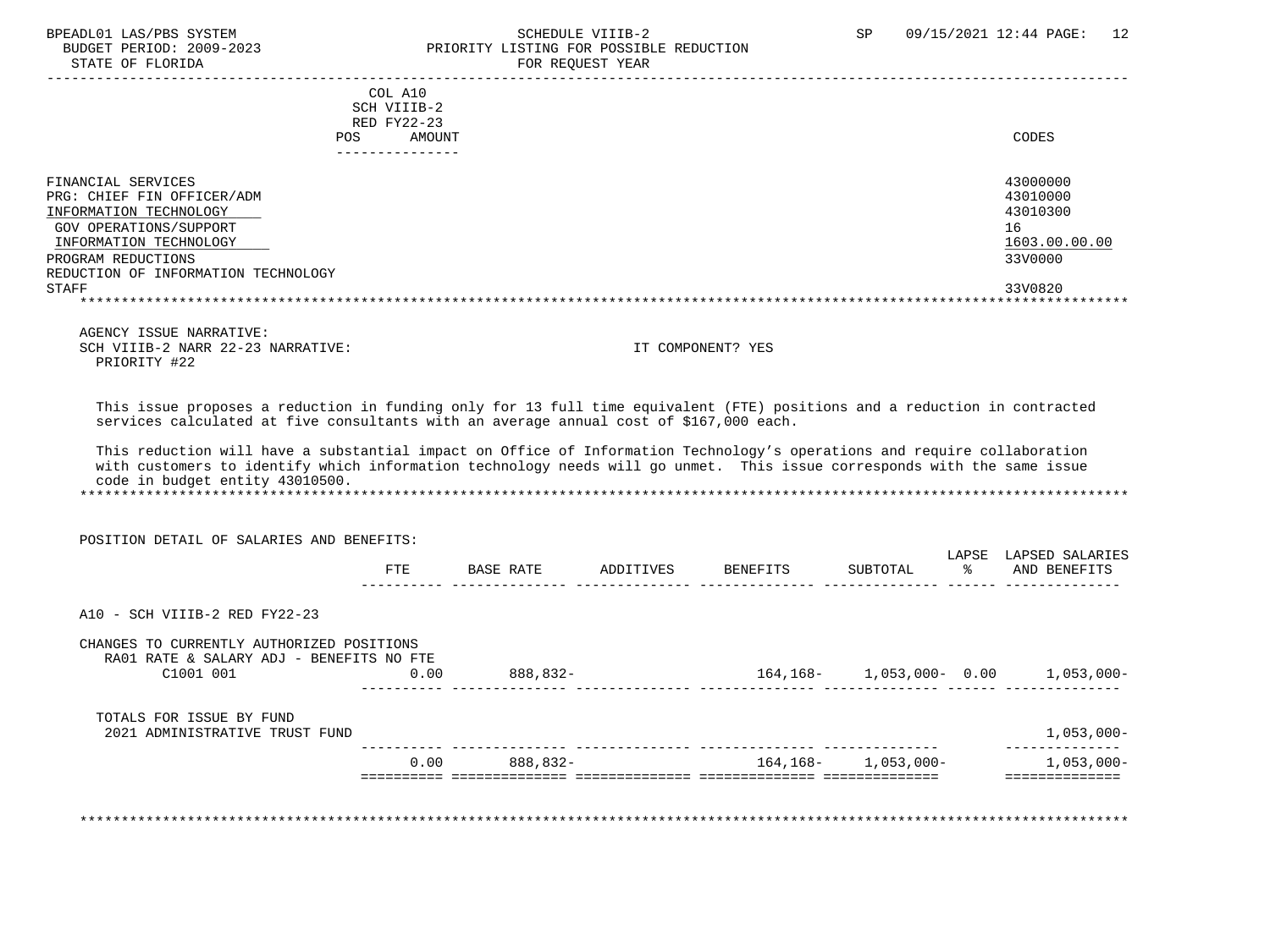### BPEADL01 LAS/PBS SYSTEM SALL SALL SCHEDULE VIIIB-2 SP 09/15/2021 12:44 PAGE: 12 BUDGET PERIOD: 2009-2023 PRIORITY LISTING FOR POSSIBLE REDUCTION

STATE OF FLORIDA FOR REQUEST YEAR ----------------------------------------------------------------------------------------------------------------------------------- COL A10 SCH VIIIB-2 RED FY22-23 POS AMOUNT CODES --------------- FINANCIAL SERVICES 43000000 PRG: CHIEF FIN OFFICER/ADM 43010000<br>TNFORMATION TECHNOLOGY 43010300 INFORMATION TECHNOLOGY GOV OPERATIONS/SUPPORT 16<br>
INFORMATION TECHNOLOGY 1603.00.00 POLOGY 1603.00.00 POLOGY 1603.00.00 POLOGY 1603.00.00 INFORMATION TECHNOLOGY 1603.00.00.00 \_\_\_\_\_\_\_\_\_\_\_\_\_\_\_\_\_\_\_\_\_\_\_\_\_\_ \_\_\_\_\_\_\_\_\_\_\_\_\_ PROGRAM REDUCTIONS REDUCTION OF INFORMATION TECHNOLOGY STAFF 33V0820 \*\*\*\*\*\*\*\*\*\*\*\*\*\*\*\*\*\*\*\*\*\*\*\*\*\*\*\*\*\*\*\*\*\*\*\*\*\*\*\*\*\*\*\*\*\*\*\*\*\*\*\*\*\*\*\*\*\*\*\*\*\*\*\*\*\*\*\*\*\*\*\*\*\*\*\*\*\*\*\*\*\*\*\*\*\*\*\*\*\*\*\*\*\*\*\*\*\*\*\*\*\*\*\*\*\*\*\*\*\*\*\*\*\*\*\*\*\*\*\*\*\*\*\*\*\*\* AGENCY ISSUE NARRATIVE: SCH VIIIB-2 NARR 22-23 NARRATIVE: IT COMPONENT? YES PRIORITY #22 This issue proposes a reduction in funding only for 13 full time equivalent (FTE) positions and a reduction in contracted services calculated at five consultants with an average annual cost of \$167,000 each. This reduction will have a substantial impact on Office of Information Technology's operations and require collaboration with customers to identify which information technology needs will go unmet. This issue corresponds with the same issue code in budget entity 43010500. \*\*\*\*\*\*\*\*\*\*\*\*\*\*\*\*\*\*\*\*\*\*\*\*\*\*\*\*\*\*\*\*\*\*\*\*\*\*\*\*\*\*\*\*\*\*\*\*\*\*\*\*\*\*\*\*\*\*\*\*\*\*\*\*\*\*\*\*\*\*\*\*\*\*\*\*\*\*\*\*\*\*\*\*\*\*\*\*\*\*\*\*\*\*\*\*\*\*\*\*\*\*\*\*\*\*\*\*\*\*\*\*\*\*\*\*\*\*\*\*\*\*\*\*\*\*\* POSITION DETAIL OF SALARIES AND BENEFITS: LAPSE LAPSED SALARIES<br>% AND BENEFITS FTE BASE RATE ADDITIVES BENEFITS SUBTOTAL ---------- -------------- -------------- -------------- -------------- ------ -------------- A10 - SCH VIIIB-2 RED FY22-23 CHANGES TO CURRENTLY AUTHORIZED POSITIONS RA01 RATE & SALARY ADJ - BENEFITS NO FTE C1001 001 0.00 888,832- 164,168- 1,053,000- 0.00 1,053,000- ---------- -------------- -------------- -------------- -------------- ------ -------------- TOTALS FOR ISSUE BY FUND 2021 ADMINISTRATIVE TRUST FUND 1,053,000- ---------- -------------- -------------- -------------- -------------- -------------- 0.00 888,832- 164,168- 1,053,000- 1,053,000- ========== ============== ============== ============== ============== ==============

\*\*\*\*\*\*\*\*\*\*\*\*\*\*\*\*\*\*\*\*\*\*\*\*\*\*\*\*\*\*\*\*\*\*\*\*\*\*\*\*\*\*\*\*\*\*\*\*\*\*\*\*\*\*\*\*\*\*\*\*\*\*\*\*\*\*\*\*\*\*\*\*\*\*\*\*\*\*\*\*\*\*\*\*\*\*\*\*\*\*\*\*\*\*\*\*\*\*\*\*\*\*\*\*\*\*\*\*\*\*\*\*\*\*\*\*\*\*\*\*\*\*\*\*\*\*\*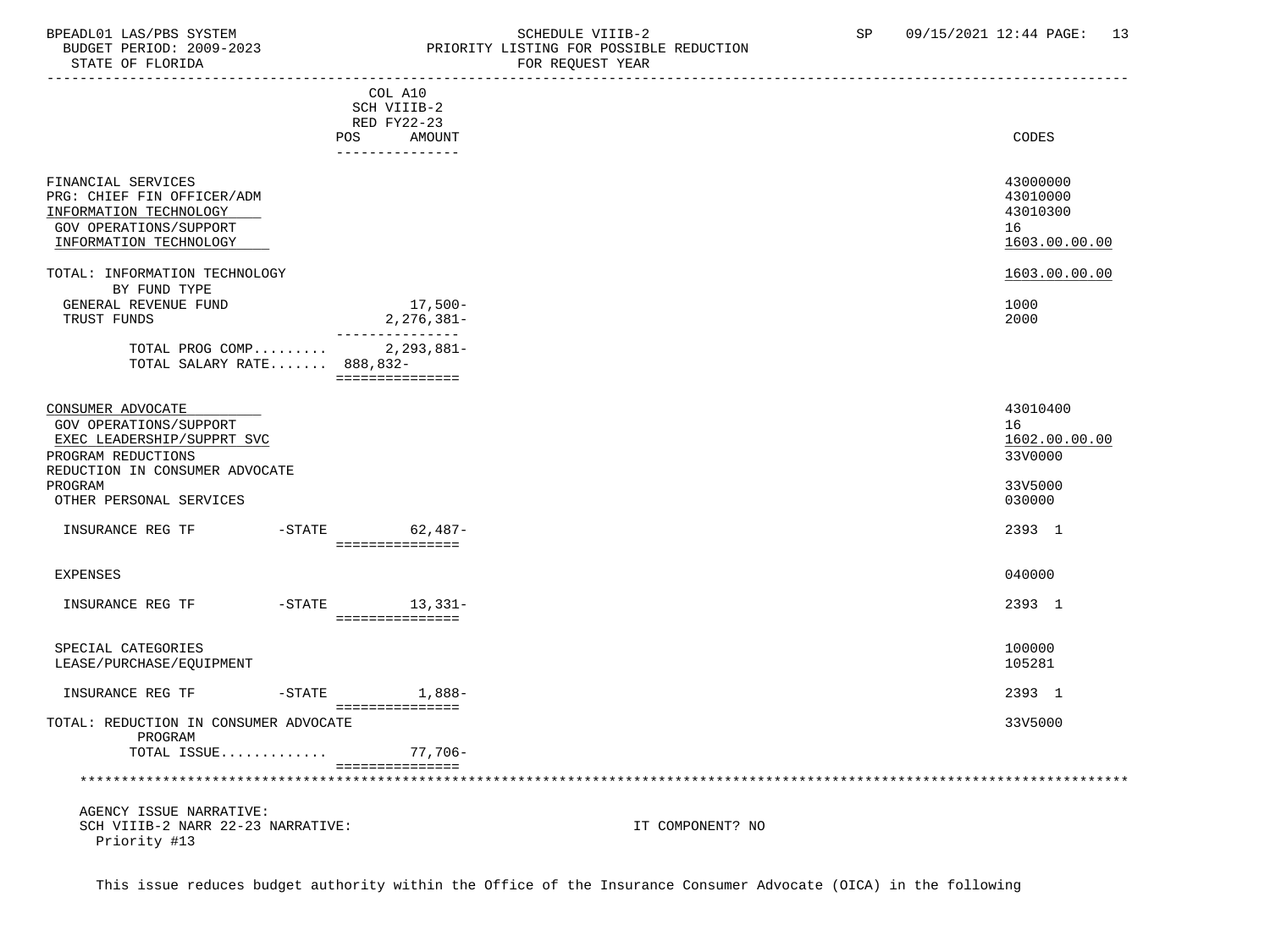### BPEADL01 LAS/PBS SYSTEM STREM SCHEDULE VIIIB-2 SCHEDULE VIIIB-2 SP 09/15/2021 12:44 PAGE: 13<br>BUDGET PERIOD: 2009-2023 PRIORITY LISTING FOR POSSIBLE REDUCTION BUDGET PERIOD: 2009-2023 PRIORITY LISTING FOR POSSIBLE REDUCTION<br>FOR REQUEST YEAR FOR REQUEST YEAR

| ----------------------                |     |                   |                  |               |
|---------------------------------------|-----|-------------------|------------------|---------------|
|                                       |     | COL A10           |                  |               |
|                                       |     | SCH VIIIB-2       |                  |               |
|                                       |     | RED FY22-23       |                  |               |
|                                       | POS | AMOUNT            |                  | CODES         |
|                                       |     | ---------------   |                  |               |
|                                       |     |                   |                  |               |
| FINANCIAL SERVICES                    |     |                   |                  | 43000000      |
| PRG: CHIEF FIN OFFICER/ADM            |     |                   |                  | 43010000      |
|                                       |     |                   |                  |               |
| INFORMATION TECHNOLOGY                |     |                   |                  | 43010300      |
| <b>GOV OPERATIONS/SUPPORT</b>         |     |                   |                  | 16            |
| INFORMATION TECHNOLOGY                |     |                   |                  | 1603.00.00.00 |
|                                       |     |                   |                  |               |
| TOTAL: INFORMATION TECHNOLOGY         |     |                   |                  | 1603.00.00.00 |
| BY FUND TYPE                          |     |                   |                  |               |
| GENERAL REVENUE FUND                  |     | 17,500-           |                  | 1000          |
| TRUST FUNDS                           |     | $2,276,381-$      |                  | 2000          |
|                                       |     | _______________   |                  |               |
| TOTAL PROG COMP 2,293,881-            |     |                   |                  |               |
| TOTAL SALARY RATE 888,832-            |     |                   |                  |               |
|                                       |     | ===============   |                  |               |
|                                       |     |                   |                  |               |
| CONSUMER ADVOCATE                     |     |                   |                  | 43010400      |
| GOV OPERATIONS/SUPPORT                |     |                   |                  | 16            |
|                                       |     |                   |                  |               |
| EXEC LEADERSHIP/SUPPRT SVC            |     |                   |                  | 1602.00.00.00 |
| PROGRAM REDUCTIONS                    |     |                   |                  | 33V0000       |
| REDUCTION IN CONSUMER ADVOCATE        |     |                   |                  |               |
| PROGRAM                               |     |                   |                  | 33V5000       |
| OTHER PERSONAL SERVICES               |     |                   |                  | 030000        |
|                                       |     |                   |                  |               |
| INSURANCE REG TF                      |     | -STATE 62,487-    |                  | 2393 1        |
|                                       |     | ________________  |                  |               |
|                                       |     |                   |                  |               |
| <b>EXPENSES</b>                       |     |                   |                  | 040000        |
|                                       |     |                   |                  |               |
| INSURANCE REG TF                      |     | $-STATE$ 13, 331- |                  | 2393 1        |
|                                       |     | ===============   |                  |               |
|                                       |     |                   |                  |               |
| SPECIAL CATEGORIES                    |     |                   |                  | 100000        |
| LEASE/PURCHASE/EQUIPMENT              |     |                   |                  | 105281        |
|                                       |     |                   |                  |               |
| INSURANCE REG TF                      |     | $-STATE$ 1,888-   |                  | 2393 1        |
|                                       |     | ===============   |                  |               |
| TOTAL: REDUCTION IN CONSUMER ADVOCATE |     |                   |                  | 33V5000       |
|                                       |     |                   |                  |               |
| PROGRAM                               |     |                   |                  |               |
| TOTAL ISSUE                           |     | 77,706-           |                  |               |
|                                       |     | ===============   |                  |               |
|                                       |     |                   |                  |               |
|                                       |     |                   |                  |               |
| AGENCY ISSUE NARRATIVE:               |     |                   |                  |               |
| SCH VIIIB-2 NARR 22-23 NARRATIVE:     |     |                   | IT COMPONENT? NO |               |
| Priority #13                          |     |                   |                  |               |

This issue reduces budget authority within the Office of the Insurance Consumer Advocate (OICA) in the following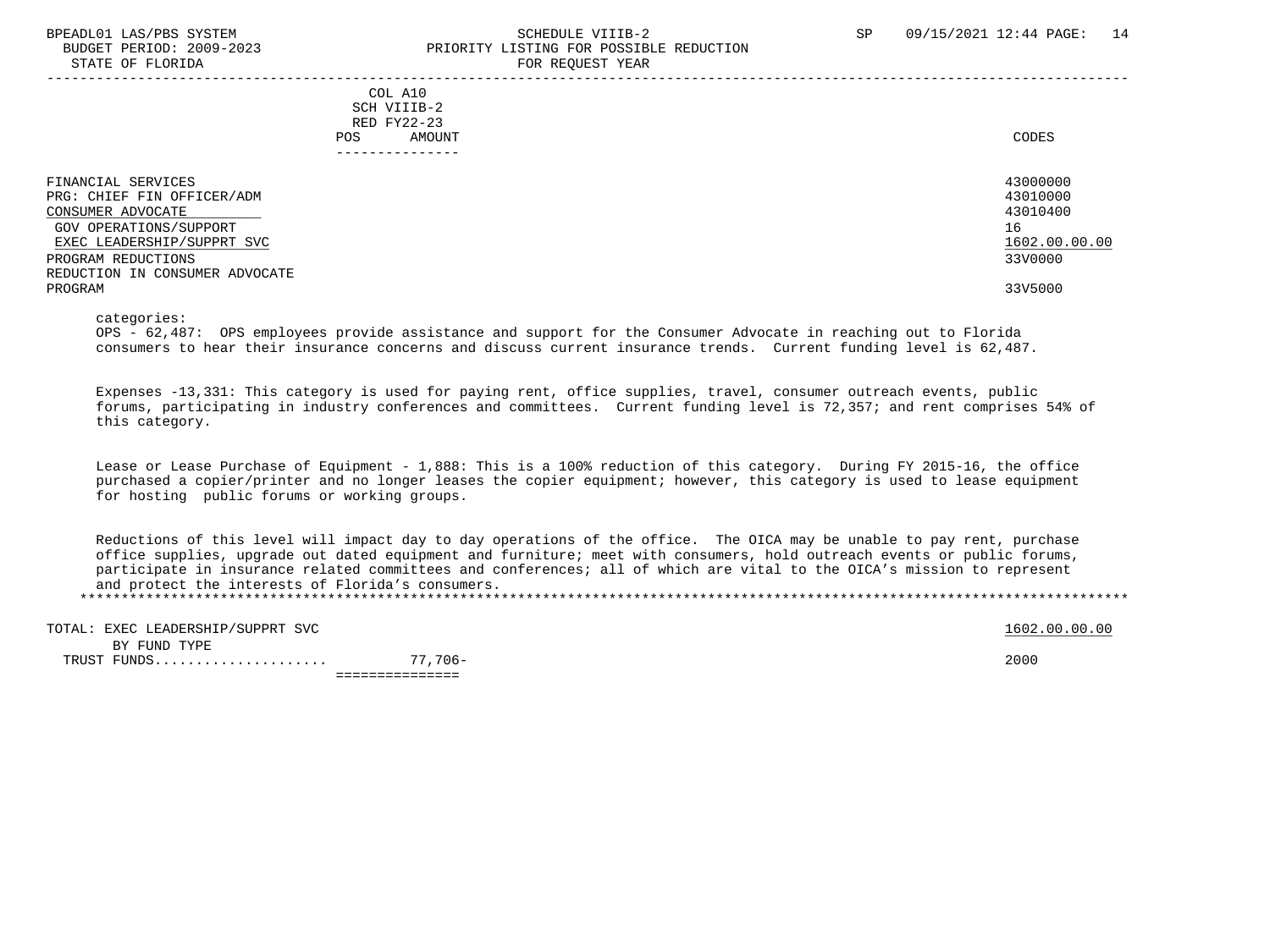### BPEADL01 LAS/PBS SYSTEM SALL SALL SOMEDULE VIIIB-2 SP 09/15/2021 12:44 PAGE: 14 BUDGET PERIOD: 2009-2023 PRIORITY LISTING FOR POSSIBLE REDUCTION STATE OF FLORIDA FOR STATE OF STATE OF STATE OF STATE OF STATE OF STATE OF STATE OF STATE OF STATE OF STATE OF STATE OF STATE OF STATE OF STATE OF STATE OF STATE OF STATE OF STATE OF STATE OF STATE OF STATE OF STATE OF STA

-----------------------------------------------------------------------------------------------------------------------------------

 COL A10 SCH VIIIB-2 RED FY22-23 POS AMOUNT CODES ---------------

| FINANCIAL SERVICES             | 43000000      |
|--------------------------------|---------------|
| PRG: CHIEF FIN OFFICER/ADM     | 43010000      |
| CONSUMER ADVOCATE              | 43010400      |
| GOV OPERATIONS/SUPPORT         | 16            |
| EXEC LEADERSHIP/SUPPRT SVC     | 1602.00.00.00 |
| PROGRAM REDUCTIONS             | 33V0000       |
| REDUCTION IN CONSUMER ADVOCATE |               |
| PROGRAM                        | 33V5000       |
|                                |               |

categories:

 OPS - 62,487: OPS employees provide assistance and support for the Consumer Advocate in reaching out to Florida consumers to hear their insurance concerns and discuss current insurance trends. Current funding level is 62,487.

 Expenses -13,331: This category is used for paying rent, office supplies, travel, consumer outreach events, public forums, participating in industry conferences and committees. Current funding level is 72,357; and rent comprises 54% of this category.

 Lease or Lease Purchase of Equipment - 1,888: This is a 100% reduction of this category. During FY 2015-16, the office purchased a copier/printer and no longer leases the copier equipment; however, this category is used to lease equipment for hosting public forums or working groups.

 Reductions of this level will impact day to day operations of the office. The OICA may be unable to pay rent, purchase office supplies, upgrade out dated equipment and furniture; meet with consumers, hold outreach events or public forums, participate in insurance related committees and conferences; all of which are vital to the OICA's mission to represent and protect the interests of Florida's consumers.

\*\*\*\*\*\*\*\*\*\*\*\*\*\*\*\*\*\*\*\*\*\*\*\*\*\*\*\*\*\*\*\*\*\*\*\*\*\*\*\*\*\*\*\*\*\*\*\*\*\*\*\*\*\*\*\*\*\*\*\*\*\*\*\*\*\*\*\*\*\*\*\*\*\*\*\*\*\*\*\*\*\*\*\*\*\*\*\*\*\*\*\*\*\*\*\*\*\*\*\*\*\*\*\*\*\*\*\*\*\*\*\*\*\*\*\*\*\*\*\*\*\*\*\*\*\*\*

| TOTAL: EXEC LEADERSHIP/SUPPRT SVC |         | 1602.00.00.00 |
|-----------------------------------|---------|---------------|
| BY FUND TYPE                      |         |               |
| TRUST FUNDS.                      | 77,706- | 2000          |
|                                   |         |               |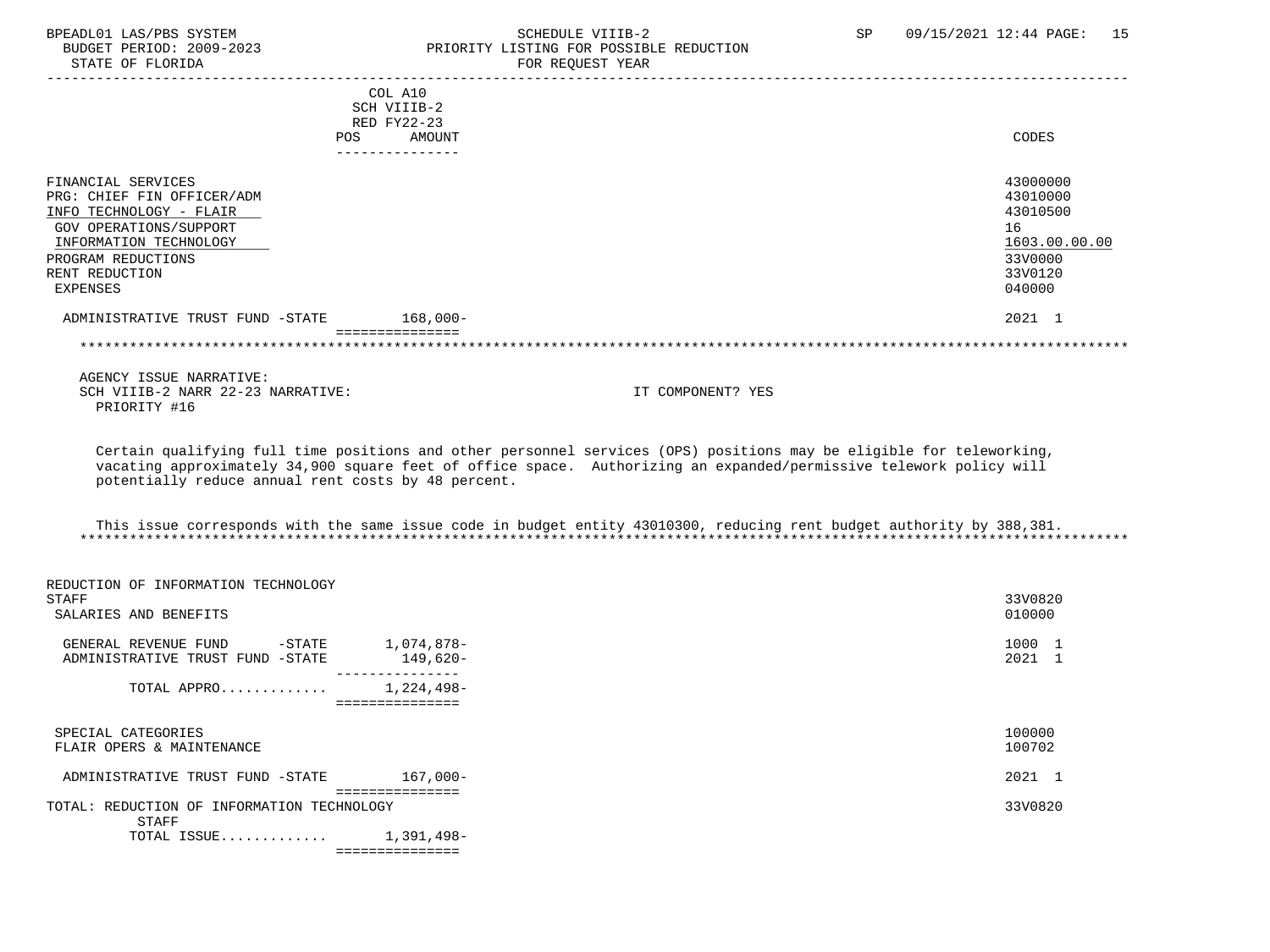### BPEADL01 LAS/PBS SYSTEM STREER STATES STATE SCHEDULE VIIIB-2 SP 09/15/2021 12:44 PAGE: 15<br>BUDGET PERIOD: 2009-2023 PRIORITY LISTING FOR POSSIBLE REDUCTION BUDGET PERIOD: 2009-2023 PRIORITY LISTING FOR POSSIBLE REDUCTION<br>STATE OF FLORIDA FOR REQUEST YEAR

| <b>POS</b>                                                                                                                                                                          | COL A10<br>SCH VIIIB-2<br>RED FY22-23<br>AMOUNT | CODES                                                                                   |
|-------------------------------------------------------------------------------------------------------------------------------------------------------------------------------------|-------------------------------------------------|-----------------------------------------------------------------------------------------|
| FINANCIAL SERVICES<br>PRG: CHIEF FIN OFFICER/ADM<br>INFO TECHNOLOGY - FLAIR<br>GOV OPERATIONS/SUPPORT<br>INFORMATION TECHNOLOGY<br>PROGRAM REDUCTIONS<br>RENT REDUCTION<br>EXPENSES |                                                 | 43000000<br>43010000<br>43010500<br>16<br>1603.00.00.00<br>33V0000<br>33V0120<br>040000 |
| ADMINISTRATIVE TRUST FUND -STATE                                                                                                                                                    | $168,000-$                                      | 2021 1                                                                                  |
|                                                                                                                                                                                     |                                                 |                                                                                         |

 AGENCY ISSUE NARRATIVE: SCH VIIIB-2 NARR 22-23 NARRATIVE: IT COMPONENT? YES PRIORITY #16

 Certain qualifying full time positions and other personnel services (OPS) positions may be eligible for teleworking, vacating approximately 34,900 square feet of office space. Authorizing an expanded/permissive telework policy will potentially reduce annual rent costs by 48 percent.

| This issue corresponds with the same issue code in budget entity 43010300, reducing rent budget authority by 388,381. |  |  |  |
|-----------------------------------------------------------------------------------------------------------------------|--|--|--|
|                                                                                                                       |  |  |  |

| 33V0820<br>STAFF                                                  |
|-------------------------------------------------------------------|
|                                                                   |
| 010000<br>SALARIES AND BENEFITS                                   |
|                                                                   |
| 1000 1<br>1,074,878-<br>$-\mathtt{STATE}$<br>GENERAL REVENUE FUND |
| 2021 1<br>149,620-<br>ADMINISTRATIVE TRUST FUND -STATE            |
| 1,224,498-<br>TOTAL APPRO                                         |
| ===============                                                   |
|                                                                   |
| 100000<br>SPECIAL CATEGORIES                                      |
| 100702<br>FLAIR OPERS & MAINTENANCE                               |
| 2021 1<br>167,000-<br>ADMINISTRATIVE TRUST FUND -STATE            |
|                                                                   |
| 33V0820<br>TOTAL: REDUCTION OF INFORMATION TECHNOLOGY             |
| STAFF                                                             |
| TOTAL ISSUE $1,391,498-$                                          |
| ===============                                                   |
|                                                                   |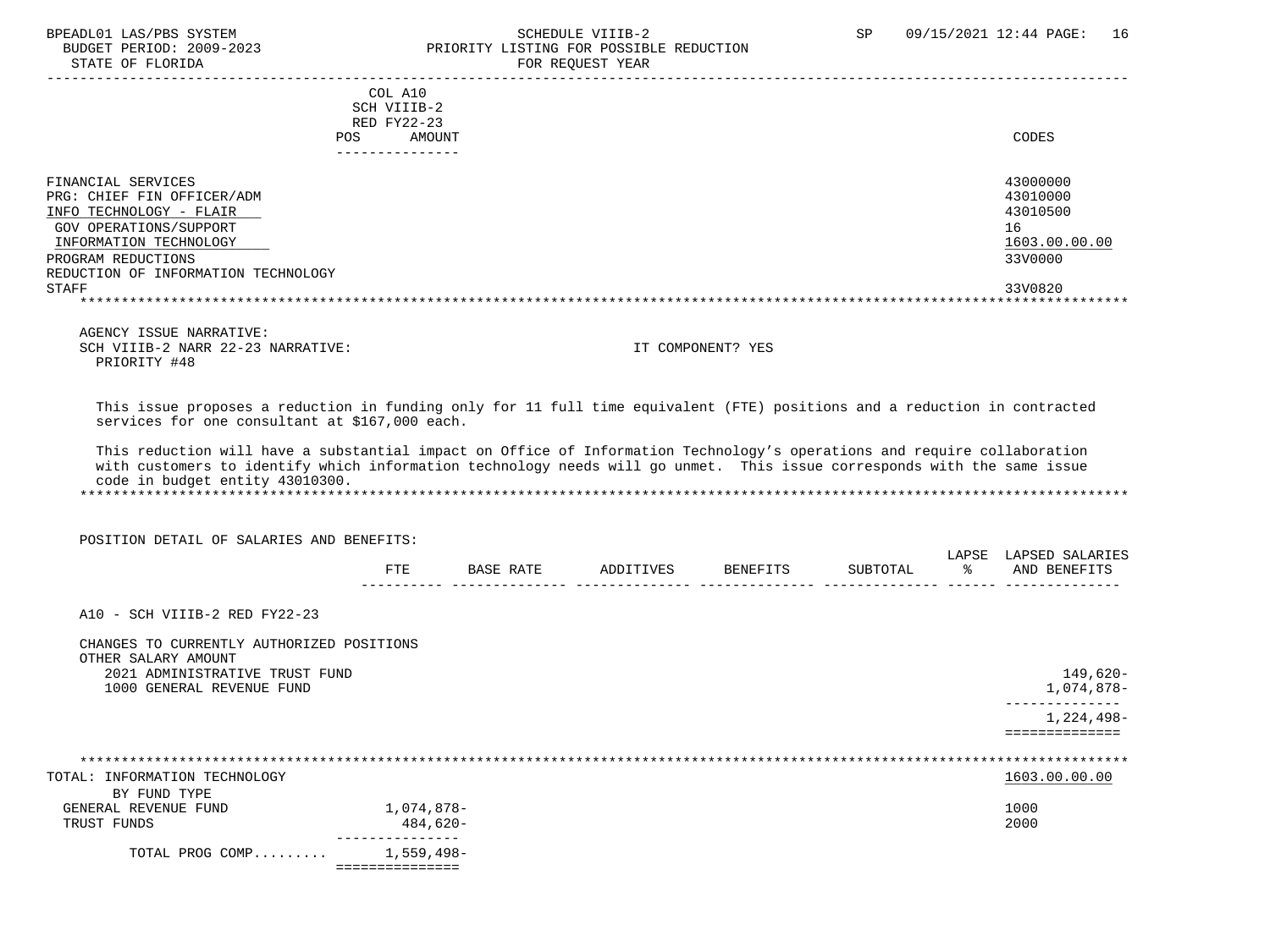### BPEADL01 LAS/PBS SYSTEM SALLE STREDULE VIIIB-2 SCHEDULE VIIIB-2 SP 09/15/2021 12:44 PAGE: 16 BUDGET PERIOD: 2009-2023 PRIORITY LISTING FOR POSSIBLE REDUCTION FOR REOUEST YEAR

|                                                                                                                                                                                                              | COL A10<br>SCH VIIIB-2<br>RED FY22-23<br>AMOUNT<br>POS<br>---------------                                                                                                                                                                                                                                                                                                        | CODES                                                                         |
|--------------------------------------------------------------------------------------------------------------------------------------------------------------------------------------------------------------|----------------------------------------------------------------------------------------------------------------------------------------------------------------------------------------------------------------------------------------------------------------------------------------------------------------------------------------------------------------------------------|-------------------------------------------------------------------------------|
| FINANCIAL SERVICES<br>PRG: CHIEF FIN OFFICER/ADM<br>INFO TECHNOLOGY - FLAIR<br>GOV OPERATIONS/SUPPORT<br>INFORMATION TECHNOLOGY<br>PROGRAM REDUCTIONS<br>REDUCTION OF INFORMATION TECHNOLOGY<br><b>STAFF</b> |                                                                                                                                                                                                                                                                                                                                                                                  | 43000000<br>43010000<br>43010500<br>16<br>1603.00.00.00<br>33V0000<br>33V0820 |
| AGENCY ISSUE NARRATIVE:<br>SCH VIIIB-2 NARR 22-23 NARRATIVE:<br>PRIORITY #48                                                                                                                                 | IT COMPONENT? YES                                                                                                                                                                                                                                                                                                                                                                |                                                                               |
| services for one consultant at \$167,000 each.<br>code in budget entity 43010300.                                                                                                                            | This issue proposes a reduction in funding only for 11 full time equivalent (FTE) positions and a reduction in contracted<br>This reduction will have a substantial impact on Office of Information Technology's operations and require collaboration<br>with customers to identify which information technology needs will go unmet. This issue corresponds with the same issue |                                                                               |

POSITION DETAIL OF SALARIES AND BENEFITS:

|             |                                                        |           |                | $\pi$ $\pi$<br>∕ວ≢<br>—— | ADQT |
|-------------|--------------------------------------------------------|-----------|----------------|--------------------------|------|
| omo<br>ىد . | 'T7F<br>$\sim$<br>$\overline{\phantom{a}}$<br>ب⊾ت ۷ ⊥ب | BEN<br>ᅚᇋ | ורחי אזזי<br>. |                          | A NT |
|             |                                                        |           |                |                          |      |

A10 - SCH VIIIB-2 RED FY22-23

| CHANGES TO CURRENTLY AUTHORIZED POSITIONS             |                               |               |
|-------------------------------------------------------|-------------------------------|---------------|
| OTHER SALARY AMOUNT<br>2021 ADMINISTRATIVE TRUST FUND |                               | 149,620-      |
| 1000 GENERAL REVENUE FUND                             |                               | 1,074,878–    |
|                                                       |                               | 1,224,498-    |
|                                                       |                               |               |
|                                                       |                               |               |
| TOTAL: INFORMATION TECHNOLOGY                         |                               | 1603.00.00.00 |
| BY FUND TYPE                                          |                               |               |
| GENERAL REVENUE FUND                                  | 1,074,878-                    | 1000          |
| TRUST FUNDS                                           | 484,620-                      | 2000          |
| TOTAL PROG COMP                                       | ---------------<br>1,559,498- |               |
|                                                       | ===============               |               |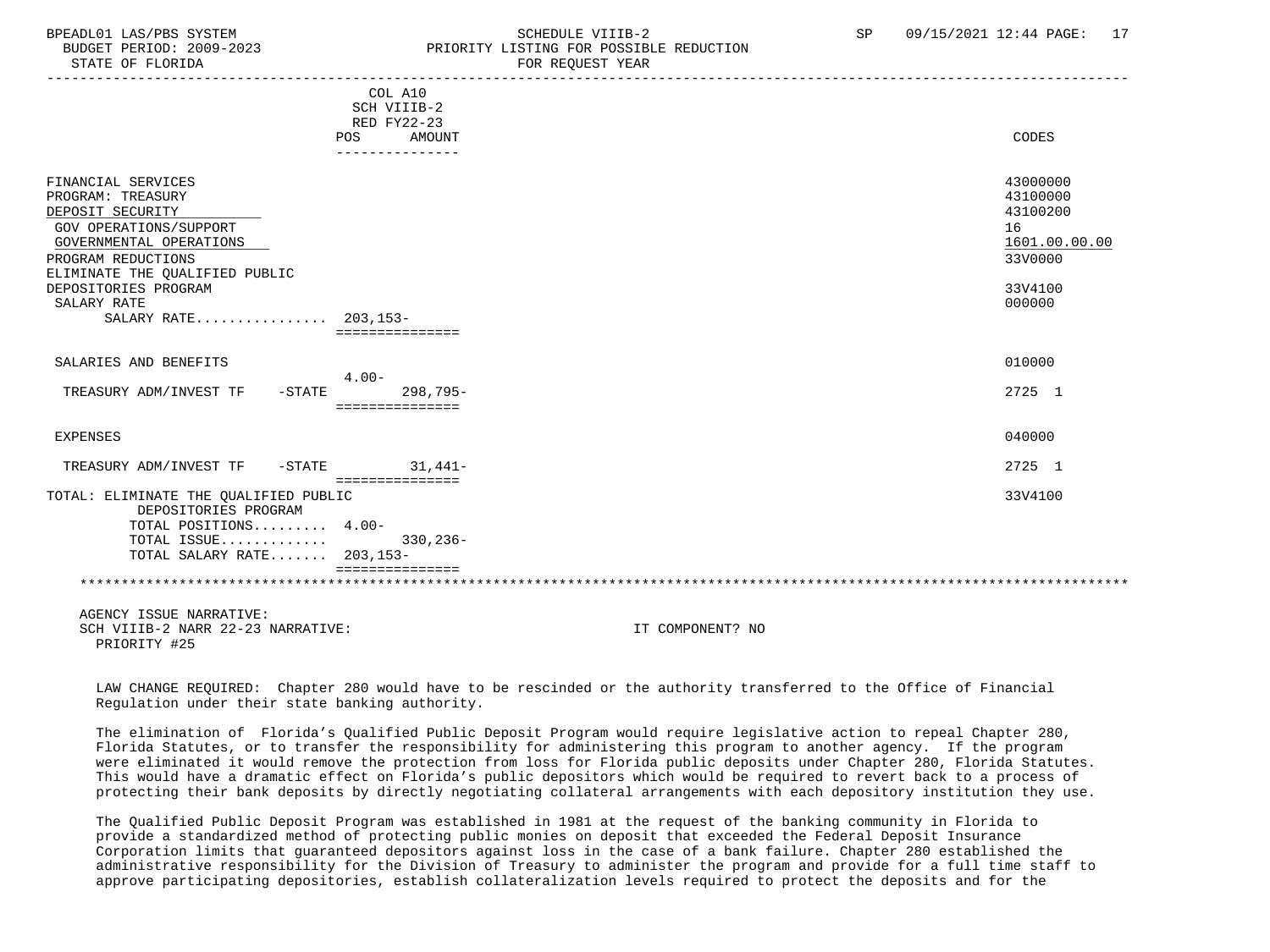### BPEADL01 LAS/PBS SYSTEM SALL SALL SOMEDULE VIIIB-2 SP 09/15/2021 12:44 PAGE: 17 BUDGET PERIOD: 2009-2023 PRIORITY LISTING FOR POSSIBLE REDUCTION

|                                                                                                                                                                                                                                         | COL A10<br>SCH VIIIB-2<br>RED FY22-23<br>AMOUNT<br>POS |                  | CODES                                                                                   |
|-----------------------------------------------------------------------------------------------------------------------------------------------------------------------------------------------------------------------------------------|--------------------------------------------------------|------------------|-----------------------------------------------------------------------------------------|
| FINANCIAL SERVICES<br>PROGRAM: TREASURY<br>DEPOSIT SECURITY<br>GOV OPERATIONS/SUPPORT<br>GOVERNMENTAL OPERATIONS<br>PROGRAM REDUCTIONS<br>ELIMINATE THE QUALIFIED PUBLIC<br>DEPOSITORIES PROGRAM<br>SALARY RATE<br>SALARY RATE 203.153- | ===============                                        |                  | 43000000<br>43100000<br>43100200<br>16<br>1601.00.00.00<br>33V0000<br>33V4100<br>000000 |
| SALARIES AND BENEFITS                                                                                                                                                                                                                   | $4.00 -$                                               |                  | 010000                                                                                  |
| TREASURY ADM/INVEST TF<br>$-$ STATE                                                                                                                                                                                                     | $298,795-$<br>===============                          |                  | 2725 1                                                                                  |
| <b>EXPENSES</b>                                                                                                                                                                                                                         |                                                        |                  | 040000                                                                                  |
| TREASURY ADM/INVEST TF -STATE                                                                                                                                                                                                           | $31.441-$<br>===============                           |                  | 2725 1                                                                                  |
| TOTAL: ELIMINATE THE QUALIFIED PUBLIC<br>DEPOSITORIES PROGRAM<br>TOTAL POSITIONS 4.00-<br>TOTAL ISSUE<br>TOTAL SALARY RATE 203,153-                                                                                                     | $330, 236 -$<br>===============                        |                  | 33V4100                                                                                 |
| AGENCY ISSUE NARRATIVE:<br>SCH VIIIB-2 NARR 22-23 NARRATIVE:<br>PRIORITY #25                                                                                                                                                            |                                                        | IT COMPONENT? NO |                                                                                         |

 LAW CHANGE REQUIRED: Chapter 280 would have to be rescinded or the authority transferred to the Office of Financial Regulation under their state banking authority.

 The elimination of Florida's Qualified Public Deposit Program would require legislative action to repeal Chapter 280, Florida Statutes, or to transfer the responsibility for administering this program to another agency. If the program were eliminated it would remove the protection from loss for Florida public deposits under Chapter 280, Florida Statutes. This would have a dramatic effect on Florida's public depositors which would be required to revert back to a process of protecting their bank deposits by directly negotiating collateral arrangements with each depository institution they use.

 The Qualified Public Deposit Program was established in 1981 at the request of the banking community in Florida to provide a standardized method of protecting public monies on deposit that exceeded the Federal Deposit Insurance Corporation limits that guaranteed depositors against loss in the case of a bank failure. Chapter 280 established the administrative responsibility for the Division of Treasury to administer the program and provide for a full time staff to approve participating depositories, establish collateralization levels required to protect the deposits and for the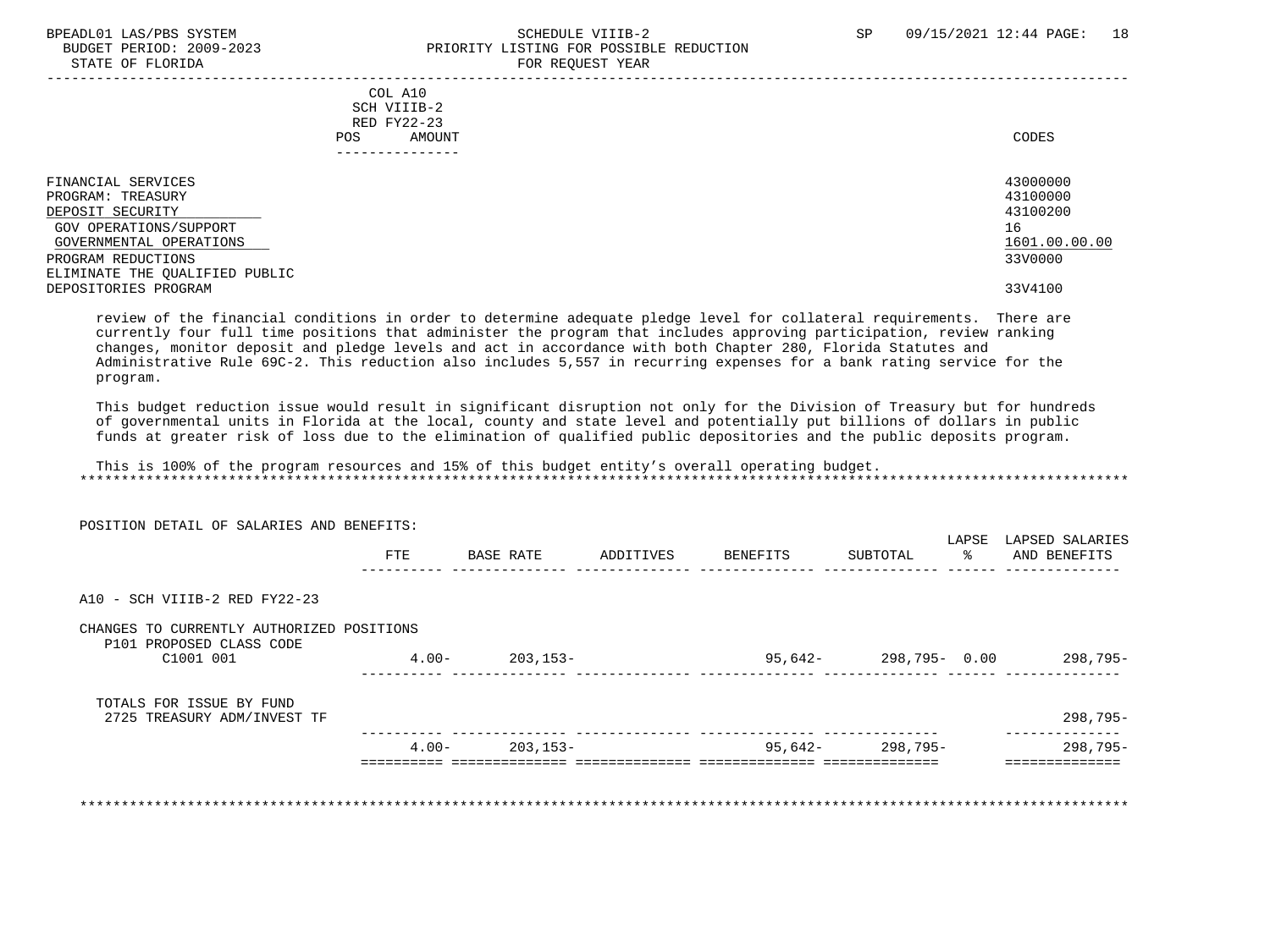#### BPEADL01 LAS/PBS SYSTEM SALL SALL SOMEDULE VIIIB-2 SP 09/15/2021 12:44 PAGE: 18 BUDGET PERIOD: 2009-2023 PRIORITY LISTING FOR POSSIBLE REDUCTION STATE OF FLORIDA FOR REQUEST YEAR

| COL A10                        |               |
|--------------------------------|---------------|
| SCH VIIIB-2                    |               |
| RED FY22-23                    |               |
|                                | CODES         |
| AMOUNT<br>POS.                 |               |
|                                |               |
|                                |               |
| FINANCIAL SERVICES             | 43000000      |
| PROGRAM: TREASURY              | 43100000      |
| DEPOSIT SECURITY               | 43100200      |
| GOV OPERATIONS/SUPPORT         | 16            |
| GOVERNMENTAL OPERATIONS        | 1601.00.00.00 |
| PROGRAM REDUCTIONS             | 33V0000       |
| ELIMINATE THE QUALIFIED PUBLIC |               |
| DEPOSITORIES PROGRAM           | 33V4100       |
|                                |               |

 review of the financial conditions in order to determine adequate pledge level for collateral requirements. There are currently four full time positions that administer the program that includes approving participation, review ranking changes, monitor deposit and pledge levels and act in accordance with both Chapter 280, Florida Statutes and Administrative Rule 69C-2. This reduction also includes 5,557 in recurring expenses for a bank rating service for the program.

 This budget reduction issue would result in significant disruption not only for the Division of Treasury but for hundreds of governmental units in Florida at the local, county and state level and potentially put billions of dollars in public funds at greater risk of loss due to the elimination of qualified public depositories and the public deposits program.

 This is 100% of the program resources and 15% of this budget entity's overall operating budget. \*\*\*\*\*\*\*\*\*\*\*\*\*\*\*\*\*\*\*\*\*\*\*\*\*\*\*\*\*\*\*\*\*\*\*\*\*\*\*\*\*\*\*\*\*\*\*\*\*\*\*\*\*\*\*\*\*\*\*\*\*\*\*\*\*\*\*\*\*\*\*\*\*\*\*\*\*\*\*\*\*\*\*\*\*\*\*\*\*\*\*\*\*\*\*\*\*\*\*\*\*\*\*\*\*\*\*\*\*\*\*\*\*\*\*\*\*\*\*\*\*\*\*\*\*\*\*

 POSITION DETAIL OF SALARIES AND BENEFITS: LAPSE LAPSED SALARIES FTE BASE RATE ADDITIVES BENEFITS SUBTOTAL % AND BENEFITS ---------- -------------- -------------- -------------- -------------- ------ -------------- A10 - SCH VIIIB-2 RED FY22-23 CHANGES TO CURRENTLY AUTHORIZED POSITIONS P101 PROPOSED CLASS CODE<br>C1001 001 C1001 001 4.00- 203,153- 95,642- 298,795- 0.00 298,795- ---------- -------------- -------------- -------------- -------------- ------ -------------- TOTALS FOR ISSUE BY FUND 2725 TREASURY ADM/INVEST TF 298,795- ---------- -------------- -------------- -------------- -------------- -------------- 4.00- 203,153- 95,642- 298,795- 298,795- ========== ============== ============== ============== ============== ============== \*\*\*\*\*\*\*\*\*\*\*\*\*\*\*\*\*\*\*\*\*\*\*\*\*\*\*\*\*\*\*\*\*\*\*\*\*\*\*\*\*\*\*\*\*\*\*\*\*\*\*\*\*\*\*\*\*\*\*\*\*\*\*\*\*\*\*\*\*\*\*\*\*\*\*\*\*\*\*\*\*\*\*\*\*\*\*\*\*\*\*\*\*\*\*\*\*\*\*\*\*\*\*\*\*\*\*\*\*\*\*\*\*\*\*\*\*\*\*\*\*\*\*\*\*\*\*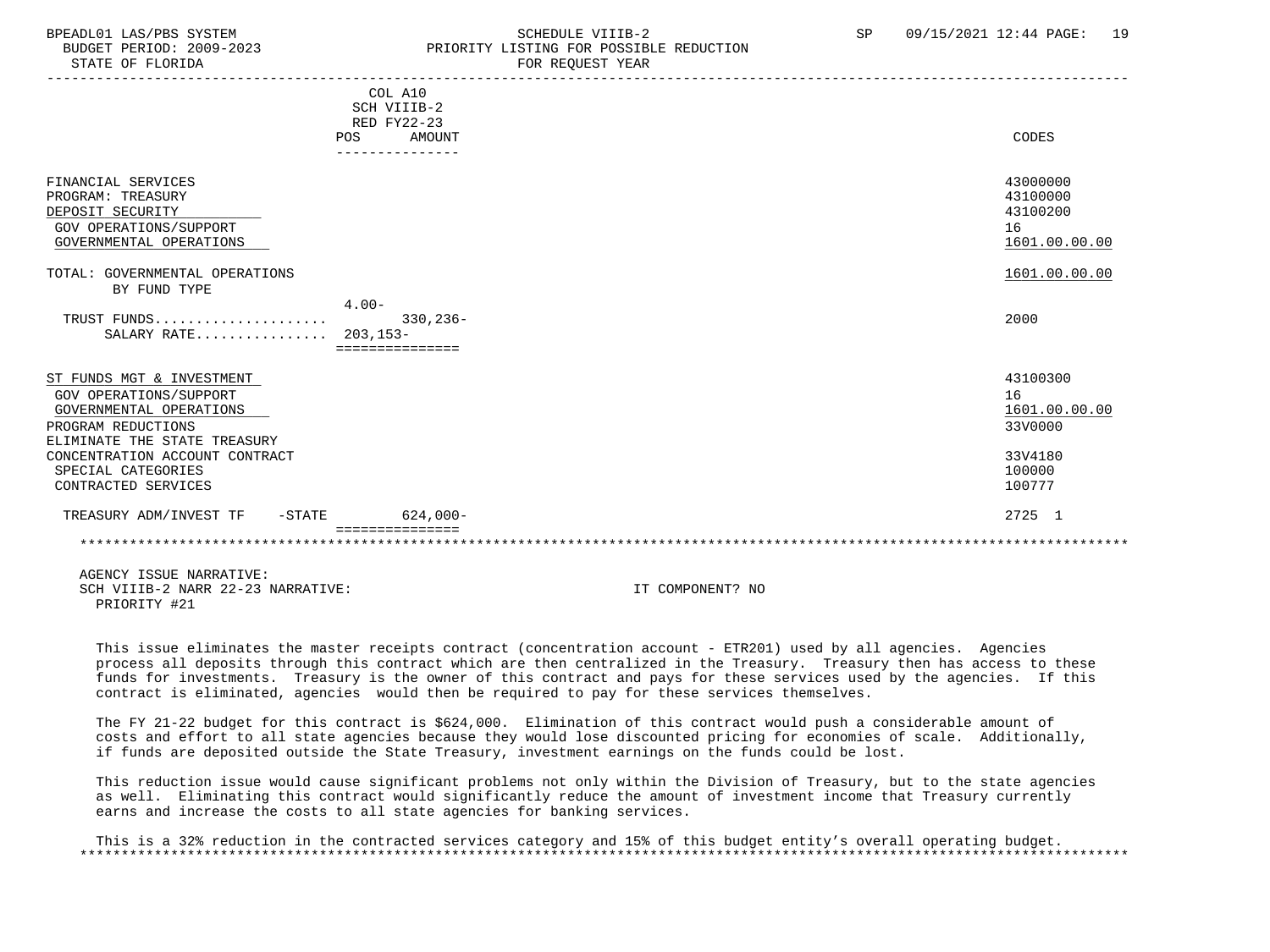### BPEADL01 LAS/PBS SYSTEM SALL SALL SCHEDULE VIIIB-2 SP 09/15/2021 12:44 PAGE: 19 BUDGET PERIOD: 2009-2023 PRIORITY LISTING FOR POSSIBLE REDUCTION

|                                     | COL A10     |               |               |
|-------------------------------------|-------------|---------------|---------------|
|                                     | SCH VIIIB-2 |               |               |
|                                     | RED FY22-23 |               |               |
|                                     | POS         | <b>AMOUNT</b> | CODES         |
|                                     |             |               |               |
|                                     |             |               |               |
| FINANCIAL SERVICES                  |             |               | 43000000      |
| PROGRAM: TREASURY                   |             |               | 43100000      |
| DEPOSIT SECURITY                    |             |               | 43100200      |
| GOV OPERATIONS/SUPPORT              |             |               | 16            |
| GOVERNMENTAL OPERATIONS             |             |               | 1601.00.00.00 |
|                                     |             |               |               |
| TOTAL: GOVERNMENTAL OPERATIONS      |             |               | 1601.00.00.00 |
| BY FUND TYPE                        |             |               |               |
|                                     | $4.00 -$    |               |               |
| TRUST FUNDS                         |             | $330,236-$    | 2000          |
| SALARY RATE 203,153-                |             |               |               |
|                                     |             |               |               |
|                                     |             |               |               |
| ST FUNDS MGT & INVESTMENT           |             |               | 43100300      |
| <b>GOV OPERATIONS/SUPPORT</b>       |             |               | 16            |
| GOVERNMENTAL OPERATIONS             |             |               | 1601.00.00.00 |
| PROGRAM REDUCTIONS                  |             |               | 33V0000       |
| ELIMINATE THE STATE TREASURY        |             |               |               |
| CONCENTRATION ACCOUNT CONTRACT      |             |               | 33V4180       |
| SPECIAL CATEGORIES                  |             |               | 100000        |
| CONTRACTED SERVICES                 |             |               | 100777        |
| TREASURY ADM/INVEST TF<br>$-$ STATE |             | $624,000-$    | 2725 1        |
|                                     |             |               |               |
|                                     |             |               |               |
|                                     |             |               |               |

 AGENCY ISSUE NARRATIVE: SCH VIIIB-2 NARR 22-23 NARRATIVE: IT COMPONENT? NO PRIORITY #21

 This issue eliminates the master receipts contract (concentration account - ETR201) used by all agencies. Agencies process all deposits through this contract which are then centralized in the Treasury. Treasury then has access to these funds for investments. Treasury is the owner of this contract and pays for these services used by the agencies. If this contract is eliminated, agencies would then be required to pay for these services themselves.

 The FY 21-22 budget for this contract is \$624,000. Elimination of this contract would push a considerable amount of costs and effort to all state agencies because they would lose discounted pricing for economies of scale. Additionally, if funds are deposited outside the State Treasury, investment earnings on the funds could be lost.

 This reduction issue would cause significant problems not only within the Division of Treasury, but to the state agencies as well. Eliminating this contract would significantly reduce the amount of investment income that Treasury currently earns and increase the costs to all state agencies for banking services.

 This is a 32% reduction in the contracted services category and 15% of this budget entity's overall operating budget. \*\*\*\*\*\*\*\*\*\*\*\*\*\*\*\*\*\*\*\*\*\*\*\*\*\*\*\*\*\*\*\*\*\*\*\*\*\*\*\*\*\*\*\*\*\*\*\*\*\*\*\*\*\*\*\*\*\*\*\*\*\*\*\*\*\*\*\*\*\*\*\*\*\*\*\*\*\*\*\*\*\*\*\*\*\*\*\*\*\*\*\*\*\*\*\*\*\*\*\*\*\*\*\*\*\*\*\*\*\*\*\*\*\*\*\*\*\*\*\*\*\*\*\*\*\*\*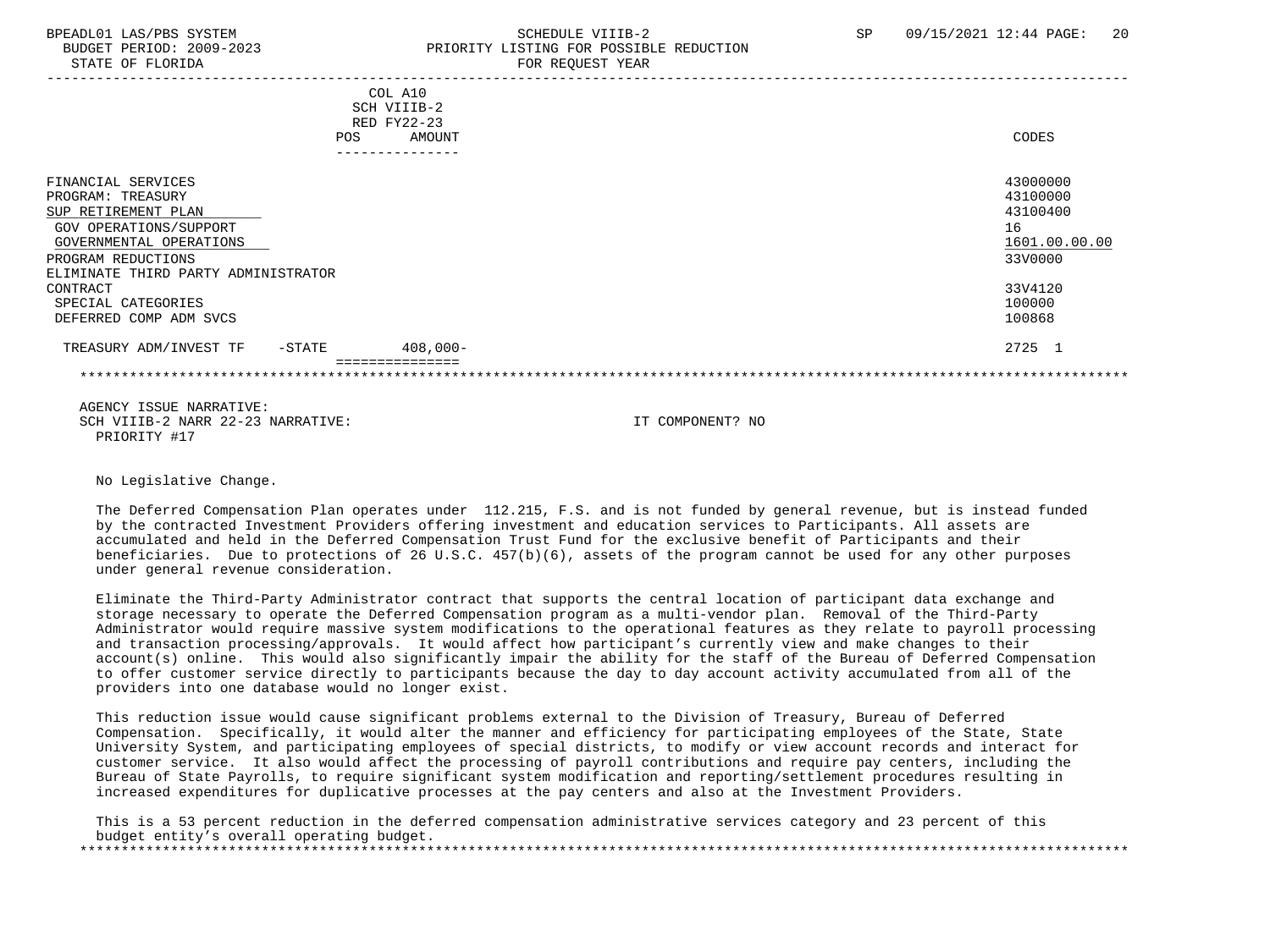#### BPEADL01 LAS/PBS SYSTEM SALL SALL SOMEDULE VIIIB-2 SP 09/15/2021 12:44 PAGE: 20 BUDGET PERIOD: 2009-2023 PRIORITY LISTING FOR POSSIBLE REDUCTION STATE OF FLORIDA **FOR REQUEST YEAR**

| <b>POS</b>                                                                                                                                                                       | COL A10<br>SCH VIIIB-2<br>RED FY22-23<br>AMOUNT | CODES                                                              |
|----------------------------------------------------------------------------------------------------------------------------------------------------------------------------------|-------------------------------------------------|--------------------------------------------------------------------|
|                                                                                                                                                                                  |                                                 |                                                                    |
| FINANCIAL SERVICES<br>PROGRAM: TREASURY<br>SUP RETIREMENT PLAN<br>GOV OPERATIONS/SUPPORT<br>GOVERNMENTAL OPERATIONS<br>PROGRAM REDUCTIONS<br>ELIMINATE THIRD PARTY ADMINISTRATOR |                                                 | 43000000<br>43100000<br>43100400<br>16<br>1601.00.00.00<br>33V0000 |
| CONTRACT                                                                                                                                                                         |                                                 | 33V4120                                                            |
| SPECIAL CATEGORIES                                                                                                                                                               |                                                 | 100000                                                             |
| DEFERRED COMP ADM SVCS                                                                                                                                                           |                                                 | 100868                                                             |
| TREASURY ADM/INVEST TF<br>$-$ STATE                                                                                                                                              | $408,000 -$                                     | 2725 1                                                             |
|                                                                                                                                                                                  |                                                 |                                                                    |

 AGENCY ISSUE NARRATIVE: SCH VIIIB-2 NARR 22-23 NARRATIVE: IT COMPONENT? NO PRIORITY #17

No Legislative Change.

 The Deferred Compensation Plan operates under 112.215, F.S. and is not funded by general revenue, but is instead funded by the contracted Investment Providers offering investment and education services to Participants. All assets are accumulated and held in the Deferred Compensation Trust Fund for the exclusive benefit of Participants and their beneficiaries. Due to protections of 26 U.S.C. 457(b)(6), assets of the program cannot be used for any other purposes under general revenue consideration.

 Eliminate the Third-Party Administrator contract that supports the central location of participant data exchange and storage necessary to operate the Deferred Compensation program as a multi-vendor plan. Removal of the Third-Party Administrator would require massive system modifications to the operational features as they relate to payroll processing and transaction processing/approvals. It would affect how participant's currently view and make changes to their account(s) online. This would also significantly impair the ability for the staff of the Bureau of Deferred Compensation to offer customer service directly to participants because the day to day account activity accumulated from all of the providers into one database would no longer exist.

 This reduction issue would cause significant problems external to the Division of Treasury, Bureau of Deferred Compensation. Specifically, it would alter the manner and efficiency for participating employees of the State, State University System, and participating employees of special districts, to modify or view account records and interact for customer service. It also would affect the processing of payroll contributions and require pay centers, including the Bureau of State Payrolls, to require significant system modification and reporting/settlement procedures resulting in increased expenditures for duplicative processes at the pay centers and also at the Investment Providers.

 This is a 53 percent reduction in the deferred compensation administrative services category and 23 percent of this budget entity's overall operating budget. \*\*\*\*\*\*\*\*\*\*\*\*\*\*\*\*\*\*\*\*\*\*\*\*\*\*\*\*\*\*\*\*\*\*\*\*\*\*\*\*\*\*\*\*\*\*\*\*\*\*\*\*\*\*\*\*\*\*\*\*\*\*\*\*\*\*\*\*\*\*\*\*\*\*\*\*\*\*\*\*\*\*\*\*\*\*\*\*\*\*\*\*\*\*\*\*\*\*\*\*\*\*\*\*\*\*\*\*\*\*\*\*\*\*\*\*\*\*\*\*\*\*\*\*\*\*\*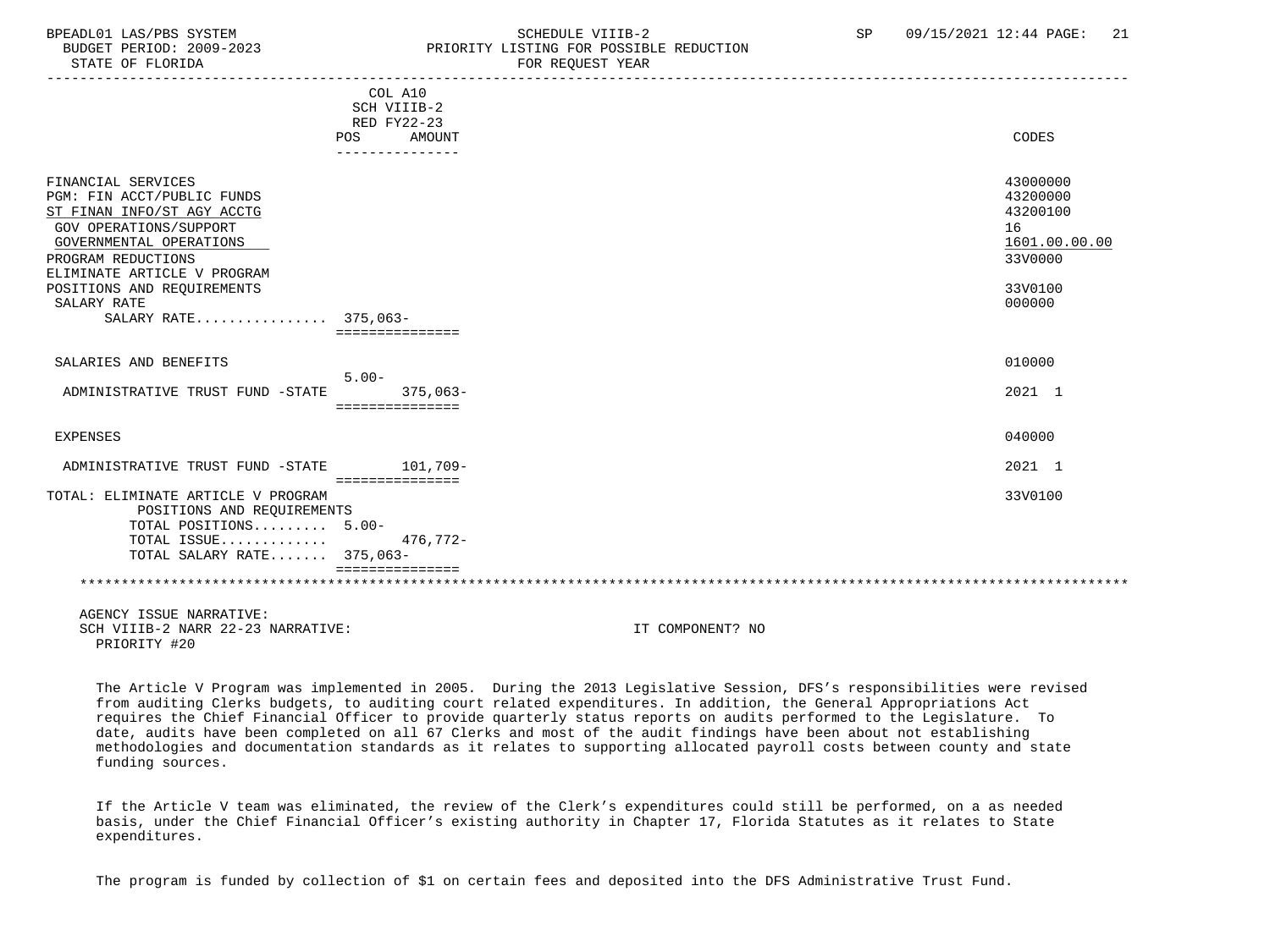STATE OF FLORIDA FOR STATE OF STATE OF STATE OF STATE OF STATE OF STATE OF STATE OF STATE OF STATE OF STATE OF STATE OF STATE OF STATE OF STATE OF STATE OF STATE OF STATE OF STATE OF STATE OF STATE OF STATE OF STATE OF STA

### BPEADL01 LAS/PBS SYSTEM SCHEDULE VIIIB-2 SCHEDULE VIIIB-2 SP 09/15/2021 12:44 PAGE: 21 PRIORITY LISTING FOR POSSIBLE REDUCTION

|                                                                                                                                                                                                                                                               | COL A10<br>SCH VIIIB-2<br>RED FY22-23            |                                                                                         |
|---------------------------------------------------------------------------------------------------------------------------------------------------------------------------------------------------------------------------------------------------------------|--------------------------------------------------|-----------------------------------------------------------------------------------------|
|                                                                                                                                                                                                                                                               | POS<br>AMOUNT                                    | CODES                                                                                   |
| FINANCIAL SERVICES<br>PGM: FIN ACCT/PUBLIC FUNDS<br>ST FINAN INFO/ST AGY ACCTG<br>GOV OPERATIONS/SUPPORT<br>GOVERNMENTAL OPERATIONS<br>PROGRAM REDUCTIONS<br>ELIMINATE ARTICLE V PROGRAM<br>POSITIONS AND REQUIREMENTS<br>SALARY RATE<br>SALARY RATE 375,063- | . _ _ _ _ _ _ _ _ _ _ _ _ _ _<br>=============== | 43000000<br>43200000<br>43200100<br>16<br>1601.00.00.00<br>33V0000<br>33V0100<br>000000 |
| SALARIES AND BENEFITS                                                                                                                                                                                                                                         |                                                  | 010000                                                                                  |
| ADMINISTRATIVE TRUST FUND -STATE                                                                                                                                                                                                                              | $5.00 -$<br>$375,063-$<br>===============        | 2021 1                                                                                  |
| <b>EXPENSES</b>                                                                                                                                                                                                                                               |                                                  | 040000                                                                                  |
| ADMINISTRATIVE TRUST FUND -STATE                                                                                                                                                                                                                              | 101,709-<br>===============                      | 2021 1                                                                                  |
| TOTAL: ELIMINATE ARTICLE V PROGRAM<br>POSITIONS AND REQUIREMENTS<br>TOTAL POSITIONS 5.00-<br>TOTAL ISSUE<br>TOTAL SALARY RATE 375,063-                                                                                                                        | $476,772-$                                       | 33V0100                                                                                 |
| AGENCY ISSUE NARRATIVE:                                                                                                                                                                                                                                       |                                                  |                                                                                         |

SCH VIIIR-2 NARR 22-23 NARRATIVE: IT COMPONENT? NO PRIORITY #20

 The Article V Program was implemented in 2005. During the 2013 Legislative Session, DFS's responsibilities were revised from auditing Clerks budgets, to auditing court related expenditures. In addition, the General Appropriations Act requires the Chief Financial Officer to provide quarterly status reports on audits performed to the Legislature. To date, audits have been completed on all 67 Clerks and most of the audit findings have been about not establishing methodologies and documentation standards as it relates to supporting allocated payroll costs between county and state funding sources.

 If the Article V team was eliminated, the review of the Clerk's expenditures could still be performed, on a as needed basis, under the Chief Financial Officer's existing authority in Chapter 17, Florida Statutes as it relates to State expenditures.

The program is funded by collection of \$1 on certain fees and deposited into the DFS Administrative Trust Fund.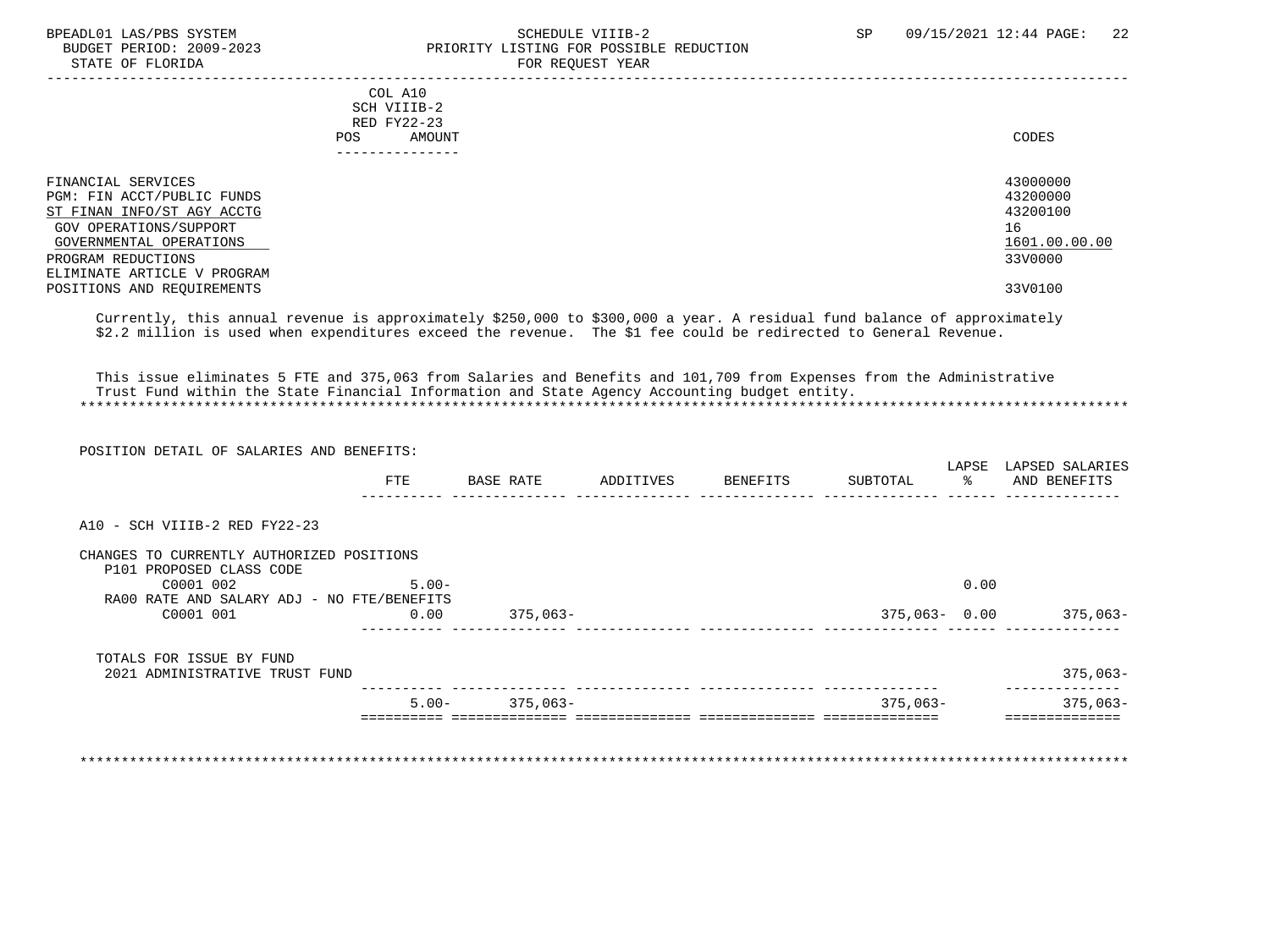#### BPEADL01 LAS/PBS SYSTEM SOHEDULE VIIIB-2 SCHEDULE VIIIB-2 SP 09/15/2021 12:44 PAGE: 22<br>BUDGET PERIOD: 2009-2023 PRIORITY LISTING FOR POSSIBLE REDUCTION PRIORITY LISTING FOR POSSIBLE REDUCTION STATE OF FLORIDA FOR REQUEST YEAR FOR REQUEST YEAR

| COL A10                     |               |
|-----------------------------|---------------|
| SCH VIIIB-2                 |               |
| RED FY22-23                 |               |
| AMOUNT<br>POS.              | CODES         |
|                             |               |
|                             |               |
|                             |               |
| FINANCIAL SERVICES          | 43000000      |
| PGM: FIN ACCT/PUBLIC FUNDS  | 43200000      |
| ST FINAN INFO/ST AGY ACCTG  | 43200100      |
| GOV OPERATIONS/SUPPORT      | 16            |
| GOVERNMENTAL OPERATIONS     | 1601.00.00.00 |
| PROGRAM REDUCTIONS          | 33V0000       |
| ELIMINATE ARTICLE V PROGRAM |               |
| POSITIONS AND REQUIREMENTS  | 33V0100       |
|                             |               |

 Currently, this annual revenue is approximately \$250,000 to \$300,000 a year. A residual fund balance of approximately \$2.2 million is used when expenditures exceed the revenue. The \$1 fee could be redirected to General Revenue.

 This issue eliminates 5 FTE and 375,063 from Salaries and Benefits and 101,709 from Expenses from the Administrative Trust Fund within the State Financial Information and State Agency Accounting budget entity. \*\*\*\*\*\*\*\*\*\*\*\*\*\*\*\*\*\*\*\*\*\*\*\*\*\*\*\*\*\*\*\*\*\*\*\*\*\*\*\*\*\*\*\*\*\*\*\*\*\*\*\*\*\*\*\*\*\*\*\*\*\*\*\*\*\*\*\*\*\*\*\*\*\*\*\*\*\*\*\*\*\*\*\*\*\*\*\*\*\*\*\*\*\*\*\*\*\*\*\*\*\*\*\*\*\*\*\*\*\*\*\*\*\*\*\*\*\*\*\*\*\*\*\*\*\*\*

| POSITION DETAIL OF SALARIES AND BENEFITS:  |            |           |                    |              |       |                                   |
|--------------------------------------------|------------|-----------|--------------------|--------------|-------|-----------------------------------|
|                                            | <b>FTE</b> | BASE RATE | ADDITIVES BENEFITS | SUBTOTAL     | LAPSE | LAPSED SALARIES<br>% AND BENEFITS |
|                                            |            |           |                    |              |       |                                   |
| A10 - SCH VIIIB-2 RED FY22-23              |            |           |                    |              |       |                                   |
| CHANGES TO CURRENTLY AUTHORIZED POSITIONS  |            |           |                    |              |       |                                   |
| P101 PROPOSED CLASS CODE<br>C0001 002      | $5.00 -$   |           |                    |              | 0.00  |                                   |
| RA00 RATE AND SALARY ADJ - NO FTE/BENEFITS |            |           |                    |              |       |                                   |
| C0001 001                                  | 0.00       | 375,063-  |                    | 375,063-0.00 |       | 375,063-                          |
| TOTALS FOR ISSUE BY FUND                   |            |           |                    |              |       |                                   |
| 2021 ADMINISTRATIVE TRUST FUND             |            |           |                    |              |       | $375,063-$                        |
|                                            | $5.00 -$   | 375,063-  |                    | $375,063-$   |       | $375,063-$                        |

\*\*\*\*\*\*\*\*\*\*\*\*\*\*\*\*\*\*\*\*\*\*\*\*\*\*\*\*\*\*\*\*\*\*\*\*\*\*\*\*\*\*\*\*\*\*\*\*\*\*\*\*\*\*\*\*\*\*\*\*\*\*\*\*\*\*\*\*\*\*\*\*\*\*\*\*\*\*\*\*\*\*\*\*\*\*\*\*\*\*\*\*\*\*\*\*\*\*\*\*\*\*\*\*\*\*\*\*\*\*\*\*\*\*\*\*\*\*\*\*\*\*\*\*\*\*\*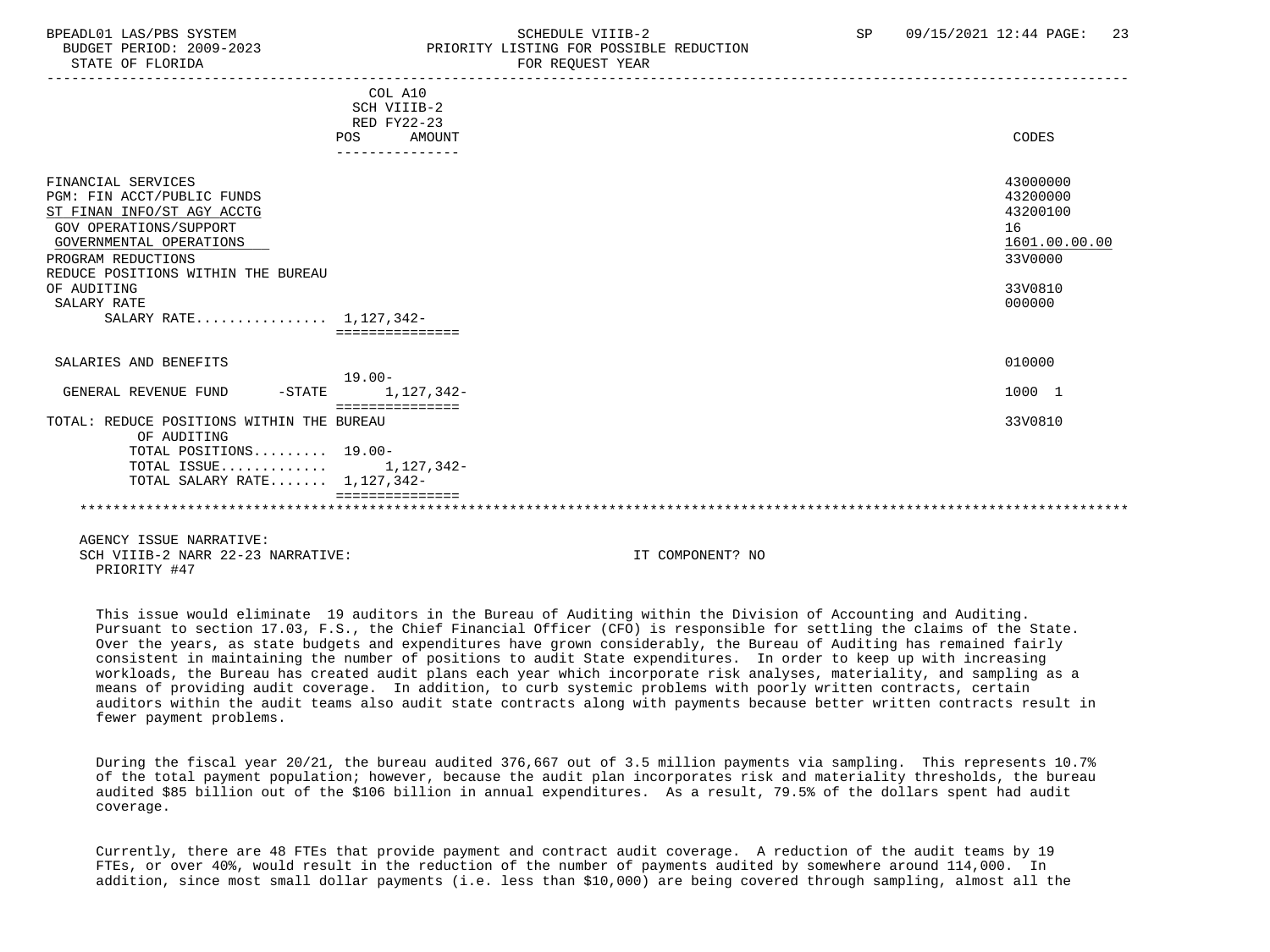### BPEADL01 LAS/PBS SYSTEM SALL SALL SCHEDULE VIIIB-2 SP 09/15/2021 12:44 PAGE: 23 BUDGET PERIOD: 2009-2023 PRIORITY LISTING FOR POSSIBLE REDUCTION

|                                                          | COL A10<br>SCH VIIIB-2<br><b>RED FY22-23</b> |               |
|----------------------------------------------------------|----------------------------------------------|---------------|
|                                                          | AMOUNT<br>POS                                | CODES         |
|                                                          |                                              |               |
| FINANCIAL SERVICES                                       |                                              | 43000000      |
| PGM: FIN ACCT/PUBLIC FUNDS                               |                                              | 43200000      |
| ST FINAN INFO/ST AGY ACCTG                               |                                              | 43200100      |
| <b>GOV OPERATIONS/SUPPORT</b>                            |                                              | 16            |
| GOVERNMENTAL OPERATIONS                                  |                                              | 1601.00.00.00 |
| PROGRAM REDUCTIONS                                       |                                              | 33V0000       |
| REDUCE POSITIONS WITHIN THE BUREAU                       |                                              |               |
| OF AUDITING                                              |                                              | 33V0810       |
| SALARY RATE                                              |                                              | 000000        |
| SALARY RATE 1,127,342-                                   |                                              |               |
|                                                          |                                              |               |
| SALARIES AND BENEFITS                                    |                                              | 010000        |
|                                                          | $19.00 -$                                    |               |
| $-$ STATE<br>GENERAL REVENUE FUND                        | 1,127,342-                                   | 1000 1        |
|                                                          | ===============                              |               |
| TOTAL: REDUCE POSITIONS WITHIN THE BUREAU<br>OF AUDITING |                                              | 33V0810       |
| TOTAL POSITIONS 19.00-                                   |                                              |               |
| TOTAL ISSUE 1,127,342-                                   |                                              |               |
| TOTAL SALARY RATE 1,127,342-                             |                                              |               |
|                                                          |                                              |               |
|                                                          |                                              |               |
|                                                          |                                              |               |

 AGENCY ISSUE NARRATIVE: SCH VIIIB-2 NARR 22-23 NARRATIVE: IT COMPONENT? NO PRIORITY #47

 This issue would eliminate 19 auditors in the Bureau of Auditing within the Division of Accounting and Auditing. Pursuant to section 17.03, F.S., the Chief Financial Officer (CFO) is responsible for settling the claims of the State. Over the years, as state budgets and expenditures have grown considerably, the Bureau of Auditing has remained fairly consistent in maintaining the number of positions to audit State expenditures. In order to keep up with increasing workloads, the Bureau has created audit plans each year which incorporate risk analyses, materiality, and sampling as a means of providing audit coverage. In addition, to curb systemic problems with poorly written contracts, certain auditors within the audit teams also audit state contracts along with payments because better written contracts result in fewer payment problems.

 During the fiscal year 20/21, the bureau audited 376,667 out of 3.5 million payments via sampling. This represents 10.7% of the total payment population; however, because the audit plan incorporates risk and materiality thresholds, the bureau audited \$85 billion out of the \$106 billion in annual expenditures. As a result, 79.5% of the dollars spent had audit coverage.

 Currently, there are 48 FTEs that provide payment and contract audit coverage. A reduction of the audit teams by 19 FTEs, or over 40%, would result in the reduction of the number of payments audited by somewhere around 114,000. In addition, since most small dollar payments (i.e. less than \$10,000) are being covered through sampling, almost all the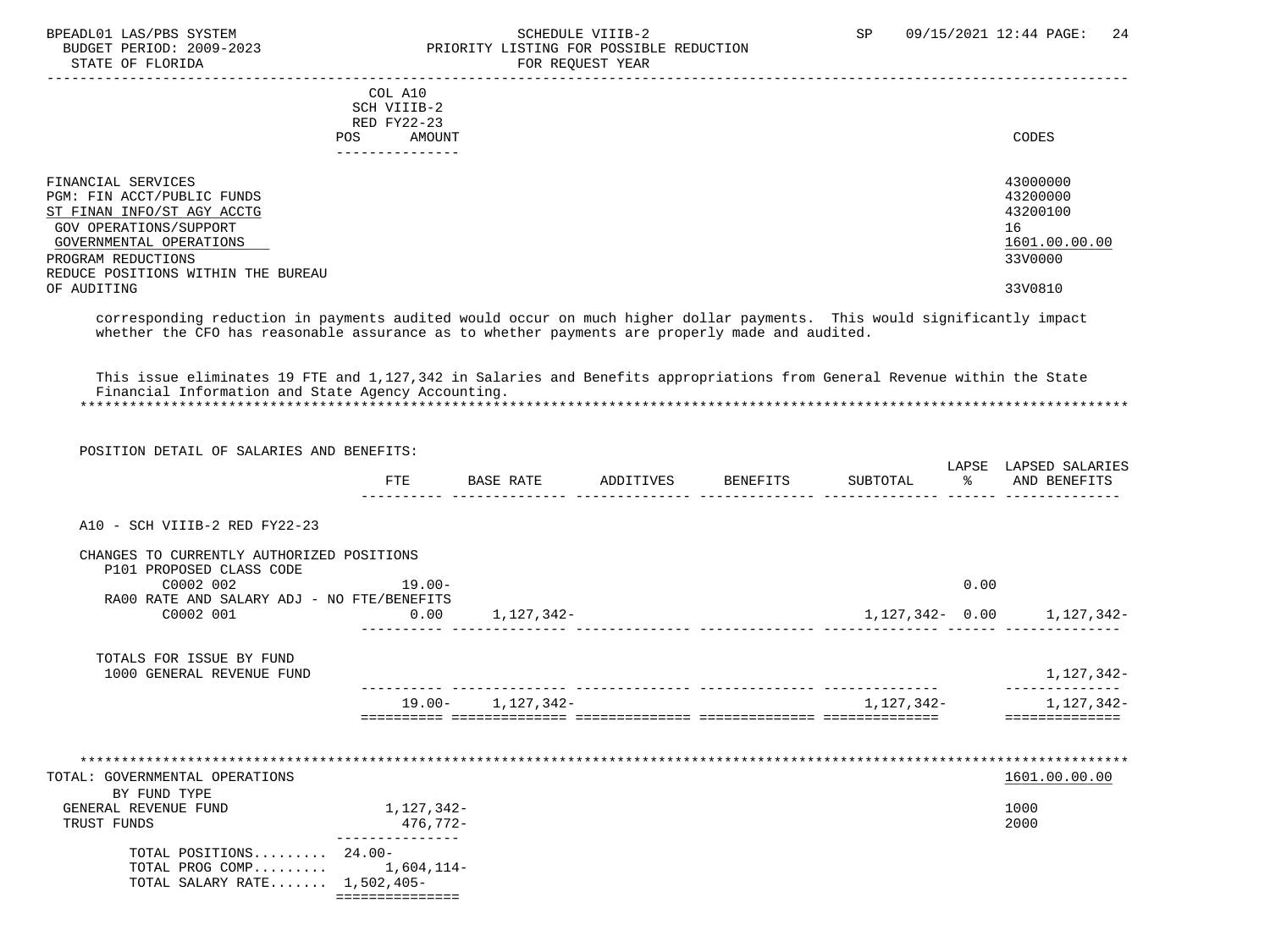STATE OF FLORIDA FOR STATE OF STATE OF STATE OF STATE OF STATE OF STATE OF STATE OF STATE OF STATE OF STATE OF STATE OF STATE OF STATE OF STATE OF STATE OF STATE OF STATE OF STATE OF STATE OF STATE OF STATE OF STATE OF STA

## BPEADL01 LAS/PBS SYSTEM SOHEDULE VIIIB-2 SCHEDULE VIIIB-2 SP 09/15/2021 12:44 PAGE: 24 PRIORITY LISTING FOR POSSIBLE REDUCTION

 ----------------------------------------------------------------------------------------------------------------------------------- COL A10 SCH VIIIB-2 RED FY22-23<br>POS AMOUNT POS AMOUNT CODES --------------- FINANCIAL SERVICES 43000000 PGM: FIN ACCT/PUBLIC FUNDS 43200000 PGM: 1999 43200000 43200000 43200000 43200000 43200000 43200100 43200100 43200100 ST FINAN INFO/ST AGY ACCTG GOV OPERATIONS/SUPPORT 16 GOVERNMENTAL OPERATIONS  $\frac{1601.00}{3300000}$ PROGRAM REDUCTIONS REDUCE POSITIONS WITHIN THE BUREAU<br>OF AUDITING OF AUDITING 33V0810

 corresponding reduction in payments audited would occur on much higher dollar payments. This would significantly impact whether the CFO has reasonable assurance as to whether payments are properly made and audited.

 This issue eliminates 19 FTE and 1,127,342 in Salaries and Benefits appropriations from General Revenue within the State Financial Information and State Agency Accounting. \*\*\*\*\*\*\*\*\*\*\*\*\*\*\*\*\*\*\*\*\*\*\*\*\*\*\*\*\*\*\*\*\*\*\*\*\*\*\*\*\*\*\*\*\*\*\*\*\*\*\*\*\*\*\*\*\*\*\*\*\*\*\*\*\*\*\*\*\*\*\*\*\*\*\*\*\*\*\*\*\*\*\*\*\*\*\*\*\*\*\*\*\*\*\*\*\*\*\*\*\*\*\*\*\*\*\*\*\*\*\*\*\*\*\*\*\*\*\*\*\*\*\*\*\*\*\*

| POSITION DETAIL OF SALARIES AND BENEFITS: |  |  |
|-------------------------------------------|--|--|

|                                                                                          | <b>FTE</b>             | BASE RATE             | ADDITIVES BENEFITS                | SUBTOTAL   | LAPSE<br>$\sim$ $\approx$ | LAPSED SALARIES<br>AND BENEFITS |
|------------------------------------------------------------------------------------------|------------------------|-----------------------|-----------------------------------|------------|---------------------------|---------------------------------|
| A10 - SCH VIIIB-2 RED FY22-23                                                            |                        |                       |                                   |            |                           |                                 |
| CHANGES TO CURRENTLY AUTHORIZED POSITIONS<br>P101 PROPOSED CLASS CODE                    |                        |                       |                                   |            |                           |                                 |
| C0002 002                                                                                | $19.00 -$              |                       |                                   |            | 0.00                      |                                 |
| RA00 RATE AND SALARY ADJ - NO FTE/BENEFITS<br>C0002 001                                  |                        | $0.00$ 1, 127, 342-   |                                   |            |                           | 1, 127, 342 - 0.00 1, 127, 342- |
| TOTALS FOR ISSUE BY FUND<br>1000 GENERAL REVENUE FUND                                    |                        |                       |                                   |            |                           | 1,127,342-                      |
|                                                                                          |                        | $19.00 - 1,127,342 -$ | _________________________________ | 1,127,342- |                           | 1,127,342-<br>=============     |
|                                                                                          |                        |                       |                                   |            |                           |                                 |
| TOTAL: GOVERNMENTAL OPERATIONS<br>BY FUND TYPE                                           |                        |                       |                                   |            |                           | 1601.00.00.00                   |
| GENERAL REVENUE FUND<br>TRUST FUNDS                                                      | 1,127,342-<br>476,772- |                       |                                   |            |                           | 1000<br>2000                    |
| TOTAL POSITIONS $24.00-$<br>TOTAL PROG COMP $1,604,114-$<br>TOTAL SALARY RATE 1,502,405- |                        |                       |                                   |            |                           |                                 |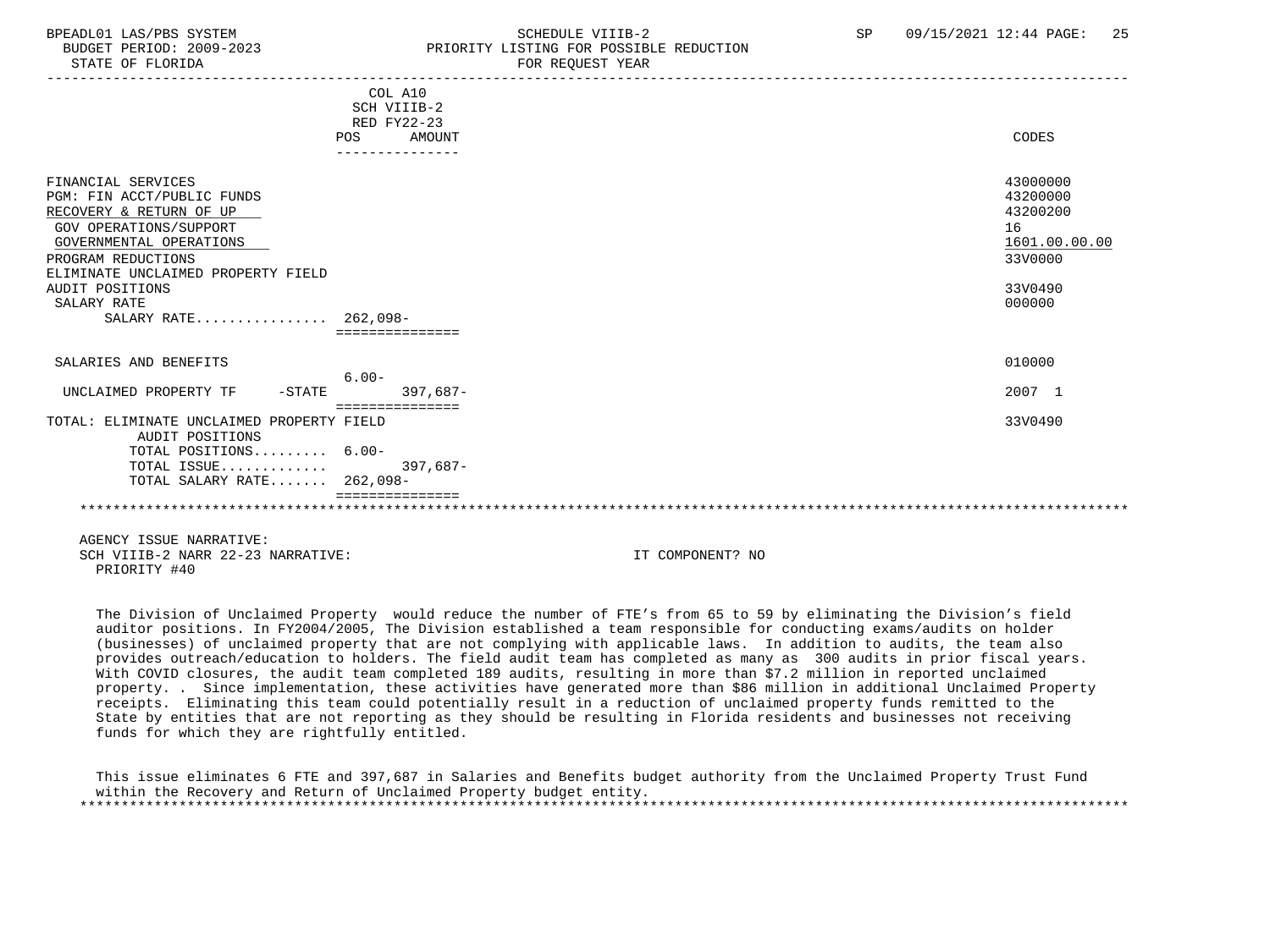### BPEADL01 LAS/PBS SYSTEM SALL SALL SCHEDULE VIIIB-2 SP 09/15/2021 12:44 PAGE: 25 BUDGET PERIOD: 2009-2023 PRIORITY LISTING FOR POSSIBLE REDUCTION

-----------------------------------------------------------------------------------------------------------------------------------

|                                                                                                                                                                                                                                                               | COL A10<br>SCH VIIIB-2<br>RED FY22-23<br>POS<br>AMOUNT<br>--------------- | CODES                                                                                   |
|---------------------------------------------------------------------------------------------------------------------------------------------------------------------------------------------------------------------------------------------------------------|---------------------------------------------------------------------------|-----------------------------------------------------------------------------------------|
| FINANCIAL SERVICES<br>PGM: FIN ACCT/PUBLIC FUNDS<br>RECOVERY & RETURN OF UP<br><b>GOV OPERATIONS/SUPPORT</b><br>GOVERNMENTAL OPERATIONS<br>PROGRAM REDUCTIONS<br>ELIMINATE UNCLAIMED PROPERTY FIELD<br>AUDIT POSITIONS<br>SALARY RATE<br>SALARY RATE 262,098- |                                                                           | 43000000<br>43200000<br>43200200<br>16<br>1601.00.00.00<br>33V0000<br>33V0490<br>000000 |
| SALARIES AND BENEFITS                                                                                                                                                                                                                                         |                                                                           | 010000                                                                                  |
| UNCLAIMED PROPERTY TF<br>$-$ STATE                                                                                                                                                                                                                            | $6.00 -$<br>$397,687-$                                                    | 2007 1                                                                                  |
| TOTAL: ELIMINATE UNCLAIMED PROPERTY FIELD<br>AUDIT POSITIONS<br>TOTAL POSITIONS 6.00-<br>TOTAL ISSUE<br>TOTAL SALARY RATE 262,098-                                                                                                                            | ================<br>$397,687-$                                            | 33V0490                                                                                 |
|                                                                                                                                                                                                                                                               |                                                                           |                                                                                         |

 AGENCY ISSUE NARRATIVE: SCH VIIIB-2 NARR 22-23 NARRATIVE: IT COMPONENT? NO PRIORITY #40

 The Division of Unclaimed Property would reduce the number of FTE's from 65 to 59 by eliminating the Division's field auditor positions. In FY2004/2005, The Division established a team responsible for conducting exams/audits on holder (businesses) of unclaimed property that are not complying with applicable laws. In addition to audits, the team also provides outreach/education to holders. The field audit team has completed as many as 300 audits in prior fiscal years. With COVID closures, the audit team completed 189 audits, resulting in more than \$7.2 million in reported unclaimed property. . Since implementation, these activities have generated more than \$86 million in additional Unclaimed Property receipts. Eliminating this team could potentially result in a reduction of unclaimed property funds remitted to the State by entities that are not reporting as they should be resulting in Florida residents and businesses not receiving funds for which they are rightfully entitled.

 This issue eliminates 6 FTE and 397,687 in Salaries and Benefits budget authority from the Unclaimed Property Trust Fund within the Recovery and Return of Unclaimed Property budget entity. \*\*\*\*\*\*\*\*\*\*\*\*\*\*\*\*\*\*\*\*\*\*\*\*\*\*\*\*\*\*\*\*\*\*\*\*\*\*\*\*\*\*\*\*\*\*\*\*\*\*\*\*\*\*\*\*\*\*\*\*\*\*\*\*\*\*\*\*\*\*\*\*\*\*\*\*\*\*\*\*\*\*\*\*\*\*\*\*\*\*\*\*\*\*\*\*\*\*\*\*\*\*\*\*\*\*\*\*\*\*\*\*\*\*\*\*\*\*\*\*\*\*\*\*\*\*\*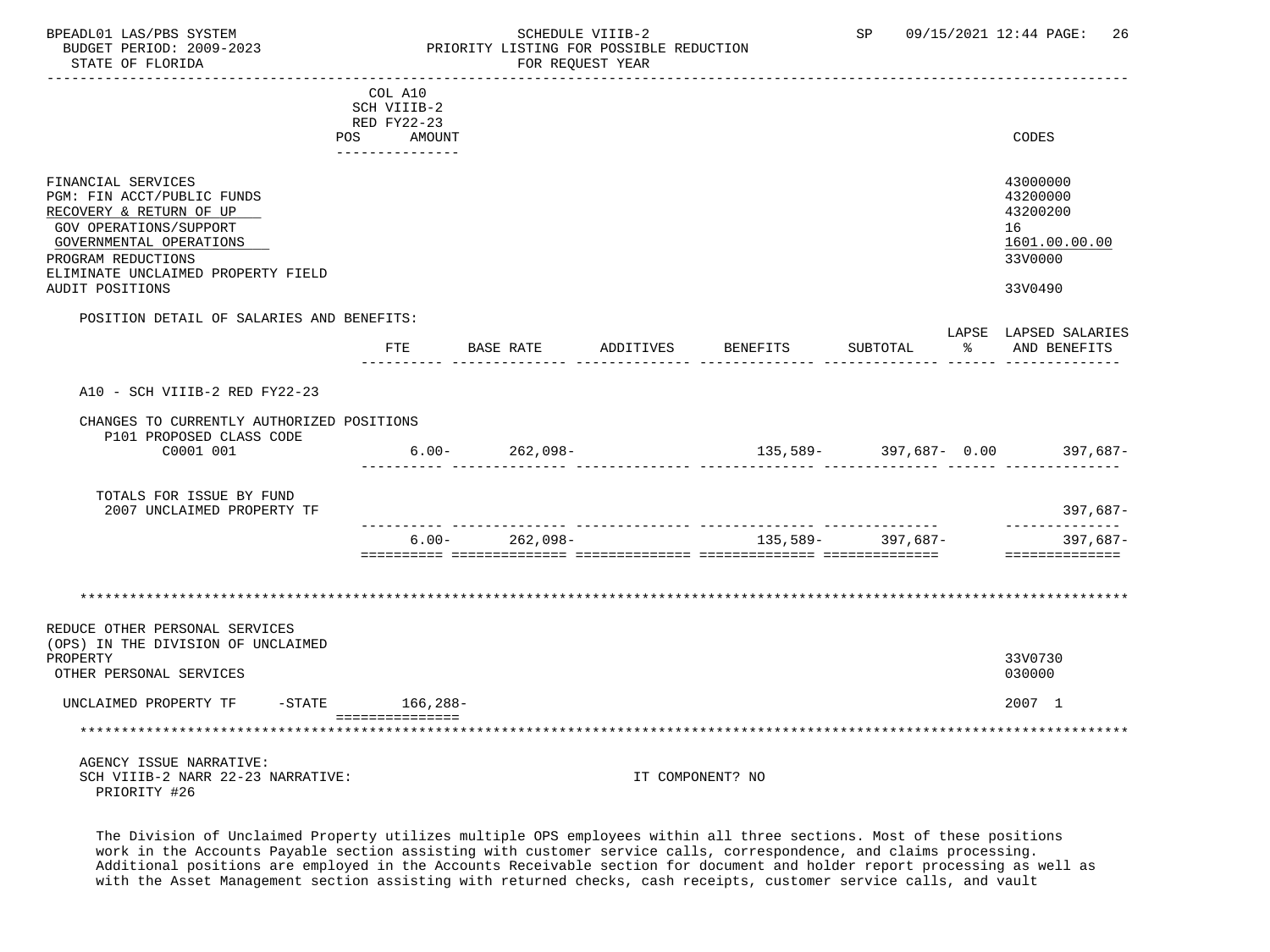# FOR REQUEST YEAR

|                                                                                                                                                                                                                 | COL A10<br>SCH VIIIB-2<br>RED FY22-23 |                    |                     |                                     |                   |    |                                                                               |
|-----------------------------------------------------------------------------------------------------------------------------------------------------------------------------------------------------------------|---------------------------------------|--------------------|---------------------|-------------------------------------|-------------------|----|-------------------------------------------------------------------------------|
|                                                                                                                                                                                                                 | POS AMOUNT<br>--------------          |                    |                     |                                     |                   |    | CODES                                                                         |
| FINANCIAL SERVICES<br>PGM: FIN ACCT/PUBLIC FUNDS<br>RECOVERY & RETURN OF UP<br>GOV OPERATIONS/SUPPORT<br>GOVERNMENTAL OPERATIONS<br>PROGRAM REDUCTIONS<br>ELIMINATE UNCLAIMED PROPERTY FIELD<br>AUDIT POSITIONS |                                       |                    |                     |                                     |                   |    | 43000000<br>43200000<br>43200200<br>16<br>1601.00.00.00<br>33V0000<br>33V0490 |
| POSITION DETAIL OF SALARIES AND BENEFITS:                                                                                                                                                                       | FTE                                   |                    | BASE RATE ADDITIVES | BENEFITS                            | SUBTOTAL          | ႜႂ | LAPSE LAPSED SALARIES<br>AND BENEFITS                                         |
|                                                                                                                                                                                                                 |                                       |                    |                     |                                     |                   |    |                                                                               |
| A10 - SCH VIIIB-2 RED FY22-23                                                                                                                                                                                   |                                       |                    |                     |                                     |                   |    |                                                                               |
| CHANGES TO CURRENTLY AUTHORIZED POSITIONS<br>P101 PROPOSED CLASS CODE                                                                                                                                           |                                       |                    |                     |                                     |                   |    |                                                                               |
| C0001 001                                                                                                                                                                                                       |                                       | $6.00 - 262,098 -$ |                     | $135,589 - 397,687 - 0.00$ 397,687- |                   |    |                                                                               |
| TOTALS FOR ISSUE BY FUND<br>2007 UNCLAIMED PROPERTY TF                                                                                                                                                          |                                       |                    |                     |                                     |                   |    | 397,687-                                                                      |
|                                                                                                                                                                                                                 |                                       | $6.00 - 262,098 -$ |                     |                                     | 135,589- 397,687- |    | --------------<br>$397,687-$<br>==============                                |
| REDUCE OTHER PERSONAL SERVICES<br>(OPS) IN THE DIVISION OF UNCLAIMED                                                                                                                                            |                                       |                    |                     |                                     |                   |    |                                                                               |
| PROPERTY<br>OTHER PERSONAL SERVICES                                                                                                                                                                             |                                       |                    |                     |                                     |                   |    | 33V0730<br>030000                                                             |
| UNCLAIMED PROPERTY TF                                                                                                                                                                                           | -STATE 166,288-                       |                    |                     |                                     |                   |    | 2007 1                                                                        |
|                                                                                                                                                                                                                 | ================                      |                    |                     |                                     |                   |    |                                                                               |
| AGENCY ISSUE NARRATIVE:<br>SCH VIIIB-2 NARR 22-23 NARRATIVE:<br>PRIORITY #26                                                                                                                                    |                                       |                    |                     | IT COMPONENT? NO                    |                   |    |                                                                               |

 The Division of Unclaimed Property utilizes multiple OPS employees within all three sections. Most of these positions work in the Accounts Payable section assisting with customer service calls, correspondence, and claims processing. Additional positions are employed in the Accounts Receivable section for document and holder report processing as well as with the Asset Management section assisting with returned checks, cash receipts, customer service calls, and vault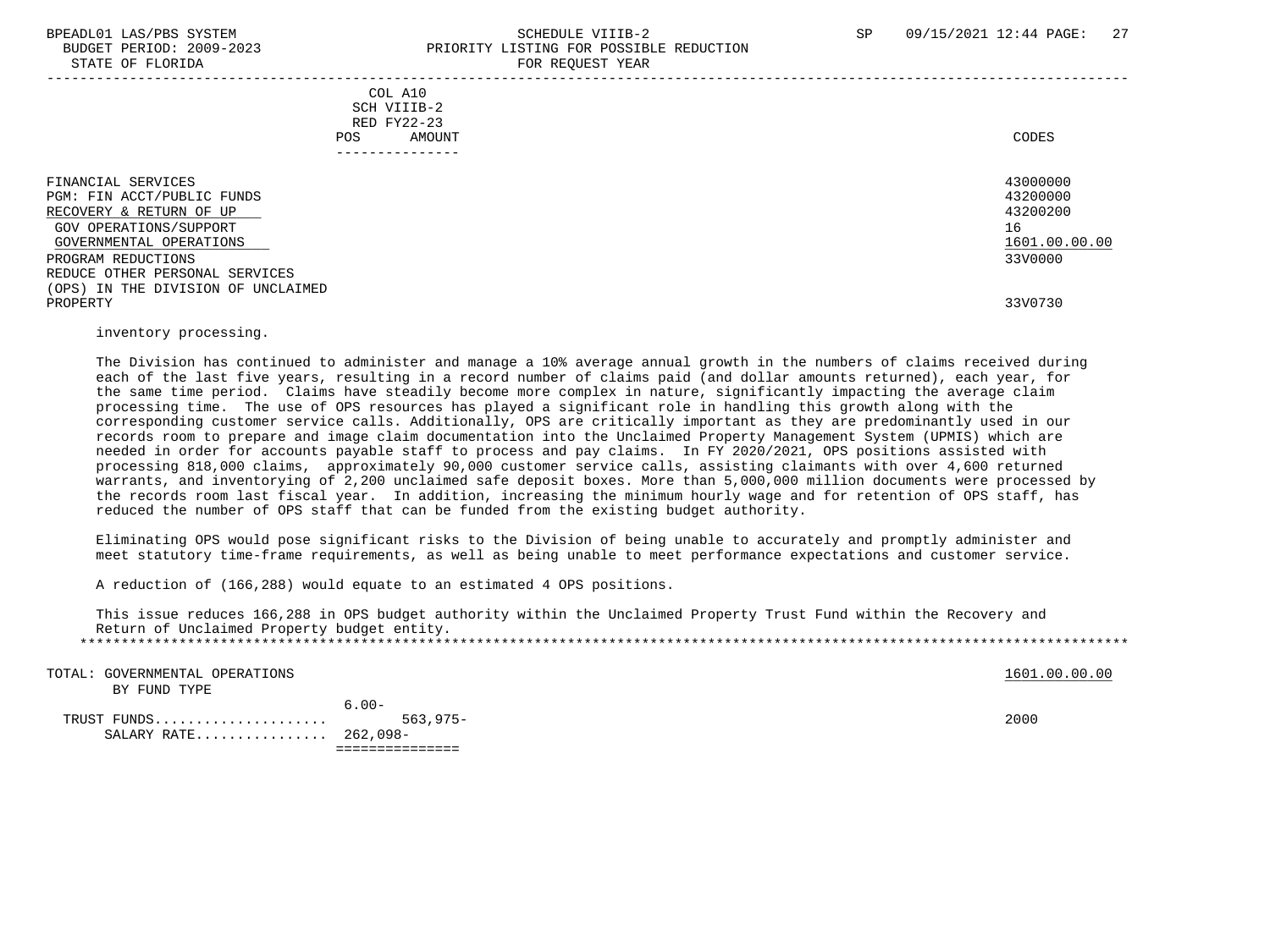#### BPEADL01 LAS/PBS SYSTEM SALL SALL SOMEDULE VIIIB-2 SP 09/15/2021 12:44 PAGE: 27 BUDGET PERIOD: 2009-2023 PRIORITY LISTING FOR POSSIBLE REDUCTION STATE OF FLORIDA **FOR REQUEST YEAR**

| COL A10<br>SCH VIIIB-2<br>RED FY22-23<br>POS.<br>AMOUNT                                                                                                                                                                                    | CODES                                                                         |
|--------------------------------------------------------------------------------------------------------------------------------------------------------------------------------------------------------------------------------------------|-------------------------------------------------------------------------------|
| FINANCIAL SERVICES<br>PGM: FIN ACCT/PUBLIC FUNDS<br>RECOVERY & RETURN OF UP<br>GOV OPERATIONS/SUPPORT<br>GOVERNMENTAL OPERATIONS<br>PROGRAM REDUCTIONS<br>REDUCE OTHER PERSONAL SERVICES<br>(OPS) IN THE DIVISION OF UNCLAIMED<br>PROPERTY | 43000000<br>43200000<br>43200200<br>16<br>1601.00.00.00<br>33V0000<br>33V0730 |
|                                                                                                                                                                                                                                            |                                                                               |

#### inventory processing.

 The Division has continued to administer and manage a 10% average annual growth in the numbers of claims received during each of the last five years, resulting in a record number of claims paid (and dollar amounts returned), each year, for the same time period. Claims have steadily become more complex in nature, significantly impacting the average claim processing time. The use of OPS resources has played a significant role in handling this growth along with the corresponding customer service calls. Additionally, OPS are critically important as they are predominantly used in our records room to prepare and image claim documentation into the Unclaimed Property Management System (UPMIS) which are needed in order for accounts payable staff to process and pay claims. In FY 2020/2021, OPS positions assisted with processing 818,000 claims, approximately 90,000 customer service calls, assisting claimants with over 4,600 returned warrants, and inventorying of 2,200 unclaimed safe deposit boxes. More than 5,000,000 million documents were processed by the records room last fiscal year. In addition, increasing the minimum hourly wage and for retention of OPS staff, has reduced the number of OPS staff that can be funded from the existing budget authority.

 Eliminating OPS would pose significant risks to the Division of being unable to accurately and promptly administer and meet statutory time-frame requirements, as well as being unable to meet performance expectations and customer service.

A reduction of (166,288) would equate to an estimated 4 OPS positions.

 This issue reduces 166,288 in OPS budget authority within the Unclaimed Property Trust Fund within the Recovery and Return of Unclaimed Property budget entity. \*\*\*\*\*\*\*\*\*\*\*\*\*\*\*\*\*\*\*\*\*\*\*\*\*\*\*\*\*\*\*\*\*\*\*\*\*\*\*\*\*\*\*\*\*\*\*\*\*\*\*\*\*\*\*\*\*\*\*\*\*\*\*\*\*\*\*\*\*\*\*\*\*\*\*\*\*\*\*\*\*\*\*\*\*\*\*\*\*\*\*\*\*\*\*\*\*\*\*\*\*\*\*\*\*\*\*\*\*\*\*\*\*\*\*\*\*\*\*\*\*\*\*\*\*\*\*

| TOTAL: GOVERNMENTAL OPERATIONS<br>BY FUND TYPE |          | 1601.00.00.00 |
|------------------------------------------------|----------|---------------|
| SALARY RATE 262,098-                           | $6.00 -$ | 2000          |
|                                                |          |               |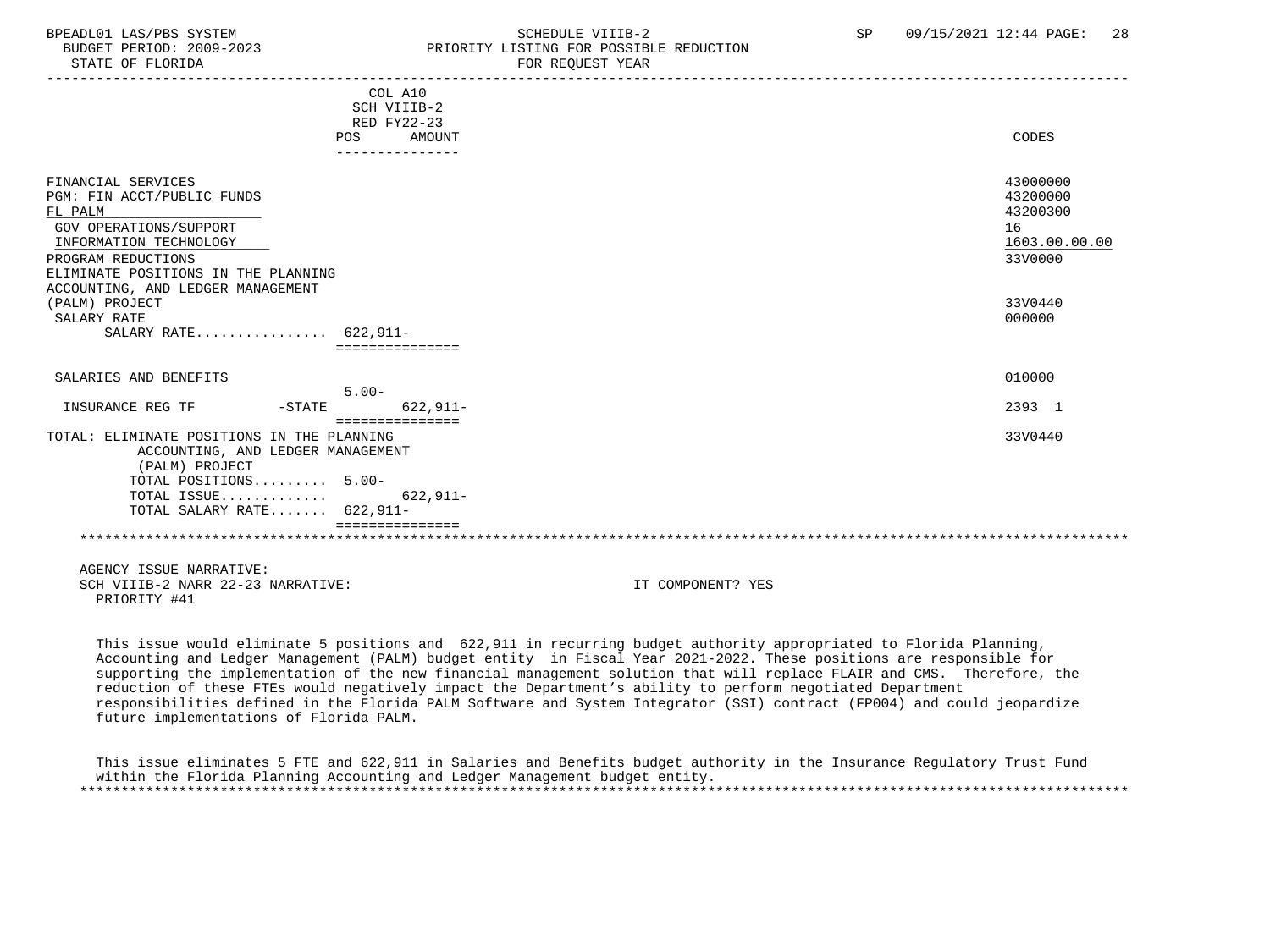### BPEADL01 LAS/PBS SYSTEM STRING THE SCHEDULE VIIIB-2 SCHEDULE VIIIB-2 SP 09/15/2021 12:44 PAGE: 28 PRIORITY LISTING FOR POSSIBLE REDUCTION

|                                                                                                                                                                         | POS      | COL A10<br>SCH VIIIB-2<br>RED FY22-23<br>AMOUNT |                   | CODES                                                              |
|-------------------------------------------------------------------------------------------------------------------------------------------------------------------------|----------|-------------------------------------------------|-------------------|--------------------------------------------------------------------|
| FINANCIAL SERVICES<br>PGM: FIN ACCT/PUBLIC FUNDS<br>FL PALM<br><b>GOV OPERATIONS/SUPPORT</b><br>INFORMATION TECHNOLOGY<br>PROGRAM REDUCTIONS                            |          |                                                 |                   | 43000000<br>43200000<br>43200300<br>16<br>1603.00.00.00<br>33V0000 |
| ELIMINATE POSITIONS IN THE PLANNING<br>ACCOUNTING, AND LEDGER MANAGEMENT<br>(PALM) PROJECT<br>SALARY RATE<br>SALARY RATE 622,911-                                       |          | ===============                                 |                   | 33V0440<br>000000                                                  |
| SALARIES AND BENEFITS                                                                                                                                                   |          | $5.00 -$                                        |                   | 010000                                                             |
| INSURANCE REG TF                                                                                                                                                        | $-STATE$ | $622.911-$<br>===============                   |                   | 2393 1                                                             |
| TOTAL: ELIMINATE POSITIONS IN THE PLANNING<br>ACCOUNTING, AND LEDGER MANAGEMENT<br>(PALM) PROJECT<br>TOTAL POSITIONS 5.00-<br>TOTAL ISSUE<br>TOTAL SALARY RATE 622,911- |          | 622,911-                                        |                   | 33V0440                                                            |
|                                                                                                                                                                         |          |                                                 |                   |                                                                    |
| AGENCY ISSUE NARRATIVE:<br>SCH VIIIB-2 NARR 22-23 NARRATIVE:<br>PRIORITY #41                                                                                            |          |                                                 | IT COMPONENT? YES |                                                                    |

 This issue would eliminate 5 positions and 622,911 in recurring budget authority appropriated to Florida Planning, Accounting and Ledger Management (PALM) budget entity in Fiscal Year 2021-2022. These positions are responsible for supporting the implementation of the new financial management solution that will replace FLAIR and CMS. Therefore, the reduction of these FTEs would negatively impact the Department's ability to perform negotiated Department responsibilities defined in the Florida PALM Software and System Integrator (SSI) contract (FP004) and could jeopardize future implementations of Florida PALM.

 This issue eliminates 5 FTE and 622,911 in Salaries and Benefits budget authority in the Insurance Regulatory Trust Fund within the Florida Planning Accounting and Ledger Management budget entity. \*\*\*\*\*\*\*\*\*\*\*\*\*\*\*\*\*\*\*\*\*\*\*\*\*\*\*\*\*\*\*\*\*\*\*\*\*\*\*\*\*\*\*\*\*\*\*\*\*\*\*\*\*\*\*\*\*\*\*\*\*\*\*\*\*\*\*\*\*\*\*\*\*\*\*\*\*\*\*\*\*\*\*\*\*\*\*\*\*\*\*\*\*\*\*\*\*\*\*\*\*\*\*\*\*\*\*\*\*\*\*\*\*\*\*\*\*\*\*\*\*\*\*\*\*\*\*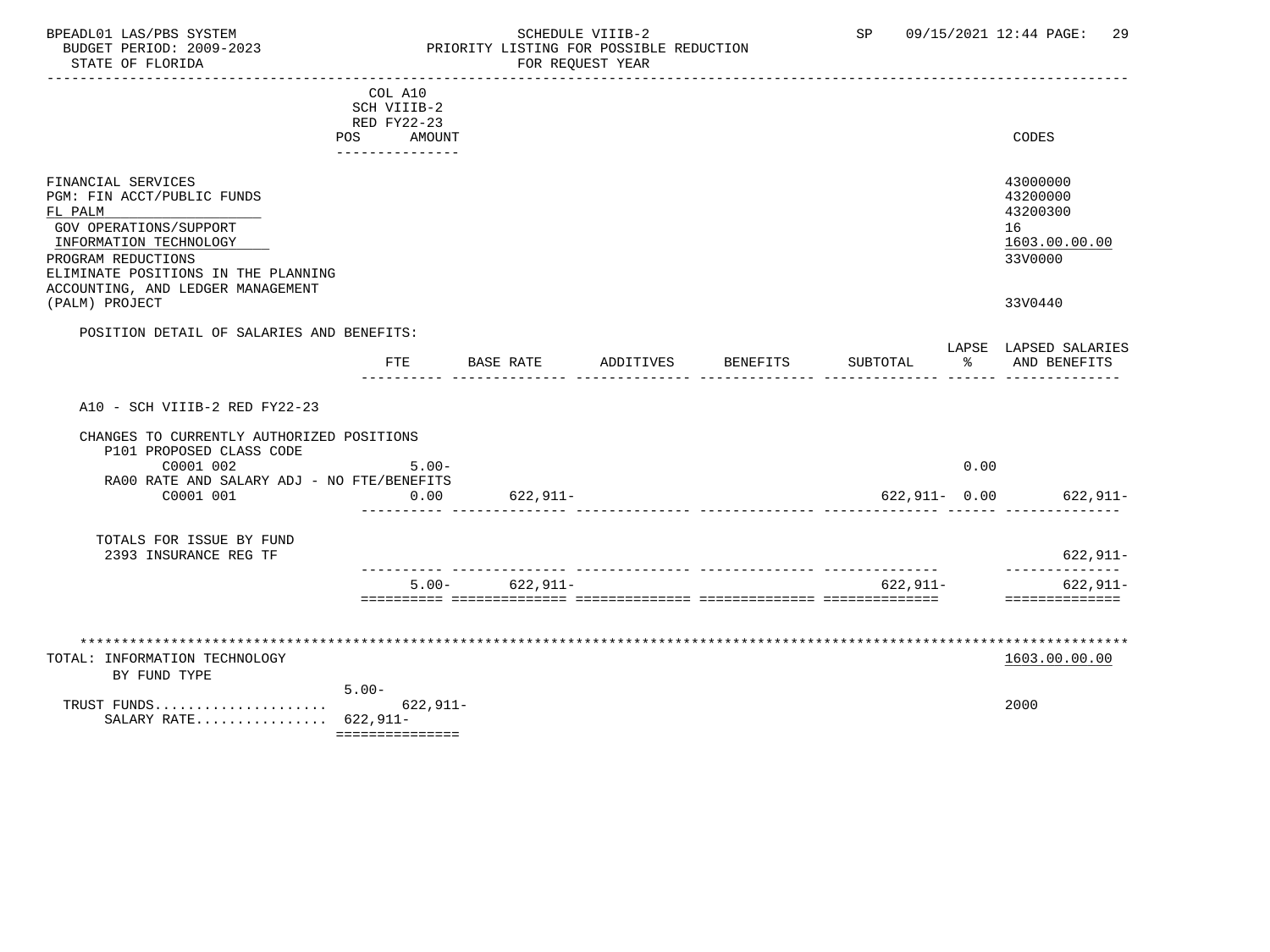### BPEADL01 LAS/PBS SYSTEM SALL SOME SCHEDULE VIIIB-2 SCHEDULE SP 09/15/2021 12:44 PAGE: 29 BUDGET PERIOD: 2009-2023 PRIORITY LISTING FOR POSSIBLE REDUCTION

|                                                                                                                                                                                                                   | COL A10<br>SCH VIIIB-2<br>RED FY22-23<br>POS AMOUNT<br>---------------- |                    |           |          |               |      | CODES                                                              |
|-------------------------------------------------------------------------------------------------------------------------------------------------------------------------------------------------------------------|-------------------------------------------------------------------------|--------------------|-----------|----------|---------------|------|--------------------------------------------------------------------|
| FINANCIAL SERVICES<br>PGM: FIN ACCT/PUBLIC FUNDS<br>FL PALM<br>GOV OPERATIONS/SUPPORT<br>INFORMATION TECHNOLOGY<br>PROGRAM REDUCTIONS<br>ELIMINATE POSITIONS IN THE PLANNING<br>ACCOUNTING, AND LEDGER MANAGEMENT |                                                                         |                    |           |          |               |      | 43000000<br>43200000<br>43200300<br>16<br>1603.00.00.00<br>33V0000 |
| (PALM) PROJECT                                                                                                                                                                                                    |                                                                         |                    |           |          |               |      | 33V0440                                                            |
| POSITION DETAIL OF SALARIES AND BENEFITS:                                                                                                                                                                         |                                                                         |                    |           |          |               |      |                                                                    |
|                                                                                                                                                                                                                   | FTE                                                                     | BASE RATE          | ADDITIVES | BENEFITS | SUBTOTAL      | ႜ    | LAPSE LAPSED SALARIES<br>AND BENEFITS                              |
| A10 - SCH VIIIB-2 RED FY22-23                                                                                                                                                                                     |                                                                         |                    |           |          |               |      |                                                                    |
| CHANGES TO CURRENTLY AUTHORIZED POSITIONS                                                                                                                                                                         |                                                                         |                    |           |          |               |      |                                                                    |
| P101 PROPOSED CLASS CODE<br>C0001 002                                                                                                                                                                             | $5.00 -$                                                                |                    |           |          |               | 0.00 |                                                                    |
| RA00 RATE AND SALARY ADJ - NO FTE/BENEFITS                                                                                                                                                                        |                                                                         |                    |           |          |               |      |                                                                    |
| C0001 001                                                                                                                                                                                                         | 0.00                                                                    | 622,911-           |           |          | 622,911- 0.00 |      | 622,911-                                                           |
| TOTALS FOR ISSUE BY FUND<br>2393 INSURANCE REG TF                                                                                                                                                                 |                                                                         |                    |           |          |               |      | 622,911-                                                           |
|                                                                                                                                                                                                                   |                                                                         | $5.00 - 622,911 -$ |           |          | $622, 911 -$  |      | --------------<br>$622, 911 -$                                     |
|                                                                                                                                                                                                                   |                                                                         |                    |           |          |               |      | ==============                                                     |
| TOTAL: INFORMATION TECHNOLOGY                                                                                                                                                                                     |                                                                         |                    |           |          |               |      | 1603.00.00.00                                                      |
| BY FUND TYPE                                                                                                                                                                                                      | $5.00 -$                                                                |                    |           |          |               |      |                                                                    |
| TRUST FUNDS<br>SALARY RATE $622,911-$                                                                                                                                                                             | $622, 911 -$<br>===============                                         |                    |           |          |               |      | 2000                                                               |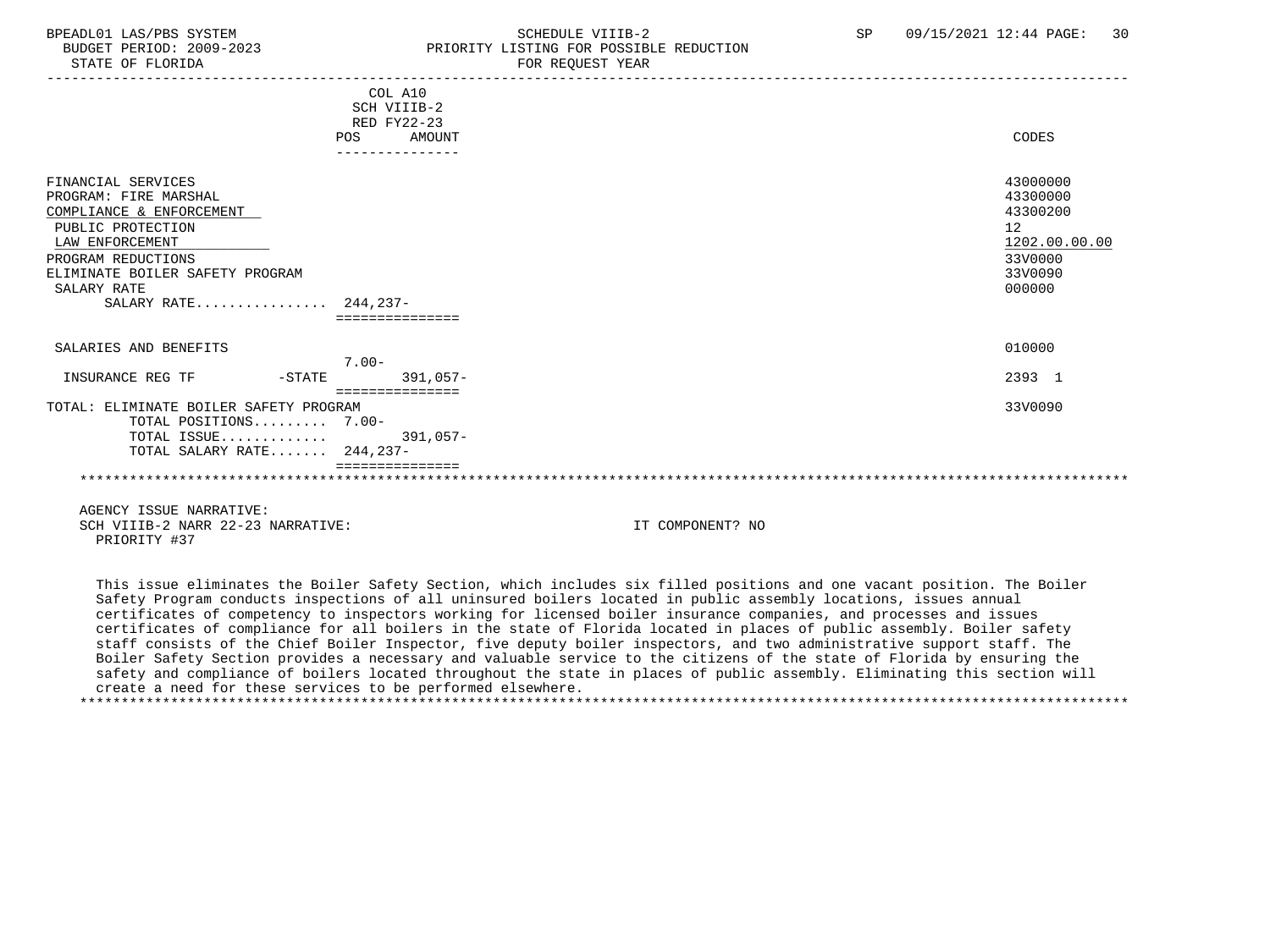| STATE OF FLORIDA                                                                                                                                                                                                |                                                                                  | FOR REQUEST YEAR |                                                                                         |
|-----------------------------------------------------------------------------------------------------------------------------------------------------------------------------------------------------------------|----------------------------------------------------------------------------------|------------------|-----------------------------------------------------------------------------------------|
|                                                                                                                                                                                                                 | COL A10<br>SCH VIIIB-2<br>RED FY22-23<br>POS<br><b>AMOUNT</b><br>--------------- |                  | CODES                                                                                   |
| FINANCIAL SERVICES<br>PROGRAM: FIRE MARSHAL<br>COMPLIANCE & ENFORCEMENT<br>PUBLIC PROTECTION<br>LAW ENFORCEMENT<br>PROGRAM REDUCTIONS<br>ELIMINATE BOILER SAFETY PROGRAM<br>SALARY RATE<br>SALARY RATE 244,237- |                                                                                  |                  | 43000000<br>43300000<br>43300200<br>12<br>1202.00.00.00<br>33V0000<br>33V0090<br>000000 |
| SALARIES AND BENEFITS                                                                                                                                                                                           |                                                                                  |                  | 010000                                                                                  |
| INSURANCE REG TF                                                                                                                                                                                                | $7.00 -$<br>$391.057 -$<br>$-STATE$                                              |                  | 2393 1                                                                                  |
| TOTAL: ELIMINATE BOILER SAFETY PROGRAM<br>TOTAL POSITIONS 7.00-<br>TOTAL ISSUE<br>TOTAL SALARY RATE 244,237-                                                                                                    | ===============<br>$391,057-$                                                    |                  | 33V0090                                                                                 |
| AGENCY ISSUE NARRATIVE:                                                                                                                                                                                         |                                                                                  |                  |                                                                                         |

PRIORITY LISTING FOR POSSIBLE REDUCTION

SCH VIIIB-2 NARR 22-23 NARRATIVE: IT COMPONENT? NO PRIORITY #37

 This issue eliminates the Boiler Safety Section, which includes six filled positions and one vacant position. The Boiler Safety Program conducts inspections of all uninsured boilers located in public assembly locations, issues annual certificates of competency to inspectors working for licensed boiler insurance companies, and processes and issues certificates of compliance for all boilers in the state of Florida located in places of public assembly. Boiler safety staff consists of the Chief Boiler Inspector, five deputy boiler inspectors, and two administrative support staff. The Boiler Safety Section provides a necessary and valuable service to the citizens of the state of Florida by ensuring the safety and compliance of boilers located throughout the state in places of public assembly. Eliminating this section will create a need for these services to be performed elsewhere. \*\*\*\*\*\*\*\*\*\*\*\*\*\*\*\*\*\*\*\*\*\*\*\*\*\*\*\*\*\*\*\*\*\*\*\*\*\*\*\*\*\*\*\*\*\*\*\*\*\*\*\*\*\*\*\*\*\*\*\*\*\*\*\*\*\*\*\*\*\*\*\*\*\*\*\*\*\*\*\*\*\*\*\*\*\*\*\*\*\*\*\*\*\*\*\*\*\*\*\*\*\*\*\*\*\*\*\*\*\*\*\*\*\*\*\*\*\*\*\*\*\*\*\*\*\*\*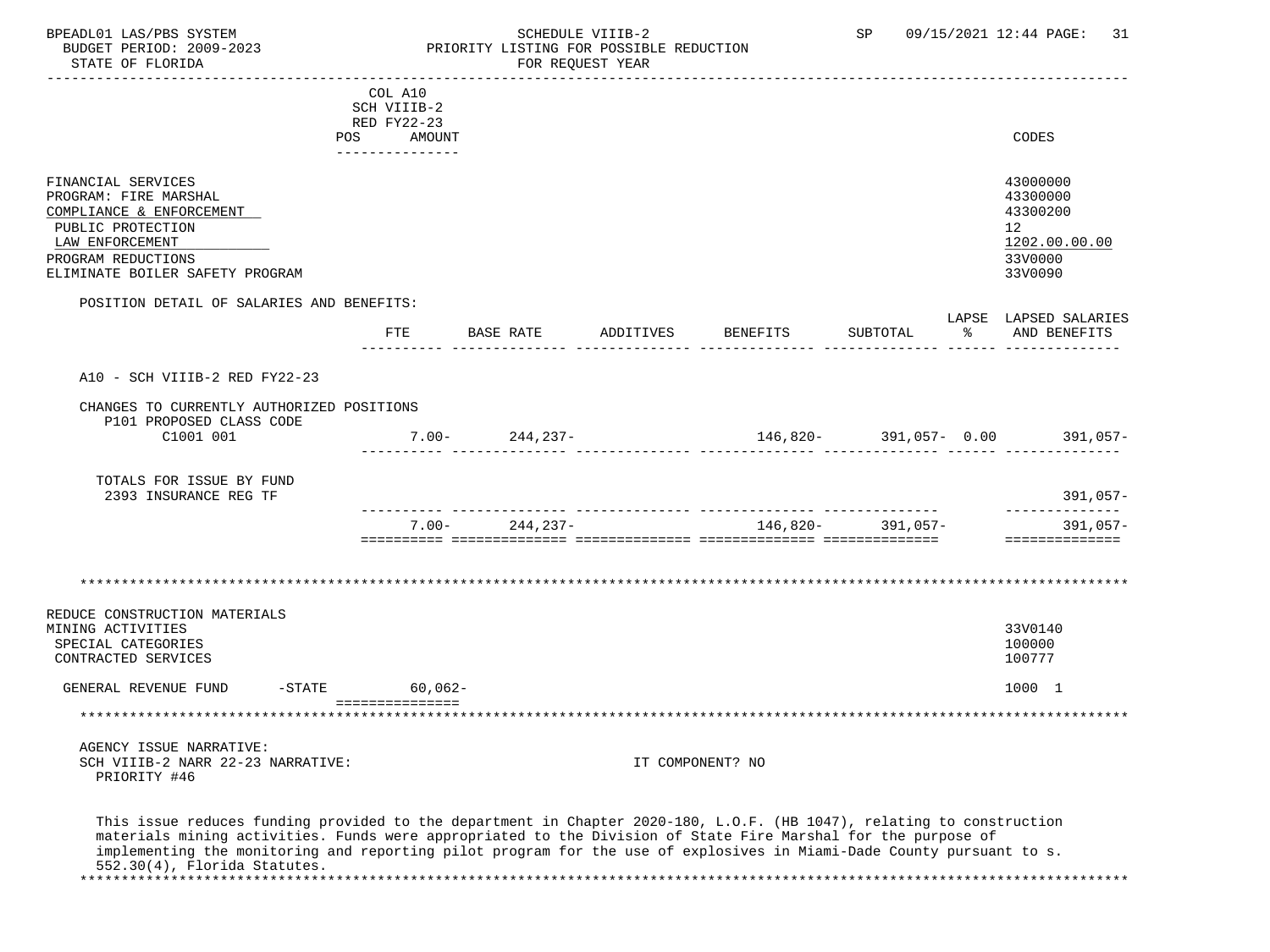BPEADL01 LAS/PBS SYSTEM STRING THE SCHEDULE VIIIB-2 SCHEDULE SCHEDULE SP 09/15/2021 12:44 PAGE: 31 PRIORITY LISTING FOR POSSIBLE REDUCTION<br>FOR REQUEST YEAR STATE OF FLORIDA

|                                                                       | COL A10          |          |           |                    |           |                                                                          |                   |    |                                 |
|-----------------------------------------------------------------------|------------------|----------|-----------|--------------------|-----------|--------------------------------------------------------------------------|-------------------|----|---------------------------------|
|                                                                       | SCH VIIIB-2      |          |           |                    |           |                                                                          |                   |    |                                 |
|                                                                       | RED FY22-23      |          |           |                    |           |                                                                          |                   |    |                                 |
|                                                                       | POS AMOUNT       |          |           |                    |           |                                                                          |                   |    | CODES                           |
|                                                                       | _______________  |          |           |                    |           |                                                                          |                   |    |                                 |
|                                                                       |                  |          |           |                    |           |                                                                          |                   |    |                                 |
| FINANCIAL SERVICES                                                    |                  |          |           |                    |           |                                                                          |                   |    | 43000000                        |
| PROGRAM: FIRE MARSHAL                                                 |                  |          |           |                    |           |                                                                          |                   |    | 43300000                        |
| COMPLIANCE & ENFORCEMENT                                              |                  |          |           |                    |           |                                                                          |                   |    | 43300200                        |
| PUBLIC PROTECTION                                                     |                  |          |           |                    |           |                                                                          |                   |    | 12                              |
| LAW ENFORCEMENT                                                       |                  |          |           |                    |           |                                                                          |                   |    | 1202.00.00.00                   |
| PROGRAM REDUCTIONS                                                    |                  |          |           |                    |           |                                                                          |                   |    | 33V0000                         |
| ELIMINATE BOILER SAFETY PROGRAM                                       |                  |          |           |                    |           |                                                                          |                   |    | 33V0090                         |
| POSITION DETAIL OF SALARIES AND BENEFITS:                             |                  |          |           |                    |           |                                                                          |                   |    |                                 |
|                                                                       |                  |          |           |                    |           |                                                                          |                   |    | LAPSE LAPSED SALARIES           |
|                                                                       | <b>FTE</b>       |          | BASE RATE |                    | ADDITIVES | <b>BENEFITS</b>                                                          | SUBTOTAL          | ిన | AND BENEFITS                    |
|                                                                       |                  |          |           |                    |           |                                                                          |                   |    |                                 |
| A10 - SCH VIIIB-2 RED FY22-23                                         |                  |          |           |                    |           |                                                                          |                   |    |                                 |
| CHANGES TO CURRENTLY AUTHORIZED POSITIONS<br>P101 PROPOSED CLASS CODE |                  |          |           |                    |           |                                                                          |                   |    |                                 |
| C1001 001                                                             |                  |          |           | $7.00 - 244,237 -$ |           |                                                                          |                   |    | 146,820- 391,057- 0.00 391,057- |
|                                                                       |                  |          |           |                    |           |                                                                          |                   |    |                                 |
| TOTALS FOR ISSUE BY FUND                                              |                  |          |           |                    |           |                                                                          |                   |    |                                 |
| 2393 INSURANCE REG TF                                                 |                  |          |           |                    |           |                                                                          |                   |    | $391,057-$                      |
|                                                                       |                  |          |           |                    |           |                                                                          |                   |    | --------------                  |
|                                                                       |                  | $7.00 -$ |           | 244,237-           |           |                                                                          | 146,820- 391,057- |    | $391,057-$                      |
|                                                                       |                  |          |           |                    |           | <u>sisisisis sisisisisisis sisisisisisis sisisisisisis sisisisisisis</u> |                   |    | ==============                  |
|                                                                       |                  |          |           |                    |           |                                                                          |                   |    |                                 |
| **************************************                                |                  |          |           |                    |           |                                                                          |                   |    |                                 |
|                                                                       |                  |          |           |                    |           |                                                                          |                   |    |                                 |
| REDUCE CONSTRUCTION MATERIALS                                         |                  |          |           |                    |           |                                                                          |                   |    |                                 |
| MINING ACTIVITIES                                                     |                  |          |           |                    |           |                                                                          |                   |    | 33V0140                         |
| SPECIAL CATEGORIES                                                    |                  |          |           |                    |           |                                                                          |                   |    | 100000                          |
| CONTRACTED SERVICES                                                   |                  |          |           |                    |           |                                                                          |                   |    | 100777                          |
| GENERAL REVENUE FUND                                                  | $-STATE$ 60,062- |          |           |                    |           |                                                                          |                   |    | 1000 1                          |
|                                                                       | ===============  |          |           |                    |           |                                                                          |                   |    |                                 |

 AGENCY ISSUE NARRATIVE: SCH VIIIB-2 NARR 22-23 NARRATIVE: IT COMPONENT? NO PRIORITY #46

 This issue reduces funding provided to the department in Chapter 2020-180, L.O.F. (HB 1047), relating to construction materials mining activities. Funds were appropriated to the Division of State Fire Marshal for the purpose of implementing the monitoring and reporting pilot program for the use of explosives in Miami-Dade County pursuant to s. 552.30(4), Florida Statutes. \*\*\*\*\*\*\*\*\*\*\*\*\*\*\*\*\*\*\*\*\*\*\*\*\*\*\*\*\*\*\*\*\*\*\*\*\*\*\*\*\*\*\*\*\*\*\*\*\*\*\*\*\*\*\*\*\*\*\*\*\*\*\*\*\*\*\*\*\*\*\*\*\*\*\*\*\*\*\*\*\*\*\*\*\*\*\*\*\*\*\*\*\*\*\*\*\*\*\*\*\*\*\*\*\*\*\*\*\*\*\*\*\*\*\*\*\*\*\*\*\*\*\*\*\*\*\*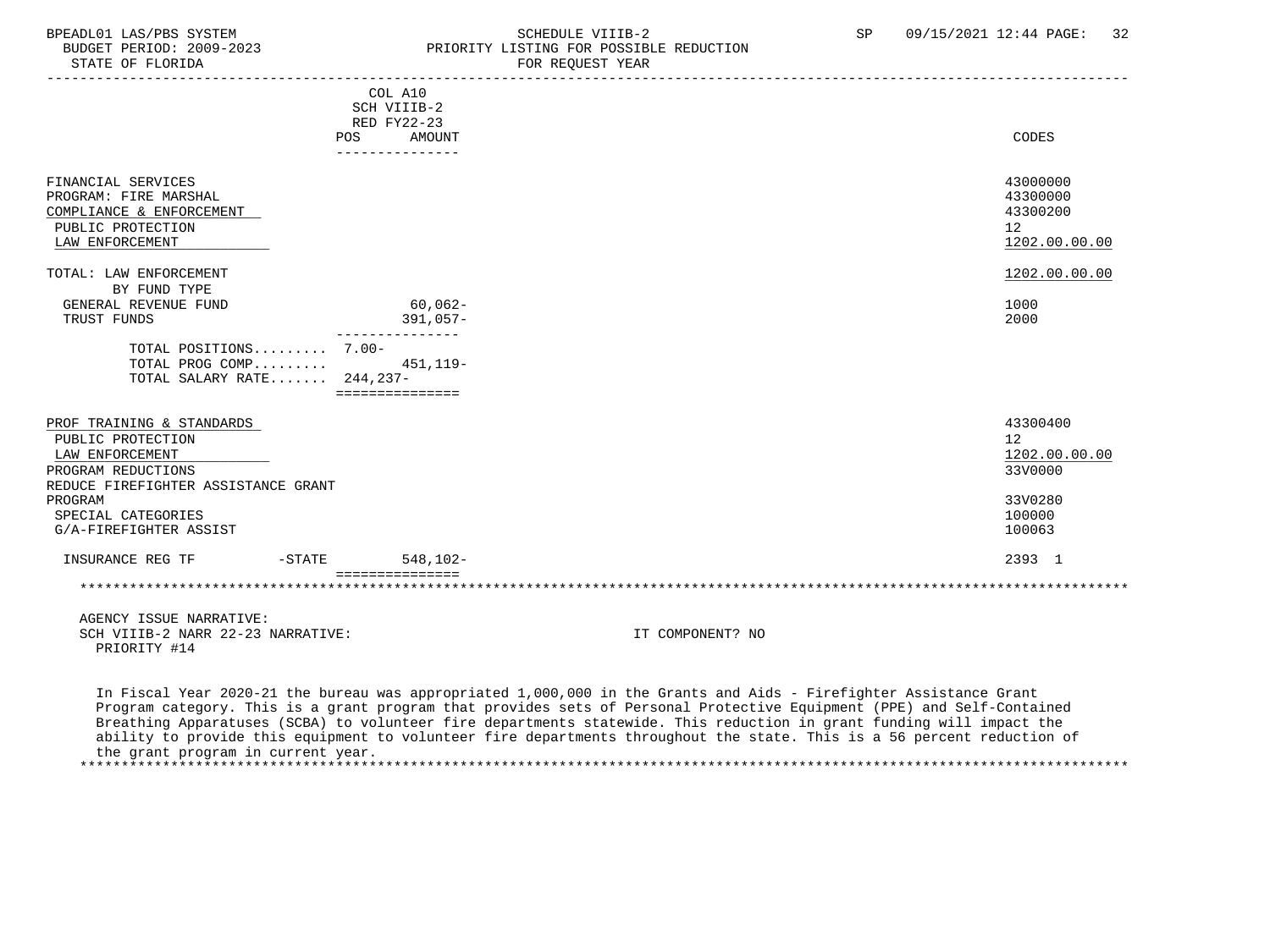STATE OF FLORIDA

### BPEADL01 LAS/PBS SYSTEM SOHEDULE VIIIB-2 SCHEDULE VIIIB-2 SP 09/15/2021 12:44 PAGE: 32 PRIORITY LISTING FOR POSSIBLE REDUCTION<br>FOR REQUEST YEAR

|                                                                                                                                | COL A10<br>SCH VIIIB-2<br>RED FY22-23<br>POS<br>AMOUNT<br>-------------- |                  | CODES                                                   |
|--------------------------------------------------------------------------------------------------------------------------------|--------------------------------------------------------------------------|------------------|---------------------------------------------------------|
| FINANCIAL SERVICES<br>PROGRAM: FIRE MARSHAL<br>COMPLIANCE & ENFORCEMENT<br>PUBLIC PROTECTION<br>LAW ENFORCEMENT                |                                                                          |                  | 43000000<br>43300000<br>43300200<br>12<br>1202.00.00.00 |
| TOTAL: LAW ENFORCEMENT                                                                                                         |                                                                          |                  | 1202.00.00.00                                           |
| BY FUND TYPE<br>GENERAL REVENUE FUND<br>TRUST FUNDS                                                                            | $60,062-$<br>$391,057-$                                                  |                  | 1000<br>2000                                            |
| TOTAL POSITIONS 7.00-<br>TOTAL PROG COMP<br>TOTAL SALARY RATE 244,237-                                                         | ---------------<br>451,119-<br>===============                           |                  |                                                         |
| PROF TRAINING & STANDARDS<br>PUBLIC PROTECTION<br>LAW ENFORCEMENT<br>PROGRAM REDUCTIONS<br>REDUCE FIREFIGHTER ASSISTANCE GRANT |                                                                          |                  | 43300400<br>12<br>1202.00.00.00<br>33V0000              |
| PROGRAM<br>SPECIAL CATEGORIES<br>G/A-FIREFIGHTER ASSIST                                                                        |                                                                          |                  | 33V0280<br>100000<br>100063                             |
| $-$ STATE<br>INSURANCE REG TF                                                                                                  | 548,102-<br>===============                                              |                  | 2393 1                                                  |
|                                                                                                                                |                                                                          |                  |                                                         |
| AGENCY ISSUE NARRATIVE:<br>SCH VIIIB-2 NARR 22-23 NARRATIVE:<br>PRIORITY #14                                                   |                                                                          | IT COMPONENT? NO |                                                         |

 In Fiscal Year 2020-21 the bureau was appropriated 1,000,000 in the Grants and Aids - Firefighter Assistance Grant Program category. This is a grant program that provides sets of Personal Protective Equipment (PPE) and Self-Contained Breathing Apparatuses (SCBA) to volunteer fire departments statewide. This reduction in grant funding will impact the ability to provide this equipment to volunteer fire departments throughout the state. This is a 56 percent reduction of the grant program in current year. \*\*\*\*\*\*\*\*\*\*\*\*\*\*\*\*\*\*\*\*\*\*\*\*\*\*\*\*\*\*\*\*\*\*\*\*\*\*\*\*\*\*\*\*\*\*\*\*\*\*\*\*\*\*\*\*\*\*\*\*\*\*\*\*\*\*\*\*\*\*\*\*\*\*\*\*\*\*\*\*\*\*\*\*\*\*\*\*\*\*\*\*\*\*\*\*\*\*\*\*\*\*\*\*\*\*\*\*\*\*\*\*\*\*\*\*\*\*\*\*\*\*\*\*\*\*\*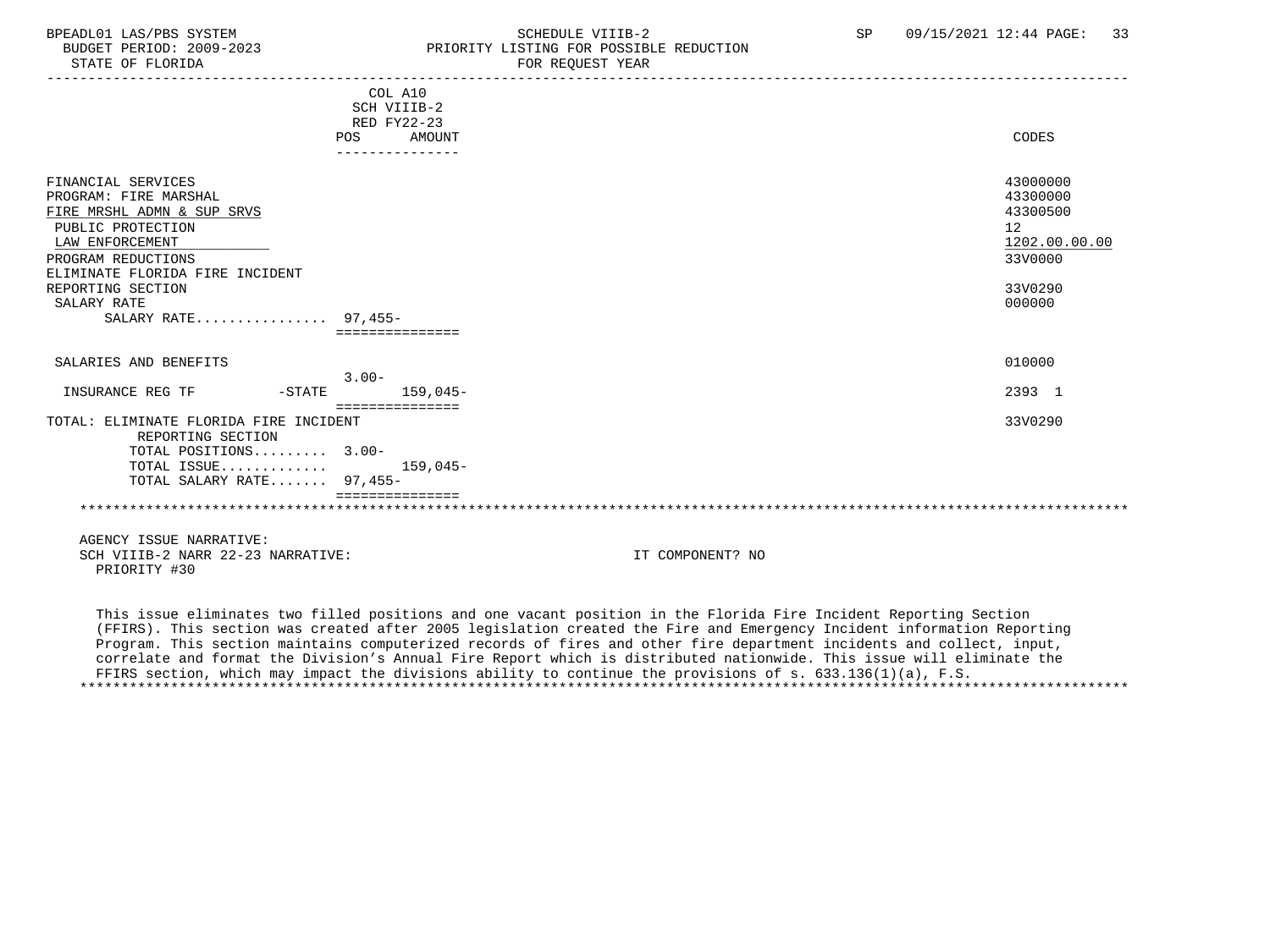### BPEADL01 LAS/PBS SYSTEM SCHEDULE VIIIB-2 SCHEDULE VIIIB-2 SP 09/15/2021 12:44 PAGE: 33 BUDGET PERIOD: 2009-2023<br>
STATE OF FLORIDA<br>
FOR REOUEST YEAR
FOR FRAME OF FLORIDA FOR REQUEST YEAR

|                                                                                                                                                                                                                                       | COL A10<br>SCH VIIIB-2                          |                                                                                         |
|---------------------------------------------------------------------------------------------------------------------------------------------------------------------------------------------------------------------------------------|-------------------------------------------------|-----------------------------------------------------------------------------------------|
|                                                                                                                                                                                                                                       | RED FY22-23<br>AMOUNT<br>POS<br>--------------- | <b>CODES</b>                                                                            |
| FINANCIAL SERVICES<br>PROGRAM: FIRE MARSHAL<br>FIRE MRSHL ADMN & SUP SRVS<br>PUBLIC PROTECTION<br>LAW ENFORCEMENT<br>PROGRAM REDUCTIONS<br>ELIMINATE FLORIDA FIRE INCIDENT<br>REPORTING SECTION<br>SALARY RATE<br>SALARY RATE 97,455- |                                                 | 43000000<br>43300000<br>43300500<br>12<br>1202.00.00.00<br>33V0000<br>33V0290<br>000000 |
| SALARIES AND BENEFITS                                                                                                                                                                                                                 |                                                 | 010000                                                                                  |
| INSURANCE REG TF<br>$-STATE$                                                                                                                                                                                                          | $3.00 -$<br>$159,045-$<br>----------------      | 2393 1                                                                                  |
| TOTAL: ELIMINATE FLORIDA FIRE INCIDENT<br>REPORTING SECTION<br>TOTAL POSITIONS 3.00-<br>TOTAL ISSUE<br>TOTAL SALARY RATE 97,455-                                                                                                      | 159,045-                                        | 33V0290                                                                                 |
|                                                                                                                                                                                                                                       |                                                 |                                                                                         |

 AGENCY ISSUE NARRATIVE: SCH VIIIB-2 NARR 22-23 NARRATIVE: IT COMPONENT? NO PRIORITY #30

 This issue eliminates two filled positions and one vacant position in the Florida Fire Incident Reporting Section (FFIRS). This section was created after 2005 legislation created the Fire and Emergency Incident information Reporting Program. This section maintains computerized records of fires and other fire department incidents and collect, input, correlate and format the Division's Annual Fire Report which is distributed nationwide. This issue will eliminate the FFIRS section, which may impact the divisions ability to continue the provisions of s. 633.136(1)(a), F.S. \*\*\*\*\*\*\*\*\*\*\*\*\*\*\*\*\*\*\*\*\*\*\*\*\*\*\*\*\*\*\*\*\*\*\*\*\*\*\*\*\*\*\*\*\*\*\*\*\*\*\*\*\*\*\*\*\*\*\*\*\*\*\*\*\*\*\*\*\*\*\*\*\*\*\*\*\*\*\*\*\*\*\*\*\*\*\*\*\*\*\*\*\*\*\*\*\*\*\*\*\*\*\*\*\*\*\*\*\*\*\*\*\*\*\*\*\*\*\*\*\*\*\*\*\*\*\*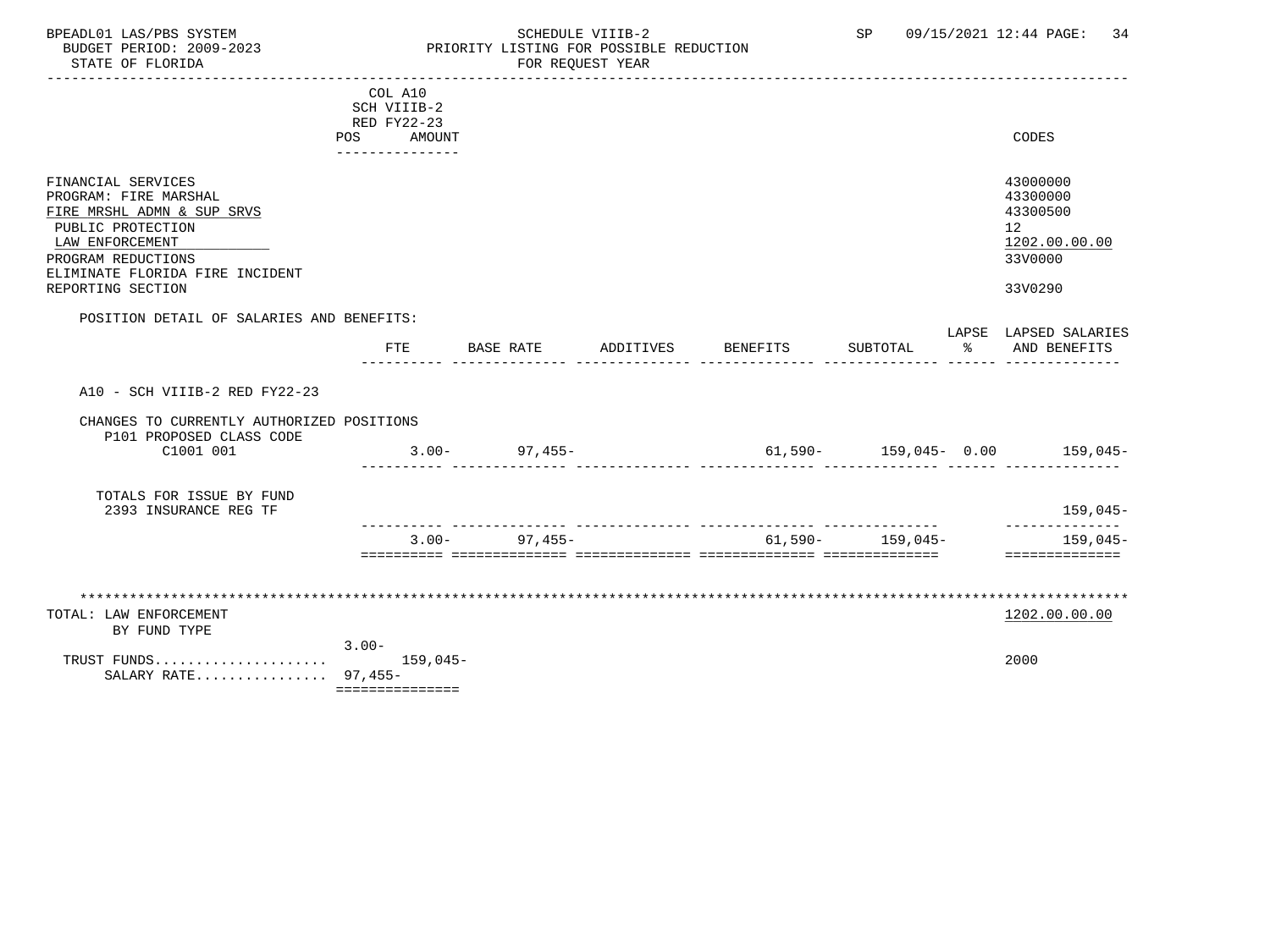BPEADL01 LAS/PBS SYSTEM STRING THE SCHEDULE VIIIB-2 SCHEDULE SCHEDULE SER SP 09/15/2021 12:44 PAGE: 34 PRIORITY LISTING FOR POSSIBLE REDUCTION STATE OF FLORIDA FOR STATE OF STATE OF STATE OF STATE OF STATE ASSESSMENT OF STATE OF STATE OF STATE OF STATE O ----------------------------------------------------------------------------------------------------------------------------------- COL A10 SCH VIIIB-2 RED FY22-23 POS AMOUNT CODES --------------- FINANCIAL SERVICES 43000000 PROGRAM: FIRE MARSHAL 43300000 (13300000)<br>FIRE MRSHL ADMN & SUP SRVS (13300500) FIRE MRSHL ADMN & SUP SRVS PUBLIC PROTECTION 12<br>LAW ENFORCEMENT 1202.00.00.00 PUBLIC PROTECTION  $\texttt{LAN ENFORCEMENT} \color{black} \textcolor{red}{1202.00.00.00}$  PROGRAM REDUCTIONS 33V0000 ELIMINATE FLORIDA FIRE INCIDENT REPORTING SECTION 33V0290 POSITION DETAIL OF SALARIES AND BENEFITS: LAPSE LAPSED SALARIES FTE BASE RATE ADDITIVES BENEFITS SUBTOTAL % AND BENEFITS ---------- -------------- -------------- -------------- -------------- ------ -------------- A10 - SCH VIIIB-2 RED FY22-23 CHANGES TO CURRENTLY AUTHORIZED POSITIONS P101 PROPOSED CLASS CODE C1001 001 3.00- 97,455- 61,590- 159,045- 0.00 159,045- ---------- -------------- -------------- -------------- -------------- ------ -------------- TOTALS FOR ISSUE BY FUND

 2393 INSURANCE REG TF 159,045- ---------- -------------- -------------- -------------- -------------- --------------  $3.00-97,455-$ ========== ============== ============== ============== ============== ==============

| TOTAL: LAW ENFORCEMENT |          | 1202.00.00.00 |
|------------------------|----------|---------------|
| BY FUND TYPE           |          |               |
|                        | $3.00 -$ |               |
|                        |          | 2000          |
| SALARY RATE 97,455-    |          |               |

===============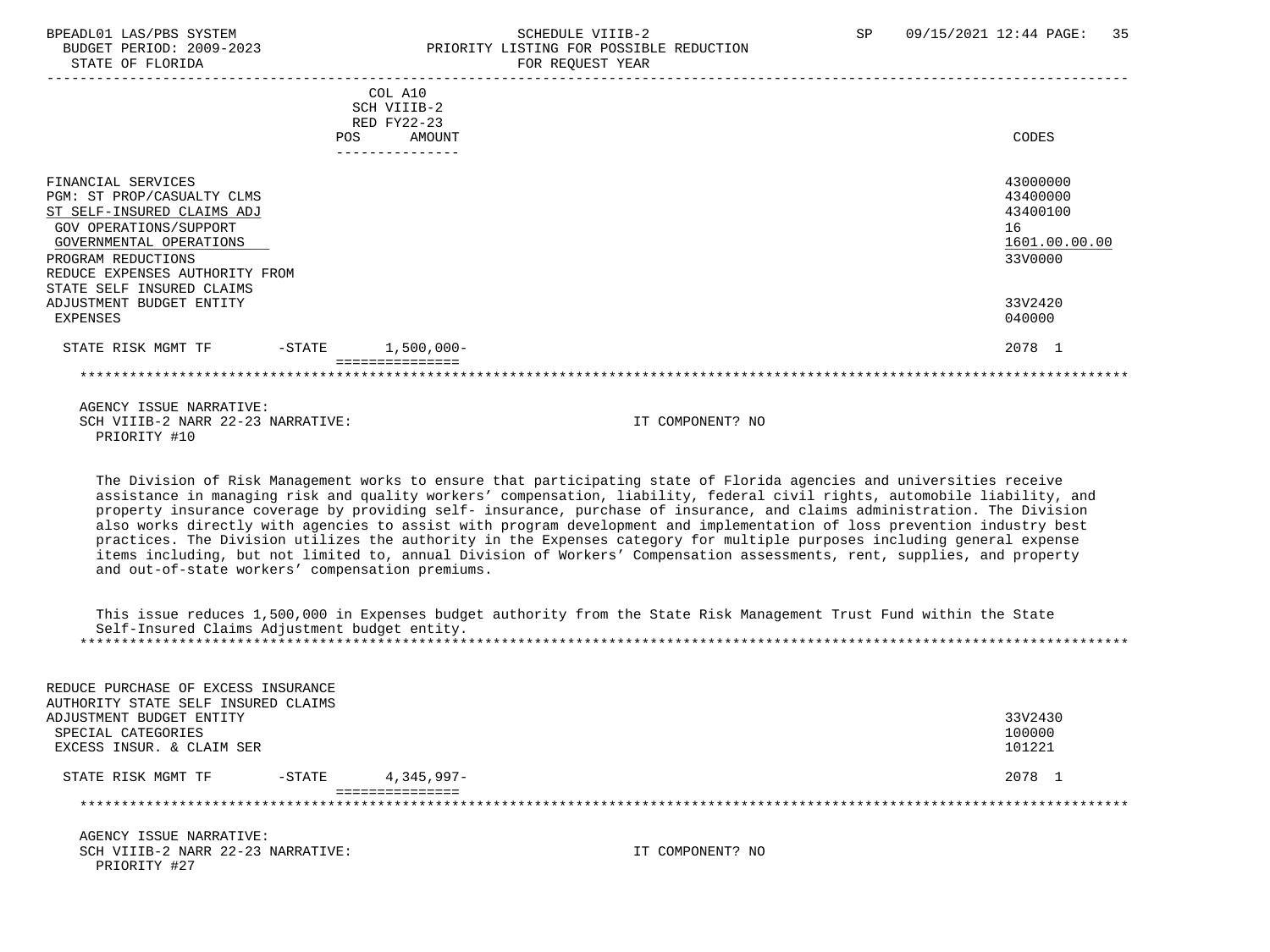### BPEADL01 LAS/PBS SYSTEM SCHEDULE VIIIB-2 SCHEDULE VIIIB-2 SP 09/15/2021 12:44 PAGE: 35 BUDGET PERIOD: 2009-2023 PRIORITY LISTING FOR POSSIBLE REDUCTION<br>STATE OF FLORIDA FOR REQUEST YEAR

|                                 | COL A10                                       |               |
|---------------------------------|-----------------------------------------------|---------------|
|                                 | SCH VIIIB-2                                   |               |
|                                 | RED FY22-23                                   |               |
|                                 | <b>AMOUNT</b><br><b>POS</b><br>-------------- | CODES         |
|                                 |                                               |               |
| FINANCIAL SERVICES              |                                               | 43000000      |
| PGM: ST PROP/CASUALTY CLMS      |                                               | 43400000      |
| ST SELF-INSURED CLAIMS ADJ      |                                               | 43400100      |
| GOV OPERATIONS/SUPPORT          |                                               | 16            |
| GOVERNMENTAL OPERATIONS         |                                               | 1601.00.00.00 |
| PROGRAM REDUCTIONS              |                                               | 33V0000       |
| REDUCE EXPENSES AUTHORITY FROM  |                                               |               |
| STATE SELF INSURED CLAIMS       |                                               |               |
| ADJUSTMENT BUDGET ENTITY        |                                               | 33V2420       |
| EXPENSES                        |                                               | 040000        |
| STATE RISK MGMT TF<br>$-$ STATE | $1,500,000 -$                                 | 2078 1        |
|                                 |                                               |               |
|                                 |                                               |               |

 AGENCY ISSUE NARRATIVE: SCH VIIIB-2 NARR 22-23 NARRATIVE: IT COMPONENT? NO PRIORITY #10

 The Division of Risk Management works to ensure that participating state of Florida agencies and universities receive assistance in managing risk and quality workers' compensation, liability, federal civil rights, automobile liability, and property insurance coverage by providing self- insurance, purchase of insurance, and claims administration. The Division also works directly with agencies to assist with program development and implementation of loss prevention industry best practices. The Division utilizes the authority in the Expenses category for multiple purposes including general expense items including, but not limited to, annual Division of Workers' Compensation assessments, rent, supplies, and property and out-of-state workers' compensation premiums.

 This issue reduces 1,500,000 in Expenses budget authority from the State Risk Management Trust Fund within the State Self-Insured Claims Adjustment budget entity. \*\*\*\*\*\*\*\*\*\*\*\*\*\*\*\*\*\*\*\*\*\*\*\*\*\*\*\*\*\*\*\*\*\*\*\*\*\*\*\*\*\*\*\*\*\*\*\*\*\*\*\*\*\*\*\*\*\*\*\*\*\*\*\*\*\*\*\*\*\*\*\*\*\*\*\*\*\*\*\*\*\*\*\*\*\*\*\*\*\*\*\*\*\*\*\*\*\*\*\*\*\*\*\*\*\*\*\*\*\*\*\*\*\*\*\*\*\*\*\*\*\*\*\*\*\*\*

| REDUCE PURCHASE OF EXCESS INSURANCE |           |              |         |
|-------------------------------------|-----------|--------------|---------|
| AUTHORITY STATE SELF INSURED CLAIMS |           |              |         |
| ADJUSTMENT BUDGET ENTITY            |           |              | 33V2430 |
| SPECIAL CATEGORIES                  |           |              | 100000  |
| EXCESS INSUR. & CLAIM SER           |           |              | 101221  |
| STATE RISK MGMT TF                  | $-$ STATE | $4.345.997-$ | 2078 1  |
|                                     |           |              |         |
|                                     |           |              |         |
|                                     |           |              |         |

 AGENCY ISSUE NARRATIVE: SCH VIIIB-2 NARR 22-23 NARRATIVE: IT COMPONENT? NO PRIORITY #27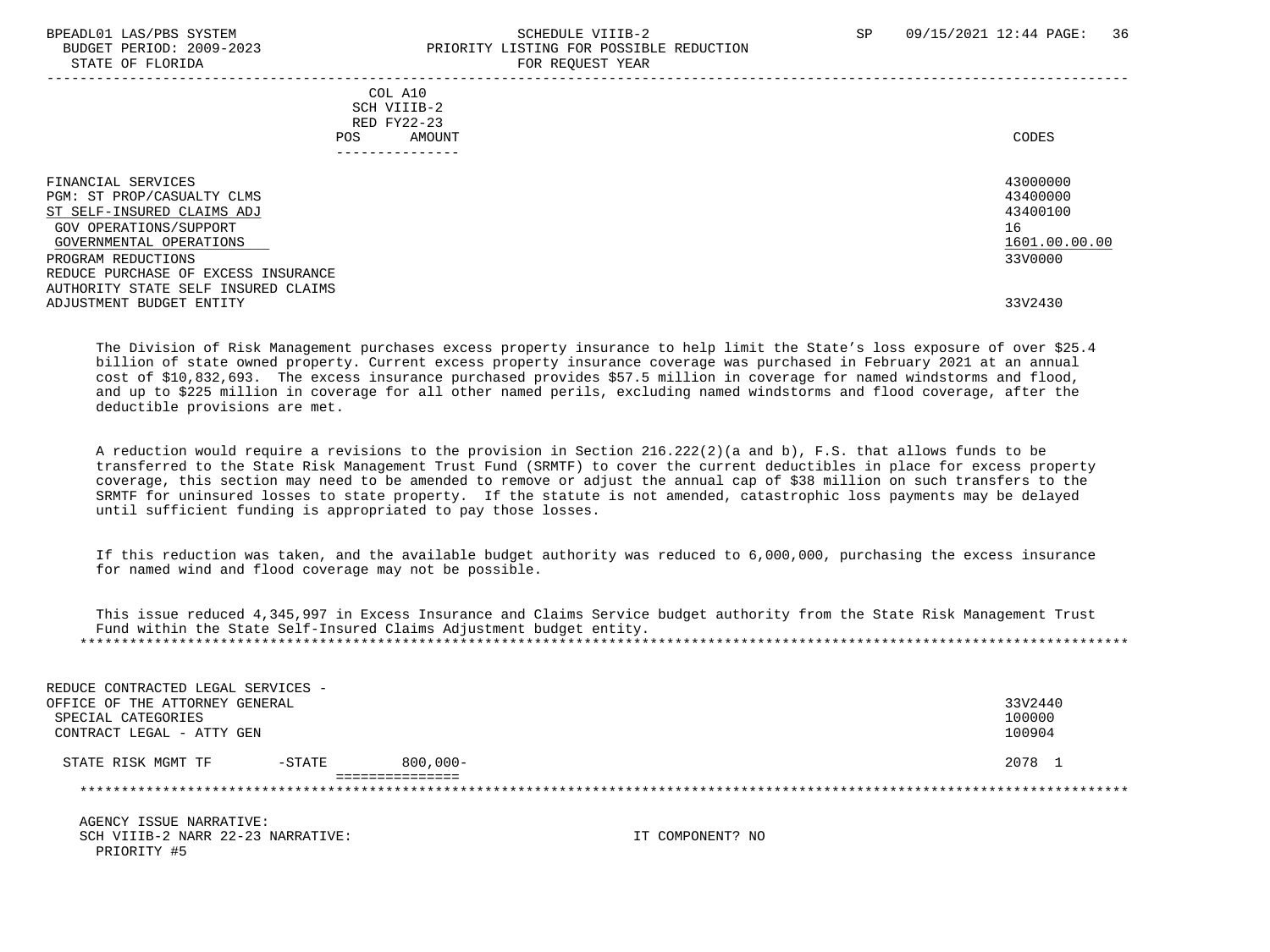PRIORITY #5

### BPEADL01 LAS/PBS SYSTEM STRANGERS SAND SCHEDULE VIIIB-2 SP 09/15/2021 12:44 PAGE: 36 BUDGET PERIOD: 2009-2023 PRIORITY LISTING FOR POSSIBLE REDUCTION STATE OF FLORIDA **FOR REQUEST YEAR**

| COL A10<br>SCH VIIIB-2<br>RED FY22-23<br>AMOUNT<br>POS<br>------------                                                                                                                                                                                              | CODES                                                                         |
|---------------------------------------------------------------------------------------------------------------------------------------------------------------------------------------------------------------------------------------------------------------------|-------------------------------------------------------------------------------|
| FINANCIAL SERVICES<br>PGM: ST PROP/CASUALTY CLMS<br>ST SELF-INSURED CLAIMS ADJ<br>GOV OPERATIONS/SUPPORT<br>GOVERNMENTAL OPERATIONS<br>PROGRAM REDUCTIONS<br>REDUCE PURCHASE OF EXCESS INSURANCE<br>AUTHORITY STATE SELF INSURED CLAIMS<br>ADJUSTMENT BUDGET ENTITY | 43000000<br>43400000<br>43400100<br>16<br>1601.00.00.00<br>33V0000<br>33V2430 |
|                                                                                                                                                                                                                                                                     |                                                                               |

 The Division of Risk Management purchases excess property insurance to help limit the State's loss exposure of over \$25.4 billion of state owned property. Current excess property insurance coverage was purchased in February 2021 at an annual cost of \$10,832,693. The excess insurance purchased provides \$57.5 million in coverage for named windstorms and flood, and up to \$225 million in coverage for all other named perils, excluding named windstorms and flood coverage, after the deductible provisions are met.

 A reduction would require a revisions to the provision in Section 216.222(2)(a and b), F.S. that allows funds to be transferred to the State Risk Management Trust Fund (SRMTF) to cover the current deductibles in place for excess property coverage, this section may need to be amended to remove or adjust the annual cap of \$38 million on such transfers to the SRMTF for uninsured losses to state property. If the statute is not amended, catastrophic loss payments may be delayed until sufficient funding is appropriated to pay those losses.

 If this reduction was taken, and the available budget authority was reduced to 6,000,000, purchasing the excess insurance for named wind and flood coverage may not be possible.

 This issue reduced 4,345,997 in Excess Insurance and Claims Service budget authority from the State Risk Management Trust Fund within the State Self-Insured Claims Adjustment budget entity. \*\*\*\*\*\*\*\*\*\*\*\*\*\*\*\*\*\*\*\*\*\*\*\*\*\*\*\*\*\*\*\*\*\*\*\*\*\*\*\*\*\*\*\*\*\*\*\*\*\*\*\*\*\*\*\*\*\*\*\*\*\*\*\*\*\*\*\*\*\*\*\*\*\*\*\*\*\*\*\*\*\*\*\*\*\*\*\*\*\*\*\*\*\*\*\*\*\*\*\*\*\*\*\*\*\*\*\*\*\*\*\*\*\*\*\*\*\*\*\*\*\*\*\*\*\*\*

| REDUCE CONTRACTED LEGAL SERVICES - |           |                 |                  |         |
|------------------------------------|-----------|-----------------|------------------|---------|
| OFFICE OF THE ATTORNEY GENERAL     |           |                 |                  | 33V2440 |
| SPECIAL CATEGORIES                 |           |                 |                  | 100000  |
| CONTRACT LEGAL - ATTY GEN          |           |                 |                  | 100904  |
| STATE RISK MGMT TF                 | $-$ STATE | $800,000 -$     |                  | 2078 1  |
|                                    |           | --------------- |                  |         |
|                                    |           |                 |                  |         |
| AGENCY ISSUE NARRATIVE:            |           |                 |                  |         |
| SCH VIIIB-2 NARR 22-23 NARRATIVE:  |           |                 | TT COMPONENT? NO |         |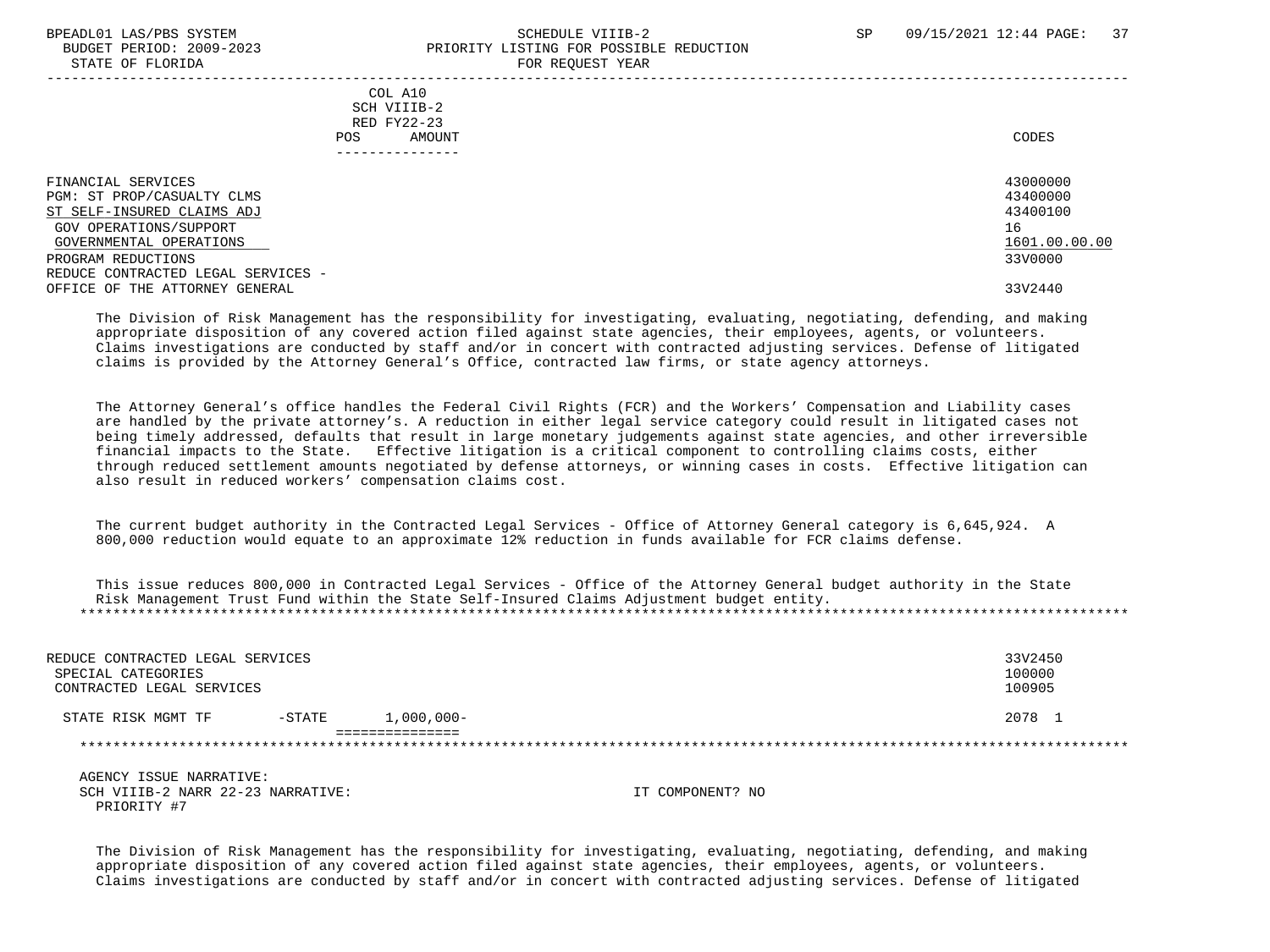### BPEADL01 LAS/PBS SYSTEM STRAND SCHEDULE VIIIB-2 SP 09/15/2021 12:44 PAGE: 37 BUDGET PERIOD: 2009-2023 PRIORITY LISTING FOR POSSIBLE REDUCTION STATE OF FLORIDA FOR STATE OF STATE OF STATE OF STATE OF STATE OF STATE OF STATE OF STATE OF STATE OF STATE OF STATE OF STATE OF STATE OF STATE OF STATE OF STATE OF STATE OF STATE OF STATE OF STATE OF STATE OF STATE OF STA

| CODES         |
|---------------|
|               |
| 43000000      |
| 43400000      |
| 43400100      |
| 16            |
| 1601.00.00.00 |
| 33V0000       |
|               |
| 33V2440       |
|               |

 The Division of Risk Management has the responsibility for investigating, evaluating, negotiating, defending, and making appropriate disposition of any covered action filed against state agencies, their employees, agents, or volunteers. Claims investigations are conducted by staff and/or in concert with contracted adjusting services. Defense of litigated claims is provided by the Attorney General's Office, contracted law firms, or state agency attorneys.

 The Attorney General's office handles the Federal Civil Rights (FCR) and the Workers' Compensation and Liability cases are handled by the private attorney's. A reduction in either legal service category could result in litigated cases not being timely addressed, defaults that result in large monetary judgements against state agencies, and other irreversible financial impacts to the State. Effective litigation is a critical component to controlling claims costs, either through reduced settlement amounts negotiated by defense attorneys, or winning cases in costs. Effective litigation can also result in reduced workers' compensation claims cost.

 The current budget authority in the Contracted Legal Services - Office of Attorney General category is 6,645,924. A 800,000 reduction would equate to an approximate 12% reduction in funds available for FCR claims defense.

 This issue reduces 800,000 in Contracted Legal Services - Office of the Attorney General budget authority in the State Risk Management Trust Fund within the State Self-Insured Claims Adjustment budget entity. \*\*\*\*\*\*\*\*\*\*\*\*\*\*\*\*\*\*\*\*\*\*\*\*\*\*\*\*\*\*\*\*\*\*\*\*\*\*\*\*\*\*\*\*\*\*\*\*\*\*\*\*\*\*\*\*\*\*\*\*\*\*\*\*\*\*\*\*\*\*\*\*\*\*\*\*\*\*\*\*\*\*\*\*\*\*\*\*\*\*\*\*\*\*\*\*\*\*\*\*\*\*\*\*\*\*\*\*\*\*\*\*\*\*\*\*\*\*\*\*\*\*\*\*\*\*\*

| REDUCE CONTRACTED LEGAL SERVICES<br>SPECIAL CATEGORIES<br>CONTRACTED LEGAL SERVICES |          |              | 33V2450<br>100000<br>100905 |
|-------------------------------------------------------------------------------------|----------|--------------|-----------------------------|
| STATE RISK MGMT TF                                                                  | $-STATE$ | $1,000,000-$ | 2078                        |
|                                                                                     |          |              |                             |

 AGENCY ISSUE NARRATIVE: SCH VIIIB-2 NARR 22-23 NARRATIVE: IT COMPONENT? NO PRIORITY #7

 The Division of Risk Management has the responsibility for investigating, evaluating, negotiating, defending, and making appropriate disposition of any covered action filed against state agencies, their employees, agents, or volunteers. Claims investigations are conducted by staff and/or in concert with contracted adjusting services. Defense of litigated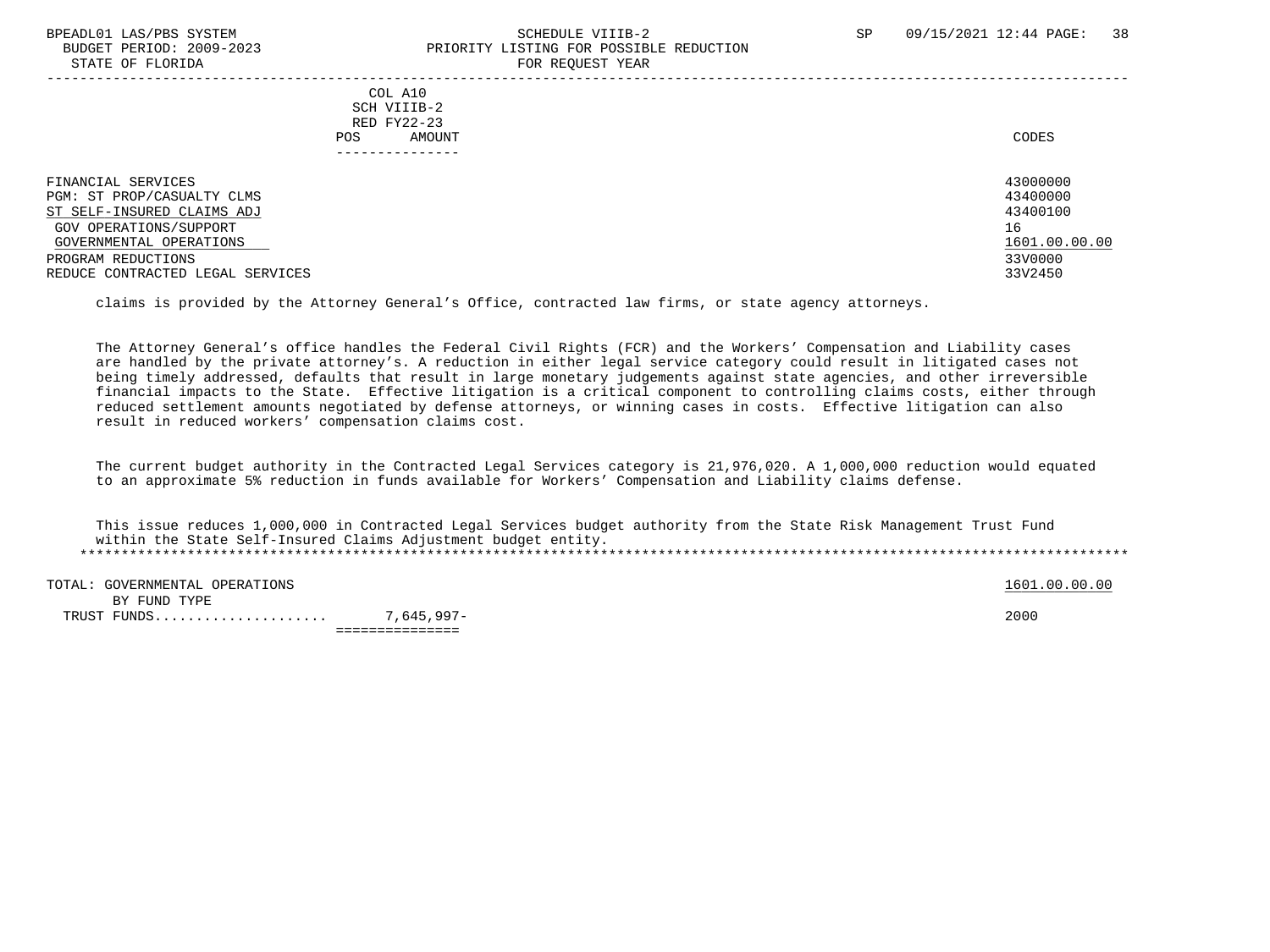### BPEADL01 LAS/PBS SYSTEM SALL SALL SOMEDULE VIIIB-2 SP 09/15/2021 12:44 PAGE: 38 BUDGET PERIOD: 2009-2023 PRIORITY LISTING FOR POSSIBLE REDUCTION STATE OF FLORIDA FOR STATE OF STATE OF STATE OF STATE OF STATE OF STATE OF STATE OF STATE OF STATE OF STATE OF STATE OF STATE OF STATE OF STATE OF STATE OF STATE OF STATE OF STATE OF STATE OF STATE OF STATE OF STATE OF STA

| COL A10<br>SCH VIIIB-2<br>RED FY22-23<br>POS.<br>AMOUNT<br>--------------                                                                                                                     | CODES                                                                         |
|-----------------------------------------------------------------------------------------------------------------------------------------------------------------------------------------------|-------------------------------------------------------------------------------|
| FINANCIAL SERVICES<br>PGM: ST PROP/CASUALTY CLMS<br>ST SELF-INSURED CLAIMS ADJ<br>GOV OPERATIONS/SUPPORT<br>GOVERNMENTAL OPERATIONS<br>PROGRAM REDUCTIONS<br>REDUCE CONTRACTED LEGAL SERVICES | 43000000<br>43400000<br>43400100<br>16<br>1601.00.00.00<br>33V0000<br>33V2450 |

claims is provided by the Attorney General's Office, contracted law firms, or state agency attorneys.

 The Attorney General's office handles the Federal Civil Rights (FCR) and the Workers' Compensation and Liability cases are handled by the private attorney's. A reduction in either legal service category could result in litigated cases not being timely addressed, defaults that result in large monetary judgements against state agencies, and other irreversible financial impacts to the State. Effective litigation is a critical component to controlling claims costs, either through reduced settlement amounts negotiated by defense attorneys, or winning cases in costs. Effective litigation can also result in reduced workers' compensation claims cost.

 The current budget authority in the Contracted Legal Services category is 21,976,020. A 1,000,000 reduction would equated to an approximate 5% reduction in funds available for Workers' Compensation and Liability claims defense.

 This issue reduces 1,000,000 in Contracted Legal Services budget authority from the State Risk Management Trust Fund within the State Self-Insured Claims Adjustment budget entity. \*\*\*\*\*\*\*\*\*\*\*\*\*\*\*\*\*\*\*\*\*\*\*\*\*\*\*\*\*\*\*\*\*\*\*\*\*\*\*\*\*\*\*\*\*\*\*\*\*\*\*\*\*\*\*\*\*\*\*\*\*\*\*\*\*\*\*\*\*\*\*\*\*\*\*\*\*\*\*\*\*\*\*\*\*\*\*\*\*\*\*\*\*\*\*\*\*\*\*\*\*\*\*\*\*\*\*\*\*\*\*\*\*\*\*\*\*\*\*\*\*\*\*\*\*\*\*

TOTAL: GOVERNMENTAL OPERATIONS 1601.00.00 CONSUMERTAL OPERATIONS BY FUND TYPE TRUST FUNDS..................... 7,645,997- 2000

===============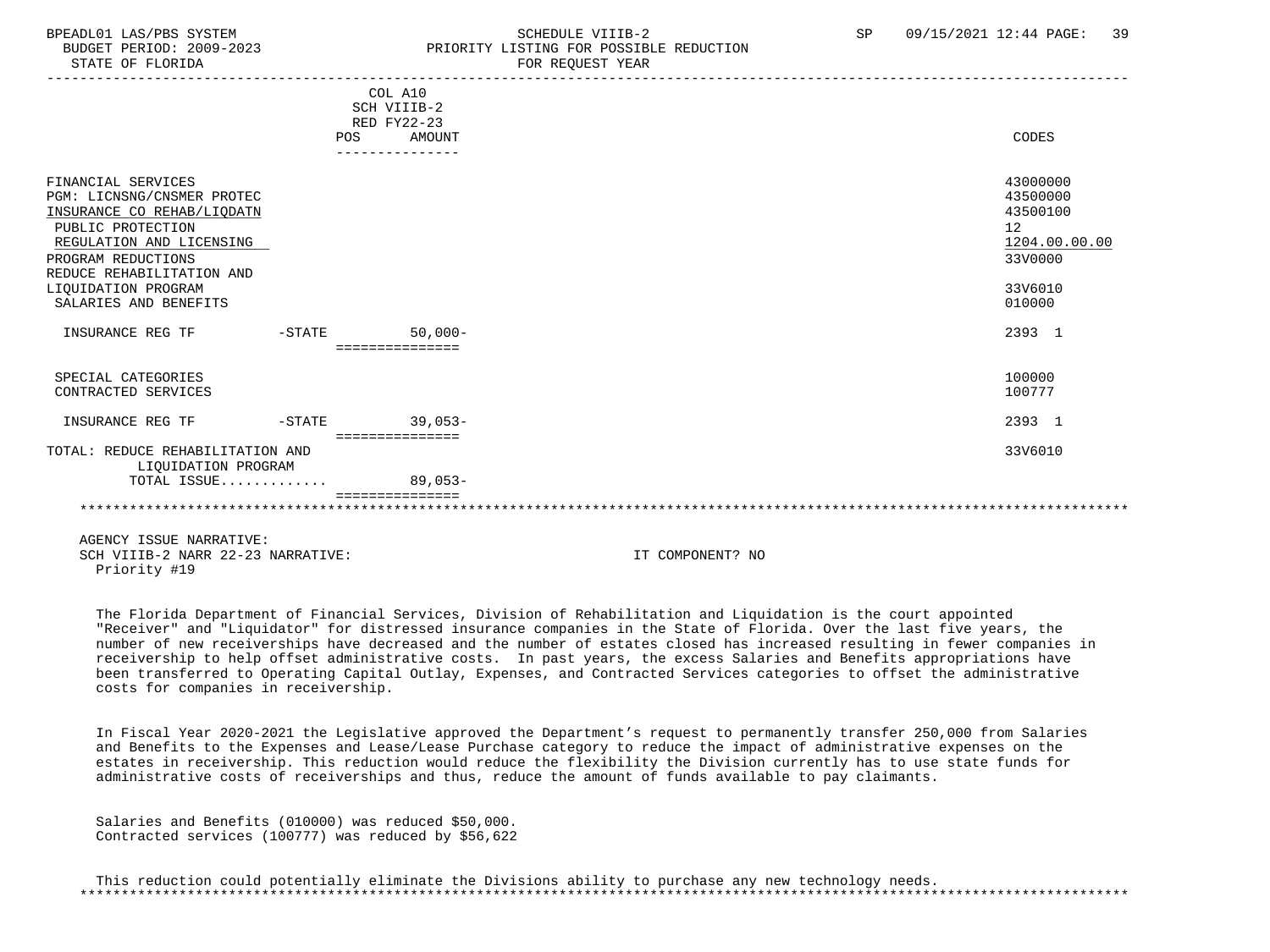STATE OF FLORIDA FOR STATE OF STATE OF STATE OF STATE OF STATE OF STATE OF STATE OF STATE OF STATE OF STATE OF STATE OF STATE OF STATE OF STATE OF STATE OF STATE OF STATE OF STATE OF STATE OF STATE OF STATE OF STATE OF STA

## BPEADL01 LAS/PBS SYSTEM SALL SALL SOMEDULE VIIIB-2 SP 09/15/2021 12:44 PAGE: 39 BUDGET PERIOD: 2009-2023 PRIORITY LISTING FOR POSSIBLE REDUCTION

|                                                                                                                                                       |           | COL A10<br>SCH VIIIB-2<br>RED FY22-23 |                                                                    |
|-------------------------------------------------------------------------------------------------------------------------------------------------------|-----------|---------------------------------------|--------------------------------------------------------------------|
|                                                                                                                                                       |           | <b>POS</b><br>AMOUNT                  | CODES                                                              |
|                                                                                                                                                       |           | ---------------                       |                                                                    |
| FINANCIAL SERVICES<br>PGM: LICNSNG/CNSMER PROTEC<br>INSURANCE CO REHAB/LIQDATN<br>PUBLIC PROTECTION<br>REGULATION AND LICENSING<br>PROGRAM REDUCTIONS |           |                                       | 43000000<br>43500000<br>43500100<br>12<br>1204.00.00.00<br>33V0000 |
| REDUCE REHABILITATION AND<br>LIOUIDATION PROGRAM                                                                                                      |           |                                       | 33V6010                                                            |
| SALARIES AND BENEFITS                                                                                                                                 |           |                                       | 010000                                                             |
| INSURANCE REG TF                                                                                                                                      | $-$ STATE | $50.000 -$                            | 2393 1                                                             |
|                                                                                                                                                       |           | ===============                       |                                                                    |
| SPECIAL CATEGORIES<br>CONTRACTED SERVICES                                                                                                             |           |                                       | 100000<br>100777                                                   |
| INSURANCE REG TF                                                                                                                                      | $-$ STATE | $39.053-$                             | 2393 1                                                             |
|                                                                                                                                                       |           | ===============                       |                                                                    |
| TOTAL: REDUCE REHABILITATION AND<br>LIOUIDATION PROGRAM                                                                                               |           |                                       | 33V6010                                                            |
| TOTAL ISSUE                                                                                                                                           |           | $89,053-$                             |                                                                    |
|                                                                                                                                                       |           |                                       |                                                                    |
|                                                                                                                                                       |           |                                       |                                                                    |

 AGENCY ISSUE NARRATIVE: SCH VIIIB-2 NARR 22-23 NARRATIVE: IT COMPONENT? NO Priority #19

 The Florida Department of Financial Services, Division of Rehabilitation and Liquidation is the court appointed "Receiver" and "Liquidator" for distressed insurance companies in the State of Florida. Over the last five years, the number of new receiverships have decreased and the number of estates closed has increased resulting in fewer companies in receivership to help offset administrative costs. In past years, the excess Salaries and Benefits appropriations have been transferred to Operating Capital Outlay, Expenses, and Contracted Services categories to offset the administrative costs for companies in receivership.

 In Fiscal Year 2020-2021 the Legislative approved the Department's request to permanently transfer 250,000 from Salaries and Benefits to the Expenses and Lease/Lease Purchase category to reduce the impact of administrative expenses on the estates in receivership. This reduction would reduce the flexibility the Division currently has to use state funds for administrative costs of receiverships and thus, reduce the amount of funds available to pay claimants.

 Salaries and Benefits (010000) was reduced \$50,000. Contracted services (100777) was reduced by \$56,622

 This reduction could potentially eliminate the Divisions ability to purchase any new technology needs. \*\*\*\*\*\*\*\*\*\*\*\*\*\*\*\*\*\*\*\*\*\*\*\*\*\*\*\*\*\*\*\*\*\*\*\*\*\*\*\*\*\*\*\*\*\*\*\*\*\*\*\*\*\*\*\*\*\*\*\*\*\*\*\*\*\*\*\*\*\*\*\*\*\*\*\*\*\*\*\*\*\*\*\*\*\*\*\*\*\*\*\*\*\*\*\*\*\*\*\*\*\*\*\*\*\*\*\*\*\*\*\*\*\*\*\*\*\*\*\*\*\*\*\*\*\*\*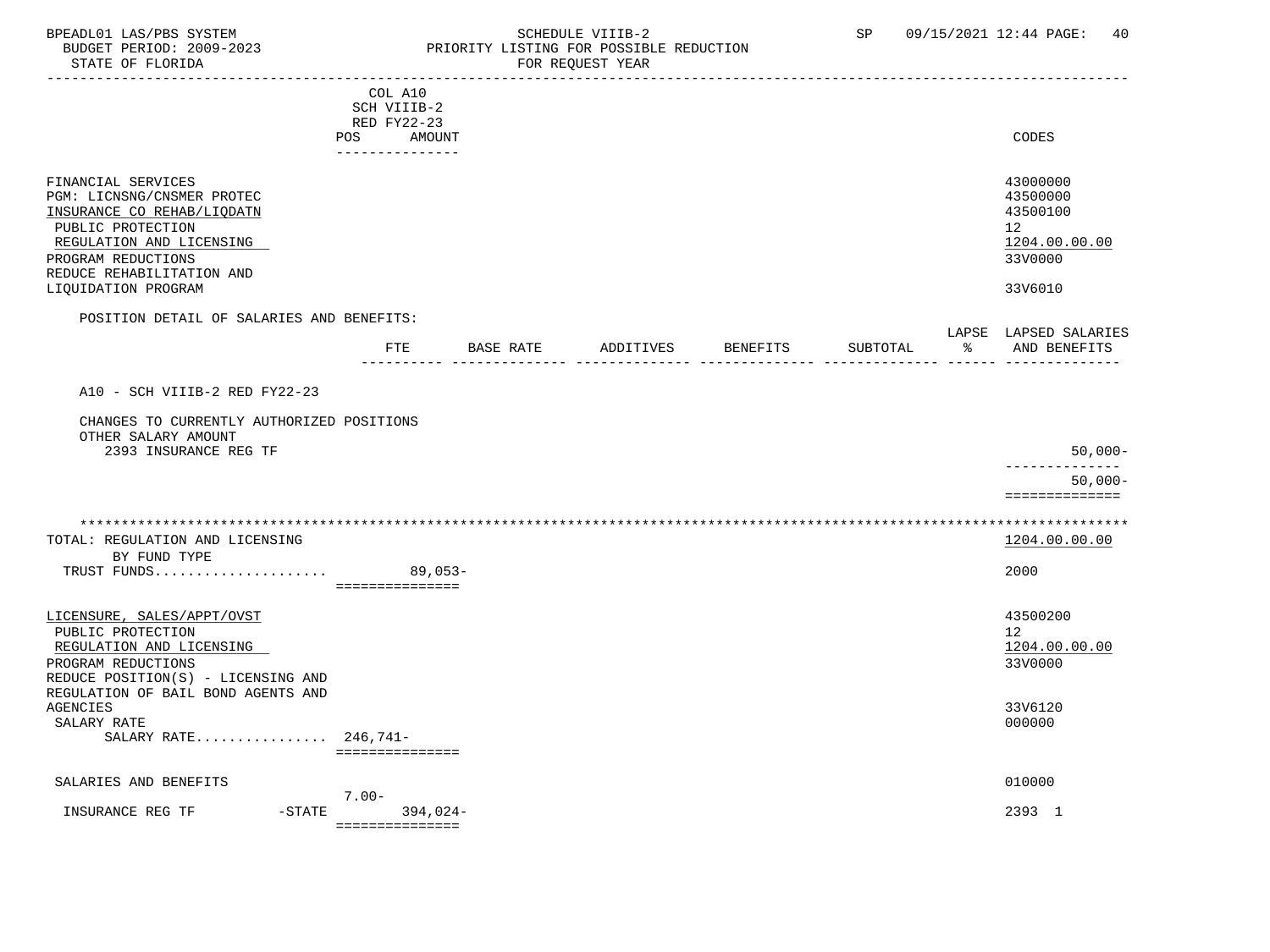### BPEADL01 LAS/PBS SYSTEM SALLE SOME SCHEDULE VIIIB-2 SCHEDULE SOME SP 09/15/2021 12:44 PAGE: 40 BUDGET PERIOD: 2009-2023 PRIORITY LISTING FOR POSSIBLE REDUCTION<br>FOR REQUEST YEAR FOR REQUEST YEAR

|                                                                                                                                                                                                           | COL A10            |               |           |          |          |    |                                                                                            |
|-----------------------------------------------------------------------------------------------------------------------------------------------------------------------------------------------------------|--------------------|---------------|-----------|----------|----------|----|--------------------------------------------------------------------------------------------|
|                                                                                                                                                                                                           | SCH VIIIB-2        |               |           |          |          |    |                                                                                            |
|                                                                                                                                                                                                           | RED FY22-23<br>POS | <b>AMOUNT</b> |           |          |          |    | CODES                                                                                      |
|                                                                                                                                                                                                           | ---------------    |               |           |          |          |    |                                                                                            |
| FINANCIAL SERVICES<br>PGM: LICNSNG/CNSMER PROTEC<br>INSURANCE CO REHAB/LIQDATN<br>PUBLIC PROTECTION<br>REGULATION AND LICENSING<br>PROGRAM REDUCTIONS<br>REDUCE REHABILITATION AND<br>LIQUIDATION PROGRAM |                    |               |           |          |          |    | 43000000<br>43500000<br>43500100<br>12 <sub>2</sub><br>1204.00.00.00<br>33V0000<br>33V6010 |
|                                                                                                                                                                                                           |                    |               |           |          |          |    |                                                                                            |
| POSITION DETAIL OF SALARIES AND BENEFITS:                                                                                                                                                                 |                    |               |           |          |          |    | LAPSE LAPSED SALARIES                                                                      |
|                                                                                                                                                                                                           | FTE                | BASE RATE     | ADDITIVES | BENEFITS | SUBTOTAL | ႜႜ | AND BENEFITS                                                                               |
|                                                                                                                                                                                                           |                    |               |           |          |          |    |                                                                                            |
| A10 - SCH VIIIB-2 RED FY22-23                                                                                                                                                                             |                    |               |           |          |          |    |                                                                                            |
| CHANGES TO CURRENTLY AUTHORIZED POSITIONS<br>OTHER SALARY AMOUNT                                                                                                                                          |                    |               |           |          |          |    |                                                                                            |
| 2393 INSURANCE REG TF                                                                                                                                                                                     |                    |               |           |          |          |    | $50,000-$                                                                                  |
|                                                                                                                                                                                                           |                    |               |           |          |          |    | ------------<br>$50,000-$                                                                  |
|                                                                                                                                                                                                           |                    |               |           |          |          |    | ==============                                                                             |
|                                                                                                                                                                                                           |                    |               |           |          |          |    |                                                                                            |
| TOTAL: REGULATION AND LICENSING                                                                                                                                                                           |                    |               |           |          |          |    | 1204.00.00.00                                                                              |
| BY FUND TYPE                                                                                                                                                                                              |                    |               |           |          |          |    |                                                                                            |
| TRUST FUNDS                                                                                                                                                                                               | ===============    | $89,053-$     |           |          |          |    | 2000                                                                                       |
|                                                                                                                                                                                                           |                    |               |           |          |          |    |                                                                                            |
| LICENSURE, SALES/APPT/OVST                                                                                                                                                                                |                    |               |           |          |          |    | 43500200<br>12 <sup>°</sup>                                                                |
| PUBLIC PROTECTION<br>REGULATION AND LICENSING                                                                                                                                                             |                    |               |           |          |          |    | 1204.00.00.00                                                                              |
| PROGRAM REDUCTIONS                                                                                                                                                                                        |                    |               |           |          |          |    | 33V0000                                                                                    |
| REDUCE POSITION(S) - LICENSING AND                                                                                                                                                                        |                    |               |           |          |          |    |                                                                                            |
| REGULATION OF BAIL BOND AGENTS AND<br><b>AGENCIES</b>                                                                                                                                                     |                    |               |           |          |          |    |                                                                                            |
| SALARY RATE                                                                                                                                                                                               |                    |               |           |          |          |    | 33V6120<br>000000                                                                          |
| SALARY RATE 246,741-                                                                                                                                                                                      |                    |               |           |          |          |    |                                                                                            |
|                                                                                                                                                                                                           | ===============    |               |           |          |          |    |                                                                                            |
| SALARIES AND BENEFITS                                                                                                                                                                                     |                    |               |           |          |          |    | 010000                                                                                     |
|                                                                                                                                                                                                           | $7.00 -$           |               |           |          |          |    |                                                                                            |
| INSURANCE REG TF<br>$-STATE$                                                                                                                                                                              | ===============    | 394,024-      |           |          |          |    | 2393 1                                                                                     |
|                                                                                                                                                                                                           |                    |               |           |          |          |    |                                                                                            |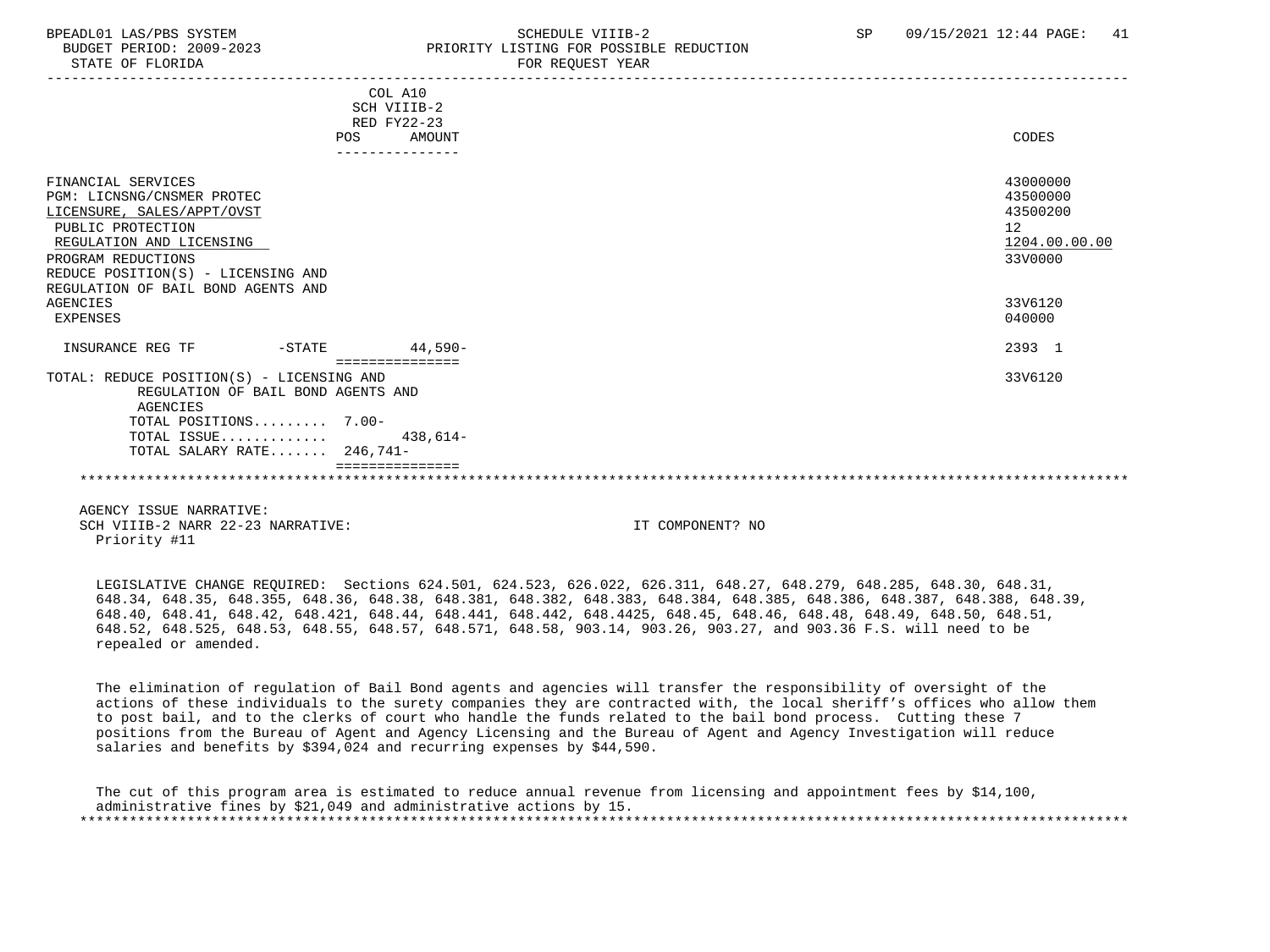## BPEADL01 LAS/PBS SYSTEM SALL SALL SOMEDULE VIIIB-2 SP 09/15/2021 12:44 PAGE: 41 BUDGET PERIOD: 2009-2023 PRIORITY LISTING FOR POSSIBLE REDUCTION

|                                                                                 | COL A10         |               |
|---------------------------------------------------------------------------------|-----------------|---------------|
|                                                                                 | SCH VIIIB-2     |               |
|                                                                                 | RED FY22-23     |               |
| POS                                                                             | AMOUNT          | CODES         |
|                                                                                 | --------------- |               |
| FINANCIAL SERVICES                                                              |                 | 43000000      |
| PGM: LICNSNG/CNSMER PROTEC                                                      |                 | 43500000      |
| LICENSURE, SALES/APPT/OVST                                                      |                 | 43500200      |
| PUBLIC PROTECTION                                                               |                 | 12            |
| REGULATION AND LICENSING                                                        |                 | 1204.00.00.00 |
| PROGRAM REDUCTIONS                                                              |                 | 33V0000       |
| REDUCE POSITION(S) - LICENSING AND                                              |                 |               |
| REGULATION OF BAIL BOND AGENTS AND                                              |                 |               |
| AGENCIES                                                                        |                 | 33V6120       |
| EXPENSES                                                                        |                 | 040000        |
|                                                                                 |                 |               |
| INSURANCE REG TF<br>$-STATE$                                                    | $44.590 -$      | 2393 1        |
|                                                                                 | =============== | 33V6120       |
| TOTAL: REDUCE POSITION(S) - LICENSING AND<br>REGULATION OF BAIL BOND AGENTS AND |                 |               |
| AGENCIES                                                                        |                 |               |
| TOTAL POSITIONS 7.00-                                                           |                 |               |
| TOTAL ISSUE $438,614-$                                                          |                 |               |
| TOTAL SALARY RATE 246,741-                                                      |                 |               |
|                                                                                 |                 |               |
|                                                                                 |                 |               |
|                                                                                 |                 |               |
|                                                                                 |                 |               |

 AGENCY ISSUE NARRATIVE: SCH VIIIB-2 NARR 22-23 NARRATIVE: IT COMPONENT? NO Priority #11

 LEGISLATIVE CHANGE REQUIRED: Sections 624.501, 624.523, 626.022, 626.311, 648.27, 648.279, 648.285, 648.30, 648.31, 648.34, 648.35, 648.355, 648.36, 648.38, 648.381, 648.382, 648.383, 648.384, 648.385, 648.386, 648.387, 648.388, 648.39, 648.40, 648.41, 648.42, 648.421, 648.44, 648.441, 648.442, 648.4425, 648.45, 648.46, 648.48, 648.49, 648.50, 648.51, 648.52, 648.525, 648.53, 648.55, 648.57, 648.571, 648.58, 903.14, 903.26, 903.27, and 903.36 F.S. will need to be repealed or amended.

 The elimination of regulation of Bail Bond agents and agencies will transfer the responsibility of oversight of the actions of these individuals to the surety companies they are contracted with, the local sheriff's offices who allow them to post bail, and to the clerks of court who handle the funds related to the bail bond process. Cutting these 7 positions from the Bureau of Agent and Agency Licensing and the Bureau of Agent and Agency Investigation will reduce salaries and benefits by \$394,024 and recurring expenses by \$44,590.

 The cut of this program area is estimated to reduce annual revenue from licensing and appointment fees by \$14,100, administrative fines by \$21,049 and administrative actions by 15. \*\*\*\*\*\*\*\*\*\*\*\*\*\*\*\*\*\*\*\*\*\*\*\*\*\*\*\*\*\*\*\*\*\*\*\*\*\*\*\*\*\*\*\*\*\*\*\*\*\*\*\*\*\*\*\*\*\*\*\*\*\*\*\*\*\*\*\*\*\*\*\*\*\*\*\*\*\*\*\*\*\*\*\*\*\*\*\*\*\*\*\*\*\*\*\*\*\*\*\*\*\*\*\*\*\*\*\*\*\*\*\*\*\*\*\*\*\*\*\*\*\*\*\*\*\*\*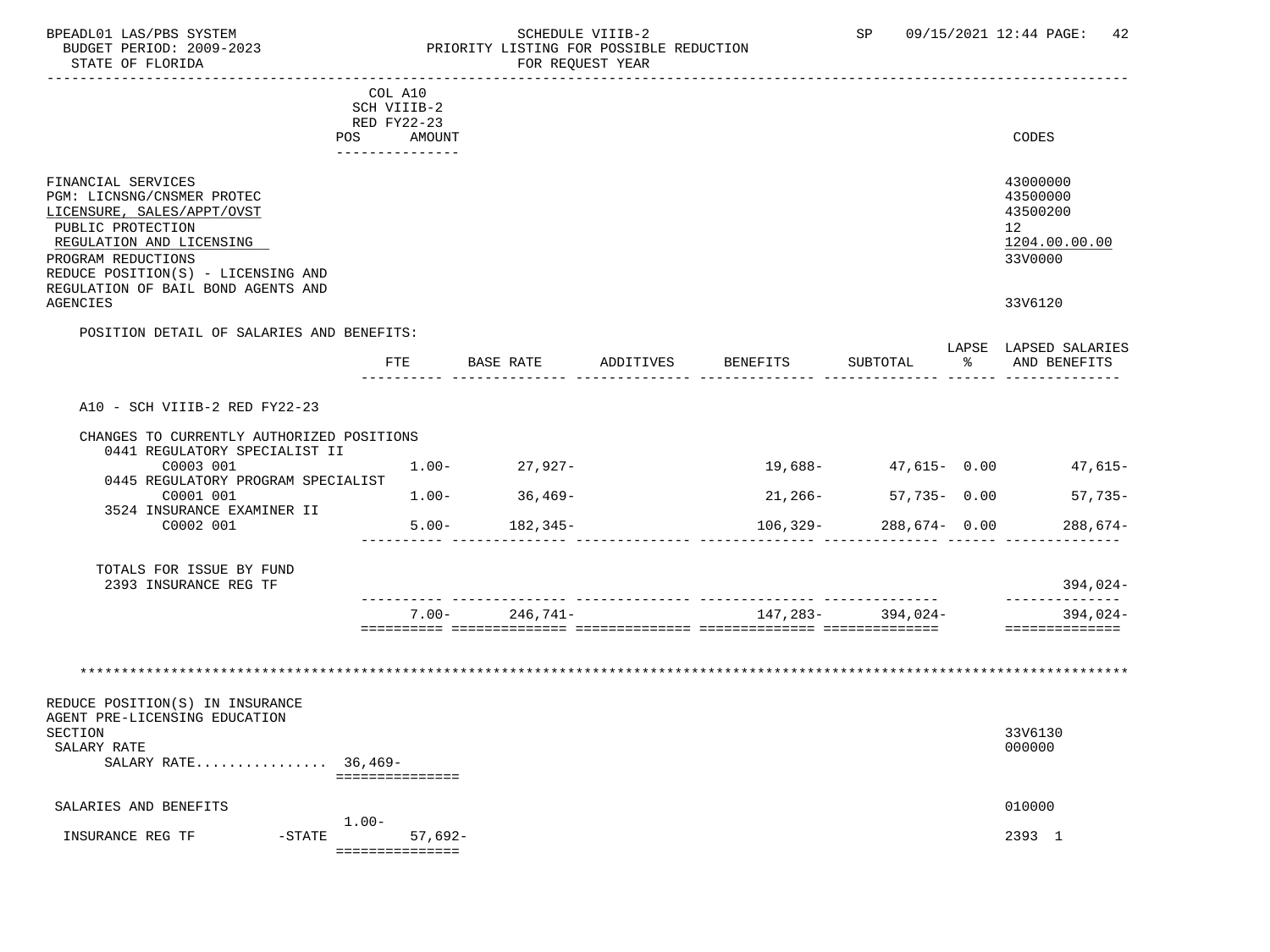### BPEADL01 LAS/PBS SYSTEM STRING THE SCHEDULE VIIIB-2 SP 09/15/2021 12:44 PAGE: 42 BUDGET PERIOD: 2009-2023 PRIORITY LISTING FOR POSSIBLE REDUCTION<br>FOR REQUEST YEAR FOR REQUEST YEAR

|                                                                  | COL A10           |                    |           |          |                            |                              |
|------------------------------------------------------------------|-------------------|--------------------|-----------|----------|----------------------------|------------------------------|
|                                                                  | SCH VIIIB-2       |                    |           |          |                            |                              |
|                                                                  | RED FY22-23       |                    |           |          |                            |                              |
| POS                                                              | AMOUNT            |                    |           |          |                            | CODES                        |
|                                                                  | _______________   |                    |           |          |                            |                              |
| FINANCIAL SERVICES                                               |                   |                    |           |          |                            | 43000000                     |
| PGM: LICNSNG/CNSMER PROTEC                                       |                   |                    |           |          |                            | 43500000                     |
| LICENSURE, SALES/APPT/OVST                                       |                   |                    |           |          |                            | 43500200                     |
| PUBLIC PROTECTION                                                |                   |                    |           |          |                            | 12 <sup>°</sup>              |
| REGULATION AND LICENSING                                         |                   |                    |           |          |                            | 1204.00.00.00                |
| PROGRAM REDUCTIONS                                               |                   |                    |           |          |                            | 33V0000                      |
| REDUCE POSITION(S) - LICENSING AND                               |                   |                    |           |          |                            |                              |
| REGULATION OF BAIL BOND AGENTS AND                               |                   |                    |           |          |                            |                              |
| <b>AGENCIES</b>                                                  |                   |                    |           |          |                            | 33V6120                      |
| POSITION DETAIL OF SALARIES AND BENEFITS:                        |                   |                    |           |          |                            |                              |
|                                                                  |                   |                    |           |          |                            | LAPSE LAPSED SALARIES        |
|                                                                  | FTE               | BASE RATE          | ADDITIVES | BENEFITS | SUBTOTAL                   | % AND BENEFITS               |
|                                                                  |                   |                    |           |          |                            |                              |
|                                                                  |                   |                    |           |          |                            |                              |
| A10 - SCH VIIIB-2 RED FY22-23                                    |                   |                    |           |          |                            |                              |
| CHANGES TO CURRENTLY AUTHORIZED POSITIONS                        |                   |                    |           |          |                            |                              |
| 0441 REGULATORY SPECIALIST II                                    |                   |                    |           |          |                            |                              |
| C0003 001                                                        | $1.00-$           | $27,927-$          |           |          | 19,688- 47,615- 0.00       | $47,615-$                    |
| 0445 REGULATORY PROGRAM SPECIALIST                               |                   |                    |           |          |                            |                              |
| C0001 001                                                        | $1.00-$           | $36,469-$          |           |          | $21,266 - 57,735 - 0.00$   | $57,735-$                    |
| 3524 INSURANCE EXAMINER II                                       |                   |                    |           |          |                            |                              |
| C0002 001                                                        |                   | $5.00 - 182,345 -$ |           |          | 288,674- 0.00              | $288,674-$                   |
|                                                                  |                   |                    |           |          | $106,329 - 288,674 - 0.00$ |                              |
|                                                                  |                   |                    |           |          |                            |                              |
| TOTALS FOR ISSUE BY FUND                                         |                   |                    |           |          |                            |                              |
| 2393 INSURANCE REG TF                                            |                   |                    |           |          |                            | 394,024-                     |
|                                                                  |                   |                    |           |          |                            | -----------                  |
|                                                                  | $7.00 -$          | 246,741-           |           |          | 147,283- 394,024-          | $394,024-$<br>============== |
|                                                                  |                   |                    |           |          |                            |                              |
|                                                                  |                   |                    |           |          |                            |                              |
|                                                                  |                   |                    |           |          |                            |                              |
|                                                                  |                   |                    |           |          |                            |                              |
| REDUCE POSITION(S) IN INSURANCE<br>AGENT PRE-LICENSING EDUCATION |                   |                    |           |          |                            |                              |
| SECTION<br>SALARY RATE                                           |                   |                    |           |          |                            | 33V6130<br>000000            |
| SALARY RATE 36,469-                                              |                   |                    |           |          |                            |                              |
|                                                                  | ===============   |                    |           |          |                            |                              |
|                                                                  |                   |                    |           |          |                            |                              |
| SALARIES AND BENEFITS                                            |                   |                    |           |          |                            | 010000                       |
|                                                                  | $1.00 -$          |                    |           |          |                            |                              |
| $-$ STATE<br>INSURANCE REG TF                                    | 57,692-           |                    |           |          |                            | 2393 1                       |
|                                                                  | ----------------- |                    |           |          |                            |                              |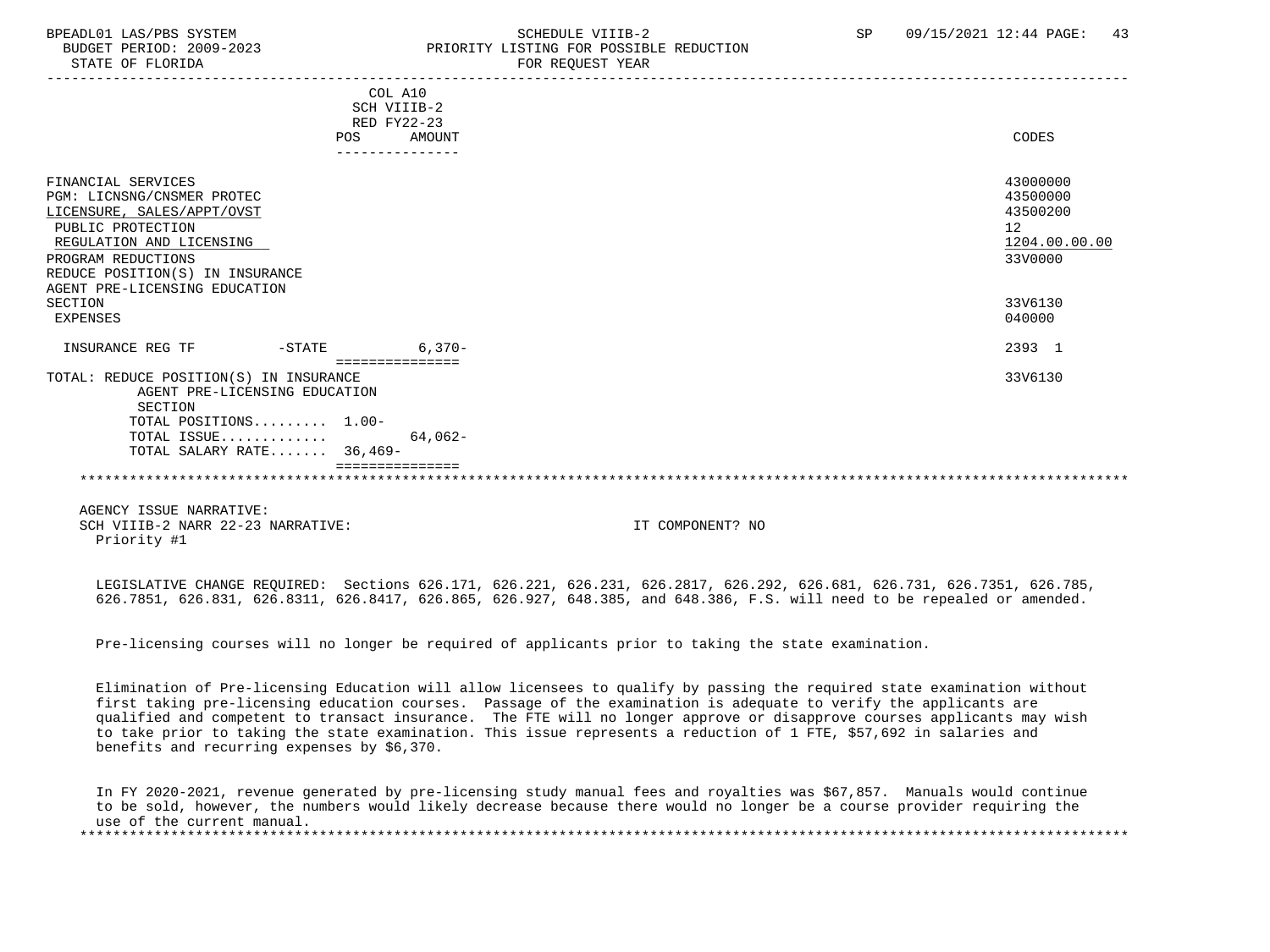## BPEADL01 LAS/PBS SYSTEM  $S$ CHEDULE VIIIB-2 SP 09/15/2021 12:44 PAGE: 43 BUDGET PERIOD: 2009-2023 PRIORITY LISTING FOR POSSIBLE REDUCTION

|                                                                                                                                                                                                                                      |                                                        | COL A10<br>SCH VIIIB-2<br>RED FY22-23 |                                                                               |
|--------------------------------------------------------------------------------------------------------------------------------------------------------------------------------------------------------------------------------------|--------------------------------------------------------|---------------------------------------|-------------------------------------------------------------------------------|
|                                                                                                                                                                                                                                      | POS                                                    | AMOUNT                                | CODES                                                                         |
|                                                                                                                                                                                                                                      |                                                        | ---------------                       |                                                                               |
| FINANCIAL SERVICES<br>PGM: LICNSNG/CNSMER PROTEC<br>LICENSURE, SALES/APPT/OVST<br>PUBLIC PROTECTION<br>REGULATION AND LICENSING<br>PROGRAM REDUCTIONS<br>REDUCE POSITION(S) IN INSURANCE<br>AGENT PRE-LICENSING EDUCATION<br>SECTION |                                                        |                                       | 43000000<br>43500000<br>43500200<br>12<br>1204.00.00.00<br>33V0000<br>33V6130 |
| EXPENSES                                                                                                                                                                                                                             |                                                        |                                       | 040000                                                                        |
| INSURANCE REG TF                                                                                                                                                                                                                     | $-STATE$                                               | $6.370 -$                             | 2393 1                                                                        |
| TOTAL: REDUCE POSITION(S) IN INSURANCE<br>SECTION                                                                                                                                                                                    | AGENT PRE-LICENSING EDUCATION<br>TOTAL POSITIONS 1.00- |                                       | 33V6130                                                                       |
|                                                                                                                                                                                                                                      | TOTAL ISSUE<br>TOTAL SALARY RATE 36,469-               | 64,062-                               |                                                                               |
|                                                                                                                                                                                                                                      |                                                        |                                       |                                                                               |
|                                                                                                                                                                                                                                      |                                                        |                                       |                                                                               |
|                                                                                                                                                                                                                                      |                                                        |                                       |                                                                               |

 AGENCY ISSUE NARRATIVE: SCH VIIIB-2 NARR 22-23 NARRATIVE: IT COMPONENT? NO Priority #1

 LEGISLATIVE CHANGE REQUIRED: Sections 626.171, 626.221, 626.231, 626.2817, 626.292, 626.681, 626.731, 626.7351, 626.785, 626.7851, 626.831, 626.8311, 626.8417, 626.865, 626.927, 648.385, and 648.386, F.S. will need to be repealed or amended.

Pre-licensing courses will no longer be required of applicants prior to taking the state examination.

 Elimination of Pre-licensing Education will allow licensees to qualify by passing the required state examination without first taking pre-licensing education courses. Passage of the examination is adequate to verify the applicants are qualified and competent to transact insurance. The FTE will no longer approve or disapprove courses applicants may wish to take prior to taking the state examination. This issue represents a reduction of 1 FTE, \$57,692 in salaries and benefits and recurring expenses by \$6,370.

 In FY 2020-2021, revenue generated by pre-licensing study manual fees and royalties was \$67,857. Manuals would continue to be sold, however, the numbers would likely decrease because there would no longer be a course provider requiring the use of the current manual. \*\*\*\*\*\*\*\*\*\*\*\*\*\*\*\*\*\*\*\*\*\*\*\*\*\*\*\*\*\*\*\*\*\*\*\*\*\*\*\*\*\*\*\*\*\*\*\*\*\*\*\*\*\*\*\*\*\*\*\*\*\*\*\*\*\*\*\*\*\*\*\*\*\*\*\*\*\*\*\*\*\*\*\*\*\*\*\*\*\*\*\*\*\*\*\*\*\*\*\*\*\*\*\*\*\*\*\*\*\*\*\*\*\*\*\*\*\*\*\*\*\*\*\*\*\*\*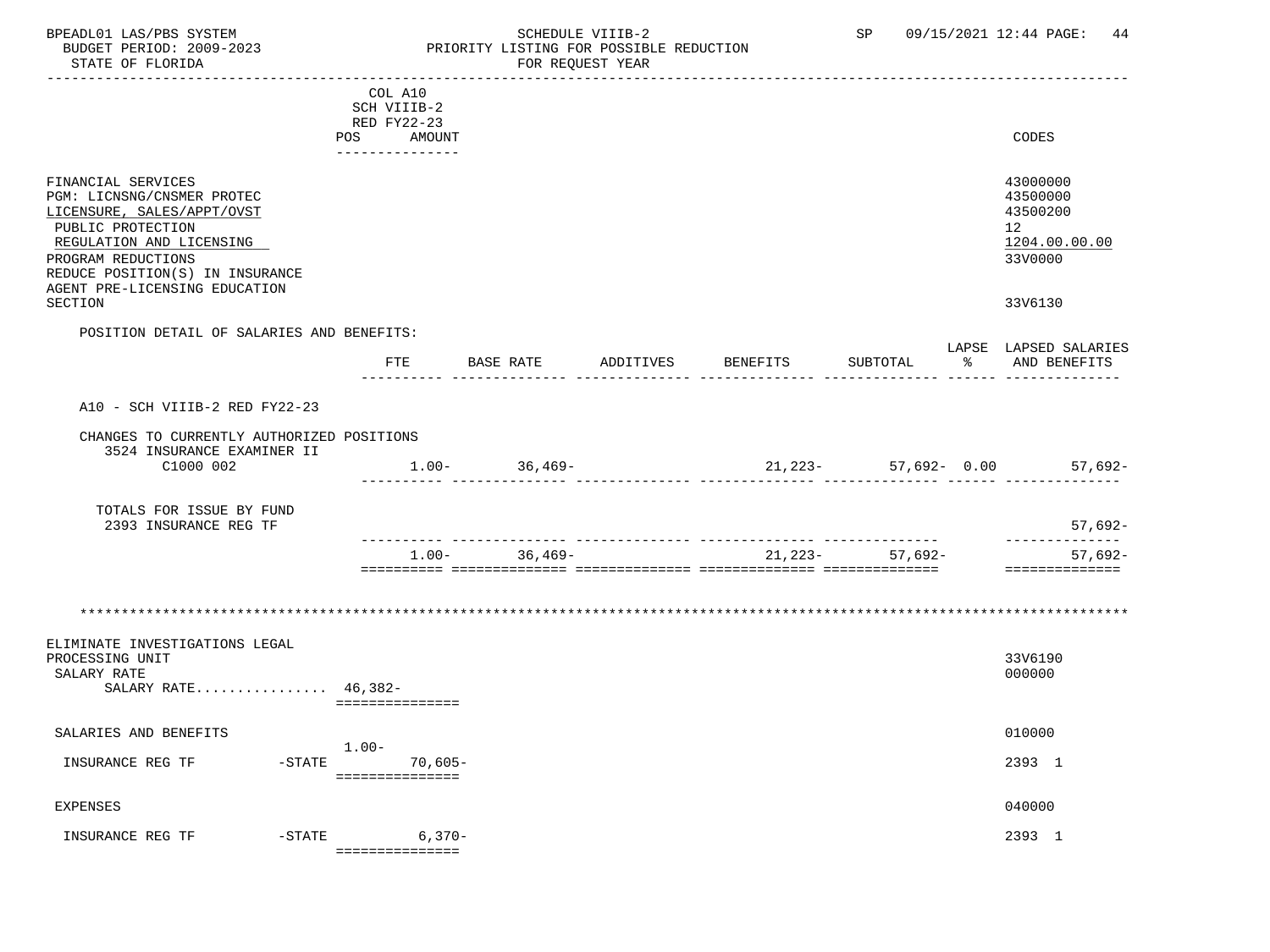## BPEADL01 LAS/PBS SYSTEM SALL SOME SOME SOME SOME SOME SOME SULLE VIIIB-2 SP 09/15/2021 12:44 PAGE: 44 BUDGET PERIOD: 2009-2023 PRIORITY LISTING FOR POSSIBLE REDUCTION

|                                                                                                                                                                                                                                      |         | COL A10<br>SCH VIIIB-2                   |                     |          |                                                     |                                                                               |
|--------------------------------------------------------------------------------------------------------------------------------------------------------------------------------------------------------------------------------------|---------|------------------------------------------|---------------------|----------|-----------------------------------------------------|-------------------------------------------------------------------------------|
|                                                                                                                                                                                                                                      | POS     | RED FY22-23<br>AMOUNT<br>_______________ |                     |          |                                                     | CODES                                                                         |
| FINANCIAL SERVICES<br>PGM: LICNSNG/CNSMER PROTEC<br>LICENSURE, SALES/APPT/OVST<br>PUBLIC PROTECTION<br>REGULATION AND LICENSING<br>PROGRAM REDUCTIONS<br>REDUCE POSITION(S) IN INSURANCE<br>AGENT PRE-LICENSING EDUCATION<br>SECTION |         |                                          |                     |          |                                                     | 43000000<br>43500000<br>43500200<br>12<br>1204.00.00.00<br>33V0000<br>33V6130 |
| POSITION DETAIL OF SALARIES AND BENEFITS:                                                                                                                                                                                            |         |                                          |                     |          |                                                     |                                                                               |
|                                                                                                                                                                                                                                      |         | FTE                                      | BASE RATE ADDITIVES | BENEFITS | SUBTOTAL                                            | LAPSE LAPSED SALARIES<br>AND BENEFITS                                         |
| A10 - SCH VIIIB-2 RED FY22-23                                                                                                                                                                                                        |         |                                          |                     |          |                                                     |                                                                               |
| CHANGES TO CURRENTLY AUTHORIZED POSITIONS<br>3524 INSURANCE EXAMINER II<br>C1000 002                                                                                                                                                 |         |                                          | $1.00 - 36,469 -$   |          | ______ __________                                   | $21,223$ - 57,692- 0.00 57,692-                                               |
| TOTALS FOR ISSUE BY FUND<br>2393 INSURANCE REG TF                                                                                                                                                                                    |         |                                          |                     |          |                                                     | $57,692-$                                                                     |
|                                                                                                                                                                                                                                      |         | $1.00 -$                                 | 36,469-             |          | _______________________________<br>$21,223-57,692-$ | -----------<br>$57,692-$                                                      |
|                                                                                                                                                                                                                                      |         |                                          |                     |          |                                                     | ==============                                                                |
| ELIMINATE INVESTIGATIONS LEGAL<br>PROCESSING UNIT<br>SALARY RATE<br>SALARY RATE 46,382-                                                                                                                                              |         | ===============                          |                     |          |                                                     | 33V6190<br>000000                                                             |
| SALARIES AND BENEFITS                                                                                                                                                                                                                |         |                                          |                     |          |                                                     | 010000                                                                        |
| INSURANCE REG TF                                                                                                                                                                                                                     | $1.00-$ | -STATE 70,605-<br>__________________     |                     |          |                                                     | 2393 1                                                                        |
| <b>EXPENSES</b>                                                                                                                                                                                                                      |         |                                          |                     |          |                                                     | 040000                                                                        |
| INSURANCE REG TF                                                                                                                                                                                                                     |         | $-STATE$ 6,370-<br>===============       |                     |          |                                                     | 2393 1                                                                        |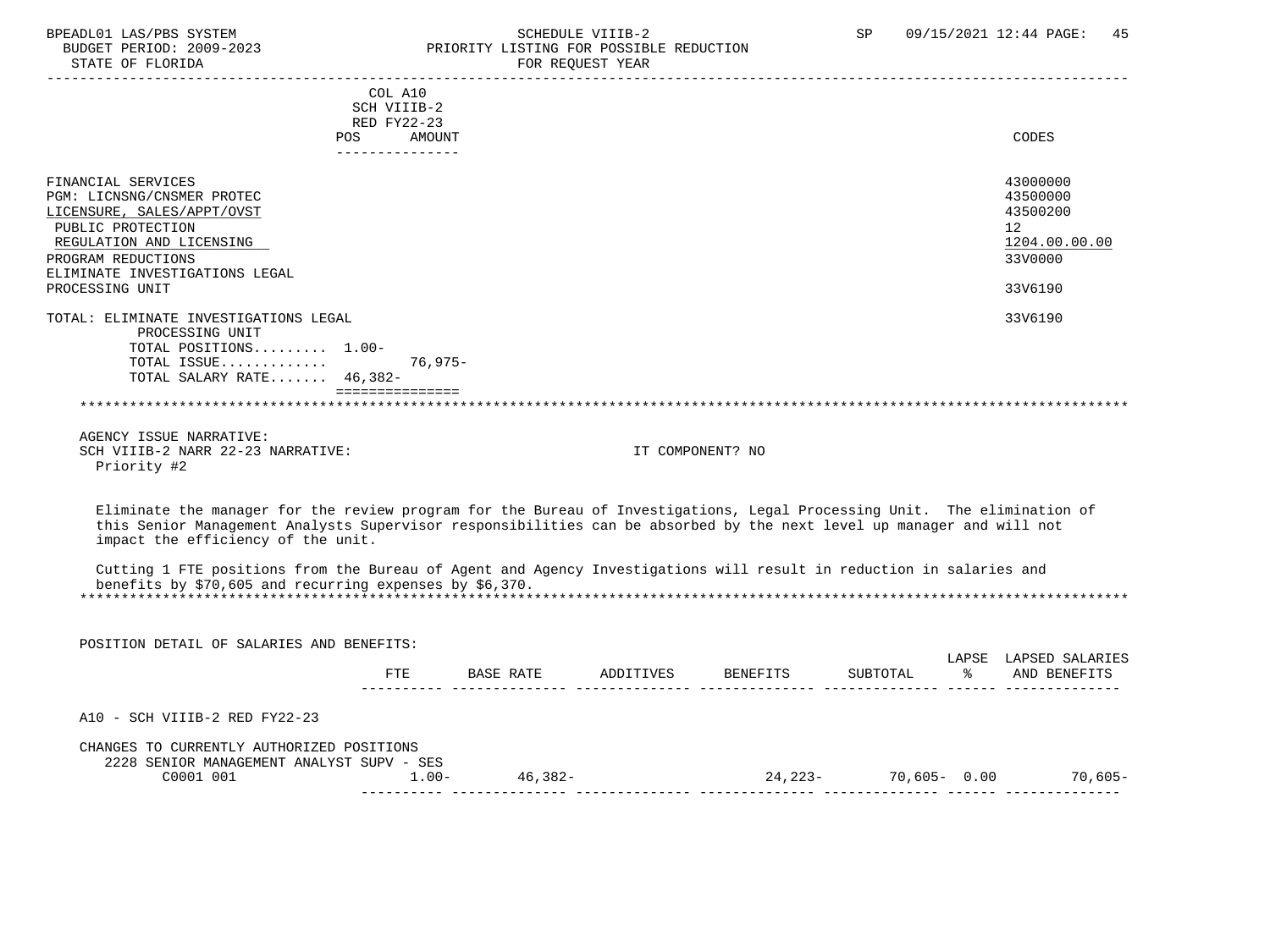| promot mw/rpp bibling<br>BUDGET PERIOD: 2009-2023<br>STATE OF FLORIDA | bullbull viid a<br>PRIORITY LISTING FOR POSSIBLE REDUCTION<br>FOR REQUEST YEAR | ັບ⊥ | $0.77$ $1.0021$ $1.27$ $1.1$ $1.101$ |
|-----------------------------------------------------------------------|--------------------------------------------------------------------------------|-----|--------------------------------------|
|                                                                       | COL A10<br>SCH VIIIB-2<br>RED FY22-23<br>AMOUNT<br>POS                         |     | CODES                                |
|                                                                       |                                                                                |     |                                      |

| FINANCIAL SERVICES                    | 43000000      |
|---------------------------------------|---------------|
| PGM: LICNSNG/CNSMER PROTEC            | 43500000      |
| LICENSURE, SALES/APPT/OVST            | 43500200      |
| PUBLIC PROTECTION                     | 12            |
| REGULATION AND LICENSING              | 1204.00.00.00 |
| PROGRAM REDUCTIONS                    | 33V0000       |
| ELIMINATE INVESTIGATIONS LEGAL        |               |
| PROCESSING UNIT                       | 33V6190       |
|                                       |               |
| TOTAL: ELIMINATE INVESTIGATIONS LEGAL | 33V6190       |
| PROCESSING UNIT                       |               |
| TOTAL POSITIONS 1.00-                 |               |
| TOTAL ISSUE<br>76,975-                |               |
| TOTAL SALARY RATE 46,382-             |               |
|                                       |               |
|                                       |               |
|                                       |               |
|                                       |               |

|  |             | AGENCY ISSUE NARRATIVE: |                                   |
|--|-------------|-------------------------|-----------------------------------|
|  |             |                         | SCH VIIIB-2 NARR 22-23 NARRATIVE: |
|  | Priority #2 |                         |                                   |

IT COMPONENT? NO

 Eliminate the manager for the review program for the Bureau of Investigations, Legal Processing Unit. The elimination of this Senior Management Analysts Supervisor responsibilities can be absorbed by the next level up manager and will not impact the efficiency of the unit.

 Cutting 1 FTE positions from the Bureau of Agent and Agency Investigations will result in reduction in salaries and benefits by \$70,605 and recurring expenses by \$6,370. \*\*\*\*\*\*\*\*\*\*\*\*\*\*\*\*\*\*\*\*\*\*\*\*\*\*\*\*\*\*\*\*\*\*\*\*\*\*\*\*\*\*\*\*\*\*\*\*\*\*\*\*\*\*\*\*\*\*\*\*\*\*\*\*\*\*\*\*\*\*\*\*\*\*\*\*\*\*\*\*\*\*\*\*\*\*\*\*\*\*\*\*\*\*\*\*\*\*\*\*\*\*\*\*\*\*\*\*\*\*\*\*\*\*\*\*\*\*\*\*\*\*\*\*\*\*\*

 POSITION DETAIL OF SALARIES AND BENEFITS: LAPSE LAPSED SALARIES FTE BASE RATE ADDITIVES BENEFITS SUBTOTAL % AND BENEFITS ---------- -------------- -------------- -------------- -------------- ------ -------------- A10 - SCH VIIIB-2 RED FY22-23 CHANGES TO CURRENTLY AUTHORIZED POSITIONS 2228 SENIOR MANAGEMENT ANALYST SUPV - SES C0001 001 1.00- 46,382- 24,223- 70,605- 0.00 70,605- ---------- -------------- -------------- -------------- -------------- ------ --------------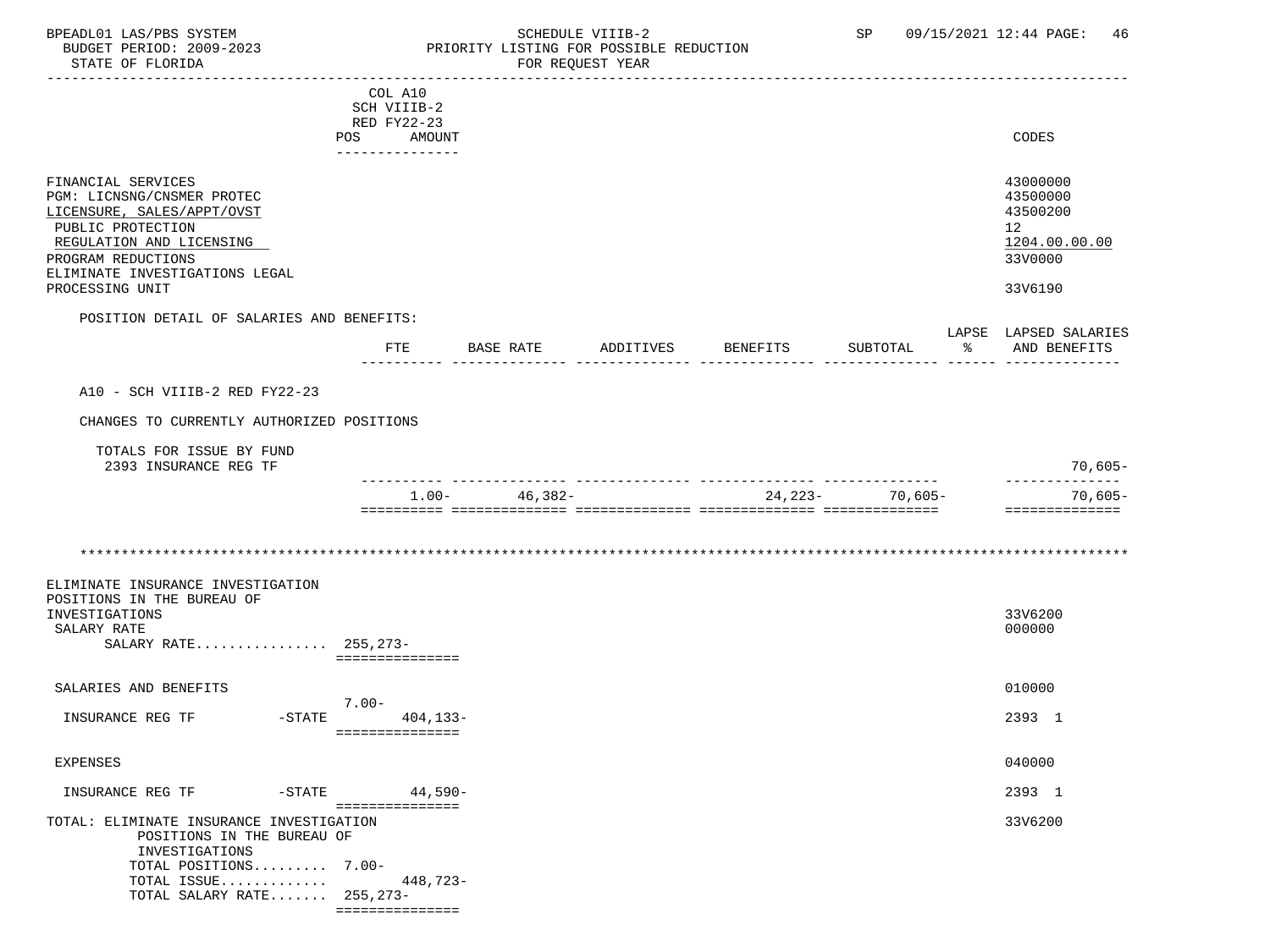### BPEADL01 LAS/PBS SYSTEM SALLE SOME SCHEDULE VIIIB-2 SCHEDULE SOME SP 09/15/2021 12:44 PAGE: 46 BUDGET PERIOD: 2009-2023 PRIORITY LISTING FOR POSSIBLE REDUCTION<br>STATE OF FLORIDA POR REQUEST YEAR FOR REQUEST YEAR

|                                                                                                                                                                                                            | COL A10<br>SCH VIIIB-2<br>RED FY22-23   |                   |           |          |                  |                                                                                            |
|------------------------------------------------------------------------------------------------------------------------------------------------------------------------------------------------------------|-----------------------------------------|-------------------|-----------|----------|------------------|--------------------------------------------------------------------------------------------|
|                                                                                                                                                                                                            | POS AMOUNT<br>_______________           |                   |           |          |                  | CODES                                                                                      |
| FINANCIAL SERVICES<br>PGM: LICNSNG/CNSMER PROTEC<br>LICENSURE, SALES/APPT/OVST<br>PUBLIC PROTECTION<br>REGULATION AND LICENSING<br>PROGRAM REDUCTIONS<br>ELIMINATE INVESTIGATIONS LEGAL<br>PROCESSING UNIT |                                         |                   |           |          |                  | 43000000<br>43500000<br>43500200<br>12 <sup>°</sup><br>1204.00.00.00<br>33V0000<br>33V6190 |
| POSITION DETAIL OF SALARIES AND BENEFITS:                                                                                                                                                                  |                                         |                   |           |          |                  | LAPSE LAPSED SALARIES                                                                      |
|                                                                                                                                                                                                            | FTE                                     | BASE RATE         | ADDITIVES | BENEFITS | SUBTOTAL         | % AND BENEFITS                                                                             |
| A10 - SCH VIIIB-2 RED FY22-23                                                                                                                                                                              |                                         |                   |           |          |                  |                                                                                            |
| CHANGES TO CURRENTLY AUTHORIZED POSITIONS                                                                                                                                                                  |                                         |                   |           |          |                  |                                                                                            |
| TOTALS FOR ISSUE BY FUND<br>2393 INSURANCE REG TF                                                                                                                                                          |                                         |                   |           |          |                  | $70,605-$                                                                                  |
|                                                                                                                                                                                                            |                                         | $1.00 - 46,382 -$ |           |          | $24,223-70,605-$ | ---------------<br>70,605-                                                                 |
|                                                                                                                                                                                                            |                                         |                   |           |          |                  | ==============                                                                             |
|                                                                                                                                                                                                            |                                         |                   |           |          |                  |                                                                                            |
| ELIMINATE INSURANCE INVESTIGATION<br>POSITIONS IN THE BUREAU OF<br>INVESTIGATIONS<br>SALARY RATE<br>SALARY RATE 255,273-                                                                                   | ===============                         |                   |           |          |                  | 33V6200<br>000000                                                                          |
| SALARIES AND BENEFITS                                                                                                                                                                                      | $7.00 -$                                |                   |           |          |                  | 010000                                                                                     |
| INSURANCE REG TF                                                                                                                                                                                           | $-STATE$<br>404,133-<br>=============== |                   |           |          |                  | 2393 1                                                                                     |
| EXPENSES                                                                                                                                                                                                   |                                         |                   |           |          |                  | 040000                                                                                     |
|                                                                                                                                                                                                            | $44.590 -$<br>===============           |                   |           |          |                  | 2393 1                                                                                     |
| TOTAL: ELIMINATE INSURANCE INVESTIGATION<br>POSITIONS IN THE BUREAU OF<br>INVESTIGATIONS<br>TOTAL POSITIONS 7.00-<br>TOTAL ISSUE<br>TOTAL SALARY RATE 255,273-                                             | 448,723-<br>===============             |                   |           |          |                  | 33V6200                                                                                    |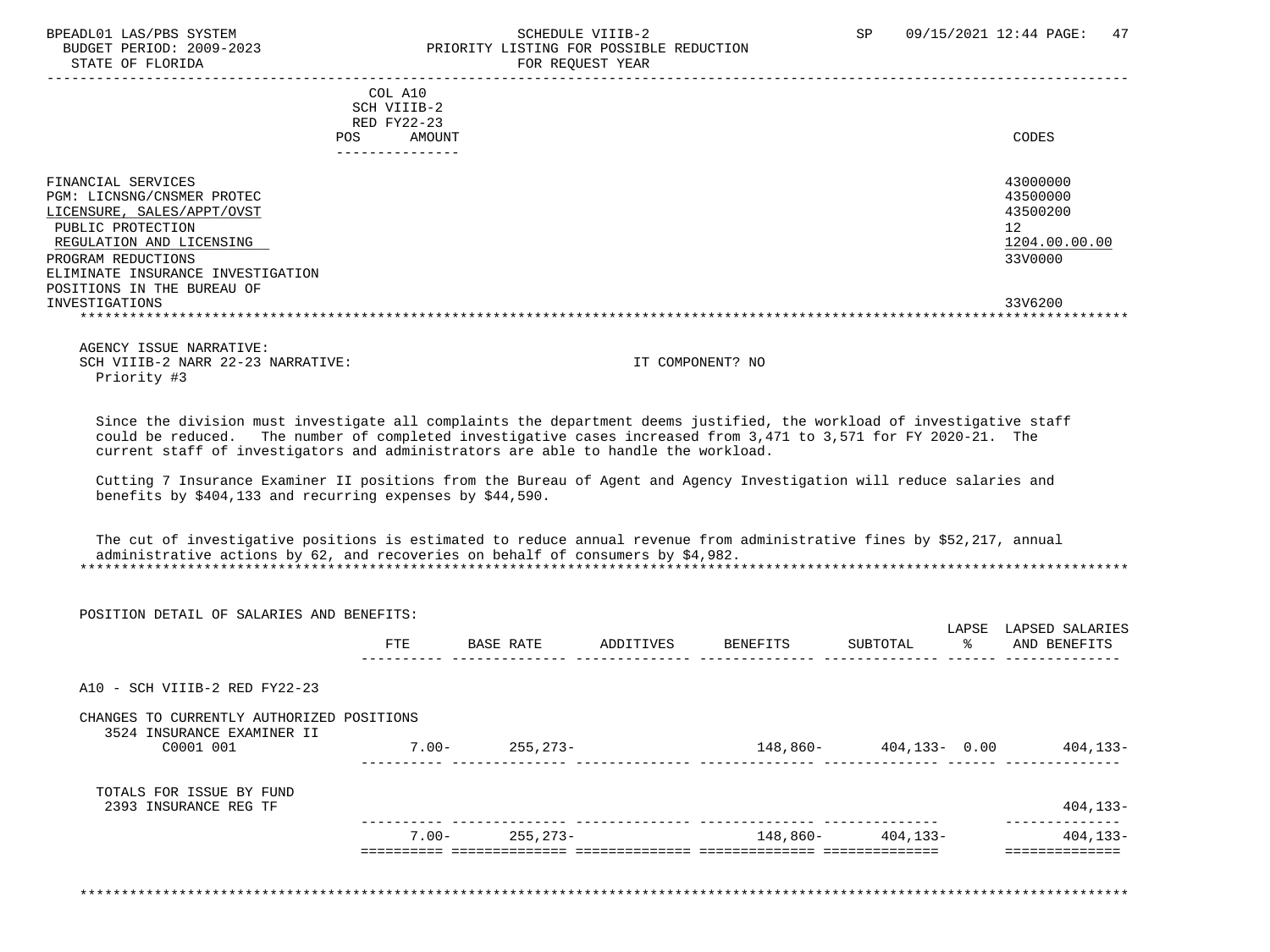### BPEADL01 LAS/PBS SYSTEM STRING THE SCHEDULE VIIIB-2 SCHEDULE SCHEDULE SP 09/15/2021 12:44 PAGE: 47 BUDGET PERIOD: 2009-2023<br>
STATE OF FLORIDA<br>
FOR REOUEST YEAR FOR REQUEST YEAR

|                                   | COL A10     |               |
|-----------------------------------|-------------|---------------|
|                                   | SCH VIIIB-2 |               |
|                                   | RED FY22-23 |               |
| POS.                              | AMOUNT      | CODES         |
|                                   |             |               |
| FINANCIAL SERVICES                |             | 43000000      |
|                                   |             |               |
| PGM: LICNSNG/CNSMER PROTEC        |             | 43500000      |
| LICENSURE, SALES/APPT/OVST        |             | 43500200      |
| PUBLIC PROTECTION                 |             | 12            |
| REGULATION AND LICENSING          |             | 1204.00.00.00 |
| PROGRAM REDUCTIONS                |             | 33V0000       |
| ELIMINATE INSURANCE INVESTIGATION |             |               |
| POSITIONS IN THE BUREAU OF        |             |               |
| INVESTIGATIONS                    |             | 33V6200       |
|                                   |             |               |
|                                   |             |               |

 AGENCY ISSUE NARRATIVE: SCH VIIIB-2 NARR 22-23 NARRATIVE: IT COMPONENT? NO Priority #3

 Since the division must investigate all complaints the department deems justified, the workload of investigative staff could be reduced. The number of completed investigative cases increased from 3,471 to 3,571 for FY 2020-21. The current staff of investigators and administrators are able to handle the workload.

 Cutting 7 Insurance Examiner II positions from the Bureau of Agent and Agency Investigation will reduce salaries and benefits by \$404,133 and recurring expenses by \$44,590.

 The cut of investigative positions is estimated to reduce annual revenue from administrative fines by \$52,217, annual administrative actions by 62, and recoveries on behalf of consumers by \$4,982. \*\*\*\*\*\*\*\*\*\*\*\*\*\*\*\*\*\*\*\*\*\*\*\*\*\*\*\*\*\*\*\*\*\*\*\*\*\*\*\*\*\*\*\*\*\*\*\*\*\*\*\*\*\*\*\*\*\*\*\*\*\*\*\*\*\*\*\*\*\*\*\*\*\*\*\*\*\*\*\*\*\*\*\*\*\*\*\*\*\*\*\*\*\*\*\*\*\*\*\*\*\*\*\*\*\*\*\*\*\*\*\*\*\*\*\*\*\*\*\*\*\*\*\*\*\*\*

| POSITION DETAIL OF SALARIES AND BENEFITS:                               |            |           |           |          |                           |                                 |
|-------------------------------------------------------------------------|------------|-----------|-----------|----------|---------------------------|---------------------------------|
|                                                                         | <b>FTE</b> | BASE RATE | ADDITIVES | BENEFITS | LAPSE<br>ော ေ<br>SUBTOTAL | LAPSED SALARIES<br>AND BENEFITS |
| A10 - SCH VIIIB-2 RED FY22-23                                           |            |           |           |          |                           |                                 |
| CHANGES TO CURRENTLY AUTHORIZED POSITIONS<br>3524 INSURANCE EXAMINER II |            |           |           |          |                           |                                 |
| C0001 001                                                               | $7.00 -$   | 255,273-  |           |          | 148,860- 404,133- 0.00    | 404,133-                        |
| TOTALS FOR ISSUE BY FUND<br>2393 INSURANCE REG TF                       |            |           |           |          |                           | $404, 133 -$                    |
|                                                                         | 7.00-      | 255,273-  |           | 148,860- | 404,133-                  | 404,133-                        |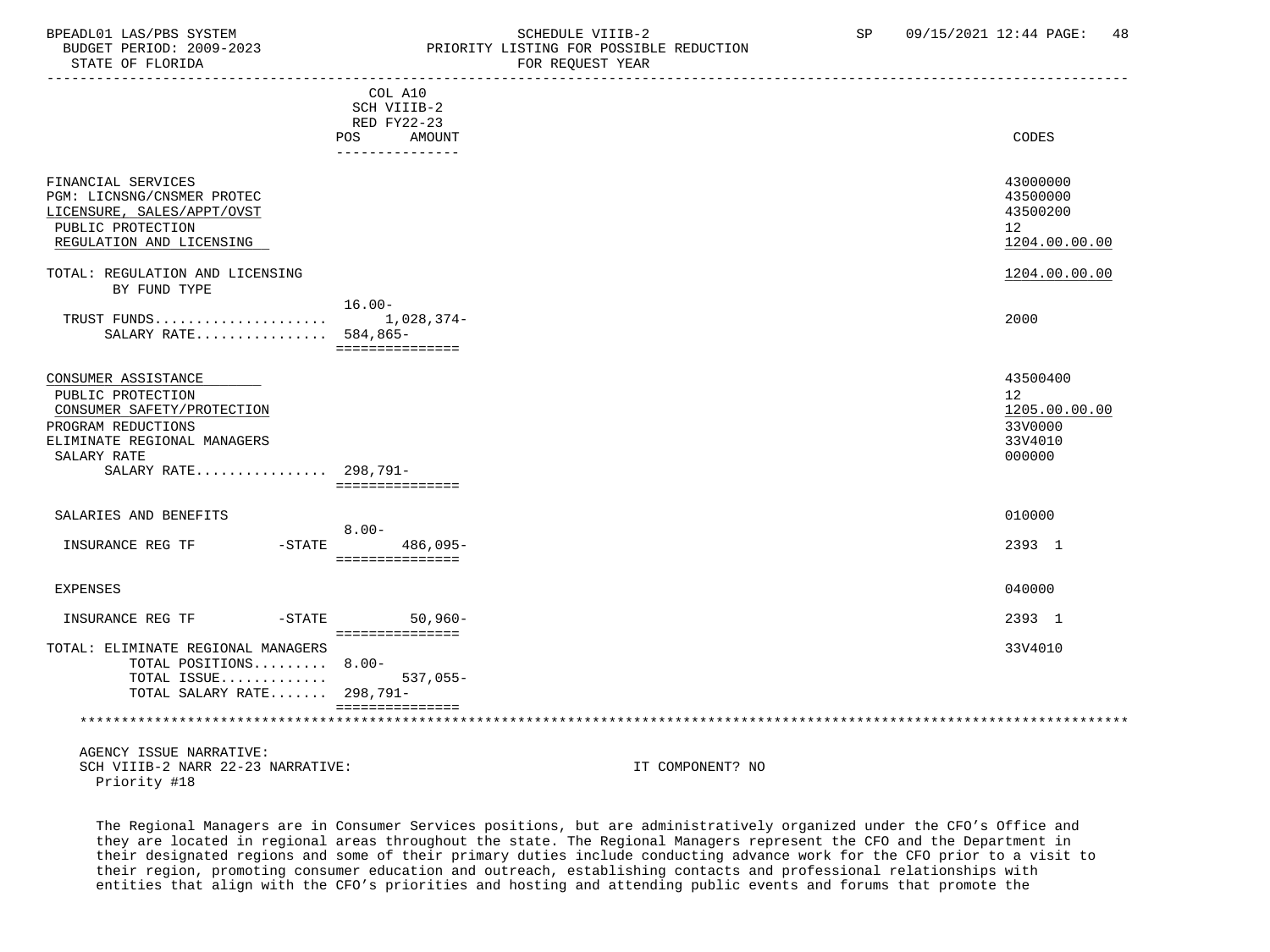### BPEADL01 LAS/PBS SYSTEM SOHEDULE VIIIB-2 SCHEDULE VIIIB-2 SP 09/15/2021 12:44 PAGE: 48 PRIORITY LISTING FOR POSSIBLE REDUCTION STATE OF FLORIDA FOR REQUEST YEAR FOR REQUEST YEAR

|                                                                                                                                                                    | COL A10<br>SCH VIIIB-2<br>RED FY22-23<br>AMOUNT<br>POS |                  | CODES                                                           |
|--------------------------------------------------------------------------------------------------------------------------------------------------------------------|--------------------------------------------------------|------------------|-----------------------------------------------------------------|
|                                                                                                                                                                    | ---------------                                        |                  |                                                                 |
| FINANCIAL SERVICES<br>PGM: LICNSNG/CNSMER PROTEC<br>LICENSURE, SALES/APPT/OVST<br>PUBLIC PROTECTION<br>REGULATION AND LICENSING                                    |                                                        |                  | 43000000<br>43500000<br>43500200<br>12<br>1204.00.00.00         |
| TOTAL: REGULATION AND LICENSING                                                                                                                                    |                                                        |                  | 1204.00.00.00                                                   |
| BY FUND TYPE                                                                                                                                                       |                                                        |                  |                                                                 |
| SALARY RATE 584,865-                                                                                                                                               | $16.00 -$<br>===============                           |                  | 2000                                                            |
| CONSUMER ASSISTANCE<br>PUBLIC PROTECTION<br>CONSUMER SAFETY/PROTECTION<br>PROGRAM REDUCTIONS<br>ELIMINATE REGIONAL MANAGERS<br>SALARY RATE<br>SALARY RATE 298,791- | ===============                                        |                  | 43500400<br>12<br>1205.00.00.00<br>33V0000<br>33V4010<br>000000 |
| SALARIES AND BENEFITS                                                                                                                                              | $8.00 -$                                               |                  | 010000                                                          |
| INSURANCE REG TF                                                                                                                                                   | -STATE 486,095-<br>===============                     |                  | 2393 1                                                          |
| <b>EXPENSES</b>                                                                                                                                                    |                                                        |                  | 040000                                                          |
| INSURANCE REG TF<br>$-STATE$                                                                                                                                       | $50,960 -$<br>===============                          |                  | 2393 1                                                          |
| TOTAL: ELIMINATE REGIONAL MANAGERS<br>TOTAL POSITIONS 8.00-<br>TOTAL ISSUE<br>TOTAL SALARY RATE 298,791-                                                           | $537,055-$<br>===============                          |                  | 33V4010                                                         |
|                                                                                                                                                                    |                                                        |                  |                                                                 |
| AGENCY ISSUE NARRATIVE:<br>SCH VIIIB-2 NARR 22-23 NARRATIVE:<br>Priority #18                                                                                       |                                                        | IT COMPONENT? NO |                                                                 |

 The Regional Managers are in Consumer Services positions, but are administratively organized under the CFO's Office and they are located in regional areas throughout the state. The Regional Managers represent the CFO and the Department in their designated regions and some of their primary duties include conducting advance work for the CFO prior to a visit to their region, promoting consumer education and outreach, establishing contacts and professional relationships with entities that align with the CFO's priorities and hosting and attending public events and forums that promote the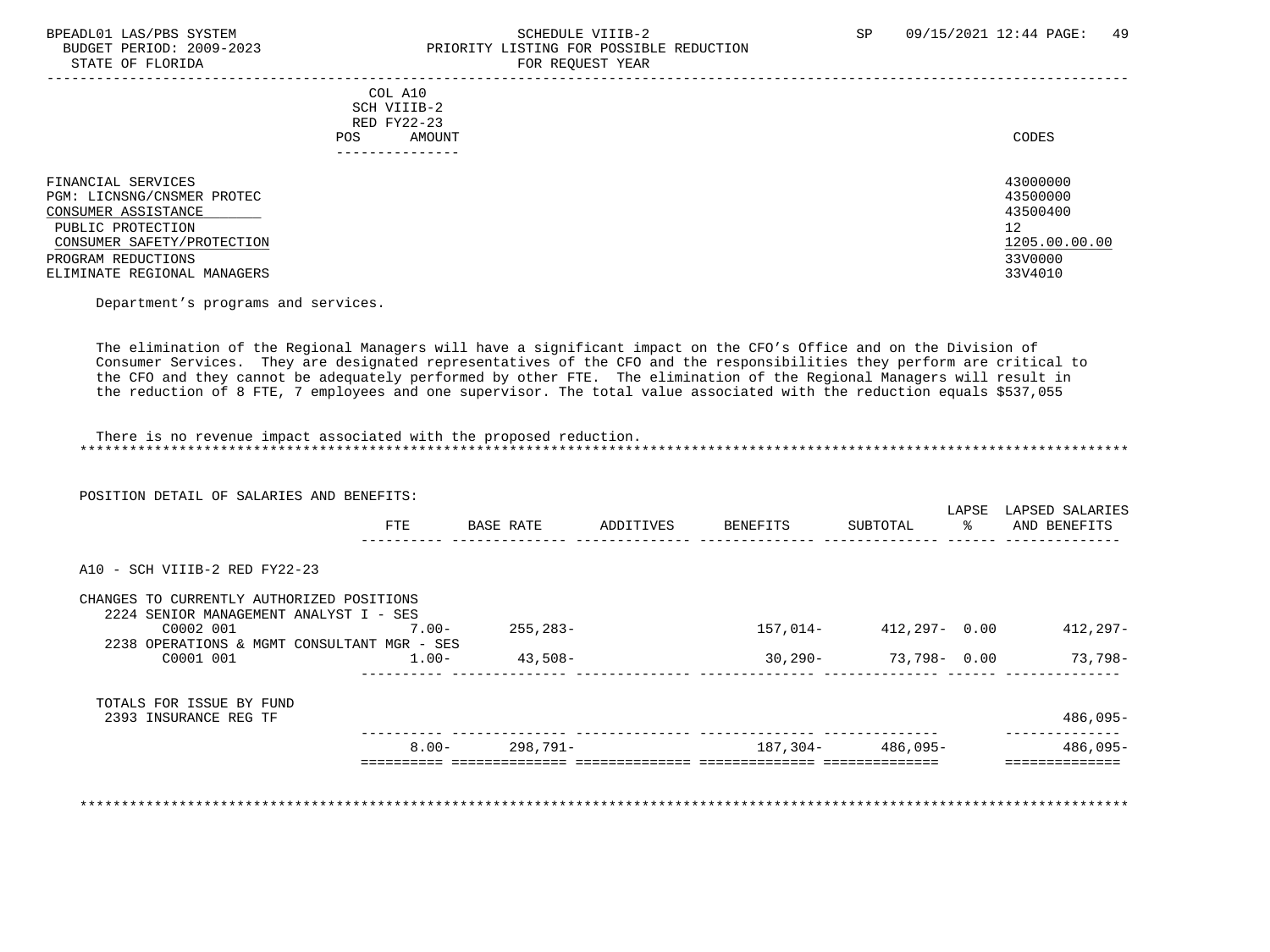### BPEADL01 LAS/PBS SYSTEM STRING THE SCHEDULE VIIIB-2 SCHEDULE SCHEDULE SP 09/15/2021 12:44 PAGE: 49 PRIORITY LISTING FOR POSSIBLE REDUCTION STATE OF FLORIDA FOR REQUEST YEAR

|                                                                                                                                                                                 | COL A10<br>SCH VIIIB-2<br>RED FY22-23<br>AMOUNT<br>POS<br>------------- | CODES                                                                         |
|---------------------------------------------------------------------------------------------------------------------------------------------------------------------------------|-------------------------------------------------------------------------|-------------------------------------------------------------------------------|
| FINANCIAL SERVICES<br>PGM: LICNSNG/CNSMER PROTEC<br>CONSUMER ASSISTANCE<br>PUBLIC PROTECTION<br>CONSUMER SAFETY/PROTECTION<br>PROGRAM REDUCTIONS<br>ELIMINATE REGIONAL MANAGERS |                                                                         | 43000000<br>43500000<br>43500400<br>12<br>1205.00.00.00<br>33V0000<br>33V4010 |

Department's programs and services.

 The elimination of the Regional Managers will have a significant impact on the CFO's Office and on the Division of Consumer Services. They are designated representatives of the CFO and the responsibilities they perform are critical to the CFO and they cannot be adequately performed by other FTE. The elimination of the Regional Managers will result in the reduction of 8 FTE, 7 employees and one supervisor. The total value associated with the reduction equals \$537,055

 There is no revenue impact associated with the proposed reduction. \*\*\*\*\*\*\*\*\*\*\*\*\*\*\*\*\*\*\*\*\*\*\*\*\*\*\*\*\*\*\*\*\*\*\*\*\*\*\*\*\*\*\*\*\*\*\*\*\*\*\*\*\*\*\*\*\*\*\*\*\*\*\*\*\*\*\*\*\*\*\*\*\*\*\*\*\*\*\*\*\*\*\*\*\*\*\*\*\*\*\*\*\*\*\*\*\*\*\*\*\*\*\*\*\*\*\*\*\*\*\*\*\*\*\*\*\*\*\*\*\*\*\*\*\*\*\*

|                                             |                                                           |                           |           |          | LAPSE                                     | LAPSED SALARIES<br>AND BENEFITS                             |
|---------------------------------------------|-----------------------------------------------------------|---------------------------|-----------|----------|-------------------------------------------|-------------------------------------------------------------|
|                                             |                                                           |                           |           |          |                                           |                                                             |
|                                             |                                                           |                           |           |          |                                           |                                                             |
| CHANGES TO CURRENTLY AUTHORIZED POSITIONS   |                                                           |                           |           |          |                                           |                                                             |
|                                             |                                                           |                           |           |          |                                           | $412,297-$                                                  |
| 2238 OPERATIONS & MGMT CONSULTANT MGR - SES |                                                           |                           |           |          |                                           |                                                             |
| $1.00-$                                     | $43,508-$                                                 |                           |           |          |                                           | $73,798-$                                                   |
|                                             |                                                           |                           |           |          |                                           |                                                             |
|                                             |                                                           |                           |           |          |                                           | $486,095-$                                                  |
| $8.00 -$                                    | 298,791-                                                  |                           |           |          |                                           | 486,095-                                                    |
|                                             | FTE<br>2224 SENIOR MANAGEMENT ANALYST I - SES<br>$7.00 -$ | BASE RATE<br>$255, 283 -$ | ADDITIVES | BENEFITS | SUBTOTAL<br>157,014-<br>187,304- 486,095- | $rac{1}{\sqrt{2}}$<br>412,297- 0.00<br>30,290- 73,798- 0.00 |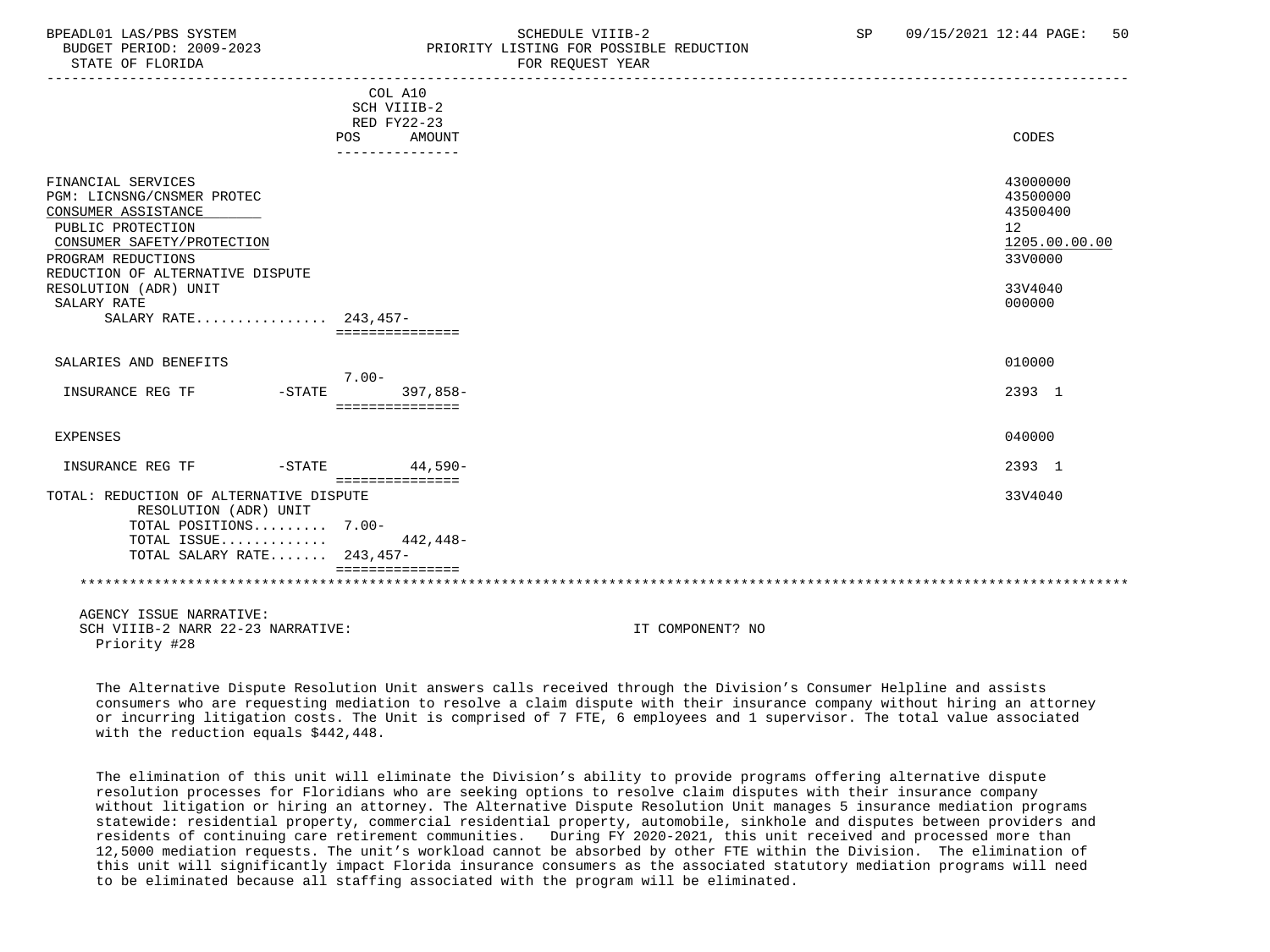## BPEADL01 LAS/PBS SYSTEM SALL SOLUTION SCHEDULE VIIIB-2 SP 09/15/2021 12:44 PAGE: 50 BUDGET PERIOD: 2009-2023 PRIORITY LISTING FOR POSSIBLE REDUCTION

-----------------------------------------------------------------------------------------------------------------------------------

|                                                                                                                                                                                                                                                      | COL A10<br>SCH VIIIB-2    |                  |                                                                                                      |
|------------------------------------------------------------------------------------------------------------------------------------------------------------------------------------------------------------------------------------------------------|---------------------------|------------------|------------------------------------------------------------------------------------------------------|
|                                                                                                                                                                                                                                                      | RED FY22-23<br><b>POS</b> | AMOUNT           | CODES                                                                                                |
|                                                                                                                                                                                                                                                      | ---------------           |                  |                                                                                                      |
| FINANCIAL SERVICES<br>PGM: LICNSNG/CNSMER PROTEC<br>CONSUMER ASSISTANCE<br>PUBLIC PROTECTION<br>CONSUMER SAFETY/PROTECTION<br>PROGRAM REDUCTIONS<br>REDUCTION OF ALTERNATIVE DISPUTE<br>RESOLUTION (ADR) UNIT<br>SALARY RATE<br>SALARY RATE 243.457- | ===============           |                  | 43000000<br>43500000<br>43500400<br>12 <sup>°</sup><br>1205.00.00.00<br>33V0000<br>33V4040<br>000000 |
| SALARIES AND BENEFITS                                                                                                                                                                                                                                | $7.00 -$                  |                  | 010000                                                                                               |
| INSURANCE REG TF<br>$-STATE$                                                                                                                                                                                                                         | ===============           | $397.858 -$      | 2393 1                                                                                               |
| <b>EXPENSES</b>                                                                                                                                                                                                                                      |                           |                  | 040000                                                                                               |
| INSURANCE REG TF<br>$-STATE$                                                                                                                                                                                                                         | ===============           | $44,590-$        | 2393 1                                                                                               |
| TOTAL: REDUCTION OF ALTERNATIVE DISPUTE<br>RESOLUTION (ADR) UNIT<br>TOTAL POSITIONS 7.00-                                                                                                                                                            |                           |                  | 33V4040                                                                                              |
| TOTAL ISSUE<br>TOTAL SALARY RATE 243,457-                                                                                                                                                                                                            |                           | 442,448-         |                                                                                                      |
|                                                                                                                                                                                                                                                      |                           |                  |                                                                                                      |
| AGENCY ISSUE NARRATIVE:<br>SCH VIIIB-2 NARR 22-23 NARRATIVE:                                                                                                                                                                                         |                           | IT COMPONENT? NO |                                                                                                      |

Priority #28

 The Alternative Dispute Resolution Unit answers calls received through the Division's Consumer Helpline and assists consumers who are requesting mediation to resolve a claim dispute with their insurance company without hiring an attorney or incurring litigation costs. The Unit is comprised of 7 FTE, 6 employees and 1 supervisor. The total value associated with the reduction equals \$442,448.

 The elimination of this unit will eliminate the Division's ability to provide programs offering alternative dispute resolution processes for Floridians who are seeking options to resolve claim disputes with their insurance company without litigation or hiring an attorney. The Alternative Dispute Resolution Unit manages 5 insurance mediation programs statewide: residential property, commercial residential property, automobile, sinkhole and disputes between providers and residents of continuing care retirement communities. During FY 2020-2021, this unit received and processed more than 12,5000 mediation requests. The unit's workload cannot be absorbed by other FTE within the Division. The elimination of this unit will significantly impact Florida insurance consumers as the associated statutory mediation programs will need to be eliminated because all staffing associated with the program will be eliminated.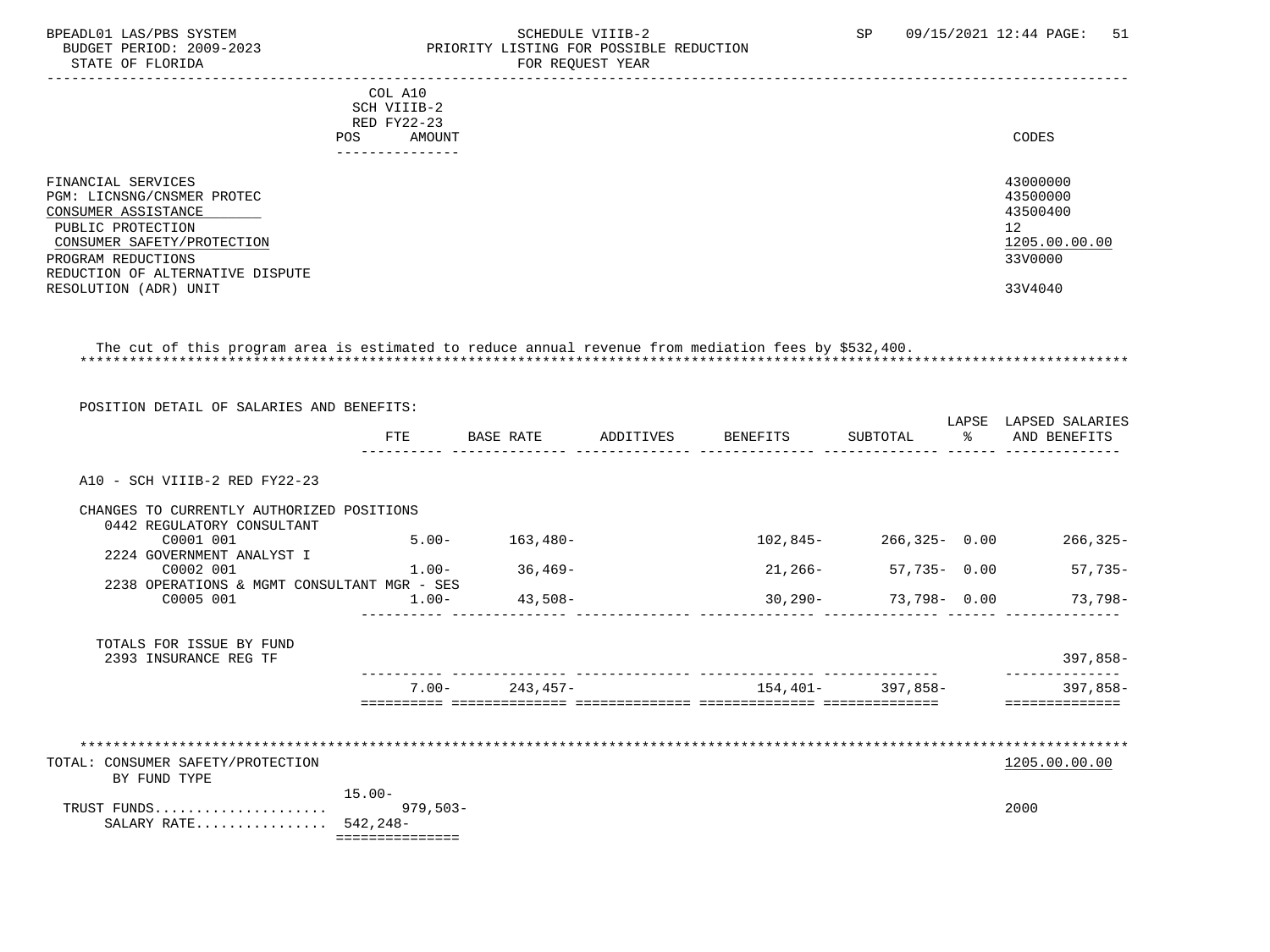### BPEADL01 LAS/PBS SYSTEM STREM SCHEDULE VIIIB-2 SCHEDULE VIIIB-2 SP 09/15/2021 12:44 PAGE: 51 BUDGET PERIOD: 2009-2023 PRIORITY LISTING FOR POSSIBLE REDUCTION<br>FOR REQUEST YEAR FOR REQUEST YEAR

| COL A10<br>SCH VIIIB-2<br>RED FY22-23<br>AMOUNT<br>POS.<br>-------------                                                                                                             | CODES                                                              |
|--------------------------------------------------------------------------------------------------------------------------------------------------------------------------------------|--------------------------------------------------------------------|
| FINANCIAL SERVICES<br>PGM: LICNSNG/CNSMER PROTEC<br>CONSUMER ASSISTANCE<br>PUBLIC PROTECTION<br>CONSUMER SAFETY/PROTECTION<br>PROGRAM REDUCTIONS<br>REDUCTION OF ALTERNATIVE DISPUTE | 43000000<br>43500000<br>43500400<br>12<br>1205.00.00.00<br>33V0000 |
| RESOLUTION (ADR) UNIT                                                                                                                                                                | 33V4040                                                            |

 The cut of this program area is estimated to reduce annual revenue from mediation fees by \$532,400. \*\*\*\*\*\*\*\*\*\*\*\*\*\*\*\*\*\*\*\*\*\*\*\*\*\*\*\*\*\*\*\*\*\*\*\*\*\*\*\*\*\*\*\*\*\*\*\*\*\*\*\*\*\*\*\*\*\*\*\*\*\*\*\*\*\*\*\*\*\*\*\*\*\*\*\*\*\*\*\*\*\*\*\*\*\*\*\*\*\*\*\*\*\*\*\*\*\*\*\*\*\*\*\*\*\*\*\*\*\*\*\*\*\*\*\*\*\*\*\*\*\*\*\*\*\*\*

| POSITION DETAIL OF SALARIES AND BENEFITS:   |                 |                  |                               |                   |                                         |
|---------------------------------------------|-----------------|------------------|-------------------------------|-------------------|-----------------------------------------|
|                                             | FTE             | <b>BASE RATE</b> | ADDITIVES BENEFITS            | SUBTOTAL          | LAPSE LAPSED SALARIES<br>% AND BENEFITS |
| A10 - SCH VIIIB-2 RED FY22-23               |                 |                  |                               |                   |                                         |
| CHANGES TO CURRENTLY AUTHORIZED POSITIONS   |                 |                  |                               |                   |                                         |
| 0442 REGULATORY CONSULTANT                  |                 |                  |                               |                   |                                         |
| C0001 001                                   | $5.00 -$        | $163,480-$       | 102,845-                      | $266,325 - 0.00$  | $266, 325 -$                            |
| 2224 GOVERNMENT ANALYST I                   |                 |                  |                               |                   |                                         |
| C0002 001                                   | $1.00 -$        | $36,469-$        | 21,266-                       | 57,735- 0.00      | $57,735-$                               |
| 2238 OPERATIONS & MGMT CONSULTANT MGR - SES |                 |                  |                               |                   |                                         |
| C0005 001                                   | $1.00 -$        | 43,508-          | 30,290-                       | 73,798-0.00       | 73,798-                                 |
| TOTALS FOR ISSUE BY FUND                    |                 |                  |                               |                   |                                         |
| 2393 INSURANCE REG TF                       |                 |                  |                               |                   | $397,858-$                              |
|                                             | $7.00 -$        | 243,457-         | ------------- --------------- | 154.401- 397.858- | $397.858 -$                             |
|                                             |                 |                  |                               |                   |                                         |
|                                             |                 |                  |                               |                   |                                         |
| TOTAL: CONSUMER SAFETY/PROTECTION           |                 |                  |                               |                   | 1205.00.00.00                           |
| BY FUND TYPE                                |                 |                  |                               |                   |                                         |
|                                             | $15.00 -$       |                  |                               |                   |                                         |
| TRUST FUNDS                                 | $979,503-$      |                  |                               |                   | 2000                                    |
| SALARY RATE 542,248-                        |                 |                  |                               |                   |                                         |
|                                             | =============== |                  |                               |                   |                                         |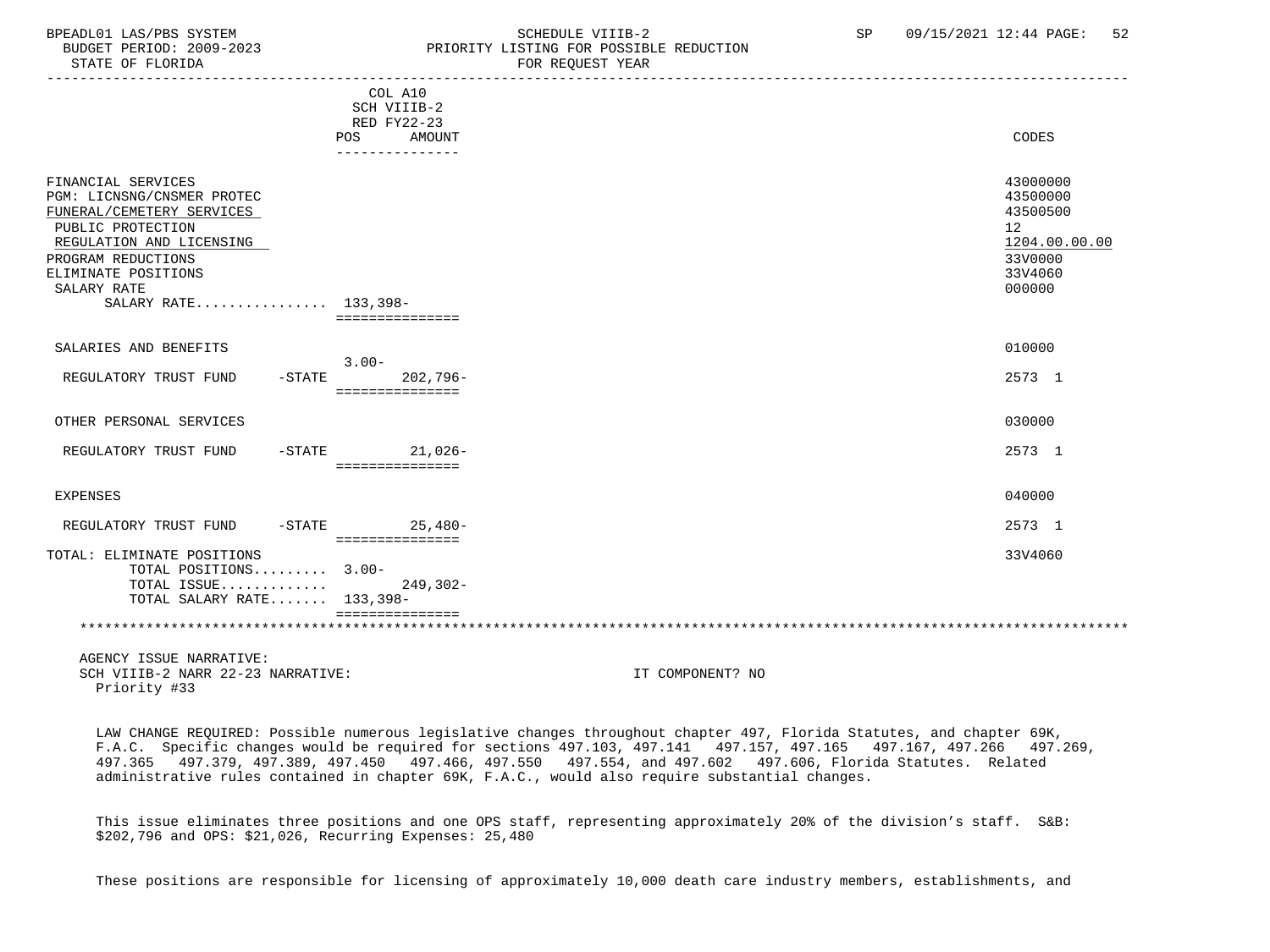## BPEADL01 LAS/PBS SYSTEM SOHEDULE VIIIB-2 SCHEDULE VIIIB-2 SP 09/15/2021 12:44 PAGE: 52 PRIORITY LISTING FOR POSSIBLE REDUCTION<br>FOR REQUEST YEAR

|                                                                                                                                                                                                                    |                                                                                         | LOV VEÑOEOI TEUV |                                                                                         |
|--------------------------------------------------------------------------------------------------------------------------------------------------------------------------------------------------------------------|-----------------------------------------------------------------------------------------|------------------|-----------------------------------------------------------------------------------------|
|                                                                                                                                                                                                                    | COL A10<br>SCH VIIIB-2<br>RED FY22-23<br><b>AMOUNT</b><br><b>POS</b><br>--------------- |                  | CODES                                                                                   |
| FINANCIAL SERVICES<br>PGM: LICNSNG/CNSMER PROTEC<br>FUNERAL/CEMETERY SERVICES<br>PUBLIC PROTECTION<br>REGULATION AND LICENSING<br>PROGRAM REDUCTIONS<br>ELIMINATE POSITIONS<br>SALARY RATE<br>SALARY RATE 133,398- | ===============                                                                         |                  | 43000000<br>43500000<br>43500500<br>12<br>1204.00.00.00<br>33V0000<br>33V4060<br>000000 |
| SALARIES AND BENEFITS                                                                                                                                                                                              |                                                                                         |                  | 010000                                                                                  |
| REGULATORY TRUST FUND                                                                                                                                                                                              | $3.00 -$<br>$-STATE$<br>$202,796-$<br>===============                                   |                  | 2573 1                                                                                  |
| OTHER PERSONAL SERVICES                                                                                                                                                                                            |                                                                                         |                  | 030000                                                                                  |
| REGULATORY TRUST FUND                                                                                                                                                                                              | -STATE 21,026-<br>===============                                                       |                  | 2573 1                                                                                  |
| <b>EXPENSES</b>                                                                                                                                                                                                    |                                                                                         |                  | 040000                                                                                  |
| REGULATORY TRUST FUND                                                                                                                                                                                              | $-STATE$ 25,480-<br>----------------                                                    |                  | 2573 1                                                                                  |
| TOTAL: ELIMINATE POSITIONS<br>TOTAL POSITIONS 3.00-<br>TOTAL ISSUE<br>TOTAL SALARY RATE 133,398-                                                                                                                   | $249, 302 -$                                                                            |                  | 33V4060                                                                                 |
|                                                                                                                                                                                                                    | ===============                                                                         |                  |                                                                                         |
| AGENCY ISSUE NARRATIVE:<br>SCH VIIIB-2 NARR 22-23 NARRATIVE:<br>Priority #33                                                                                                                                       |                                                                                         | IT COMPONENT? NO |                                                                                         |

 LAW CHANGE REQUIRED: Possible numerous legislative changes throughout chapter 497, Florida Statutes, and chapter 69K, F.A.C. Specific changes would be required for sections 497.103, 497.141 497.157, 497.165 497.167, 497.266 497.269, 497.365 497.379, 497.389, 497.450 497.466, 497.550 497.554, and 497.602 497.606, Florida Statutes. Related administrative rules contained in chapter 69K, F.A.C., would also require substantial changes.

 This issue eliminates three positions and one OPS staff, representing approximately 20% of the division's staff. S&B: \$202,796 and OPS: \$21,026, Recurring Expenses: 25,480

These positions are responsible for licensing of approximately 10,000 death care industry members, establishments, and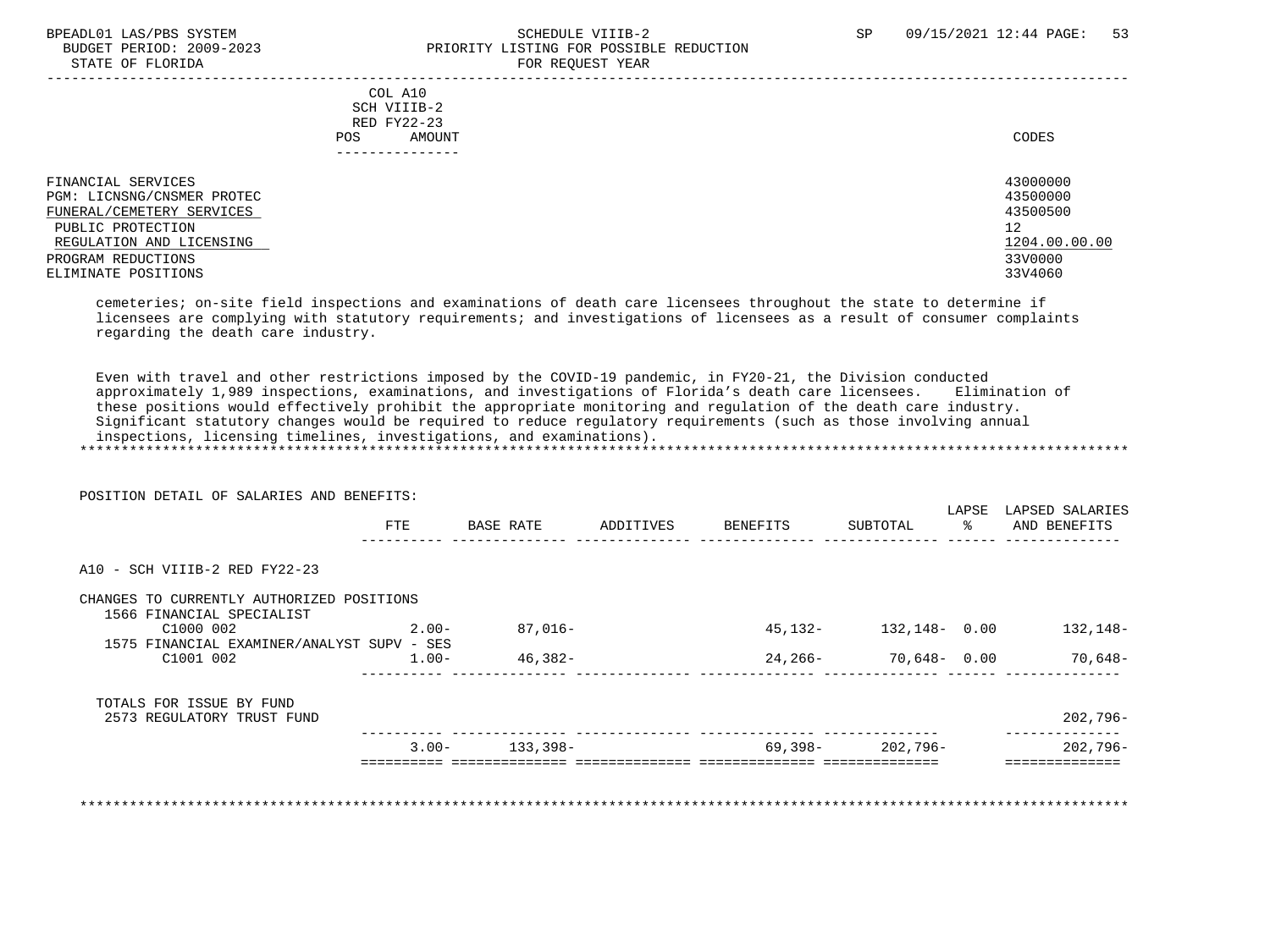### BPEADL01 LAS/PBS SYSTEM SOHEDULE VIIIB-2 SCHEDULE VIIIB-2 SP 09/15/2021 12:44 PAGE: 53 PRIORITY LISTING FOR POSSIBLE REDUCTION STATE OF FLORIDA FOR STATE OF STATE OF STATE OF STATE OF STATE ASSESSMENT OF STATE OF STATE OF STATE OF STATE O

| COL A10<br>SCH VIIIB-2<br>RED FY22-23<br>AMOUNT<br>POS.<br>------------                                                                                                     | CODES                                                                         |
|-----------------------------------------------------------------------------------------------------------------------------------------------------------------------------|-------------------------------------------------------------------------------|
| FINANCIAL SERVICES<br>PGM: LICNSNG/CNSMER PROTEC<br>FUNERAL/CEMETERY SERVICES<br>PUBLIC PROTECTION<br>REGULATION AND LICENSING<br>PROGRAM REDUCTIONS<br>ELIMINATE POSITIONS | 43000000<br>43500000<br>43500500<br>12<br>1204.00.00.00<br>33V0000<br>33V4060 |

 cemeteries; on-site field inspections and examinations of death care licensees throughout the state to determine if licensees are complying with statutory requirements; and investigations of licensees as a result of consumer complaints regarding the death care industry.

Even with travel and other restrictions imposed by the COVID-19 pandemic, in FY20-21, the Division conducted<br>approximately 1,989 inspections, examinations, and investigations of Florida's death care licensees. Elimination approximately 1,989 inspections, examinations, and investigations of Florida's death care licensees. these positions would effectively prohibit the appropriate monitoring and regulation of the death care industry. Significant statutory changes would be required to reduce regulatory requirements (such as those involving annual inspections, licensing timelines, investigations, and examinations). \*\*\*\*\*\*\*\*\*\*\*\*\*\*\*\*\*\*\*\*\*\*\*\*\*\*\*\*\*\*\*\*\*\*\*\*\*\*\*\*\*\*\*\*\*\*\*\*\*\*\*\*\*\*\*\*\*\*\*\*\*\*\*\*\*\*\*\*\*\*\*\*\*\*\*\*\*\*\*\*\*\*\*\*\*\*\*\*\*\*\*\*\*\*\*\*\*\*\*\*\*\*\*\*\*\*\*\*\*\*\*\*\*\*\*\*\*\*\*\*\*\*\*\*\*\*\*

| POSITION DETAIL OF SALARIES AND BENEFITS:  |          |           |           |          |                           | LAPSE | LAPSED SALARIES |
|--------------------------------------------|----------|-----------|-----------|----------|---------------------------|-------|-----------------|
|                                            | FTE      | BASE RATE | ADDITIVES | BENEFITS | SUBTOTAL                  | ႜၟ    | AND BENEFITS    |
| A10 - SCH VIIIB-2 RED FY22-23              |          |           |           |          |                           |       |                 |
| CHANGES TO CURRENTLY AUTHORIZED POSITIONS  |          |           |           |          |                           |       |                 |
| 1566 FINANCIAL SPECIALIST                  |          |           |           |          |                           |       |                 |
| C1000 002                                  | $2.00 -$ | 87,016-   |           |          | 45, 132 - 132, 148 - 0.00 |       | 132,148-        |
| 1575 FINANCIAL EXAMINER/ANALYST SUPV - SES |          |           |           |          |                           |       |                 |
| C1001 002                                  | $1.00-$  | $46,382-$ |           |          | $24,266 - 70,648 - 0.00$  |       | $70,648-$       |
| TOTALS FOR ISSUE BY FUND                   |          |           |           |          |                           |       |                 |
| 2573 REGULATORY TRUST FUND                 |          |           |           |          |                           |       | $202,796-$      |
|                                            | $3.00 -$ | 133,398-  |           |          | 69,398- 202,796-          |       | $202,796-$      |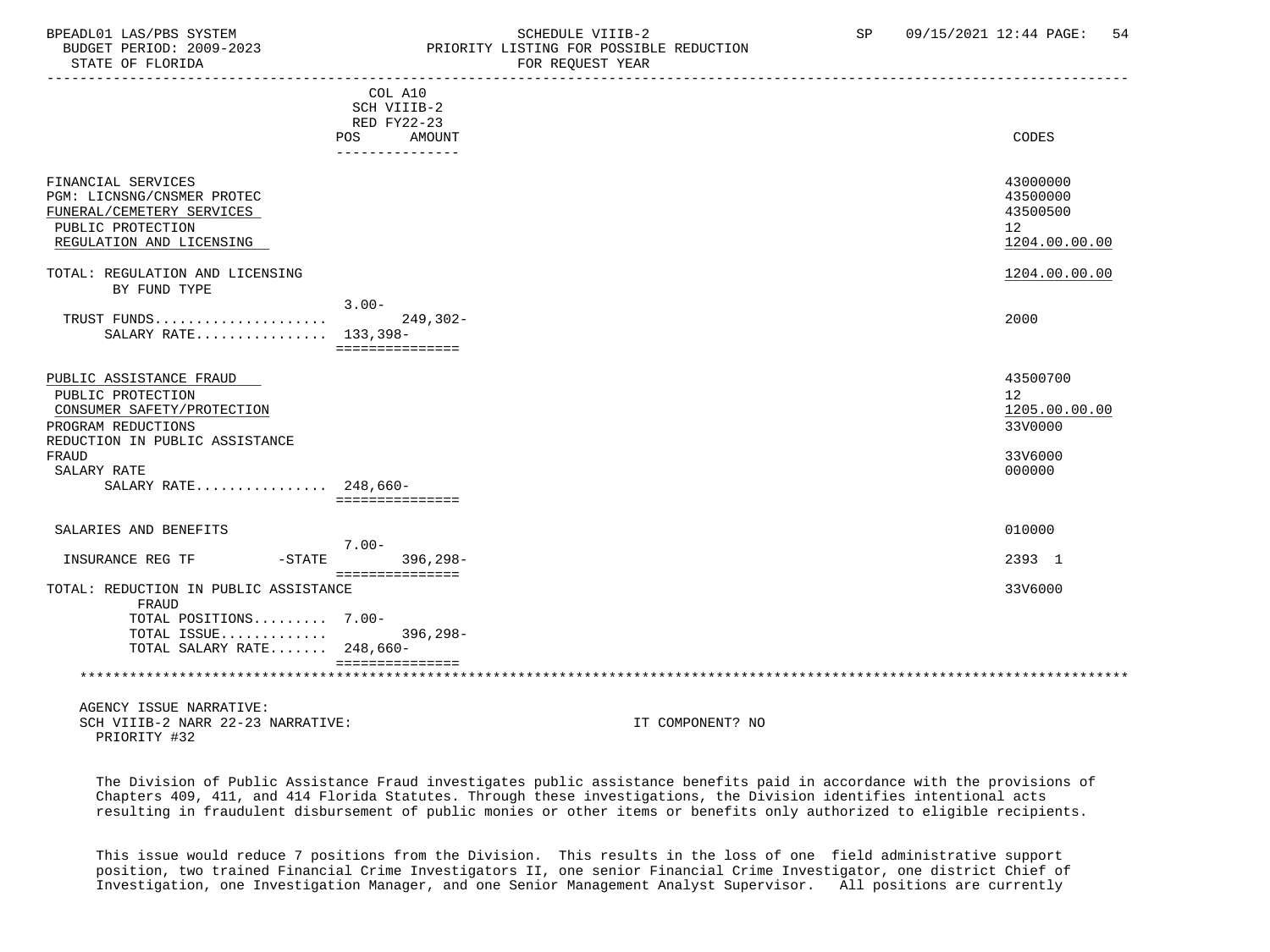#### BPEADL01 LAS/PBS SYSTEM STRING THE SCHEDULE VIIIB-2 SCHEDULE VIIIB-2 SP 09/15/2021 12:44 PAGE: 54 BUDGET PERIOD: 2009-2023 PRIORITY LISTING FOR POSSIBLE REDUCTION STATE OF FLORIDA FOR REQUEST YEAR

| DIAIL UP PUURIDA                                                                                                                            |                                                                                  | LOW WRAGGI IPHW |                                                                      |
|---------------------------------------------------------------------------------------------------------------------------------------------|----------------------------------------------------------------------------------|-----------------|----------------------------------------------------------------------|
|                                                                                                                                             | COL A10<br>SCH VIIIB-2<br>RED FY22-23<br>POS<br><b>AMOUNT</b><br>--------------- |                 | CODES                                                                |
| FINANCIAL SERVICES<br>PGM: LICNSNG/CNSMER PROTEC<br>FUNERAL/CEMETERY SERVICES<br>PUBLIC PROTECTION<br>REGULATION AND LICENSING              |                                                                                  |                 | 43000000<br>43500000<br>43500500<br>12 <sup>°</sup><br>1204.00.00.00 |
| TOTAL: REGULATION AND LICENSING                                                                                                             |                                                                                  |                 | 1204.00.00.00                                                        |
| BY FUND TYPE                                                                                                                                | $3.00 -$                                                                         |                 |                                                                      |
| TRUST FUNDS<br>SALARY RATE 133,398-                                                                                                         | $249,302-$<br>===============                                                    |                 | 2000                                                                 |
| PUBLIC ASSISTANCE FRAUD<br>PUBLIC PROTECTION<br>CONSUMER SAFETY/PROTECTION<br>PROGRAM REDUCTIONS<br>REDUCTION IN PUBLIC ASSISTANCE<br>FRAUD |                                                                                  |                 | 43500700<br>12<br>1205.00.00.00<br>33V0000<br>33V6000                |
| SALARY RATE                                                                                                                                 |                                                                                  |                 | 000000                                                               |
| SALARY RATE 248,660-                                                                                                                        | ===============                                                                  |                 |                                                                      |
| SALARIES AND BENEFITS                                                                                                                       |                                                                                  |                 | 010000                                                               |
| INSURANCE REG TF<br>$-$ STATE                                                                                                               | $7.00 -$<br>$396, 298 -$                                                         |                 | 2393 1                                                               |
| TOTAL: REDUCTION IN PUBLIC ASSISTANCE<br>FRAUD                                                                                              | ===============                                                                  |                 | 33V6000                                                              |
| TOTAL POSITIONS 7.00-                                                                                                                       |                                                                                  |                 |                                                                      |
| TOTAL ISSUE<br>TOTAL SALARY RATE 248,660-                                                                                                   | $396, 298 -$                                                                     |                 |                                                                      |
|                                                                                                                                             | ===============                                                                  |                 |                                                                      |

 AGENCY ISSUE NARRATIVE: SCH VIIIB-2 NARR 22-23 NARRATIVE: IT COMPONENT? NO PRIORITY #32

 The Division of Public Assistance Fraud investigates public assistance benefits paid in accordance with the provisions of Chapters 409, 411, and 414 Florida Statutes. Through these investigations, the Division identifies intentional acts resulting in fraudulent disbursement of public monies or other items or benefits only authorized to eligible recipients.

 This issue would reduce 7 positions from the Division. This results in the loss of one field administrative support position, two trained Financial Crime Investigators II, one senior Financial Crime Investigator, one district Chief of Investigation, one Investigation Manager, and one Senior Management Analyst Supervisor. All positions are currently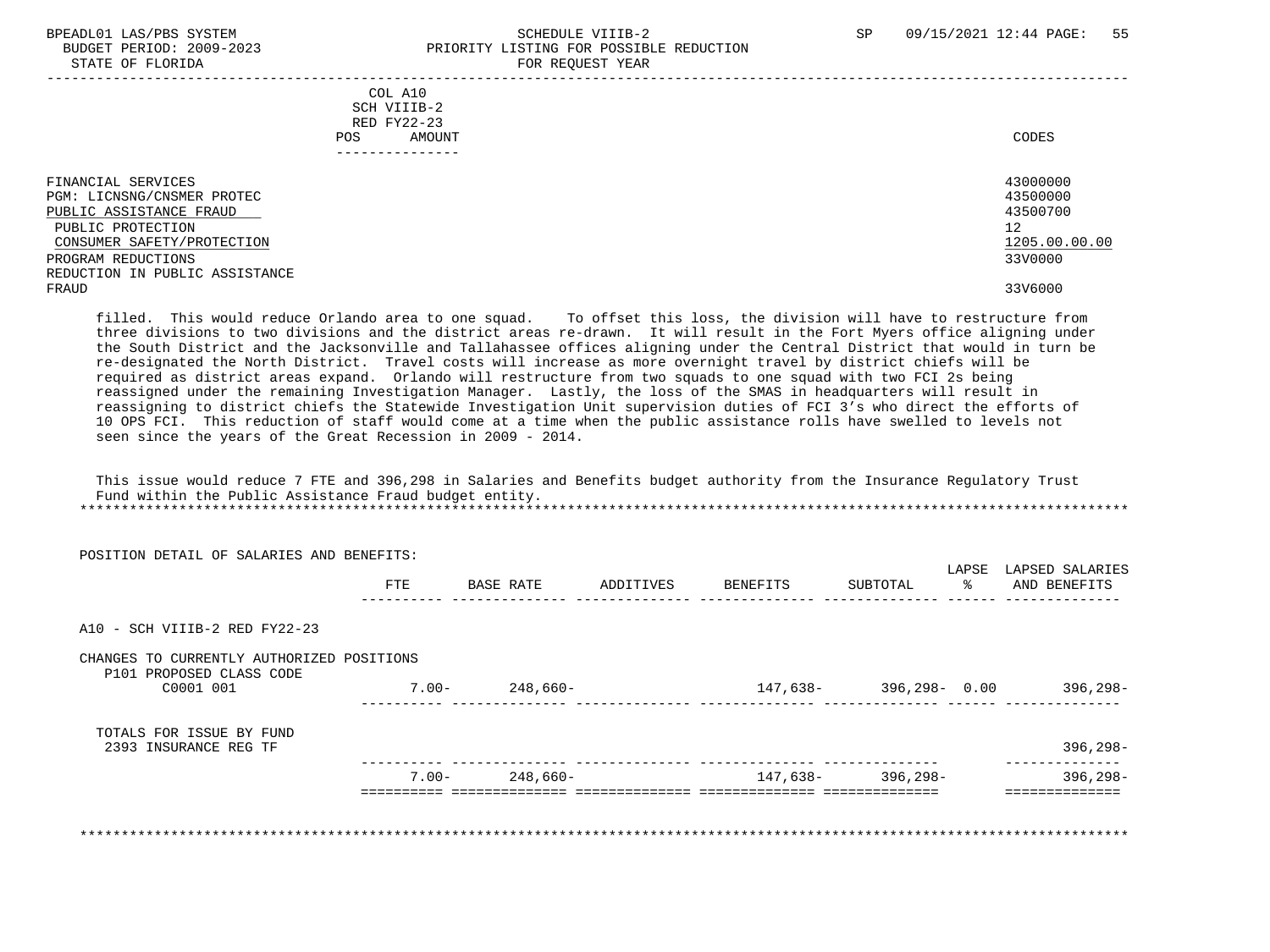### BPEADL01 LAS/PBS SYSTEM SALL SOLUTION SCHEDULE VIIIB-2 SP 09/15/2021 12:44 PAGE: 55 BUDGET PERIOD: 2009-2023 PRIORITY LISTING FOR POSSIBLE REDUCTION STATE OF FLORIDA FOR REQUEST YEAR

| COL A10<br>SCH VIIIB-2<br>RED FY22-23<br>AMOUNT<br>POS.<br>------------                                                        | CODES                                                   |
|--------------------------------------------------------------------------------------------------------------------------------|---------------------------------------------------------|
| FINANCIAL SERVICES<br>PGM: LICNSNG/CNSMER PROTEC<br>PUBLIC ASSISTANCE FRAUD<br>PUBLIC PROTECTION<br>CONSUMER SAFETY/PROTECTION | 43000000<br>43500000<br>43500700<br>12<br>1205.00.00.00 |
| PROGRAM REDUCTIONS<br>REDUCTION IN PUBLIC ASSISTANCE                                                                           | 33V0000                                                 |
| FRAUD                                                                                                                          | 33V6000                                                 |

 filled. This would reduce Orlando area to one squad. To offset this loss, the division will have to restructure from three divisions to two divisions and the district areas re-drawn. It will result in the Fort Myers office aligning under the South District and the Jacksonville and Tallahassee offices aligning under the Central District that would in turn be re-designated the North District. Travel costs will increase as more overnight travel by district chiefs will be required as district areas expand. Orlando will restructure from two squads to one squad with two FCI 2s being reassigned under the remaining Investigation Manager. Lastly, the loss of the SMAS in headquarters will result in reassigning to district chiefs the Statewide Investigation Unit supervision duties of FCI 3's who direct the efforts of 10 OPS FCI. This reduction of staff would come at a time when the public assistance rolls have swelled to levels not seen since the years of the Great Recession in 2009 - 2014.

 This issue would reduce 7 FTE and 396,298 in Salaries and Benefits budget authority from the Insurance Regulatory Trust Fund within the Public Assistance Fraud budget entity. \*\*\*\*\*\*\*\*\*\*\*\*\*\*\*\*\*\*\*\*\*\*\*\*\*\*\*\*\*\*\*\*\*\*\*\*\*\*\*\*\*\*\*\*\*\*\*\*\*\*\*\*\*\*\*\*\*\*\*\*\*\*\*\*\*\*\*\*\*\*\*\*\*\*\*\*\*\*\*\*\*\*\*\*\*\*\*\*\*\*\*\*\*\*\*\*\*\*\*\*\*\*\*\*\*\*\*\*\*\*\*\*\*\*\*\*\*\*\*\*\*\*\*\*\*\*\*

|                                                                                     |           |            | POSITION DETAIL OF SALARIES AND BENEFITS:                             |
|-------------------------------------------------------------------------------------|-----------|------------|-----------------------------------------------------------------------|
| LAPSE<br>LAPSED SALARIES<br>ွေ<br>AND BENEFITS<br>ADDITIVES<br>BENEFITS<br>SUBTOTAL | BASE RATE | <b>FTE</b> |                                                                       |
|                                                                                     |           |            | A10 - SCH VIIIB-2 RED FY22-23                                         |
|                                                                                     |           |            | CHANGES TO CURRENTLY AUTHORIZED POSITIONS<br>P101 PROPOSED CLASS CODE |
| 396,298–<br>147,638- 396,298- 0.00                                                  | 248,660-  | 7.00-      | C0001 001                                                             |
|                                                                                     |           |            | TOTALS FOR ISSUE BY FUND                                              |
| $396, 298 -$                                                                        |           |            | 2393 INSURANCE REG TF                                                 |
| 396,298-<br>147,638- 396,298-                                                       | 248,660-  | $7.00 -$   |                                                                       |
|                                                                                     |           |            |                                                                       |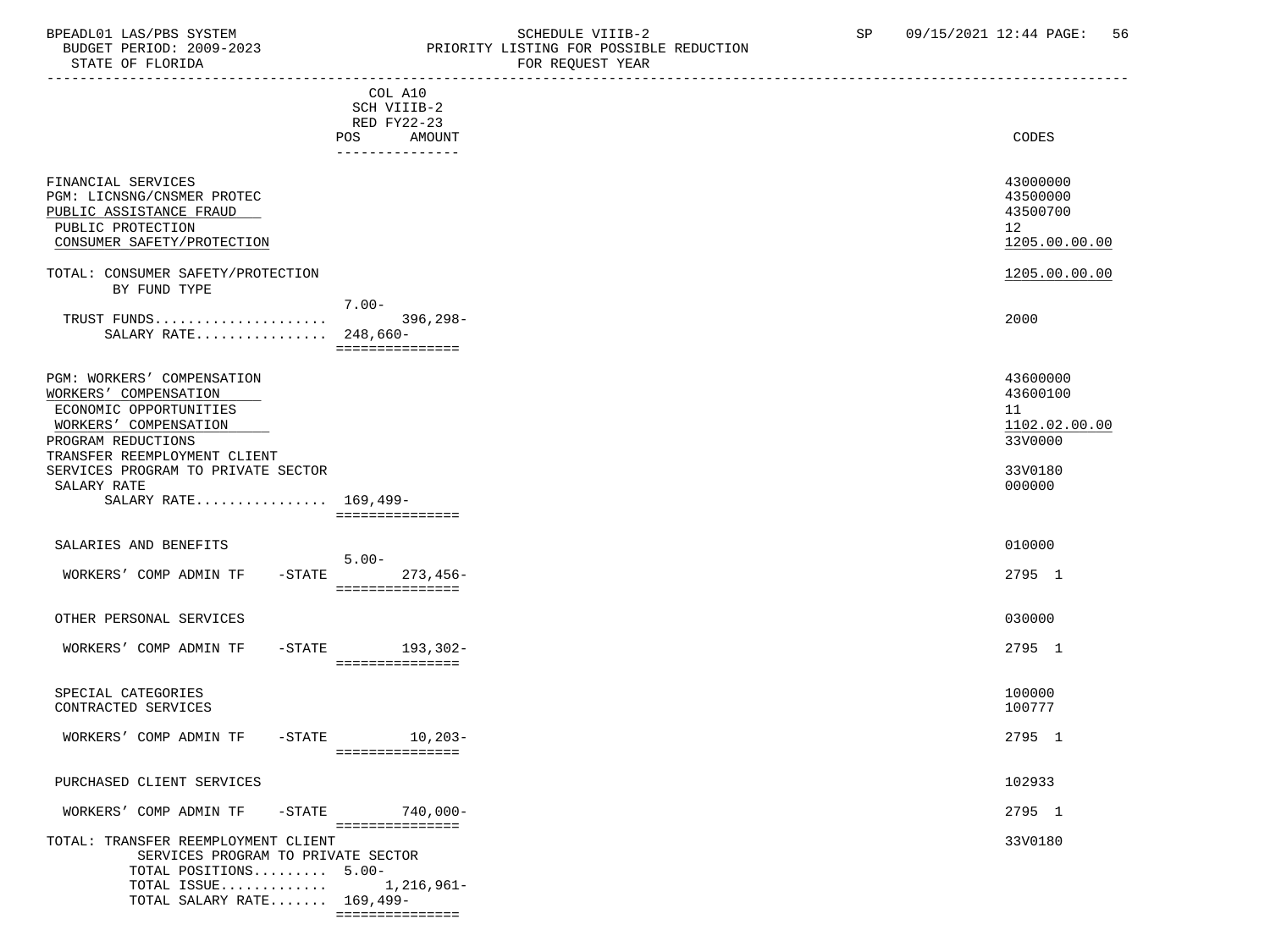# BPEADL01 LAS/PBS SYSTEM STRING THE SCHEDULE VIIIB-2 SCHEDULE SP 09/15/2021 12:44 PAGE: 56<br>BUDGET PERIOD: 2009-2023 SP PRIORITY LISTING FOR POSSIBLE REDUCTION

 BUDGET PERIOD: 2009-2023 PRIORITY LISTING FOR POSSIBLE REDUCTION FOR REQUEST YEAR

|                                                                           |                        | ron nagoaoi iann |               |
|---------------------------------------------------------------------------|------------------------|------------------|---------------|
|                                                                           | COL A10                |                  |               |
|                                                                           | SCH VIIIB-2            |                  |               |
|                                                                           | RED FY22-23            |                  |               |
|                                                                           | POS<br>AMOUNT          |                  | CODES         |
|                                                                           | ---------------        |                  |               |
| FINANCIAL SERVICES                                                        |                        |                  | 43000000      |
| PGM: LICNSNG/CNSMER PROTEC                                                |                        |                  | 43500000      |
| PUBLIC ASSISTANCE FRAUD                                                   |                        |                  | 43500700      |
| PUBLIC PROTECTION                                                         |                        |                  | 12            |
| CONSUMER SAFETY/PROTECTION                                                |                        |                  | 1205.00.00.00 |
|                                                                           |                        |                  |               |
| TOTAL: CONSUMER SAFETY/PROTECTION                                         |                        |                  | 1205.00.00.00 |
| BY FUND TYPE                                                              |                        |                  |               |
|                                                                           | $7.00 -$               |                  |               |
| TRUST FUNDS                                                               | 396,298-               |                  | 2000          |
| SALARY RATE $248,660-$                                                    |                        |                  |               |
|                                                                           | ===============        |                  |               |
| PGM: WORKERS' COMPENSATION                                                |                        |                  | 43600000      |
| WORKERS' COMPENSATION                                                     |                        |                  | 43600100      |
| ECONOMIC OPPORTUNITIES                                                    |                        |                  | 11            |
| WORKERS' COMPENSATION                                                     |                        |                  | 1102.02.00.00 |
| PROGRAM REDUCTIONS                                                        |                        |                  | 33V0000       |
| TRANSFER REEMPLOYMENT CLIENT                                              |                        |                  |               |
| SERVICES PROGRAM TO PRIVATE SECTOR                                        |                        |                  | 33V0180       |
| SALARY RATE<br>SALARY RATE 169,499-                                       |                        |                  | 000000        |
|                                                                           | ===============        |                  |               |
|                                                                           |                        |                  |               |
| SALARIES AND BENEFITS                                                     | $5.00 -$               |                  | 010000        |
| WORKERS' COMP ADMIN TF                                                    | $273,456-$<br>$-STATE$ |                  | 2795 1        |
|                                                                           | ===============        |                  |               |
|                                                                           |                        |                  |               |
| OTHER PERSONAL SERVICES                                                   |                        |                  | 030000        |
| WORKERS' COMP ADMIN TF                                                    | -STATE 193,302-        |                  | 2795 1        |
|                                                                           | ===============        |                  |               |
|                                                                           |                        |                  |               |
| SPECIAL CATEGORIES                                                        |                        |                  | 100000        |
| CONTRACTED SERVICES                                                       |                        |                  | 100777        |
| WORKERS' COMP ADMIN TF                                                    | $-STATE$ 10, 203-      |                  | 2795 1        |
|                                                                           |                        |                  |               |
|                                                                           |                        |                  |               |
| PURCHASED CLIENT SERVICES                                                 |                        |                  | 102933        |
| WORKERS' COMP ADMIN TF                                                    | -STATE 740,000-        |                  | 2795 1        |
|                                                                           | ===============        |                  |               |
| TOTAL: TRANSFER REEMPLOYMENT CLIENT<br>SERVICES PROGRAM TO PRIVATE SECTOR |                        |                  | 33V0180       |
| TOTAL POSITIONS 5.00-                                                     |                        |                  |               |
| TOTAL ISSUE                                                               | 1,216,961–             |                  |               |
| TOTAL SALARY RATE 169,499-                                                |                        |                  |               |

===============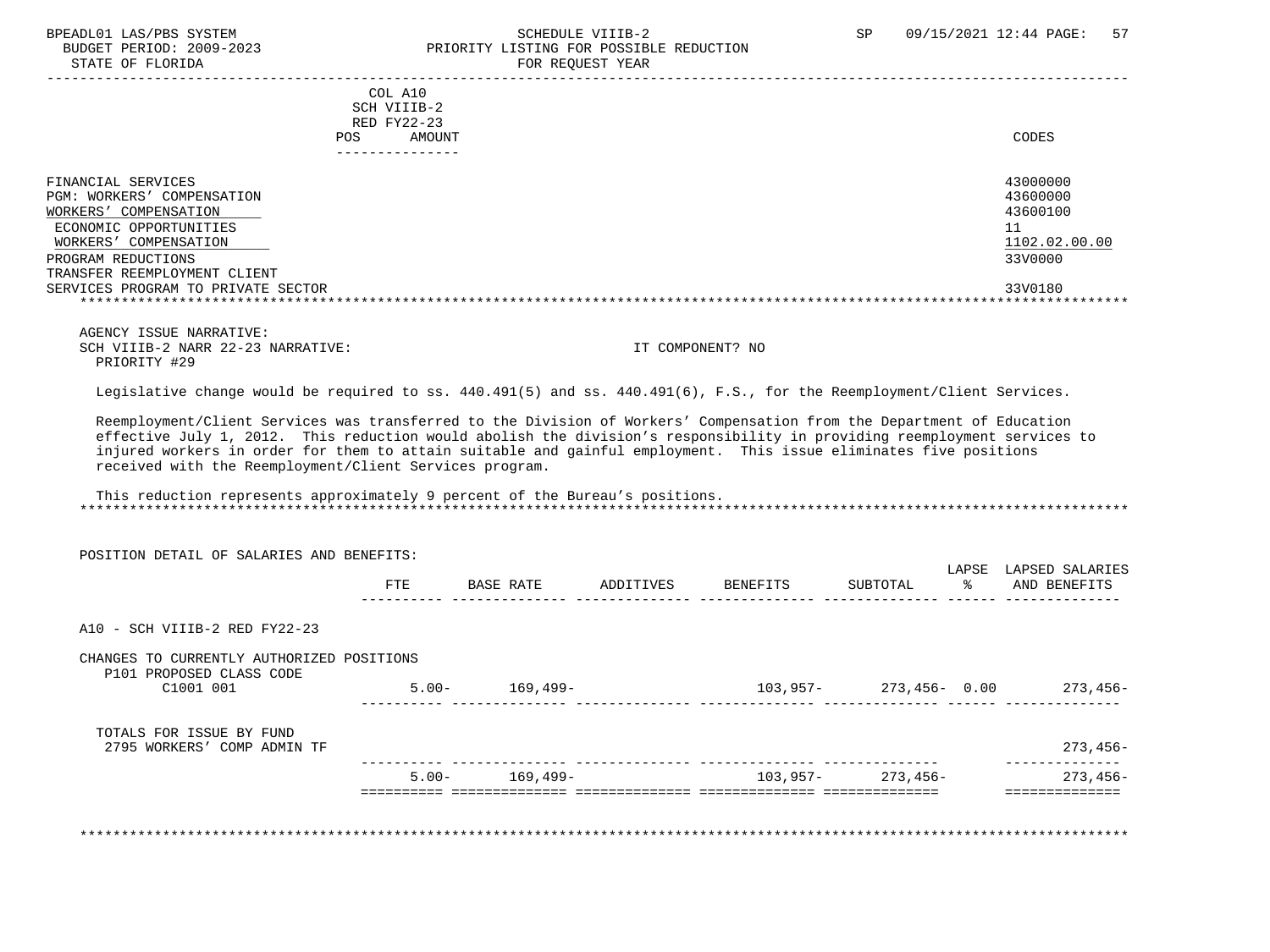### BPEADL01 LAS/PBS SYSTEM STREM SCHEDULE VIIIB-2 SCHEDULE VIIIB-2 SP 09/15/2021 12:44 PAGE: 57<br>BUDGET PERIOD: 2009-2023 SP PRIORITY LISTING FOR POSSIBLE REDUCTION PRIORITY LISTING FOR POSSIBLE REDUCTION STATE OF FLORIDA FOR REQUEST YEAR FOR REQUEST YEAR

|                                                                                                                                                                                                                                | COL A10<br>SCH VIIIB-2<br>RED FY22-23<br>AMOUNT<br>POS. | CODES                                                                         |
|--------------------------------------------------------------------------------------------------------------------------------------------------------------------------------------------------------------------------------|---------------------------------------------------------|-------------------------------------------------------------------------------|
| FINANCIAL SERVICES<br>COMPENSATION<br>PGM: WORKERS'<br>COMPENSATION<br>WORKERS'<br>ECONOMIC OPPORTUNITIES<br>WORKERS' COMPENSATION<br>PROGRAM REDUCTIONS<br>TRANSFER REEMPLOYMENT CLIENT<br>SERVICES PROGRAM TO PRIVATE SECTOR |                                                         | 43000000<br>43600000<br>43600100<br>11<br>1102.02.00.00<br>33V0000<br>33V0180 |

 AGENCY ISSUE NARRATIVE: SCH VIIIB-2 NARR 22-23 NARRATIVE: IT COMPONENT? NO PRIORITY #29

Legislative change would be required to ss. 440.491(5) and ss. 440.491(6), F.S., for the Reemployment/Client Services.

 Reemployment/Client Services was transferred to the Division of Workers' Compensation from the Department of Education effective July 1, 2012. This reduction would abolish the division's responsibility in providing reemployment services to injured workers in order for them to attain suitable and gainful employment. This issue eliminates five positions received with the Reemployment/Client Services program.

 This reduction represents approximately 9 percent of the Bureau's positions. \*\*\*\*\*\*\*\*\*\*\*\*\*\*\*\*\*\*\*\*\*\*\*\*\*\*\*\*\*\*\*\*\*\*\*\*\*\*\*\*\*\*\*\*\*\*\*\*\*\*\*\*\*\*\*\*\*\*\*\*\*\*\*\*\*\*\*\*\*\*\*\*\*\*\*\*\*\*\*\*\*\*\*\*\*\*\*\*\*\*\*\*\*\*\*\*\*\*\*\*\*\*\*\*\*\*\*\*\*\*\*\*\*\*\*\*\*\*\*\*\*\*\*\*\*\*\*

| POSITION DETAIL OF SALARIES AND BENEFITS:                             |          |           |           |          | LAPSE                            | LAPSED SALARIES |
|-----------------------------------------------------------------------|----------|-----------|-----------|----------|----------------------------------|-----------------|
|                                                                       | FTE      | BASE RATE | ADDITIVES | BENEFITS | $\frac{1}{\sqrt{2}}$<br>SUBTOTAL | AND BENEFITS    |
| A10 - SCH VIIIB-2 RED FY22-23                                         |          |           |           |          |                                  |                 |
| CHANGES TO CURRENTLY AUTHORIZED POSITIONS<br>P101 PROPOSED CLASS CODE |          |           |           |          |                                  |                 |
| C1001 001                                                             | $5.00 -$ | 169,499–  |           |          | 103,957-273,456-0.00             | 273,456-        |
| TOTALS FOR ISSUE BY FUND                                              |          |           |           |          |                                  |                 |
| 2795 WORKERS' COMP ADMIN TF                                           |          |           |           |          |                                  | $273,456-$      |
|                                                                       | $5.00 -$ | 169,499–  |           | 103,957- | 273,456-                         | 273,456-        |
|                                                                       |          |           |           |          |                                  |                 |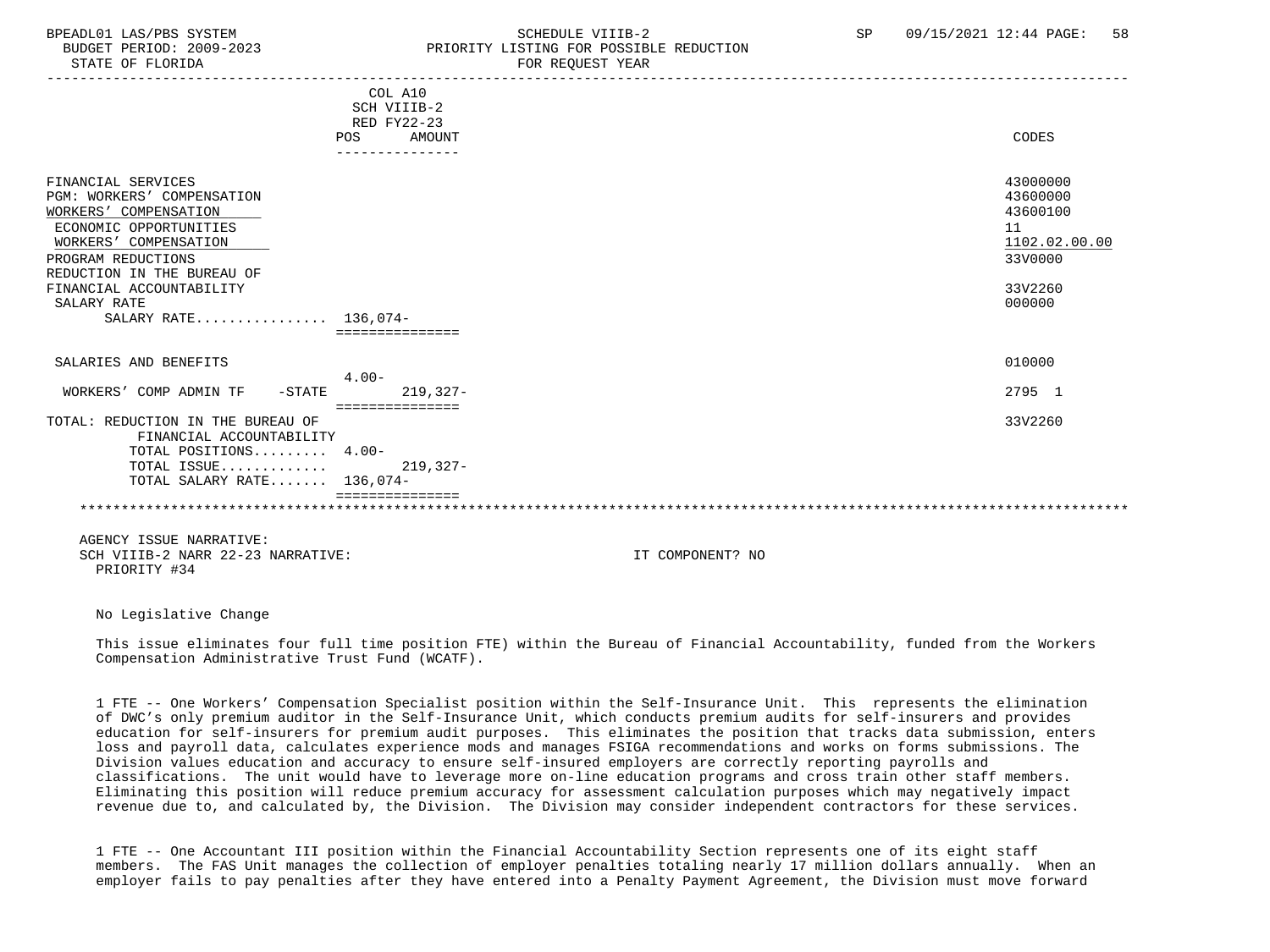## BPEADL01 LAS/PBS SYSTEM SALL SALL SOMEDULE VIIIB-2 SP 09/15/2021 12:44 PAGE: 58 BUDGET PERIOD: 2009-2023 PRIORITY LISTING FOR POSSIBLE REDUCTION

STATE OF FLORIDA **FOR REQUEST YEAR** -----------------------------------------------------------------------------------------------------------------------------------

|                                                 | COL A10<br>SCH VIIIB-2       |                      |
|-------------------------------------------------|------------------------------|----------------------|
|                                                 | RED FY22-23<br>POS<br>AMOUNT | CODES                |
|                                                 |                              |                      |
|                                                 |                              |                      |
| FINANCIAL SERVICES                              |                              | 43000000             |
| <b>PGM: WORKERS' COMPENSATION</b>               |                              | 43600000<br>43600100 |
| WORKERS' COMPENSATION<br>ECONOMIC OPPORTUNITIES |                              | 11                   |
| WORKERS' COMPENSATION                           |                              | 1102.02.00.00        |
| PROGRAM REDUCTIONS                              |                              | 33V0000              |
| REDUCTION IN THE BUREAU OF                      |                              |                      |
| FINANCIAL ACCOUNTABILITY                        |                              | 33V2260              |
| SALARY RATE                                     |                              | 000000               |
| SALARY RATE 136,074-                            |                              |                      |
|                                                 |                              |                      |
| SALARIES AND BENEFITS                           |                              | 010000               |
|                                                 | $4.00 -$                     |                      |
| WORKERS' COMP ADMIN TF<br>$-STATE$              | $219,327-$                   | 2795 1               |
| TOTAL: REDUCTION IN THE BUREAU OF               |                              | 33V2260              |
| FINANCIAL ACCOUNTABILITY                        |                              |                      |
| TOTAL POSITIONS 4.00-                           |                              |                      |
| TOTAL ISSUE                                     | $219,327-$                   |                      |
| TOTAL SALARY RATE 136,074-                      |                              |                      |
|                                                 |                              |                      |
|                                                 |                              |                      |

 AGENCY ISSUE NARRATIVE: SCH VIIIB-2 NARR 22-23 NARRATIVE: IT COMPONENT? NO PRIORITY #34

No Legislative Change

 This issue eliminates four full time position FTE) within the Bureau of Financial Accountability, funded from the Workers Compensation Administrative Trust Fund (WCATF).

 1 FTE -- One Workers' Compensation Specialist position within the Self-Insurance Unit. This represents the elimination of DWC's only premium auditor in the Self-Insurance Unit, which conducts premium audits for self-insurers and provides education for self-insurers for premium audit purposes. This eliminates the position that tracks data submission, enters loss and payroll data, calculates experience mods and manages FSIGA recommendations and works on forms submissions. The Division values education and accuracy to ensure self-insured employers are correctly reporting payrolls and classifications. The unit would have to leverage more on-line education programs and cross train other staff members. Eliminating this position will reduce premium accuracy for assessment calculation purposes which may negatively impact revenue due to, and calculated by, the Division. The Division may consider independent contractors for these services.

 1 FTE -- One Accountant III position within the Financial Accountability Section represents one of its eight staff members. The FAS Unit manages the collection of employer penalties totaling nearly 17 million dollars annually. When an employer fails to pay penalties after they have entered into a Penalty Payment Agreement, the Division must move forward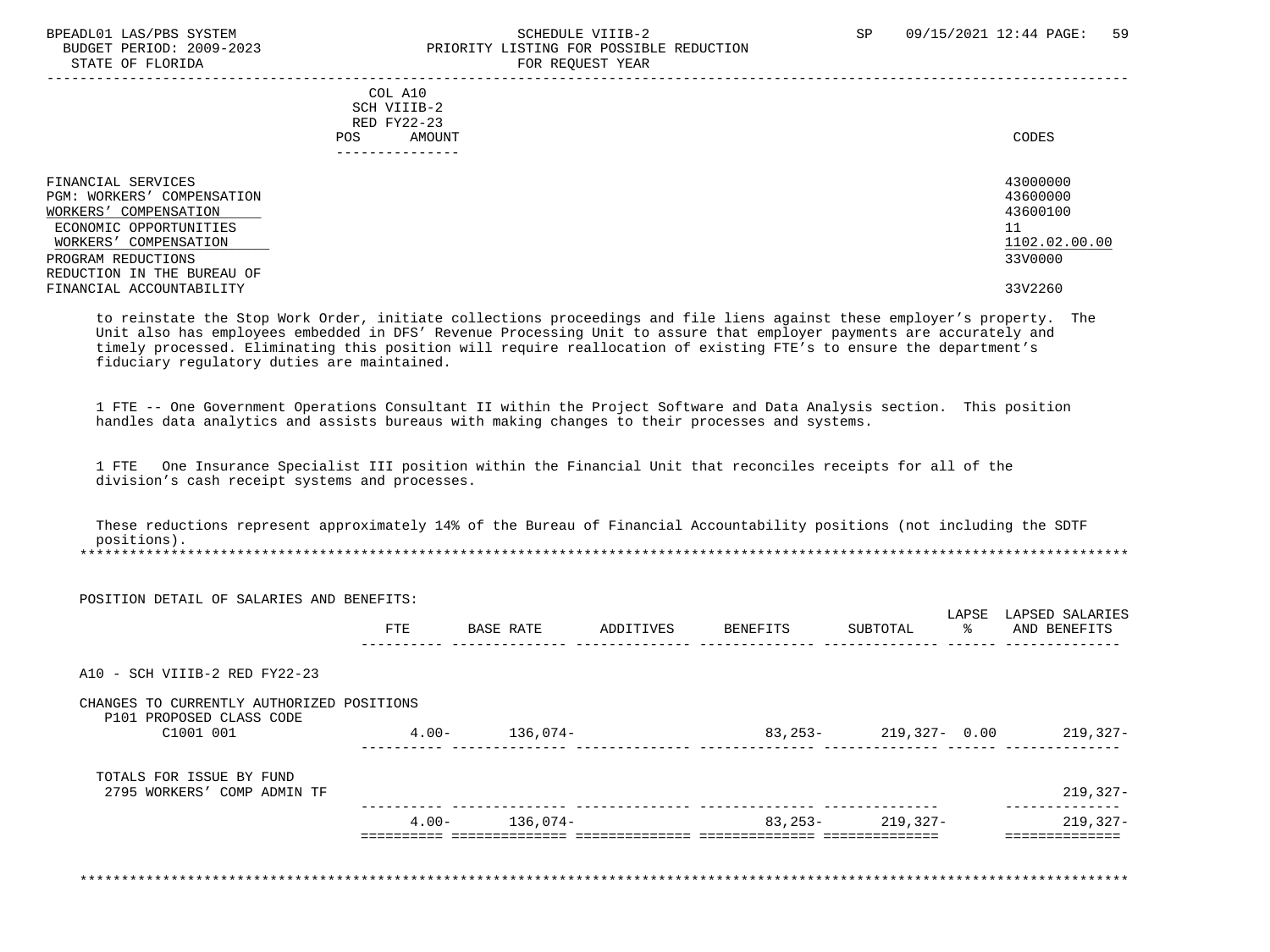### BPEADL01 LAS/PBS SYSTEM STRAND SCHEDULE VIIIB-2 SP 09/15/2021 12:44 PAGE: 59 BUDGET PERIOD: 2009-2023 PRIORITY LISTING FOR POSSIBLE REDUCTION STATE OF FLORIDA FOR REQUEST YEAR

 ----------------------------------------------------------------------------------------------------------------------------------- COL A10 SCH VIIIB-2 RED FY22-23 POS AMOUNT CODES --------------- FINANCIAL SERVICES 43000000 PGM: WORKERS' COMPENSATION 43600000 ECONOMIC OPPORTUNITIES 11  $\frac{\text{WORKERS}\text{'}}{\text{ROGRAM REDUCTIONS}} \qquad \qquad \frac{1102.02}{3300000} \qquad \qquad \frac{1102.02}{110000} \qquad \qquad \frac{11000}{11000} \qquad \qquad \frac{11000}{11000} \qquad \qquad \frac{11000}{11000} \qquad \qquad \frac{11000}{11000} \qquad \qquad \frac{11000}{11000} \qquad \qquad \frac{11000}{11000} \qquad \qquad \frac{11000}{11000} \q$ 

PROGRAM REDUCTIONS REDUCTION IN THE BUREAU OF FINANCIAL ACCOUNTABILITY 33V2260

WORKERS' COMPENSATION

 to reinstate the Stop Work Order, initiate collections proceedings and file liens against these employer's property. The Unit also has employees embedded in DFS' Revenue Processing Unit to assure that employer payments are accurately and timely processed. Eliminating this position will require reallocation of existing FTE's to ensure the department's fiduciary regulatory duties are maintained.

 1 FTE -- One Government Operations Consultant II within the Project Software and Data Analysis section. This position handles data analytics and assists bureaus with making changes to their processes and systems.

 1 FTE One Insurance Specialist III position within the Financial Unit that reconciles receipts for all of the division's cash receipt systems and processes.

 These reductions represent approximately 14% of the Bureau of Financial Accountability positions (not including the SDTF positions). \*\*\*\*\*\*\*\*\*\*\*\*\*\*\*\*\*\*\*\*\*\*\*\*\*\*\*\*\*\*\*\*\*\*\*\*\*\*\*\*\*\*\*\*\*\*\*\*\*\*\*\*\*\*\*\*\*\*\*\*\*\*\*\*\*\*\*\*\*\*\*\*\*\*\*\*\*\*\*\*\*\*\*\*\*\*\*\*\*\*\*\*\*\*\*\*\*\*\*\*\*\*\*\*\*\*\*\*\*\*\*\*\*\*\*\*\*\*\*\*\*\*\*\*\*\*\*

 POSITION DETAIL OF SALARIES AND BENEFITS: LAPSE LAPSED SALARIES<br>BASE RATE ADDITIVES BENEFITS SUBTOTAL AND BENEFITS FTE BASE RATE ADDITIVES BENEFITS SUBTOTAL % AND BENEFITS ---------- -------------- -------------- -------------- -------------- ------ --------------  $A10 - SCH VITIR-2 RED FY22-23$  CHANGES TO CURRENTLY AUTHORIZED POSITIONS P101 PROPOSED CLASS CODE C1001 001 4.00- 136,074- 83,253- 219,327- 0.00 219,327- ---------- -------------- -------------- -------------- -------------- ------ -------------- TOTALS FOR ISSUE BY FUND 2795 WORKERS' COMP ADMIN TF 219,327- ---------- -------------- -------------- -------------- -------------- -------------- 4.00- 136,074- 83,253- 219,327- 219,327- ========== ============== ============== ============== ============== ============== \*\*\*\*\*\*\*\*\*\*\*\*\*\*\*\*\*\*\*\*\*\*\*\*\*\*\*\*\*\*\*\*\*\*\*\*\*\*\*\*\*\*\*\*\*\*\*\*\*\*\*\*\*\*\*\*\*\*\*\*\*\*\*\*\*\*\*\*\*\*\*\*\*\*\*\*\*\*\*\*\*\*\*\*\*\*\*\*\*\*\*\*\*\*\*\*\*\*\*\*\*\*\*\*\*\*\*\*\*\*\*\*\*\*\*\*\*\*\*\*\*\*\*\*\*\*\*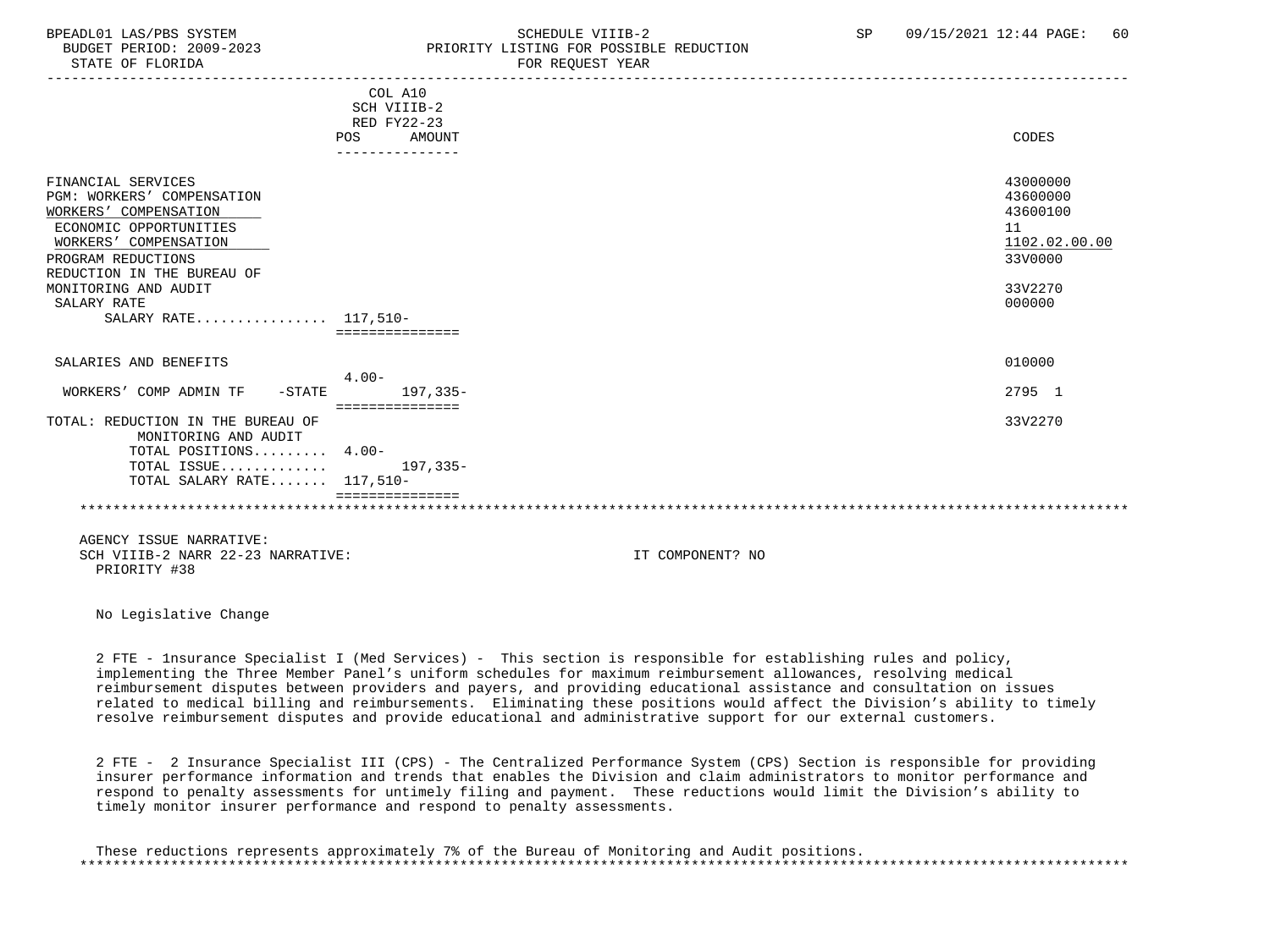## BPEADL01 LAS/PBS SYSTEM SALL SALL SOMEDULE VIIIB-2 SP 09/15/2021 12:44 PAGE: 60 BUDGET PERIOD: 2009-2023 PRIORITY LISTING FOR POSSIBLE REDUCTION

-----------------------------------------------------------------------------------------------------------------------------------

|                                                                                                                                                                                                                                                 | COL A10<br>SCH VIIIB-2<br>RED FY22-23<br>POS<br><b>AMOUNT</b><br>--------------- | CODES                                                                                   |
|-------------------------------------------------------------------------------------------------------------------------------------------------------------------------------------------------------------------------------------------------|----------------------------------------------------------------------------------|-----------------------------------------------------------------------------------------|
| FINANCIAL SERVICES<br>PGM: WORKERS' COMPENSATION<br>WORKERS' COMPENSATION<br>ECONOMIC OPPORTUNITIES<br>WORKERS' COMPENSATION<br>PROGRAM REDUCTIONS<br>REDUCTION IN THE BUREAU OF<br>MONITORING AND AUDIT<br>SALARY RATE<br>SALARY RATE 117,510- |                                                                                  | 43000000<br>43600000<br>43600100<br>11<br>1102.02.00.00<br>33V0000<br>33V2270<br>000000 |
| SALARIES AND BENEFITS                                                                                                                                                                                                                           |                                                                                  | 010000                                                                                  |
| WORKERS' COMP ADMIN TF<br>$-STATE$                                                                                                                                                                                                              | $4.00 -$<br>$197.335-$                                                           | 2795 1                                                                                  |
| TOTAL: REDUCTION IN THE BUREAU OF<br>MONITORING AND AUDIT                                                                                                                                                                                       |                                                                                  | 33V2270                                                                                 |
| TOTAL POSITIONS 4.00-<br>TOTAL ISSUE<br>TOTAL SALARY RATE 117,510-                                                                                                                                                                              | $197, 335 -$                                                                     |                                                                                         |
|                                                                                                                                                                                                                                                 |                                                                                  |                                                                                         |

 AGENCY ISSUE NARRATIVE: SCH VIIIB-2 NARR 22-23 NARRATIVE: IT COMPONENT? NO PRIORITY #38

No Legislative Change

 2 FTE - 1nsurance Specialist I (Med Services) - This section is responsible for establishing rules and policy, implementing the Three Member Panel's uniform schedules for maximum reimbursement allowances, resolving medical reimbursement disputes between providers and payers, and providing educational assistance and consultation on issues related to medical billing and reimbursements. Eliminating these positions would affect the Division's ability to timely resolve reimbursement disputes and provide educational and administrative support for our external customers.

 2 FTE - 2 Insurance Specialist III (CPS) - The Centralized Performance System (CPS) Section is responsible for providing insurer performance information and trends that enables the Division and claim administrators to monitor performance and respond to penalty assessments for untimely filing and payment. These reductions would limit the Division's ability to timely monitor insurer performance and respond to penalty assessments.

 These reductions represents approximately 7% of the Bureau of Monitoring and Audit positions. \*\*\*\*\*\*\*\*\*\*\*\*\*\*\*\*\*\*\*\*\*\*\*\*\*\*\*\*\*\*\*\*\*\*\*\*\*\*\*\*\*\*\*\*\*\*\*\*\*\*\*\*\*\*\*\*\*\*\*\*\*\*\*\*\*\*\*\*\*\*\*\*\*\*\*\*\*\*\*\*\*\*\*\*\*\*\*\*\*\*\*\*\*\*\*\*\*\*\*\*\*\*\*\*\*\*\*\*\*\*\*\*\*\*\*\*\*\*\*\*\*\*\*\*\*\*\*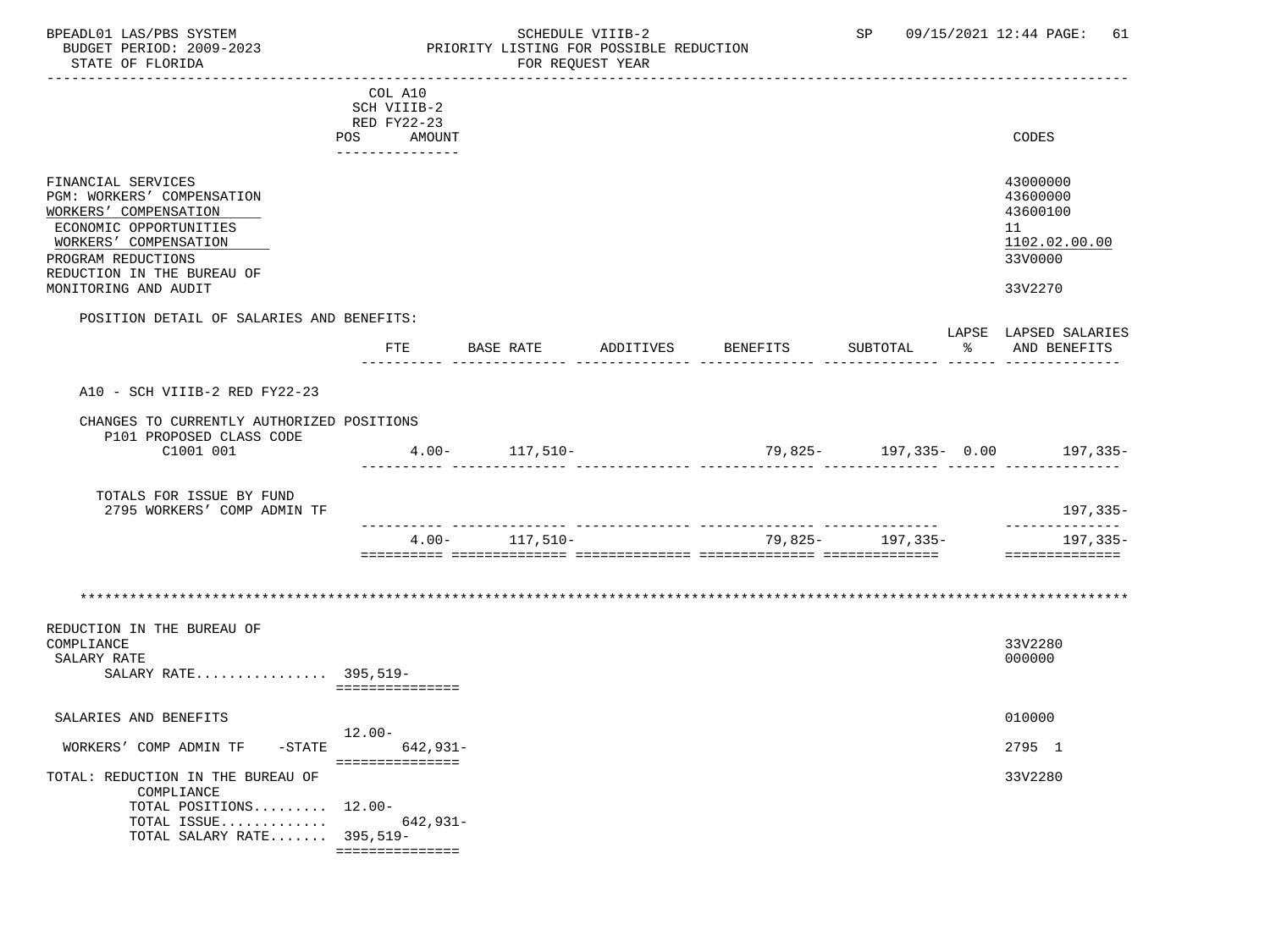## BPEADL01 LAS/PBS SYSTEM SALL SOME SCHEDULE VIIIB-2 SCHEDULE SP 09/15/2021 12:44 PAGE: 61 BUDGET PERIOD: 2009-2023 PRIORITY LISTING FOR POSSIBLE REDUCTION

|                                                                           | COL A10                                 |                    |           |          |                    |                                  |
|---------------------------------------------------------------------------|-----------------------------------------|--------------------|-----------|----------|--------------------|----------------------------------|
|                                                                           | SCH VIIIB-2                             |                    |           |          |                    |                                  |
|                                                                           | RED FY22-23                             |                    |           |          |                    |                                  |
|                                                                           | POS AMOUNT                              |                    |           |          |                    | CODES                            |
|                                                                           | ----------------                        |                    |           |          |                    |                                  |
| FINANCIAL SERVICES<br>PGM: WORKERS' COMPENSATION<br>WORKERS' COMPENSATION |                                         |                    |           |          |                    | 43000000<br>43600000<br>43600100 |
| ECONOMIC OPPORTUNITIES<br>WORKERS' COMPENSATION                           |                                         |                    |           |          |                    | 11<br>1102.02.00.00              |
| PROGRAM REDUCTIONS<br>REDUCTION IN THE BUREAU OF                          |                                         |                    |           |          |                    | 33V0000                          |
| MONITORING AND AUDIT                                                      |                                         |                    |           |          |                    | 33V2270                          |
| POSITION DETAIL OF SALARIES AND BENEFITS:                                 |                                         |                    |           |          |                    | LAPSE LAPSED SALARIES            |
|                                                                           | FTE                                     | BASE RATE          | ADDITIVES | BENEFITS | SUBTOTAL           | % AND BENEFITS                   |
| A10 - SCH VIIIB-2 RED FY22-23                                             |                                         |                    |           |          |                    |                                  |
|                                                                           |                                         |                    |           |          |                    |                                  |
| CHANGES TO CURRENTLY AUTHORIZED POSITIONS<br>P101 PROPOSED CLASS CODE     |                                         |                    |           |          |                    |                                  |
| C1001 001                                                                 |                                         | $4.00 - 117,510 -$ |           |          |                    |                                  |
| TOTALS FOR ISSUE BY FUND<br>2795 WORKERS' COMP ADMIN TF                   |                                         |                    |           |          |                    | 197,335-                         |
|                                                                           | $4.00 -$                                | 117,510-           |           |          | 79,825 - 197,335 - | --------------<br>197,335-       |
|                                                                           |                                         |                    |           |          |                    | ---------------                  |
|                                                                           |                                         |                    |           |          |                    |                                  |
| REDUCTION IN THE BUREAU OF<br>COMPLIANCE                                  |                                         |                    |           |          |                    | 33V2280                          |
| SALARY RATE<br>SALARY RATE 395,519-                                       |                                         |                    |           |          |                    | 000000                           |
|                                                                           | ===============                         |                    |           |          |                    |                                  |
| SALARIES AND BENEFITS                                                     | $12.00 -$                               |                    |           |          |                    | 010000                           |
| WORKERS' COMP ADMIN TF                                                    | $-STATE$<br>642,931-<br>=============== |                    |           |          |                    | 2795 1                           |
| TOTAL: REDUCTION IN THE BUREAU OF<br>COMPLIANCE                           |                                         |                    |           |          |                    | 33V2280                          |
| TOTAL POSITIONS 12.00-                                                    |                                         |                    |           |          |                    |                                  |
| TOTAL ISSUE $642,931-$<br>TOTAL SALARY RATE $395,519-$                    |                                         |                    |           |          |                    |                                  |
|                                                                           | ===============                         |                    |           |          |                    |                                  |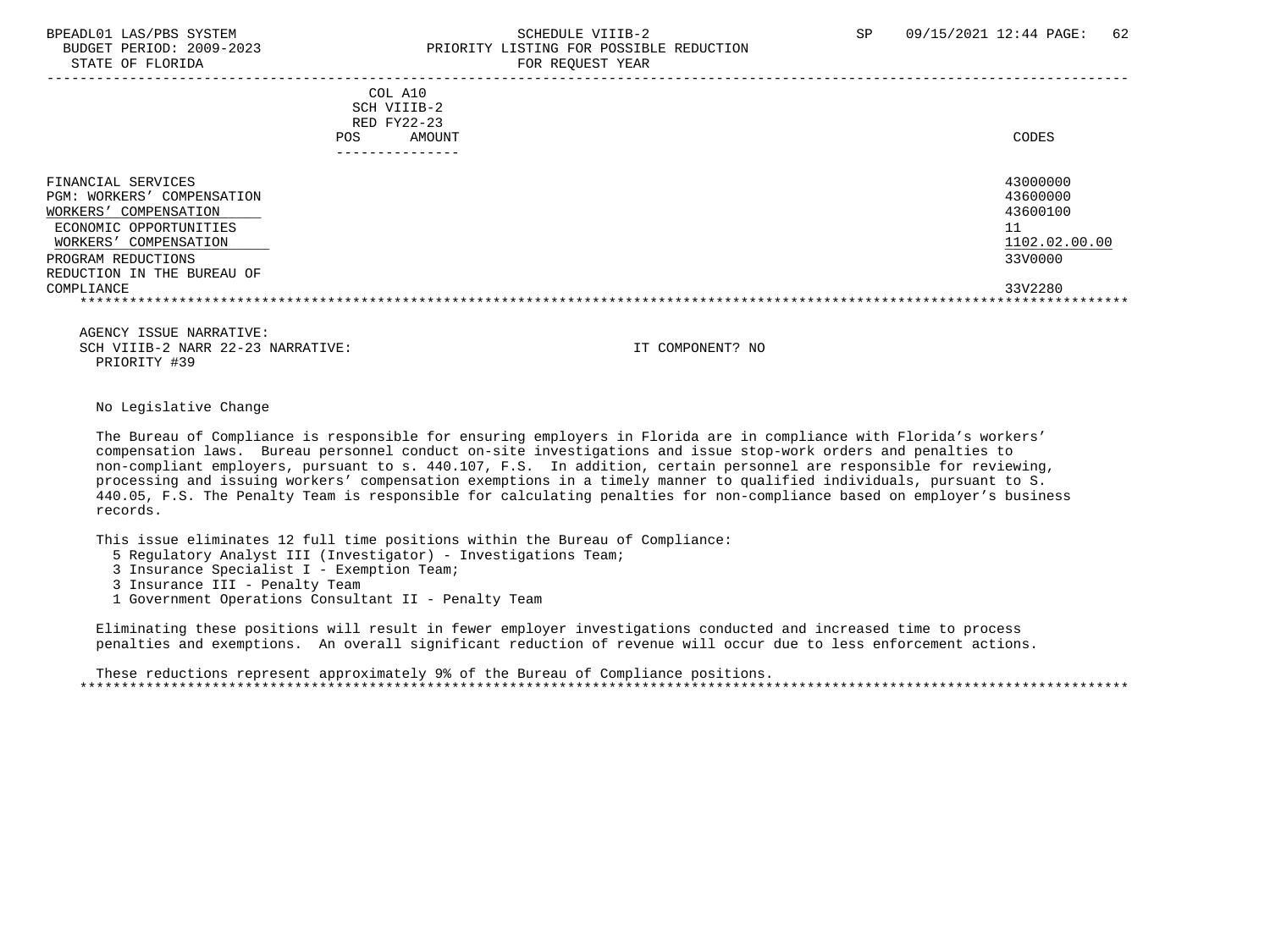### BPEADL01 LAS/PBS SYSTEM SALL SOMEDULE VIIIB-2 SCHEDULE VIIIB-2 SP 09/15/2021 12:44 PAGE: 62 BUDGET PERIOD: 2009-2023 PRIORITY LISTING FOR POSSIBLE REDUCTION STATE OF FLORIDA FOR REQUEST YEAR

| COL A10<br>SCH VIIIB-2<br>RED FY22-23<br><b>POS</b><br>AMOUNT                                                                                                                       | CODES                                                              |
|-------------------------------------------------------------------------------------------------------------------------------------------------------------------------------------|--------------------------------------------------------------------|
| FINANCIAL SERVICES<br>PGM: WORKERS' COMPENSATION<br>COMPENSATION<br>WORKERS'<br>ECONOMIC OPPORTUNITIES<br>WORKERS' COMPENSATION<br>PROGRAM REDUCTIONS<br>REDUCTION IN THE BUREAU OF | 43000000<br>43600000<br>43600100<br>11<br>1102.02.00.00<br>33V0000 |
| COMPLIANCE                                                                                                                                                                          | 33V2280                                                            |

 AGENCY ISSUE NARRATIVE: SCH VIIIB-2 NARR 22-23 NARRATIVE: IT COMPONENT? NO PRIORITY #39

### No Legislative Change

 The Bureau of Compliance is responsible for ensuring employers in Florida are in compliance with Florida's workers' compensation laws. Bureau personnel conduct on-site investigations and issue stop-work orders and penalties to non-compliant employers, pursuant to s. 440.107, F.S. In addition, certain personnel are responsible for reviewing, processing and issuing workers' compensation exemptions in a timely manner to qualified individuals, pursuant to S. 440.05, F.S. The Penalty Team is responsible for calculating penalties for non-compliance based on employer's business records.

This issue eliminates 12 full time positions within the Bureau of Compliance:

- 5 Regulatory Analyst III (Investigator) Investigations Team;
- 3 Insurance Specialist I Exemption Team;
- 3 Insurance III Penalty Team
- 1 Government Operations Consultant II Penalty Team

 Eliminating these positions will result in fewer employer investigations conducted and increased time to process penalties and exemptions. An overall significant reduction of revenue will occur due to less enforcement actions.

 These reductions represent approximately 9% of the Bureau of Compliance positions. \*\*\*\*\*\*\*\*\*\*\*\*\*\*\*\*\*\*\*\*\*\*\*\*\*\*\*\*\*\*\*\*\*\*\*\*\*\*\*\*\*\*\*\*\*\*\*\*\*\*\*\*\*\*\*\*\*\*\*\*\*\*\*\*\*\*\*\*\*\*\*\*\*\*\*\*\*\*\*\*\*\*\*\*\*\*\*\*\*\*\*\*\*\*\*\*\*\*\*\*\*\*\*\*\*\*\*\*\*\*\*\*\*\*\*\*\*\*\*\*\*\*\*\*\*\*\*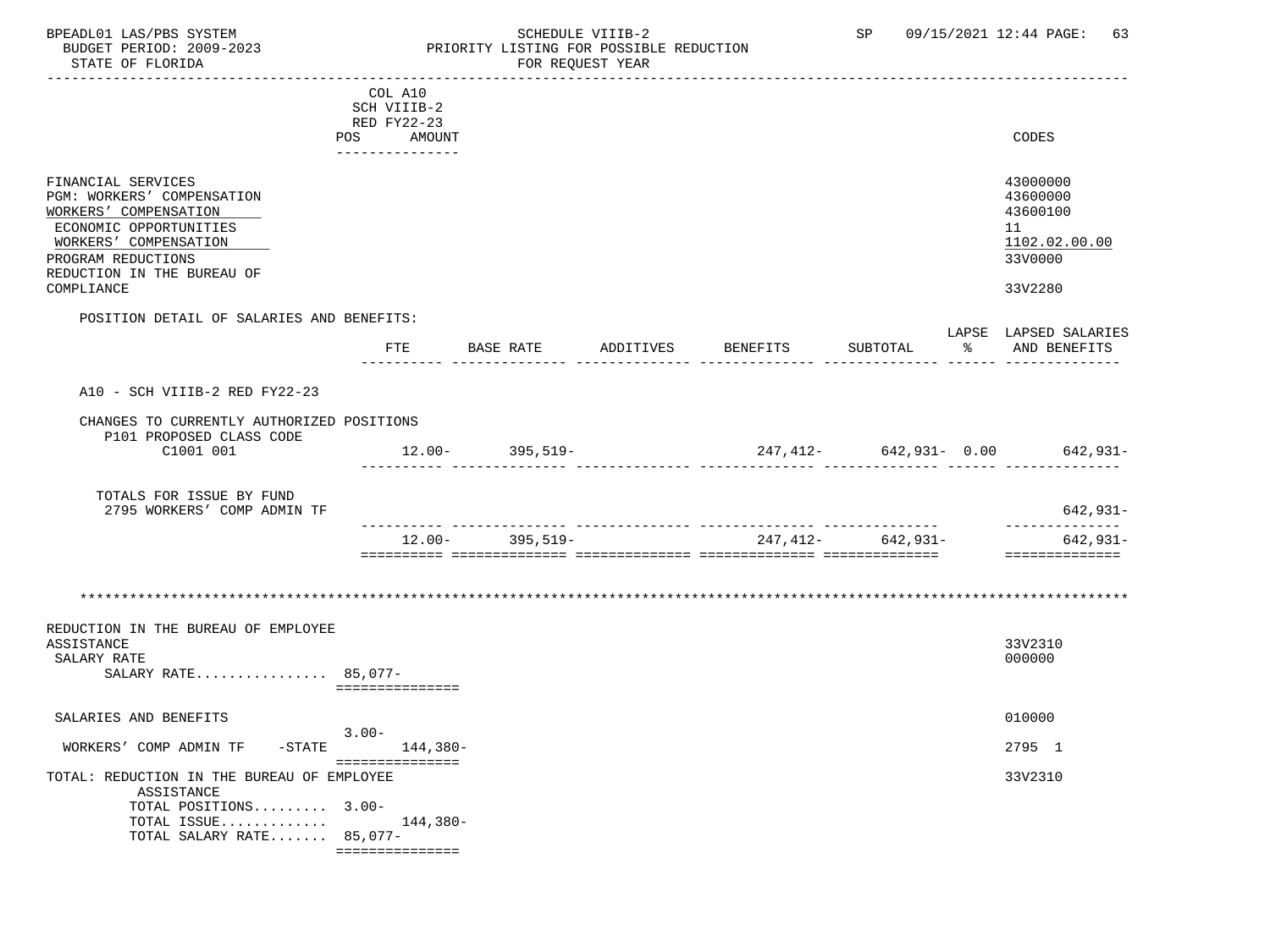BPEADL01 LAS/PBS SYSTEM SALL SALL SCHEDULE VIIIB-2 SP 09/15/2021 12:44 PAGE: 63 BUDGET PERIOD: 2009-2023 PRIORITY LISTING FOR POSSIBLE REDUCTION STATE OF FLORIDA FOR REQUEST YEAR ----------------------------------------------------------------------------------------------------------------------------------- COL A10 SCH VIIIB-2 RED FY22-23

 POS AMOUNT CODES --------------- FINANCIAL SERVICES 43000000 PGM: WORKERS' COMPENSATION 43600000<br>WORKERS' COMPENSATION 43600100 WORKERS' COMPENSATION ECONOMIC OPPORTUNITIES 11  $\frac{\text{WORKERS}\text{'}}{\text{ROGRAM REDUCTIONS}} \qquad \qquad \frac{1102.02}{3300000} \qquad \qquad \frac{1102.02}{110000} \qquad \qquad \frac{11000}{11000} \qquad \qquad \frac{11000}{11000} \qquad \qquad \frac{11000}{11000} \qquad \qquad \frac{11000}{11000} \qquad \qquad \frac{11000}{11000} \qquad \qquad \frac{11000}{11000} \qquad \qquad \frac{11000}{11000} \q$ PROGRAM REDUCTIONS REDUCTION IN THE BUREAU OF COMPLIANCE 33V2280 POSITION DETAIL OF SALARIES AND BENEFITS: LAPSE LAPSED SALARIES FTE BASE RATE ADDITIVES BENEFITS SUBTOTAL ---------- -------------- -------------- -------------- -------------- ------ -------------- A10 - SCH VIIIB-2 RED FY22-23 CHANGES TO CURRENTLY AUTHORIZED POSITIONS P101 PROPOSED CLASS CODE C1001 001 12.00- 395,519- 247,412- 642,931- 0.00 642,931- ---------- -------------- -------------- -------------- -------------- ------ -------------- TOTALS FOR ISSUE BY FUND 2795 WORKERS' COMP ADMIN TF 642,931- ---------- -------------- -------------- -------------- -------------- -------------- 12.00- 395,519- 247,412- 642,931- 642,931- ========== ============== ============== ============== ============== ============== \*\*\*\*\*\*\*\*\*\*\*\*\*\*\*\*\*\*\*\*\*\*\*\*\*\*\*\*\*\*\*\*\*\*\*\*\*\*\*\*\*\*\*\*\*\*\*\*\*\*\*\*\*\*\*\*\*\*\*\*\*\*\*\*\*\*\*\*\*\*\*\*\*\*\*\*\*\*\*\*\*\*\*\*\*\*\*\*\*\*\*\*\*\*\*\*\*\*\*\*\*\*\*\*\*\*\*\*\*\*\*\*\*\*\*\*\*\*\*\*\*\*\*\*\*\*\*

REDUCTION IN THE BUREAU OF EMPLOYEE ASSISTANCE ASSISTANCE 33V2310  $\texttt{SALARY RATE}$  . The contract of the contract of the contract of the contract of the contract of the contract of the contract of the contract of the contract of the contract of the contract of the contract of the contract o SALARY RATE................ 85,077- ===============

SALARIES AND BENEFITS 010000 3.00- WORKERS' COMP ADMIN TF -STATE 144,380-<br>
2795 1 =============== TOTAL: REDUCTION IN THE BUREAU OF EMPLOYEE 33V2310 ASSISTANCE TOTAL POSITIONS......... 3.00- TOTAL ISSUE............. 144,380- TOTAL SALARY RATE....... 85,077- ===============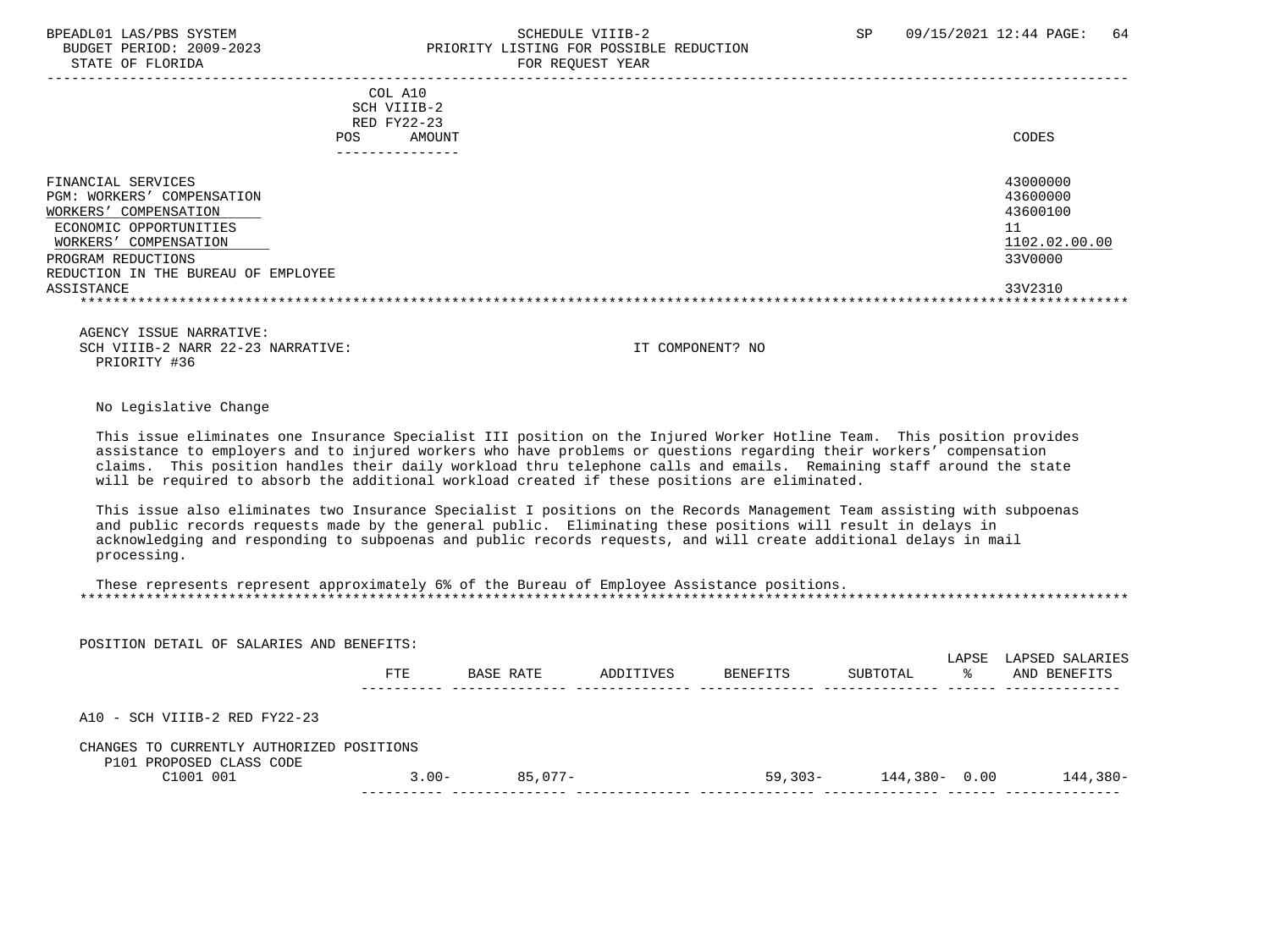STATE OF FLORIDA

## BPEADL01 LAS/PBS SYSTEM SOHEDULE VIIIB-2 SCHEDULE VIIIB-2 SP 09/15/2021 12:44 PAGE: 64 PRIORITY LISTING FOR POSSIBLE REDUCTION<br>FOR REQUEST YEAR

|                                                                                                                                                                                                            | COL A10<br>SCH VIIIB-2<br>RED FY22-23<br>AMOUNT<br><b>POS</b><br>------------ | CODES                                                                         |
|------------------------------------------------------------------------------------------------------------------------------------------------------------------------------------------------------------|-------------------------------------------------------------------------------|-------------------------------------------------------------------------------|
| FINANCIAL SERVICES<br>PGM: WORKERS' COMPENSATION<br>COMPENSATION<br>WORKERS'<br>ECONOMIC OPPORTUNITIES<br>WORKERS' COMPENSATION<br>PROGRAM REDUCTIONS<br>REDUCTION IN THE BUREAU OF EMPLOYEE<br>ASSISTANCE |                                                                               | 43000000<br>43600000<br>43600100<br>11<br>1102.02.00.00<br>33V0000<br>33V2310 |

 AGENCY ISSUE NARRATIVE: SCH VIIIB-2 NARR 22-23 NARRATIVE: IT COMPONENT? NO PRIORITY #36

### No Legislative Change

 This issue eliminates one Insurance Specialist III position on the Injured Worker Hotline Team. This position provides assistance to employers and to injured workers who have problems or questions regarding their workers' compensation claims. This position handles their daily workload thru telephone calls and emails. Remaining staff around the state will be required to absorb the additional workload created if these positions are eliminated.

 This issue also eliminates two Insurance Specialist I positions on the Records Management Team assisting with subpoenas and public records requests made by the general public. Eliminating these positions will result in delays in acknowledging and responding to subpoenas and public records requests, and will create additional delays in mail processing.

| These represents represent approximately 6% of the Bureau of Employee Assistance positions. |  |
|---------------------------------------------------------------------------------------------|--|
|                                                                                             |  |

POSITION DETAIL OF SALARIES AND BENEFITS:

|                                                                       | FTE      | BASE RATE | ADDITIVES | BENEFITS   | SUBTOTAL         | LAPSE<br>°≈ | LAPSED SALARIES<br>AND BENEFITS |
|-----------------------------------------------------------------------|----------|-----------|-----------|------------|------------------|-------------|---------------------------------|
| A10 - SCH VIIIB-2 RED FY22-23                                         |          |           |           |            |                  |             |                                 |
| CHANGES TO CURRENTLY AUTHORIZED POSITIONS<br>P101 PROPOSED CLASS CODE |          |           |           |            |                  |             |                                 |
| C1001 001                                                             | $3.00 -$ | 85,077-   |           | $59.303 -$ | $144,380 - 0.00$ |             | 144,380-                        |
|                                                                       |          |           |           |            |                  |             |                                 |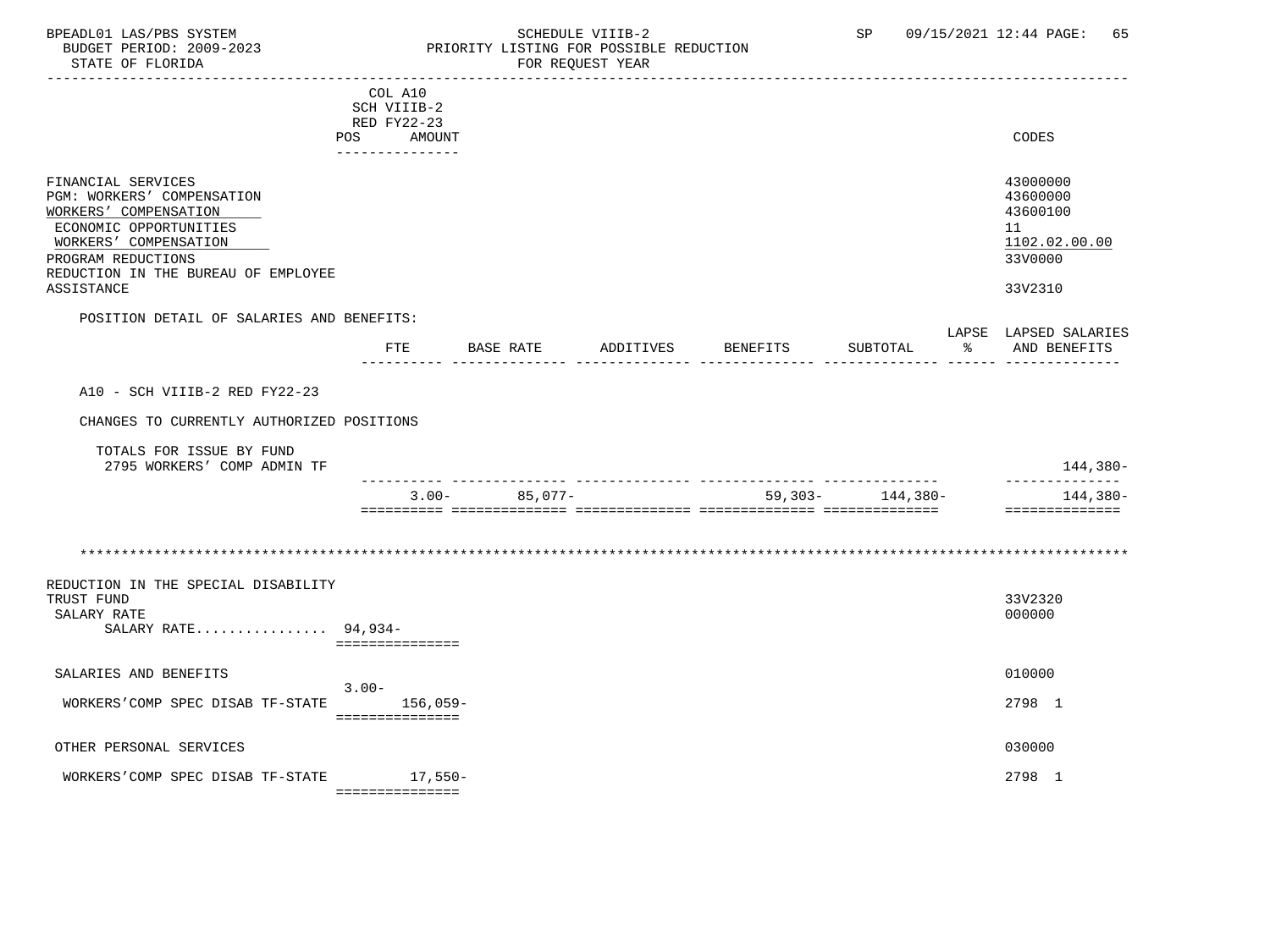### BPEADL01 LAS/PBS SYSTEM STRING THE SCHEDULE VIIIB-2 SP 09/15/2021 12:44 PAGE: 65<br>BUDGET PERIOD: 2009-2023 PRIORITY LISTING FOR POSSIBLE REDUCTION BUDGET PERIOD: 2009-2023 PRIORITY LISTING FOR POSSIBLE REDUCTION<br>STATE OF FLORIDA POR REQUEST YEAR FOR REQUEST YEAR

|                                                                                                                                                                                                         | COL A10<br>SCH VIIIB-2<br>RED FY22-23<br>POS AMOUNT |           |           |                 |          |    | CODES                                                                         |
|---------------------------------------------------------------------------------------------------------------------------------------------------------------------------------------------------------|-----------------------------------------------------|-----------|-----------|-----------------|----------|----|-------------------------------------------------------------------------------|
|                                                                                                                                                                                                         | --------------                                      |           |           |                 |          |    |                                                                               |
| FINANCIAL SERVICES<br>PGM: WORKERS' COMPENSATION<br>WORKERS' COMPENSATION<br>ECONOMIC OPPORTUNITIES<br>WORKERS' COMPENSATION<br>PROGRAM REDUCTIONS<br>REDUCTION IN THE BUREAU OF EMPLOYEE<br>ASSISTANCE |                                                     |           |           |                 |          |    | 43000000<br>43600000<br>43600100<br>11<br>1102.02.00.00<br>33V0000<br>33V2310 |
| POSITION DETAIL OF SALARIES AND BENEFITS:                                                                                                                                                               |                                                     |           |           |                 |          |    |                                                                               |
|                                                                                                                                                                                                         | <b>FTE</b>                                          | BASE RATE | ADDITIVES | <b>BENEFITS</b> | SUBTOTAL | ႜႂ | LAPSE LAPSED SALARIES<br>AND BENEFITS                                         |
| A10 - SCH VIIIB-2 RED FY22-23                                                                                                                                                                           |                                                     |           |           |                 |          |    |                                                                               |
| CHANGES TO CURRENTLY AUTHORIZED POSITIONS                                                                                                                                                               |                                                     |           |           |                 |          |    |                                                                               |
| TOTALS FOR ISSUE BY FUND<br>2795 WORKERS' COMP ADMIN TF                                                                                                                                                 |                                                     |           |           |                 |          |    | 144,380-                                                                      |
|                                                                                                                                                                                                         | $3.00 -$                                            | 85,077-   |           | $59,303-$       | 144,380- |    | --------------<br>144,380-<br>==============                                  |
|                                                                                                                                                                                                         |                                                     |           |           |                 |          |    |                                                                               |
| REDUCTION IN THE SPECIAL DISABILITY<br>TRUST FUND<br>SALARY RATE<br>SALARY RATE 94,934-                                                                                                                 | ===============                                     |           |           |                 |          |    | 33V2320<br>000000                                                             |
| SALARIES AND BENEFITS                                                                                                                                                                                   |                                                     |           |           |                 |          |    | 010000                                                                        |
| WORKERS'COMP SPEC DISAB TF-STATE                                                                                                                                                                        | $3.00 -$<br>156,059-<br>===============             |           |           |                 |          |    | 2798 1                                                                        |
| OTHER PERSONAL SERVICES                                                                                                                                                                                 |                                                     |           |           |                 |          |    | 030000                                                                        |
| WORKERS'COMP SPEC DISAB TF-STATE                                                                                                                                                                        | $17,550-$<br>- ===============                      |           |           |                 |          |    | 2798 1                                                                        |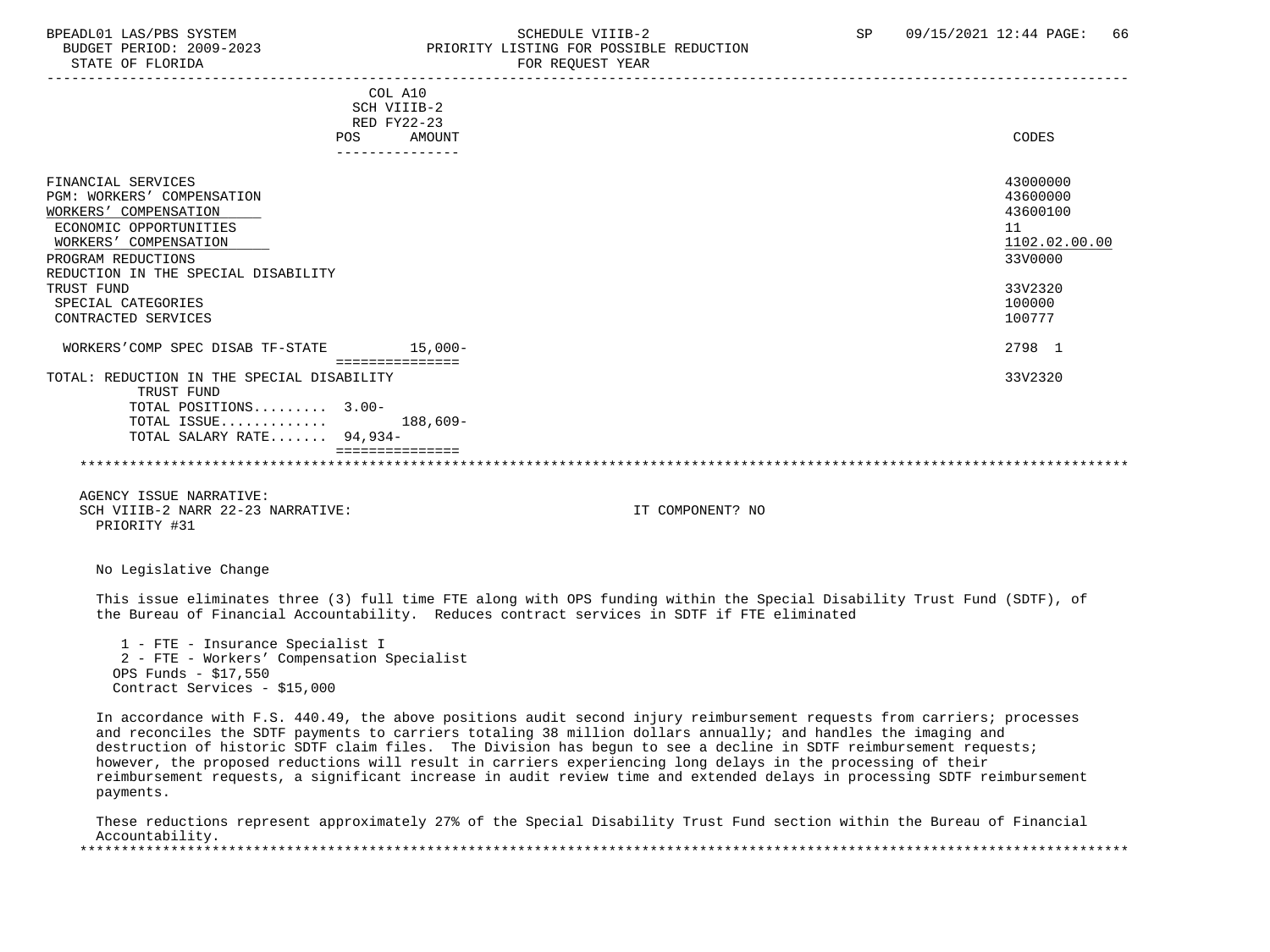## BPEADL01 LAS/PBS SYSTEM STRING THE SCHEDULE VIIIB-2 SCHEDULE SERVICTION SP 09/15/2021 12:44 PAGE: 66 PRIORITY LISTING FOR POSSIBLE REDUCTION

| STATE OF FLORIDA                                                                                                                                                                          |                                                               | FOR REQUEST YEAR<br>----------------------------------                                                                                                                                                                                                                                                                                                                                                                                                                                                                                                                                                     |                                                                    |
|-------------------------------------------------------------------------------------------------------------------------------------------------------------------------------------------|---------------------------------------------------------------|------------------------------------------------------------------------------------------------------------------------------------------------------------------------------------------------------------------------------------------------------------------------------------------------------------------------------------------------------------------------------------------------------------------------------------------------------------------------------------------------------------------------------------------------------------------------------------------------------------|--------------------------------------------------------------------|
|                                                                                                                                                                                           | COL A10<br>SCH VIIIB-2<br>RED FY22-23<br><b>AMOUNT</b><br>POS |                                                                                                                                                                                                                                                                                                                                                                                                                                                                                                                                                                                                            | CODES                                                              |
|                                                                                                                                                                                           | ---------------                                               |                                                                                                                                                                                                                                                                                                                                                                                                                                                                                                                                                                                                            |                                                                    |
| FINANCIAL SERVICES<br>PGM: WORKERS' COMPENSATION<br>WORKERS' COMPENSATION<br>ECONOMIC OPPORTUNITIES<br>WORKERS' COMPENSATION<br>PROGRAM REDUCTIONS<br>REDUCTION IN THE SPECIAL DISABILITY |                                                               |                                                                                                                                                                                                                                                                                                                                                                                                                                                                                                                                                                                                            | 43000000<br>43600000<br>43600100<br>11<br>1102.02.00.00<br>33V0000 |
| TRUST FUND<br>SPECIAL CATEGORIES<br>CONTRACTED SERVICES                                                                                                                                   |                                                               |                                                                                                                                                                                                                                                                                                                                                                                                                                                                                                                                                                                                            | 33V2320<br>100000<br>100777                                        |
| WORKERS'COMP SPEC DISAB TF-STATE 15,000-                                                                                                                                                  |                                                               |                                                                                                                                                                                                                                                                                                                                                                                                                                                                                                                                                                                                            | 2798 1                                                             |
| TOTAL: REDUCTION IN THE SPECIAL DISABILITY<br>TRUST FUND<br>TOTAL POSITIONS 3.00-<br>TOTAL ISSUE<br>TOTAL SALARY RATE 94,934-                                                             | ================<br>$188,609-$<br>===============             |                                                                                                                                                                                                                                                                                                                                                                                                                                                                                                                                                                                                            | 33V2320                                                            |
|                                                                                                                                                                                           |                                                               |                                                                                                                                                                                                                                                                                                                                                                                                                                                                                                                                                                                                            |                                                                    |
| AGENCY ISSUE NARRATIVE:<br>SCH VIIIB-2 NARR 22-23 NARRATIVE:<br>PRIORITY #31                                                                                                              |                                                               | IT COMPONENT? NO                                                                                                                                                                                                                                                                                                                                                                                                                                                                                                                                                                                           |                                                                    |
| No Legislative Change                                                                                                                                                                     |                                                               |                                                                                                                                                                                                                                                                                                                                                                                                                                                                                                                                                                                                            |                                                                    |
|                                                                                                                                                                                           |                                                               | This issue eliminates three (3) full time FTE along with OPS funding within the Special Disability Trust Fund (SDTF), of<br>the Bureau of Financial Accountability. Reduces contract services in SDTF if FTE eliminated                                                                                                                                                                                                                                                                                                                                                                                    |                                                                    |
| 1 - FTE - Insurance Specialist I<br>2 - FTE - Workers' Compensation Specialist<br>OPS Funds - \$17,550<br>Contract Services - \$15,000                                                    |                                                               |                                                                                                                                                                                                                                                                                                                                                                                                                                                                                                                                                                                                            |                                                                    |
| payments.                                                                                                                                                                                 |                                                               | In accordance with F.S. 440.49, the above positions audit second injury reimbursement requests from carriers; processes<br>and reconciles the SDTF payments to carriers totaling 38 million dollars annually; and handles the imaging and<br>destruction of historic SDTF claim files. The Division has begun to see a decline in SDTF reimbursement requests;<br>however, the proposed reductions will result in carriers experiencing long delays in the processing of their<br>reimbursement requests, a significant increase in audit review time and extended delays in processing SDTF reimbursement |                                                                    |

 These reductions represent approximately 27% of the Special Disability Trust Fund section within the Bureau of Financial Accountability. \*\*\*\*\*\*\*\*\*\*\*\*\*\*\*\*\*\*\*\*\*\*\*\*\*\*\*\*\*\*\*\*\*\*\*\*\*\*\*\*\*\*\*\*\*\*\*\*\*\*\*\*\*\*\*\*\*\*\*\*\*\*\*\*\*\*\*\*\*\*\*\*\*\*\*\*\*\*\*\*\*\*\*\*\*\*\*\*\*\*\*\*\*\*\*\*\*\*\*\*\*\*\*\*\*\*\*\*\*\*\*\*\*\*\*\*\*\*\*\*\*\*\*\*\*\*\*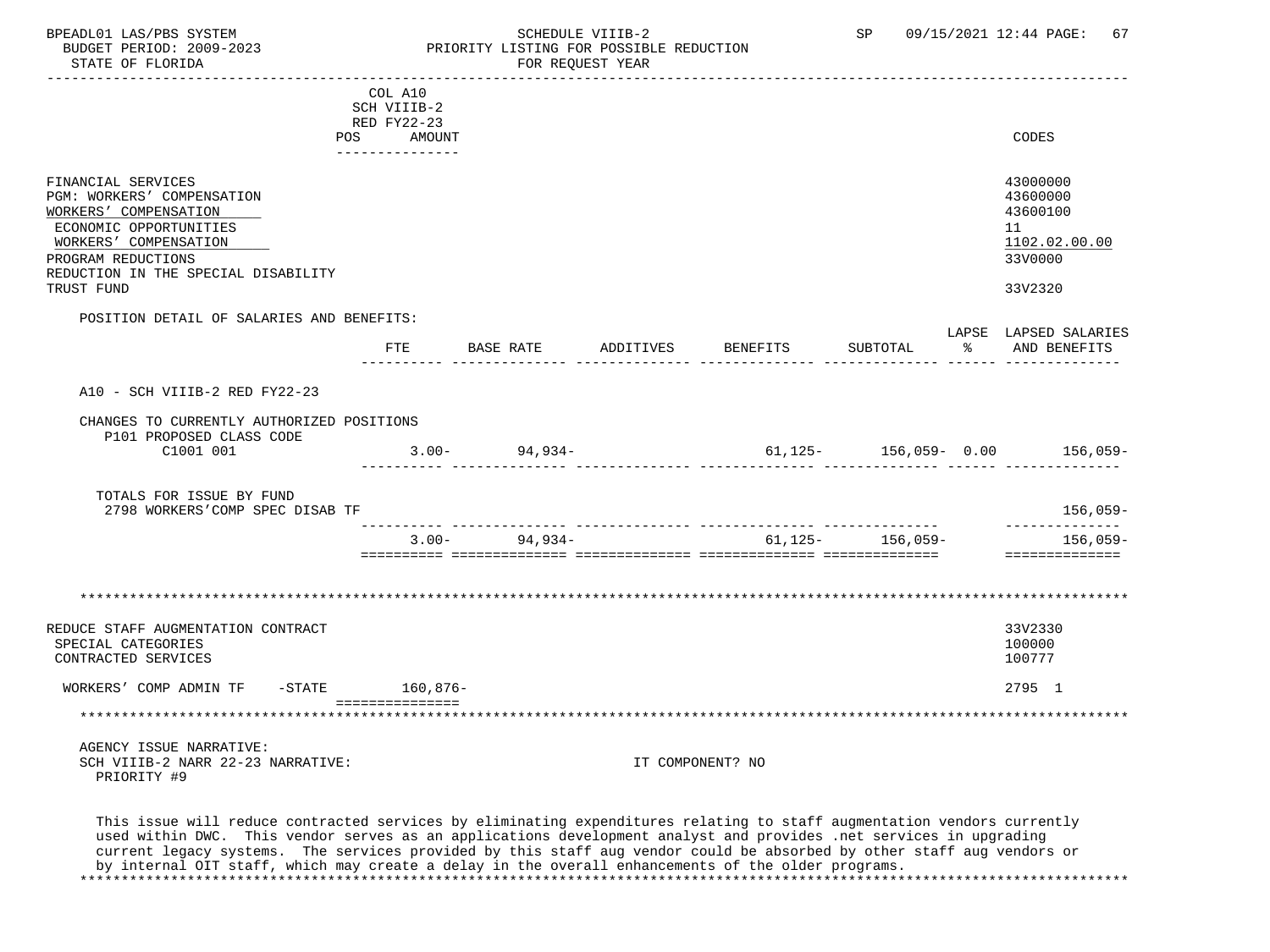|                                                                                                                                                                                           | COL A10<br>SCH VIIIB-2<br>RED FY22-23 |                   |           |                                       |                        |               |                                                                    |
|-------------------------------------------------------------------------------------------------------------------------------------------------------------------------------------------|---------------------------------------|-------------------|-----------|---------------------------------------|------------------------|---------------|--------------------------------------------------------------------|
|                                                                                                                                                                                           | POS AMOUNT                            |                   |           |                                       |                        |               | CODES                                                              |
| FINANCIAL SERVICES<br>PGM: WORKERS' COMPENSATION<br>WORKERS' COMPENSATION<br>ECONOMIC OPPORTUNITIES<br>WORKERS' COMPENSATION<br>PROGRAM REDUCTIONS<br>REDUCTION IN THE SPECIAL DISABILITY |                                       |                   |           |                                       |                        |               | 43000000<br>43600000<br>43600100<br>11<br>1102.02.00.00<br>33V0000 |
| TRUST FUND                                                                                                                                                                                |                                       |                   |           |                                       |                        |               | 33V2320                                                            |
| POSITION DETAIL OF SALARIES AND BENEFITS:                                                                                                                                                 | <b>FTE</b>                            | BASE RATE         | ADDITIVES | BENEFITS                              | SUBTOTAL               | $\sim$ $\sim$ | LAPSE LAPSED SALARIES<br>AND BENEFITS                              |
| A10 - SCH VIIIB-2 RED FY22-23                                                                                                                                                             |                                       |                   |           |                                       |                        |               |                                                                    |
| CHANGES TO CURRENTLY AUTHORIZED POSITIONS<br>P101 PROPOSED CLASS CODE<br>C1001 001                                                                                                        |                                       | $3.00 - 94,934 -$ |           |                                       |                        |               | $61, 125 - 156, 059 - 0.00$ 156,059-                               |
| TOTALS FOR ISSUE BY FUND<br>2798 WORKERS'COMP SPEC DISAB TF                                                                                                                               |                                       |                   |           |                                       |                        |               | 156,059-                                                           |
|                                                                                                                                                                                           |                                       | $3.00 - 94,934 -$ |           | _____________________________________ | $61, 125 - 156, 059 -$ |               | --------------<br>156,059–<br>==============                       |
|                                                                                                                                                                                           |                                       |                   |           |                                       |                        |               |                                                                    |
| REDUCE STAFF AUGMENTATION CONTRACT<br>SPECIAL CATEGORIES<br>CONTRACTED SERVICES                                                                                                           |                                       |                   |           |                                       |                        |               | 33V2330<br>100000<br>100777                                        |
| WORKERS' COMP ADMIN TF -STATE 160,876-                                                                                                                                                    |                                       |                   |           |                                       |                        |               | 2795 1                                                             |
|                                                                                                                                                                                           | ===============                       |                   |           |                                       |                        |               |                                                                    |
| AGENCY ISSUE NARRATIVE:<br>SCH VIIIB-2 NARR 22-23 NARRATIVE:<br>PRIORITY #9                                                                                                               |                                       |                   |           | IT COMPONENT? NO                      |                        |               |                                                                    |
| This issue will reduce contracted services by eliminating expenditures relating to staff augmentation vendors currently                                                                   |                                       |                   |           |                                       |                        |               |                                                                    |

 This issue will reduce contracted services by eliminating expenditures relating to staff augmentation vendors currently used within DWC. This vendor serves as an applications development analyst and provides .net services in upgrading current legacy systems. The services provided by this staff aug vendor could be absorbed by other staff aug vendors or by internal OIT staff, which may create a delay in the overall enhancements of the older programs. \*\*\*\*\*\*\*\*\*\*\*\*\*\*\*\*\*\*\*\*\*\*\*\*\*\*\*\*\*\*\*\*\*\*\*\*\*\*\*\*\*\*\*\*\*\*\*\*\*\*\*\*\*\*\*\*\*\*\*\*\*\*\*\*\*\*\*\*\*\*\*\*\*\*\*\*\*\*\*\*\*\*\*\*\*\*\*\*\*\*\*\*\*\*\*\*\*\*\*\*\*\*\*\*\*\*\*\*\*\*\*\*\*\*\*\*\*\*\*\*\*\*\*\*\*\*\*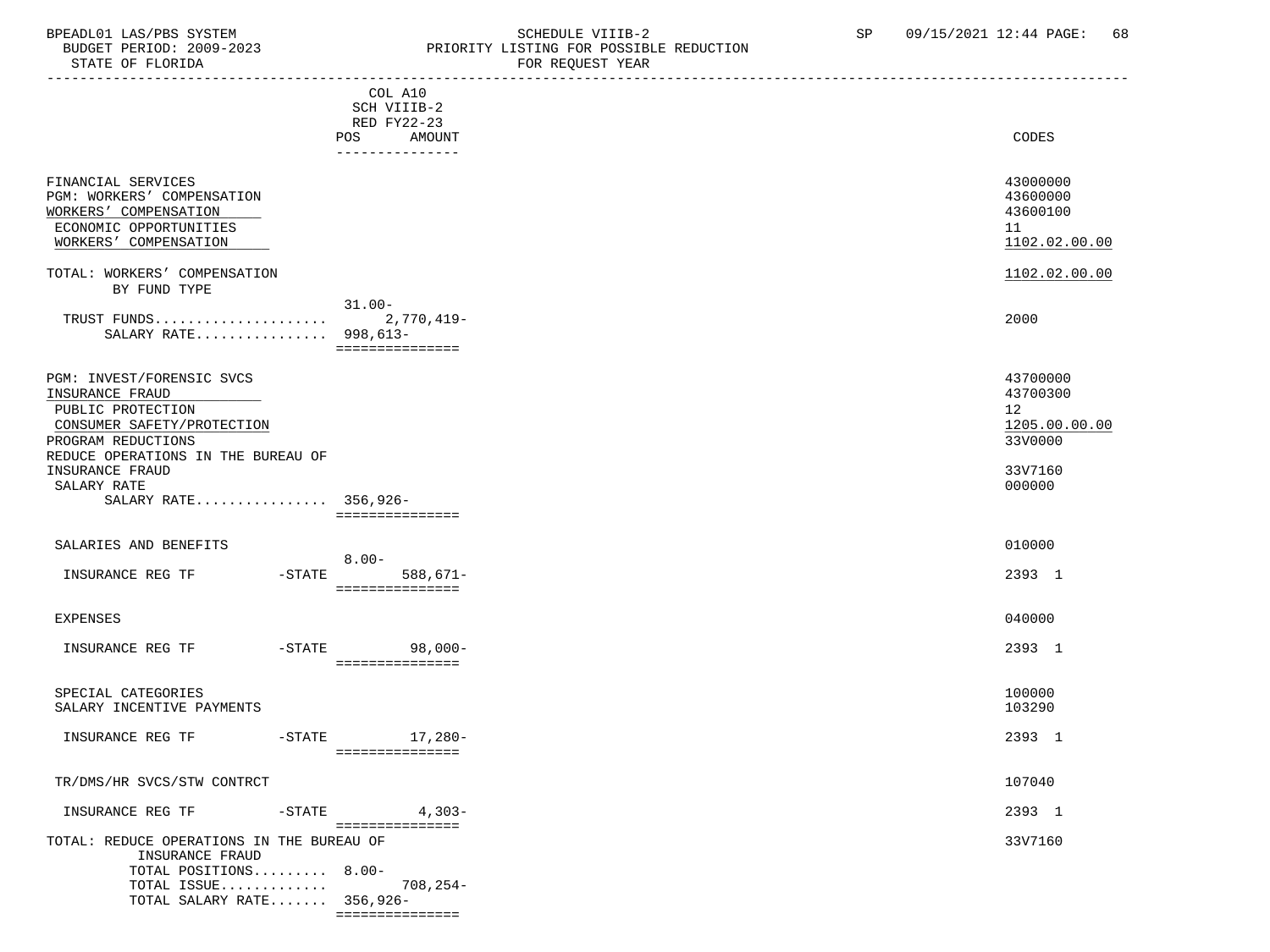| BPEADL01 LAS/PBS SYSTEM<br>BUDGET PERIOD: 2009-2023<br>STATE OF FLORIDA                                                                                                                                               |                                                               | SCHEDULE VIIIB-2<br>PRIORITY LISTING FOR POSSIBLE REDUCTION<br>FOR REQUEST YEAR | SP | 09/15/2021 12:44 PAGE:                                                      | 68 |
|-----------------------------------------------------------------------------------------------------------------------------------------------------------------------------------------------------------------------|---------------------------------------------------------------|---------------------------------------------------------------------------------|----|-----------------------------------------------------------------------------|----|
|                                                                                                                                                                                                                       | COL A10<br>SCH VIIIB-2<br>RED FY22-23<br><b>POS</b><br>AMOUNT |                                                                                 |    | CODES                                                                       |    |
| FINANCIAL SERVICES<br><b>PGM: WORKERS' COMPENSATION</b><br>WORKERS' COMPENSATION<br>ECONOMIC OPPORTUNITIES<br>WORKERS' COMPENSATION                                                                                   |                                                               |                                                                                 |    | 43000000<br>43600000<br>43600100<br>11<br>1102.02.00.00                     |    |
| TOTAL: WORKERS' COMPENSATION<br>BY FUND TYPE                                                                                                                                                                          |                                                               |                                                                                 |    | 1102.02.00.00                                                               |    |
| TRUST FUNDS<br>SALARY RATE 998, 613-                                                                                                                                                                                  | $31.00 -$<br>2,770,419-<br>===============                    |                                                                                 |    | 2000                                                                        |    |
| PGM: INVEST/FORENSIC SVCS<br>INSURANCE FRAUD<br>PUBLIC PROTECTION<br>CONSUMER SAFETY/PROTECTION<br>PROGRAM REDUCTIONS<br>REDUCE OPERATIONS IN THE BUREAU OF<br>INSURANCE FRAUD<br>SALARY RATE<br>SALARY RATE 356,926- |                                                               |                                                                                 |    | 43700000<br>43700300<br>12<br>1205.00.00.00<br>33V0000<br>33V7160<br>000000 |    |

===============

===============

TOTAL SALARY RATE....... 356,926-

| SALARIES AND BENEFITS                                        |                       |                              |  |
|--------------------------------------------------------------|-----------------------|------------------------------|--|
|                                                              | $8.00 -$              |                              |  |
| INSURANCE REG TF                                             | $-$ STATE             | $588,671-$<br>============== |  |
|                                                              |                       |                              |  |
| EXPENSES                                                     |                       |                              |  |
| INSURANCE REG TF                                             | $-$ STATE             | $98,000-$                    |  |
|                                                              |                       | ==============               |  |
|                                                              |                       |                              |  |
| SPECIAL CATEGORIES                                           |                       |                              |  |
| SALARY INCENTIVE PAYMENTS                                    |                       |                              |  |
| INSURANCE REG TF                                             | $-$ STATE             | 17,280-                      |  |
|                                                              |                       | ============                 |  |
| TR/DMS/HR SVCS/STW CONTRCT                                   |                       |                              |  |
|                                                              |                       |                              |  |
| INSURANCE REG TF                                             | $-$ STATE             | $4,303-$                     |  |
|                                                              |                       | ============                 |  |
| TOTAL: REDUCE OPERATIONS IN THE BUREAU OF<br>INSURANCE FRAUD |                       |                              |  |
|                                                              | TOTAL POSITIONS 8.00- |                              |  |
| TOTAL ISSUE                                                  |                       | $708, 254-$                  |  |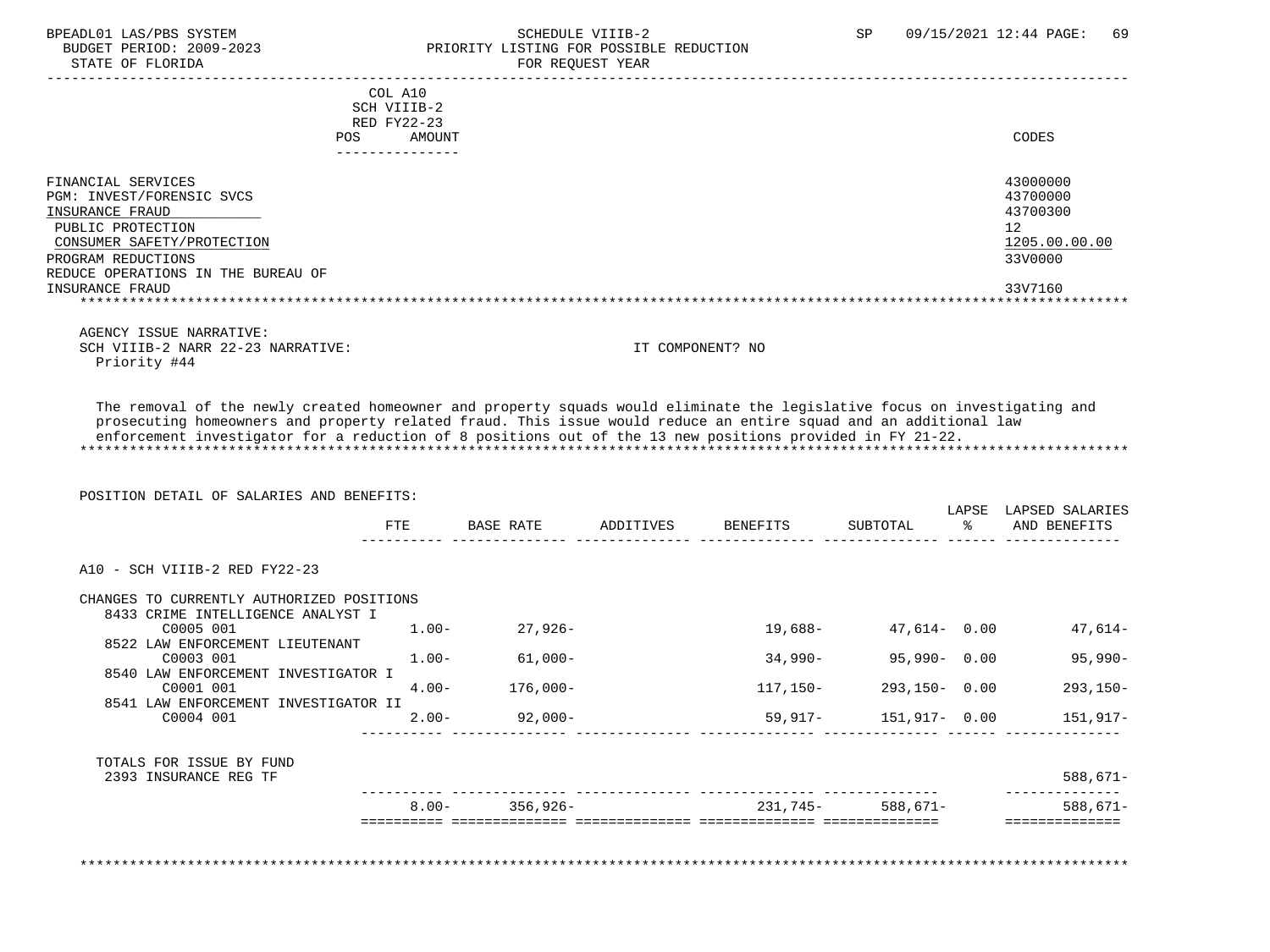### BPEADL01 LAS/PBS SYSTEM SALLE SOMEDULE VIIIB-2 SCHEDULE VIIIB-2 SP 09/15/2021 12:44 PAGE: 69<br>BUDGET PERIOD: 2009-2023 PRIORITY LISTING FOR POSSIBLE REDUCTION BUDGET PERIOD: 2009-2023 PRIORITY LISTING FOR POSSIBLE REDUCTION FOR REQUEST YEAR

| SCH VIIIB-2                                     |                    |                           |                                                                         |                       |                                                                                                                                                                                                                                                                                                                                                            |
|-------------------------------------------------|--------------------|---------------------------|-------------------------------------------------------------------------|-----------------------|------------------------------------------------------------------------------------------------------------------------------------------------------------------------------------------------------------------------------------------------------------------------------------------------------------------------------------------------------------|
| RED FY22-23                                     |                    |                           |                                                                         |                       |                                                                                                                                                                                                                                                                                                                                                            |
| POS.                                            |                    |                           |                                                                         |                       | CODES                                                                                                                                                                                                                                                                                                                                                      |
|                                                 |                    |                           |                                                                         |                       |                                                                                                                                                                                                                                                                                                                                                            |
|                                                 |                    |                           |                                                                         |                       | 43000000                                                                                                                                                                                                                                                                                                                                                   |
|                                                 |                    |                           |                                                                         |                       | 43700000                                                                                                                                                                                                                                                                                                                                                   |
|                                                 |                    |                           |                                                                         |                       | 43700300                                                                                                                                                                                                                                                                                                                                                   |
|                                                 |                    |                           |                                                                         |                       | 12 <sup>°</sup>                                                                                                                                                                                                                                                                                                                                            |
|                                                 |                    |                           |                                                                         |                       | 1205.00.00.00                                                                                                                                                                                                                                                                                                                                              |
|                                                 |                    |                           |                                                                         |                       | 33V0000                                                                                                                                                                                                                                                                                                                                                    |
|                                                 |                    |                           |                                                                         |                       | 33V7160                                                                                                                                                                                                                                                                                                                                                    |
|                                                 |                    |                           |                                                                         |                       |                                                                                                                                                                                                                                                                                                                                                            |
|                                                 |                    |                           |                                                                         |                       |                                                                                                                                                                                                                                                                                                                                                            |
|                                                 |                    |                           |                                                                         |                       |                                                                                                                                                                                                                                                                                                                                                            |
|                                                 |                    |                           |                                                                         |                       |                                                                                                                                                                                                                                                                                                                                                            |
|                                                 |                    |                           |                                                                         |                       |                                                                                                                                                                                                                                                                                                                                                            |
|                                                 |                    |                           |                                                                         |                       |                                                                                                                                                                                                                                                                                                                                                            |
|                                                 |                    |                           |                                                                         |                       |                                                                                                                                                                                                                                                                                                                                                            |
| POSITION DETAIL OF SALARIES AND BENEFITS:       |                    |                           |                                                                         |                       | LAPSE LAPSED SALARIES                                                                                                                                                                                                                                                                                                                                      |
| FTE                                             | BASE RATE          | ADDITIVES                 | BENEFITS                                                                | SUBTOTAL              | % AND BENEFITS                                                                                                                                                                                                                                                                                                                                             |
|                                                 |                    |                           |                                                                         |                       |                                                                                                                                                                                                                                                                                                                                                            |
| CHANGES TO CURRENTLY AUTHORIZED POSITIONS       |                    |                           |                                                                         |                       |                                                                                                                                                                                                                                                                                                                                                            |
| 8433 CRIME INTELLIGENCE ANALYST I<br>$1.00 -$   | 27,926-            |                           | 19,688-                                                                 | 47,614- 0.00          | 47,614-                                                                                                                                                                                                                                                                                                                                                    |
| 8522 LAW ENFORCEMENT LIEUTENANT<br>$1.00 -$     | $61,000-$          |                           | 34,990-                                                                 | 95,990- 0.00          | $95,990 -$                                                                                                                                                                                                                                                                                                                                                 |
| 8540 LAW ENFORCEMENT INVESTIGATOR I<br>$4.00 -$ | $176,000-$         |                           | 117,150-                                                                | $293,150 - 0.00$      | $293, 150 -$                                                                                                                                                                                                                                                                                                                                               |
| 8541 LAW ENFORCEMENT INVESTIGATOR II            |                    |                           |                                                                         |                       |                                                                                                                                                                                                                                                                                                                                                            |
| $2.00 -$                                        | 92,000-            |                           | -concentration concentration concentration concentration concentration. | 59,917- 151,917- 0.00 | 151,917–                                                                                                                                                                                                                                                                                                                                                   |
|                                                 |                    |                           |                                                                         |                       |                                                                                                                                                                                                                                                                                                                                                            |
|                                                 |                    |                           |                                                                         |                       | $588,671-$                                                                                                                                                                                                                                                                                                                                                 |
|                                                 | $8.00 - 356,926 -$ |                           |                                                                         | 231,745- 588,671-     | _______________<br>$588,671-$                                                                                                                                                                                                                                                                                                                              |
|                                                 | COL A10            | AMOUNT<br>--------------- |                                                                         | IT COMPONENT? NO      | The removal of the newly created homeowner and property squads would eliminate the legislative focus on investigating and<br>prosecuting homeowners and property related fraud. This issue would reduce an entire squad and an additional law<br>enforcement investigator for a reduction of 8 positions out of the 13 new positions provided in FY 21-22. |

\*\*\*\*\*\*\*\*\*\*\*\*\*\*\*\*\*\*\*\*\*\*\*\*\*\*\*\*\*\*\*\*\*\*\*\*\*\*\*\*\*\*\*\*\*\*\*\*\*\*\*\*\*\*\*\*\*\*\*\*\*\*\*\*\*\*\*\*\*\*\*\*\*\*\*\*\*\*\*\*\*\*\*\*\*\*\*\*\*\*\*\*\*\*\*\*\*\*\*\*\*\*\*\*\*\*\*\*\*\*\*\*\*\*\*\*\*\*\*\*\*\*\*\*\*\*\*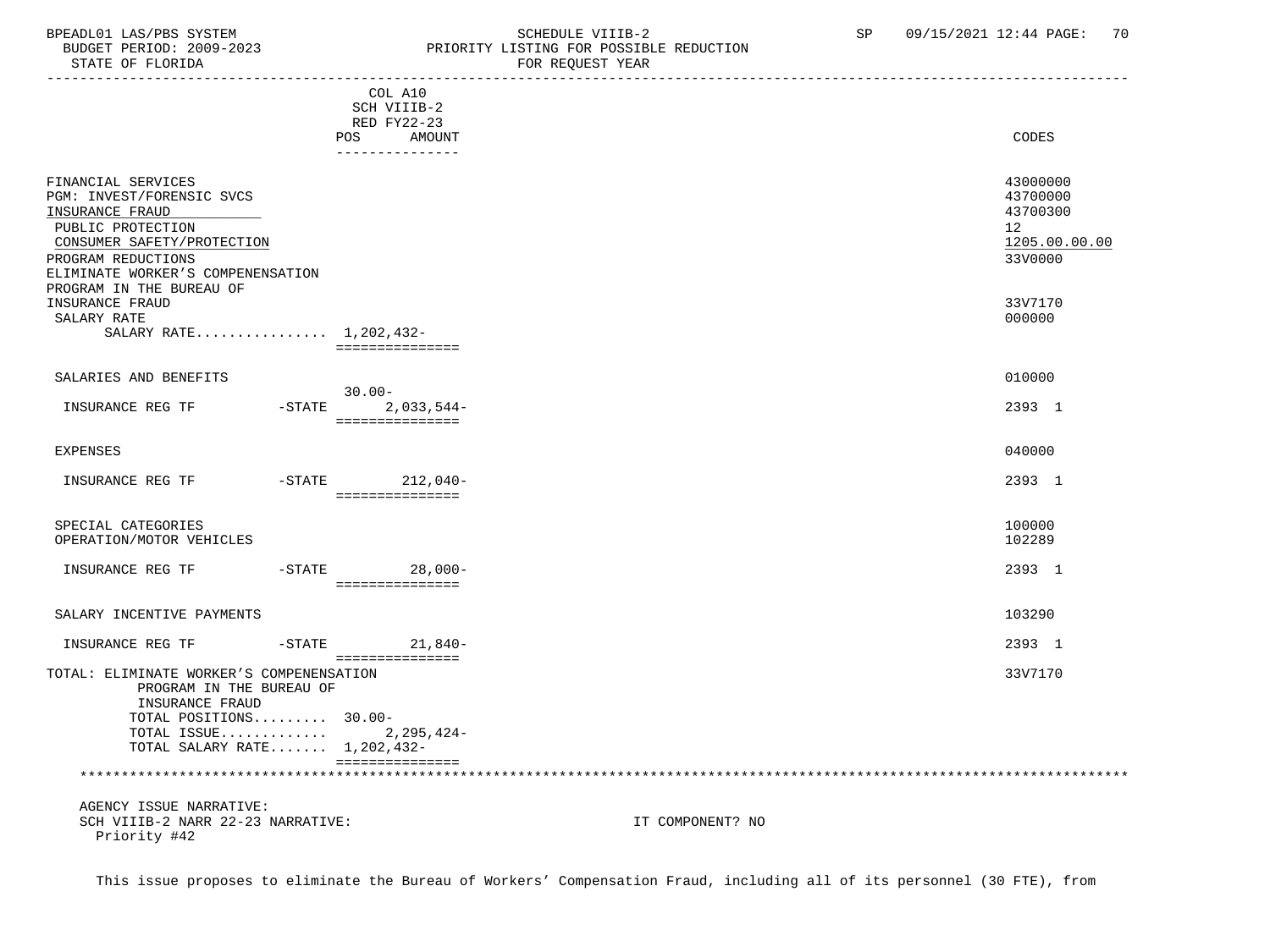## BPEADL01 LAS/PBS SYSTEM SALL SOME SCHEDULE VIIIB-2 SCHEDULE SP 09/15/2021 12:44 PAGE: 70

 BUDGET PERIOD: 2009-2023 PRIORITY LISTING FOR POSSIBLE REDUCTION STATE OF FLORIDA **FOR REQUEST YEAR** -----------------------------------------------------------------------------------------------------------------------------------

|                                                                                                                                                                                  |           | COL A10<br>SCH VIIIB-2<br>RED FY22-23<br>AMOUNT<br>POS<br>--------------- |                  | CODES                                                              |
|----------------------------------------------------------------------------------------------------------------------------------------------------------------------------------|-----------|---------------------------------------------------------------------------|------------------|--------------------------------------------------------------------|
| FINANCIAL SERVICES<br>PGM: INVEST/FORENSIC SVCS<br>INSURANCE FRAUD<br>PUBLIC PROTECTION<br>CONSUMER SAFETY/PROTECTION<br>PROGRAM REDUCTIONS<br>ELIMINATE WORKER'S COMPENENSATION |           |                                                                           |                  | 43000000<br>43700000<br>43700300<br>12<br>1205.00.00.00<br>33V0000 |
| PROGRAM IN THE BUREAU OF<br>INSURANCE FRAUD<br>SALARY RATE<br>SALARY RATE 1,202,432-                                                                                             |           | ===============                                                           |                  | 33V7170<br>000000                                                  |
| SALARIES AND BENEFITS                                                                                                                                                            |           |                                                                           |                  | 010000                                                             |
| INSURANCE REG TF                                                                                                                                                                 | $-$ STATE | $30.00 -$<br>$2,033,544-$<br>===============                              |                  | 2393 1                                                             |
| <b>EXPENSES</b>                                                                                                                                                                  |           |                                                                           |                  | 040000                                                             |
| INSURANCE REG TF                                                                                                                                                                 |           | -STATE 212,040-<br>===============                                        |                  | 2393 1                                                             |
| SPECIAL CATEGORIES<br>OPERATION/MOTOR VEHICLES                                                                                                                                   |           |                                                                           |                  | 100000<br>102289                                                   |
| INSURANCE REG TF                                                                                                                                                                 | $-$ STATE | $28,000-$<br>===============                                              |                  | 2393 1                                                             |
| SALARY INCENTIVE PAYMENTS                                                                                                                                                        |           |                                                                           |                  | 103290                                                             |
| INSURANCE REG TF                                                                                                                                                                 | $-$ STATE | 21,840-                                                                   |                  | 2393 1                                                             |
| TOTAL: ELIMINATE WORKER'S COMPENENSATION<br>PROGRAM IN THE BUREAU OF<br>INSURANCE FRAUD<br>TOTAL POSITIONS 30.00-<br>TOTAL ISSUE<br>TOTAL SALARY RATE 1,202,432-                 |           | ===============<br>2,295,424-<br>===============                          |                  | 33V7170                                                            |
|                                                                                                                                                                                  |           |                                                                           |                  |                                                                    |
| AGENCY ISSUE NARRATIVE:<br>SCH VIIIB-2 NARR 22-23 NARRATIVE:<br>Priority #42                                                                                                     |           |                                                                           | IT COMPONENT? NO |                                                                    |

This issue proposes to eliminate the Bureau of Workers' Compensation Fraud, including all of its personnel (30 FTE), from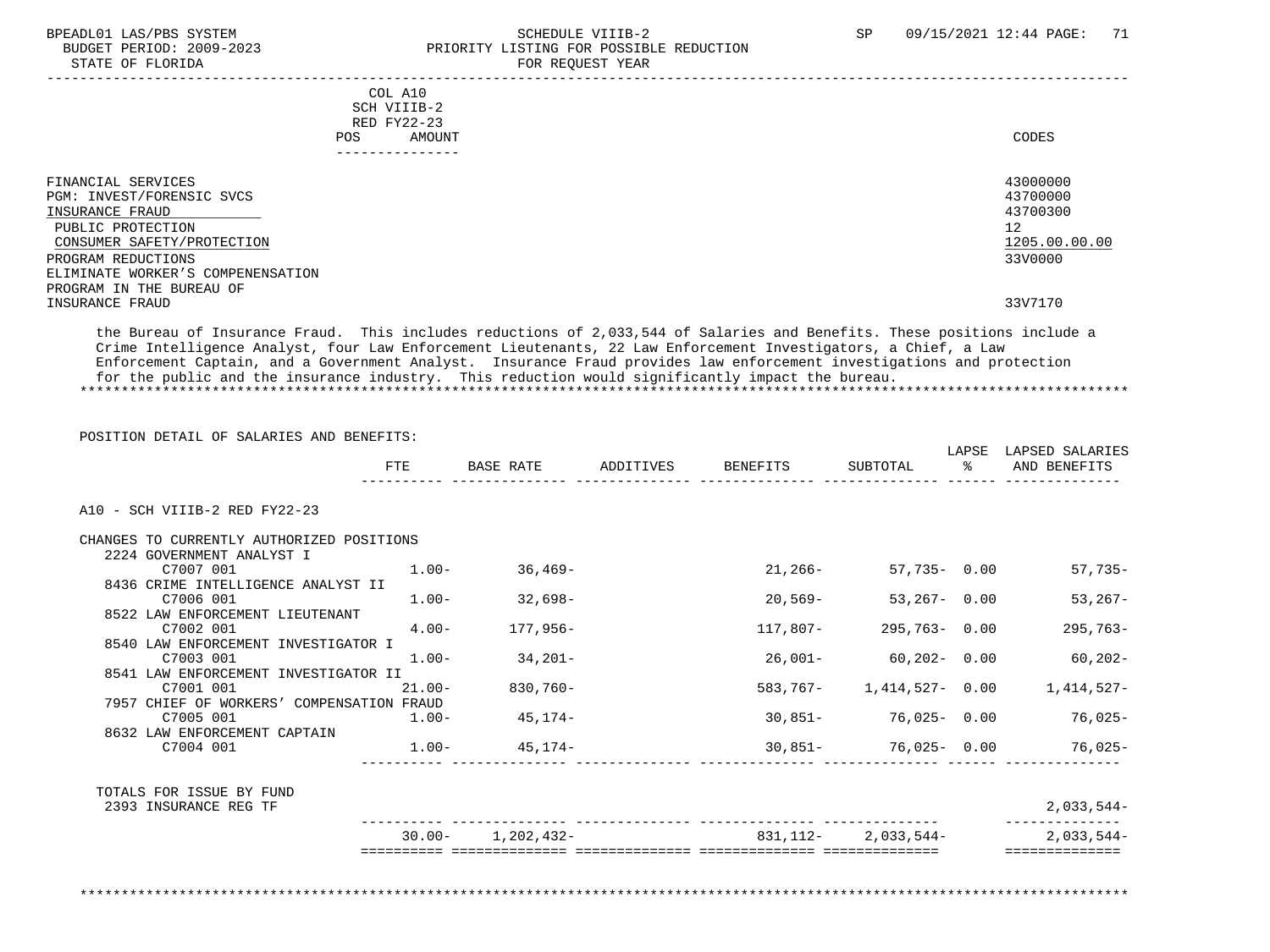STATE OF FLORIDA FOR STATE OF STATE OF STATE OF STATE OF STATE OF STATE OF STATE OF STATE OF STATE OF STATE OF STATE OF STATE OF STATE OF STATE OF STATE OF STATE OF STATE OF STATE OF STATE OF STATE OF STATE OF STATE OF STA

## BPEADL01 LAS/PBS SYSTEM SALL SALL SOMEDULE VIIIB-2 SP 09/15/2021 12:44 PAGE: 71 BUDGET PERIOD: 2009-2023 PRIORITY LISTING FOR POSSIBLE REDUCTION

| POS.                                                                                                                                                                                                                            | COL A10<br>SCH VIIIB-2<br>RED FY22-23<br>AMOUNT<br>---------------- | CODES                                                                         |
|---------------------------------------------------------------------------------------------------------------------------------------------------------------------------------------------------------------------------------|---------------------------------------------------------------------|-------------------------------------------------------------------------------|
| FINANCIAL SERVICES<br>PGM: INVEST/FORENSIC SVCS<br>INSURANCE FRAUD<br>PUBLIC PROTECTION<br>CONSUMER SAFETY/PROTECTION<br>PROGRAM REDUCTIONS<br>ELIMINATE WORKER'S COMPENENSATION<br>PROGRAM IN THE BUREAU OF<br>INSURANCE FRAUD |                                                                     | 43000000<br>43700000<br>43700300<br>12<br>1205.00.00.00<br>33V0000<br>33V7170 |

 the Bureau of Insurance Fraud. This includes reductions of 2,033,544 of Salaries and Benefits. These positions include a Crime Intelligence Analyst, four Law Enforcement Lieutenants, 22 Law Enforcement Investigators, a Chief, a Law Enforcement Captain, and a Government Analyst. Insurance Fraud provides law enforcement investigations and protection for the public and the insurance industry. This reduction would significantly impact the bureau. \*\*\*\*\*\*\*\*\*\*\*\*\*\*\*\*\*\*\*\*\*\*\*\*\*\*\*\*\*\*\*\*\*\*\*\*\*\*\*\*\*\*\*\*\*\*\*\*\*\*\*\*\*\*\*\*\*\*\*\*\*\*\*\*\*\*\*\*\*\*\*\*\*\*\*\*\*\*\*\*\*\*\*\*\*\*\*\*\*\*\*\*\*\*\*\*\*\*\*\*\*\*\*\*\*\*\*\*\*\*\*\*\*\*\*\*\*\*\*\*\*\*\*\*\*\*\*

 POSITION DETAIL OF SALARIES AND BENEFITS: LAPSE LAPSED SALARIES FTE BASE RATE ADDITIVES BENEFITS SUBTOTAL % AND BENEFITS  $-$  A10 - SCH VIIIB-2 RED FY22-23 CHANGES TO CURRENTLY AUTHORIZED POSITIONS 2224 GOVERNMENT ANALYST I C7007 001 1.00- 36,469- 21,266- 57,735- 0.00 57,735- 8436 CRIME INTELLIGENCE ANALYST II C7006 001 1.00- 32,698- 20,569- 53,267- 0.00 53,267- 8522 LAW ENFORCEMENT LIEUTENANT C7002 001 4.00- 177,956- 117,807- 295,763- 0.00 295,763- 8540 LAW ENFORCEMENT INVESTIGATOR I<br>C7003 001 C7003 001 1.00- 34,201- 26,001- 60,202- 0.00 60,202- 8541 LAW ENFORCEMENT INVESTIGATOR II C7001 001 21.00- 830,760- 583,767- 1,414,527- 0.00 1,414,527- 7957 CHIEF OF WORKERS' COMPENSATION FRAUD<br>-00.1 1.00 C7005 001 1.00- 45,174- 30,851- 76,025- 0.00 76,025- 8632 LAW ENFORCEMENT CAPTAIN C7004 001 1.00- 45,174- 30,851- 76,025- 0.00 76,025- ---------- -------------- -------------- -------------- -------------- ------ -------------- TOTALS FOR ISSUE BY FUND 2393 INSURANCE REG TF 2,033,544- ---------- -------------- -------------- -------------- -------------- -------------- 30.00- 1,202,432- 831,112- 2,033,544- 2,033,544- ========== ============== ============== ============== ============== ==============

\*\*\*\*\*\*\*\*\*\*\*\*\*\*\*\*\*\*\*\*\*\*\*\*\*\*\*\*\*\*\*\*\*\*\*\*\*\*\*\*\*\*\*\*\*\*\*\*\*\*\*\*\*\*\*\*\*\*\*\*\*\*\*\*\*\*\*\*\*\*\*\*\*\*\*\*\*\*\*\*\*\*\*\*\*\*\*\*\*\*\*\*\*\*\*\*\*\*\*\*\*\*\*\*\*\*\*\*\*\*\*\*\*\*\*\*\*\*\*\*\*\*\*\*\*\*\*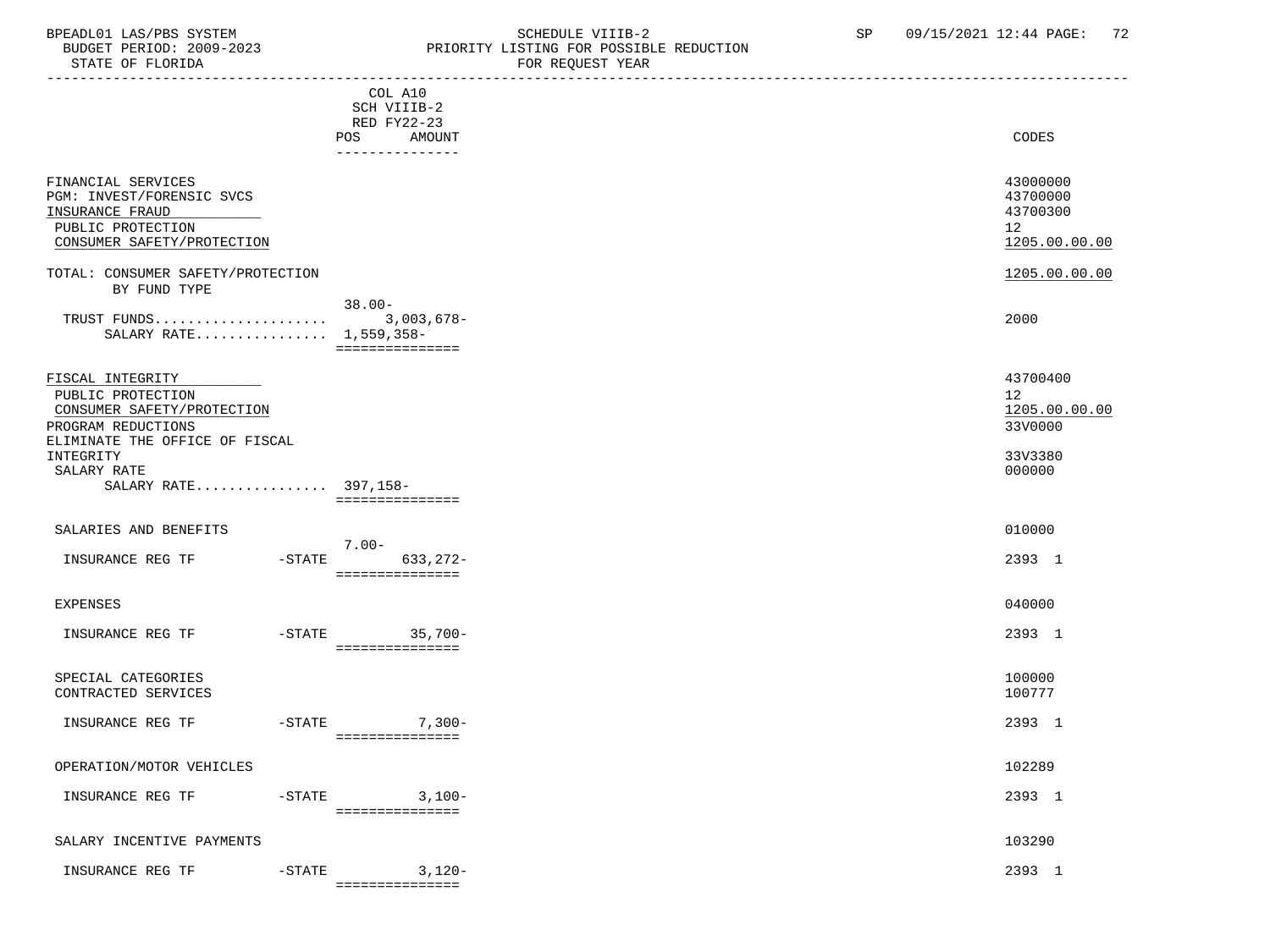#### BPEADL01 LAS/PBS SYSTEM STRING THE SCHEDULE VIIIB-2 SP 09/15/2021 12:44 PAGE: 72<br>BUDGET PERIOD: 2009-2023 PRIORITY LISTING FOR POSSIBLE REDUCTION BUDGET PERIOD: 2009-2023<br>STATE OF FLORIDA STATE OF FLORIDA FOR REQUEST YEAR

| PIAIE OF FLOKIDA                                                                                                                                        |                                                                           | FOR REQUEST YEAR                                                |
|---------------------------------------------------------------------------------------------------------------------------------------------------------|---------------------------------------------------------------------------|-----------------------------------------------------------------|
|                                                                                                                                                         | COL A10<br>SCH VIIIB-2<br>RED FY22-23<br>AMOUNT<br>POS<br>--------------- | CODES                                                           |
| FINANCIAL SERVICES<br>PGM: INVEST/FORENSIC SVCS<br>INSURANCE FRAUD<br>PUBLIC PROTECTION<br>CONSUMER SAFETY/PROTECTION                                   |                                                                           | 43000000<br>43700000<br>43700300<br>12<br>1205.00.00.00         |
| TOTAL: CONSUMER SAFETY/PROTECTION                                                                                                                       |                                                                           | 1205.00.00.00                                                   |
| BY FUND TYPE<br>SALARY RATE 1,559,358-                                                                                                                  | $38.00 -$<br>===============                                              | 2000                                                            |
| FISCAL INTEGRITY<br>PUBLIC PROTECTION<br>CONSUMER SAFETY/PROTECTION<br>PROGRAM REDUCTIONS<br>ELIMINATE THE OFFICE OF FISCAL<br>INTEGRITY<br>SALARY RATE |                                                                           | 43700400<br>12<br>1205.00.00.00<br>33V0000<br>33V3380<br>000000 |
| SALARY RATE 397,158-                                                                                                                                    | ===============                                                           |                                                                 |
| SALARIES AND BENEFITS<br>INSURANCE REG TF                                                                                                               | $7.00 -$<br>$-$ STATE<br>633,272-                                         | 010000<br>2393 1                                                |
| EXPENSES                                                                                                                                                | ===============                                                           | 040000                                                          |
| INSURANCE REG TF                                                                                                                                        | -STATE 35,700-<br>===============                                         | 2393 1                                                          |
| SPECIAL CATEGORIES<br>CONTRACTED SERVICES                                                                                                               |                                                                           | 100000<br>100777                                                |
| $-$ STATE<br>INSURANCE REG TF                                                                                                                           | $7,300-$<br>===============                                               | 2393 1                                                          |
| OPERATION/MOTOR VEHICLES                                                                                                                                |                                                                           | 102289                                                          |
| INSURANCE REG TF<br>$-$ STATE                                                                                                                           | $3,100-$<br>===============                                               | 2393 1                                                          |
| SALARY INCENTIVE PAYMENTS                                                                                                                               |                                                                           | 103290                                                          |
| INSURANCE REG TF<br>$-STATE$                                                                                                                            | $3,120-$                                                                  | 2393 1                                                          |

===============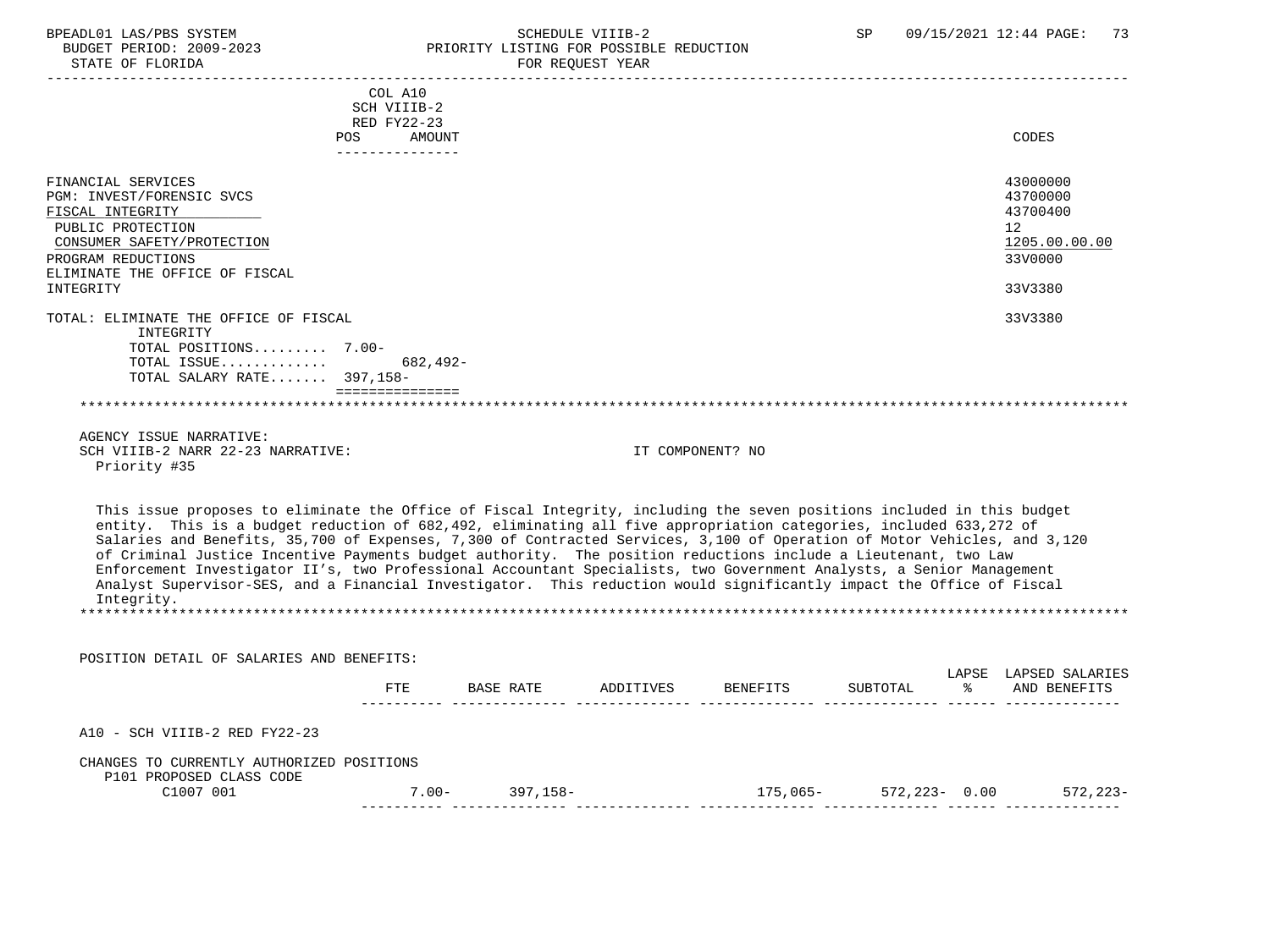#### BPEADL01 LAS/PBS SYSTEM STRING THE SCHEDULE VIIIB-2 SP 09/15/2021 12:44 PAGE: 73<br>BUDGET PERIOD: 2009-2023 PRIORITY LISTING FOR POSSIBLE REDUCTION ALLIAN BUDGET PERIOD: 2009–2023<br>SUDGET PERIOD: 2009–2023 PRIORITY LISTING FOR POSSIBLE REDUCTION<br>STATE OF FLORIDA STATE OF FLORIDA FOR REQUEST YEAR

| PIALE OF FLOKIDA                                                                                                                                                                                                                                                                                                                                                                                                                                                                                                                                                                                                                                                                                                                                        |                                                                        | FOR REQUEST IEAR                                                                                                                                                                                                                                    |                                     |          |                                                                               |
|---------------------------------------------------------------------------------------------------------------------------------------------------------------------------------------------------------------------------------------------------------------------------------------------------------------------------------------------------------------------------------------------------------------------------------------------------------------------------------------------------------------------------------------------------------------------------------------------------------------------------------------------------------------------------------------------------------------------------------------------------------|------------------------------------------------------------------------|-----------------------------------------------------------------------------------------------------------------------------------------------------------------------------------------------------------------------------------------------------|-------------------------------------|----------|-------------------------------------------------------------------------------|
|                                                                                                                                                                                                                                                                                                                                                                                                                                                                                                                                                                                                                                                                                                                                                         | COL A10<br>SCH VIIIB-2<br>RED FY22-23<br>POS AMOUNT<br>--------------- |                                                                                                                                                                                                                                                     |                                     |          | CODES                                                                         |
| FINANCIAL SERVICES<br>PGM: INVEST/FORENSIC SVCS<br>FISCAL INTEGRITY<br>PUBLIC PROTECTION<br>CONSUMER SAFETY/PROTECTION<br>PROGRAM REDUCTIONS<br>ELIMINATE THE OFFICE OF FISCAL<br>INTEGRITY                                                                                                                                                                                                                                                                                                                                                                                                                                                                                                                                                             |                                                                        |                                                                                                                                                                                                                                                     |                                     |          | 43000000<br>43700000<br>43700400<br>12<br>1205.00.00.00<br>33V0000<br>33V3380 |
| TOTAL: ELIMINATE THE OFFICE OF FISCAL<br>INTEGRITY                                                                                                                                                                                                                                                                                                                                                                                                                                                                                                                                                                                                                                                                                                      |                                                                        |                                                                                                                                                                                                                                                     |                                     |          | 33V3380                                                                       |
| TOTAL POSITIONS 7.00-<br>TOTAL ISSUE 682,492-<br>TOTAL SALARY RATE 397,158-                                                                                                                                                                                                                                                                                                                                                                                                                                                                                                                                                                                                                                                                             | _____________________                                                  |                                                                                                                                                                                                                                                     |                                     |          |                                                                               |
| AGENCY ISSUE NARRATIVE:<br>SCH VIIIB-2 NARR 22-23 NARRATIVE:<br>Priority #35                                                                                                                                                                                                                                                                                                                                                                                                                                                                                                                                                                                                                                                                            |                                                                        |                                                                                                                                                                                                                                                     | IT COMPONENT? NO                    |          |                                                                               |
| This issue proposes to eliminate the Office of Fiscal Integrity, including the seven positions included in this budget<br>entity. This is a budget reduction of 682,492, eliminating all five appropriation categories, included 633,272 of<br>Salaries and Benefits, 35,700 of Expenses, 7,300 of Contracted Services, 3,100 of Operation of Motor Vehicles, and 3,120<br>of Criminal Justice Incentive Payments budget authority. The position reductions include a Lieutenant, two Law<br>Enforcement Investigator II's, two Professional Accountant Specialists, two Government Analysts, a Senior Management<br>Analyst Supervisor-SES, and a Financial Investigator. This reduction would significantly impact the Office of Fiscal<br>Integrity. |                                                                        |                                                                                                                                                                                                                                                     |                                     |          |                                                                               |
| POSITION DETAIL OF SALARIES AND BENEFITS:                                                                                                                                                                                                                                                                                                                                                                                                                                                                                                                                                                                                                                                                                                               |                                                                        |                                                                                                                                                                                                                                                     |                                     |          |                                                                               |
|                                                                                                                                                                                                                                                                                                                                                                                                                                                                                                                                                                                                                                                                                                                                                         |                                                                        | FTE BASE RATE ADDITIVES BENEFITS                                                                                                                                                                                                                    |                                     | SUBTOTAL | LAPSE LAPSED SALARIES<br>% AND BENEFITS                                       |
| A10 - SCH VIIIB-2 RED FY22-23                                                                                                                                                                                                                                                                                                                                                                                                                                                                                                                                                                                                                                                                                                                           |                                                                        |                                                                                                                                                                                                                                                     |                                     |          |                                                                               |
| CHANGES TO CURRENTLY AUTHORIZED POSITIONS<br>P101 PROPOSED CLASS CODE                                                                                                                                                                                                                                                                                                                                                                                                                                                                                                                                                                                                                                                                                   |                                                                        |                                                                                                                                                                                                                                                     |                                     |          |                                                                               |
| C1007 001                                                                                                                                                                                                                                                                                                                                                                                                                                                                                                                                                                                                                                                                                                                                               |                                                                        | $7.00 - 397,158 -$<br>, coordinated as a construction of the coordinate of the coordinate of the set of the set of the set of the set of the set of the set of the set of the set of the set of the set of the set of the set of the set of the set | $175,065 - 572,223 - 0.00$ 572,223- |          |                                                                               |
|                                                                                                                                                                                                                                                                                                                                                                                                                                                                                                                                                                                                                                                                                                                                                         |                                                                        |                                                                                                                                                                                                                                                     |                                     |          |                                                                               |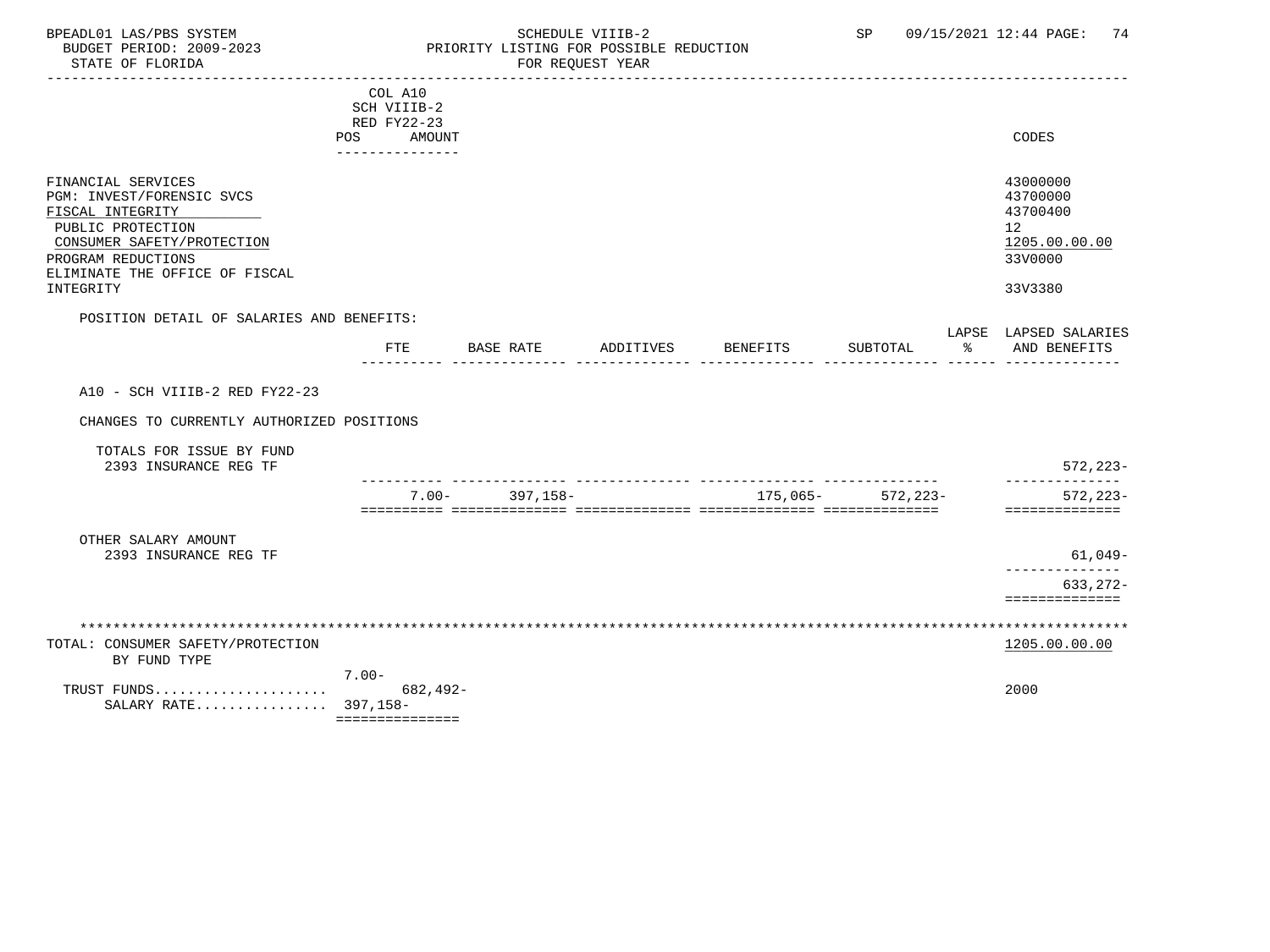### BPEADL01 LAS/PBS SYSTEM SALL SOME SCHEDULE VIIIB-2 SCHEDULE SP 09/15/2021 12:44 PAGE: 74 BUDGET PERIOD: 2009-2023 PRIORITY LISTING FOR POSSIBLE REDUCTION

| COL A10<br>SCH VIIIB-2<br>RED FY22-23<br>CODES<br>POS AMOUNT<br>43000000<br>FINANCIAL SERVICES<br>PGM: INVEST/FORENSIC SVCS<br>43700000 |              |
|-----------------------------------------------------------------------------------------------------------------------------------------|--------------|
|                                                                                                                                         |              |
|                                                                                                                                         |              |
|                                                                                                                                         |              |
|                                                                                                                                         |              |
|                                                                                                                                         |              |
|                                                                                                                                         |              |
|                                                                                                                                         |              |
| FISCAL INTEGRITY<br>43700400                                                                                                            |              |
| PUBLIC PROTECTION<br>12 <sup>°</sup>                                                                                                    |              |
| 1205.00.00.00<br>CONSUMER SAFETY/PROTECTION                                                                                             |              |
| 33V0000<br>PROGRAM REDUCTIONS                                                                                                           |              |
| ELIMINATE THE OFFICE OF FISCAL                                                                                                          |              |
| INTEGRITY<br>33V3380                                                                                                                    |              |
| POSITION DETAIL OF SALARIES AND BENEFITS:                                                                                               |              |
| LAPSE LAPSED SALARIES                                                                                                                   |              |
| ႜၟ<br>FTE<br>BASE RATE<br>ADDITIVES<br>BENEFITS<br>SUBTOTAL<br>AND BENEFITS                                                             |              |
|                                                                                                                                         |              |
| A10 - SCH VIIIB-2 RED FY22-23                                                                                                           |              |
|                                                                                                                                         |              |
| CHANGES TO CURRENTLY AUTHORIZED POSITIONS                                                                                               |              |
| TOTALS FOR ISSUE BY FUND                                                                                                                |              |
| 2393 INSURANCE REG TF                                                                                                                   | $572, 223 -$ |
|                                                                                                                                         |              |
| $7.00 - 397.158 -$<br>$175,065 - 572,223 -$                                                                                             | $572, 223 -$ |
| ==============                                                                                                                          |              |
|                                                                                                                                         |              |
| OTHER SALARY AMOUNT<br>2393 INSURANCE REG TF                                                                                            | $61,049-$    |
|                                                                                                                                         |              |
|                                                                                                                                         | 633, 272-    |
| ==============                                                                                                                          |              |
|                                                                                                                                         |              |
|                                                                                                                                         |              |
| 1205.00.00.00<br>TOTAL: CONSUMER SAFETY/PROTECTION                                                                                      |              |
| BY FUND TYPE<br>$7.00 -$                                                                                                                |              |
| 682,492-<br>2000<br>TRUST FUNDS                                                                                                         |              |
| SALARY RATE 397,158-                                                                                                                    |              |
| ===============                                                                                                                         |              |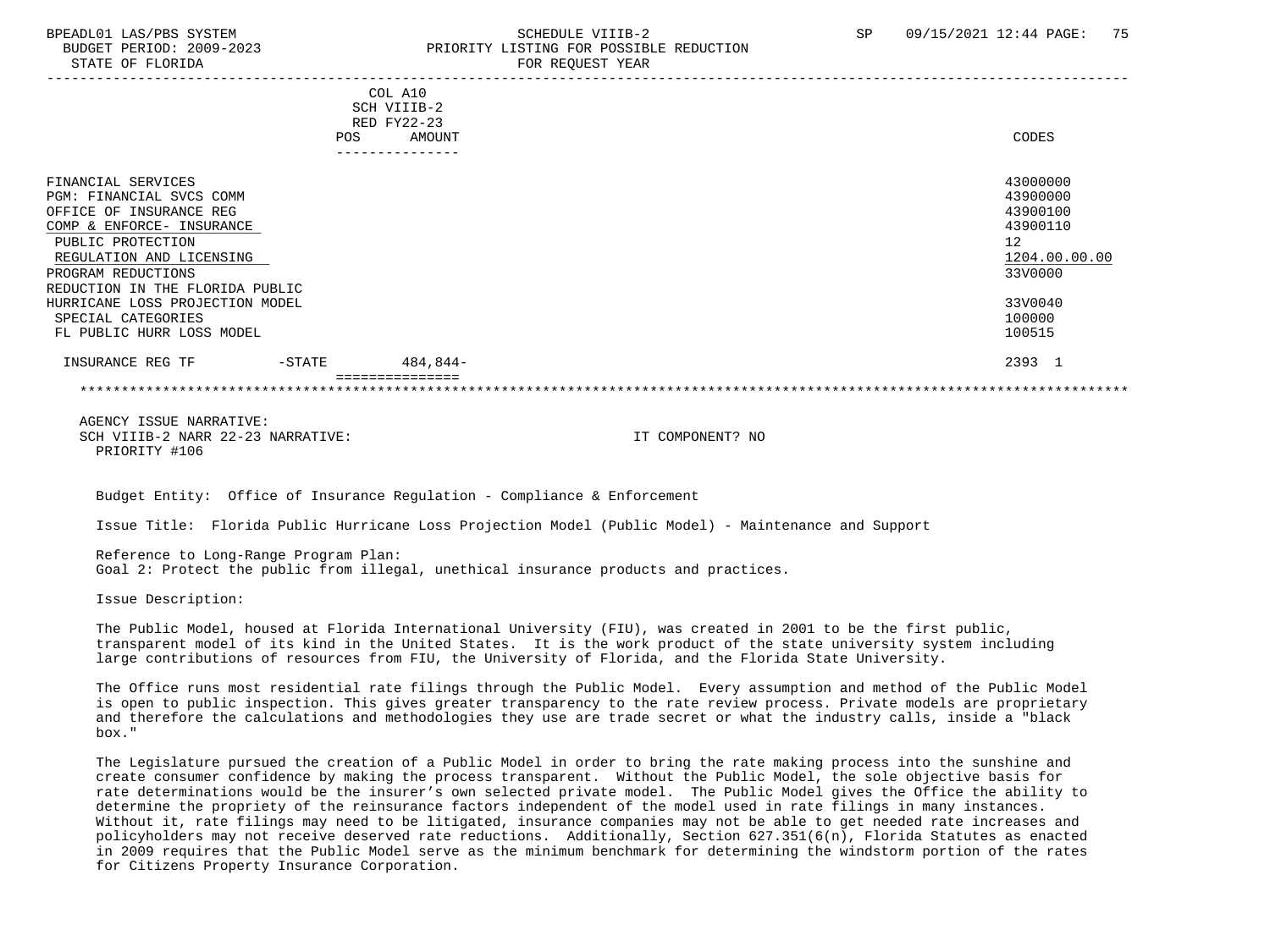# BPEADL01 LAS/PBS SYSTEM SALL SALL SOMEDULE VIIIB-2 SP 09/15/2021 12:44 PAGE: 75 BUDGET PERIOD: 2009-2023 PRIORITY LISTING FOR POSSIBLE REDUCTION

|                                 | COL A10<br>SCH VIIIB-2<br>RED FY22-23 |               |
|---------------------------------|---------------------------------------|---------------|
| <b>POS</b>                      | AMOUNT                                | CODES         |
|                                 | -------------                         |               |
| FINANCIAL SERVICES              |                                       | 43000000      |
| <b>PGM: FINANCIAL SVCS COMM</b> |                                       | 43900000      |
| OFFICE OF INSURANCE REG         |                                       | 43900100      |
| COMP & ENFORCE- INSURANCE       |                                       | 43900110      |
| PUBLIC PROTECTION               |                                       | 12            |
| REGULATION AND LICENSING        |                                       | 1204.00.00.00 |
| PROGRAM REDUCTIONS              |                                       | 33V0000       |
| REDUCTION IN THE FLORIDA PUBLIC |                                       |               |
| HURRICANE LOSS PROJECTION MODEL |                                       | 33V0040       |
| SPECIAL CATEGORIES              |                                       | 100000        |
| FL PUBLIC HURR LOSS MODEL       |                                       | 100515        |
| INSURANCE REG TF<br>$-$ STATE   | 484,844-                              | 2393 1        |
|                                 |                                       |               |

 AGENCY ISSUE NARRATIVE: SCH VIIIB-2 NARR 22-23 NARRATIVE: IT COMPONENT? NO PRIORITY #106

Budget Entity: Office of Insurance Regulation - Compliance & Enforcement

Issue Title: Florida Public Hurricane Loss Projection Model (Public Model) - Maintenance and Support

 Reference to Long-Range Program Plan: Goal 2: Protect the public from illegal, unethical insurance products and practices.

Issue Description:

 The Public Model, housed at Florida International University (FIU), was created in 2001 to be the first public, transparent model of its kind in the United States. It is the work product of the state university system including large contributions of resources from FIU, the University of Florida, and the Florida State University.

 The Office runs most residential rate filings through the Public Model. Every assumption and method of the Public Model is open to public inspection. This gives greater transparency to the rate review process. Private models are proprietary and therefore the calculations and methodologies they use are trade secret or what the industry calls, inside a "black box."

 The Legislature pursued the creation of a Public Model in order to bring the rate making process into the sunshine and create consumer confidence by making the process transparent. Without the Public Model, the sole objective basis for rate determinations would be the insurer's own selected private model. The Public Model gives the Office the ability to determine the propriety of the reinsurance factors independent of the model used in rate filings in many instances. Without it, rate filings may need to be litigated, insurance companies may not be able to get needed rate increases and policyholders may not receive deserved rate reductions. Additionally, Section 627.351(6(n), Florida Statutes as enacted in 2009 requires that the Public Model serve as the minimum benchmark for determining the windstorm portion of the rates for Citizens Property Insurance Corporation.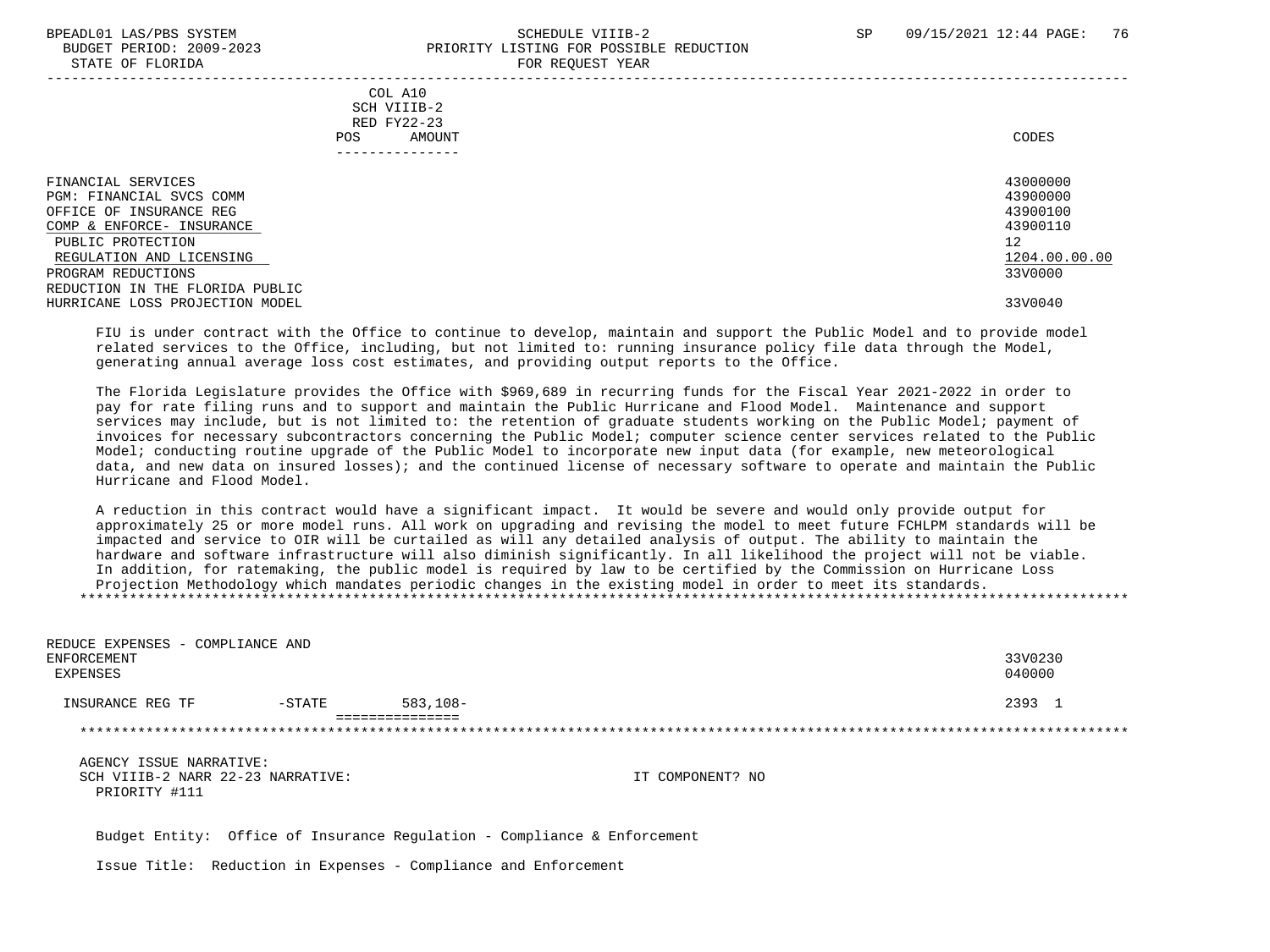#### BPEADL01 LAS/PBS SYSTEM SALL SALL SOMEDULE VIIIB-2 SP 09/15/2021 12:44 PAGE: 76 BUDGET PERIOD: 2009-2023 PRIORITY LISTING FOR POSSIBLE REDUCTION STATE OF FLORIDA FOR REQUEST YEAR

| COL A10<br>SCH VIIIB-2<br>RED FY22-23<br>AMOUNT<br>POS.                                                                                                                                                          | CODES                                                                          |
|------------------------------------------------------------------------------------------------------------------------------------------------------------------------------------------------------------------|--------------------------------------------------------------------------------|
| FINANCIAL SERVICES<br>PGM: FINANCIAL SVCS COMM<br>OFFICE OF INSURANCE REG<br>COMP & ENFORCE- INSURANCE<br>PUBLIC PROTECTION<br>REGULATION AND LICENSING<br>PROGRAM REDUCTIONS<br>REDUCTION IN THE FLORIDA PUBLIC | 43000000<br>43900000<br>43900100<br>43900110<br>12<br>1204.00.00.00<br>33V0000 |
| HURRICANE LOSS PROJECTION MODEL                                                                                                                                                                                  | 33V0040                                                                        |

 FIU is under contract with the Office to continue to develop, maintain and support the Public Model and to provide model related services to the Office, including, but not limited to: running insurance policy file data through the Model, generating annual average loss cost estimates, and providing output reports to the Office.

 The Florida Legislature provides the Office with \$969,689 in recurring funds for the Fiscal Year 2021-2022 in order to pay for rate filing runs and to support and maintain the Public Hurricane and Flood Model. Maintenance and support services may include, but is not limited to: the retention of graduate students working on the Public Model; payment of invoices for necessary subcontractors concerning the Public Model; computer science center services related to the Public Model; conducting routine upgrade of the Public Model to incorporate new input data (for example, new meteorological data, and new data on insured losses); and the continued license of necessary software to operate and maintain the Public Hurricane and Flood Model.

 A reduction in this contract would have a significant impact. It would be severe and would only provide output for approximately 25 or more model runs. All work on upgrading and revising the model to meet future FCHLPM standards will be impacted and service to OIR will be curtailed as will any detailed analysis of output. The ability to maintain the hardware and software infrastructure will also diminish significantly. In all likelihood the project will not be viable. In addition, for ratemaking, the public model is required by law to be certified by the Commission on Hurricane Loss Projection Methodology which mandates periodic changes in the existing model in order to meet its standards. \*\*\*\*\*\*\*\*\*\*\*\*\*\*\*\*\*\*\*\*\*\*\*\*\*\*\*\*\*\*\*\*\*\*\*\*\*\*\*\*\*\*\*\*\*\*\*\*\*\*\*\*\*\*\*\*\*\*\*\*\*\*\*\*\*\*\*\*\*\*\*\*\*\*\*\*\*\*\*\*\*\*\*\*\*\*\*\*\*\*\*\*\*\*\*\*\*\*\*\*\*\*\*\*\*\*\*\*\*\*\*\*\*\*\*\*\*\*\*\*\*\*\*\*\*\*\*

| REDUCE EXPENSES - COMPLIANCE AND<br>ENFORCEMENT<br>EXPENSES                   |           |                                                                          |                  | 33V0230<br>040000 |
|-------------------------------------------------------------------------------|-----------|--------------------------------------------------------------------------|------------------|-------------------|
| INSURANCE REG TF                                                              | $-$ STATE | $583, 108 -$                                                             |                  | 2393 1            |
|                                                                               |           | =============                                                            |                  |                   |
| AGENCY ISSUE NARRATIVE:<br>SCH VIIIB-2 NARR 22-23 NARRATIVE:<br>PRIORITY #111 |           |                                                                          | IT COMPONENT? NO |                   |
|                                                                               |           | Budget Entity: Office of Insurance Regulation - Compliance & Enforcement |                  |                   |

Issue Title: Reduction in Expenses - Compliance and Enforcement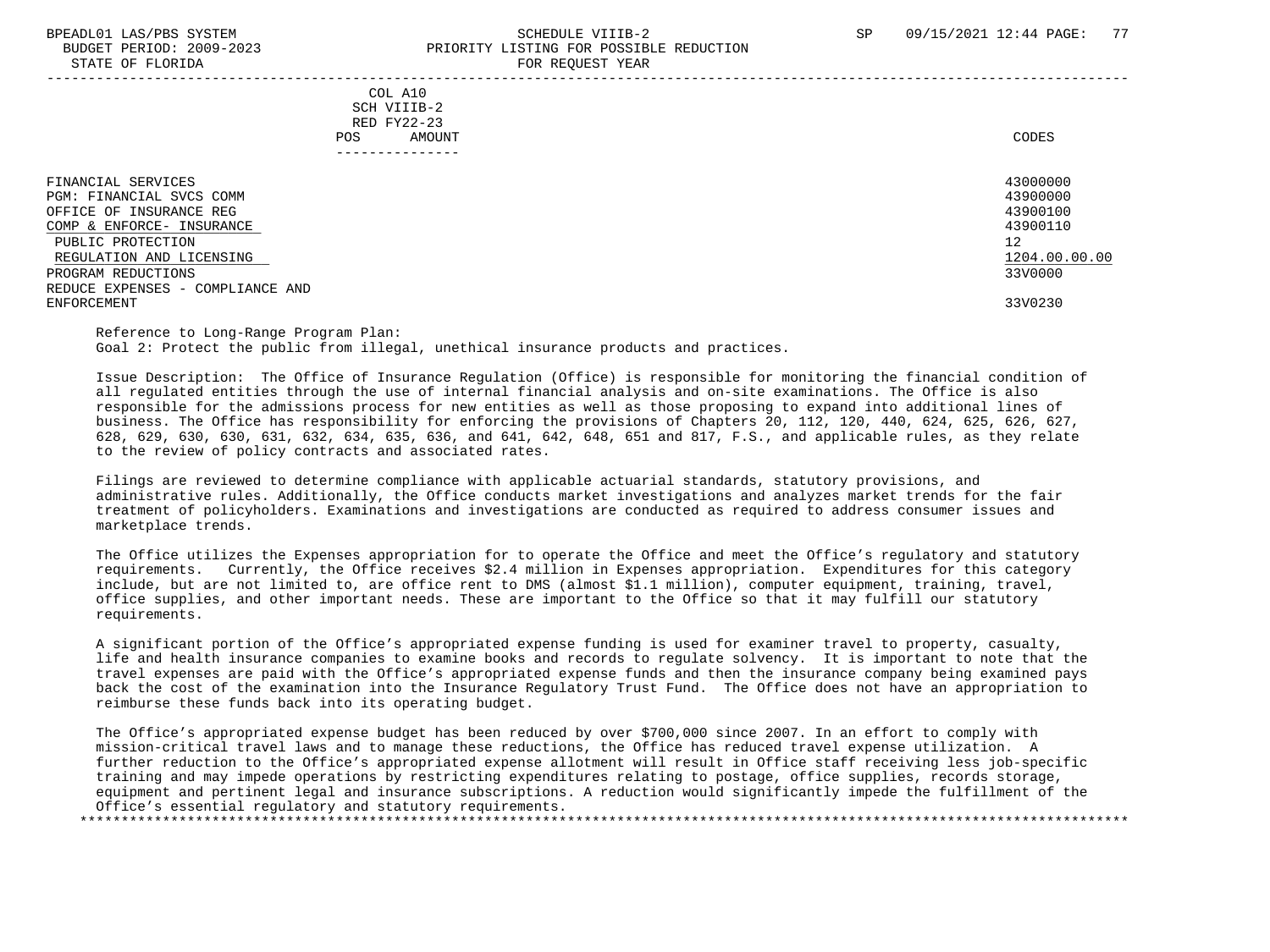STATE OF FLORIDA

# BPEADL01 LAS/PBS SYSTEM SALL STREET STREET STREET STREET STREET STREET SP 09/15/2021 12:44 PAGE: 77 BUDGET PERIOD: 2009-2023<br>
PRIORITY LISTING FOR POSSIBLE REDUCTION

| DIAIB OF FEORIDA                                                                                                                                                                                                  |                                                                            | ron negoeoi tean |                                                                                |
|-------------------------------------------------------------------------------------------------------------------------------------------------------------------------------------------------------------------|----------------------------------------------------------------------------|------------------|--------------------------------------------------------------------------------|
|                                                                                                                                                                                                                   | COL A10<br>SCH VIIIB-2<br>RED FY22-23<br>AMOUNT<br>POS.<br>--------------- |                  | CODES                                                                          |
| FINANCIAL SERVICES<br>PGM: FINANCIAL SVCS COMM<br>OFFICE OF INSURANCE REG<br>COMP & ENFORCE- INSURANCE<br>PUBLIC PROTECTION<br>REGULATION AND LICENSING<br>PROGRAM REDUCTIONS<br>REDUCE EXPENSES - COMPLIANCE AND |                                                                            |                  | 43000000<br>43900000<br>43900100<br>43900110<br>12<br>1204.00.00.00<br>33V0000 |
| ENFORCEMENT                                                                                                                                                                                                       |                                                                            |                  | 33V0230                                                                        |

 Reference to Long-Range Program Plan: Goal 2: Protect the public from illegal, unethical insurance products and practices.

 Issue Description: The Office of Insurance Regulation (Office) is responsible for monitoring the financial condition of all regulated entities through the use of internal financial analysis and on-site examinations. The Office is also responsible for the admissions process for new entities as well as those proposing to expand into additional lines of business. The Office has responsibility for enforcing the provisions of Chapters 20, 112, 120, 440, 624, 625, 626, 627, 628, 629, 630, 630, 631, 632, 634, 635, 636, and 641, 642, 648, 651 and 817, F.S., and applicable rules, as they relate to the review of policy contracts and associated rates.

 Filings are reviewed to determine compliance with applicable actuarial standards, statutory provisions, and administrative rules. Additionally, the Office conducts market investigations and analyzes market trends for the fair treatment of policyholders. Examinations and investigations are conducted as required to address consumer issues and marketplace trends.

 The Office utilizes the Expenses appropriation for to operate the Office and meet the Office's regulatory and statutory requirements. Currently, the Office receives \$2.4 million in Expenses appropriation. Expenditures for this category include, but are not limited to, are office rent to DMS (almost \$1.1 million), computer equipment, training, travel, office supplies, and other important needs. These are important to the Office so that it may fulfill our statutory requirements.

 A significant portion of the Office's appropriated expense funding is used for examiner travel to property, casualty, life and health insurance companies to examine books and records to regulate solvency. It is important to note that the travel expenses are paid with the Office's appropriated expense funds and then the insurance company being examined pays back the cost of the examination into the Insurance Regulatory Trust Fund. The Office does not have an appropriation to reimburse these funds back into its operating budget.

 The Office's appropriated expense budget has been reduced by over \$700,000 since 2007. In an effort to comply with mission-critical travel laws and to manage these reductions, the Office has reduced travel expense utilization. A further reduction to the Office's appropriated expense allotment will result in Office staff receiving less job-specific training and may impede operations by restricting expenditures relating to postage, office supplies, records storage, equipment and pertinent legal and insurance subscriptions. A reduction would significantly impede the fulfillment of the Office's essential regulatory and statutory requirements. \*\*\*\*\*\*\*\*\*\*\*\*\*\*\*\*\*\*\*\*\*\*\*\*\*\*\*\*\*\*\*\*\*\*\*\*\*\*\*\*\*\*\*\*\*\*\*\*\*\*\*\*\*\*\*\*\*\*\*\*\*\*\*\*\*\*\*\*\*\*\*\*\*\*\*\*\*\*\*\*\*\*\*\*\*\*\*\*\*\*\*\*\*\*\*\*\*\*\*\*\*\*\*\*\*\*\*\*\*\*\*\*\*\*\*\*\*\*\*\*\*\*\*\*\*\*\*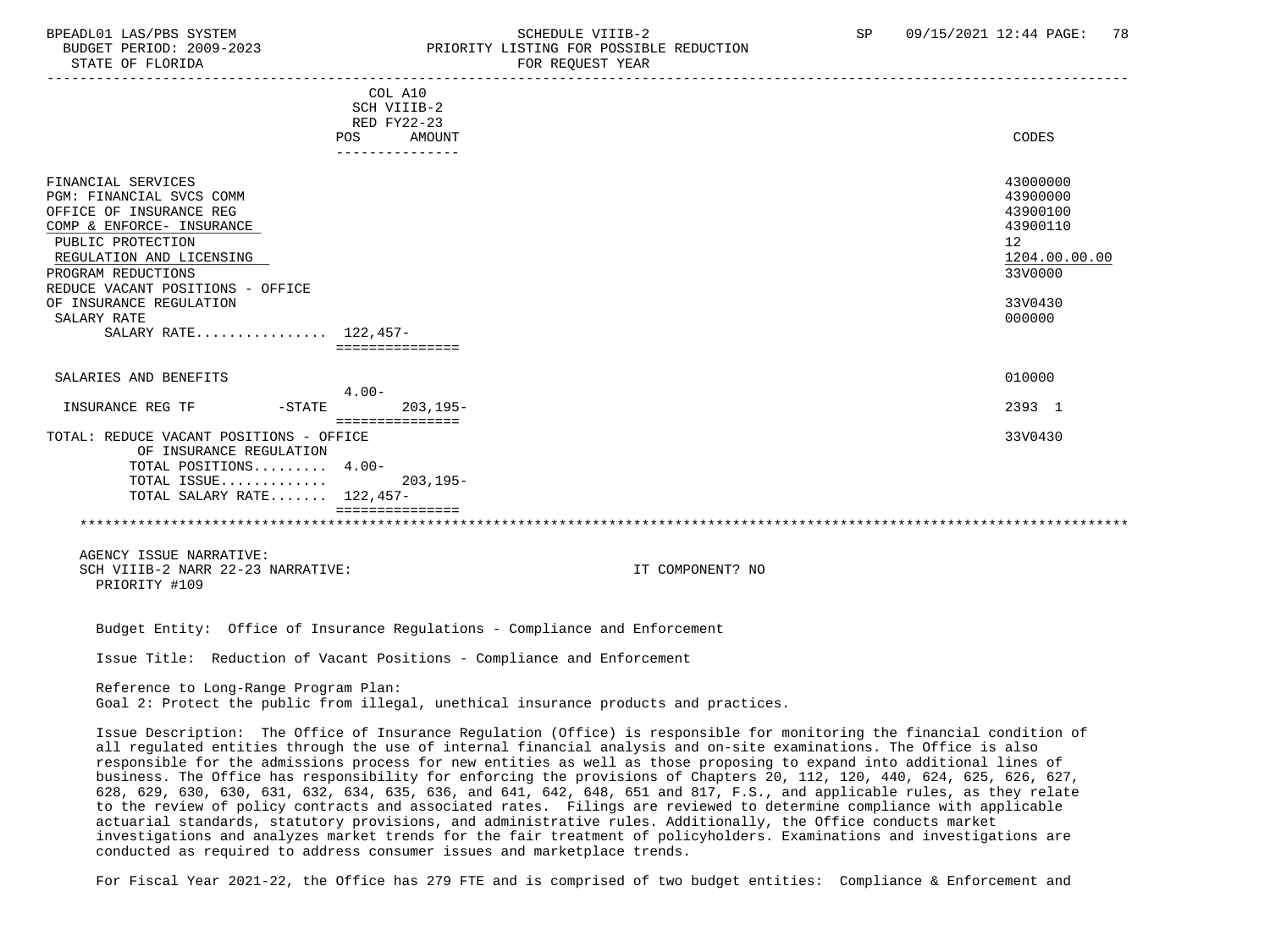#### BPEADL01 LAS/PBS SYSTEM SALL SALL SOMEDULE VIIIB-2 SP 09/15/2021 12:44 PAGE: 78 BUDGET PERIOD: 2009-2023 PRIORITY LISTING FOR POSSIBLE REDUCTION STATE OF FLORIDA **FOR REQUEST YEAR**

 ----------------------------------------------------------------------------------------------------------------------------------- COL A10 SCH VIIIB-2 RED FY22-23 POS AMOUNT CODES --------------- FINANCIAL SERVICES 43000000 PGM: FINANCIAL SVCS COMM 43900000 OFFICE OF INSURANCE REG 43900100<br>COMP & ENFORCE INSURANCE 43900110  $\frac{\text{COMP}}{\text{PIIRLIC PROTECTION}}$  439 PUBLIC PROTECTION 12 REGULATION AND LICENSING PROGRAM REDUCTIONS 33V0000 REDUCE VACANT POSITIONS - OFFICE OF INSURANCE REGULATION 33V0430<br>SALARY RATE 000000  $\texttt{SALARY RATE}$  . The contract of the contract of the contract of the contract of the contract of the contract of the contract of the contract of the contract of the contract of the contract of the contract of the contract o SALARY RATE................ 122,457- =============== SALARIES AND BENEFITS ON A SERVICE SERVICE SERVICE SERVICE SERVICE SERVICE SERVICE SERVICE SERVICE SERVICE SERVICE S 4.00- INSURANCE REG TF -STATE 203,195- 2393 1 =============== TOTAL: REDUCE VACANT POSITIONS - OFFICE 33V0430 OF INSURANCE REGULATION TOTAL POSITIONS......... 4.00- TOTAL ISSUE............. 203,195- TOTAL SALARY RATE....... 122,457- =============== \*\*\*\*\*\*\*\*\*\*\*\*\*\*\*\*\*\*\*\*\*\*\*\*\*\*\*\*\*\*\*\*\*\*\*\*\*\*\*\*\*\*\*\*\*\*\*\*\*\*\*\*\*\*\*\*\*\*\*\*\*\*\*\*\*\*\*\*\*\*\*\*\*\*\*\*\*\*\*\*\*\*\*\*\*\*\*\*\*\*\*\*\*\*\*\*\*\*\*\*\*\*\*\*\*\*\*\*\*\*\*\*\*\*\*\*\*\*\*\*\*\*\*\*\*\*\* AGENCY ISSUE NARRATIVE: SCH VIIIB-2 NARR 22-23 NARRATIVE: IT COMPONENT? NO PRIORITY #109 Budget Entity: Office of Insurance Regulations - Compliance and Enforcement Issue Title: Reduction of Vacant Positions - Compliance and Enforcement Reference to Long-Range Program Plan: Goal 2: Protect the public from illegal, unethical insurance products and practices. Issue Description: The Office of Insurance Regulation (Office) is responsible for monitoring the financial condition of all regulated entities through the use of internal financial analysis and on-site examinations. The Office is also responsible for the admissions process for new entities as well as those proposing to expand into additional lines of business. The Office has responsibility for enforcing the provisions of Chapters 20, 112, 120, 440, 624, 625, 626, 627, 628, 629, 630, 630, 631, 632, 634, 635, 636, and 641, 642, 648, 651 and 817, F.S., and applicable rules, as they relate to the review of policy contracts and associated rates. Filings are reviewed to determine compliance with applicable actuarial standards, statutory provisions, and administrative rules. Additionally, the Office conducts market

 investigations and analyzes market trends for the fair treatment of policyholders. Examinations and investigations are conducted as required to address consumer issues and marketplace trends.

For Fiscal Year 2021-22, the Office has 279 FTE and is comprised of two budget entities: Compliance & Enforcement and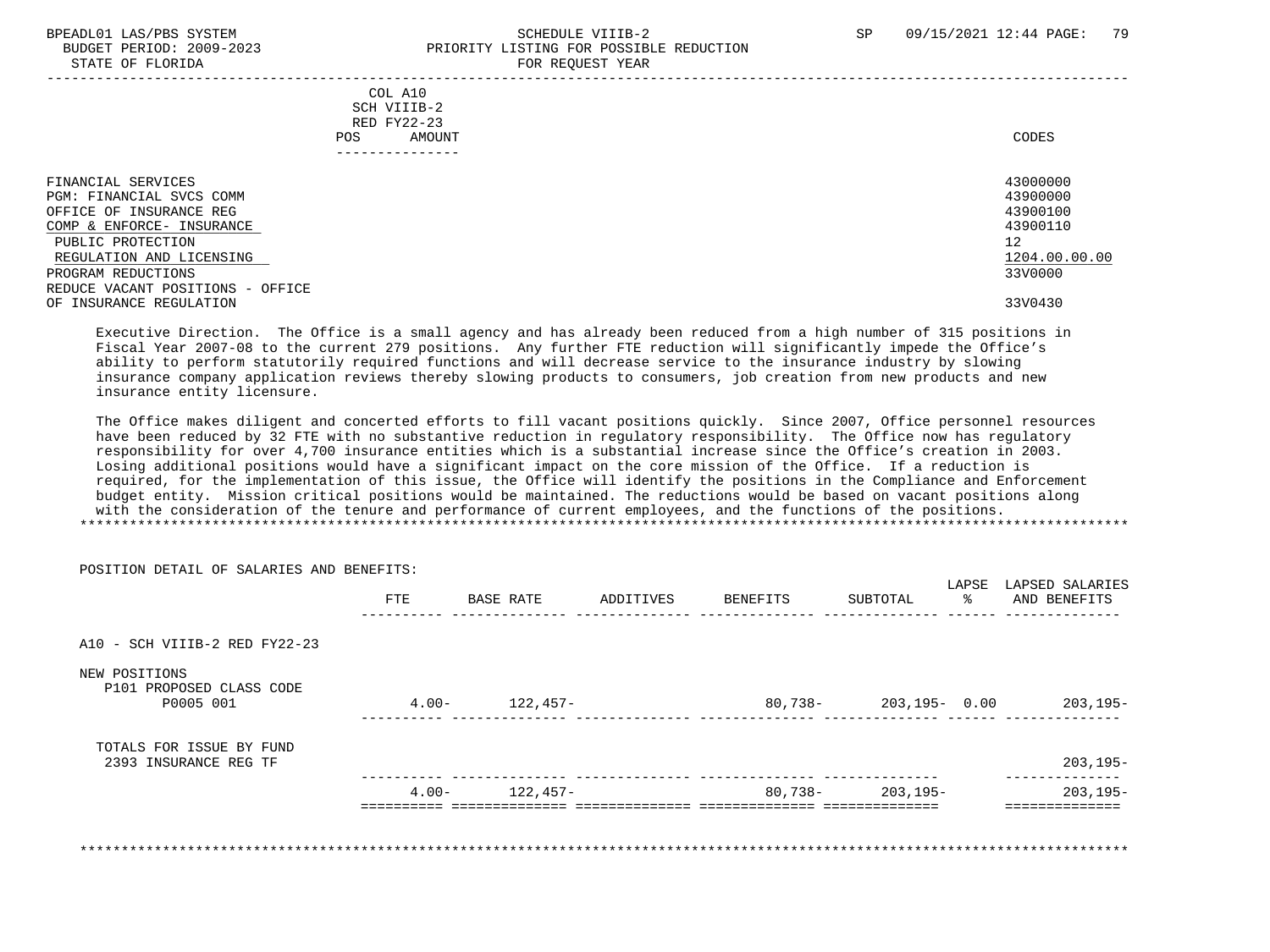#### BPEADL01 LAS/PBS SYSTEM STRAND SCHEDULE VIIIB-2 SP 09/15/2021 12:44 PAGE: 79 BUDGET PERIOD: 2009-2023 PRIORITY LISTING FOR POSSIBLE REDUCTION STATE OF FLORIDA **FOR REQUEST YEAR**

| COL A10<br>SCH VIIIB-2<br>RED FY22-23<br>AMOUNT<br>POS.<br>------------                                                                                                                                           | CODES                                                                          |
|-------------------------------------------------------------------------------------------------------------------------------------------------------------------------------------------------------------------|--------------------------------------------------------------------------------|
| FINANCIAL SERVICES<br>PGM: FINANCIAL SVCS COMM<br>OFFICE OF INSURANCE REG<br>COMP & ENFORCE- INSURANCE<br>PUBLIC PROTECTION<br>REGULATION AND LICENSING<br>PROGRAM REDUCTIONS<br>REDUCE VACANT POSITIONS - OFFICE | 43000000<br>43900000<br>43900100<br>43900110<br>12<br>1204.00.00.00<br>33V0000 |
| OF INSURANCE REGULATION                                                                                                                                                                                           | 33V0430                                                                        |

 Executive Direction. The Office is a small agency and has already been reduced from a high number of 315 positions in Fiscal Year 2007-08 to the current 279 positions. Any further FTE reduction will significantly impede the Office's ability to perform statutorily required functions and will decrease service to the insurance industry by slowing insurance company application reviews thereby slowing products to consumers, job creation from new products and new insurance entity licensure.

 The Office makes diligent and concerted efforts to fill vacant positions quickly. Since 2007, Office personnel resources have been reduced by 32 FTE with no substantive reduction in regulatory responsibility. The Office now has regulatory responsibility for over 4,700 insurance entities which is a substantial increase since the Office's creation in 2003. Losing additional positions would have a significant impact on the core mission of the Office. If a reduction is required, for the implementation of this issue, the Office will identify the positions in the Compliance and Enforcement budget entity. Mission critical positions would be maintained. The reductions would be based on vacant positions along with the consideration of the tenure and performance of current employees, and the functions of the positions. \*\*\*\*\*\*\*\*\*\*\*\*\*\*\*\*\*\*\*\*\*\*\*\*\*\*\*\*\*\*\*\*\*\*\*\*\*\*\*\*\*\*\*\*\*\*\*\*\*\*\*\*\*\*\*\*\*\*\*\*\*\*\*\*\*\*\*\*\*\*\*\*\*\*\*\*\*\*\*\*\*\*\*\*\*\*\*\*\*\*\*\*\*\*\*\*\*\*\*\*\*\*\*\*\*\*\*\*\*\*\*\*\*\*\*\*\*\*\*\*\*\*\*\*\*\*\*

| POSITION DETAIL OF SALARIES AND BENEFITS: |                |           |           |          |                       |             |                                 |
|-------------------------------------------|----------------|-----------|-----------|----------|-----------------------|-------------|---------------------------------|
|                                           | <b>FTE</b>     | BASE RATE | ADDITIVES | BENEFITS | SUBTOTAL              | LAPSE<br>ႜႂ | LAPSED SALARIES<br>AND BENEFITS |
|                                           |                |           |           |          |                       |             |                                 |
| A10 - SCH VIIIB-2 RED FY22-23             |                |           |           |          |                       |             |                                 |
| NEW POSITIONS<br>P101 PROPOSED CLASS CODE |                |           |           |          |                       |             |                                 |
| P0005 001                                 | $4 \cdot 00 -$ | 122,457-  |           |          | 80,738- 203,195- 0.00 |             | 203,195-                        |
| TOTALS FOR ISSUE BY FUND                  |                |           |           |          |                       |             |                                 |
| 2393 INSURANCE REG TF                     |                |           |           |          |                       |             | $203, 195 -$                    |
|                                           | $4.00-$        | 122,457-  |           |          | 80,738- 203,195-      |             | $203, 195 -$                    |

POSITION DETAIL OF SALARIES AND BENEFITS: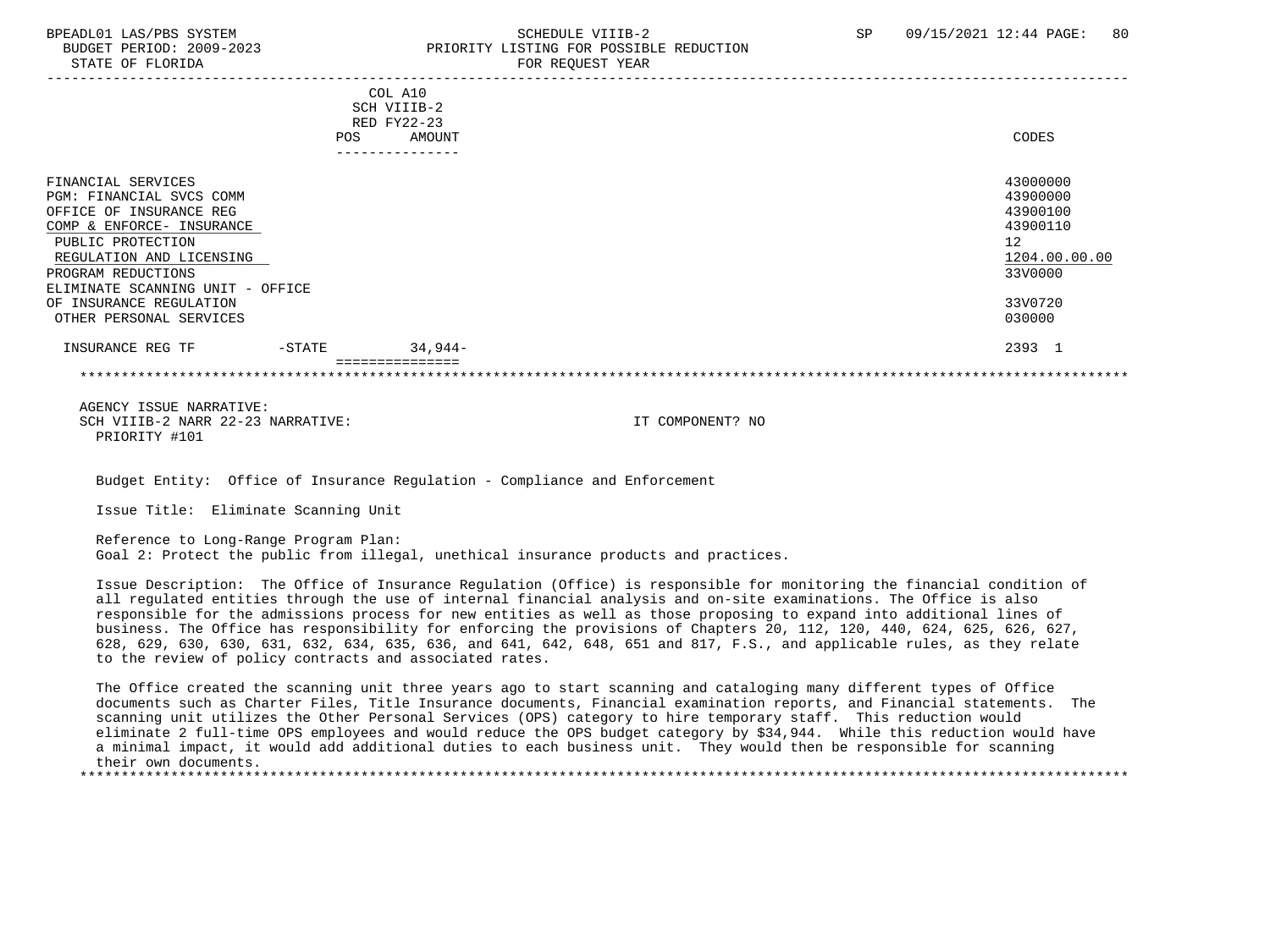## BPEADL01 LAS/PBS SYSTEM SOLUTION SCHEDULE VIIIB-2 SP 09/15/2021 12:44 PAGE: 80 BUDGET PERIOD: 2009-2023 PRIORITY LISTING FOR POSSIBLE REDUCTION

| COL A10<br>SCH VIIIB-2<br>RED FY22-23<br>AMOUNT | CODES                                                                          |
|-------------------------------------------------|--------------------------------------------------------------------------------|
|                                                 |                                                                                |
|                                                 | 43000000<br>43900000<br>43900100<br>43900110<br>12<br>1204.00.00.00<br>33V0000 |
|                                                 | 33V0720                                                                        |
|                                                 | 030000                                                                         |
| 34,944-                                         | 2393 1                                                                         |
|                                                 |                                                                                |
|                                                 |                                                                                |

 AGENCY ISSUE NARRATIVE: SCH VIIIB-2 NARR 22-23 NARRATIVE: IT COMPONENT? NO PRIORITY #101

Budget Entity: Office of Insurance Regulation - Compliance and Enforcement

Issue Title: Eliminate Scanning Unit

 Reference to Long-Range Program Plan: Goal 2: Protect the public from illegal, unethical insurance products and practices.

 Issue Description: The Office of Insurance Regulation (Office) is responsible for monitoring the financial condition of all regulated entities through the use of internal financial analysis and on-site examinations. The Office is also responsible for the admissions process for new entities as well as those proposing to expand into additional lines of business. The Office has responsibility for enforcing the provisions of Chapters 20, 112, 120, 440, 624, 625, 626, 627, 628, 629, 630, 630, 631, 632, 634, 635, 636, and 641, 642, 648, 651 and 817, F.S., and applicable rules, as they relate to the review of policy contracts and associated rates.

 The Office created the scanning unit three years ago to start scanning and cataloging many different types of Office documents such as Charter Files, Title Insurance documents, Financial examination reports, and Financial statements. The scanning unit utilizes the Other Personal Services (OPS) category to hire temporary staff. This reduction would eliminate 2 full-time OPS employees and would reduce the OPS budget category by \$34,944. While this reduction would have a minimal impact, it would add additional duties to each business unit. They would then be responsible for scanning their own documents.

\*\*\*\*\*\*\*\*\*\*\*\*\*\*\*\*\*\*\*\*\*\*\*\*\*\*\*\*\*\*\*\*\*\*\*\*\*\*\*\*\*\*\*\*\*\*\*\*\*\*\*\*\*\*\*\*\*\*\*\*\*\*\*\*\*\*\*\*\*\*\*\*\*\*\*\*\*\*\*\*\*\*\*\*\*\*\*\*\*\*\*\*\*\*\*\*\*\*\*\*\*\*\*\*\*\*\*\*\*\*\*\*\*\*\*\*\*\*\*\*\*\*\*\*\*\*\*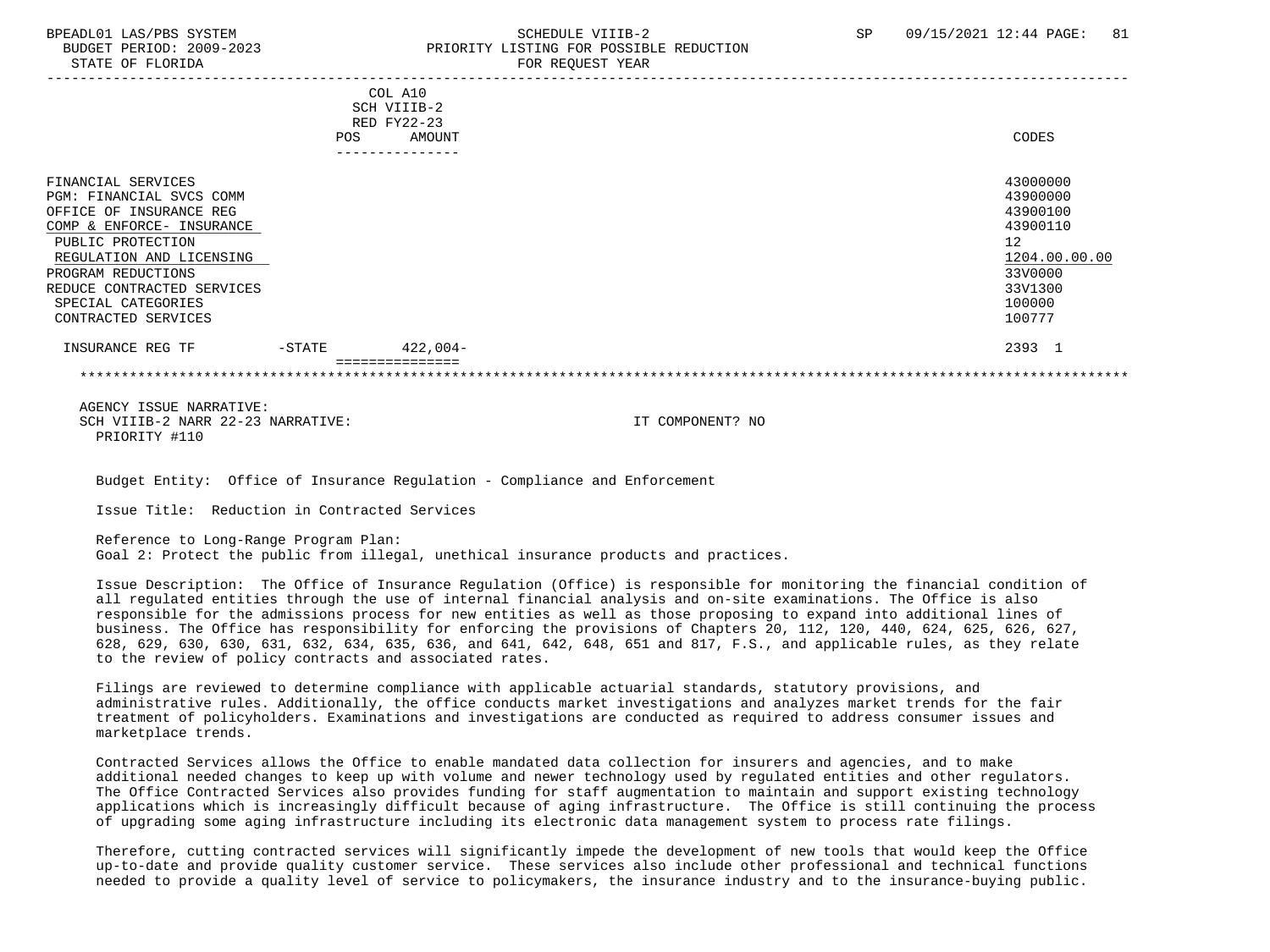# BPEADL01 LAS/PBS SYSTEM SALL SALL SOMEDULE VIIIB-2 SP 09/15/2021 12:44 PAGE: 81 BUDGET PERIOD: 2009-2023 PRIORITY LISTING FOR POSSIBLE REDUCTION

|                            |            | COL A10<br>SCH VIIIB-2 |               |
|----------------------------|------------|------------------------|---------------|
|                            |            | RED FY22-23            |               |
|                            | <b>POS</b> | AMOUNT                 | CODES         |
|                            |            |                        |               |
|                            |            |                        |               |
| FINANCIAL SERVICES         |            |                        | 43000000      |
| PGM: FINANCIAL SVCS COMM   |            |                        | 43900000      |
| OFFICE OF INSURANCE REG    |            |                        | 43900100      |
| COMP & ENFORCE- INSURANCE  |            |                        | 43900110      |
| PUBLIC PROTECTION          |            |                        | 12            |
| REGULATION AND LICENSING   |            |                        | 1204.00.00.00 |
| PROGRAM REDUCTIONS         |            |                        | 33V0000       |
| REDUCE CONTRACTED SERVICES |            |                        | 33V1300       |
| SPECIAL CATEGORIES         |            |                        | 100000        |
| CONTRACTED SERVICES        |            |                        | 100777        |
| INSURANCE REG TF           | $-$ STATE  | $422,004-$             | 2393 1        |
|                            |            |                        |               |

 AGENCY ISSUE NARRATIVE: SCH VIIIB-2 NARR 22-23 NARRATIVE: IT COMPONENT? NO PRIORITY #110

Budget Entity: Office of Insurance Regulation - Compliance and Enforcement

Issue Title: Reduction in Contracted Services

 Reference to Long-Range Program Plan: Goal 2: Protect the public from illegal, unethical insurance products and practices.

 Issue Description: The Office of Insurance Regulation (Office) is responsible for monitoring the financial condition of all regulated entities through the use of internal financial analysis and on-site examinations. The Office is also responsible for the admissions process for new entities as well as those proposing to expand into additional lines of business. The Office has responsibility for enforcing the provisions of Chapters 20, 112, 120, 440, 624, 625, 626, 627, 628, 629, 630, 630, 631, 632, 634, 635, 636, and 641, 642, 648, 651 and 817, F.S., and applicable rules, as they relate to the review of policy contracts and associated rates.

 Filings are reviewed to determine compliance with applicable actuarial standards, statutory provisions, and administrative rules. Additionally, the office conducts market investigations and analyzes market trends for the fair treatment of policyholders. Examinations and investigations are conducted as required to address consumer issues and marketplace trends.

 Contracted Services allows the Office to enable mandated data collection for insurers and agencies, and to make additional needed changes to keep up with volume and newer technology used by regulated entities and other regulators. The Office Contracted Services also provides funding for staff augmentation to maintain and support existing technology applications which is increasingly difficult because of aging infrastructure. The Office is still continuing the process of upgrading some aging infrastructure including its electronic data management system to process rate filings.

 Therefore, cutting contracted services will significantly impede the development of new tools that would keep the Office up-to-date and provide quality customer service. These services also include other professional and technical functions needed to provide a quality level of service to policymakers, the insurance industry and to the insurance-buying public.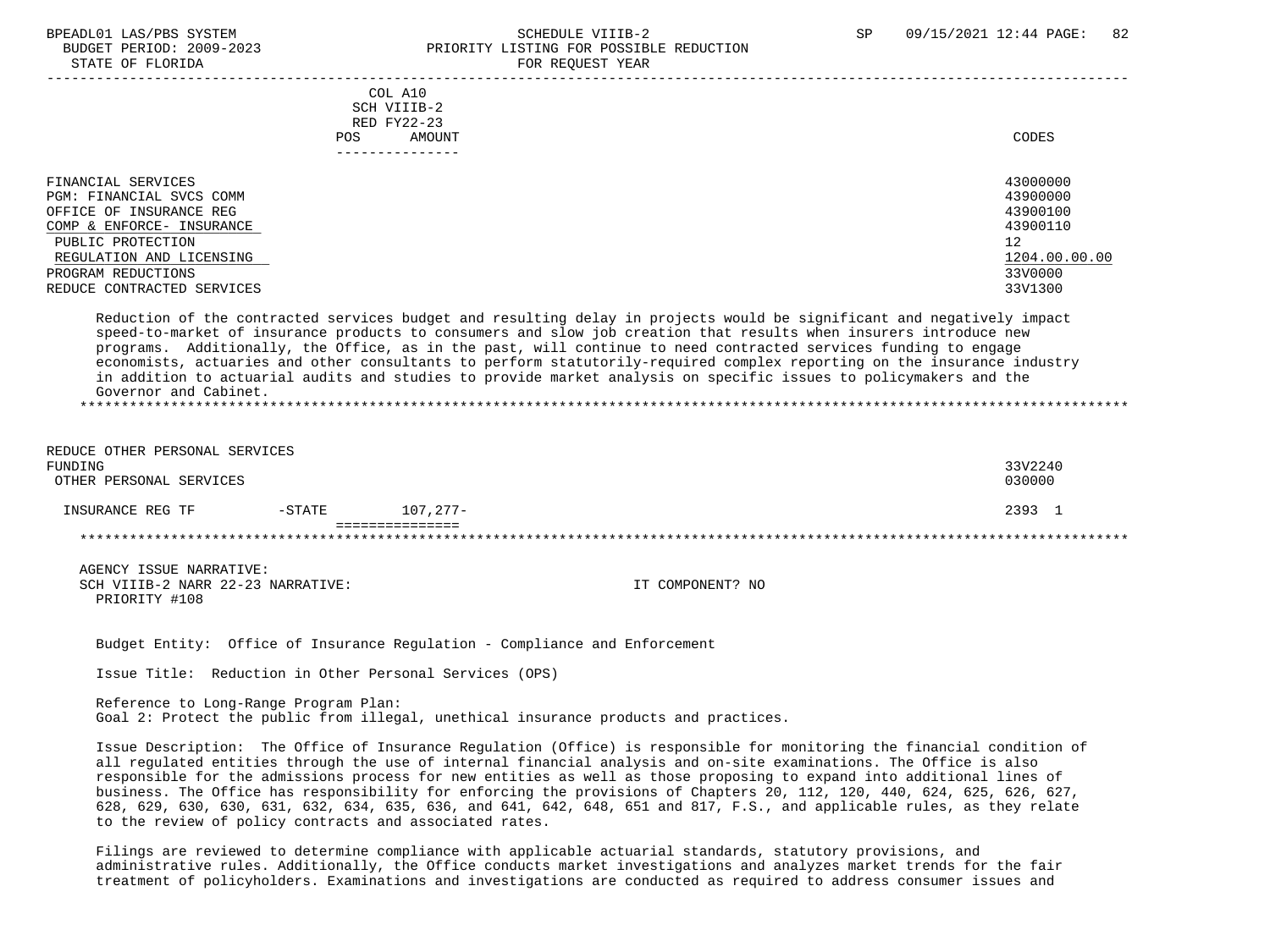#### BPEADL01 LAS/PBS SYSTEM SALL SALL SOMEDULE VIIIB-2 SP 09/15/2021 12:44 PAGE: 82 BUDGET PERIOD: 2009-2023 PRIORITY LISTING FOR POSSIBLE REDUCTION STATE OF FLORIDA **FOR REQUEST YEAR**

|                                                                                                                                                                                                             | COL A10<br>SCH VIIIB-2<br>RED FY22-23<br>AMOUNT<br>POS. | CODES                                                                                     |
|-------------------------------------------------------------------------------------------------------------------------------------------------------------------------------------------------------------|---------------------------------------------------------|-------------------------------------------------------------------------------------------|
| FINANCIAL SERVICES<br>PGM: FINANCIAL SVCS COMM<br>OFFICE OF INSURANCE REG<br>COMP & ENFORCE- INSURANCE<br>PUBLIC PROTECTION<br>REGULATION AND LICENSING<br>PROGRAM REDUCTIONS<br>REDUCE CONTRACTED SERVICES |                                                         | 43000000<br>43900000<br>43900100<br>43900110<br>12<br>1204.00.00.00<br>33V0000<br>33V1300 |

 Reduction of the contracted services budget and resulting delay in projects would be significant and negatively impact speed-to-market of insurance products to consumers and slow job creation that results when insurers introduce new programs. Additionally, the Office, as in the past, will continue to need contracted services funding to engage economists, actuaries and other consultants to perform statutorily-required complex reporting on the insurance industry in addition to actuarial audits and studies to provide market analysis on specific issues to policymakers and the Governor and Cabinet. \*\*\*\*\*\*\*\*\*\*\*\*\*\*\*\*\*\*\*\*\*\*\*\*\*\*\*\*\*\*\*\*\*\*\*\*\*\*\*\*\*\*\*\*\*\*\*\*\*\*\*\*\*\*\*\*\*\*\*\*\*\*\*\*\*\*\*\*\*\*\*\*\*\*\*\*\*\*\*\*\*\*\*\*\*\*\*\*\*\*\*\*\*\*\*\*\*\*\*\*\*\*\*\*\*\*\*\*\*\*\*\*\*\*\*\*\*\*\*\*\*\*\*\*\*\*\*

| REDUCE OTHER PERSONAL SERVICES<br>FUNDING<br>OTHER PERSONAL SERVICES |           |          |        |  |
|----------------------------------------------------------------------|-----------|----------|--------|--|
| INSURANCE REG TF                                                     | $-$ STATE | 107.277- | 2393 1 |  |
|                                                                      |           |          |        |  |

 AGENCY ISSUE NARRATIVE: SCH VIIIB-2 NARR 22-23 NARRATIVE: IT COMPONENT? NO PRIORITY #108

Budget Entity: Office of Insurance Regulation - Compliance and Enforcement

Issue Title: Reduction in Other Personal Services (OPS)

 Reference to Long-Range Program Plan: Goal 2: Protect the public from illegal, unethical insurance products and practices.

 Issue Description: The Office of Insurance Regulation (Office) is responsible for monitoring the financial condition of all regulated entities through the use of internal financial analysis and on-site examinations. The Office is also responsible for the admissions process for new entities as well as those proposing to expand into additional lines of business. The Office has responsibility for enforcing the provisions of Chapters 20, 112, 120, 440, 624, 625, 626, 627, 628, 629, 630, 630, 631, 632, 634, 635, 636, and 641, 642, 648, 651 and 817, F.S., and applicable rules, as they relate to the review of policy contracts and associated rates.

 Filings are reviewed to determine compliance with applicable actuarial standards, statutory provisions, and administrative rules. Additionally, the Office conducts market investigations and analyzes market trends for the fair treatment of policyholders. Examinations and investigations are conducted as required to address consumer issues and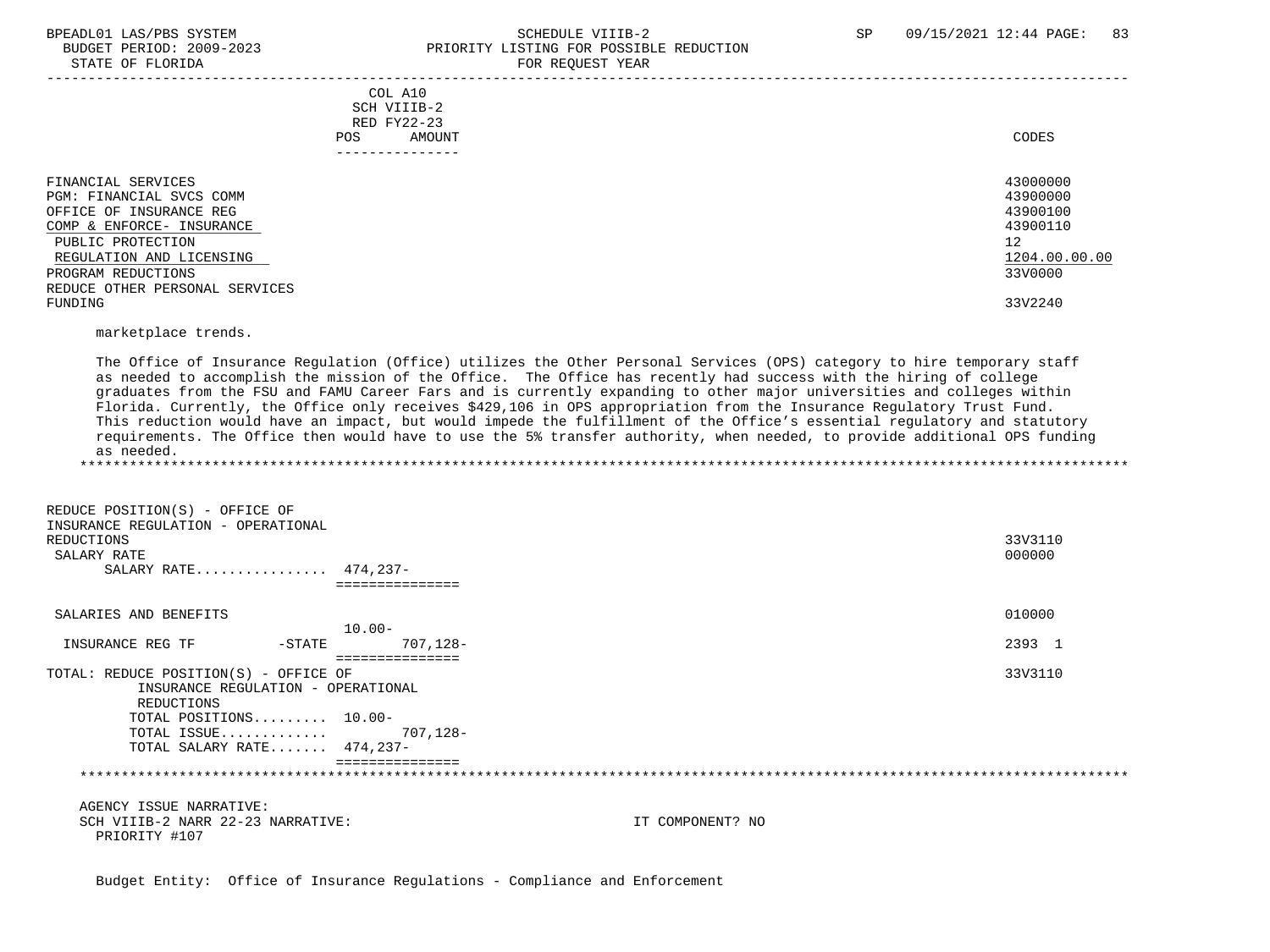#### BPEADL01 LAS/PBS SYSTEM SALL SALL SOMEDULE VIIIB-2 SP 09/15/2021 12:44 PAGE: 83 BUDGET PERIOD: 2009-2023 PRIORITY LISTING FOR POSSIBLE REDUCTION STATE OF FLORIDA FOR STATE OF  $\sim$  FOR REQUEST YEAR

| COL A10<br>SCH VIIIB-2<br>RED FY22-23<br>AMOUNT<br>POS.                                                                                                                                                         | CODES                                                                          |
|-----------------------------------------------------------------------------------------------------------------------------------------------------------------------------------------------------------------|--------------------------------------------------------------------------------|
| -------------                                                                                                                                                                                                   |                                                                                |
| FINANCIAL SERVICES<br>PGM: FINANCIAL SVCS COMM<br>OFFICE OF INSURANCE REG<br>COMP & ENFORCE- INSURANCE<br>PUBLIC PROTECTION<br>REGULATION AND LICENSING<br>PROGRAM REDUCTIONS<br>REDUCE OTHER PERSONAL SERVICES | 43000000<br>43900000<br>43900100<br>43900110<br>12<br>1204.00.00.00<br>33V0000 |
| FUNDING                                                                                                                                                                                                         | 33V2240                                                                        |

marketplace trends.

 The Office of Insurance Regulation (Office) utilizes the Other Personal Services (OPS) category to hire temporary staff as needed to accomplish the mission of the Office. The Office has recently had success with the hiring of college graduates from the FSU and FAMU Career Fars and is currently expanding to other major universities and colleges within Florida. Currently, the Office only receives \$429,106 in OPS appropriation from the Insurance Regulatory Trust Fund. This reduction would have an impact, but would impede the fulfillment of the Office's essential regulatory and statutory requirements. The Office then would have to use the 5% transfer authority, when needed, to provide additional OPS funding as needed. \*\*\*\*\*\*\*\*\*\*\*\*\*\*\*\*\*\*\*\*\*\*\*\*\*\*\*\*\*\*\*\*\*\*\*\*\*\*\*\*\*\*\*\*\*\*\*\*\*\*\*\*\*\*\*\*\*\*\*\*\*\*\*\*\*\*\*\*\*\*\*\*\*\*\*\*\*\*\*\*\*\*\*\*\*\*\*\*\*\*\*\*\*\*\*\*\*\*\*\*\*\*\*\*\*\*\*\*\*\*\*\*\*\*\*\*\*\*\*\*\*\*\*\*\*\*\*

 REDUCE POSITION(S) - OFFICE OF INSURANCE REGULATION - OPERATIONAL REDUCTIONS 33V3110  $\texttt{SALARY RATE}$  . The contract of the contract of the contract of the contract of the contract of the contract of the contract of the contract of the contract of the contract of the contract of the contract of the contract o SALARY RATE................ 474,237- =============== SALARIES AND BENEFITS 010000 10.00- INSURANCE REG TF  $-$  STATE  $707,128-$  =============== TOTAL: REDUCE POSITION(S) - OFFICE OF 33V3110 INSURANCE REGULATION - OPERATIONAL REDUCTIONS TOTAL POSITIONS......... 10.00- TOTAL ISSUE............. 707,128- TOTAL SALARY RATE....... 474,237- =============== \*\*\*\*\*\*\*\*\*\*\*\*\*\*\*\*\*\*\*\*\*\*\*\*\*\*\*\*\*\*\*\*\*\*\*\*\*\*\*\*\*\*\*\*\*\*\*\*\*\*\*\*\*\*\*\*\*\*\*\*\*\*\*\*\*\*\*\*\*\*\*\*\*\*\*\*\*\*\*\*\*\*\*\*\*\*\*\*\*\*\*\*\*\*\*\*\*\*\*\*\*\*\*\*\*\*\*\*\*\*\*\*\*\*\*\*\*\*\*\*\*\*\*\*\*\*\* AGENCY ISSUE NARRATIVE: SCH VIIIB-2 NARR 22-23 NARRATIVE: IT COMPONENT? NO PRIORITY #107

Budget Entity: Office of Insurance Regulations - Compliance and Enforcement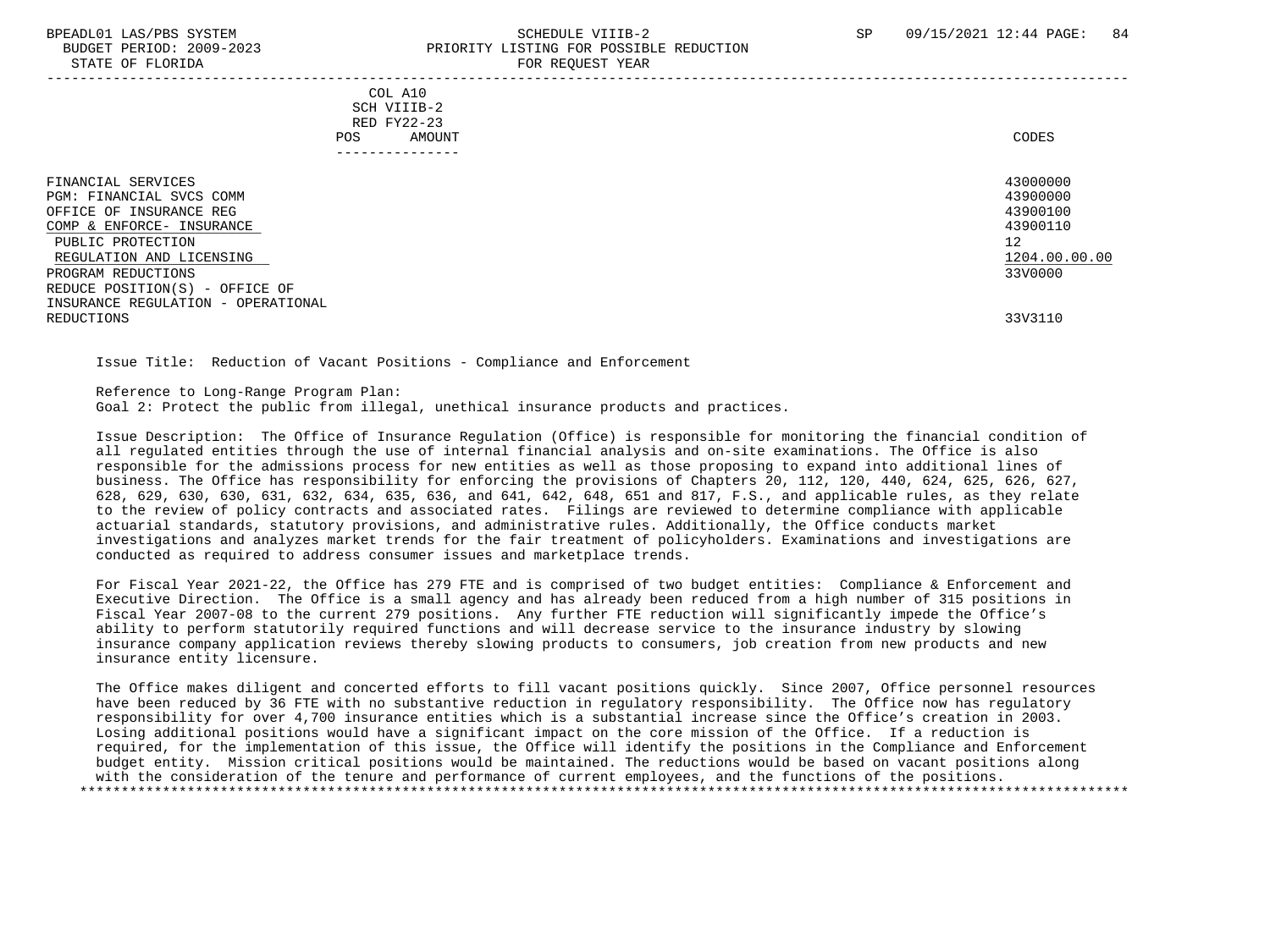#### BPEADL01 LAS/PBS SYSTEM SALL SALL SOMEDULE VIIIB-2 SP 09/15/2021 12:44 PAGE: 84 BUDGET PERIOD: 2009-2023 PRIORITY LISTING FOR POSSIBLE REDUCTION STATE OF FLORIDA FOR REQUEST YEAR

| COL A10<br>SCH VIIIB-2<br>RED FY22-23<br>POS.<br>AMOUNT<br>. - - - - - - - - - - - - -                                                                                        | CODES                                                                          |
|-------------------------------------------------------------------------------------------------------------------------------------------------------------------------------|--------------------------------------------------------------------------------|
| FINANCIAL SERVICES<br>PGM: FINANCIAL SVCS COMM<br>OFFICE OF INSURANCE REG<br>COMP & ENFORCE- INSURANCE<br>PUBLIC PROTECTION<br>REGULATION AND LICENSING<br>PROGRAM REDUCTIONS | 43000000<br>43900000<br>43900100<br>43900110<br>12<br>1204.00.00.00<br>33V0000 |
| REDUCE POSITION(S) - OFFICE OF<br>INSURANCE REGULATION - OPERATIONAL<br>REDUCTIONS                                                                                            | 33V3110                                                                        |

Issue Title: Reduction of Vacant Positions - Compliance and Enforcement

 Reference to Long-Range Program Plan: Goal 2: Protect the public from illegal, unethical insurance products and practices.

 Issue Description: The Office of Insurance Regulation (Office) is responsible for monitoring the financial condition of all regulated entities through the use of internal financial analysis and on-site examinations. The Office is also responsible for the admissions process for new entities as well as those proposing to expand into additional lines of business. The Office has responsibility for enforcing the provisions of Chapters 20, 112, 120, 440, 624, 625, 626, 627, 628, 629, 630, 630, 631, 632, 634, 635, 636, and 641, 642, 648, 651 and 817, F.S., and applicable rules, as they relate to the review of policy contracts and associated rates. Filings are reviewed to determine compliance with applicable actuarial standards, statutory provisions, and administrative rules. Additionally, the Office conducts market investigations and analyzes market trends for the fair treatment of policyholders. Examinations and investigations are conducted as required to address consumer issues and marketplace trends.

 For Fiscal Year 2021-22, the Office has 279 FTE and is comprised of two budget entities: Compliance & Enforcement and Executive Direction. The Office is a small agency and has already been reduced from a high number of 315 positions in Fiscal Year 2007-08 to the current 279 positions. Any further FTE reduction will significantly impede the Office's ability to perform statutorily required functions and will decrease service to the insurance industry by slowing insurance company application reviews thereby slowing products to consumers, job creation from new products and new insurance entity licensure.

 The Office makes diligent and concerted efforts to fill vacant positions quickly. Since 2007, Office personnel resources have been reduced by 36 FTE with no substantive reduction in regulatory responsibility. The Office now has regulatory responsibility for over 4,700 insurance entities which is a substantial increase since the Office's creation in 2003. Losing additional positions would have a significant impact on the core mission of the Office. If a reduction is required, for the implementation of this issue, the Office will identify the positions in the Compliance and Enforcement budget entity. Mission critical positions would be maintained. The reductions would be based on vacant positions along with the consideration of the tenure and performance of current employees, and the functions of the positions. \*\*\*\*\*\*\*\*\*\*\*\*\*\*\*\*\*\*\*\*\*\*\*\*\*\*\*\*\*\*\*\*\*\*\*\*\*\*\*\*\*\*\*\*\*\*\*\*\*\*\*\*\*\*\*\*\*\*\*\*\*\*\*\*\*\*\*\*\*\*\*\*\*\*\*\*\*\*\*\*\*\*\*\*\*\*\*\*\*\*\*\*\*\*\*\*\*\*\*\*\*\*\*\*\*\*\*\*\*\*\*\*\*\*\*\*\*\*\*\*\*\*\*\*\*\*\*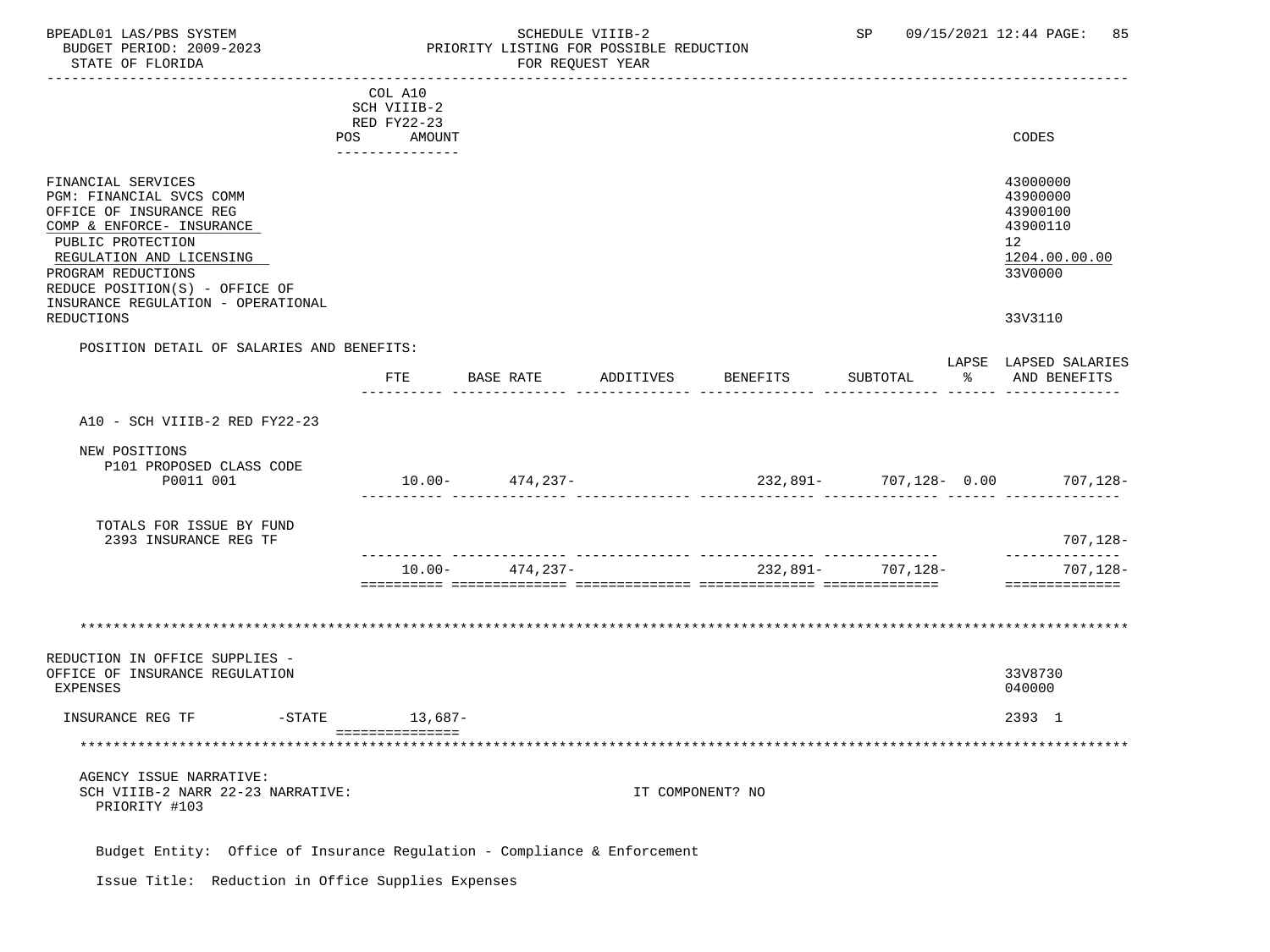### BPEADL01 LAS/PBS SYSTEM STRIM SCHEDULE VIIIB-2 SCHEDULE VIIIB-2 SP 09/15/2021 12:44 PAGE: 85 BUDGET PERIOD: 2009-2023 PRIORITY LISTING FOR POSSIBLE REDUCTION

|                                                                                                                                                                                                                 | COL A10                   |           |                     |           |                                        |                   |                                                                                |
|-----------------------------------------------------------------------------------------------------------------------------------------------------------------------------------------------------------------|---------------------------|-----------|---------------------|-----------|----------------------------------------|-------------------|--------------------------------------------------------------------------------|
|                                                                                                                                                                                                                 | SCH VIIIB-2               |           |                     |           |                                        |                   |                                                                                |
|                                                                                                                                                                                                                 | RED FY22-23<br>POS AMOUNT |           |                     |           |                                        |                   | CODES                                                                          |
|                                                                                                                                                                                                                 | ---------------           |           |                     |           |                                        |                   |                                                                                |
| FINANCIAL SERVICES<br>PGM: FINANCIAL SVCS COMM<br>OFFICE OF INSURANCE REG<br>COMP & ENFORCE- INSURANCE<br>PUBLIC PROTECTION<br>REGULATION AND LICENSING<br>PROGRAM REDUCTIONS<br>REDUCE POSITION(S) - OFFICE OF |                           |           |                     |           |                                        |                   | 43000000<br>43900000<br>43900100<br>43900110<br>12<br>1204.00.00.00<br>33V0000 |
| INSURANCE REGULATION - OPERATIONAL<br><b>REDUCTIONS</b>                                                                                                                                                         |                           |           |                     |           |                                        |                   | 33V3110                                                                        |
| POSITION DETAIL OF SALARIES AND BENEFITS:                                                                                                                                                                       |                           |           |                     |           |                                        |                   |                                                                                |
|                                                                                                                                                                                                                 |                           |           | FTE BASE RATE       | ADDITIVES | <b>BENEFITS</b>                        | SUBTOTAL          | LAPSE LAPSED SALARIES<br>% AND BENEFITS                                        |
|                                                                                                                                                                                                                 |                           |           |                     |           |                                        |                   |                                                                                |
| A10 - SCH VIIIB-2 RED FY22-23                                                                                                                                                                                   |                           |           |                     |           |                                        |                   |                                                                                |
| NEW POSITIONS<br>P101 PROPOSED CLASS CODE                                                                                                                                                                       |                           |           |                     |           |                                        |                   |                                                                                |
| P0011 001                                                                                                                                                                                                       |                           |           | $10.00 - 474,237 -$ |           | $232,891 - 707,128 - 0.00$ $707,128 -$ |                   |                                                                                |
| TOTALS FOR ISSUE BY FUND<br>2393 INSURANCE REG TF                                                                                                                                                               |                           |           |                     |           |                                        |                   | 707,128-                                                                       |
|                                                                                                                                                                                                                 |                           | $10.00 -$ | 474,237-            |           |                                        | 232,891- 707,128- | _____________<br>707,128-                                                      |
|                                                                                                                                                                                                                 |                           |           |                     |           |                                        |                   | ==============                                                                 |
|                                                                                                                                                                                                                 |                           |           |                     |           |                                        |                   |                                                                                |
| REDUCTION IN OFFICE SUPPLIES -<br>OFFICE OF INSURANCE REGULATION<br>EXPENSES                                                                                                                                    |                           |           |                     |           |                                        |                   | 33V8730<br>040000                                                              |
| INSURANCE REG TF                                                                                                                                                                                                | -STATE 13,687-            |           |                     |           |                                        |                   | 2393 1                                                                         |
|                                                                                                                                                                                                                 | ===============           |           |                     |           |                                        |                   |                                                                                |
| AGENCY ISSUE NARRATIVE:<br>SCH VIIIB-2 NARR 22-23 NARRATIVE:<br>PRIORITY #103                                                                                                                                   |                           |           |                     |           | IT COMPONENT? NO                       |                   |                                                                                |
| Budget Entity: Office of Insurance Regulation - Compliance & Enforcement                                                                                                                                        |                           |           |                     |           |                                        |                   |                                                                                |

Issue Title: Reduction in Office Supplies Expenses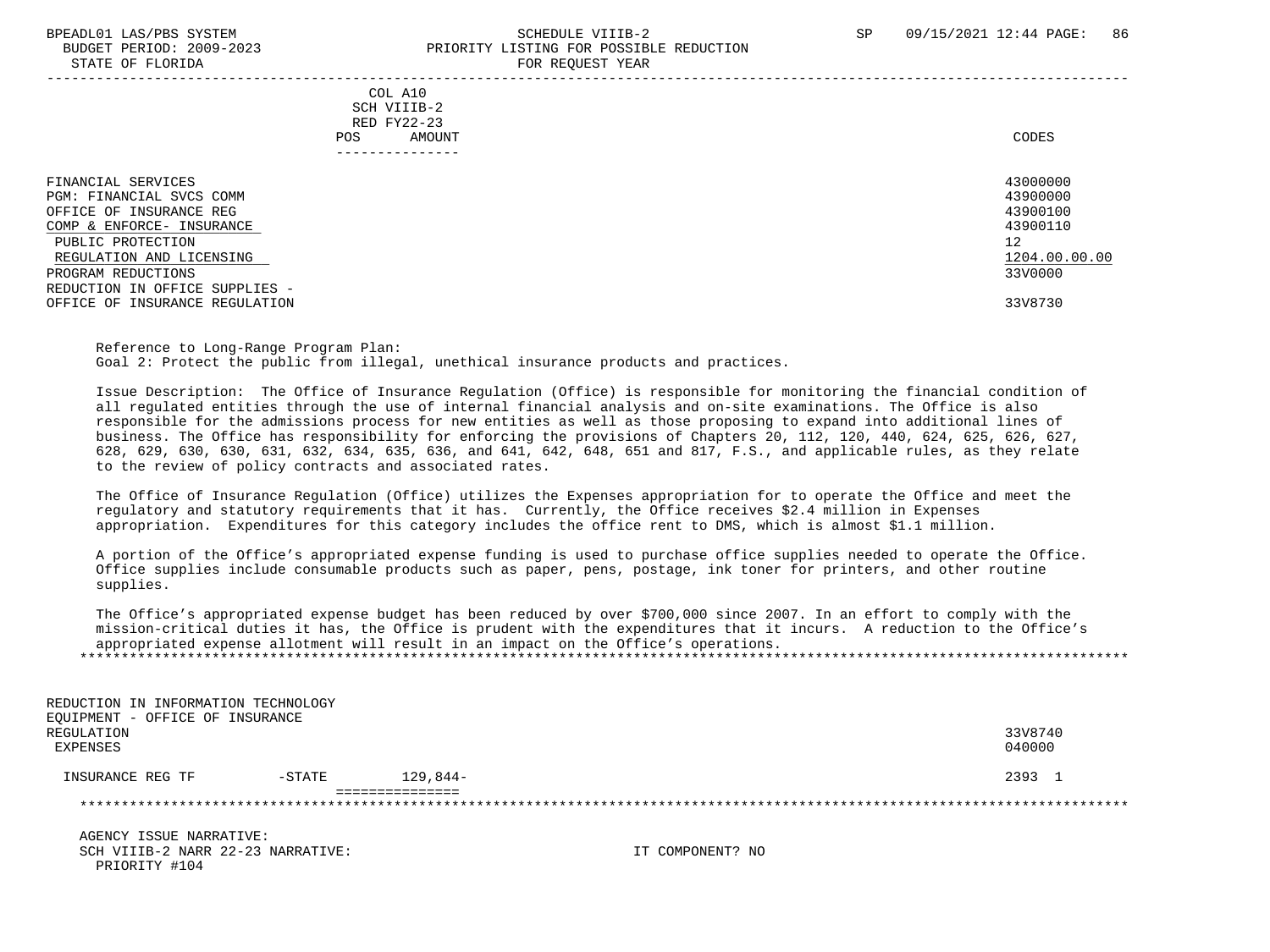#### BPEADL01 LAS/PBS SYSTEM SALL SALL SOMEDULE VIIIB-2 SP 09/15/2021 12:44 PAGE: 86 BUDGET PERIOD: 2009-2023 PRIORITY LISTING FOR POSSIBLE REDUCTION STATE OF FLORIDA **FOR REQUEST YEAR**

| COL A10<br>SCH VIIIB-2<br>RED FY22-23<br>AMOUNT<br>POS.                                                                                                                                                         | CODES                                                                          |
|-----------------------------------------------------------------------------------------------------------------------------------------------------------------------------------------------------------------|--------------------------------------------------------------------------------|
| FINANCIAL SERVICES<br>PGM: FINANCIAL SVCS COMM<br>OFFICE OF INSURANCE REG<br>COMP & ENFORCE- INSURANCE<br>PUBLIC PROTECTION<br>REGULATION AND LICENSING<br>PROGRAM REDUCTIONS<br>REDUCTION IN OFFICE SUPPLIES - | 43000000<br>43900000<br>43900100<br>43900110<br>12<br>1204.00.00.00<br>33V0000 |
| OFFICE OF INSURANCE REGULATION                                                                                                                                                                                  | 33V8730                                                                        |

 Reference to Long-Range Program Plan: Goal 2: Protect the public from illegal, unethical insurance products and practices.

 Issue Description: The Office of Insurance Regulation (Office) is responsible for monitoring the financial condition of all regulated entities through the use of internal financial analysis and on-site examinations. The Office is also responsible for the admissions process for new entities as well as those proposing to expand into additional lines of business. The Office has responsibility for enforcing the provisions of Chapters 20, 112, 120, 440, 624, 625, 626, 627, 628, 629, 630, 630, 631, 632, 634, 635, 636, and 641, 642, 648, 651 and 817, F.S., and applicable rules, as they relate to the review of policy contracts and associated rates.

 The Office of Insurance Regulation (Office) utilizes the Expenses appropriation for to operate the Office and meet the regulatory and statutory requirements that it has. Currently, the Office receives \$2.4 million in Expenses appropriation. Expenditures for this category includes the office rent to DMS, which is almost \$1.1 million.

 A portion of the Office's appropriated expense funding is used to purchase office supplies needed to operate the Office. Office supplies include consumable products such as paper, pens, postage, ink toner for printers, and other routine supplies.

 The Office's appropriated expense budget has been reduced by over \$700,000 since 2007. In an effort to comply with the mission-critical duties it has, the Office is prudent with the expenditures that it incurs. A reduction to the Office's appropriated expense allotment will result in an impact on the Office's operations. \*\*\*\*\*\*\*\*\*\*\*\*\*\*\*\*\*\*\*\*\*\*\*\*\*\*\*\*\*\*\*\*\*\*\*\*\*\*\*\*\*\*\*\*\*\*\*\*\*\*\*\*\*\*\*\*\*\*\*\*\*\*\*\*\*\*\*\*\*\*\*\*\*\*\*\*\*\*\*\*\*\*\*\*\*\*\*\*\*\*\*\*\*\*\*\*\*\*\*\*\*\*\*\*\*\*\*\*\*\*\*\*\*\*\*\*\*\*\*\*\*\*\*\*\*\*\*

| REDUCTION IN INFORMATION TECHNOLOGY |           |            |         |
|-------------------------------------|-----------|------------|---------|
| EOUIPMENT - OFFICE OF INSURANCE     |           |            |         |
| REGULATION                          |           |            | 33V8740 |
| EXPENSES                            |           |            | 040000  |
|                                     |           |            |         |
| INSURANCE REG TF                    | $-$ STATE | $129.844-$ | 2393 1  |
|                                     |           |            |         |
|                                     |           |            |         |
|                                     |           |            |         |

 AGENCY ISSUE NARRATIVE: SCH VIIIB-2 NARR 22-23 NARRATIVE: IT COMPONENT? NO PRIORITY #104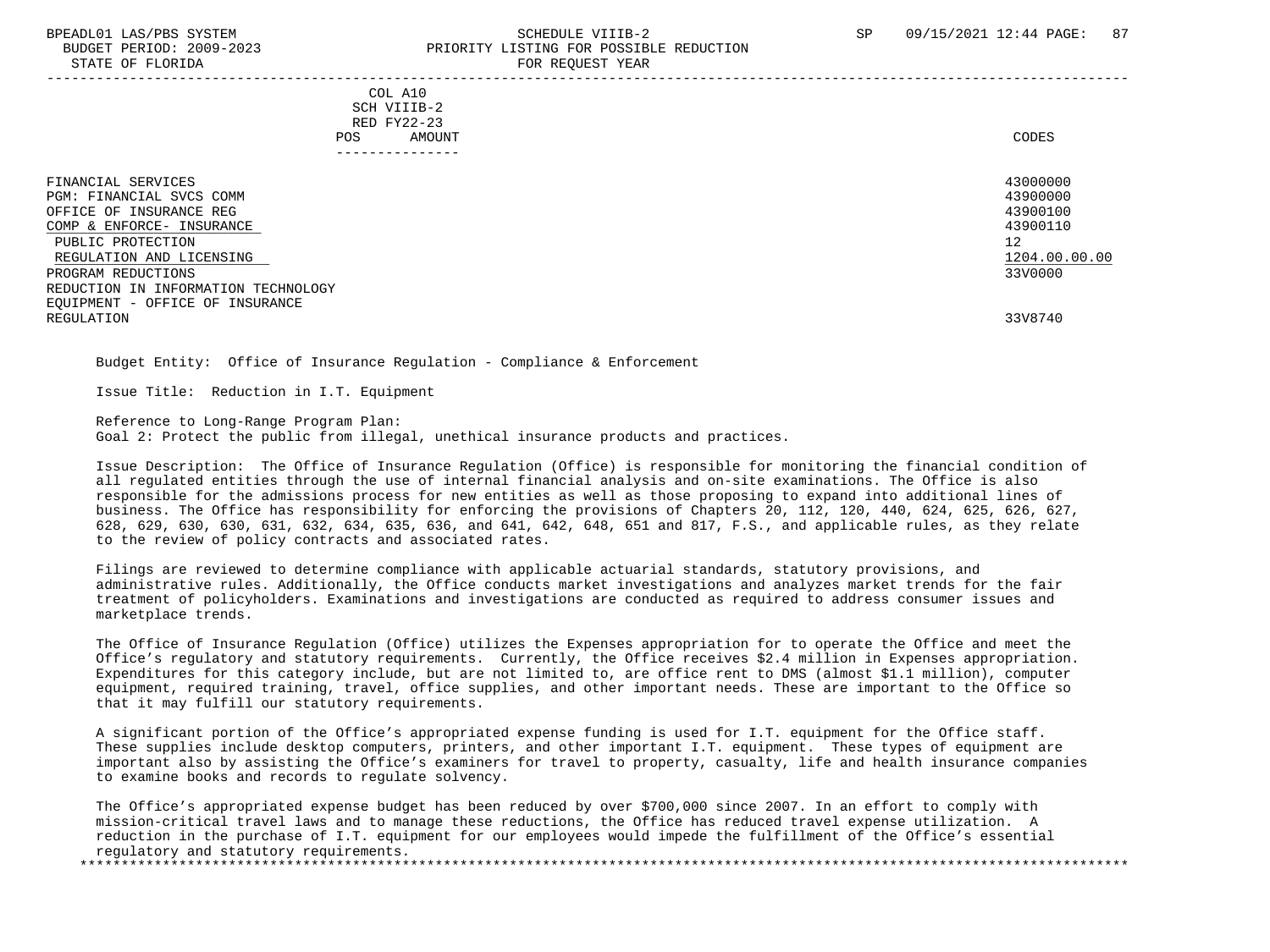#### BPEADL01 LAS/PBS SYSTEM STREADLE STREADLE STREADLE VIIIB-2 SP 09/15/2021 12:44 PAGE: 87 BUDGET PERIOD: 2009-2023 PRIORITY LISTING FOR POSSIBLE REDUCTION STATE OF FLORIDA FOR REQUEST YEAR

 COL A10 SCH VIIIB-2 RED FY22-23 POS AMOUNT CODES ---------------

| FINANCIAL SERVICES<br>PGM: FINANCIAL SVCS COMM | 43000000<br>43900000 |
|------------------------------------------------|----------------------|
| OFFICE OF INSURANCE REG                        | 43900100             |
| COMP & ENFORCE- INSURANCE                      | 43900110             |
| PUBLIC PROTECTION                              | 12                   |
| REGULATION AND LICENSING                       | 1204.00.00.00        |
| PROGRAM REDUCTIONS                             | 33V0000              |
| REDUCTION IN INFORMATION TECHNOLOGY            |                      |
| EQUIPMENT - OFFICE OF INSURANCE                |                      |
| REGULATION                                     | 33V8740              |

Budget Entity: Office of Insurance Regulation - Compliance & Enforcement

Issue Title: Reduction in I.T. Equipment

 Reference to Long-Range Program Plan: Goal 2: Protect the public from illegal, unethical insurance products and practices.

 Issue Description: The Office of Insurance Regulation (Office) is responsible for monitoring the financial condition of all regulated entities through the use of internal financial analysis and on-site examinations. The Office is also responsible for the admissions process for new entities as well as those proposing to expand into additional lines of business. The Office has responsibility for enforcing the provisions of Chapters 20, 112, 120, 440, 624, 625, 626, 627, 628, 629, 630, 630, 631, 632, 634, 635, 636, and 641, 642, 648, 651 and 817, F.S., and applicable rules, as they relate to the review of policy contracts and associated rates.

 Filings are reviewed to determine compliance with applicable actuarial standards, statutory provisions, and administrative rules. Additionally, the Office conducts market investigations and analyzes market trends for the fair treatment of policyholders. Examinations and investigations are conducted as required to address consumer issues and marketplace trends.

 The Office of Insurance Regulation (Office) utilizes the Expenses appropriation for to operate the Office and meet the Office's regulatory and statutory requirements. Currently, the Office receives \$2.4 million in Expenses appropriation. Expenditures for this category include, but are not limited to, are office rent to DMS (almost \$1.1 million), computer equipment, required training, travel, office supplies, and other important needs. These are important to the Office so that it may fulfill our statutory requirements.

 A significant portion of the Office's appropriated expense funding is used for I.T. equipment for the Office staff. These supplies include desktop computers, printers, and other important I.T. equipment. These types of equipment are important also by assisting the Office's examiners for travel to property, casualty, life and health insurance companies to examine books and records to regulate solvency.

 The Office's appropriated expense budget has been reduced by over \$700,000 since 2007. In an effort to comply with mission-critical travel laws and to manage these reductions, the Office has reduced travel expense utilization. A reduction in the purchase of I.T. equipment for our employees would impede the fulfillment of the Office's essential regulatory and statutory requirements. \*\*\*\*\*\*\*\*\*\*\*\*\*\*\*\*\*\*\*\*\*\*\*\*\*\*\*\*\*\*\*\*\*\*\*\*\*\*\*\*\*\*\*\*\*\*\*\*\*\*\*\*\*\*\*\*\*\*\*\*\*\*\*\*\*\*\*\*\*\*\*\*\*\*\*\*\*\*\*\*\*\*\*\*\*\*\*\*\*\*\*\*\*\*\*\*\*\*\*\*\*\*\*\*\*\*\*\*\*\*\*\*\*\*\*\*\*\*\*\*\*\*\*\*\*\*\*

-----------------------------------------------------------------------------------------------------------------------------------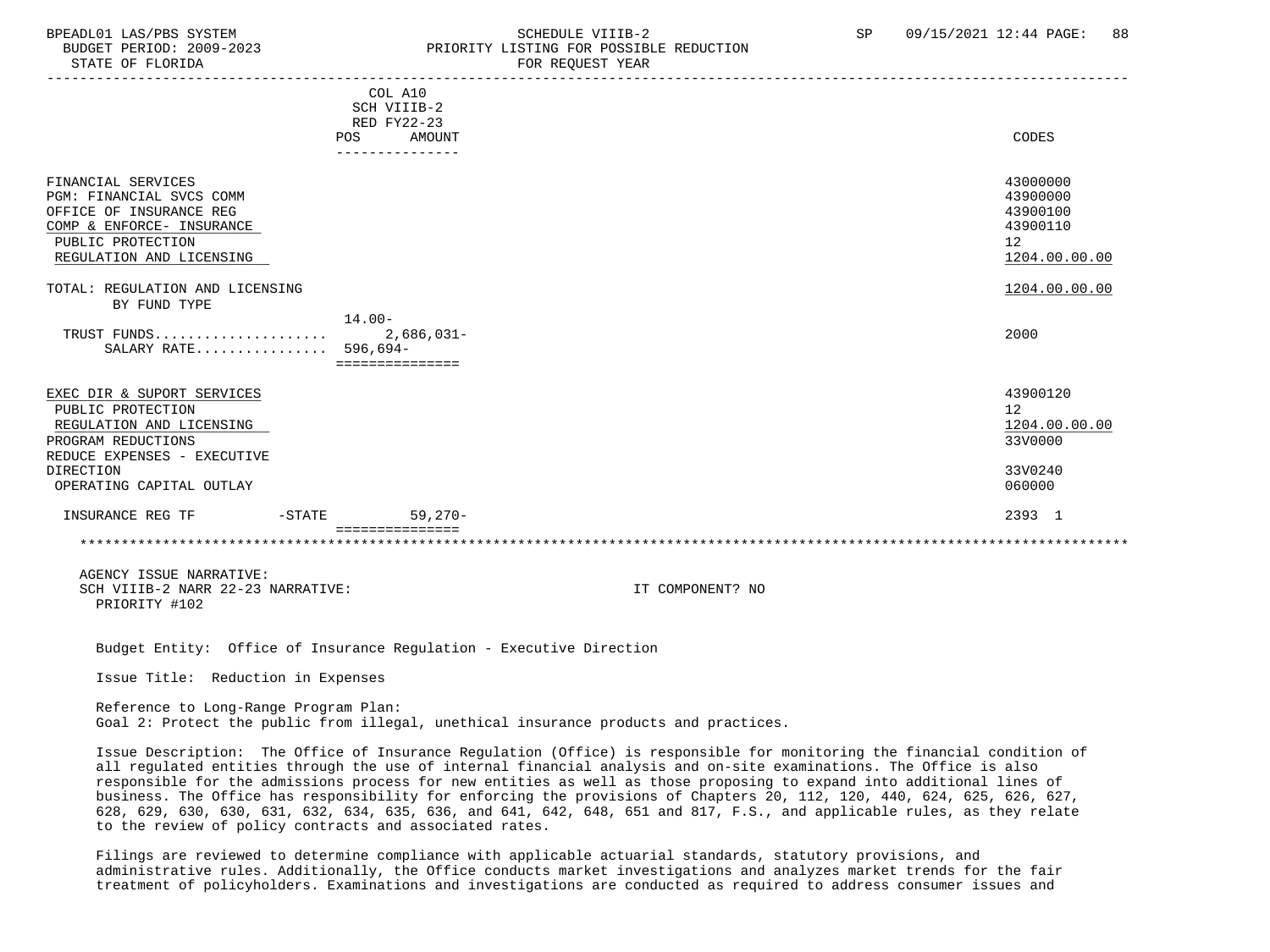STATE OF FLORIDA FOR STATE OF STATE OF STATE OF STATE OF STATE OF STATE OF STATE OF STATE OF STATE OF STATE OF STATE OF STATE OF STATE OF STATE OF STATE OF STATE OF STATE OF STATE OF STATE OF STATE OF STATE OF STATE OF STA

### BPEADL01 LAS/PBS SYSTEM SALL SALL SOMEDULE VIIIB-2 SP 09/15/2021 12:44 PAGE: 88 BUDGET PERIOD: 2009-2023 PRIORITY LISTING FOR POSSIBLE REDUCTION

-----------------------------------------------------------------------------------------------------------------------------------

|                                                                                                                                                         | COL A10<br>SCH VIIIB-2<br>RED FY22-23<br>POS<br>AMOUNT | CODES                                                               |
|---------------------------------------------------------------------------------------------------------------------------------------------------------|--------------------------------------------------------|---------------------------------------------------------------------|
| FINANCIAL SERVICES<br>PGM: FINANCIAL SVCS COMM<br>OFFICE OF INSURANCE REG<br>COMP & ENFORCE- INSURANCE<br>PUBLIC PROTECTION<br>REGULATION AND LICENSING |                                                        | 43000000<br>43900000<br>43900100<br>43900110<br>12<br>1204.00.00.00 |
| TOTAL: REGULATION AND LICENSING<br>BY FUND TYPE                                                                                                         |                                                        | 1204.00.00.00                                                       |
| TRUST FUNDS<br>SALARY RATE 596,694-                                                                                                                     | $14.00 -$<br>$2,686,031-$<br>===============           | 2000                                                                |
| EXEC DIR & SUPORT SERVICES<br>PUBLIC PROTECTION<br>REGULATION AND LICENSING<br>PROGRAM REDUCTIONS<br>REDUCE EXPENSES - EXECUTIVE                        |                                                        | 43900120<br>12<br>1204.00.00.00<br>33V0000                          |
| DIRECTION<br>OPERATING CAPITAL OUTLAY                                                                                                                   |                                                        | 33V0240<br>060000                                                   |
| INSURANCE REG TF<br>$-STATE$                                                                                                                            | $59,270-$                                              | 2393 1                                                              |
|                                                                                                                                                         |                                                        |                                                                     |
| AGENCY ISSUE NARRATIVE:                                                                                                                                 |                                                        |                                                                     |

SCH VIIIB-2 NARR 22-23 NARRATIVE: IT COMPONENT? NO PRIORITY #102

Budget Entity: Office of Insurance Regulation - Executive Direction

Issue Title: Reduction in Expenses

 Reference to Long-Range Program Plan: Goal 2: Protect the public from illegal, unethical insurance products and practices.

 Issue Description: The Office of Insurance Regulation (Office) is responsible for monitoring the financial condition of all regulated entities through the use of internal financial analysis and on-site examinations. The Office is also responsible for the admissions process for new entities as well as those proposing to expand into additional lines of business. The Office has responsibility for enforcing the provisions of Chapters 20, 112, 120, 440, 624, 625, 626, 627, 628, 629, 630, 630, 631, 632, 634, 635, 636, and 641, 642, 648, 651 and 817, F.S., and applicable rules, as they relate to the review of policy contracts and associated rates.

 Filings are reviewed to determine compliance with applicable actuarial standards, statutory provisions, and administrative rules. Additionally, the Office conducts market investigations and analyzes market trends for the fair treatment of policyholders. Examinations and investigations are conducted as required to address consumer issues and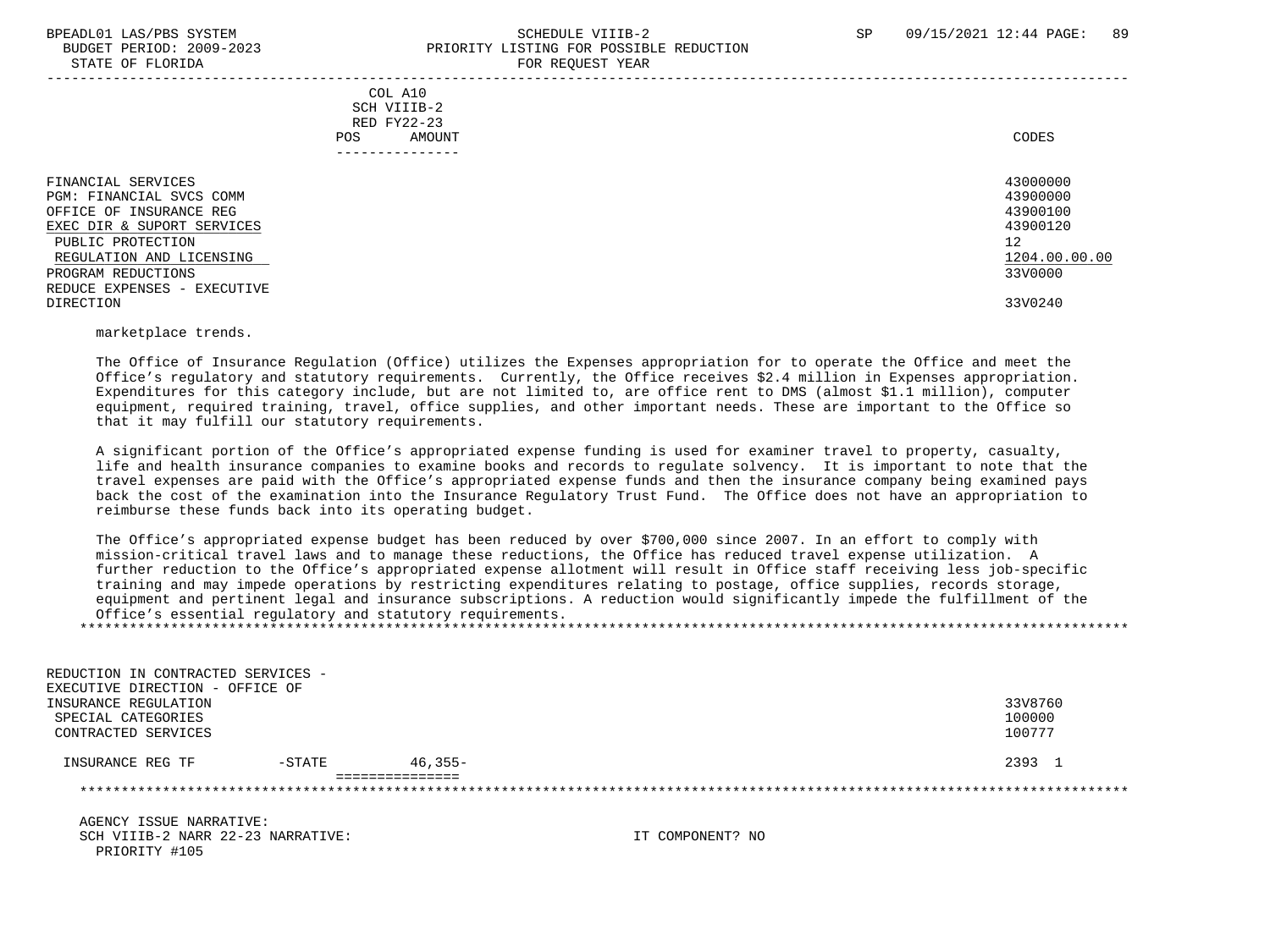#### BPEADL01 LAS/PBS SYSTEM SALL SALL SOMEDULE VIIIB-2 SP 09/15/2021 12:44 PAGE: 89 BUDGET PERIOD: 2009-2023 PRIORITY LISTING FOR POSSIBLE REDUCTION STATE OF FLORIDA FOR STATE OF STATE OF STATE OF STATE OF STATE OF STATE OF STATE OF STATE OF STATE OF STATE OF STATE OF STATE OF STATE OF STATE OF STATE OF STATE OF STATE OF STATE OF STATE OF STATE OF STATE OF STATE OF STA

|                                                                                                                                                                                                               |                                                                           | - --- --- <u>-</u> ---- -----                                                  |  |
|---------------------------------------------------------------------------------------------------------------------------------------------------------------------------------------------------------------|---------------------------------------------------------------------------|--------------------------------------------------------------------------------|--|
|                                                                                                                                                                                                               | COL A10<br>SCH VIIIB-2<br>RED FY22-23<br>AMOUNT<br>POS.<br>-------------- | CODES                                                                          |  |
| FINANCIAL SERVICES<br>PGM: FINANCIAL SVCS COMM<br>OFFICE OF INSURANCE REG<br>EXEC DIR & SUPORT SERVICES<br>PUBLIC PROTECTION<br>REGULATION AND LICENSING<br>PROGRAM REDUCTIONS<br>REDUCE EXPENSES - EXECUTIVE |                                                                           | 43000000<br>43900000<br>43900100<br>43900120<br>12<br>1204.00.00.00<br>33V0000 |  |
| DIRECTION                                                                                                                                                                                                     |                                                                           | 33V0240                                                                        |  |
|                                                                                                                                                                                                               |                                                                           |                                                                                |  |

marketplace trends.

 The Office of Insurance Regulation (Office) utilizes the Expenses appropriation for to operate the Office and meet the Office's regulatory and statutory requirements. Currently, the Office receives \$2.4 million in Expenses appropriation. Expenditures for this category include, but are not limited to, are office rent to DMS (almost \$1.1 million), computer equipment, required training, travel, office supplies, and other important needs. These are important to the Office so that it may fulfill our statutory requirements.

 A significant portion of the Office's appropriated expense funding is used for examiner travel to property, casualty, life and health insurance companies to examine books and records to regulate solvency. It is important to note that the travel expenses are paid with the Office's appropriated expense funds and then the insurance company being examined pays back the cost of the examination into the Insurance Regulatory Trust Fund. The Office does not have an appropriation to reimburse these funds back into its operating budget.

 The Office's appropriated expense budget has been reduced by over \$700,000 since 2007. In an effort to comply with mission-critical travel laws and to manage these reductions, the Office has reduced travel expense utilization. A further reduction to the Office's appropriated expense allotment will result in Office staff receiving less job-specific training and may impede operations by restricting expenditures relating to postage, office supplies, records storage, equipment and pertinent legal and insurance subscriptions. A reduction would significantly impede the fulfillment of the Office's essential regulatory and statutory requirements. \*\*\*\*\*\*\*\*\*\*\*\*\*\*\*\*\*\*\*\*\*\*\*\*\*\*\*\*\*\*\*\*\*\*\*\*\*\*\*\*\*\*\*\*\*\*\*\*\*\*\*\*\*\*\*\*\*\*\*\*\*\*\*\*\*\*\*\*\*\*\*\*\*\*\*\*\*\*\*\*\*\*\*\*\*\*\*\*\*\*\*\*\*\*\*\*\*\*\*\*\*\*\*\*\*\*\*\*\*\*\*\*\*\*\*\*\*\*\*\*\*\*\*\*\*\*\*

| REDUCTION IN CONTRACTED SERVICES - |           |                 |                  |         |
|------------------------------------|-----------|-----------------|------------------|---------|
| EXECUTIVE DIRECTION - OFFICE OF    |           |                 |                  |         |
| INSURANCE REGULATION               |           |                 |                  | 33V8760 |
| SPECIAL CATEGORIES                 |           |                 |                  | 100000  |
| CONTRACTED SERVICES                |           |                 |                  | 100777  |
| INSURANCE REG TF                   | $-$ STATE | $46.355 -$      |                  | 2393 1  |
|                                    |           | =============== |                  |         |
|                                    |           |                 |                  |         |
| AGENCY ISSUE NARRATIVE:            |           |                 |                  |         |
| SCH VIIIB-2 NARR 22-23 NARRATIVE:  |           |                 | IT COMPONENT? NO |         |

PRIORITY #105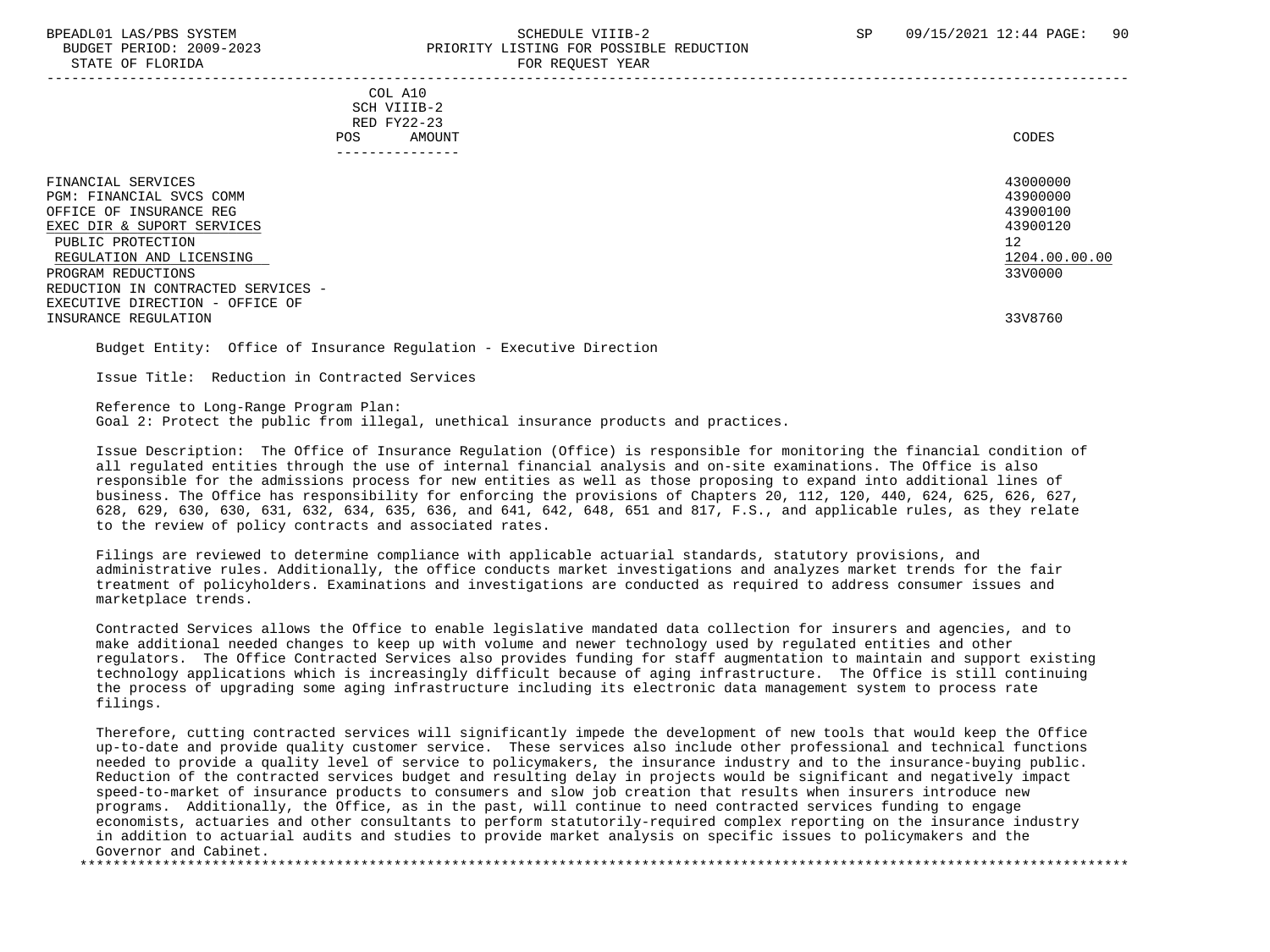#### BPEADL01 LAS/PBS SYSTEM SALL SALL SOMEDULE VIIIB-2 SP 09/15/2021 12:44 PAGE: 90 BUDGET PERIOD: 2009-2023 PRIORITY LISTING FOR POSSIBLE REDUCTION STATE OF FLORIDA FOR REQUEST YEAR -----------------------------------------------------------------------------------------------------------------------------------

 COL A10 SCH VIIIB-2 RED FY22-23 POS AMOUNT CODES ---------------

| FINANCIAL SERVICES<br>PGM: FINANCIAL SVCS COMM<br>OFFICE OF INSURANCE REG<br>EXEC DIR & SUPORT SERVICES<br>PUBLIC PROTECTION<br>REGULATION AND LICENSING<br>PROGRAM REDUCTIONS | 43000000<br>43900000<br>43900100<br>43900120<br>12<br>1204.00.00.00<br>33V0000 |
|--------------------------------------------------------------------------------------------------------------------------------------------------------------------------------|--------------------------------------------------------------------------------|
| REDUCTION IN CONTRACTED SERVICES -<br>EXECUTIVE DIRECTION - OFFICE OF<br>INSURANCE REGULATION                                                                                  | 33V8760                                                                        |
|                                                                                                                                                                                |                                                                                |

Budget Entity: Office of Insurance Regulation - Executive Direction

Issue Title: Reduction in Contracted Services

Reference to Long-Range Program Plan:

Goal 2: Protect the public from illegal, unethical insurance products and practices.

 Issue Description: The Office of Insurance Regulation (Office) is responsible for monitoring the financial condition of all regulated entities through the use of internal financial analysis and on-site examinations. The Office is also responsible for the admissions process for new entities as well as those proposing to expand into additional lines of business. The Office has responsibility for enforcing the provisions of Chapters 20, 112, 120, 440, 624, 625, 626, 627, 628, 629, 630, 630, 631, 632, 634, 635, 636, and 641, 642, 648, 651 and 817, F.S., and applicable rules, as they relate to the review of policy contracts and associated rates.

 Filings are reviewed to determine compliance with applicable actuarial standards, statutory provisions, and administrative rules. Additionally, the office conducts market investigations and analyzes market trends for the fair treatment of policyholders. Examinations and investigations are conducted as required to address consumer issues and marketplace trends.

 Contracted Services allows the Office to enable legislative mandated data collection for insurers and agencies, and to make additional needed changes to keep up with volume and newer technology used by regulated entities and other regulators. The Office Contracted Services also provides funding for staff augmentation to maintain and support existing technology applications which is increasingly difficult because of aging infrastructure. The Office is still continuing the process of upgrading some aging infrastructure including its electronic data management system to process rate filings.

 Therefore, cutting contracted services will significantly impede the development of new tools that would keep the Office up-to-date and provide quality customer service. These services also include other professional and technical functions needed to provide a quality level of service to policymakers, the insurance industry and to the insurance-buying public. Reduction of the contracted services budget and resulting delay in projects would be significant and negatively impact speed-to-market of insurance products to consumers and slow job creation that results when insurers introduce new programs. Additionally, the Office, as in the past, will continue to need contracted services funding to engage economists, actuaries and other consultants to perform statutorily-required complex reporting on the insurance industry in addition to actuarial audits and studies to provide market analysis on specific issues to policymakers and the Governor and Cabinet. \*\*\*\*\*\*\*\*\*\*\*\*\*\*\*\*\*\*\*\*\*\*\*\*\*\*\*\*\*\*\*\*\*\*\*\*\*\*\*\*\*\*\*\*\*\*\*\*\*\*\*\*\*\*\*\*\*\*\*\*\*\*\*\*\*\*\*\*\*\*\*\*\*\*\*\*\*\*\*\*\*\*\*\*\*\*\*\*\*\*\*\*\*\*\*\*\*\*\*\*\*\*\*\*\*\*\*\*\*\*\*\*\*\*\*\*\*\*\*\*\*\*\*\*\*\*\*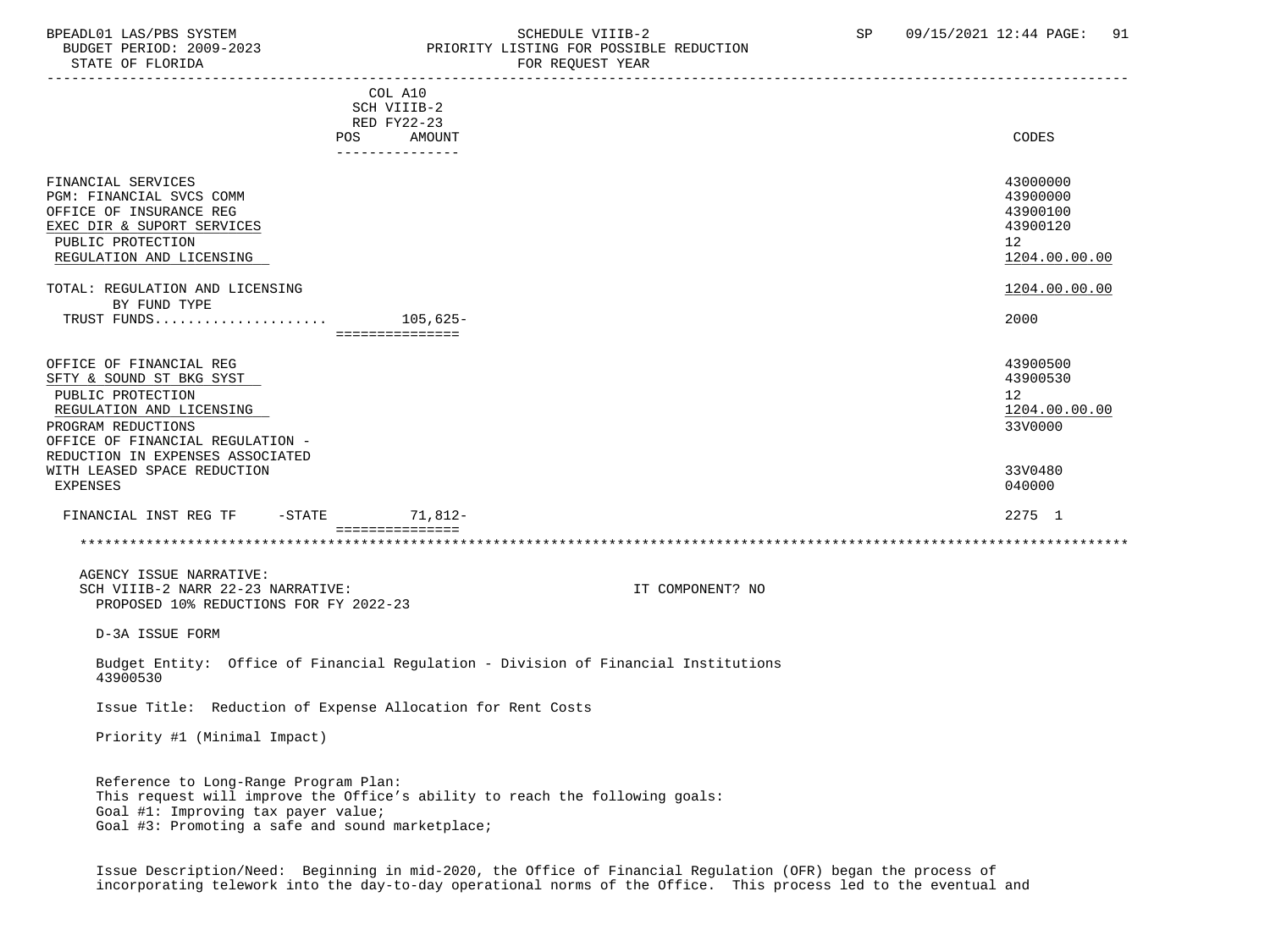### BPEADL01 LAS/PBS SYSTEM SCHEDULE VIIIB-2 SCHEDULE VIIIB-2 SP 09/15/2021 12:44 PAGE: 91 PRIORITY LISTING FOR POSSIBLE REDUCTION

| STATE OF FLORIDA                                                                                                                                               | FOR REQUEST YEAR                                                                   |                                                                     |
|----------------------------------------------------------------------------------------------------------------------------------------------------------------|------------------------------------------------------------------------------------|---------------------------------------------------------------------|
|                                                                                                                                                                | COL A10<br>SCH VIIIB-2<br>RED FY22-23<br>AMOUNT<br>POS<br>_______________          | CODES                                                               |
| FINANCIAL SERVICES<br>PGM: FINANCIAL SVCS COMM<br>OFFICE OF INSURANCE REG<br>EXEC DIR & SUPORT SERVICES<br>PUBLIC PROTECTION<br>REGULATION AND LICENSING       |                                                                                    | 43000000<br>43900000<br>43900100<br>43900120<br>12<br>1204.00.00.00 |
| TOTAL: REGULATION AND LICENSING                                                                                                                                |                                                                                    | 1204.00.00.00                                                       |
| BY FUND TYPE                                                                                                                                                   | ================                                                                   | 2000                                                                |
| OFFICE OF FINANCIAL REG<br>SFTY & SOUND ST BKG SYST<br>PUBLIC PROTECTION<br>REGULATION AND LICENSING<br>PROGRAM REDUCTIONS<br>OFFICE OF FINANCIAL REGULATION - |                                                                                    | 43900500<br>43900530<br>12<br>1204.00.00.00<br>33V0000              |
| REDUCTION IN EXPENSES ASSOCIATED<br>WITH LEASED SPACE REDUCTION<br>EXPENSES                                                                                    |                                                                                    | 33V0480<br>040000                                                   |
| FINANCIAL INST REG TF                                                                                                                                          | -STATE 71,812-                                                                     | 2275 1                                                              |
|                                                                                                                                                                | ===============                                                                    |                                                                     |
| AGENCY ISSUE NARRATIVE:<br>SCH VIIIB-2 NARR 22-23 NARRATIVE:<br>PROPOSED 10% REDUCTIONS FOR FY 2022-23                                                         | IT COMPONENT? NO                                                                   |                                                                     |
| D-3A ISSUE FORM                                                                                                                                                |                                                                                    |                                                                     |
| 43900530                                                                                                                                                       | Budget Entity: Office of Financial Regulation - Division of Financial Institutions |                                                                     |
|                                                                                                                                                                | Issue Title: Reduction of Expense Allocation for Rent Costs                        |                                                                     |
| Priority #1 (Minimal Impact)                                                                                                                                   |                                                                                    |                                                                     |
| Reference to Long-Range Program Plan:<br>Goal #1: Improving tax payer value;                                                                                   | This request will improve the Office's ability to reach the following goals:       |                                                                     |

Goal #3: Promoting a safe and sound marketplace;

 Issue Description/Need: Beginning in mid-2020, the Office of Financial Regulation (OFR) began the process of incorporating telework into the day-to-day operational norms of the Office. This process led to the eventual and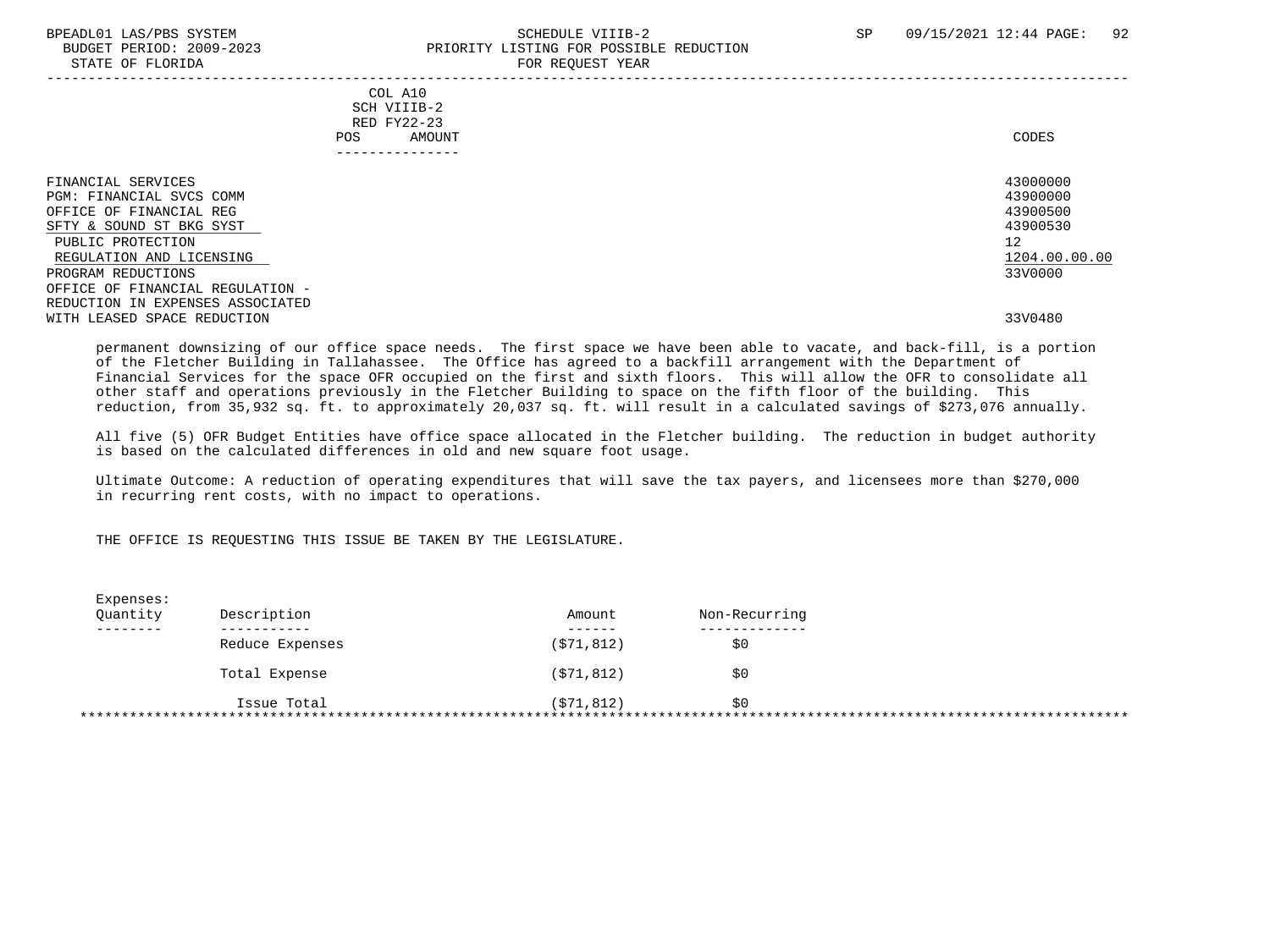#### BPEADL01 LAS/PBS SYSTEM SCHEDULE VIIIB-2 SCHEDULE VIIIB-2 SP 09/15/2021 12:44 PAGE: 92 PRIORITY LISTING FOR POSSIBLE REDUCTION STATE OF FLORIDA **FOR REQUEST YEAR**

|                                                                                                                                                                                                                                                      | COL A10<br>SCH VIIIB-2<br>RED FY22-23<br>AMOUNT<br><b>POS</b><br>------------ | CODES                                                                          |
|------------------------------------------------------------------------------------------------------------------------------------------------------------------------------------------------------------------------------------------------------|-------------------------------------------------------------------------------|--------------------------------------------------------------------------------|
| FINANCIAL SERVICES<br>PGM: FINANCIAL SVCS COMM<br>OFFICE OF FINANCIAL REG<br>SFTY & SOUND ST BKG SYST<br>PUBLIC PROTECTION<br>REGULATION AND LICENSING<br>PROGRAM REDUCTIONS<br>OFFICE OF FINANCIAL REGULATION -<br>REDUCTION IN EXPENSES ASSOCIATED |                                                                               | 43000000<br>43900000<br>43900500<br>43900530<br>12<br>1204.00.00.00<br>33V0000 |
| WITH LEASED SPACE REDUCTION                                                                                                                                                                                                                          |                                                                               | 33V0480                                                                        |

 permanent downsizing of our office space needs. The first space we have been able to vacate, and back-fill, is a portion of the Fletcher Building in Tallahassee. The Office has agreed to a backfill arrangement with the Department of Financial Services for the space OFR occupied on the first and sixth floors. This will allow the OFR to consolidate all other staff and operations previously in the Fletcher Building to space on the fifth floor of the building. This reduction, from 35,932 sq. ft. to approximately 20,037 sq. ft. will result in a calculated savings of \$273,076 annually.

 All five (5) OFR Budget Entities have office space allocated in the Fletcher building. The reduction in budget authority is based on the calculated differences in old and new square foot usage.

 Ultimate Outcome: A reduction of operating expenditures that will save the tax payers, and licensees more than \$270,000 in recurring rent costs, with no impact to operations.

#### THE OFFICE IS REQUESTING THIS ISSUE BE TAKEN BY THE LEGISLATURE.

| Expenses:<br>Quantity | Description     | Amount     | Non-Recurring |  |
|-----------------------|-----------------|------------|---------------|--|
|                       |                 |            |               |  |
|                       | Reduce Expenses | (571, 812) | \$0           |  |
|                       | Total Expense   | (571, 812) | \$0           |  |
|                       | Issue Total     | (571, 812) | \$0           |  |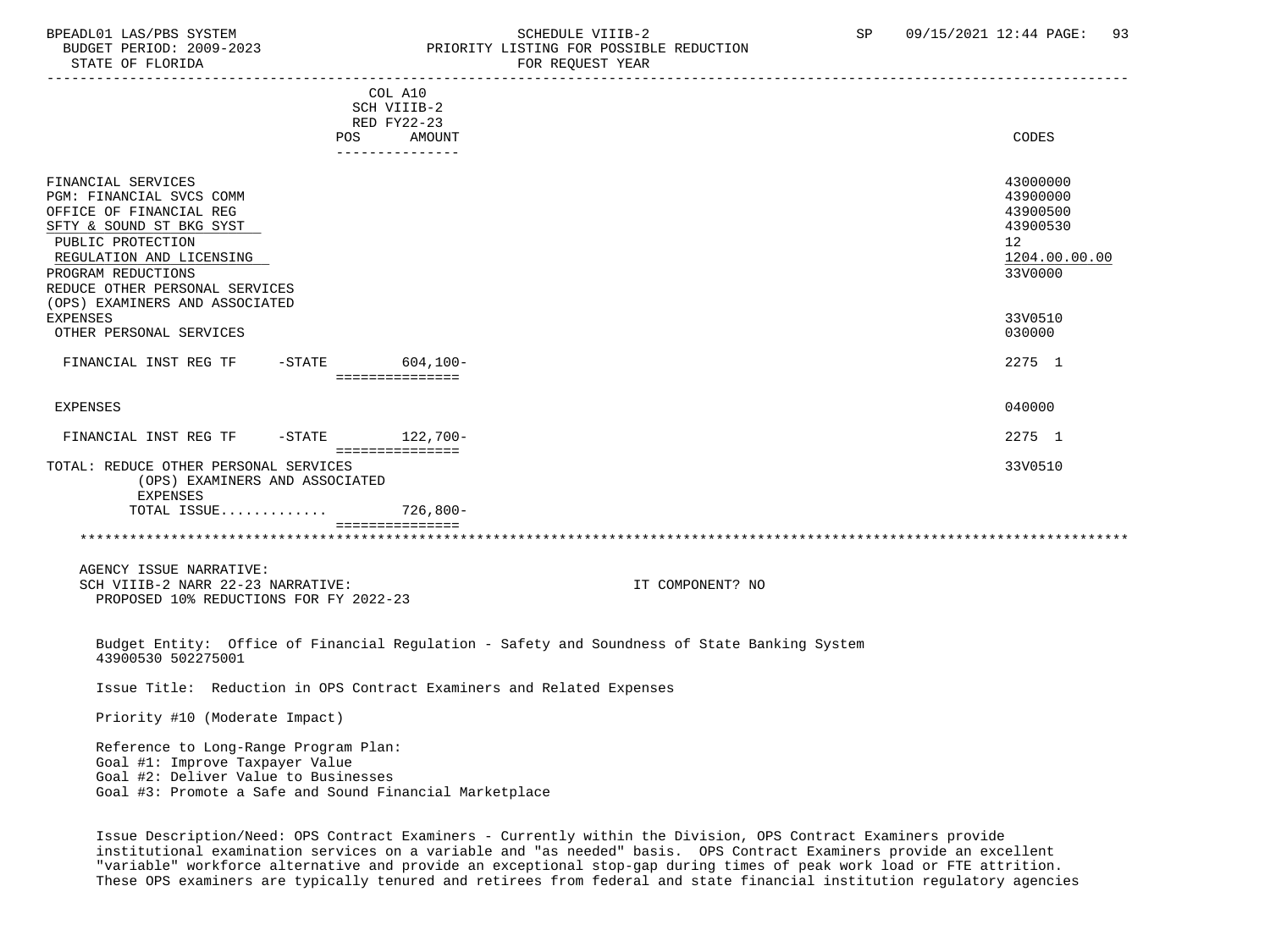### BPEADL01 LAS/PBS SYSTEM SOHEDULE VIIIB-2 SCHEDULE VIIIB-2 SP 09/15/2021 12:44 PAGE: 93<br>BUDGET PERIOD: 2009-2023 PRIORITY LISTING FOR POSSIBLE REDUCTION BUDGET PERIOD: 2009-2023<br>CTATE OF FLORIDA

| STATE OF FLORIDA                                                                                                                                                                                                                                                    |                                                                           | FOR REQUEST YEAR                                                                             |                                                                                                        |
|---------------------------------------------------------------------------------------------------------------------------------------------------------------------------------------------------------------------------------------------------------------------|---------------------------------------------------------------------------|----------------------------------------------------------------------------------------------|--------------------------------------------------------------------------------------------------------|
|                                                                                                                                                                                                                                                                     | COL A10<br>SCH VIIIB-2<br>RED FY22-23<br>POS<br>AMOUNT<br>--------------- |                                                                                              | CODES                                                                                                  |
| FINANCIAL SERVICES<br>PGM: FINANCIAL SVCS COMM<br>OFFICE OF FINANCIAL REG<br>SFTY & SOUND ST BKG SYST<br>PUBLIC PROTECTION<br>REGULATION AND LICENSING<br>PROGRAM REDUCTIONS<br>REDUCE OTHER PERSONAL SERVICES<br>(OPS) EXAMINERS AND ASSOCIATED<br><b>EXPENSES</b> |                                                                           |                                                                                              | 43000000<br>43900000<br>43900500<br>43900530<br>12 <sup>°</sup><br>1204.00.00.00<br>33V0000<br>33V0510 |
| OTHER PERSONAL SERVICES<br>FINANCIAL INST REG TF<br>-STATE 604,100-                                                                                                                                                                                                 |                                                                           |                                                                                              | 030000<br>2275 1                                                                                       |
| EXPENSES                                                                                                                                                                                                                                                            | ===============                                                           |                                                                                              | 040000                                                                                                 |
| $-STATE$ 122.700-<br>FINANCIAL INST REG TF<br>TOTAL: REDUCE OTHER PERSONAL SERVICES<br>(OPS) EXAMINERS AND ASSOCIATED<br><b>EXPENSES</b><br>TOTAL ISSUE                                                                                                             | ===============<br>$726.800 -$                                            |                                                                                              | 2275 1<br>33V0510                                                                                      |
|                                                                                                                                                                                                                                                                     | ===============                                                           |                                                                                              |                                                                                                        |
| AGENCY ISSUE NARRATIVE:<br>SCH VIIIB-2 NARR 22-23 NARRATIVE:<br>PROPOSED 10% REDUCTIONS FOR FY 2022-23                                                                                                                                                              |                                                                           | IT COMPONENT? NO                                                                             |                                                                                                        |
| 43900530 502275001                                                                                                                                                                                                                                                  |                                                                           | Budget Entity: Office of Financial Regulation - Safety and Soundness of State Banking System |                                                                                                        |

Issue Title: Reduction in OPS Contract Examiners and Related Expenses

Priority #10 (Moderate Impact)

 Reference to Long-Range Program Plan: Goal #1: Improve Taxpayer Value Goal #2: Deliver Value to Businesses Goal #3: Promote a Safe and Sound Financial Marketplace

 Issue Description/Need: OPS Contract Examiners - Currently within the Division, OPS Contract Examiners provide institutional examination services on a variable and "as needed" basis. OPS Contract Examiners provide an excellent "variable" workforce alternative and provide an exceptional stop-gap during times of peak work load or FTE attrition. These OPS examiners are typically tenured and retirees from federal and state financial institution regulatory agencies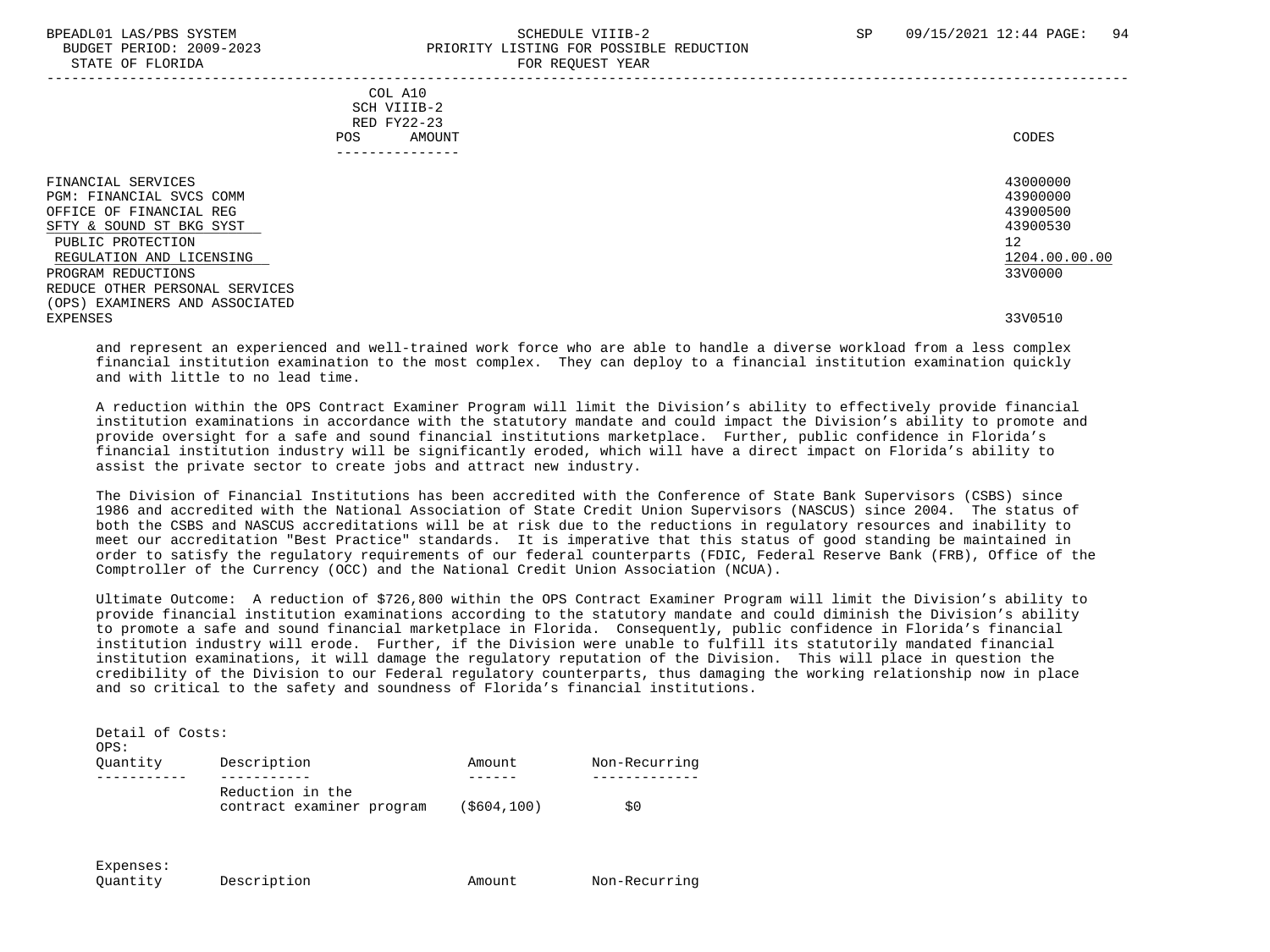#### BPEADL01 LAS/PBS SYSTEM SALL SALL SOMEDULE VIIIB-2 SP 09/15/2021 12:44 PAGE: 94 BUDGET PERIOD: 2009-2023 PRIORITY LISTING FOR POSSIBLE REDUCTION STATE OF FLORIDA FOR REQUEST YEAR

-----------------------------------------------------------------------------------------------------------------------------------

 COL A10 SCH VIIIB-2 RED FY22-23 POS AMOUNT CODES ---------------

| FINANCIAL SERVICES                | 43000000      |
|-----------------------------------|---------------|
| PGM: FINANCIAL SVCS COMM          | 43900000      |
| OFFICE OF FINANCIAL REG           | 43900500      |
| SFTY & SOUND ST BKG SYST          | 43900530      |
| PUBLIC PROTECTION                 | 12            |
| REGULATION AND LICENSING          | 1204.00.00.00 |
| PROGRAM REDUCTIONS                | 33V0000       |
| REDUCE OTHER PERSONAL SERVICES    |               |
| EXAMINERS AND ASSOCIATED<br>(OPS) |               |
| EXPENSES                          | 33V0510       |
|                                   |               |

 and represent an experienced and well-trained work force who are able to handle a diverse workload from a less complex financial institution examination to the most complex. They can deploy to a financial institution examination quickly and with little to no lead time.

 A reduction within the OPS Contract Examiner Program will limit the Division's ability to effectively provide financial institution examinations in accordance with the statutory mandate and could impact the Division's ability to promote and provide oversight for a safe and sound financial institutions marketplace. Further, public confidence in Florida's financial institution industry will be significantly eroded, which will have a direct impact on Florida's ability to assist the private sector to create jobs and attract new industry.

 The Division of Financial Institutions has been accredited with the Conference of State Bank Supervisors (CSBS) since 1986 and accredited with the National Association of State Credit Union Supervisors (NASCUS) since 2004. The status of both the CSBS and NASCUS accreditations will be at risk due to the reductions in regulatory resources and inability to meet our accreditation "Best Practice" standards. It is imperative that this status of good standing be maintained in order to satisfy the regulatory requirements of our federal counterparts (FDIC, Federal Reserve Bank (FRB), Office of the Comptroller of the Currency (OCC) and the National Credit Union Association (NCUA).

 Ultimate Outcome: A reduction of \$726,800 within the OPS Contract Examiner Program will limit the Division's ability to provide financial institution examinations according to the statutory mandate and could diminish the Division's ability to promote a safe and sound financial marketplace in Florida. Consequently, public confidence in Florida's financial institution industry will erode. Further, if the Division were unable to fulfill its statutorily mandated financial institution examinations, it will damage the regulatory reputation of the Division. This will place in question the credibility of the Division to our Federal regulatory counterparts, thus damaging the working relationship now in place and so critical to the safety and soundness of Florida's financial institutions.

| Detail of Costs:<br>OPS: |                                               |             |               |
|--------------------------|-----------------------------------------------|-------------|---------------|
| Ouantity                 | Description                                   | Amount      | Non-Recurring |
|                          |                                               |             |               |
|                          | Reduction in the<br>contract examiner program | (\$604,100) | \$0           |

Expenses:

Ouantity Description **Amount** Amount Non-Recurring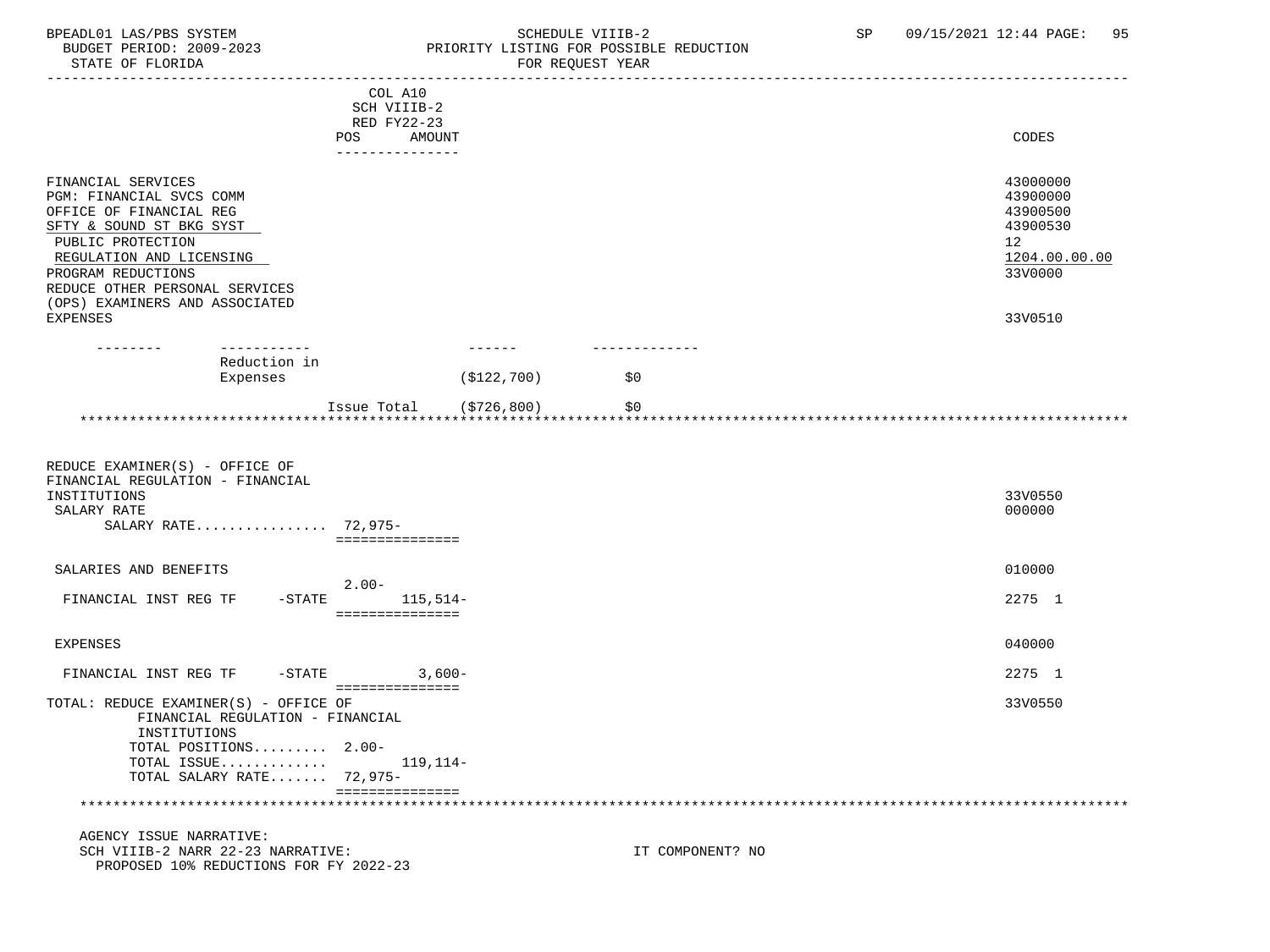BPEADL01 LAS/PBS SYSTEM SOHEDULE VIIIB-2 SCHEDULE VIIIB-2 SP 09/15/2021 12:44 PAGE: 95<br>BUDGET PERIOD: 2009-2023 PRIORITY LISTING FOR POSSIBLE REDUCTION PRIORITY LISTING FOR POSSIBLE REDUCTION STATE OF FLORIDA FOR REQUEST YEAR FOR REQUEST YEAR ----------------------------------------------------------------------------------------------------------------------------------- COL A10 SCH VIIIB-2 RED FY22-23 POS AMOUNT AMOUNT AND A LOCAL AND A LOCAL AND A LOCAL AND A LOCAL AND A LOCAL AND A LOCAL AND A LOCAL AND A LOCAL AND A LOCAL AND A LOCAL AND A LOCAL AND A LOCAL AND A LOCAL AND A LOCAL AND A LOCAL AND A LOCAL AND A LOCAL --------------- FINANCIAL SERVICES 43000000 PGM: FINANCIAL SVCS COMM 43900000<br>OFFICE OF FINANCIAL REG 43900500 OFFICE OF FINANCIAL REG 43900500<br>
SFTY & SOUND ST BKG SYST 43900530  $S$ FTY & SOUND ST BKG SYST  $439$ <br>
PUBLIC PROTECTION  $12$ PUBLIC PROTECTION 12<br>REGULATION AND LICENSING 1204.00.00 PUBLIC PROTECTION 200.00.00 REGULATION AND LICENSING 1204.00.<br>PROGRAM REDUCTIONS 33V0000 PROGRAM REDUCTIONS REDUCE OTHER PERSONAL SERVICES (OPS) EXAMINERS AND ASSOCIATED

 EXPENSES 33V0510 -------- ----------- ------ ------------- Reduction in Expenses  $( $122, 700)$   $$0$ Issue Total (\$726,800) \$0 \*\*\*\*\*\*\*\*\*\*\*\*\*\*\*\*\*\*\*\*\*\*\*\*\*\*\*\*\*\*\*\*\*\*\*\*\*\*\*\*\*\*\*\*\*\*\*\*\*\*\*\*\*\*\*\*\*\*\*\*\*\*\*\*\*\*\*\*\*\*\*\*\*\*\*\*\*\*\*\*\*\*\*\*\*\*\*\*\*\*\*\*\*\*\*\*\*\*\*\*\*\*\*\*\*\*\*\*\*\*\*\*\*\*\*\*\*\*\*\*\*\*\*\*\*\*\*

| REDUCE EXAMINER(S) - OFFICE OF<br>FINANCIAL REGULATION - FINANCIAL<br>INSTITUTIONS<br>SALARY RATE<br>SALARY RATE 72,975-                                       | ----------------             | 33V0550<br>000000 |
|----------------------------------------------------------------------------------------------------------------------------------------------------------------|------------------------------|-------------------|
| SALARIES AND BENEFITS                                                                                                                                          |                              | 010000            |
| FINANCIAL INST REG TF<br>$-$ STATE                                                                                                                             | $2.00-$<br>$115,514-$        | 2275 1            |
| EXPENSES                                                                                                                                                       |                              | 040000            |
| FINANCIAL INST REG TF<br>$-\mathtt{STATE}$                                                                                                                     | $3.600 -$<br>=============== | 2275 1            |
| TOTAL: REDUCE EXAMINER(S) - OFFICE OF<br>FINANCIAL REGULATION - FINANCIAL<br>INSTITUTIONS<br>TOTAL POSITIONS 2.00-<br>TOTAL ISSUE<br>TOTAL SALARY RATE 72,975- | 119,114–                     | 33V0550           |
|                                                                                                                                                                |                              |                   |

#### AGENCY ISSUE NARRATIVE: SCH VIIIB-2 NARR 22-23 NARRATIVE: IT COMPONENT? NO PROPOSED 10% REDUCTIONS FOR FY 2022-23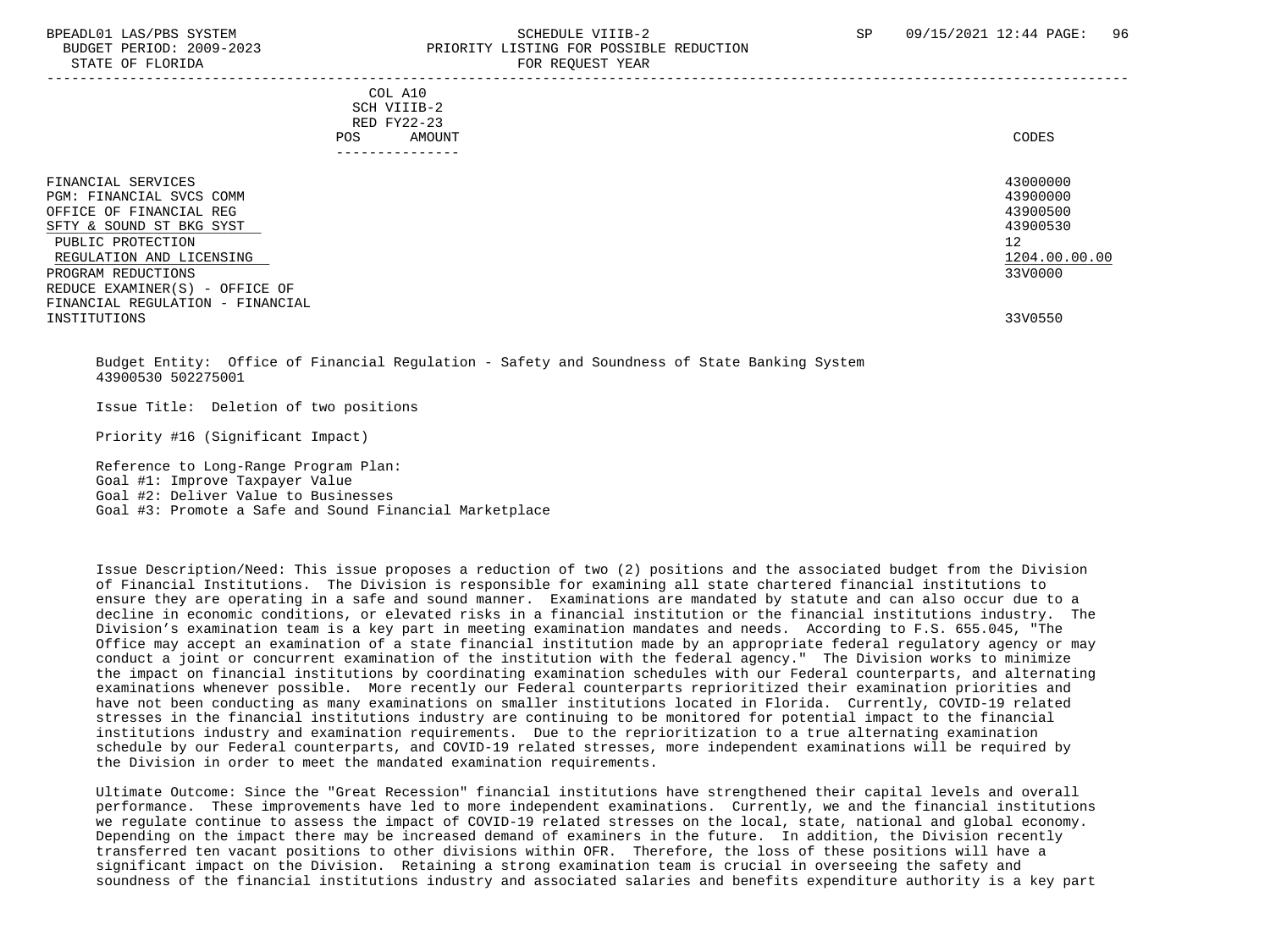#### BPEADL01 LAS/PBS SYSTEM SALL SALL SOMEDULE VIIIB-2 SP 09/15/2021 12:44 PAGE: 96 BUDGET PERIOD: 2009-2023 PRIORITY LISTING FOR POSSIBLE REDUCTION STATE OF FLORIDA FOR STATE OF STATE OF STATE OF STATE OF STATE OF STATE OF STATE OF STATE OF STATE OF STATE OF STATE OF STATE OF STATE OF STATE OF STATE OF STATE OF STATE OF STATE OF STATE OF STATE OF STATE OF STATE OF STA -----------------------------------------------------------------------------------------------------------------------------------

|     | --------------- |       |
|-----|-----------------|-------|
| POS | AMOUNT          | CODES |
|     | RED FY22-23     |       |
|     | SCH VIIIB-2     |       |
| COL | A10             |       |

| FINANCIAL SERVICES<br>PGM: FINANCIAL SVCS COMM<br>OFFICE OF FINANCIAL REG<br>SFTY & SOUND ST BKG SYST<br>PUBLIC PROTECTION<br>REGULATION AND LICENSING | 43000000<br>43900000<br>43900500<br>43900530<br>12<br>1204.00.00.00 |
|--------------------------------------------------------------------------------------------------------------------------------------------------------|---------------------------------------------------------------------|
| PROGRAM REDUCTIONS<br>REDUCE EXAMINER(S) - OFFICE OF                                                                                                   | 33V0000                                                             |
| FINANCIAL REGULATION - FINANCIAL<br>INSTITUTIONS                                                                                                       | 33V0550                                                             |

 Budget Entity: Office of Financial Regulation - Safety and Soundness of State Banking System 43900530 502275001

Issue Title: Deletion of two positions

Priority #16 (Significant Impact)

 Reference to Long-Range Program Plan: Goal #1: Improve Taxpayer Value Goal #2: Deliver Value to Businesses Goal #3: Promote a Safe and Sound Financial Marketplace

 Issue Description/Need: This issue proposes a reduction of two (2) positions and the associated budget from the Division of Financial Institutions. The Division is responsible for examining all state chartered financial institutions to ensure they are operating in a safe and sound manner. Examinations are mandated by statute and can also occur due to a decline in economic conditions, or elevated risks in a financial institution or the financial institutions industry. The Division's examination team is a key part in meeting examination mandates and needs. According to F.S. 655.045, "The Office may accept an examination of a state financial institution made by an appropriate federal regulatory agency or may conduct a joint or concurrent examination of the institution with the federal agency." The Division works to minimize the impact on financial institutions by coordinating examination schedules with our Federal counterparts, and alternating examinations whenever possible. More recently our Federal counterparts reprioritized their examination priorities and have not been conducting as many examinations on smaller institutions located in Florida. Currently, COVID-19 related stresses in the financial institutions industry are continuing to be monitored for potential impact to the financial institutions industry and examination requirements. Due to the reprioritization to a true alternating examination schedule by our Federal counterparts, and COVID-19 related stresses, more independent examinations will be required by the Division in order to meet the mandated examination requirements.

 Ultimate Outcome: Since the "Great Recession" financial institutions have strengthened their capital levels and overall performance. These improvements have led to more independent examinations. Currently, we and the financial institutions we regulate continue to assess the impact of COVID-19 related stresses on the local, state, national and global economy. Depending on the impact there may be increased demand of examiners in the future. In addition, the Division recently transferred ten vacant positions to other divisions within OFR. Therefore, the loss of these positions will have a significant impact on the Division. Retaining a strong examination team is crucial in overseeing the safety and soundness of the financial institutions industry and associated salaries and benefits expenditure authority is a key part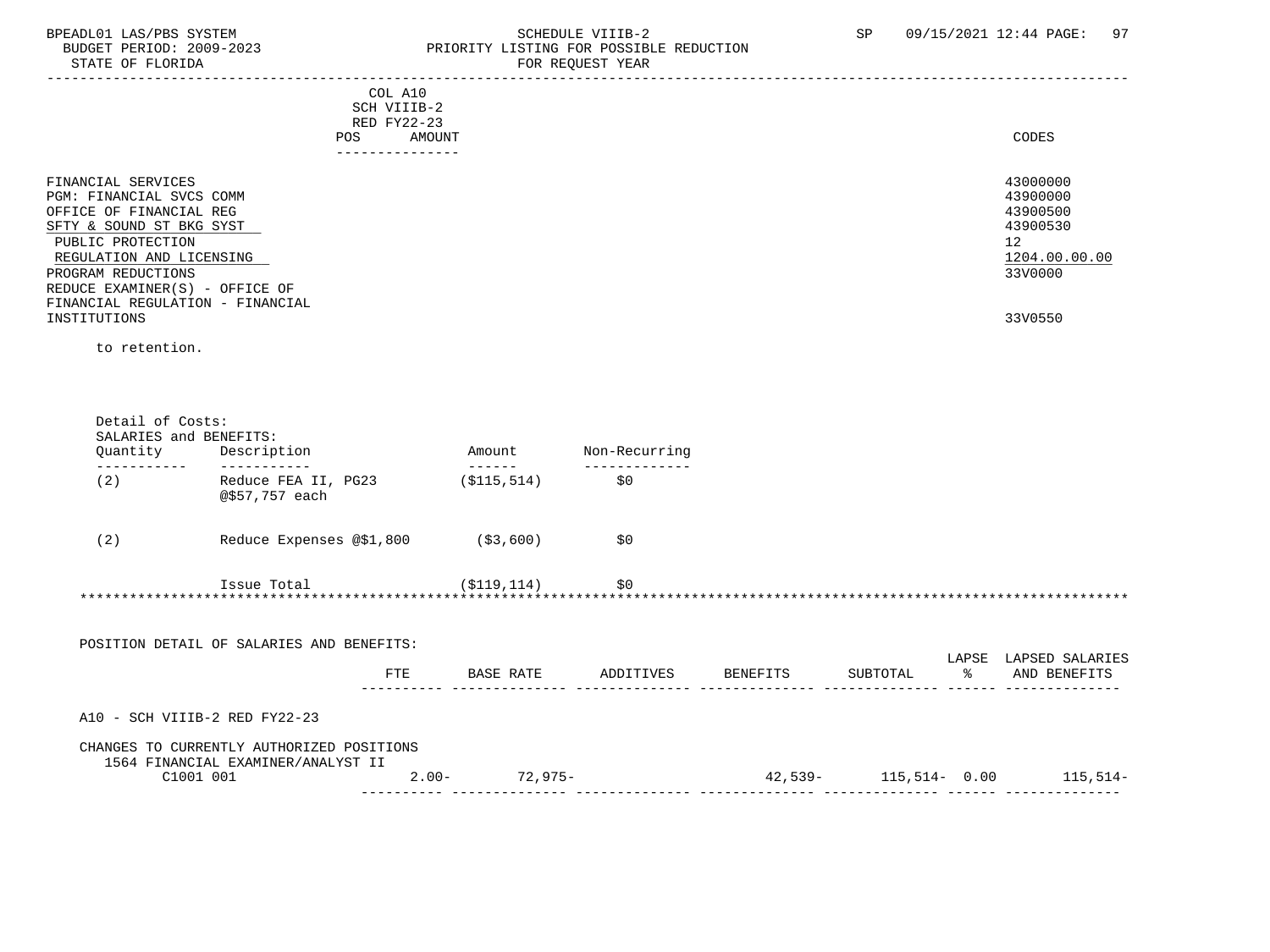### BPEADL01 LAS/PBS SYSTEM STRING THE SCHEDULE VIIIB-2 SP 09/15/2021 12:44 PAGE: 97<br>BUDGET PERIOD: 2009-2023 PRIORITY LISTING FOR POSSIBLE REDUCTION BUDGET PERIOD: 2009-2023 PRIORITY LISTING FOR POSSIBLE REDUCTION<br>FOR REQUEST YEAR FOR REQUEST YEAR

| COL A10<br>SCH VIIIB-2<br>RED FY22-23<br>AMOUNT<br>POS.<br>--------------                                                                                                    | CODES                                                                          |
|------------------------------------------------------------------------------------------------------------------------------------------------------------------------------|--------------------------------------------------------------------------------|
| FINANCIAL SERVICES<br>PGM: FINANCIAL SVCS COMM<br>OFFICE OF FINANCIAL REG<br>SFTY & SOUND ST BKG SYST<br>PUBLIC PROTECTION<br>REGULATION AND LICENSING<br>PROGRAM REDUCTIONS | 43000000<br>43900000<br>43900500<br>43900530<br>12<br>1204.00.00.00<br>33V0000 |
| REDUCE EXAMINER(S) - OFFICE OF<br>FINANCIAL REGULATION - FINANCIAL                                                                                                           |                                                                                |
| INSTITUTIONS                                                                                                                                                                 | 33V0550                                                                        |

to retention.

| Quantity | Description                                                                     |     | Amount<br>------ | Non-Recurring |          |          |               |                       |
|----------|---------------------------------------------------------------------------------|-----|------------------|---------------|----------|----------|---------------|-----------------------|
| (2)      | Reduce FEA II, PG23<br>@\$57,757 each                                           |     | ( \$115, 514)    | \$0           |          |          |               |                       |
| (2)      | Reduce Expenses @\$1,800                                                        |     | ( \$3, 600)      | \$0           |          |          |               |                       |
|          |                                                                                 |     |                  |               |          |          |               |                       |
|          | Issue Total                                                                     |     | (S119, 114)      | \$0           |          |          |               |                       |
|          |                                                                                 |     |                  |               |          |          |               |                       |
|          | POSITION DETAIL OF SALARIES AND BENEFITS:                                       |     |                  |               |          |          |               | LAPSE LAPSED SALARIES |
|          |                                                                                 | FTE | BASE RATE        | ADDITIVES     | BENEFITS | SUBTOTAL | $\frac{1}{6}$ | AND BENEFITS          |
|          | A10 - SCH VIIIB-2 RED FY22-23                                                   |     |                  |               |          |          |               |                       |
|          | CHANGES TO CURRENTLY AUTHORIZED POSITIONS<br>1564 FINANCIAL EXAMINER/ANALYST II |     |                  |               |          |          |               |                       |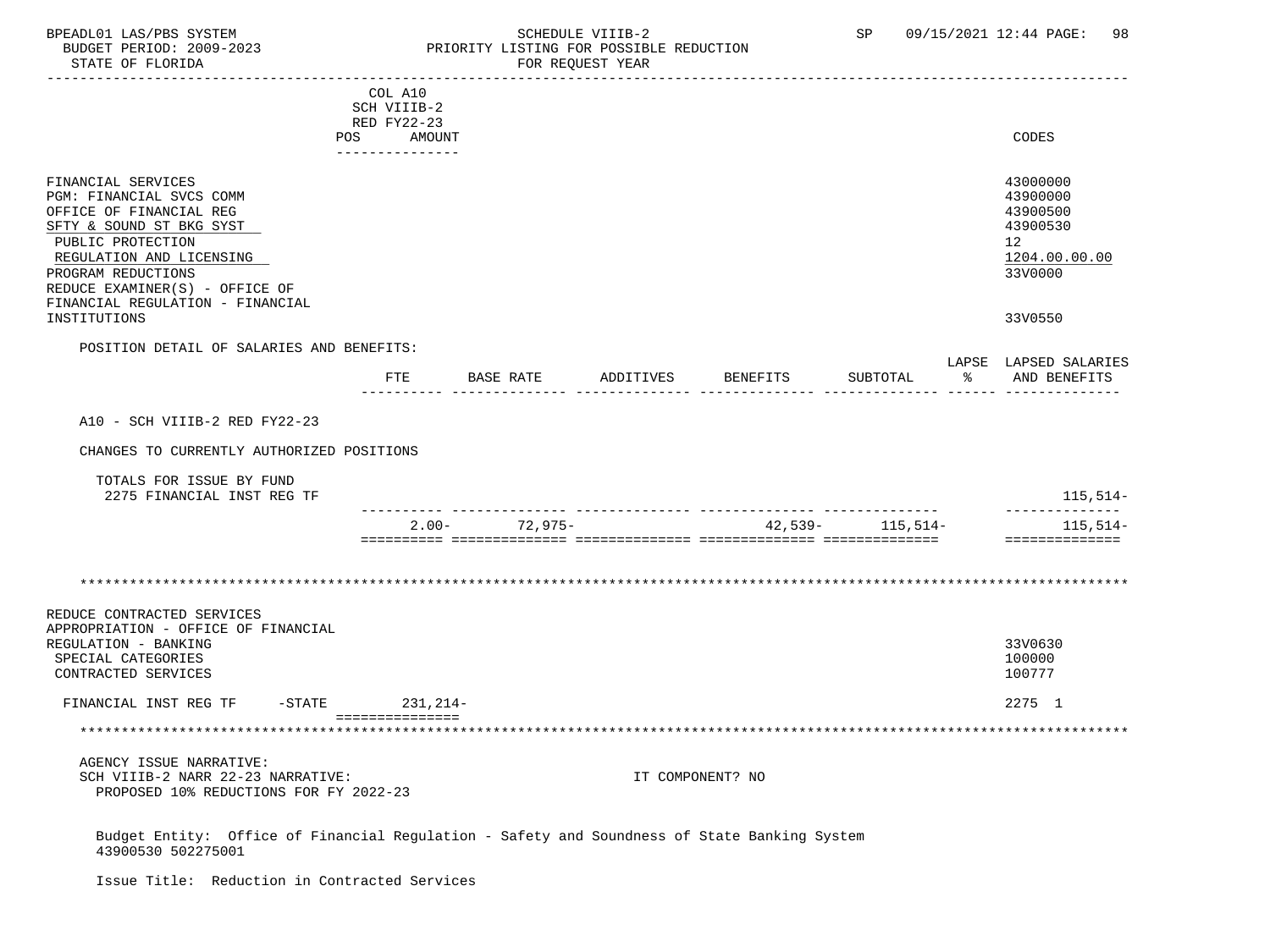# BPEADL01 LAS/PBS SYSTEM SALLE STREDULE VIIIB-2 SCHEDULE VIIIB-2 SP 09/15/2021 12:44 PAGE: 98 PRIORITY LISTING FOR POSSIBLE REDUCTION<br>FOR REQUEST YEAR

|                                                                                                                                                                                                                                                    | COL A10<br>SCH VIIIB-2<br>RED FY22-23<br>POS AMOUNT |                                              |           |                  |                   | CODES                                                                          |
|----------------------------------------------------------------------------------------------------------------------------------------------------------------------------------------------------------------------------------------------------|-----------------------------------------------------|----------------------------------------------|-----------|------------------|-------------------|--------------------------------------------------------------------------------|
| FINANCIAL SERVICES<br>PGM: FINANCIAL SVCS COMM<br>OFFICE OF FINANCIAL REG<br>SFTY & SOUND ST BKG SYST<br>PUBLIC PROTECTION<br>REGULATION AND LICENSING<br>PROGRAM REDUCTIONS<br>REDUCE EXAMINER(S) - OFFICE OF<br>FINANCIAL REGULATION - FINANCIAL | ---------------                                     |                                              |           |                  |                   | 43000000<br>43900000<br>43900500<br>43900530<br>12<br>1204.00.00.00<br>33V0000 |
| INSTITUTIONS                                                                                                                                                                                                                                       |                                                     |                                              |           |                  |                   | 33V0550                                                                        |
| POSITION DETAIL OF SALARIES AND BENEFITS:                                                                                                                                                                                                          |                                                     |                                              |           |                  |                   |                                                                                |
|                                                                                                                                                                                                                                                    | ETE                                                 | BASE RATE                                    | ADDITIVES | BENEFITS         | SUBTOTAL          | LAPSE LAPSED SALARIES<br>% AND BENEFITS                                        |
| A10 - SCH VIIIB-2 RED FY22-23                                                                                                                                                                                                                      |                                                     |                                              |           |                  |                   |                                                                                |
| CHANGES TO CURRENTLY AUTHORIZED POSITIONS                                                                                                                                                                                                          |                                                     |                                              |           |                  |                   |                                                                                |
|                                                                                                                                                                                                                                                    |                                                     |                                              |           |                  |                   |                                                                                |
| TOTALS FOR ISSUE BY FUND<br>2275 FINANCIAL INST REG TF                                                                                                                                                                                             |                                                     |                                              |           |                  |                   | 115,514–                                                                       |
|                                                                                                                                                                                                                                                    |                                                     | ----- -------------- --<br>$2.00 - 72,975 -$ |           |                  | $42,539-115,514-$ | --------------<br>$115,514-$<br>==============                                 |
|                                                                                                                                                                                                                                                    |                                                     |                                              |           |                  |                   |                                                                                |
| REDUCE CONTRACTED SERVICES<br>APPROPRIATION - OFFICE OF FINANCIAL<br>REGULATION - BANKING<br>SPECIAL CATEGORIES<br>CONTRACTED SERVICES                                                                                                             |                                                     |                                              |           |                  |                   | 33V0630<br>100000<br>100777                                                    |
| FINANCIAL INST REG TF                                                                                                                                                                                                                              | -STATE 231, 214-                                    |                                              |           |                  |                   | 2275 1                                                                         |
|                                                                                                                                                                                                                                                    | ===============                                     |                                              |           |                  |                   |                                                                                |
| AGENCY ISSUE NARRATIVE:<br>SCH VIIIB-2 NARR 22-23 NARRATIVE:<br>PROPOSED 10% REDUCTIONS FOR FY 2022-23                                                                                                                                             |                                                     |                                              |           | IT COMPONENT? NO |                   |                                                                                |
| Budget Entity: Office of Financial Regulation - Safety and Soundness of State Banking System                                                                                                                                                       |                                                     |                                              |           |                  |                   |                                                                                |

Issue Title: Reduction in Contracted Services

43900530 502275001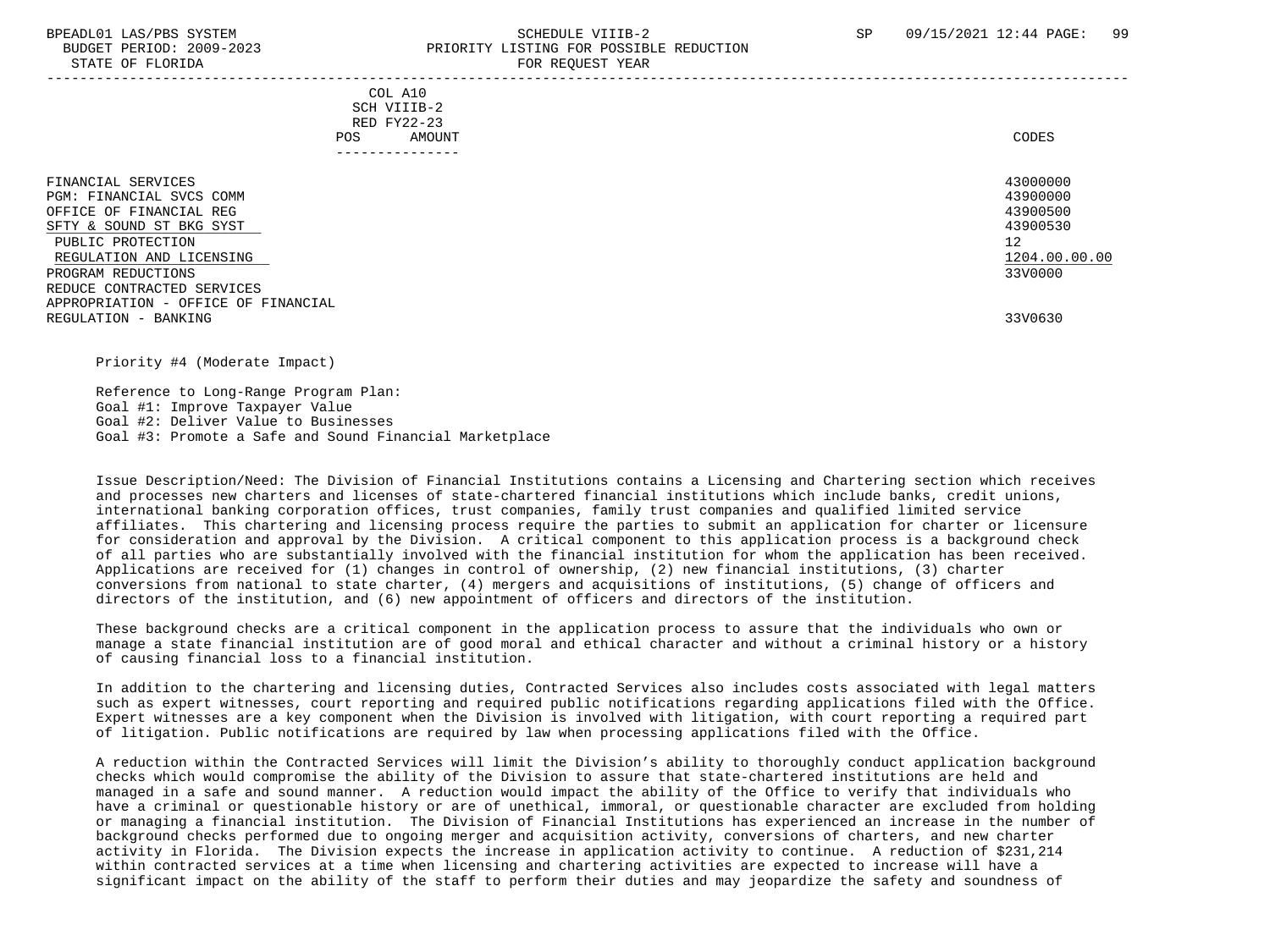#### BPEADL01 LAS/PBS SYSTEM SALL SALL SOMEDULE VIIIB-2 SP 09/15/2021 12:44 PAGE: 99 BUDGET PERIOD: 2009-2023 PRIORITY LISTING FOR POSSIBLE REDUCTION STATE OF FLORIDA FOR STATE OF  $\sim$  FOR REQUEST YEAR -----------------------------------------------------------------------------------------------------------------------------------

|     | --------------- |       |
|-----|-----------------|-------|
| POS | AMOUNT          | CODES |
|     | RED FY22-23     |       |
|     | SCH VIIIB-2     |       |
|     | COL A10         |       |

| FINANCIAL SERVICES<br>PGM: FINANCIAL SVCS COMM<br>OFFICE OF FINANCIAL REG<br>SFTY & SOUND ST BKG SYST<br>PUBLIC PROTECTION<br>REGULATION AND LICENSING<br>PROGRAM REDUCTIONS<br>REDUCE CONTRACTED SERVICES | 43000000<br>43900000<br>43900500<br>43900530<br>12<br>1204.00.00.00<br>33V0000 |
|------------------------------------------------------------------------------------------------------------------------------------------------------------------------------------------------------------|--------------------------------------------------------------------------------|
| APPROPRIATION - OFFICE OF FINANCIAL<br>REGULATION - BANKING                                                                                                                                                | 33V0630                                                                        |

Priority #4 (Moderate Impact)

 Reference to Long-Range Program Plan: Goal #1: Improve Taxpayer Value Goal #2: Deliver Value to Businesses Goal #3: Promote a Safe and Sound Financial Marketplace

 Issue Description/Need: The Division of Financial Institutions contains a Licensing and Chartering section which receives and processes new charters and licenses of state-chartered financial institutions which include banks, credit unions, international banking corporation offices, trust companies, family trust companies and qualified limited service affiliates. This chartering and licensing process require the parties to submit an application for charter or licensure for consideration and approval by the Division. A critical component to this application process is a background check of all parties who are substantially involved with the financial institution for whom the application has been received. Applications are received for (1) changes in control of ownership, (2) new financial institutions, (3) charter conversions from national to state charter, (4) mergers and acquisitions of institutions, (5) change of officers and directors of the institution, and (6) new appointment of officers and directors of the institution.

 These background checks are a critical component in the application process to assure that the individuals who own or manage a state financial institution are of good moral and ethical character and without a criminal history or a history of causing financial loss to a financial institution.

 In addition to the chartering and licensing duties, Contracted Services also includes costs associated with legal matters such as expert witnesses, court reporting and required public notifications regarding applications filed with the Office. Expert witnesses are a key component when the Division is involved with litigation, with court reporting a required part of litigation. Public notifications are required by law when processing applications filed with the Office.

 A reduction within the Contracted Services will limit the Division's ability to thoroughly conduct application background checks which would compromise the ability of the Division to assure that state-chartered institutions are held and managed in a safe and sound manner. A reduction would impact the ability of the Office to verify that individuals who have a criminal or questionable history or are of unethical, immoral, or questionable character are excluded from holding or managing a financial institution. The Division of Financial Institutions has experienced an increase in the number of background checks performed due to ongoing merger and acquisition activity, conversions of charters, and new charter activity in Florida. The Division expects the increase in application activity to continue. A reduction of \$231,214 within contracted services at a time when licensing and chartering activities are expected to increase will have a significant impact on the ability of the staff to perform their duties and may jeopardize the safety and soundness of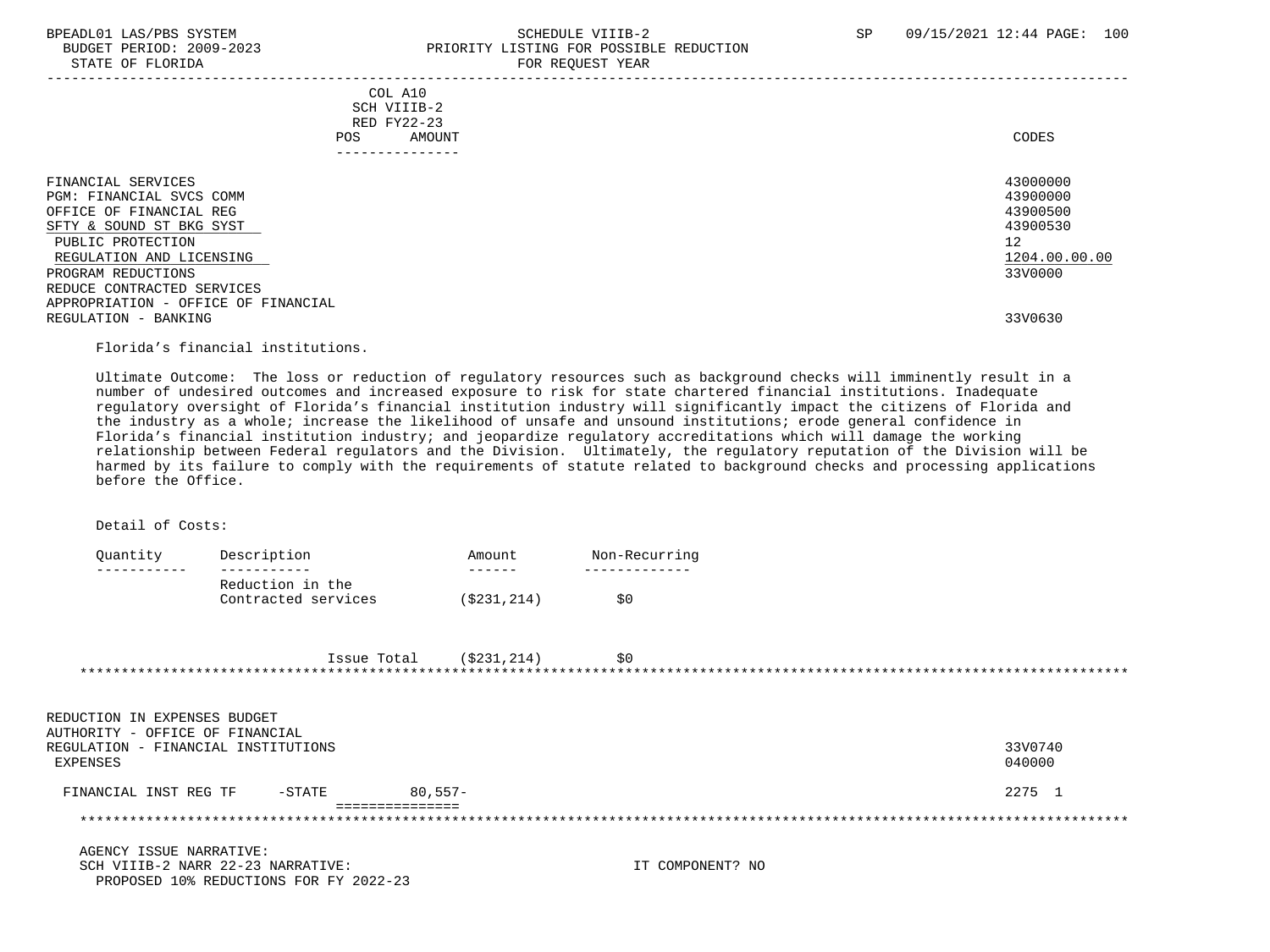STATE OF FLORIDA

# BPEADL01 LAS/PBS SYSTEM SCHEDULE VIIIB-2 SCHEDULE VIIIB-2 SP 09/15/2021 12:44 PAGE: 100 PRIORITY LISTING FOR POSSIBLE REDUCTION<br>FOR REOUEST YEAR

|                                                                                                                                                                                                            | COL A10<br>SCH VIIIB-2<br>RED FY22-23<br>AMOUNT<br>POS.<br>---------------- | CODES                                                                          |
|------------------------------------------------------------------------------------------------------------------------------------------------------------------------------------------------------------|-----------------------------------------------------------------------------|--------------------------------------------------------------------------------|
| FINANCIAL SERVICES<br>PGM: FINANCIAL SVCS COMM<br>OFFICE OF FINANCIAL REG<br>SFTY & SOUND ST BKG SYST<br>PUBLIC PROTECTION<br>REGULATION AND LICENSING<br>PROGRAM REDUCTIONS<br>REDUCE CONTRACTED SERVICES |                                                                             | 43000000<br>43900000<br>43900500<br>43900530<br>12<br>1204.00.00.00<br>33V0000 |
| APPROPRIATION - OFFICE OF FINANCIAL<br>REGULATION - BANKING                                                                                                                                                |                                                                             | 33V0630                                                                        |

Florida's financial institutions.

 Ultimate Outcome: The loss or reduction of regulatory resources such as background checks will imminently result in a number of undesired outcomes and increased exposure to risk for state chartered financial institutions. Inadequate regulatory oversight of Florida's financial institution industry will significantly impact the citizens of Florida and the industry as a whole; increase the likelihood of unsafe and unsound institutions; erode general confidence in Florida's financial institution industry; and jeopardize regulatory accreditations which will damage the working relationship between Federal regulators and the Division. Ultimately, the regulatory reputation of the Division will be harmed by its failure to comply with the requirements of statute related to background checks and processing applications before the Office.

Detail of Costs:

| Ouantity | Description         | Amount      | Non-Recurring |
|----------|---------------------|-------------|---------------|
|          |                     |             |               |
|          | Reduction in the    |             |               |
|          | Contracted services | (S231, 214) | S O           |

| Issue Total | (\$231,214) |  |  |
|-------------|-------------|--|--|
|             |             |  |  |

| REDUCTION IN EXPENSES BUDGET                                                       |           |         |                  |                   |
|------------------------------------------------------------------------------------|-----------|---------|------------------|-------------------|
| AUTHORITY - OFFICE OF FINANCIAL<br>REGULATION - FINANCIAL INSTITUTIONS<br>EXPENSES |           |         |                  | 33V0740<br>040000 |
| FINANCIAL INST REG TF                                                              | $-$ STATE | 80.557- |                  | 2275 1            |
|                                                                                    |           |         |                  |                   |
| AGENCY ISSUE NARRATIVE:                                                            |           |         |                  |                   |
| SCH VIIIB-2 NARR 22-23 NARRATIVE:<br>PROPOSED 10% REDUCTIONS FOR FY 2022-23        |           |         | IT COMPONENT? NO |                   |
|                                                                                    |           |         |                  |                   |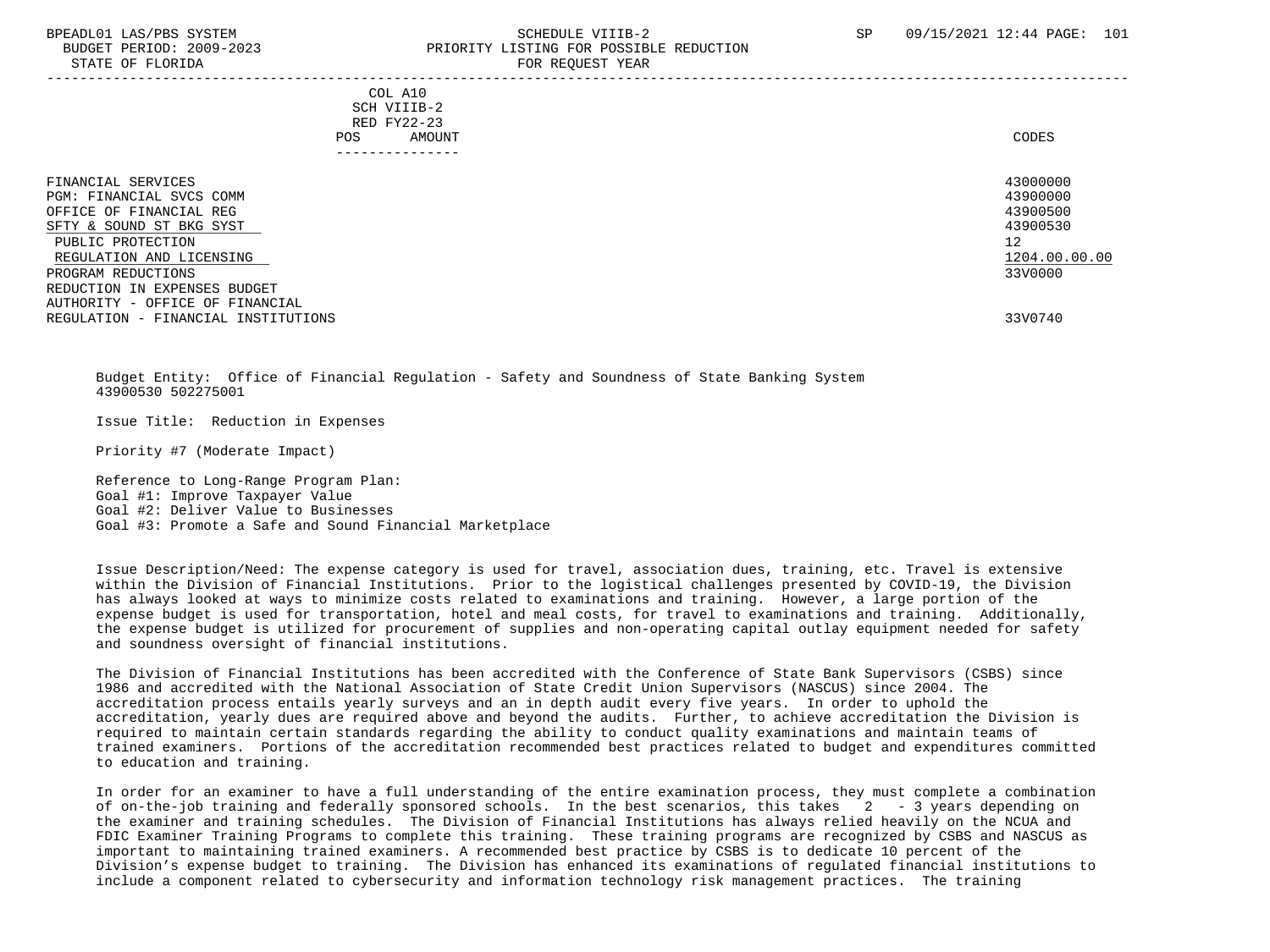#### BPEADL01 LAS/PBS SYSTEM SALL SALL SOMEDULE VIIIB-2 SP 09/15/2021 12:44 PAGE: 101 BUDGET PERIOD: 2009-2023 PRIORITY LISTING FOR POSSIBLE REDUCTION STATE OF FLORIDA **FOR REQUEST YEAR**

-----------------------------------------------------------------------------------------------------------------------------------

 COL A10 SCH VIIIB-2 RED FY22-23 POS AMOUNT CODES ---------------

| FINANCIAL SERVICES<br>PGM: FINANCIAL SVCS COMM<br>OFFICE OF FINANCIAL REG             | 43000000<br>43900000<br>43900500 |
|---------------------------------------------------------------------------------------|----------------------------------|
| SFTY & SOUND ST BKG SYST                                                              | 43900530                         |
| PUBLIC PROTECTION<br>REGULATION AND LICENSING                                         | 12<br>1204.00.00.00              |
| PROGRAM REDUCTIONS<br>REDUCTION IN EXPENSES BUDGET<br>AUTHORITY - OFFICE OF FINANCIAL | 33V0000                          |
| REGULATION - FINANCIAL INSTITUTIONS                                                   | 33V0740                          |

 Budget Entity: Office of Financial Regulation - Safety and Soundness of State Banking System 43900530 502275001

Issue Title: Reduction in Expenses

Priority #7 (Moderate Impact)

 Reference to Long-Range Program Plan: Goal #1: Improve Taxpayer Value Goal #2: Deliver Value to Businesses Goal #3: Promote a Safe and Sound Financial Marketplace

 Issue Description/Need: The expense category is used for travel, association dues, training, etc. Travel is extensive within the Division of Financial Institutions. Prior to the logistical challenges presented by COVID-19, the Division has always looked at ways to minimize costs related to examinations and training. However, a large portion of the expense budget is used for transportation, hotel and meal costs, for travel to examinations and training. Additionally, the expense budget is utilized for procurement of supplies and non-operating capital outlay equipment needed for safety and soundness oversight of financial institutions.

 The Division of Financial Institutions has been accredited with the Conference of State Bank Supervisors (CSBS) since 1986 and accredited with the National Association of State Credit Union Supervisors (NASCUS) since 2004. The accreditation process entails yearly surveys and an in depth audit every five years. In order to uphold the accreditation, yearly dues are required above and beyond the audits. Further, to achieve accreditation the Division is required to maintain certain standards regarding the ability to conduct quality examinations and maintain teams of trained examiners. Portions of the accreditation recommended best practices related to budget and expenditures committed to education and training.

 In order for an examiner to have a full understanding of the entire examination process, they must complete a combination of on-the-job training and federally sponsored schools. In the best scenarios, this takes 2 - 3 years depending on the examiner and training schedules. The Division of Financial Institutions has always relied heavily on the NCUA and FDIC Examiner Training Programs to complete this training. These training programs are recognized by CSBS and NASCUS as important to maintaining trained examiners. A recommended best practice by CSBS is to dedicate 10 percent of the Division's expense budget to training. The Division has enhanced its examinations of regulated financial institutions to include a component related to cybersecurity and information technology risk management practices. The training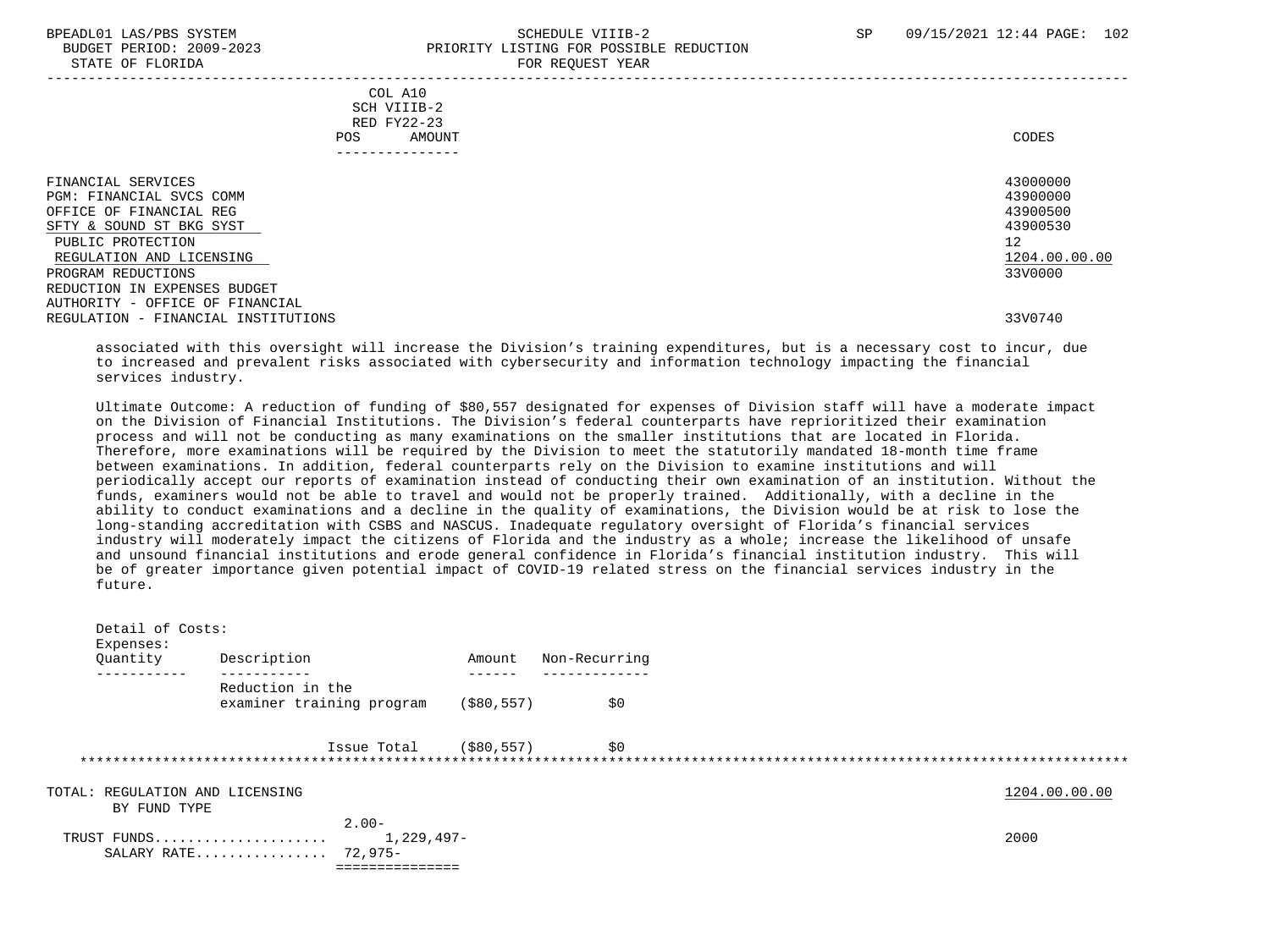STATE OF FLORIDA

# BPEADL01 LAS/PBS SYSTEM SALL SALL SCHEDULE VIIIB-2 SP 09/15/2021 12:44 PAGE: 102 BUDGET PERIOD: 2009-2023<br>
PRIORITY LISTING FOR POSSIBLE REDUCTION

| DIAIL OF FUORIDA                                                                                                                                                                                                                                                                       |                                                                            | LOW VENGEDI IEUW |                                                                                           |
|----------------------------------------------------------------------------------------------------------------------------------------------------------------------------------------------------------------------------------------------------------------------------------------|----------------------------------------------------------------------------|------------------|-------------------------------------------------------------------------------------------|
|                                                                                                                                                                                                                                                                                        | COL A10<br>SCH VIIIB-2<br>RED FY22-23<br>POS.<br>AMOUNT<br>--------------- |                  | CODES                                                                                     |
| FINANCIAL SERVICES<br>PGM: FINANCIAL SVCS COMM<br>OFFICE OF FINANCIAL REG<br>SFTY & SOUND ST BKG SYST<br>PUBLIC PROTECTION<br>REGULATION AND LICENSING<br>PROGRAM REDUCTIONS<br>REDUCTION IN EXPENSES BUDGET<br>AUTHORITY - OFFICE OF FINANCIAL<br>REGULATION - FINANCIAL INSTITUTIONS |                                                                            |                  | 43000000<br>43900000<br>43900500<br>43900530<br>12<br>1204.00.00.00<br>33V0000<br>33V0740 |

 associated with this oversight will increase the Division's training expenditures, but is a necessary cost to incur, due to increased and prevalent risks associated with cybersecurity and information technology impacting the financial services industry.

 Ultimate Outcome: A reduction of funding of \$80,557 designated for expenses of Division staff will have a moderate impact on the Division of Financial Institutions. The Division's federal counterparts have reprioritized their examination process and will not be conducting as many examinations on the smaller institutions that are located in Florida. Therefore, more examinations will be required by the Division to meet the statutorily mandated 18-month time frame between examinations. In addition, federal counterparts rely on the Division to examine institutions and will periodically accept our reports of examination instead of conducting their own examination of an institution. Without the funds, examiners would not be able to travel and would not be properly trained. Additionally, with a decline in the ability to conduct examinations and a decline in the quality of examinations, the Division would be at risk to lose the long-standing accreditation with CSBS and NASCUS. Inadequate regulatory oversight of Florida's financial services industry will moderately impact the citizens of Florida and the industry as a whole; increase the likelihood of unsafe and unsound financial institutions and erode general confidence in Florida's financial institution industry. This will be of greater importance given potential impact of COVID-19 related stress on the financial services industry in the future.

| Detail of Costs:<br>Expenses:                   |                                                               |              |               |               |
|-------------------------------------------------|---------------------------------------------------------------|--------------|---------------|---------------|
| Quantity                                        | Description                                                   | Amount       | Non-Recurring |               |
|                                                 | Reduction in the<br>examiner training program                 | ( \$80, 557) | \$0           |               |
|                                                 | Issue Total                                                   | (\$80,557)   | \$0           |               |
| TOTAL: REGULATION AND LICENSING<br>BY FUND TYPE |                                                               |              |               | 1204.00.00.00 |
|                                                 | $2.00-$<br>$1,229,497-$<br>TRUST FUNDS<br>SALARY RATE 72,975- |              |               | 2000          |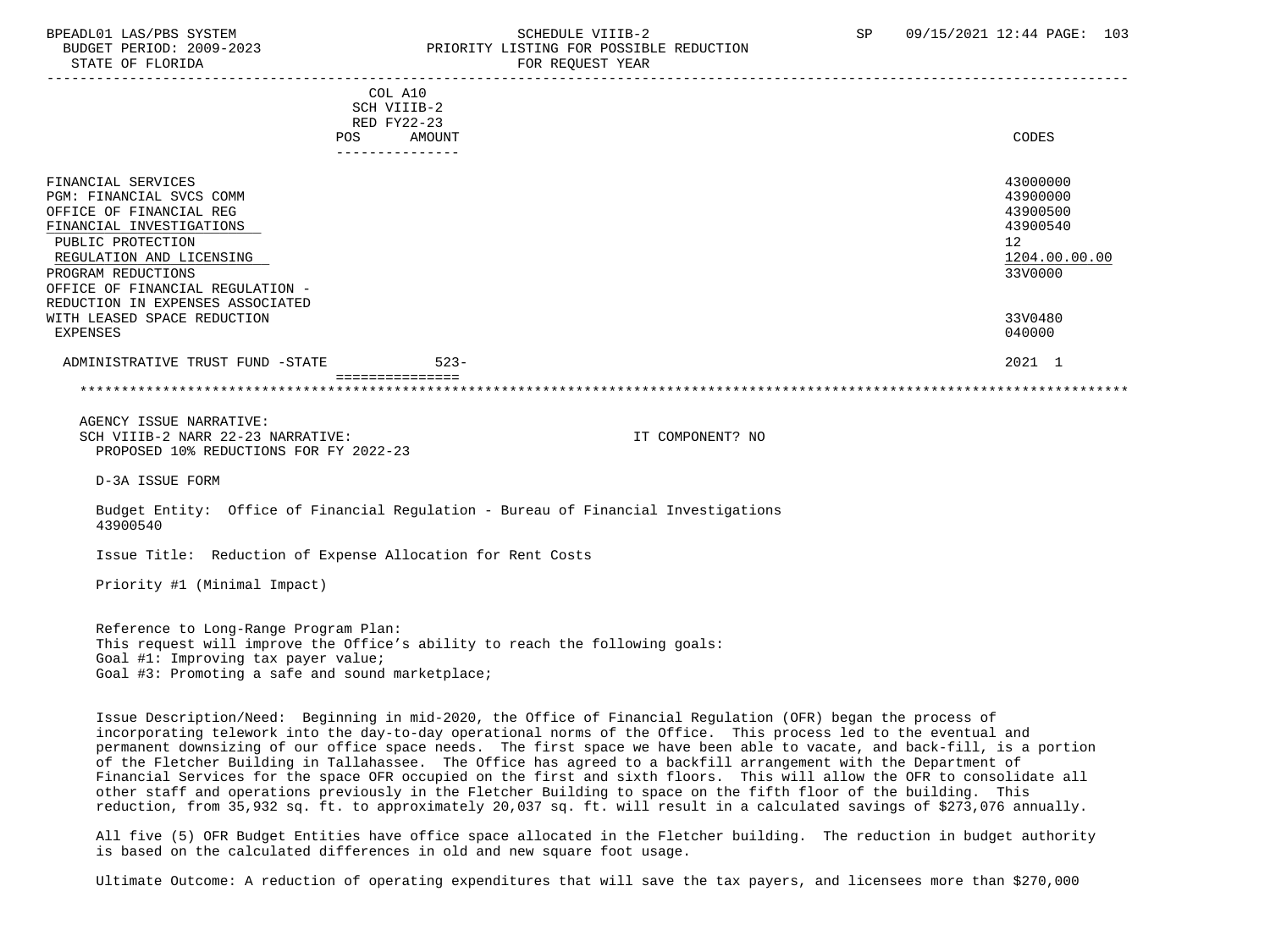# BPEADL01 LAS/PBS SYSTEM SALL SALL SOMEDULE VIIIB-2 SP 09/15/2021 12:44 PAGE: 103 BUDGET PERIOD: 2009-2023 PRIORITY LISTING FOR POSSIBLE REDUCTION

 ----------------------------------------------------------------------------------------------------------------------------------- COL A10 SCH VIIIB-2 RED FY22-23 POS AMOUNT CODES --------------- FINANCIAL SERVICES 43000000 PGM: FINANCIAL SVCS COMM 43900000 OFFICE OF FINANCIAL REG 43900500<br>FINANCIAL INVESTIGATIONS 48 FINANCIAL INVESTIGATIONS 439<br>
PIIRLIC PROTECTION 12 PUBLIC PROTECTION 12 REGULATION AND LICENSING PROGRAM REDUCTIONS 33V0000 OFFICE OF FINANCIAL REGULATION - REDUCTION IN EXPENSES ASSOCIATED WITH LEASED SPACE REDUCTION 33V0480 EXPENSES 040000 ADMINISTRATIVE TRUST FUND -STATE 523- 523- 523- 2021 1 =============== \*\*\*\*\*\*\*\*\*\*\*\*\*\*\*\*\*\*\*\*\*\*\*\*\*\*\*\*\*\*\*\*\*\*\*\*\*\*\*\*\*\*\*\*\*\*\*\*\*\*\*\*\*\*\*\*\*\*\*\*\*\*\*\*\*\*\*\*\*\*\*\*\*\*\*\*\*\*\*\*\*\*\*\*\*\*\*\*\*\*\*\*\*\*\*\*\*\*\*\*\*\*\*\*\*\*\*\*\*\*\*\*\*\*\*\*\*\*\*\*\*\*\*\*\*\*\* AGENCY ISSUE NARRATIVE: SCH VIIIB-2 NARR 22-23 NARRATIVE: IT COMPONENT? NO PROPOSED 10% REDUCTIONS FOR FY 2022-23 D-3A ISSUE FORM Budget Entity: Office of Financial Regulation - Bureau of Financial Investigations 43900540 Issue Title: Reduction of Expense Allocation for Rent Costs Priority #1 (Minimal Impact)

 Reference to Long-Range Program Plan: This request will improve the Office's ability to reach the following goals: Goal #1: Improving tax payer value; Goal #3: Promoting a safe and sound marketplace;

 Issue Description/Need: Beginning in mid-2020, the Office of Financial Regulation (OFR) began the process of incorporating telework into the day-to-day operational norms of the Office. This process led to the eventual and permanent downsizing of our office space needs. The first space we have been able to vacate, and back-fill, is a portion of the Fletcher Building in Tallahassee. The Office has agreed to a backfill arrangement with the Department of Financial Services for the space OFR occupied on the first and sixth floors. This will allow the OFR to consolidate all other staff and operations previously in the Fletcher Building to space on the fifth floor of the building. This reduction, from 35,932 sq. ft. to approximately 20,037 sq. ft. will result in a calculated savings of \$273,076 annually.

 All five (5) OFR Budget Entities have office space allocated in the Fletcher building. The reduction in budget authority is based on the calculated differences in old and new square foot usage.

Ultimate Outcome: A reduction of operating expenditures that will save the tax payers, and licensees more than \$270,000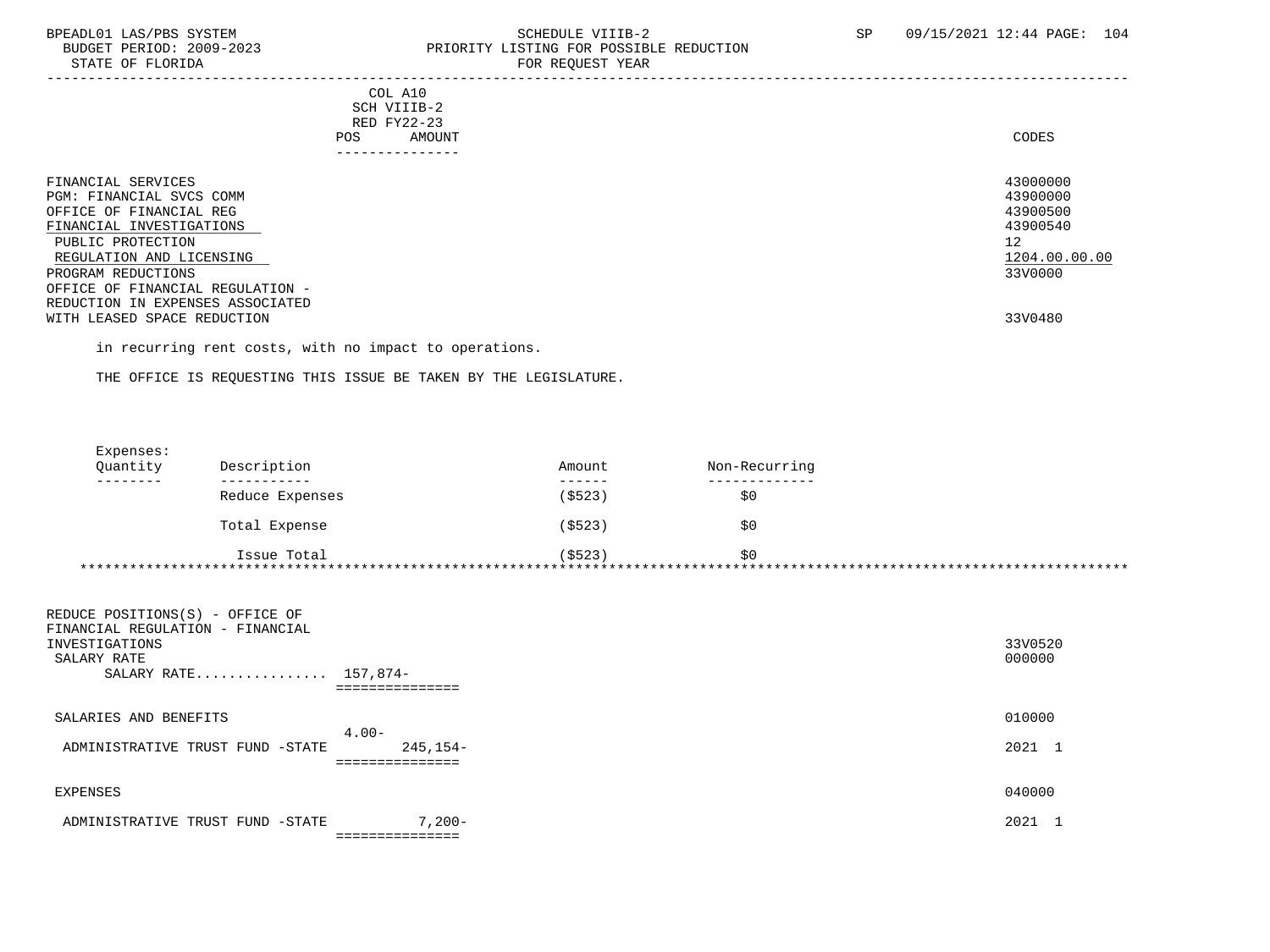STATE OF FLORIDA **FOR STATE OF STATE OF STATE OF STATE** 

# BPEADL01 LAS/PBS SYSTEM SALLE STRIDULE VIIIB-2 SCHEDULE VIIIB-2 SP 09/15/2021 12:44 PAGE: 104 PRIORITY LISTING FOR POSSIBLE REDUCTION

-----------------------------------------------------------------------------------------------------------------------------------

#### COL A10 SCH VIIIB-2 RED FY22-23 POS AMOUNT CODES AND A LOCAL AND A LOCAL AND A LOCAL AND A LOCAL AND A LOCAL AND A LOCAL AND A LOCAL AND A LOCAL AND A LOCAL AND A LOCAL AND A LOCAL AND A LOCAL AND A LOCAL AND A LOCAL AND A LOCAL AND A LOCAL AND A LOCAL A ---------------

| FINANCIAL SERVICES<br>PGM: FINANCIAL SVCS COMM<br>OFFICE OF FINANCIAL REG<br>FINANCIAL INVESTIGATIONS<br>PUBLIC PROTECTION<br>REGULATION AND LICENSING<br>PROGRAM REDUCTIONS<br>OFFICE OF FINANCIAL REGULATION - | 43000000<br>43900000<br>43900500<br>43900540<br>12<br>1204.00.00.00<br>33V0000 |
|------------------------------------------------------------------------------------------------------------------------------------------------------------------------------------------------------------------|--------------------------------------------------------------------------------|
| REDUCTION IN EXPENSES ASSOCIATED<br>WITH LEASED SPACE REDUCTION                                                                                                                                                  | 33V0480                                                                        |

in recurring rent costs, with no impact to operations.

THE OFFICE IS REQUESTING THIS ISSUE BE TAKEN BY THE LEGISLATURE.

| Expenses: |                 |          |               |  |
|-----------|-----------------|----------|---------------|--|
| Quantity  | Description     | Amount   | Non-Recurring |  |
| --------  |                 | -------  |               |  |
|           | Reduce Expenses | ( \$523) | \$0           |  |
|           | Total Expense   | ( \$523) | \$0           |  |
|           | Issue Total     | (5523)   | \$0           |  |
|           |                 |          |               |  |

| 33V0520<br>000000 |
|-------------------|
| 010000            |
| 2021 1            |
| 040000            |
| 2021              |
|                   |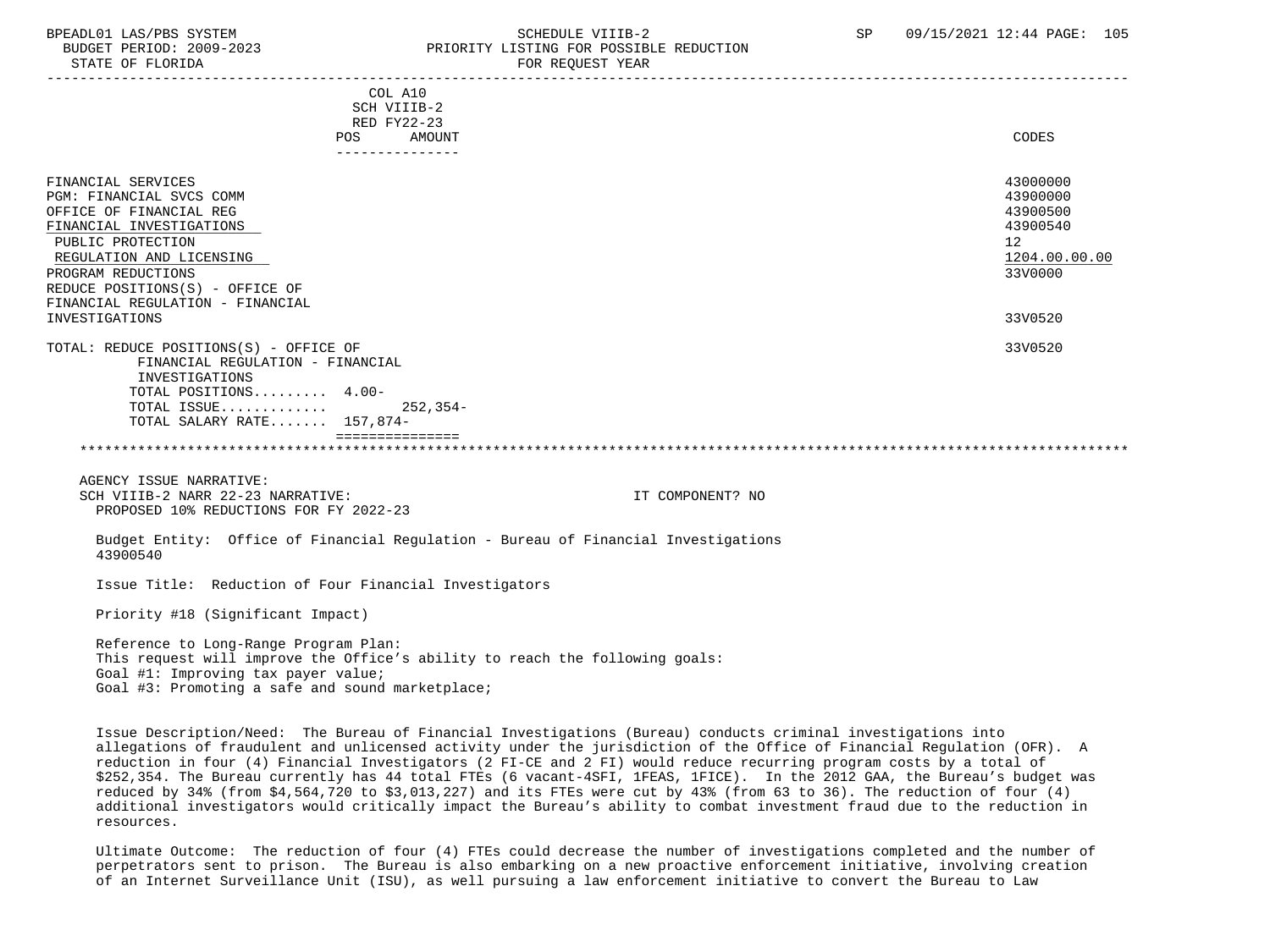STATE OF FLORIDA **FOR REQUEST YEAR** 

### BPEADL01 LAS/PBS SYSTEM SALL SALL SOMEDULE VIIIB-2 SP 09/15/2021 12:44 PAGE: 105 BUDGET PERIOD: 2009-2023 PRIORITY LISTING FOR POSSIBLE REDUCTION

 ----------------------------------------------------------------------------------------------------------------------------------- COL A10 SCH VIIIB-2 RED FY22-23 POS AMOUNT CODES --------------- FINANCIAL SERVICES 43000000 PGM: FINANCIAL SVCS COMM 43900000 OFFICE OF FINANCIAL REG 43900500<br>FINANCIAL INVESTIGATIONS 48 FINANCIAL INVESTIGATIONS 439<br>
PIIRLIC PROTECTION 12 PUBLIC PROTECTION 12 REGULATION AND LICENSING PROGRAM REDUCTIONS 33V0000 REDUCE POSITIONS(S) - OFFICE OF FINANCIAL REGULATION - FINANCIAL INVESTIGATIONS 33V0520 TOTAL: REDUCE POSITIONS(S) - OFFICE OF 33V0520 FINANCIAL REGULATION - FINANCIAL INVESTIGATIONS TOTAL POSITIONS......... 4.00- TOTAL ISSUE............. 252,354- TOTAL SALARY RATE....... 157,874- =============== \*\*\*\*\*\*\*\*\*\*\*\*\*\*\*\*\*\*\*\*\*\*\*\*\*\*\*\*\*\*\*\*\*\*\*\*\*\*\*\*\*\*\*\*\*\*\*\*\*\*\*\*\*\*\*\*\*\*\*\*\*\*\*\*\*\*\*\*\*\*\*\*\*\*\*\*\*\*\*\*\*\*\*\*\*\*\*\*\*\*\*\*\*\*\*\*\*\*\*\*\*\*\*\*\*\*\*\*\*\*\*\*\*\*\*\*\*\*\*\*\*\*\*\*\*\*\* AGENCY ISSUE NARRATIVE: SCH VIIIB-2 NARR 22-23 NARRATIVE: IT COMPONENT? NO PROPOSED 10% REDUCTIONS FOR FY 2022-23 Budget Entity: Office of Financial Regulation - Bureau of Financial Investigations 43900540 Issue Title: Reduction of Four Financial Investigators Priority #18 (Significant Impact) Reference to Long-Range Program Plan: This request will improve the Office's ability to reach the following goals: Goal #1: Improving tax payer value;

Goal #3: Promoting a safe and sound marketplace;

 Issue Description/Need: The Bureau of Financial Investigations (Bureau) conducts criminal investigations into allegations of fraudulent and unlicensed activity under the jurisdiction of the Office of Financial Regulation (OFR). A reduction in four (4) Financial Investigators (2 FI-CE and 2 FI) would reduce recurring program costs by a total of \$252,354. The Bureau currently has 44 total FTEs (6 vacant-4SFI, 1FEAS, 1FICE). In the 2012 GAA, the Bureau's budget was reduced by 34% (from \$4,564,720 to \$3,013,227) and its FTEs were cut by 43% (from 63 to 36). The reduction of four (4) additional investigators would critically impact the Bureau's ability to combat investment fraud due to the reduction in resources.

 Ultimate Outcome: The reduction of four (4) FTEs could decrease the number of investigations completed and the number of perpetrators sent to prison. The Bureau is also embarking on a new proactive enforcement initiative, involving creation of an Internet Surveillance Unit (ISU), as well pursuing a law enforcement initiative to convert the Bureau to Law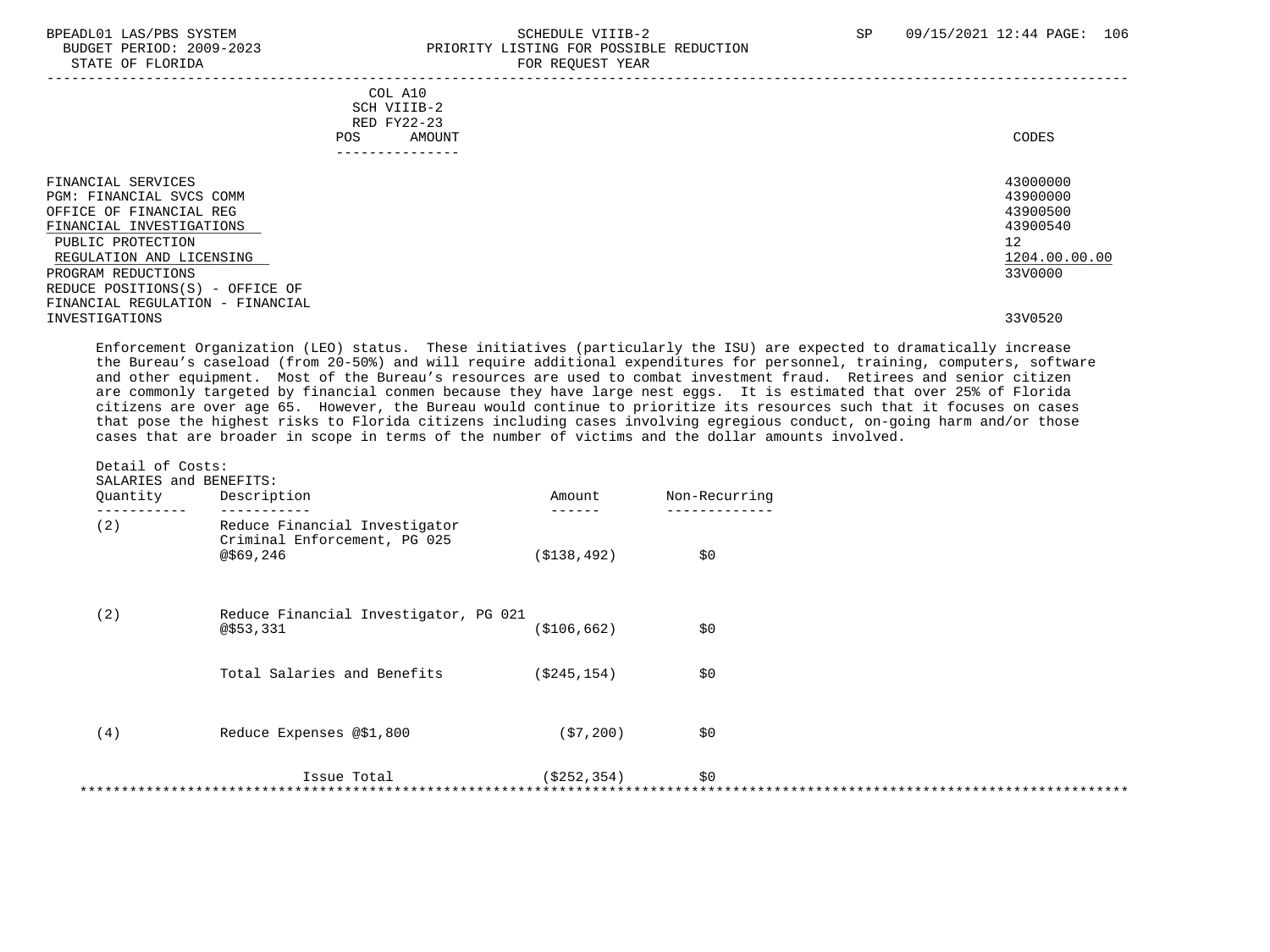#### BPEADL01 LAS/PBS SYSTEM SOHEDULE VIIIB-2 SCHEDULE VIIIB-2 SP 09/15/2021 12:44 PAGE: 106 PRIORITY LISTING FOR POSSIBLE REDUCTION STATE OF FLORIDA FOR REQUEST YEAR FOR REQUEST YEAR

| COL A10<br>SCH VIIIB-2<br>RED FY22-23<br>AMOUNT<br>POS.<br>------------                                                                                                                                                                             | CODES                                                                          |
|-----------------------------------------------------------------------------------------------------------------------------------------------------------------------------------------------------------------------------------------------------|--------------------------------------------------------------------------------|
| FINANCIAL SERVICES<br>PGM: FINANCIAL SVCS COMM<br>OFFICE OF FINANCIAL REG<br>FINANCIAL INVESTIGATIONS<br>PUBLIC PROTECTION<br>REGULATION AND LICENSING<br>PROGRAM REDUCTIONS<br>REDUCE POSITIONS(S) - OFFICE OF<br>FINANCIAL REGULATION - FINANCIAL | 43000000<br>43900000<br>43900500<br>43900540<br>12<br>1204.00.00.00<br>33V0000 |
| INVESTIGATIONS                                                                                                                                                                                                                                      | 33V0520                                                                        |

 Enforcement Organization (LEO) status. These initiatives (particularly the ISU) are expected to dramatically increase the Bureau's caseload (from 20-50%) and will require additional expenditures for personnel, training, computers, software and other equipment. Most of the Bureau's resources are used to combat investment fraud. Retirees and senior citizen are commonly targeted by financial conmen because they have large nest eggs. It is estimated that over 25% of Florida citizens are over age 65. However, the Bureau would continue to prioritize its resources such that it focuses on cases that pose the highest risks to Florida citizens including cases involving egregious conduct, on-going harm and/or those cases that are broader in scope in terms of the number of victims and the dollar amounts involved.

| Quantity | Description                                                                | Amount        | Non-Recurring |  |
|----------|----------------------------------------------------------------------------|---------------|---------------|--|
| (2)      | Reduce Financial Investigator<br>Criminal Enforcement, PG 025<br>@\$69,246 | ( \$138, 492) | \$0           |  |
| (2)      | Reduce Financial Investigator, PG 021<br>@\$53,331                         | ( \$106, 662) | \$0           |  |
|          | Total Salaries and Benefits                                                | ( \$245, 154) | \$0           |  |
| (4)      | Reduce Expenses @\$1,800                                                   | (57, 200)     | \$0           |  |
|          | Issue Total                                                                | (S252, 354)   | \$0           |  |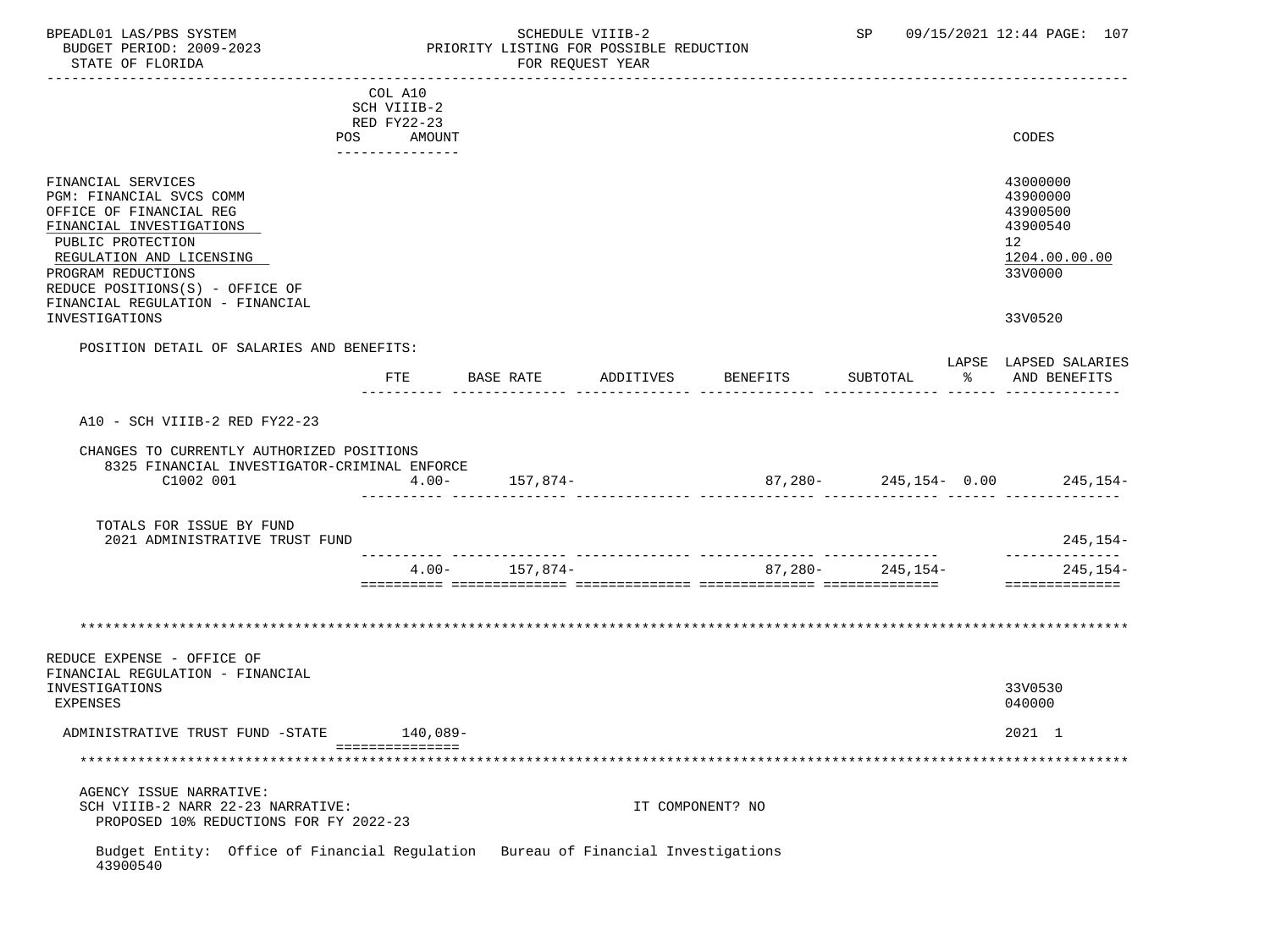### BPEADL01 LAS/PBS SYSTEM SALL SALL SOMEDULE VIIIB-2 SP 09/15/2021 12:44 PAGE: 107 BUDGET PERIOD: 2009-2023 PRIORITY LISTING FOR POSSIBLE REDUCTION

 ----------------------------------------------------------------------------------------------------------------------------------- COL A10 SCH VIIIB-2 RED FY22-23 POS AMOUNT CODES --------------- FINANCIAL SERVICES 43000000 PGM: FINANCIAL SVCS COMM 43900000<br>OFFICE OF FINANCIAL REG 43900500 OFFICE OF FINANCIAL REG 43900500<br>FINANCIAL INVESTIGATIONS 43900540 FINANCIAL INVESTIGATIONS 439<br>
PIIRLIC PROTECTION 12 PUBLIC PROTECTION 12 REGULATION AND LICENSING PROGRAM REDUCTIONS 33V0000 REDUCE POSITIONS(S) - OFFICE OF FINANCIAL REGULATION - FINANCIAL INVESTIGATIONS 33V0520 POSITION DETAIL OF SALARIES AND BENEFITS: LAPSE LAPSED SALARIES FTE BASE RATE ADDITIVES BENEFITS SUBTOTAL % AND BENEFITS ---------- -------------- -------------- -------------- -------------- ------ -------------- A10 - SCH VIIIB-2 RED FY22-23 CHANGES TO CURRENTLY AUTHORIZED POSITIONS 8325 FINANCIAL INVESTIGATOR-CRIMINAL ENFORCE C1002 001 4.00- 157,874- 87,280- 245,154- 0.00 245,154- ---------- -------------- -------------- -------------- -------------- ------ -------------- TOTALS FOR ISSUE BY FUND 2021 ADMINISTRATIVE TRUST FUND 245,154- ---------- -------------- -------------- -------------- -------------- -------------- 4.00- 157,874- 87,280- 245,154- 245,154- ========== ============== ============== ============== ============== ============== \*\*\*\*\*\*\*\*\*\*\*\*\*\*\*\*\*\*\*\*\*\*\*\*\*\*\*\*\*\*\*\*\*\*\*\*\*\*\*\*\*\*\*\*\*\*\*\*\*\*\*\*\*\*\*\*\*\*\*\*\*\*\*\*\*\*\*\*\*\*\*\*\*\*\*\*\*\*\*\*\*\*\*\*\*\*\*\*\*\*\*\*\*\*\*\*\*\*\*\*\*\*\*\*\*\*\*\*\*\*\*\*\*\*\*\*\*\*\*\*\*\*\*\*\*\*\* REDUCE EXPENSE - OFFICE OF FINANCIAL REGULATION - FINANCIAL INVESTIGATIONS 33V0530 EXPENSES 040000 ADMINISTRATIVE TRUST FUND -STATE 140,089- 2021 1 =============== \*\*\*\*\*\*\*\*\*\*\*\*\*\*\*\*\*\*\*\*\*\*\*\*\*\*\*\*\*\*\*\*\*\*\*\*\*\*\*\*\*\*\*\*\*\*\*\*\*\*\*\*\*\*\*\*\*\*\*\*\*\*\*\*\*\*\*\*\*\*\*\*\*\*\*\*\*\*\*\*\*\*\*\*\*\*\*\*\*\*\*\*\*\*\*\*\*\*\*\*\*\*\*\*\*\*\*\*\*\*\*\*\*\*\*\*\*\*\*\*\*\*\*\*\*\*\* AGENCY ISSUE NARRATIVE: SCH VIIIB-2 NARR 22-23 NARRATIVE: IT COMPONENT? NO PROPOSED 10% REDUCTIONS FOR FY 2022-23 Budget Entity: Office of Financial Regulation Bureau of Financial Investigations 43900540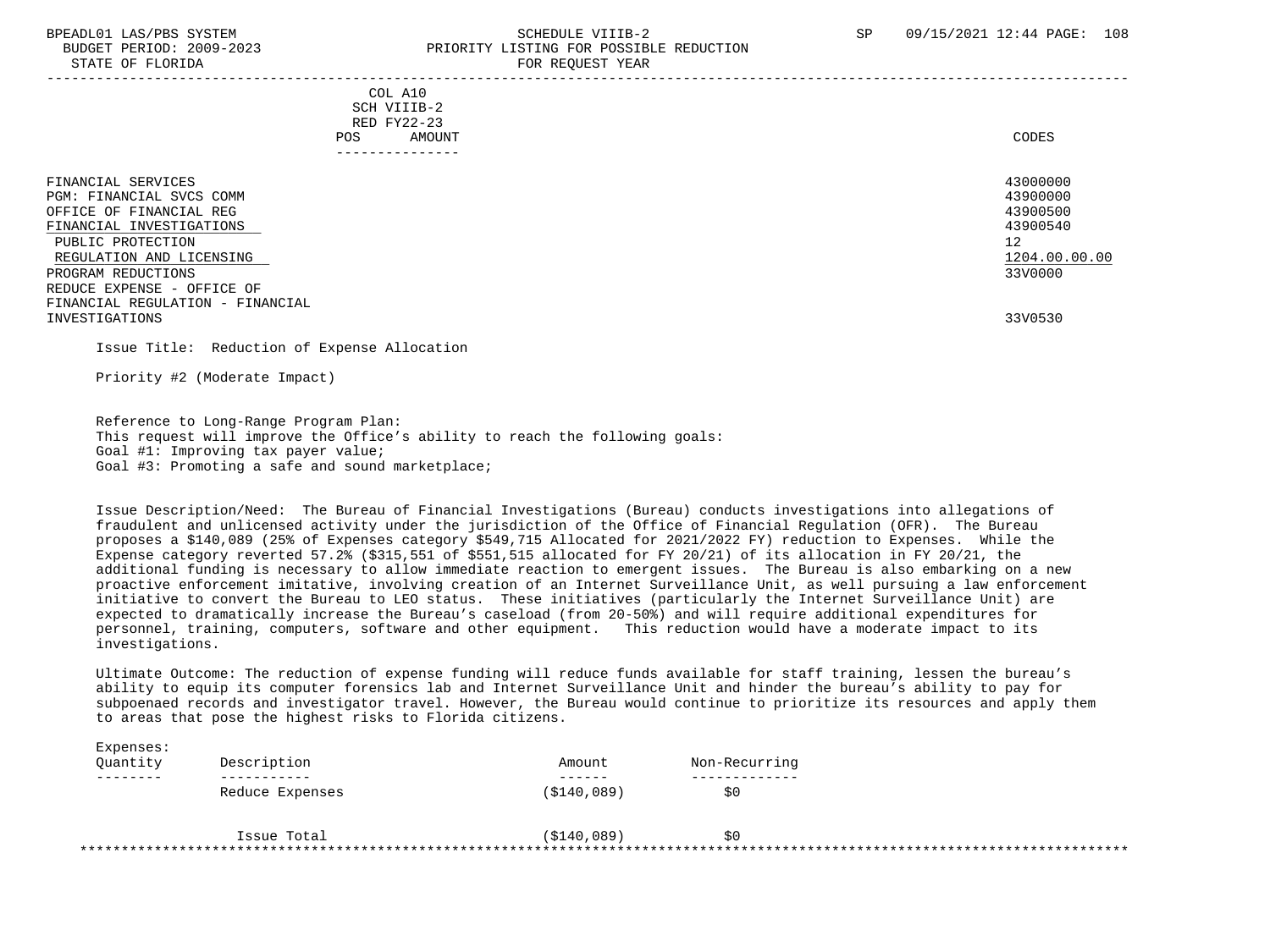### BPEADL01 LAS/PBS SYSTEM SALL SALL SOMEDULE VIIIB-2 SP 09/15/2021 12:44 PAGE: 108 BUDGET PERIOD: 2009-2023 PRIORITY LISTING FOR POSSIBLE REDUCTION STATE OF FLORIDA FOR STATE OF STATE OF STATE OF STATE OF STATE OF STATE OF STATE OF STATE OF STATE OF STATE OF STATE OF STATE OF STATE OF STATE OF STATE OF STATE OF STATE OF STATE OF STATE OF STATE OF STATE OF STATE OF STA

-----------------------------------------------------------------------------------------------------------------------------------

 COL A10 SCH VIIIB-2 RED FY22-23<br>POS AMOUI POS AMOUNT NOTES AND AND A RESERVE AND A RESERVE AND LODGED AND LODGED AND LODGED AND LODGED AND LODGED AND LODGED AT A LODGED AND LODGED AT A LODGED AND LODGED AT A LODGED AND LODGED AT A LODGED AND LODGED AT A LODGED AND ---------------

| FINANCIAL SERVICES               | 43000000      |
|----------------------------------|---------------|
| PGM: FINANCIAL SVCS COMM         | 43900000      |
| OFFICE OF FINANCIAL REG          | 43900500      |
| FINANCIAL INVESTIGATIONS         | 43900540      |
| PUBLIC PROTECTION                | 12            |
| REGULATION AND LICENSING         | 1204.00.00.00 |
| PROGRAM REDUCTIONS               | 33V0000       |
| REDUCE EXPENSE - OFFICE OF       |               |
| FINANCIAL REGULATION - FINANCIAL |               |
| INVESTIGATIONS                   | 33V0530       |
|                                  |               |

Issue Title: Reduction of Expense Allocation

Priority #2 (Moderate Impact)

 Reference to Long-Range Program Plan: This request will improve the Office's ability to reach the following goals: Goal #1: Improving tax payer value; Goal #3: Promoting a safe and sound marketplace;

 Issue Description/Need: The Bureau of Financial Investigations (Bureau) conducts investigations into allegations of fraudulent and unlicensed activity under the jurisdiction of the Office of Financial Regulation (OFR). The Bureau proposes a \$140,089 (25% of Expenses category \$549,715 Allocated for 2021/2022 FY) reduction to Expenses. While the Expense category reverted 57.2% (\$315,551 of \$551,515 allocated for FY 20/21) of its allocation in FY 20/21, the additional funding is necessary to allow immediate reaction to emergent issues. The Bureau is also embarking on a new proactive enforcement imitative, involving creation of an Internet Surveillance Unit, as well pursuing a law enforcement initiative to convert the Bureau to LEO status. These initiatives (particularly the Internet Surveillance Unit) are expected to dramatically increase the Bureau's caseload (from 20-50%) and will require additional expenditures for personnel, training, computers, software and other equipment. This reduction would have a moderate impact to its investigations.

 Ultimate Outcome: The reduction of expense funding will reduce funds available for staff training, lessen the bureau's ability to equip its computer forensics lab and Internet Surveillance Unit and hinder the bureau's ability to pay for subpoenaed records and investigator travel. However, the Bureau would continue to prioritize its resources and apply them to areas that pose the highest risks to Florida citizens.

| Expenses: |                 |              |               |  |
|-----------|-----------------|--------------|---------------|--|
| Ouantity  | Description     | Amount       | Non-Recurring |  |
| .         |                 | -------      |               |  |
|           | Reduce Expenses | ( \$140,089) | S0            |  |
|           |                 |              |               |  |
|           | Issue Total     | (S140, 089)  | \$0           |  |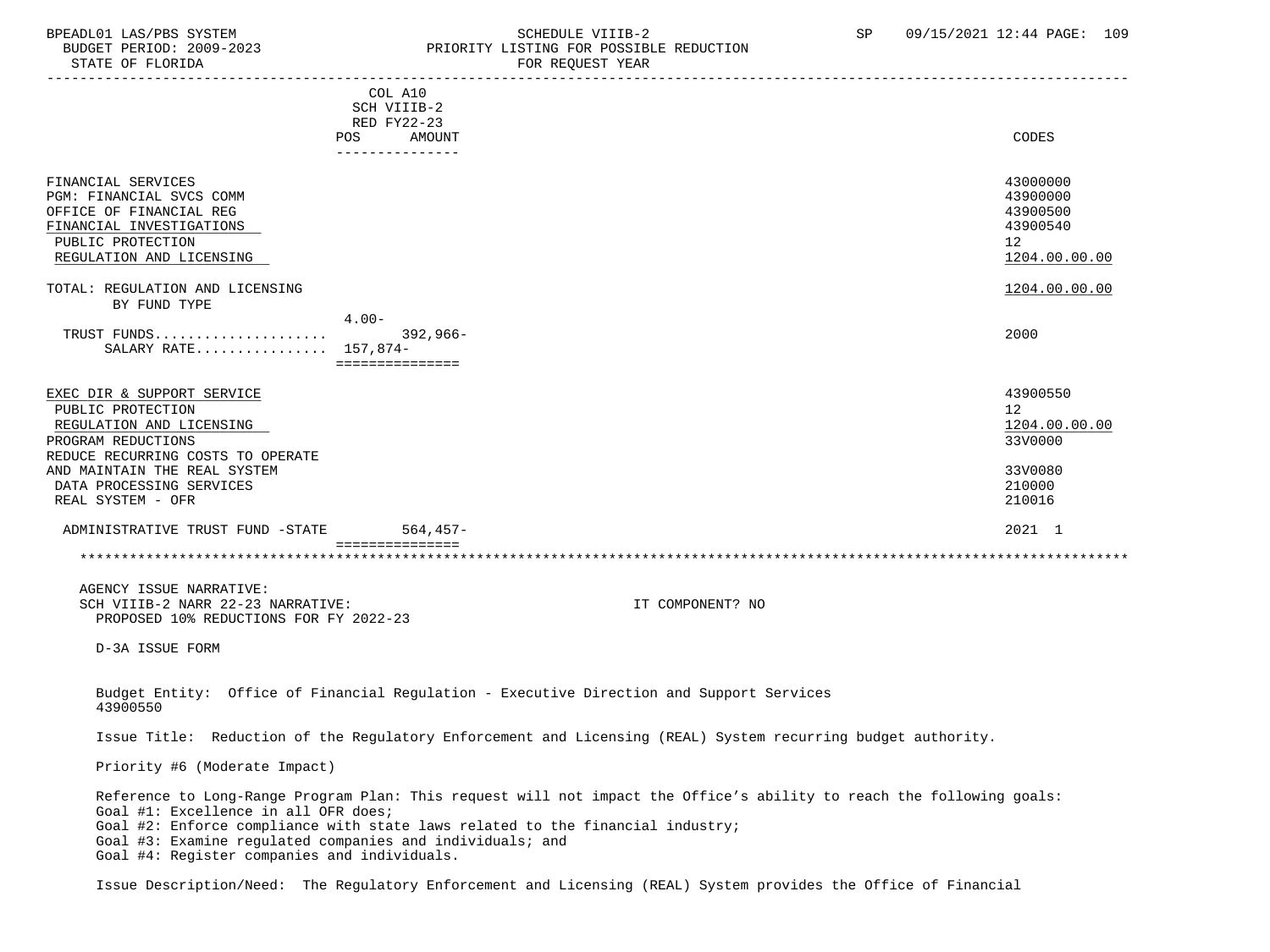### BPEADL01 LAS/PBS SYSTEM SALL SALL SOMEDULE VIIIB-2 SP 09/15/2021 12:44 PAGE: 109 BUDGET PERIOD: 2009-2023 PRIORITY LISTING FOR POSSIBLE REDUCTION

STATE OF FLORIDA FOR STATE OF STATE OF STATE OF STATE OF STATE OF STATE OF STATE OF STATE OF STATE OF STATE OF STATE OF STATE OF STATE OF STATE OF STATE OF STATE OF STATE OF STATE OF STATE OF STATE OF STATE OF STATE OF STA ----------------------------------------------------------------------------------------------------------------------------------- COL A10 SCH VIIIB-2 RED FY22-23 POS AMOUNT NOTES AND AND A RESERVE AND A RESERVE AND LODGED AND LODGED AND LODGED AND LODGED AND LODGED AND LODGED AT A LODGED AND LODGED AT A LODGED AND LODGED AT A LODGED AND LODGED AT A LODGED AND LODGED AT A LODGED AND --------------- FINANCIAL SERVICES 43000000 PGM: FINANCIAL SVCS COMM 43900000 OFFICE OF FINANCIAL REG 43900500<br>FINANCIAL INVESTIGATIONS 42000540 FINANCIAL INVESTIGATIONS 439<br>
PIIRLIC PROTECTION 12 PUBLIC PROTECTION 12 REGULATION AND LICENSING TOTAL: REGULATION AND LICENSING 1204.00.00 COLLECTED AND LICENSING BY FUND TYPE 4.00- TRUST FUNDS..................... 392,966- 2000 SALARY RATE................ 157,874- =============== EXEC DIR & SUPPORT SERVICE 43900550 and 43900550 and 43900550 and 43900550 and 43900550 and 43900550 and 43900550 and 43900550 and 43900550 and 43900550 and 43900550 and 43900550 and 43900550 and 43900550 and 43900550 and PUBLIC PROTECTION 12 REGULATION AND LICENSING 1204.00 and the set of the set of the set of the set of the set of the set of the set of the set of the set of the set of the set of the set of the set of the set of the set of the set of the set o PROGRAM REDUCTIONS REDUCE RECURRING COSTS TO OPERATE AND MAINTAIN THE REAL SYSTEM 33V0080 DATA PROCESSING SERVICES 210000 PROCESSING SERVICES 210000 PROCESSING SERVICES 210000 PROCESSING SERVICES 210000 PROCESSING 210016 REAL SYSTEM - OFR ADMINISTRATIVE TRUST FUND -STATE 564,457- 2021 1 ================ \*\*\*\*\*\*\*\*\*\*\*\*\*\*\*\*\*\*\*\*\*\*\*\*\*\*\*\*\*\*\*\*\*\*\*\*\*\*\*\*\*\*\*\*\*\*\*\*\*\*\*\*\*\*\*\*\*\*\*\*\*\*\*\*\*\*\*\*\*\*\*\*\*\*\*\*\*\*\*\*\*\*\*\*\*\*\*\*\*\*\*\*\*\*\*\*\*\*\*\*\*\*\*\*\*\*\*\*\*\*\*\*\*\*\*\*\*\*\*\*\*\*\*\*\*\*\* AGENCY ISSUE NARRATIVE: SCH VIIIB-2 NARR 22-23 NARRATIVE: IT COMPONENT? NO PROPOSED 10% REDUCTIONS FOR FY 2022-23 D-3A ISSUE FORM Budget Entity: Office of Financial Regulation - Executive Direction and Support Services 43900550 Issue Title: Reduction of the Regulatory Enforcement and Licensing (REAL) System recurring budget authority. Priority #6 (Moderate Impact) Reference to Long-Range Program Plan: This request will not impact the Office's ability to reach the following goals: Goal #1: Excellence in all OFR does; Goal #2: Enforce compliance with state laws related to the financial industry; Goal #3: Examine regulated companies and individuals; and Goal #4: Register companies and individuals.

Issue Description/Need: The Regulatory Enforcement and Licensing (REAL) System provides the Office of Financial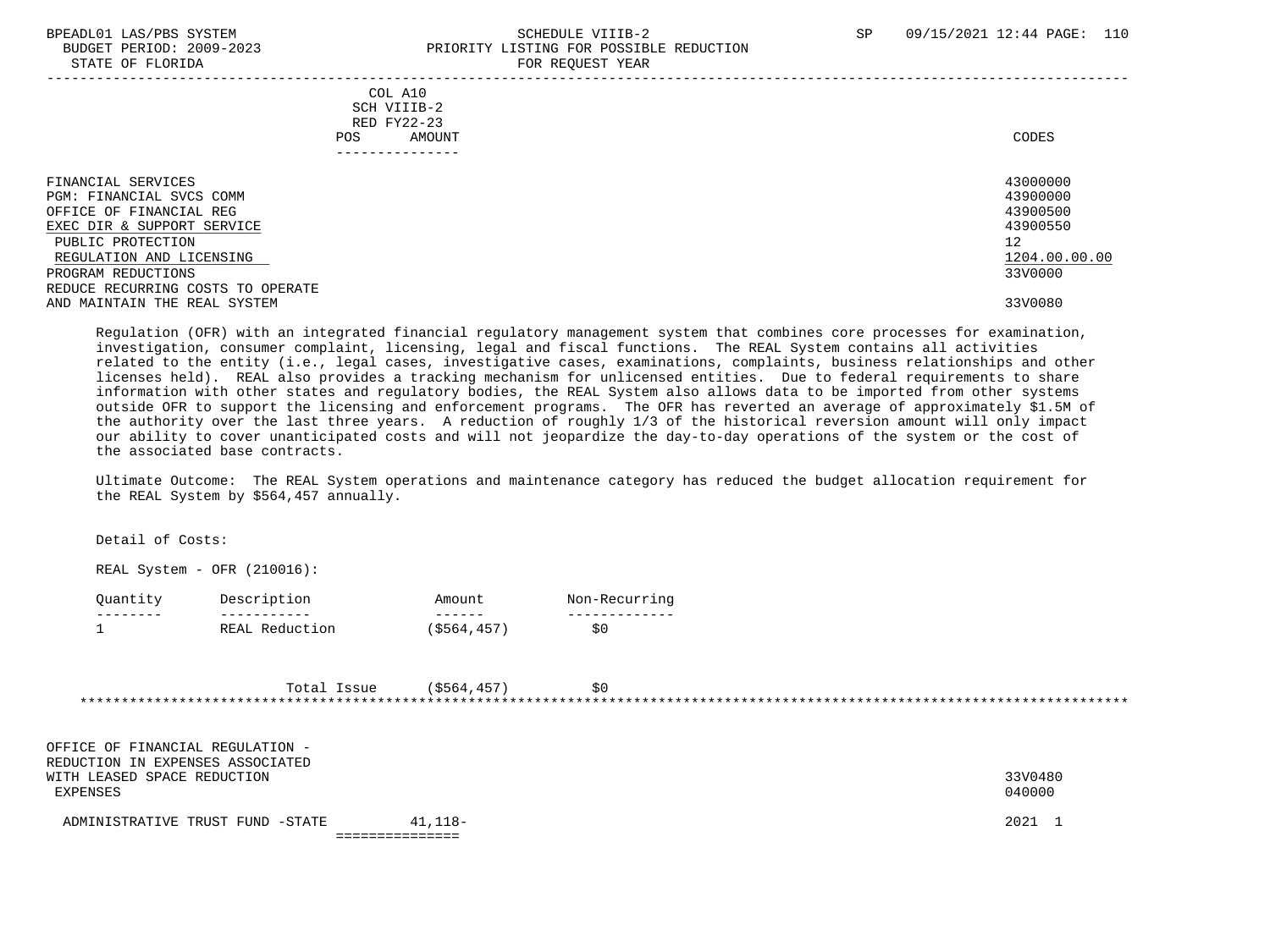#### BPEADL01 LAS/PBS SYSTEM STRAND SCHEDULE VIIIB-2 SP 09/15/2021 12:44 PAGE: 110 BUDGET PERIOD: 2009-2023 PRIORITY LISTING FOR POSSIBLE REDUCTION STATE OF FLORIDA FOR REQUEST YEAR

| COL A10<br>SCH VIIIB-2<br>RED FY22-23<br>AMOUNT<br>POS.<br>------------                                                                                                        | CODES                                                                          |
|--------------------------------------------------------------------------------------------------------------------------------------------------------------------------------|--------------------------------------------------------------------------------|
| FINANCIAL SERVICES<br>PGM: FINANCIAL SVCS COMM<br>OFFICE OF FINANCIAL REG<br>EXEC DIR & SUPPORT SERVICE<br>PUBLIC PROTECTION<br>REGULATION AND LICENSING<br>PROGRAM REDUCTIONS | 43000000<br>43900000<br>43900500<br>43900550<br>12<br>1204.00.00.00<br>33V0000 |
| REDUCE RECURRING COSTS TO OPERATE<br>AND MAINTAIN THE REAL SYSTEM                                                                                                              | 33V0080                                                                        |

 Regulation (OFR) with an integrated financial regulatory management system that combines core processes for examination, investigation, consumer complaint, licensing, legal and fiscal functions. The REAL System contains all activities related to the entity (i.e., legal cases, investigative cases, examinations, complaints, business relationships and other licenses held). REAL also provides a tracking mechanism for unlicensed entities. Due to federal requirements to share information with other states and regulatory bodies, the REAL System also allows data to be imported from other systems outside OFR to support the licensing and enforcement programs. The OFR has reverted an average of approximately \$1.5M of the authority over the last three years. A reduction of roughly 1/3 of the historical reversion amount will only impact our ability to cover unanticipated costs and will not jeopardize the day-to-day operations of the system or the cost of the associated base contracts.

 Ultimate Outcome: The REAL System operations and maintenance category has reduced the budget allocation requirement for the REAL System by \$564,457 annually.

Detail of Costs:

REAL System - OFR (210016):

| Juantit | Description    | Amount     | Non-Recurring |
|---------|----------------|------------|---------------|
|         |                |            |               |
|         | REAL Reduction | \$564,457) |               |

|  | ssue | 5554<br>∸ ∸ |  |
|--|------|-------------|--|
|  |      |             |  |

 OFFICE OF FINANCIAL REGULATION - REDUCTION IN EXPENSES ASSOCIATED WITH LEASED SPACE REDUCTION 33V0480 EXPENSES 040000

| ADMINISTRATIVE TRUST<br>FUND -STATE | <u>--, 1185</u> | 2021 |
|-------------------------------------|-----------------|------|
|-------------------------------------|-----------------|------|

===============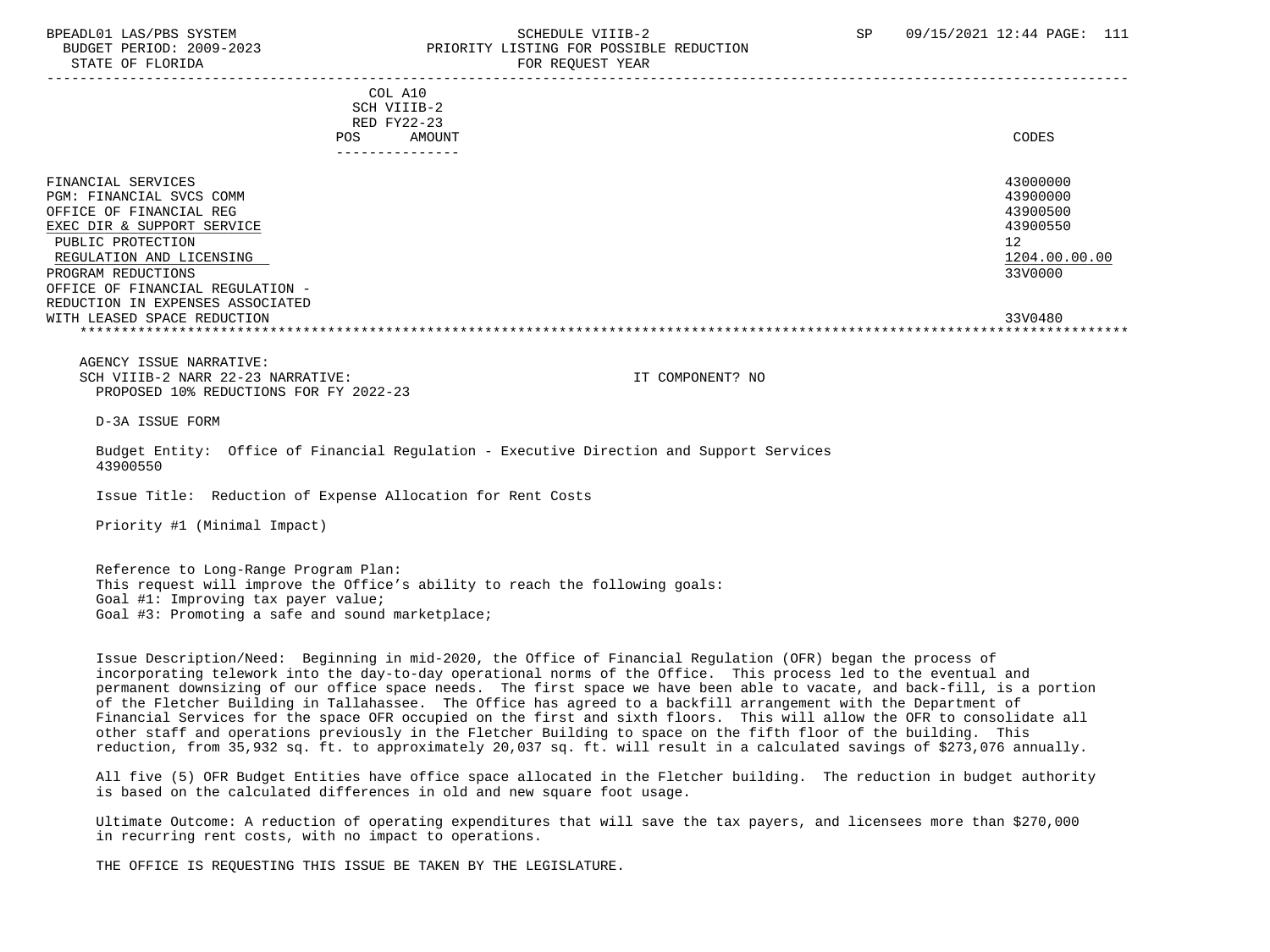## BPEADL01 LAS/PBS SYSTEM SALL SALL SOMEDULE VIIIB-2 SP 09/15/2021 12:44 PAGE: 111 BUDGET PERIOD: 2009-2023 PRIORITY LISTING FOR POSSIBLE REDUCTION

| COL A10<br>SCH VIIIB-2<br>RED FY22-23                                                                                                                                                                              |                                                                                |
|--------------------------------------------------------------------------------------------------------------------------------------------------------------------------------------------------------------------|--------------------------------------------------------------------------------|
| AMOUNT<br><b>POS</b>                                                                                                                                                                                               | CODES                                                                          |
| ---------------                                                                                                                                                                                                    |                                                                                |
| FINANCIAL SERVICES<br>PGM: FINANCIAL SVCS COMM<br>OFFICE OF FINANCIAL REG<br>EXEC DIR & SUPPORT SERVICE<br>PUBLIC PROTECTION<br>REGULATION AND LICENSING<br>PROGRAM REDUCTIONS<br>OFFICE OF FINANCIAL REGULATION - | 43000000<br>43900000<br>43900500<br>43900550<br>12<br>1204.00.00.00<br>33V0000 |
| REDUCTION IN EXPENSES ASSOCIATED<br>WITH LEASED SPACE REDUCTION                                                                                                                                                    | 33V0480                                                                        |
|                                                                                                                                                                                                                    |                                                                                |
|                                                                                                                                                                                                                    |                                                                                |

 AGENCY ISSUE NARRATIVE: SCH VIIIB-2 NARR 22-23 NARRATIVE: IT COMPONENT? NO PROPOSED 10% REDUCTIONS FOR FY 2022-23

D-3A ISSUE FORM

 Budget Entity: Office of Financial Regulation - Executive Direction and Support Services 43900550

Issue Title: Reduction of Expense Allocation for Rent Costs

Priority #1 (Minimal Impact)

 Reference to Long-Range Program Plan: This request will improve the Office's ability to reach the following goals: Goal #1: Improving tax payer value; Goal #3: Promoting a safe and sound marketplace;

 Issue Description/Need: Beginning in mid-2020, the Office of Financial Regulation (OFR) began the process of incorporating telework into the day-to-day operational norms of the Office. This process led to the eventual and permanent downsizing of our office space needs. The first space we have been able to vacate, and back-fill, is a portion of the Fletcher Building in Tallahassee. The Office has agreed to a backfill arrangement with the Department of Financial Services for the space OFR occupied on the first and sixth floors. This will allow the OFR to consolidate all other staff and operations previously in the Fletcher Building to space on the fifth floor of the building. This reduction, from 35,932 sq. ft. to approximately 20,037 sq. ft. will result in a calculated savings of \$273,076 annually.

 All five (5) OFR Budget Entities have office space allocated in the Fletcher building. The reduction in budget authority is based on the calculated differences in old and new square foot usage.

 Ultimate Outcome: A reduction of operating expenditures that will save the tax payers, and licensees more than \$270,000 in recurring rent costs, with no impact to operations.

THE OFFICE IS REQUESTING THIS ISSUE BE TAKEN BY THE LEGISLATURE.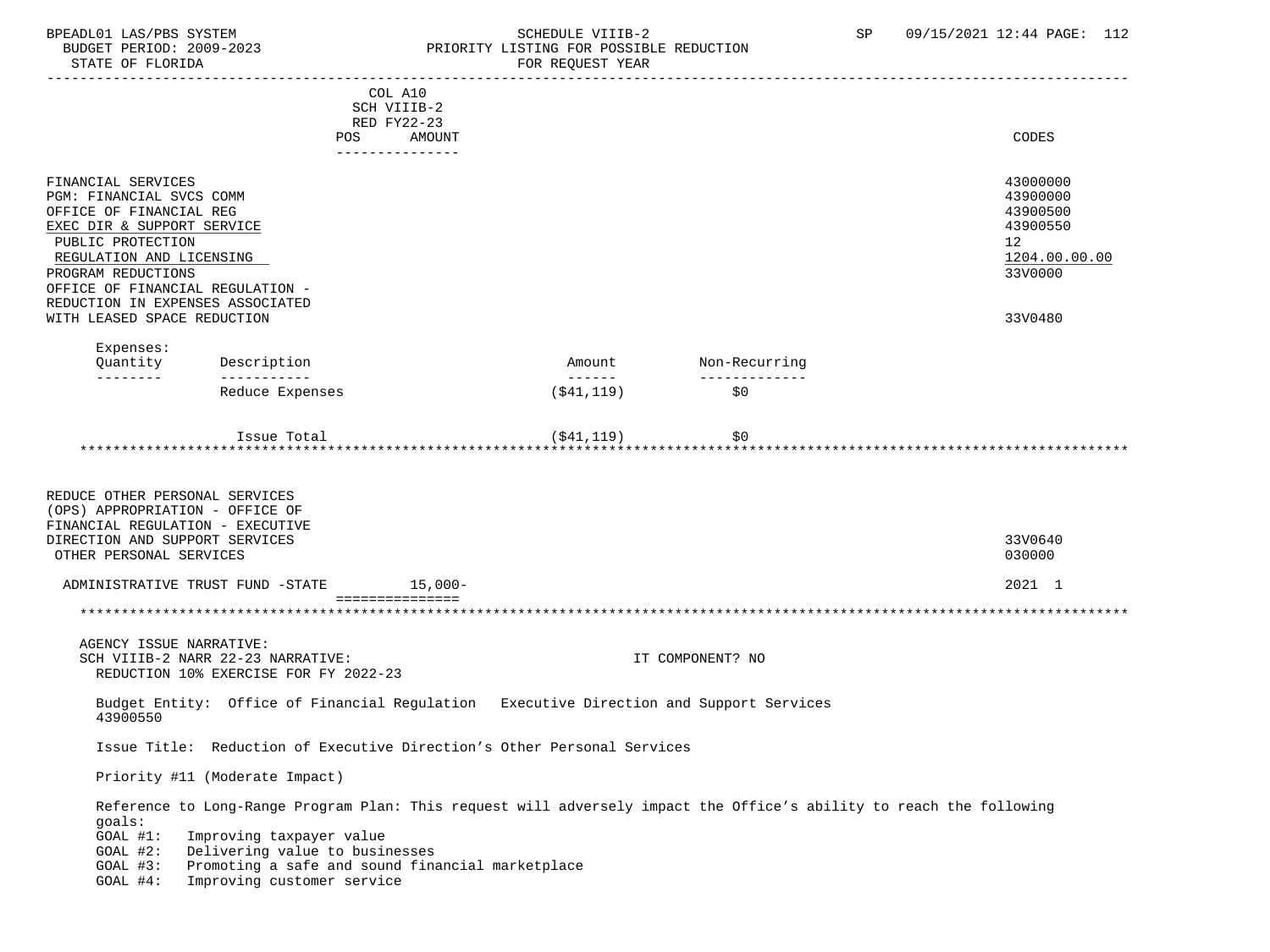## BPEADL01 LAS/PBS SYSTEM SALL SALL SCHEDULE VIIIB-2 SP 09/15/2021 12:44 PAGE: 112 BUDGET PERIOD: 2009-2023 PRIORITY LISTING FOR POSSIBLE REDUCTION

 ----------------------------------------------------------------------------------------------------------------------------------- COL A10 SCH VIIIB-2 RED FY22-23 POS AMOUNT NOTES AND AND A RESERVE AND A RESERVE AND LODGED AND LODGED AND LODGED AND LODGED AND LODGED AND LODGED AT A LODGED AND LODGED AT A LODGED AND LODGED AT A LODGED AND LODGED AT A LODGED AND LODGED AT A LODGED AND --------------- FINANCIAL SERVICES 43000000 PGM: FINANCIAL SVCS COMM 43900000<br>OFFICE OF FINANCIAL REG 43900500 OFFICE OF FINANCIAL REG 43900500<br>EXEC DIR & SUPPORT SERVICE 43900550 EXEC DIR & SUPPORT SERVICE 439<br>
PIRLIC PROTECTION PUBLIC PROTECTION 12 REGULATION AND LICENSING PROGRAM REDUCTIONS 33V0000 OFFICE OF FINANCIAL REGULATION - REDUCTION IN EXPENSES ASSOCIATED WITH LEASED SPACE REDUCTION 33V0480 Expenses: Quantity Description and Amount Non-Recurring Description and Amount Non-Recurring -------- ----------- ------ -------------  $Reduce$  Expenses  $(§41,119)$  $I$ ssue Total  $(341, 119)$   $50$  \*\*\*\*\*\*\*\*\*\*\*\*\*\*\*\*\*\*\*\*\*\*\*\*\*\*\*\*\*\*\*\*\*\*\*\*\*\*\*\*\*\*\*\*\*\*\*\*\*\*\*\*\*\*\*\*\*\*\*\*\*\*\*\*\*\*\*\*\*\*\*\*\*\*\*\*\*\*\*\*\*\*\*\*\*\*\*\*\*\*\*\*\*\*\*\*\*\*\*\*\*\*\*\*\*\*\*\*\*\*\*\*\*\*\*\*\*\*\*\*\*\*\*\*\*\*\* REDUCE OTHER PERSONAL SERVICES (OPS) APPROPRIATION - OFFICE OF FINANCIAL REGULATION - EXECUTIVE DIRECTION AND SUPPORT SERVICES 33V0640 OTHER PERSONAL SERVICES 030000 ADMINISTRATIVE TRUST FUND -STATE 15,000- 15,000- 2021 1 ================== \*\*\*\*\*\*\*\*\*\*\*\*\*\*\*\*\*\*\*\*\*\*\*\*\*\*\*\*\*\*\*\*\*\*\*\*\*\*\*\*\*\*\*\*\*\*\*\*\*\*\*\*\*\*\*\*\*\*\*\*\*\*\*\*\*\*\*\*\*\*\*\*\*\*\*\*\*\*\*\*\*\*\*\*\*\*\*\*\*\*\*\*\*\*\*\*\*\*\*\*\*\*\*\*\*\*\*\*\*\*\*\*\*\*\*\*\*\*\*\*\*\*\*\*\*\*\* AGENCY ISSUE NARRATIVE: SCH VIIIB-2 NARR 22-23 NARRATIVE: IT COMPONENT? NO REDUCTION 10% EXERCISE FOR FY 2022-23 Budget Entity: Office of Financial Regulation Executive Direction and Support Services 43900550 Issue Title: Reduction of Executive Direction's Other Personal Services Priority #11 (Moderate Impact) Reference to Long-Range Program Plan: This request will adversely impact the Office's ability to reach the following goals: GOAL #1: Improving taxpayer value GOAL #2: Delivering value to businesses GOAL #3: Promoting a safe and sound financial marketplace GOAL #4: Improving customer service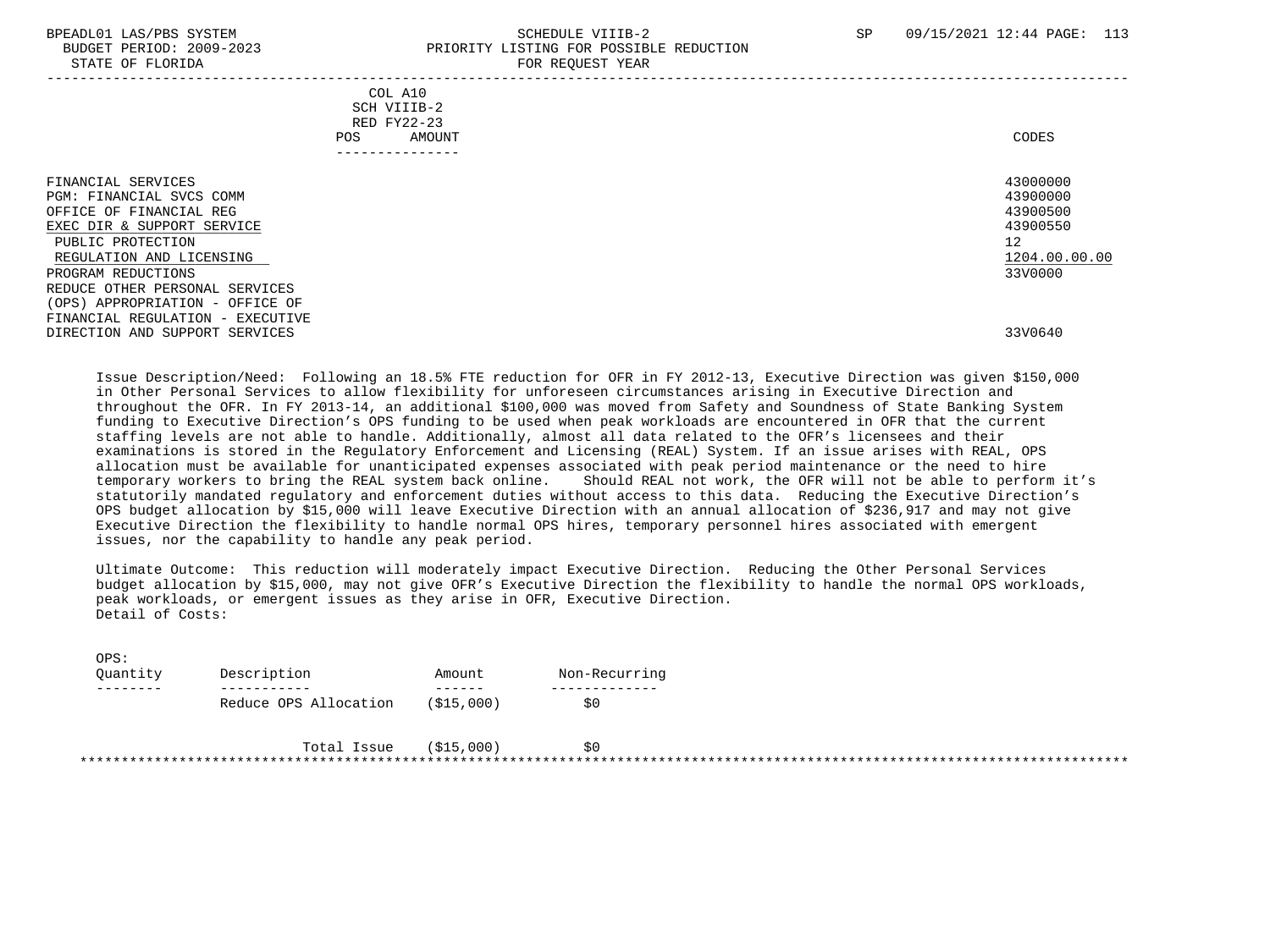$\sim$ 

#### BPEADL01 LAS/PBS SYSTEM SALL SALL SOMEDULE VIIIB-2 SP 09/15/2021 12:44 PAGE: 113 BUDGET PERIOD: 2009-2023 PRIORITY LISTING FOR POSSIBLE REDUCTION STATE OF FLORIDA **FOR REQUEST YEAR**

|                                                                                                                                                                                                                                                                                                                           | COL A10<br>SCH VIIIB-2<br>RED FY22-23<br>AMOUNT<br>POS.<br>-------------- | CODES                    |                                                               |
|---------------------------------------------------------------------------------------------------------------------------------------------------------------------------------------------------------------------------------------------------------------------------------------------------------------------------|---------------------------------------------------------------------------|--------------------------|---------------------------------------------------------------|
| FINANCIAL SERVICES<br>PGM: FINANCIAL SVCS COMM<br>OFFICE OF FINANCIAL REG<br>EXEC DIR & SUPPORT SERVICE<br>PUBLIC PROTECTION<br>REGULATION AND LICENSING<br>PROGRAM REDUCTIONS<br>REDUCE OTHER PERSONAL SERVICES<br>(OPS) APPROPRIATION - OFFICE OF<br>FINANCIAL REGULATION - EXECUTIVE<br>DIRECTION AND SUPPORT SERVICES |                                                                           | 12<br>33V0000<br>33V0640 | 43000000<br>43900000<br>43900500<br>43900550<br>1204.00.00.00 |

 Issue Description/Need: Following an 18.5% FTE reduction for OFR in FY 2012-13, Executive Direction was given \$150,000 in Other Personal Services to allow flexibility for unforeseen circumstances arising in Executive Direction and throughout the OFR. In FY 2013-14, an additional \$100,000 was moved from Safety and Soundness of State Banking System funding to Executive Direction's OPS funding to be used when peak workloads are encountered in OFR that the current staffing levels are not able to handle. Additionally, almost all data related to the OFR's licensees and their examinations is stored in the Regulatory Enforcement and Licensing (REAL) System. If an issue arises with REAL, OPS allocation must be available for unanticipated expenses associated with peak period maintenance or the need to hire temporary workers to bring the REAL system back online. Should REAL not work, the OFR will not be able to perform it's statutorily mandated regulatory and enforcement duties without access to this data. Reducing the Executive Direction's OPS budget allocation by \$15,000 will leave Executive Direction with an annual allocation of \$236,917 and may not give Executive Direction the flexibility to handle normal OPS hires, temporary personnel hires associated with emergent issues, nor the capability to handle any peak period.

 Ultimate Outcome: This reduction will moderately impact Executive Direction. Reducing the Other Personal Services budget allocation by \$15,000, may not give OFR's Executive Direction the flexibility to handle the normal OPS workloads, peak workloads, or emergent issues as they arise in OFR, Executive Direction. Detail of Costs:

| urd •<br>Ouantity | Description           | Amount     | Non-Recurring |  |
|-------------------|-----------------------|------------|---------------|--|
| -----             |                       |            |               |  |
|                   | Reduce OPS Allocation | (\$15,000) | S0            |  |
|                   |                       |            |               |  |
|                   | Total Issue           | (\$15,000) | S0            |  |
|                   |                       |            |               |  |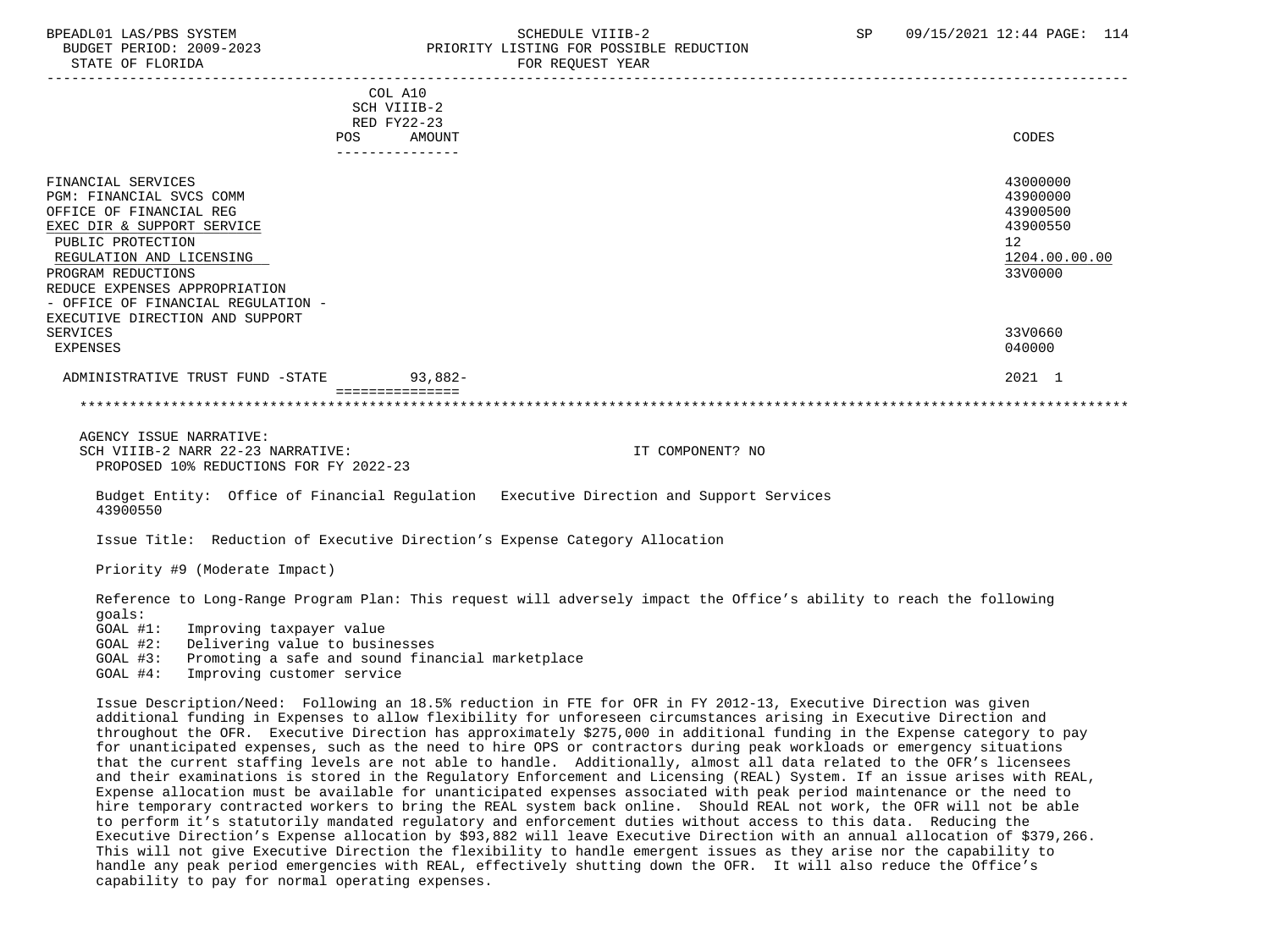## BPEADL01 LAS/PBS SYSTEM SALL SALL SOMEDULE VIIIB-2 SP 09/15/2021 12:44 PAGE: 114 BUDGET PERIOD: 2009-2023 PRIORITY LISTING FOR POSSIBLE REDUCTION

|                                    |             | COL A10     |               |
|------------------------------------|-------------|-------------|---------------|
|                                    |             | SCH VIIIB-2 |               |
|                                    | RED FY22-23 |             |               |
|                                    | <b>POS</b>  | AMOUNT      | <b>CODES</b>  |
|                                    |             |             |               |
| FINANCIAL SERVICES                 |             |             | 43000000      |
| PGM: FINANCIAL SVCS COMM           |             |             | 43900000      |
| OFFICE OF FINANCIAL REG            |             |             | 43900500      |
| EXEC DIR & SUPPORT SERVICE         |             |             | 43900550      |
| PUBLIC PROTECTION                  |             |             | 12            |
| REGULATION AND LICENSING           |             |             | 1204.00.00.00 |
| PROGRAM REDUCTIONS                 |             |             | 33V0000       |
| REDUCE EXPENSES APPROPRIATION      |             |             |               |
| - OFFICE OF FINANCIAL REGULATION - |             |             |               |
| EXECUTIVE DIRECTION AND SUPPORT    |             |             |               |
| SERVICES                           |             |             | 33V0660       |
| EXPENSES                           |             |             | 040000        |
| ADMINISTRATIVE TRUST FUND -STATE   |             | $93,882-$   | 2021 1        |
|                                    |             |             |               |

 AGENCY ISSUE NARRATIVE: SCH VIIIB-2 NARR 22-23 NARRATIVE: IT COMPONENT? NO PROPOSED 10% REDUCTIONS FOR FY 2022-23

 Budget Entity: Office of Financial Regulation Executive Direction and Support Services 43900550

Issue Title: Reduction of Executive Direction's Expense Category Allocation

Priority #9 (Moderate Impact)

 Reference to Long-Range Program Plan: This request will adversely impact the Office's ability to reach the following goals:

GOAL #1: Improving taxpayer value

GOAL #2: Delivering value to businesses<br>GOAL #3: Promoting a safe and sound fine

Promoting a safe and sound financial marketplace

GOAL #4: Improving customer service

 Issue Description/Need: Following an 18.5% reduction in FTE for OFR in FY 2012-13, Executive Direction was given additional funding in Expenses to allow flexibility for unforeseen circumstances arising in Executive Direction and throughout the OFR. Executive Direction has approximately \$275,000 in additional funding in the Expense category to pay for unanticipated expenses, such as the need to hire OPS or contractors during peak workloads or emergency situations that the current staffing levels are not able to handle. Additionally, almost all data related to the OFR's licensees and their examinations is stored in the Regulatory Enforcement and Licensing (REAL) System. If an issue arises with REAL, Expense allocation must be available for unanticipated expenses associated with peak period maintenance or the need to hire temporary contracted workers to bring the REAL system back online. Should REAL not work, the OFR will not be able to perform it's statutorily mandated regulatory and enforcement duties without access to this data. Reducing the Executive Direction's Expense allocation by \$93,882 will leave Executive Direction with an annual allocation of \$379,266. This will not give Executive Direction the flexibility to handle emergent issues as they arise nor the capability to handle any peak period emergencies with REAL, effectively shutting down the OFR. It will also reduce the Office's capability to pay for normal operating expenses.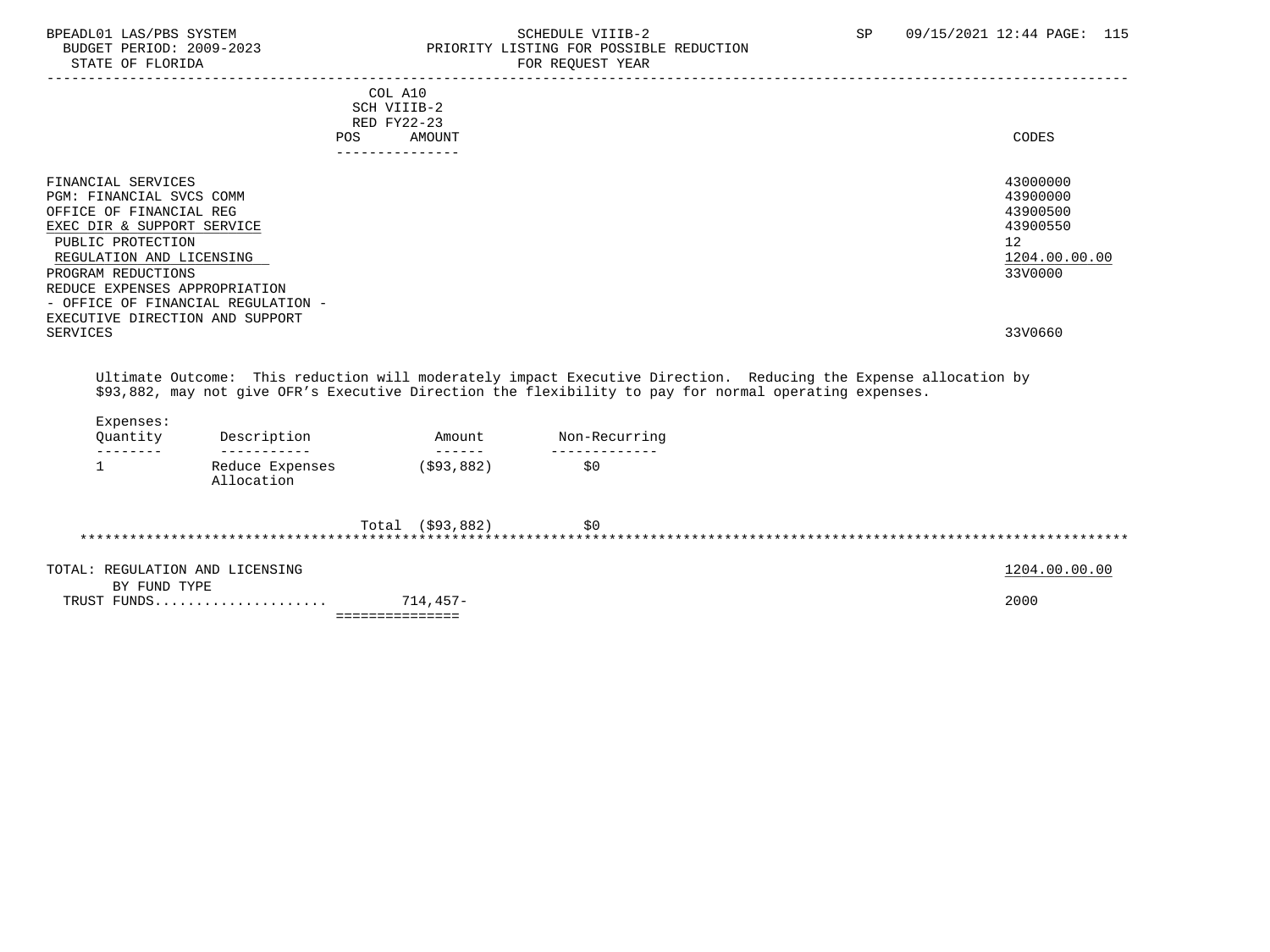STATE OF FLORIDA

# BPEADL01 LAS/PBS SYSTEM SOHEDULE VIIIB-2 SCHEDULE VIIIB-2 SP 09/15/2021 12:44 PAGE: 115 PRIORITY LISTING FOR POSSIBLE REDUCTION<br>FOR REQUEST YEAR

|                                                                                                                                                                                                                                                                                          |                               | COL A10<br>SCH VIIIB-2<br>RED FY22-23<br><b>POS</b> | <b>AMOUNT</b>                                                                                                                                                                                                                                                                                                                                                                                                                                                                                    |               |                                                                                                                                                                                                                           | CODES                                                                          |
|------------------------------------------------------------------------------------------------------------------------------------------------------------------------------------------------------------------------------------------------------------------------------------------|-------------------------------|-----------------------------------------------------|--------------------------------------------------------------------------------------------------------------------------------------------------------------------------------------------------------------------------------------------------------------------------------------------------------------------------------------------------------------------------------------------------------------------------------------------------------------------------------------------------|---------------|---------------------------------------------------------------------------------------------------------------------------------------------------------------------------------------------------------------------------|--------------------------------------------------------------------------------|
|                                                                                                                                                                                                                                                                                          |                               | ---------------                                     |                                                                                                                                                                                                                                                                                                                                                                                                                                                                                                  |               |                                                                                                                                                                                                                           |                                                                                |
| FINANCIAL SERVICES<br>PGM: FINANCIAL SVCS COMM<br>OFFICE OF FINANCIAL REG<br>EXEC DIR & SUPPORT SERVICE<br>PUBLIC PROTECTION<br>REGULATION AND LICENSING<br>PROGRAM REDUCTIONS<br>REDUCE EXPENSES APPROPRIATION<br>- OFFICE OF FINANCIAL REGULATION -<br>EXECUTIVE DIRECTION AND SUPPORT |                               |                                                     |                                                                                                                                                                                                                                                                                                                                                                                                                                                                                                  |               |                                                                                                                                                                                                                           | 43000000<br>43900000<br>43900500<br>43900550<br>12<br>1204.00.00.00<br>33V0000 |
| <b>SERVICES</b>                                                                                                                                                                                                                                                                          |                               |                                                     |                                                                                                                                                                                                                                                                                                                                                                                                                                                                                                  |               |                                                                                                                                                                                                                           | 33V0660                                                                        |
| Expenses:<br>Quantity<br>--------                                                                                                                                                                                                                                                        | Description<br>-----------    |                                                     | Amount<br>$\begin{array}{cccccccccc} \multicolumn{2}{c}{} & \multicolumn{2}{c}{} & \multicolumn{2}{c}{} & \multicolumn{2}{c}{} & \multicolumn{2}{c}{} & \multicolumn{2}{c}{} & \multicolumn{2}{c}{} & \multicolumn{2}{c}{} & \multicolumn{2}{c}{} & \multicolumn{2}{c}{} & \multicolumn{2}{c}{} & \multicolumn{2}{c}{} & \multicolumn{2}{c}{} & \multicolumn{2}{c}{} & \multicolumn{2}{c}{} & \multicolumn{2}{c}{} & \multicolumn{2}{c}{} & \multicolumn{2}{c}{} & \multicolumn{2}{c}{} & \mult$ | Non-Recurring | Ultimate Outcome: This reduction will moderately impact Executive Direction. Reducing the Expense allocation by<br>\$93,882, may not give OFR's Executive Direction the flexibility to pay for normal operating expenses. |                                                                                |
| 1                                                                                                                                                                                                                                                                                        | Reduce Expenses<br>Allocation |                                                     | ( \$93, 882)                                                                                                                                                                                                                                                                                                                                                                                                                                                                                     | \$0           |                                                                                                                                                                                                                           |                                                                                |
|                                                                                                                                                                                                                                                                                          |                               |                                                     | Total (\$93,882)                                                                                                                                                                                                                                                                                                                                                                                                                                                                                 | \$0           |                                                                                                                                                                                                                           |                                                                                |
|                                                                                                                                                                                                                                                                                          |                               |                                                     |                                                                                                                                                                                                                                                                                                                                                                                                                                                                                                  |               |                                                                                                                                                                                                                           |                                                                                |

|                                      | ______________<br>--------------- |               |
|--------------------------------------|-----------------------------------|---------------|
| TRIIST FINDS<br>.                    | 714,457-                          | 2000          |
| FUND TYPE<br>BY.                     |                                   |               |
| TOTAL.<br>: REGULATION AND LICENSING |                                   | 1204.00.00.00 |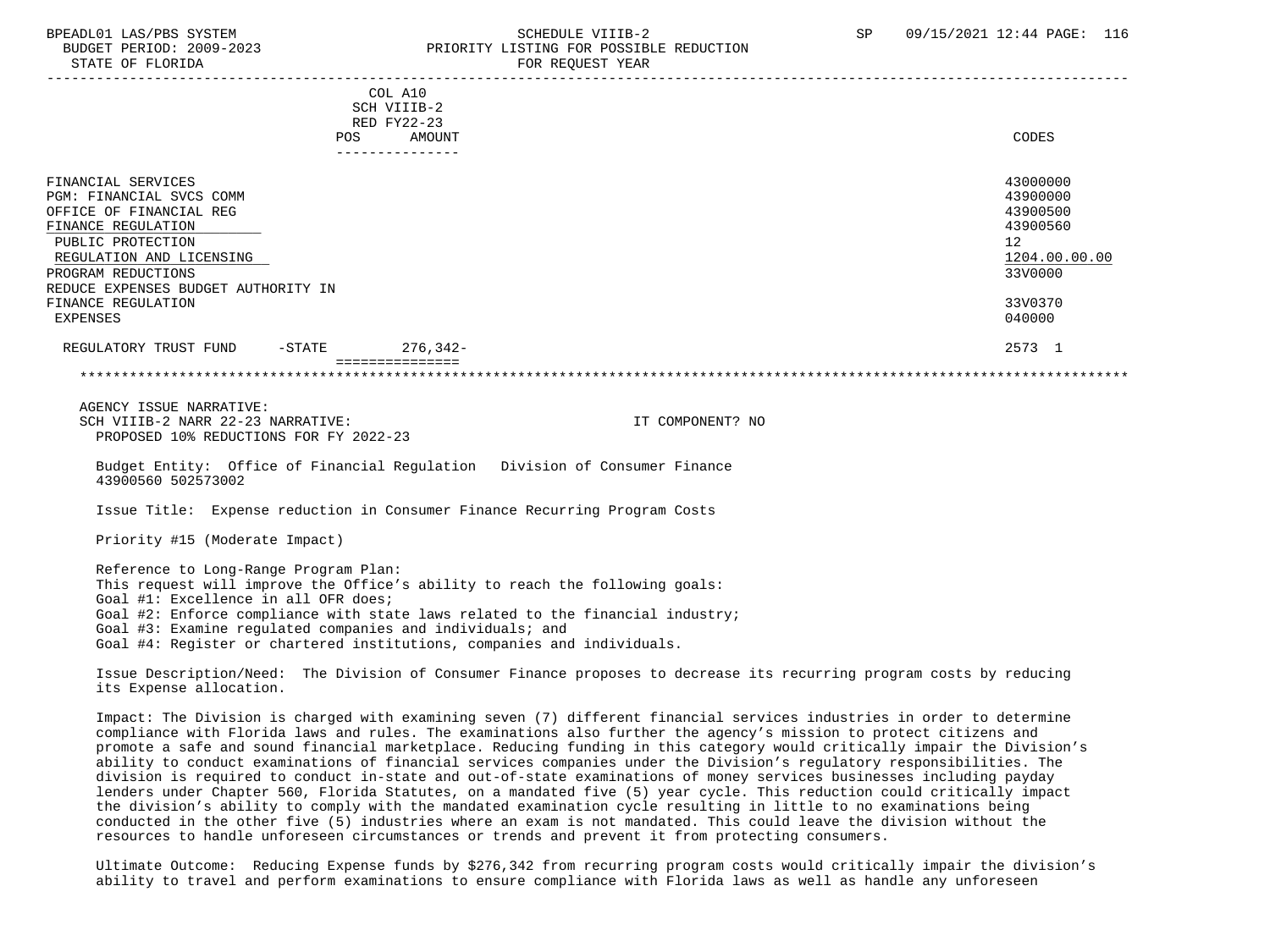### BPEADL01 LAS/PBS SYSTEM SALL SALL SOMEDULE VIIIB-2 SP 09/15/2021 12:44 PAGE: 116 BUDGET PERIOD: 2009-2023 PRIORITY LISTING FOR POSSIBLE REDUCTION STATE OF FLORIDA FOR REQUEST YEAR FOR REQUEST YEAR

| COL A10                                                                    |                  |  |
|----------------------------------------------------------------------------|------------------|--|
| SCH VIIIB-2                                                                |                  |  |
| RED FY22-23                                                                |                  |  |
| <b>AMOUNT</b><br>POS                                                       | CODES            |  |
|                                                                            |                  |  |
| FINANCIAL SERVICES                                                         | 43000000         |  |
| PGM: FINANCIAL SVCS COMM                                                   | 43900000         |  |
| OFFICE OF FINANCIAL REG                                                    | 43900500         |  |
| FINANCE REGULATION                                                         | 43900560         |  |
| PUBLIC PROTECTION                                                          | 12               |  |
| REGULATION AND LICENSING                                                   | 1204.00.00.00    |  |
| PROGRAM REDUCTIONS                                                         | 33V0000          |  |
| REDUCE EXPENSES BUDGET AUTHORITY IN                                        |                  |  |
| FINANCE REGULATION                                                         | 33V0370          |  |
| EXPENSES                                                                   | 040000           |  |
|                                                                            |                  |  |
| 276,342-<br>REGULATORY TRUST FUND<br>$-\mathtt{STATE}$                     | 2573 1           |  |
|                                                                            |                  |  |
|                                                                            |                  |  |
| AGENCY ISSUE NARRATIVE:                                                    |                  |  |
| SCH VIIIB-2 NARR 22-23 NARRATIVE:                                          | IT COMPONENT? NO |  |
| PROPOSED 10% REDUCTIONS FOR FY 2022-23                                     |                  |  |
|                                                                            |                  |  |
| Budget Entity: Office of Financial Regulation Division of Consumer Finance |                  |  |
| 43900560 502573002                                                         |                  |  |

Issue Title: Expense reduction in Consumer Finance Recurring Program Costs

Priority #15 (Moderate Impact)

 Reference to Long-Range Program Plan: This request will improve the Office's ability to reach the following goals: Goal #1: Excellence in all OFR does; Goal #2: Enforce compliance with state laws related to the financial industry; Goal #3: Examine regulated companies and individuals; and Goal #4: Register or chartered institutions, companies and individuals.

 Issue Description/Need: The Division of Consumer Finance proposes to decrease its recurring program costs by reducing its Expense allocation.

 Impact: The Division is charged with examining seven (7) different financial services industries in order to determine compliance with Florida laws and rules. The examinations also further the agency's mission to protect citizens and promote a safe and sound financial marketplace. Reducing funding in this category would critically impair the Division's ability to conduct examinations of financial services companies under the Division's regulatory responsibilities. The division is required to conduct in-state and out-of-state examinations of money services businesses including payday lenders under Chapter 560, Florida Statutes, on a mandated five (5) year cycle. This reduction could critically impact the division's ability to comply with the mandated examination cycle resulting in little to no examinations being conducted in the other five (5) industries where an exam is not mandated. This could leave the division without the resources to handle unforeseen circumstances or trends and prevent it from protecting consumers.

 Ultimate Outcome: Reducing Expense funds by \$276,342 from recurring program costs would critically impair the division's ability to travel and perform examinations to ensure compliance with Florida laws as well as handle any unforeseen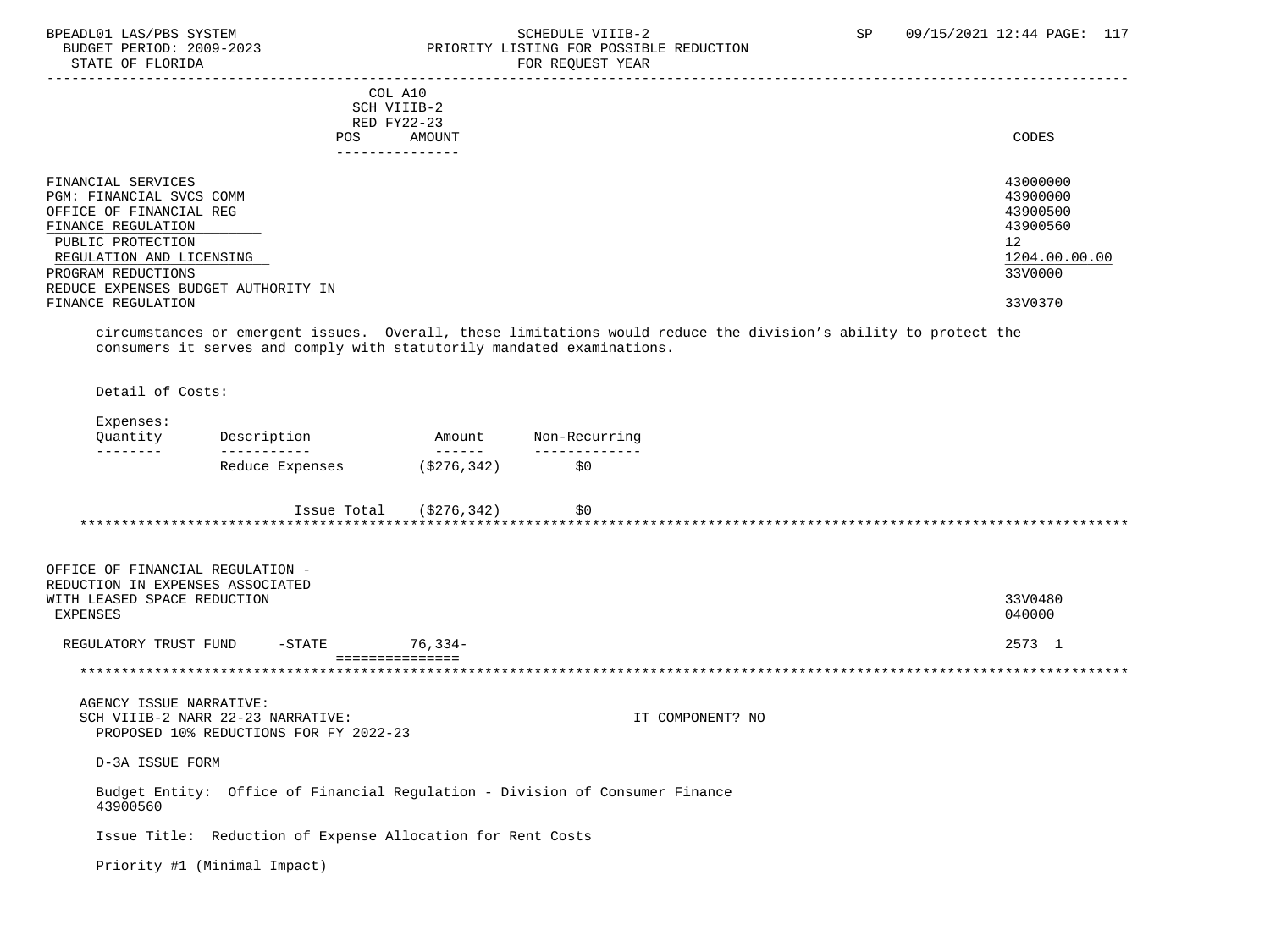### BPEADL01 LAS/PBS SYSTEM STREM SCHEDULE VIIIB-2 SCHEDULE VIIIB-2 SP 09/15/2021 12:44 PAGE: 117 BUDGET PERIOD: 2009-2023 PRIORITY LISTING FOR POSSIBLE REDUCTION<br>FOR REQUEST YEAR FOR REQUEST YEAR

| <b>POS</b>                          | COL A10<br>SCH VIIIB-2<br>RED FY22-23<br>AMOUNT                                                                 | CODES         |
|-------------------------------------|-----------------------------------------------------------------------------------------------------------------|---------------|
|                                     | -------------                                                                                                   |               |
| FINANCIAL SERVICES                  |                                                                                                                 | 43000000      |
| PGM: FINANCIAL SVCS COMM            |                                                                                                                 | 43900000      |
| OFFICE OF FINANCIAL REG             |                                                                                                                 | 43900500      |
| FINANCE REGULATION                  |                                                                                                                 | 43900560      |
| PUBLIC PROTECTION                   |                                                                                                                 | 12            |
| REGULATION AND LICENSING            |                                                                                                                 | 1204.00.00.00 |
| PROGRAM REDUCTIONS                  |                                                                                                                 | 33V0000       |
| REDUCE EXPENSES BUDGET AUTHORITY IN |                                                                                                                 |               |
| FINANCE REGULATION                  |                                                                                                                 | 33V0370       |
|                                     | circumstances or emergent issues. Overall, these limitations would reduce the division's ability to protect the |               |

cumstances or emergent issues.  $\,$  overall, these limitations would reduce the division's ability to protect consumers it serves and comply with statutorily mandated examinations.

Detail of Costs:

OFFICE OF FINANCIAL REGULATION -

### Expenses:

| Ouantitv | Description     | Amount                 | Non-Recurring |
|----------|-----------------|------------------------|---------------|
| ________ | ___________     | ______                 | ------------- |
|          | Reduce Expenses | 5276.342) <sup>'</sup> | SO.           |

| Issue Total | (S276, 342) | S0 |  |
|-------------|-------------|----|--|
|             |             |    |  |

| REGULATORY TRUST FUND            | $-$ STATE | $76.334-$ | 2573 1  |
|----------------------------------|-----------|-----------|---------|
| EXPENSES                         |           |           | 040000  |
| WITH LEASED SPACE REDUCTION      |           |           | 33V0480 |
| REDUCTION IN EXPENSES ASSOCIATED |           |           |         |
| OFFICE OF FINANCIAL REGULATION - |           |           |         |

\*\*\*\*\*\*\*\*\*\*\*\*\*\*\*\*\*\*\*\*\*\*\*\*\*\*\*\*\*\*\*\*\*\*\*\*\*\*\*\*\*\*\*\*\*\*\*\*\*\*\*\*\*\*\*\*\*\*\*\*\*\*\*\*\*\*\*\*\*\*\*\*\*\*\*\*\*\*\*\*\*\*\*\*\*\*\*\*\*\*\*\*\*\*\*\*\*\*\*\*\*\*\*\*\*\*\*\*\*\*\*\*\*\*\*\*\*\*\*\*\*\*\*\*\*\*\*

 AGENCY ISSUE NARRATIVE: SCH VIIIB-2 NARR 22-23 NARRATIVE: IT COMPONENT? NO PROPOSED 10% REDUCTIONS FOR FY 2022-23

D-3A ISSUE FORM

 Budget Entity: Office of Financial Regulation - Division of Consumer Finance 43900560

Issue Title: Reduction of Expense Allocation for Rent Costs

Priority #1 (Minimal Impact)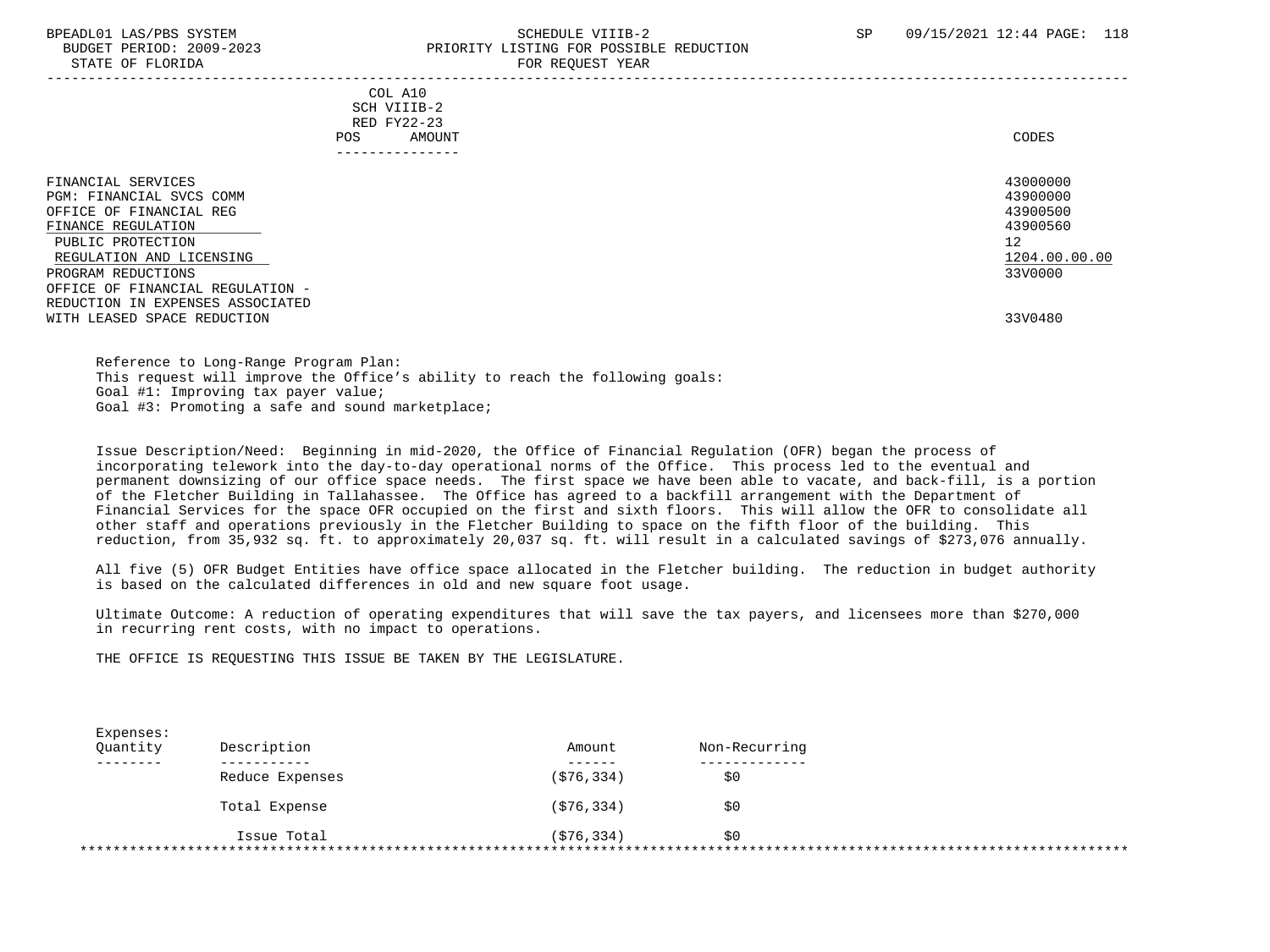### BPEADL01 LAS/PBS SYSTEM SALL SALL SOMEDULE VIIIB-2 SP 09/15/2021 12:44 PAGE: 118 BUDGET PERIOD: 2009-2023 PRIORITY LISTING FOR POSSIBLE REDUCTION STATE OF FLORIDA FOR REQUEST YEAR FOR REQUEST YEAR

 COL A10 SCH VIIIB-2 RED FY22-23 POS AMOUNT NOTES AND AND A RESERVE AND A RESERVE AND LODGED AND LODGED AND LODGED AND LODGED AND LODGED AND LODGED AT A LODGED AND LODGED AT A LODGED AND LODGED AT A LODGED AND LODGED AT A LODGED AND LODGED AT A LODGED AND ---------------

| FINANCIAL SERVICES<br>PGM: FINANCIAL SVCS COMM<br>OFFICE OF FINANCIAL REG<br>FINANCE REGULATION<br>PUBLIC PROTECTION<br>REGULATION AND LICENSING<br>PROGRAM REDUCTIONS<br>OFFICE OF FINANCIAL REGULATION -<br>REDUCTION IN EXPENSES ASSOCIATED | 43000000<br>43900000<br>43900500<br>43900560<br>12<br>1204.00.00.00<br>33V0000 |
|------------------------------------------------------------------------------------------------------------------------------------------------------------------------------------------------------------------------------------------------|--------------------------------------------------------------------------------|
| WITH LEASED SPACE REDUCTION                                                                                                                                                                                                                    | 33V0480                                                                        |

 Reference to Long-Range Program Plan: This request will improve the Office's ability to reach the following goals: Goal #1: Improving tax payer value; Goal #3: Promoting a safe and sound marketplace;

 Issue Description/Need: Beginning in mid-2020, the Office of Financial Regulation (OFR) began the process of incorporating telework into the day-to-day operational norms of the Office. This process led to the eventual and permanent downsizing of our office space needs. The first space we have been able to vacate, and back-fill, is a portion of the Fletcher Building in Tallahassee. The Office has agreed to a backfill arrangement with the Department of Financial Services for the space OFR occupied on the first and sixth floors. This will allow the OFR to consolidate all other staff and operations previously in the Fletcher Building to space on the fifth floor of the building. This reduction, from 35,932 sq. ft. to approximately 20,037 sq. ft. will result in a calculated savings of \$273,076 annually.

 All five (5) OFR Budget Entities have office space allocated in the Fletcher building. The reduction in budget authority is based on the calculated differences in old and new square foot usage.

 Ultimate Outcome: A reduction of operating expenditures that will save the tax payers, and licensees more than \$270,000 in recurring rent costs, with no impact to operations.

THE OFFICE IS REQUESTING THIS ISSUE BE TAKEN BY THE LEGISLATURE.

| Quantity | Description     | Amount     | Non-Recurring |
|----------|-----------------|------------|---------------|
|          |                 | (S76, 334) |               |
|          | Reduce Expenses |            | \$0           |
|          | Total Expense   | (S76, 334) | \$0           |
|          |                 |            |               |
|          | Issue Total     | (576, 334) | \$0           |

-----------------------------------------------------------------------------------------------------------------------------------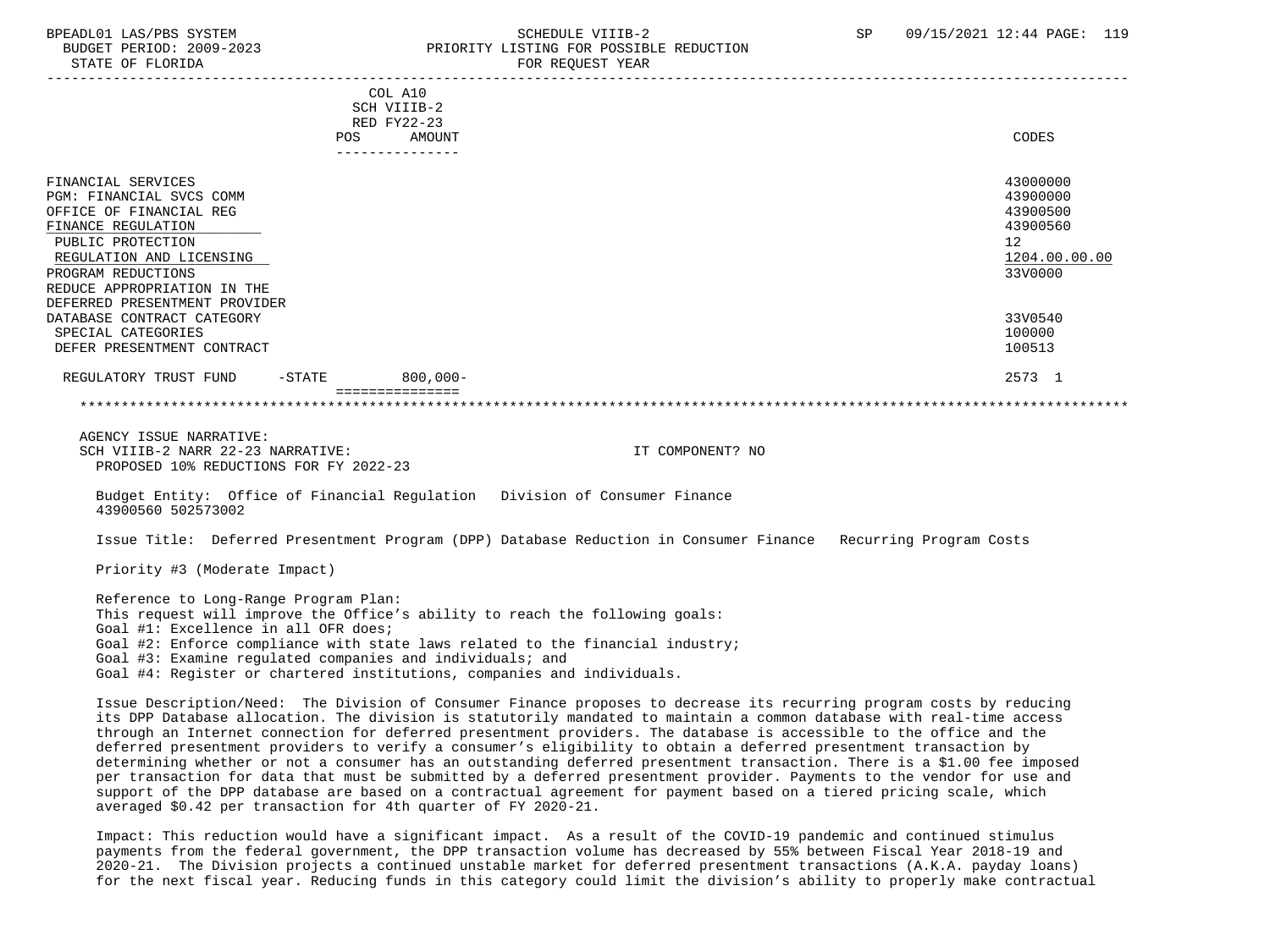STATE OF FLORIDA FOR STATE OF STATE OF STATE OF STATE OF STATE OF STATE OF STATE OF STATE OF STATE OF STATE OF STATE OF STATE OF STATE OF STATE OF STATE OF STATE OF STATE OF STATE OF STATE OF STATE OF STATE OF STATE OF STA

### BPEADL01 LAS/PBS SYSTEM SALL SALL SOMEDULE VIIIB-2 SP 09/15/2021 12:44 PAGE: 119 BUDGET PERIOD: 2009-2023 PRIORITY LISTING FOR POSSIBLE REDUCTION

| POS                                                                                                                                                                                                                                    | COL A10<br>SCH VIIIB-2<br>RED FY22-23<br>AMOUNT | CODES                                                                          |
|----------------------------------------------------------------------------------------------------------------------------------------------------------------------------------------------------------------------------------------|-------------------------------------------------|--------------------------------------------------------------------------------|
|                                                                                                                                                                                                                                        | ---------------                                 |                                                                                |
| FINANCIAL SERVICES<br>PGM: FINANCIAL SVCS COMM<br>OFFICE OF FINANCIAL REG<br>FINANCE REGULATION<br>PUBLIC PROTECTION<br>REGULATION AND LICENSING<br>PROGRAM REDUCTIONS<br>REDUCE APPROPRIATION IN THE<br>DEFERRED PRESENTMENT PROVIDER |                                                 | 43000000<br>43900000<br>43900500<br>43900560<br>12<br>1204.00.00.00<br>33V0000 |
| DATABASE CONTRACT CATEGORY<br>SPECIAL CATEGORIES<br>DEFER PRESENTMENT CONTRACT                                                                                                                                                         |                                                 | 33V0540<br>100000<br>100513                                                    |
| REGULATORY TRUST FUND<br>$-$ STATE                                                                                                                                                                                                     | $800,000 -$<br>===============                  | 2573 1                                                                         |

#### \*\*\*\*\*\*\*\*\*\*\*\*\*\*\*\*\*\*\*\*\*\*\*\*\*\*\*\*\*\*\*\*\*\*\*\*\*\*\*\*\*\*\*\*\*\*\*\*\*\*\*\*\*\*\*\*\*\*\*\*\*\*\*\*\*\*\*\*\*\*\*\*\*\*\*\*\*\*\*\*\*\*\*\*\*\*\*\*\*\*\*\*\*\*\*\*\*\*\*\*\*\*\*\*\*\*\*\*\*\*\*\*\*\*\*\*\*\*\*\*\*\*\*\*\*\*\*

 AGENCY ISSUE NARRATIVE: SCH VIIIB-2 NARR 22-23 NARRATIVE: IT COMPONENT? NO PROPOSED 10% REDUCTIONS FOR FY 2022-23

 Budget Entity: Office of Financial Regulation Division of Consumer Finance 43900560 502573002

Issue Title: Deferred Presentment Program (DPP) Database Reduction in Consumer Finance Recurring Program Costs

Priority #3 (Moderate Impact)

 Reference to Long-Range Program Plan: This request will improve the Office's ability to reach the following goals: Goal #1: Excellence in all OFR does; Goal #2: Enforce compliance with state laws related to the financial industry; Goal #3: Examine regulated companies and individuals; and Goal #4: Register or chartered institutions, companies and individuals.

 Issue Description/Need: The Division of Consumer Finance proposes to decrease its recurring program costs by reducing its DPP Database allocation. The division is statutorily mandated to maintain a common database with real-time access through an Internet connection for deferred presentment providers. The database is accessible to the office and the deferred presentment providers to verify a consumer's eligibility to obtain a deferred presentment transaction by determining whether or not a consumer has an outstanding deferred presentment transaction. There is a \$1.00 fee imposed per transaction for data that must be submitted by a deferred presentment provider. Payments to the vendor for use and support of the DPP database are based on a contractual agreement for payment based on a tiered pricing scale, which averaged \$0.42 per transaction for 4th quarter of FY 2020-21.

 Impact: This reduction would have a significant impact. As a result of the COVID-19 pandemic and continued stimulus payments from the federal government, the DPP transaction volume has decreased by 55% between Fiscal Year 2018-19 and 2020-21. The Division projects a continued unstable market for deferred presentment transactions (A.K.A. payday loans) for the next fiscal year. Reducing funds in this category could limit the division's ability to properly make contractual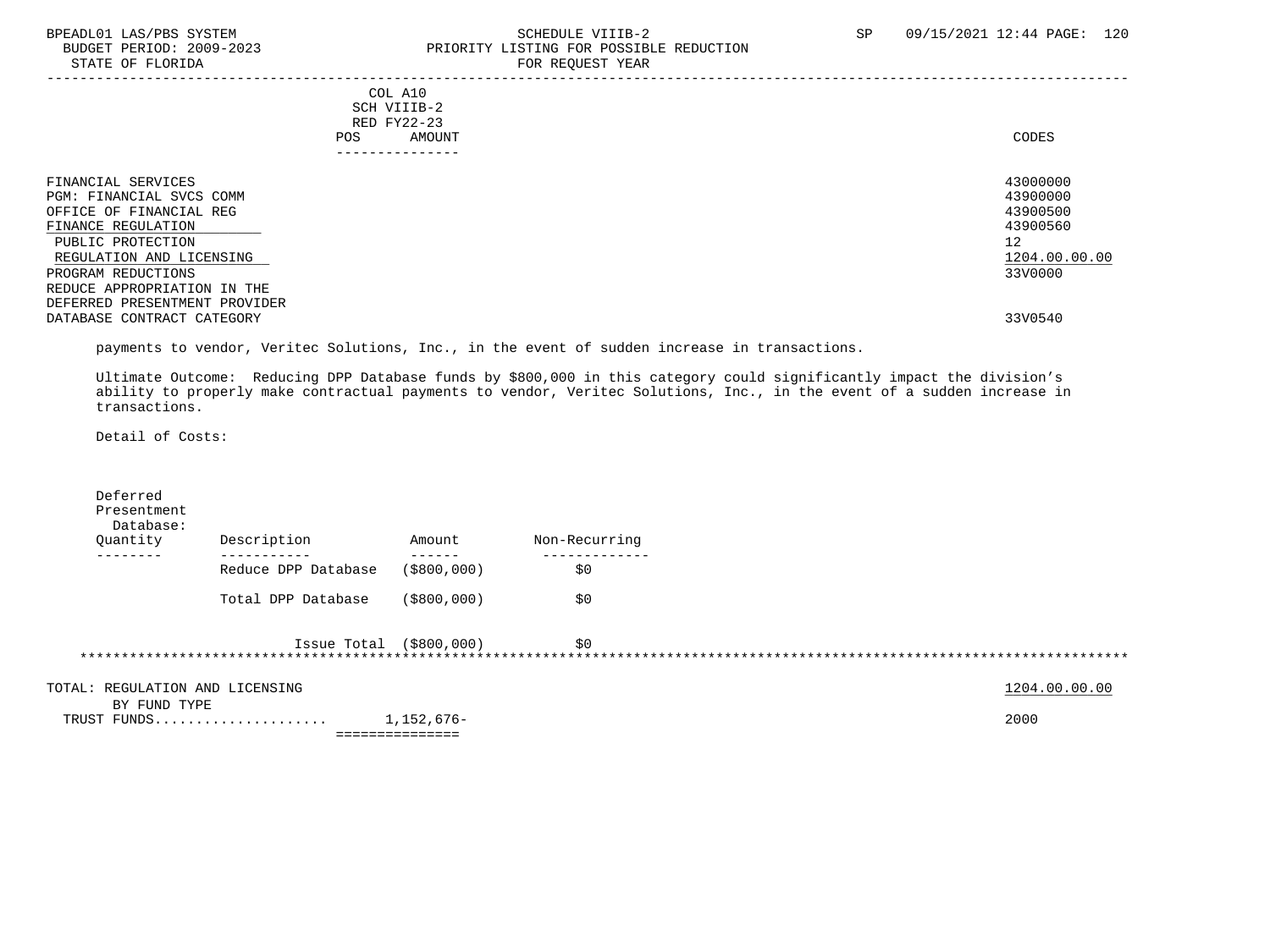### BPEADL01 LAS/PBS SYSTEM SOHEDULE VIIIB-2 SCHEDULE VIIIB-2 SP 09/15/2021 12:44 PAGE: 120 PRIORITY LISTING FOR POSSIBLE REDUCTION STATE OF FLORIDA FOR STATE OF STATE OF STATE OF STATE OF STATE ASSESSMENT OF STATE OF STATE OF STATE OF STATE O

|                                                                                                                                                  | COL A10<br>SCH VIIIB-2<br>RED FY22-23<br>AMOUNT<br>POS. | CODES                                                               |
|--------------------------------------------------------------------------------------------------------------------------------------------------|---------------------------------------------------------|---------------------------------------------------------------------|
| FINANCIAL SERVICES<br>PGM: FINANCIAL SVCS COMM<br>OFFICE OF FINANCIAL REG<br>FINANCE REGULATION<br>PUBLIC PROTECTION<br>REGULATION AND LICENSING |                                                         | 43000000<br>43900000<br>43900500<br>43900560<br>12<br>1204.00.00.00 |
| PROGRAM REDUCTIONS                                                                                                                               |                                                         | 33V0000                                                             |
| REDUCE APPROPRIATION IN THE<br>DEFERRED PRESENTMENT PROVIDER                                                                                     |                                                         |                                                                     |
| DATABASE CONTRACT CATEGORY                                                                                                                       |                                                         | 33V0540                                                             |

payments to vendor, Veritec Solutions, Inc., in the event of sudden increase in transactions.

 Ultimate Outcome: Reducing DPP Database funds by \$800,000 in this category could significantly impact the division's ability to properly make contractual payments to vendor, Veritec Solutions, Inc., in the event of a sudden increase in transactions.

Detail of Costs:

| Deferred<br>Presentment<br>Database:<br>Quantity | Description               | Amount                        | Non-Recurring |               |
|--------------------------------------------------|---------------------------|-------------------------------|---------------|---------------|
|                                                  | Reduce DPP Database       | ( \$800, 000)                 | \$0           |               |
|                                                  | Total DPP Database        | ( \$800, 000)                 | \$0           |               |
|                                                  | Issue Total $( $800,000)$ |                               | \$0           |               |
| TOTAL: REGULATION AND LICENSING<br>BY FUND TYPE  |                           |                               |               | 1204.00.00.00 |
| TRUST FUNDS                                      |                           | 1,152,676-<br>=============== |               | 2000          |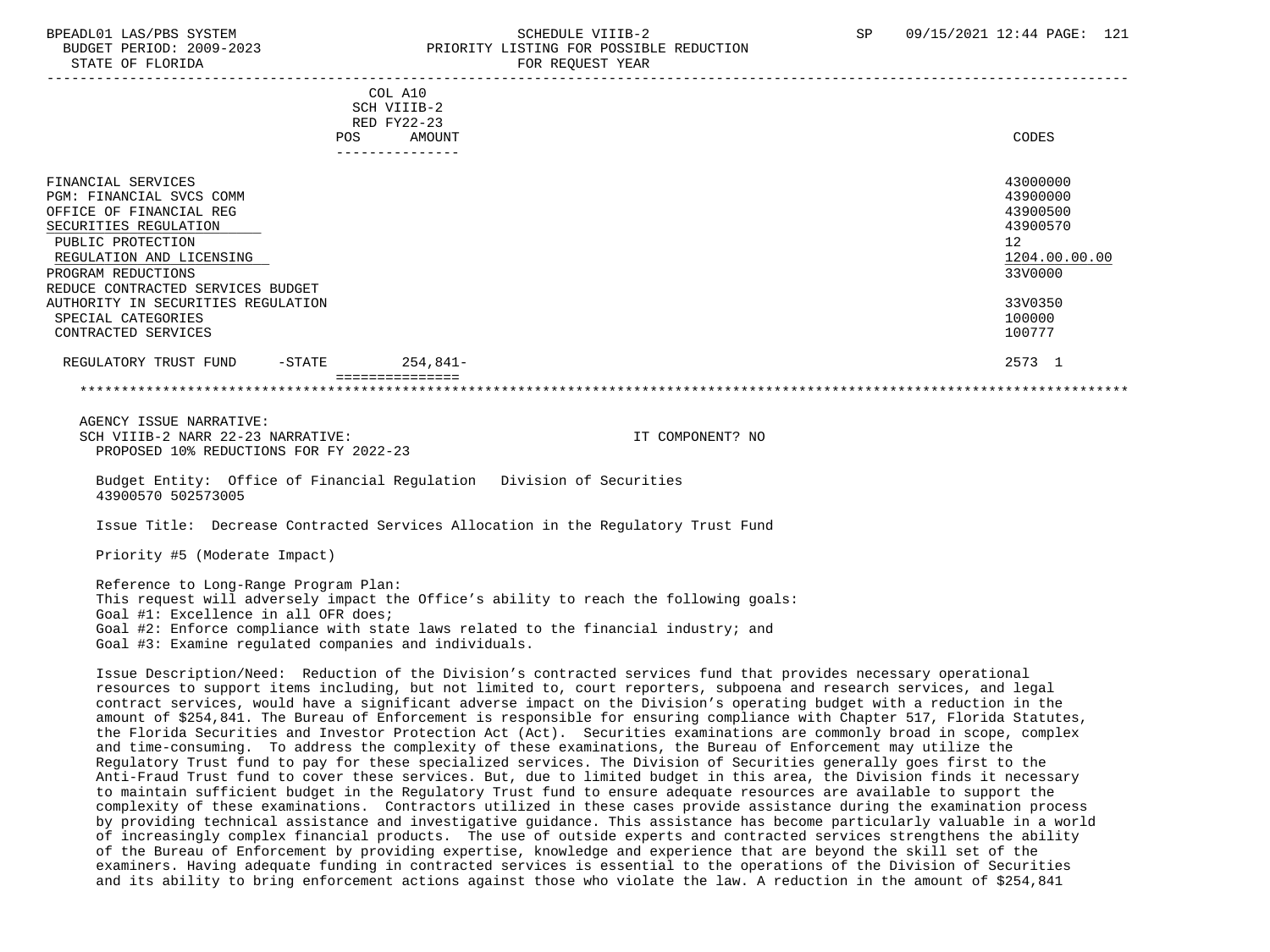## BPEADL01 LAS/PBS SYSTEM SALL STREET STREET STREET STREET STREET STREET SP 09/15/2021 12:44 PAGE: 121 BUDGET PERIOD: 2009-2023 PRIORITY LISTING FOR POSSIBLE REDUCTION

|                                    | COL A10<br>SCH VIIIB-2<br>RED FY22-23<br>AMOUNT<br>POS | CODES         |
|------------------------------------|--------------------------------------------------------|---------------|
|                                    | ---------------                                        |               |
|                                    |                                                        |               |
| FINANCIAL SERVICES                 |                                                        | 43000000      |
| PGM: FINANCIAL SVCS COMM           |                                                        | 43900000      |
| OFFICE OF FINANCIAL REG            |                                                        | 43900500      |
| SECURITIES REGULATION              |                                                        | 43900570      |
| PUBLIC PROTECTION                  |                                                        | 12            |
| REGULATION AND LICENSING           |                                                        | 1204.00.00.00 |
| PROGRAM REDUCTIONS                 |                                                        | 33V0000       |
| REDUCE CONTRACTED SERVICES BUDGET  |                                                        |               |
| AUTHORITY IN SECURITIES REGULATION |                                                        | 33V0350       |
| SPECIAL CATEGORIES                 |                                                        | 100000        |
| CONTRACTED SERVICES                |                                                        | 100777        |
| REGULATORY TRUST FUND<br>$-$ STATE | $254,841-$                                             | 2573 1        |
|                                    |                                                        |               |

 AGENCY ISSUE NARRATIVE: SCH VIIIB-2 NARR 22-23 NARRATIVE: IT COMPONENT? NO PROPOSED 10% REDUCTIONS FOR FY 2022-23

 Budget Entity: Office of Financial Regulation Division of Securities 43900570 502573005

Issue Title: Decrease Contracted Services Allocation in the Regulatory Trust Fund

Priority #5 (Moderate Impact)

 Reference to Long-Range Program Plan: This request will adversely impact the Office's ability to reach the following goals: Goal #1: Excellence in all OFR does; Goal #2: Enforce compliance with state laws related to the financial industry; and Goal #3: Examine regulated companies and individuals.

 Issue Description/Need: Reduction of the Division's contracted services fund that provides necessary operational resources to support items including, but not limited to, court reporters, subpoena and research services, and legal contract services, would have a significant adverse impact on the Division's operating budget with a reduction in the amount of \$254,841. The Bureau of Enforcement is responsible for ensuring compliance with Chapter 517, Florida Statutes, the Florida Securities and Investor Protection Act (Act). Securities examinations are commonly broad in scope, complex and time-consuming. To address the complexity of these examinations, the Bureau of Enforcement may utilize the Regulatory Trust fund to pay for these specialized services. The Division of Securities generally goes first to the Anti-Fraud Trust fund to cover these services. But, due to limited budget in this area, the Division finds it necessary to maintain sufficient budget in the Regulatory Trust fund to ensure adequate resources are available to support the complexity of these examinations. Contractors utilized in these cases provide assistance during the examination process by providing technical assistance and investigative guidance. This assistance has become particularly valuable in a world of increasingly complex financial products. The use of outside experts and contracted services strengthens the ability of the Bureau of Enforcement by providing expertise, knowledge and experience that are beyond the skill set of the examiners. Having adequate funding in contracted services is essential to the operations of the Division of Securities and its ability to bring enforcement actions against those who violate the law. A reduction in the amount of \$254,841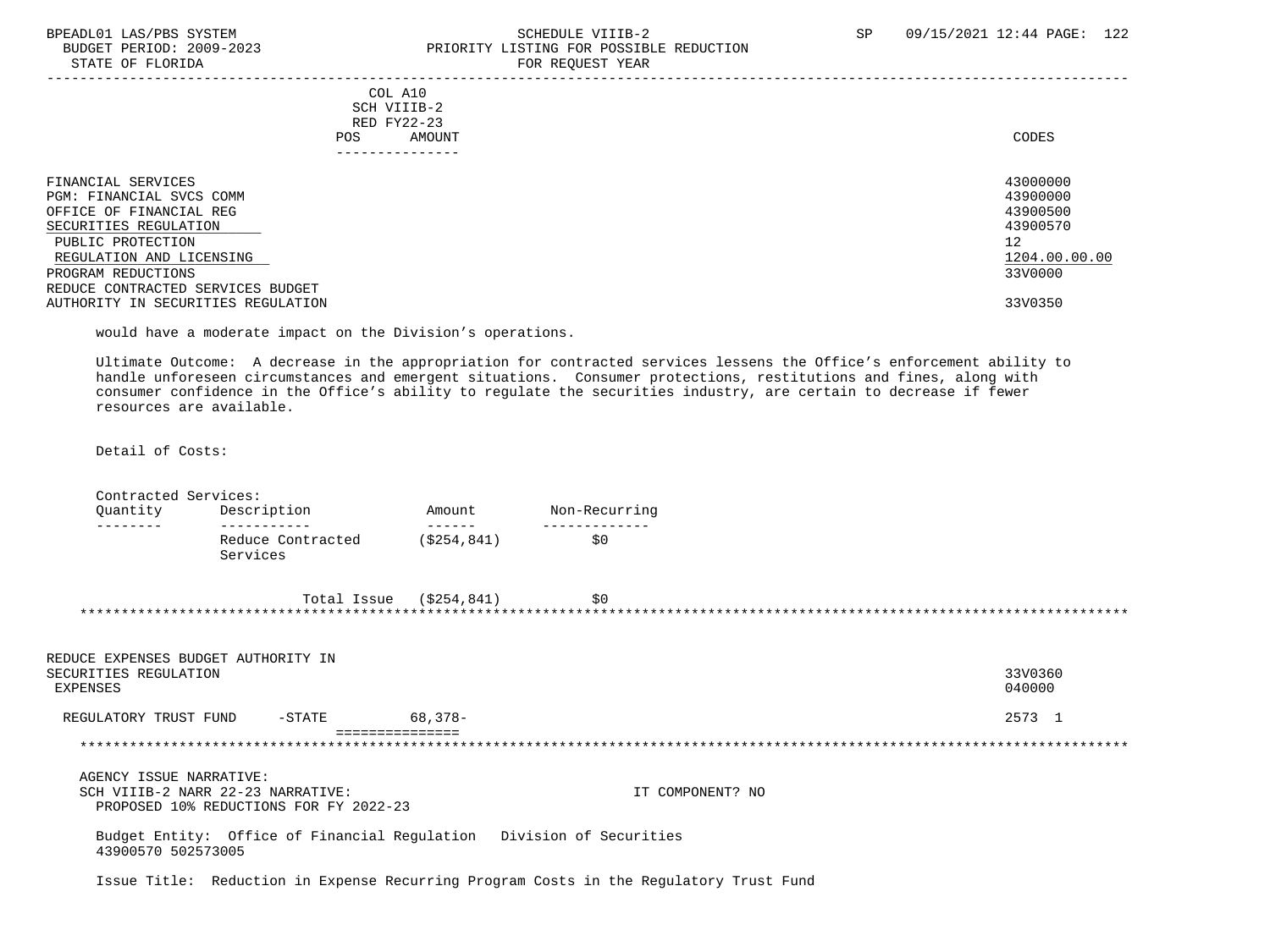STATE OF FLORIDA

## BPEADL01 LAS/PBS SYSTEM SOHEDULE VIIIB-2 SCHEDULE VIIIB-2 SP 09/15/2021 12:44 PAGE: 122<br>BUDGET PERIOD: 2009-2023 PRIORITY LISTING FOR POSSIBLE REDUCTION PRIORITY LISTING FOR POSSIBLE REDUCTION<br>FOR REQUEST YEAR

| ------ -- --------                                                                                                                                                                                                                                   |                                                                 |                                                                                           |
|------------------------------------------------------------------------------------------------------------------------------------------------------------------------------------------------------------------------------------------------------|-----------------------------------------------------------------|-------------------------------------------------------------------------------------------|
| POS.                                                                                                                                                                                                                                                 | COL A10<br>SCH VIIIB-2<br>RED FY22-23<br>AMOUNT<br>------------ | CODES                                                                                     |
| FINANCIAL SERVICES<br>PGM: FINANCIAL SVCS COMM<br>OFFICE OF FINANCIAL REG<br>SECURITIES REGULATION<br>PUBLIC PROTECTION<br>REGULATION AND LICENSING<br>PROGRAM REDUCTIONS<br>REDUCE CONTRACTED SERVICES BUDGET<br>AUTHORITY IN SECURITIES REGULATION |                                                                 | 43000000<br>43900000<br>43900500<br>43900570<br>12<br>1204.00.00.00<br>33V0000<br>33V0350 |
|                                                                                                                                                                                                                                                      |                                                                 |                                                                                           |

would have a moderate impact on the Division's operations.

 Ultimate Outcome: A decrease in the appropriation for contracted services lessens the Office's enforcement ability to handle unforeseen circumstances and emergent situations. Consumer protections, restitutions and fines, along with consumer confidence in the Office's ability to regulate the securities industry, are certain to decrease if fewer resources are available.

Detail of Costs:

Contracted Services:

| Quantity<br>--------                                                     | Description                                                                 | Amount<br>$- - - - - - -$  | Non-Recurring    |                   |
|--------------------------------------------------------------------------|-----------------------------------------------------------------------------|----------------------------|------------------|-------------------|
|                                                                          | -----------<br>Reduce Contracted<br>Services                                | (S254, 841)                | \$0              |                   |
|                                                                          |                                                                             | Total Issue $( $254, 841)$ | \$0              |                   |
| REDUCE EXPENSES BUDGET AUTHORITY IN<br>SECURITIES REGULATION<br>EXPENSES |                                                                             |                            |                  | 33V0360<br>040000 |
| REGULATORY TRUST FUND                                                    | $-$ STATE                                                                   | $68,378-$                  |                  | 2573 1            |
|                                                                          |                                                                             |                            |                  |                   |
| AGENCY ISSUE NARRATIVE:                                                  | SCH VIIIB-2 NARR 22-23 NARRATIVE:<br>PROPOSED 10% REDUCTIONS FOR FY 2022-23 |                            | IT COMPONENT? NO |                   |
| 43900570 502573005                                                       | Budget Entity: Office of Financial Regulation Division of Securities        |                            |                  |                   |

Issue Title: Reduction in Expense Recurring Program Costs in the Regulatory Trust Fund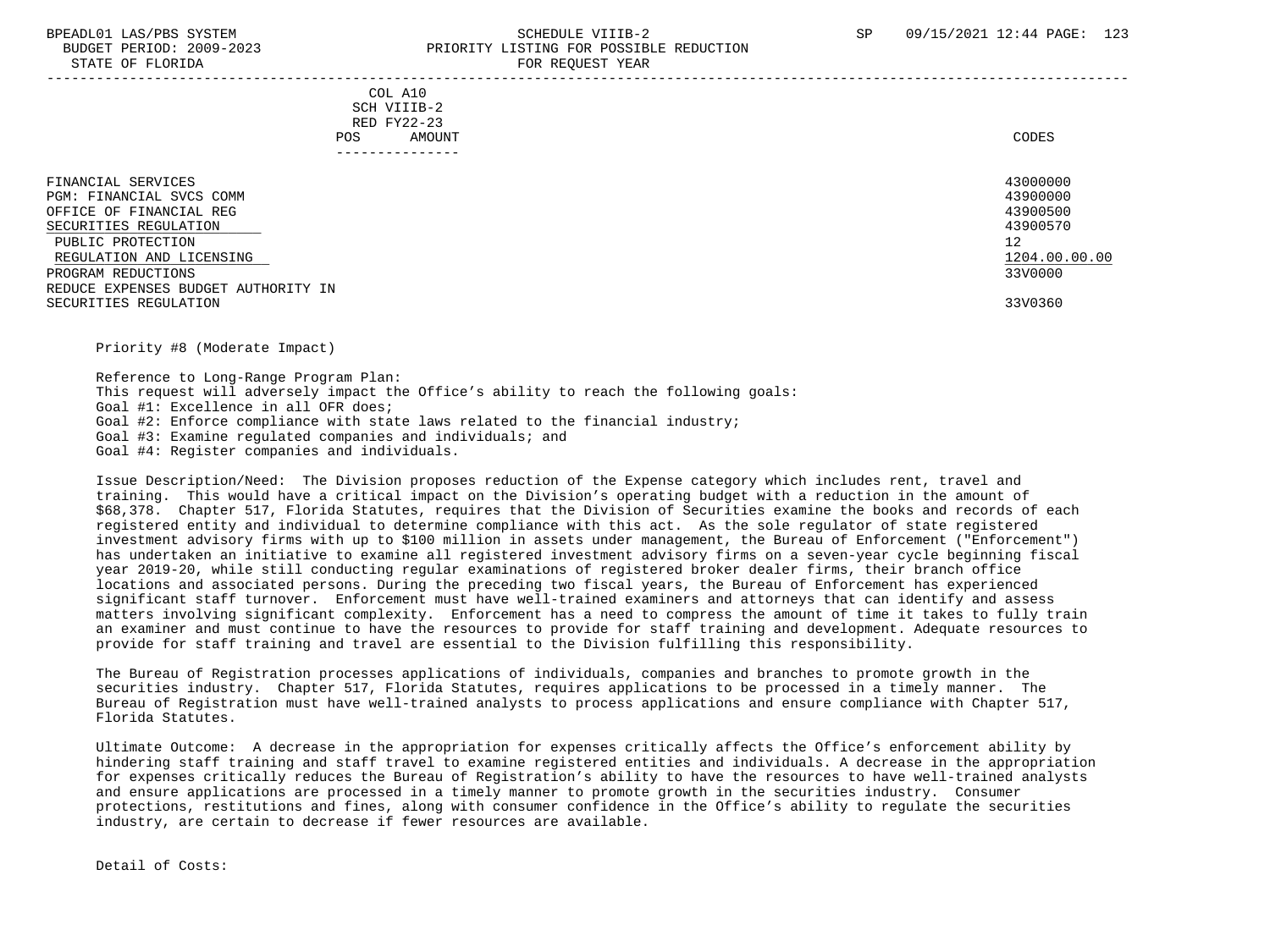#### BPEADL01 LAS/PBS SYSTEM SALL SALL SOMEDULE VIIIB-2 SP 09/15/2021 12:44 PAGE: 123 BUDGET PERIOD: 2009-2023 PRIORITY LISTING FOR POSSIBLE REDUCTION STATE OF FLORIDA FOR REQUEST YEAR

-----------------------------------------------------------------------------------------------------------------------------------

 COL A10 SCH VIIIB-2 RED FY22-23 POS AMOUNT NOTES AND AND A RESERVE AND A RESERVE AND LODGED AND LODGED AND LODGED AND LODGED AND LODGED AND LODGED AT A LODGED AND LODGED AT A LODGED AND LODGED AT A LODGED AND LODGED AT A LODGED AND LODGED AT A LODGED AND ---------------

| FINANCIAL SERVICES                  | 43000000      |
|-------------------------------------|---------------|
| PGM: FINANCIAL SVCS COMM            | 43900000      |
| OFFICE OF FINANCIAL REG             | 43900500      |
| SECURITIES REGULATION               | 43900570      |
| PUBLIC PROTECTION                   | 12            |
| REGULATION AND LICENSING            | 1204.00.00.00 |
| PROGRAM REDUCTIONS                  | 33V0000       |
| REDUCE EXPENSES BUDGET AUTHORITY IN |               |
| SECURITIES REGULATION               | 33V0360       |

Priority #8 (Moderate Impact)

 Reference to Long-Range Program Plan: This request will adversely impact the Office's ability to reach the following goals: Goal #1: Excellence in all OFR does; Goal #2: Enforce compliance with state laws related to the financial industry; Goal #3: Examine regulated companies and individuals; and Goal #4: Register companies and individuals.

 Issue Description/Need: The Division proposes reduction of the Expense category which includes rent, travel and training. This would have a critical impact on the Division's operating budget with a reduction in the amount of \$68,378. Chapter 517, Florida Statutes, requires that the Division of Securities examine the books and records of each registered entity and individual to determine compliance with this act. As the sole regulator of state registered investment advisory firms with up to \$100 million in assets under management, the Bureau of Enforcement ("Enforcement") has undertaken an initiative to examine all registered investment advisory firms on a seven-year cycle beginning fiscal year 2019-20, while still conducting regular examinations of registered broker dealer firms, their branch office locations and associated persons. During the preceding two fiscal years, the Bureau of Enforcement has experienced significant staff turnover. Enforcement must have well-trained examiners and attorneys that can identify and assess matters involving significant complexity. Enforcement has a need to compress the amount of time it takes to fully train an examiner and must continue to have the resources to provide for staff training and development. Adequate resources to provide for staff training and travel are essential to the Division fulfilling this responsibility.

 The Bureau of Registration processes applications of individuals, companies and branches to promote growth in the securities industry. Chapter 517, Florida Statutes, requires applications to be processed in a timely manner. The Bureau of Registration must have well-trained analysts to process applications and ensure compliance with Chapter 517, Florida Statutes.

 Ultimate Outcome: A decrease in the appropriation for expenses critically affects the Office's enforcement ability by hindering staff training and staff travel to examine registered entities and individuals. A decrease in the appropriation for expenses critically reduces the Bureau of Registration's ability to have the resources to have well-trained analysts and ensure applications are processed in a timely manner to promote growth in the securities industry. Consumer protections, restitutions and fines, along with consumer confidence in the Office's ability to regulate the securities industry, are certain to decrease if fewer resources are available.

Detail of Costs: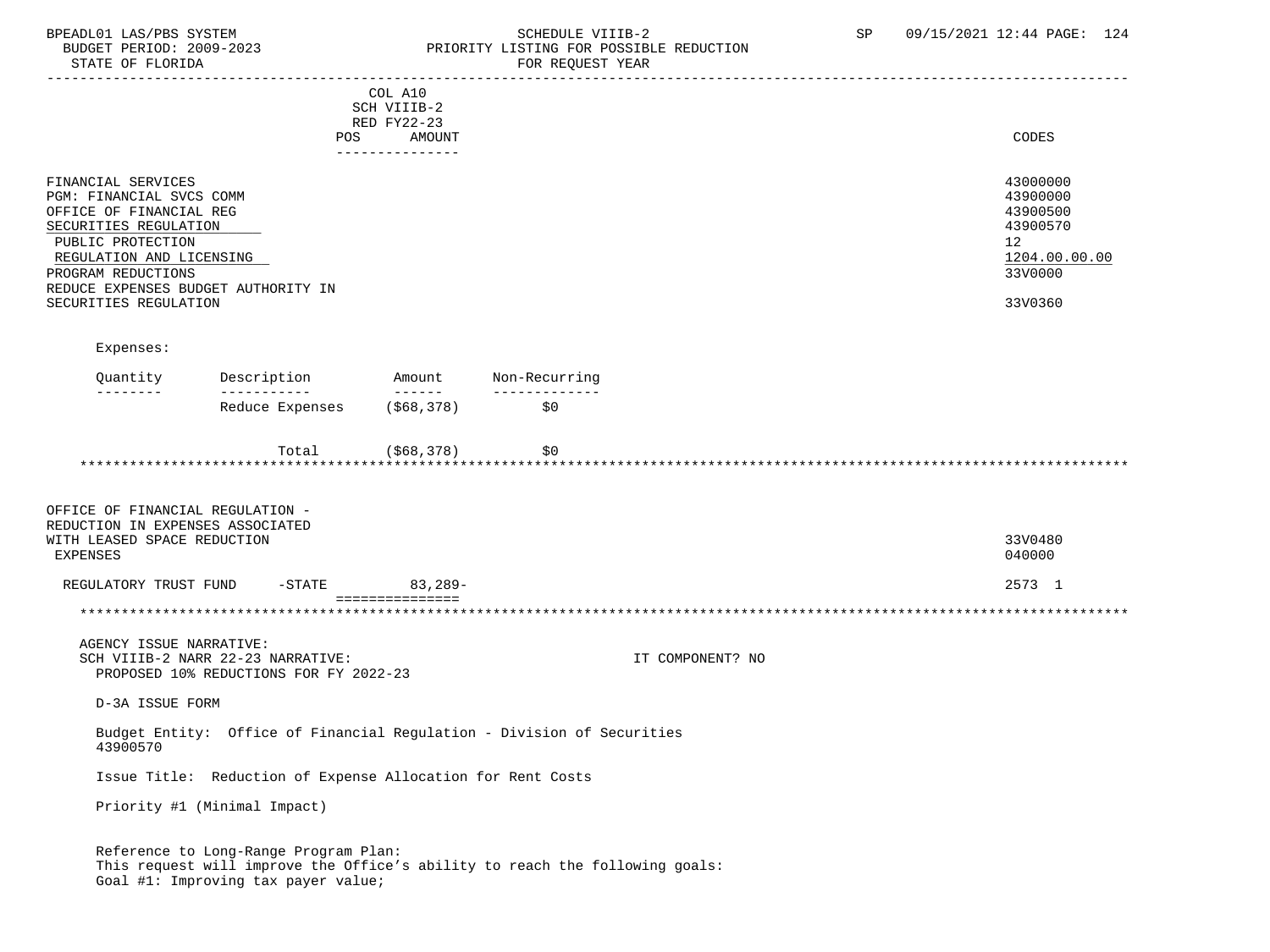### BPEADL01 LAS/PBS SYSTEM SALLE STREDULE VIIIB-2 SCHEDULE VIIIB-2 SP 09/15/2021 12:44 PAGE: 124 BUDGET PERIOD: 2009-2023 PRIORITY LISTING FOR POSSIBLE REDUCTION FOR REOUEST YEAR

|                                                                                                                                                                                                                                           | POS                                                                                                                                                          | COL A10<br>SCH VIIIB-2<br>RED FY22-23<br>AMOUNT |                                |                  | CODES                                                                                     |
|-------------------------------------------------------------------------------------------------------------------------------------------------------------------------------------------------------------------------------------------|--------------------------------------------------------------------------------------------------------------------------------------------------------------|-------------------------------------------------|--------------------------------|------------------|-------------------------------------------------------------------------------------------|
| FINANCIAL SERVICES<br>PGM: FINANCIAL SVCS COMM<br>OFFICE OF FINANCIAL REG<br>SECURITIES REGULATION<br>PUBLIC PROTECTION<br>REGULATION AND LICENSING<br>PROGRAM REDUCTIONS<br>REDUCE EXPENSES BUDGET AUTHORITY IN<br>SECURITIES REGULATION |                                                                                                                                                              | ---------------                                 |                                |                  | 43000000<br>43900000<br>43900500<br>43900570<br>12<br>1204.00.00.00<br>33V0000<br>33V0360 |
| Expenses:                                                                                                                                                                                                                                 |                                                                                                                                                              |                                                 |                                |                  |                                                                                           |
| Quantity<br>--------                                                                                                                                                                                                                      | Description<br>------------                                                                                                                                  | Amount<br><b>September 19</b>                   | Non-Recurring<br>_____________ |                  |                                                                                           |
|                                                                                                                                                                                                                                           | Reduce Expenses                                                                                                                                              | (\$68,378)                                      | \$0                            |                  |                                                                                           |
|                                                                                                                                                                                                                                           | Total<br>*************************************                                                                                                               | (\$68,378)                                      | \$0                            |                  |                                                                                           |
| OFFICE OF FINANCIAL REGULATION -<br>REDUCTION IN EXPENSES ASSOCIATED<br>WITH LEASED SPACE REDUCTION<br><b>EXPENSES</b>                                                                                                                    |                                                                                                                                                              |                                                 |                                |                  | 33V0480<br>040000                                                                         |
| REGULATORY TRUST FUND                                                                                                                                                                                                                     | $-$ STATE                                                                                                                                                    | $83,289-$<br>===============                    |                                |                  | 2573 1                                                                                    |
|                                                                                                                                                                                                                                           |                                                                                                                                                              |                                                 |                                |                  |                                                                                           |
| AGENCY ISSUE NARRATIVE:                                                                                                                                                                                                                   | SCH VIIIB-2 NARR 22-23 NARRATIVE:<br>PROPOSED 10% REDUCTIONS FOR FY 2022-23                                                                                  |                                                 |                                | IT COMPONENT? NO |                                                                                           |
| D-3A ISSUE FORM                                                                                                                                                                                                                           |                                                                                                                                                              |                                                 |                                |                  |                                                                                           |
| 43900570                                                                                                                                                                                                                                  | Budget Entity: Office of Financial Regulation - Division of Securities                                                                                       |                                                 |                                |                  |                                                                                           |
|                                                                                                                                                                                                                                           | Issue Title: Reduction of Expense Allocation for Rent Costs                                                                                                  |                                                 |                                |                  |                                                                                           |
|                                                                                                                                                                                                                                           | Priority #1 (Minimal Impact)                                                                                                                                 |                                                 |                                |                  |                                                                                           |
|                                                                                                                                                                                                                                           | Reference to Long-Range Program Plan:<br>This request will improve the Office's ability to reach the following goals:<br>Goal #1: Improving tax payer value; |                                                 |                                |                  |                                                                                           |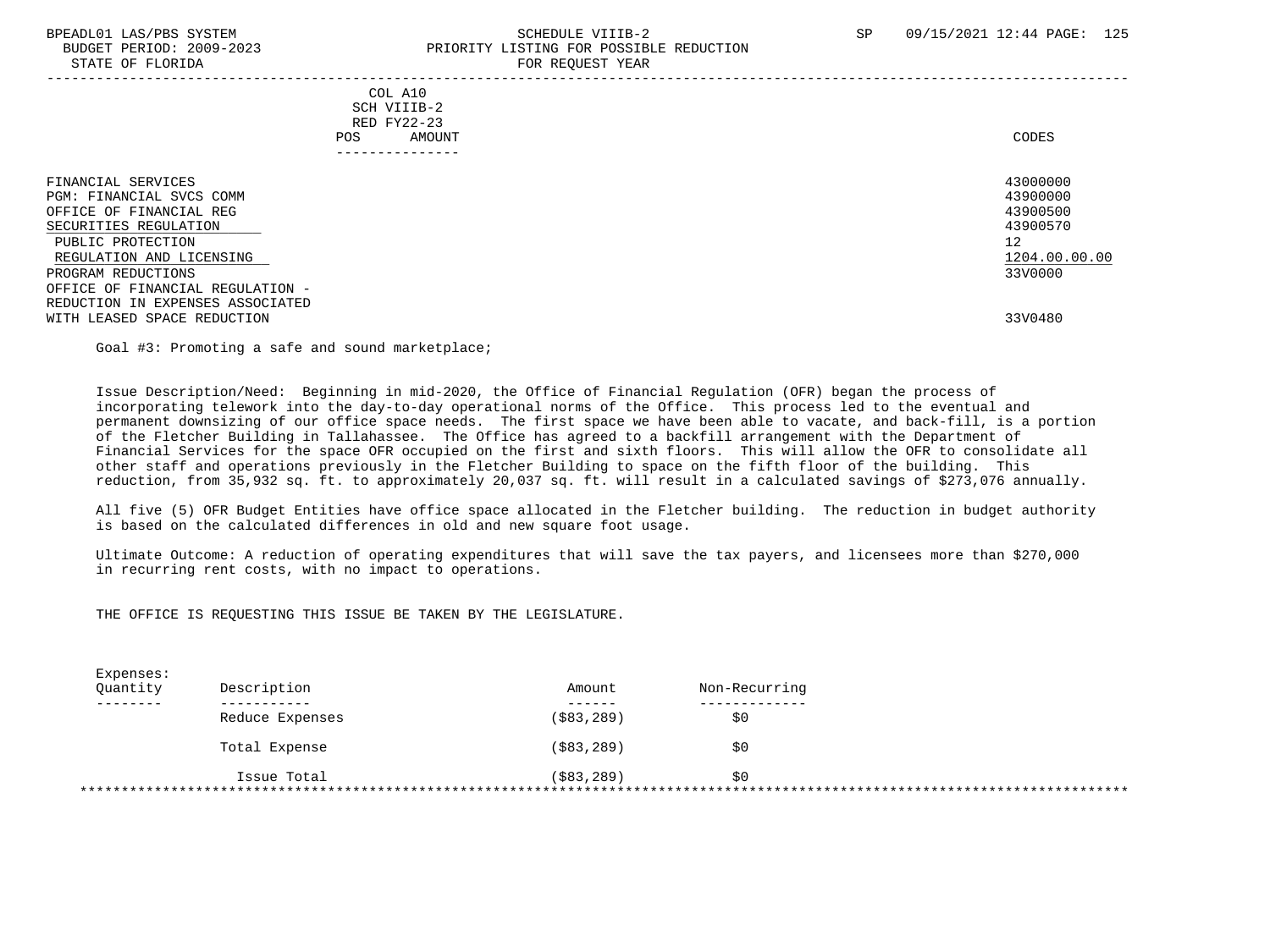### BPEADL01 LAS/PBS SYSTEM SALL SALL SCHEDULE VIIIB-2 SP 09/15/2021 12:44 PAGE: 125 BUDGET PERIOD: 2009-2023 PRIORITY LISTING FOR POSSIBLE REDUCTION STATE OF FLORIDA FOR REQUEST YEAR FOR REQUEST YEAR

| POS                                                                                                                                                                       | COL A10<br>SCH VIIIB-2<br>RED FY22-23<br>AMOUNT | CODES                                                                          |
|---------------------------------------------------------------------------------------------------------------------------------------------------------------------------|-------------------------------------------------|--------------------------------------------------------------------------------|
| FINANCIAL SERVICES<br>PGM: FINANCIAL SVCS COMM<br>OFFICE OF FINANCIAL REG<br>SECURITIES REGULATION<br>PUBLIC PROTECTION<br>REGULATION AND LICENSING<br>PROGRAM REDUCTIONS |                                                 | 43000000<br>43900000<br>43900500<br>43900570<br>12<br>1204.00.00.00<br>33V0000 |
| OFFICE OF FINANCIAL REGULATION -<br>REDUCTION IN EXPENSES ASSOCIATED                                                                                                      |                                                 |                                                                                |

WITH LEASED SPACE REDUCTION 33V0480

Goal #3: Promoting a safe and sound marketplace;

 Issue Description/Need: Beginning in mid-2020, the Office of Financial Regulation (OFR) began the process of incorporating telework into the day-to-day operational norms of the Office. This process led to the eventual and permanent downsizing of our office space needs. The first space we have been able to vacate, and back-fill, is a portion of the Fletcher Building in Tallahassee. The Office has agreed to a backfill arrangement with the Department of Financial Services for the space OFR occupied on the first and sixth floors. This will allow the OFR to consolidate all other staff and operations previously in the Fletcher Building to space on the fifth floor of the building. This reduction, from 35,932 sq. ft. to approximately 20,037 sq. ft. will result in a calculated savings of \$273,076 annually.

 All five (5) OFR Budget Entities have office space allocated in the Fletcher building. The reduction in budget authority is based on the calculated differences in old and new square foot usage.

 Ultimate Outcome: A reduction of operating expenditures that will save the tax payers, and licensees more than \$270,000 in recurring rent costs, with no impact to operations.

THE OFFICE IS REQUESTING THIS ISSUE BE TAKEN BY THE LEGISLATURE.

| Reduce Expenses | ( \$83, 289) |     |
|-----------------|--------------|-----|
|                 |              | \$0 |
|                 |              |     |
| Total Expense   | ( \$83, 289) | \$0 |
| Issue Total     | ( \$83, 289) | S0  |
|                 |              |     |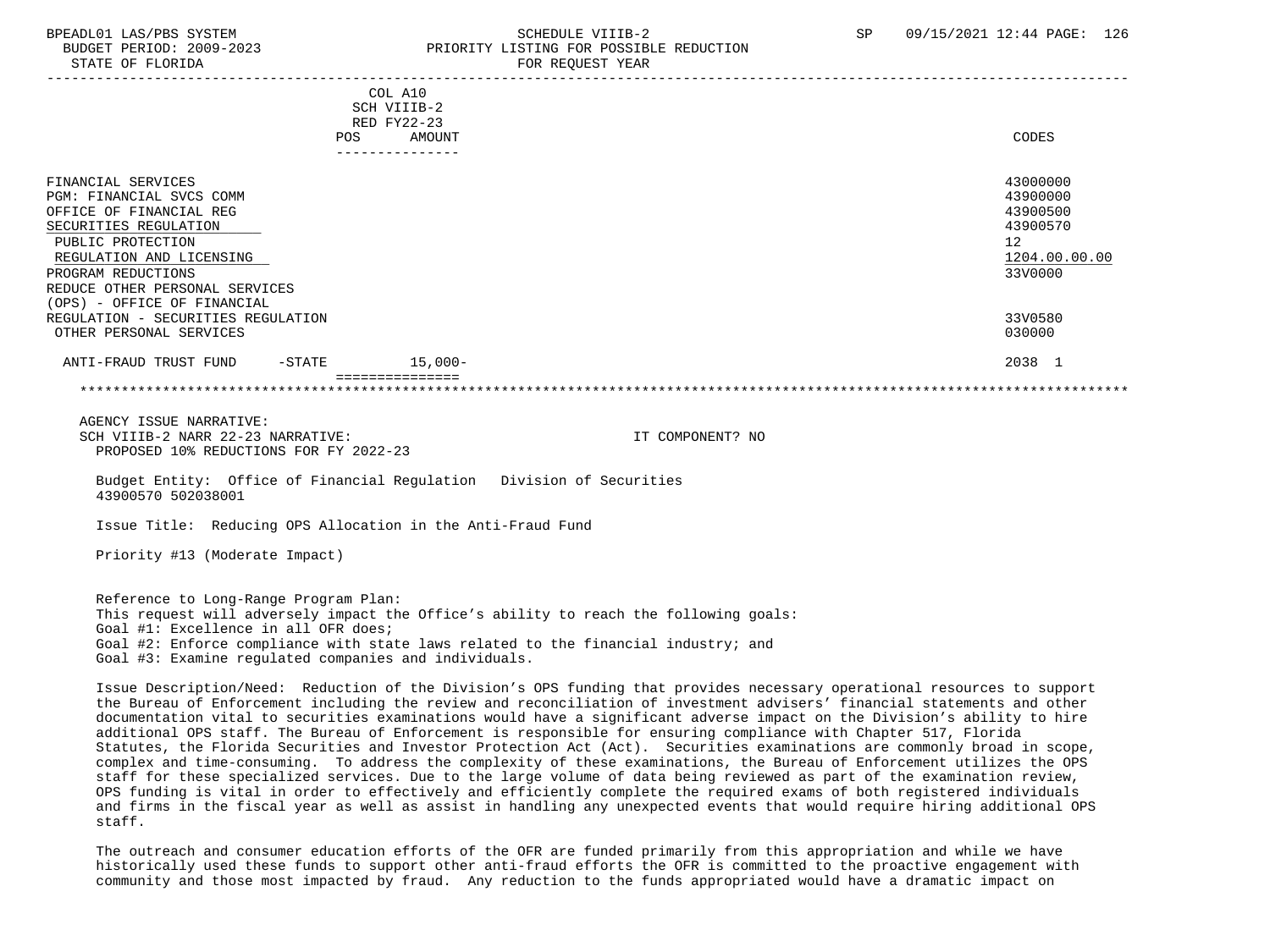## BPEADL01 LAS/PBS SYSTEM SALL SALL SOMEDULE VIIIB-2 SP 09/15/2021 12:44 PAGE: 126 BUDGET PERIOD: 2009-2023 PRIORITY LISTING FOR POSSIBLE REDUCTION

|                                    | COL A10<br>SCH VIIIB-2<br>RED FY22-23 |               |
|------------------------------------|---------------------------------------|---------------|
| POS                                | AMOUNT                                | CODES         |
| FINANCIAL SERVICES                 | ---------------                       | 43000000      |
| PGM: FINANCIAL SVCS COMM           |                                       | 43900000      |
| OFFICE OF FINANCIAL REG            |                                       | 43900500      |
| SECURITIES REGULATION              |                                       | 43900570      |
| PUBLIC PROTECTION                  |                                       | 12            |
| REGULATION AND LICENSING           |                                       | 1204.00.00.00 |
| PROGRAM REDUCTIONS                 |                                       | 33V0000       |
| REDUCE OTHER PERSONAL SERVICES     |                                       |               |
| (OPS) - OFFICE OF FINANCIAL        |                                       |               |
| REGULATION - SECURITIES REGULATION |                                       | 33V0580       |
| OTHER PERSONAL SERVICES            |                                       | 030000        |
| ANTI-FRAUD TRUST FUND<br>$-STATE$  | $15,000-$                             | 2038 1        |
|                                    |                                       |               |

 AGENCY ISSUE NARRATIVE: SCH VIIIB-2 NARR 22-23 NARRATIVE: IT COMPONENT? NO PROPOSED 10% REDUCTIONS FOR FY 2022-23

 Budget Entity: Office of Financial Regulation Division of Securities 43900570 502038001

Issue Title: Reducing OPS Allocation in the Anti-Fraud Fund

Priority #13 (Moderate Impact)

 Reference to Long-Range Program Plan: This request will adversely impact the Office's ability to reach the following goals: Goal #1: Excellence in all OFR does; Goal #2: Enforce compliance with state laws related to the financial industry; and Goal #3: Examine regulated companies and individuals.

 Issue Description/Need: Reduction of the Division's OPS funding that provides necessary operational resources to support the Bureau of Enforcement including the review and reconciliation of investment advisers' financial statements and other documentation vital to securities examinations would have a significant adverse impact on the Division's ability to hire additional OPS staff. The Bureau of Enforcement is responsible for ensuring compliance with Chapter 517, Florida Statutes, the Florida Securities and Investor Protection Act (Act). Securities examinations are commonly broad in scope, complex and time-consuming. To address the complexity of these examinations, the Bureau of Enforcement utilizes the OPS staff for these specialized services. Due to the large volume of data being reviewed as part of the examination review, OPS funding is vital in order to effectively and efficiently complete the required exams of both registered individuals and firms in the fiscal year as well as assist in handling any unexpected events that would require hiring additional OPS staff.

 The outreach and consumer education efforts of the OFR are funded primarily from this appropriation and while we have historically used these funds to support other anti-fraud efforts the OFR is committed to the proactive engagement with community and those most impacted by fraud. Any reduction to the funds appropriated would have a dramatic impact on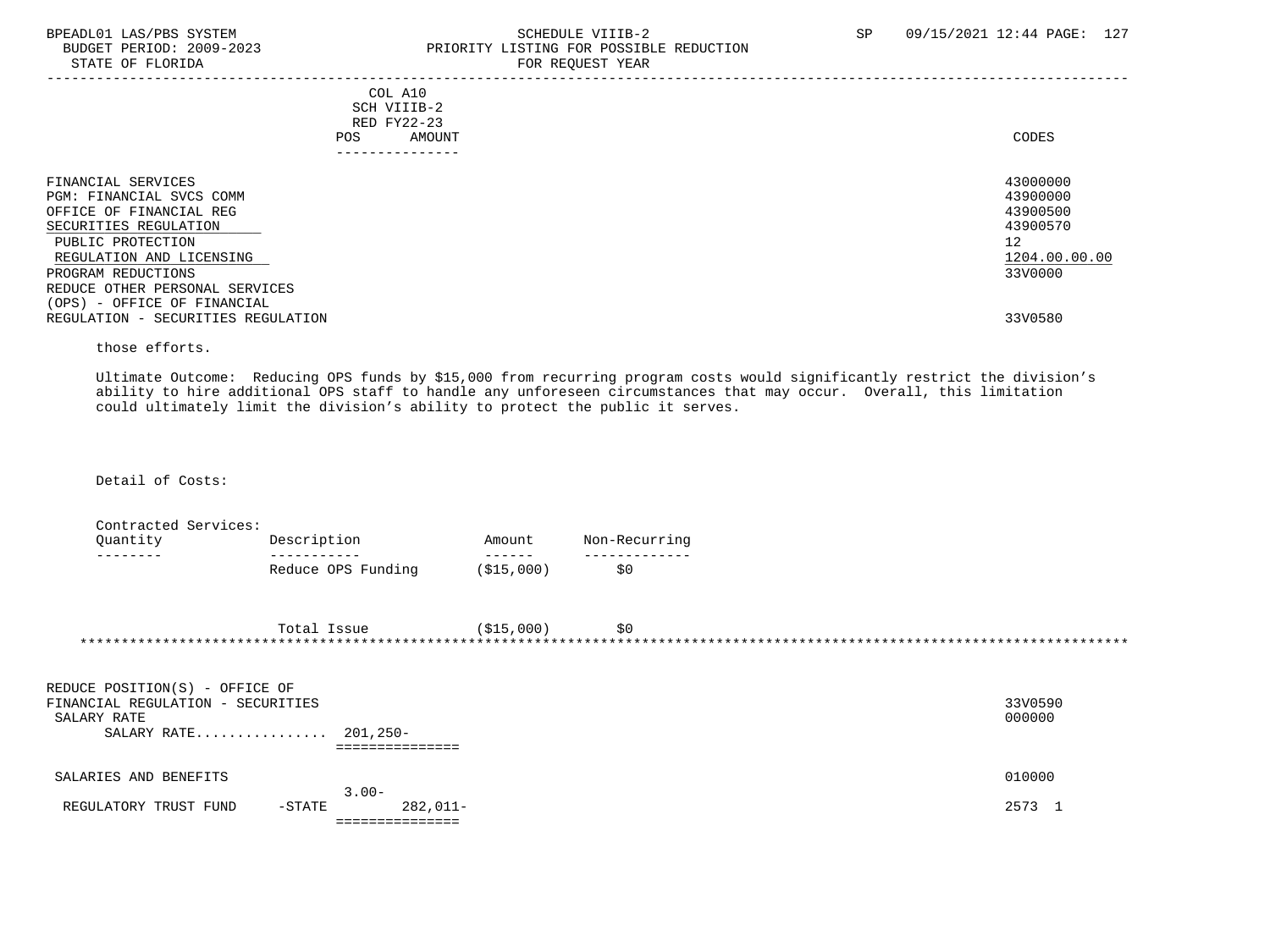STATE OF FLORIDA

## BPEADL01 LAS/PBS SYSTEM SCHEDULE VIIIB-2 SCHEDULE VIIIB-2 SP 09/15/2021 12:44 PAGE: 127 PRIORITY LISTING FOR POSSIBLE REDUCTION<br>FOR REQUEST YEAR

|                                                                                                                                                                                                                                                                                  |                                                                            | $1011$ $1000001$ $1011$ |                                                                                           |
|----------------------------------------------------------------------------------------------------------------------------------------------------------------------------------------------------------------------------------------------------------------------------------|----------------------------------------------------------------------------|-------------------------|-------------------------------------------------------------------------------------------|
|                                                                                                                                                                                                                                                                                  | COL A10<br>SCH VIIIB-2<br>RED FY22-23<br>AMOUNT<br>POS.<br>--------------- |                         | CODES                                                                                     |
| FINANCIAL SERVICES<br>PGM: FINANCIAL SVCS COMM<br>OFFICE OF FINANCIAL REG<br>SECURITIES REGULATION<br>PUBLIC PROTECTION<br>REGULATION AND LICENSING<br>PROGRAM REDUCTIONS<br>REDUCE OTHER PERSONAL SERVICES<br>(OPS) - OFFICE OF FINANCIAL<br>REGULATION - SECURITIES REGULATION |                                                                            |                         | 43000000<br>43900000<br>43900500<br>43900570<br>12<br>1204.00.00.00<br>33V0000<br>33V0580 |
|                                                                                                                                                                                                                                                                                  |                                                                            |                         |                                                                                           |

those efforts.

 Ultimate Outcome: Reducing OPS funds by \$15,000 from recurring program costs would significantly restrict the division's ability to hire additional OPS staff to handle any unforeseen circumstances that may occur. Overall, this limitation could ultimately limit the division's ability to protect the public it serves.

Detail of Costs:

 Contracted Services: Quantity Description Amount Non-Recurring -------- ----------- ------ ------------- Reduce OPS Funding

| Total<br>lssue | (\$15,000 | ሓ ጣ<br>5 U |  |
|----------------|-----------|------------|--|
|                |           |            |  |

| REDUCE POSITION(S) - OFFICE OF     |          |         |
|------------------------------------|----------|---------|
| FINANCIAL REGULATION - SECURITIES  |          | 33V0590 |
| SALARY RATE                        |          | 000000  |
| SALARY RATE 201,250-               |          |         |
|                                    |          |         |
| SALARIES AND BENEFITS              |          | 010000  |
|                                    | $3.00 -$ |         |
| $-$ STATE<br>REGULATORY TRUST FUND | 282,011- | 2573    |
|                                    |          |         |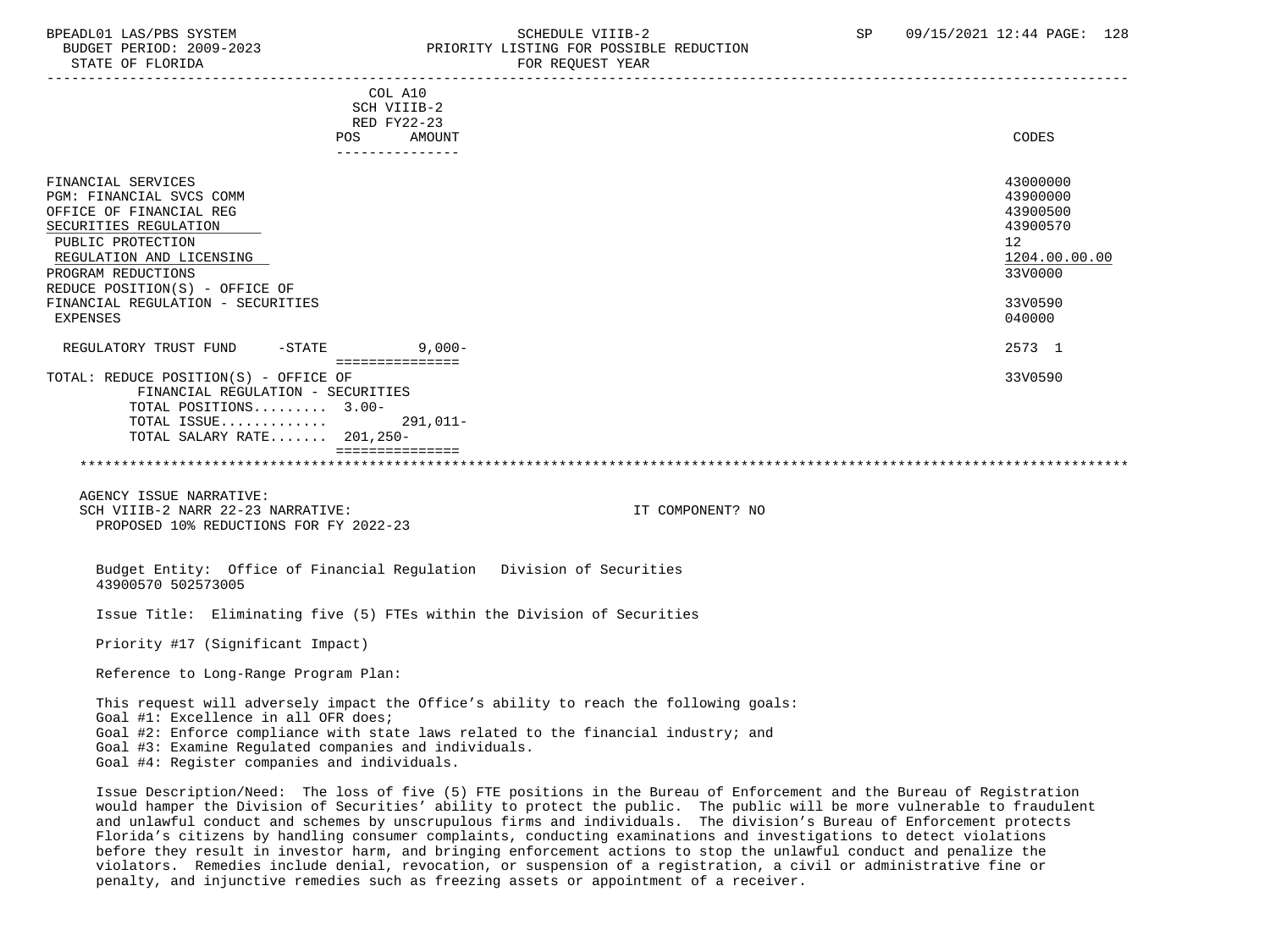STATE OF FLORIDA FOR REQUEST YEAR FOR REQUEST YEAR

### BPEADL01 LAS/PBS SYSTEM STRING THE SCHEDULE VIIIB-2 SCHEDULE VIIIB-2 SP 09/15/2021 12:44 PAGE: 128 PRIORITY LISTING FOR POSSIBLE REDUCTION

|                                                                                                                                                                                                             | COL A10<br>SCH VIIIB-2<br>RED FY22-23<br>POS<br>AMOUNT |                                                                                                                                                                             | CODES                                                                          |
|-------------------------------------------------------------------------------------------------------------------------------------------------------------------------------------------------------------|--------------------------------------------------------|-----------------------------------------------------------------------------------------------------------------------------------------------------------------------------|--------------------------------------------------------------------------------|
| FINANCIAL SERVICES<br>PGM: FINANCIAL SVCS COMM<br>OFFICE OF FINANCIAL REG<br>SECURITIES REGULATION<br>PUBLIC PROTECTION<br>REGULATION AND LICENSING<br>PROGRAM REDUCTIONS<br>REDUCE POSITION(S) - OFFICE OF | ---------------                                        |                                                                                                                                                                             | 43000000<br>43900000<br>43900500<br>43900570<br>12<br>1204.00.00.00<br>33V0000 |
| FINANCIAL REGULATION - SECURITIES<br>EXPENSES                                                                                                                                                               |                                                        |                                                                                                                                                                             | 33V0590<br>040000                                                              |
| REGULATORY TRUST FUND<br>$-$ STATE                                                                                                                                                                          | $9,000-$<br>===============                            |                                                                                                                                                                             | 2573 1                                                                         |
| TOTAL: REDUCE POSITION(S) - OFFICE OF<br>FINANCIAL REGULATION - SECURITIES<br>TOTAL POSITIONS 3.00-<br>TOTAL ISSUE<br>TOTAL SALARY RATE 201,250-                                                            | $291,011-$<br>===============                          |                                                                                                                                                                             | 33V0590                                                                        |
| AGENCY ISSUE NARRATIVE:<br>SCH VIIIB-2 NARR 22-23 NARRATIVE:<br>PROPOSED 10% REDUCTIONS FOR FY 2022-23                                                                                                      |                                                        | IT COMPONENT? NO                                                                                                                                                            |                                                                                |
| 43900570 502573005                                                                                                                                                                                          |                                                        | Budget Entity: Office of Financial Regulation Division of Securities                                                                                                        |                                                                                |
|                                                                                                                                                                                                             |                                                        | Issue Title: Eliminating five (5) FTEs within the Division of Securities                                                                                                    |                                                                                |
| Priority #17 (Significant Impact)                                                                                                                                                                           |                                                        |                                                                                                                                                                             |                                                                                |
| Reference to Long-Range Program Plan:                                                                                                                                                                       |                                                        |                                                                                                                                                                             |                                                                                |
| Goal #1: Excellence in all OFR does;<br>Goal #3: Examine Regulated companies and individuals.<br>Goal #4: Register companies and individuals.                                                               |                                                        | This request will adversely impact the Office's ability to reach the following goals:<br>Goal #2: Enforce compliance with state laws related to the financial industry; and |                                                                                |

 Issue Description/Need: The loss of five (5) FTE positions in the Bureau of Enforcement and the Bureau of Registration would hamper the Division of Securities' ability to protect the public. The public will be more vulnerable to fraudulent and unlawful conduct and schemes by unscrupulous firms and individuals. The division's Bureau of Enforcement protects Florida's citizens by handling consumer complaints, conducting examinations and investigations to detect violations before they result in investor harm, and bringing enforcement actions to stop the unlawful conduct and penalize the violators. Remedies include denial, revocation, or suspension of a registration, a civil or administrative fine or penalty, and injunctive remedies such as freezing assets or appointment of a receiver.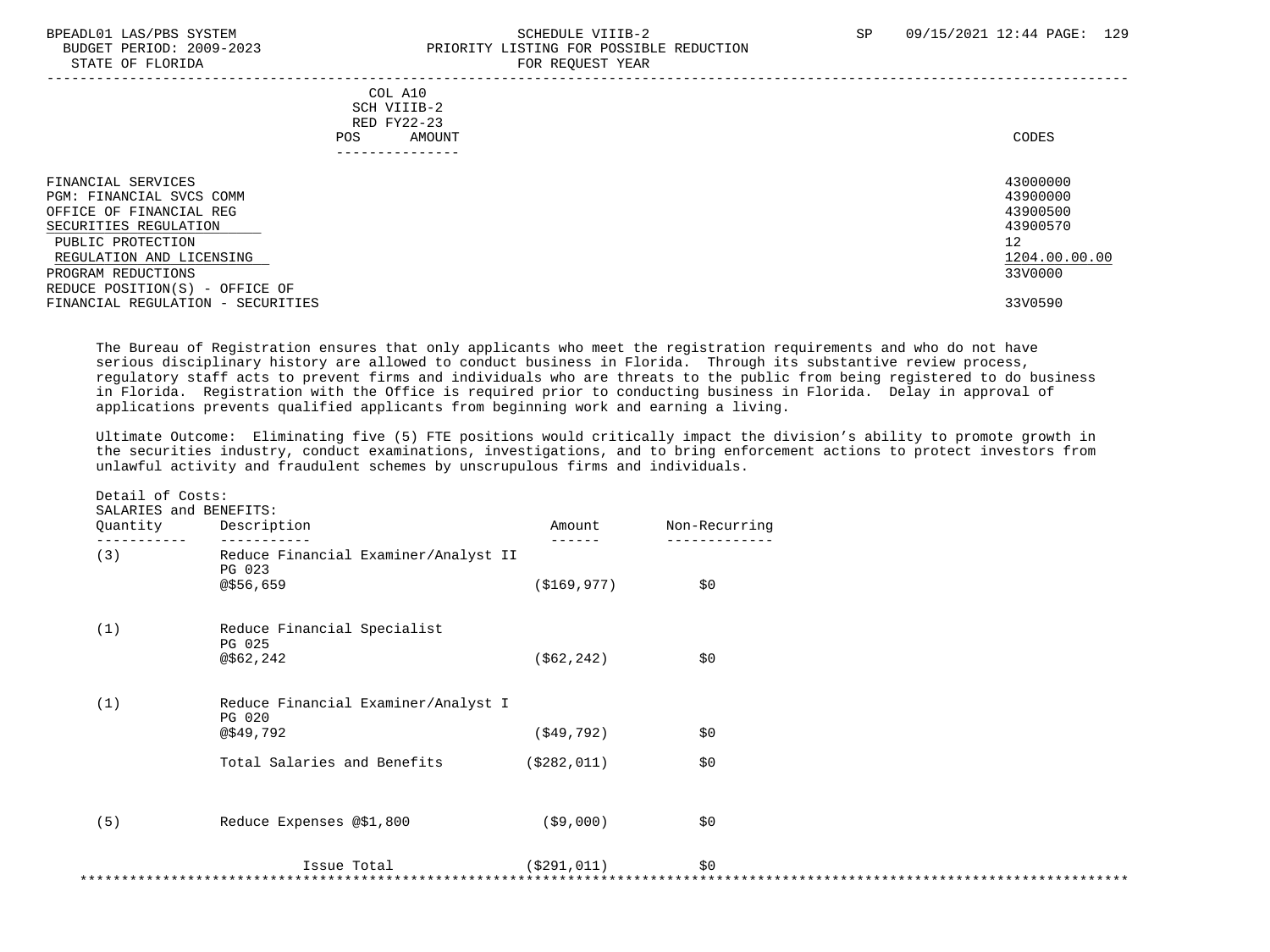STATE OF FLORIDA

## BPEADL01 LAS/PBS SYSTEM SOHEDULE VIIIB-2 SCHEDULE VIIIB-2 SP 09/15/2021 12:44 PAGE: 129 PRIORITY LISTING FOR POSSIBLE REDUCTION<br>FOR REQUEST YEAR

|                                                                                                                                                                                                             | COL A10<br>SCH VIIIB-2<br>RED FY22-23<br>AMOUNT<br>POS.<br>------------- | CODES                                                                          |
|-------------------------------------------------------------------------------------------------------------------------------------------------------------------------------------------------------------|--------------------------------------------------------------------------|--------------------------------------------------------------------------------|
| FINANCIAL SERVICES<br>PGM: FINANCIAL SVCS COMM<br>OFFICE OF FINANCIAL REG<br>SECURITIES REGULATION<br>PUBLIC PROTECTION<br>REGULATION AND LICENSING<br>PROGRAM REDUCTIONS<br>REDUCE POSITION(S) - OFFICE OF |                                                                          | 43000000<br>43900000<br>43900500<br>43900570<br>12<br>1204.00.00.00<br>33V0000 |
| FINANCIAL REGULATION - SECURITIES                                                                                                                                                                           |                                                                          | 33V0590                                                                        |

 The Bureau of Registration ensures that only applicants who meet the registration requirements and who do not have serious disciplinary history are allowed to conduct business in Florida. Through its substantive review process, regulatory staff acts to prevent firms and individuals who are threats to the public from being registered to do business in Florida. Registration with the Office is required prior to conducting business in Florida. Delay in approval of applications prevents qualified applicants from beginning work and earning a living.

 Ultimate Outcome: Eliminating five (5) FTE positions would critically impact the division's ability to promote growth in the securities industry, conduct examinations, investigations, and to bring enforcement actions to protect investors from unlawful activity and fraudulent schemes by unscrupulous firms and individuals.

| Quantity | Description                                                 | Amount        | Non-Recurring |  |
|----------|-------------------------------------------------------------|---------------|---------------|--|
| (3)      | Reduce Financial Examiner/Analyst II<br>PG 023<br>@\$56,659 | ( \$169, 977) | \$0           |  |
| (1)      | Reduce Financial Specialist<br>PG 025<br>@562,242           | ( \$62, 242)  | \$0           |  |
| (1)      | Reduce Financial Examiner/Analyst I<br>PG 020<br>@\$49,792  | ( \$49, 792)  | \$0           |  |
|          | Total Salaries and Benefits                                 | ( \$282, 011) | \$0           |  |
| (5)      | Reduce Expenses @\$1,800                                    | ( \$9,000)    | \$0           |  |
|          | Issue Total                                                 | ( \$291, 011) | \$0           |  |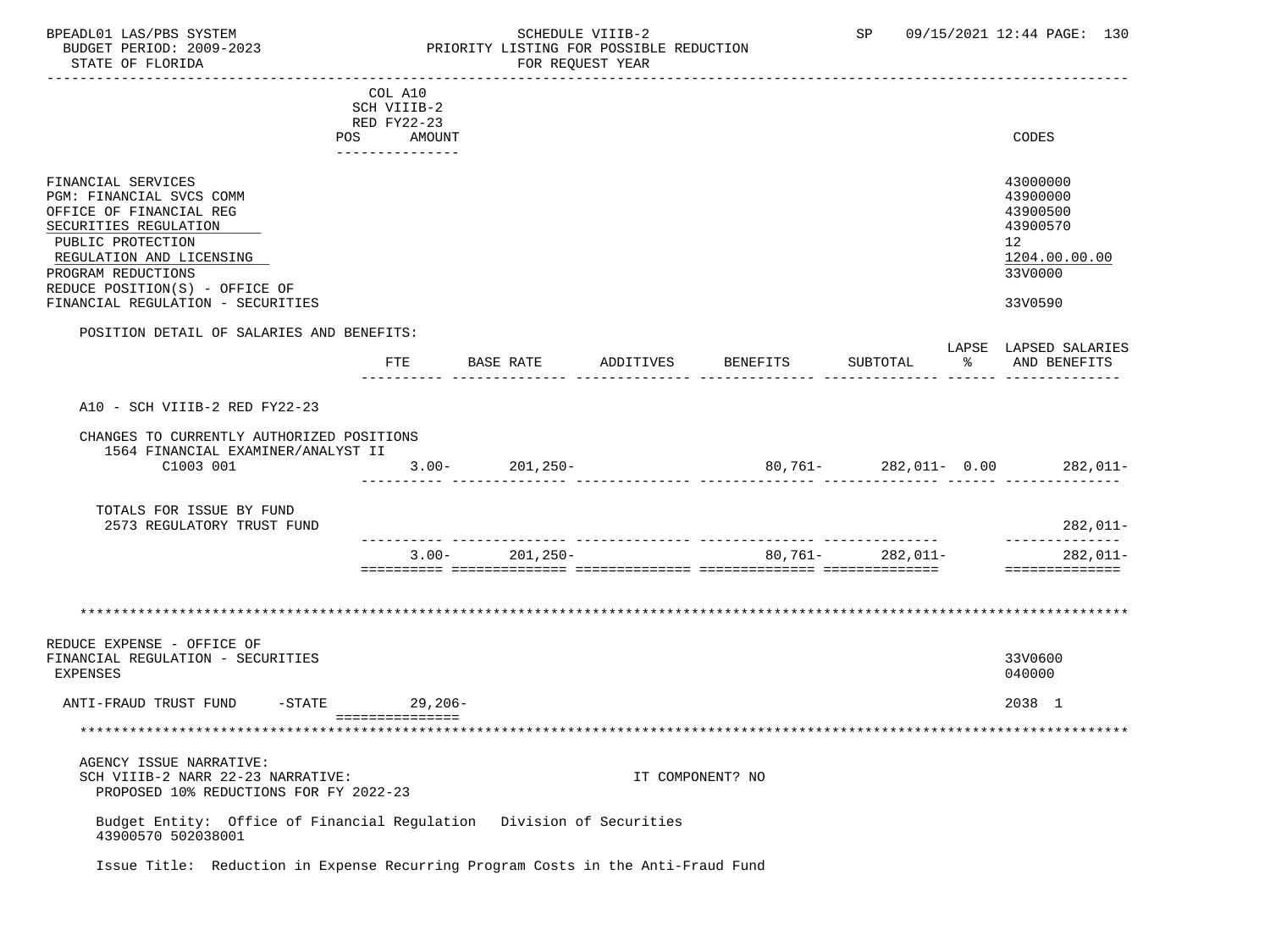# BPEADL01 LAS/PBS SYSTEM SALLE STREDULE VIIIB-2 SCHEDULE VIIIB-2 SP 09/15/2021 12:44 PAGE: 130 PRIORITY LISTING FOR POSSIBLE REDUCTION<br>FOR REQUEST YEAR

|                                                                                                                                                                                                             | COL A10                      |                    |           |                  |                      |    |                                                                                |
|-------------------------------------------------------------------------------------------------------------------------------------------------------------------------------------------------------------|------------------------------|--------------------|-----------|------------------|----------------------|----|--------------------------------------------------------------------------------|
|                                                                                                                                                                                                             | SCH VIIIB-2<br>RED FY22-23   |                    |           |                  |                      |    |                                                                                |
|                                                                                                                                                                                                             | POS AMOUNT<br>-------------- |                    |           |                  |                      |    | CODES                                                                          |
| FINANCIAL SERVICES<br>PGM: FINANCIAL SVCS COMM<br>OFFICE OF FINANCIAL REG<br>SECURITIES REGULATION<br>PUBLIC PROTECTION<br>REGULATION AND LICENSING<br>PROGRAM REDUCTIONS<br>REDUCE POSITION(S) - OFFICE OF |                              |                    |           |                  |                      |    | 43000000<br>43900000<br>43900500<br>43900570<br>12<br>1204.00.00.00<br>33V0000 |
| FINANCIAL REGULATION - SECURITIES                                                                                                                                                                           |                              |                    |           |                  |                      |    | 33V0590                                                                        |
| POSITION DETAIL OF SALARIES AND BENEFITS:                                                                                                                                                                   |                              |                    |           |                  |                      |    |                                                                                |
|                                                                                                                                                                                                             | FTE                          | BASE RATE          | ADDITIVES | BENEFITS         | SUBTOTAL             | ႜೢ | LAPSE LAPSED SALARIES<br>AND BENEFITS                                          |
|                                                                                                                                                                                                             |                              |                    |           |                  |                      |    |                                                                                |
| A10 - SCH VIIIB-2 RED FY22-23                                                                                                                                                                               |                              |                    |           |                  |                      |    |                                                                                |
| CHANGES TO CURRENTLY AUTHORIZED POSITIONS                                                                                                                                                                   |                              |                    |           |                  |                      |    |                                                                                |
| 1564 FINANCIAL EXAMINER/ANALYST II<br>C1003 001                                                                                                                                                             |                              | $3.00 - 201,250 -$ |           |                  |                      |    | 80,761- 282,011- 0.00 282,011-                                                 |
| TOTALS FOR ISSUE BY FUND<br>2573 REGULATORY TRUST FUND                                                                                                                                                      |                              |                    |           |                  |                      |    | 282,011-                                                                       |
|                                                                                                                                                                                                             |                              |                    |           |                  |                      |    | --------------                                                                 |
|                                                                                                                                                                                                             | $3.00 -$                     | $201, 250 -$       |           |                  | $80,761 - 282,011 -$ |    | 282,011-<br>==============                                                     |
|                                                                                                                                                                                                             |                              |                    |           |                  |                      |    |                                                                                |
|                                                                                                                                                                                                             |                              |                    |           |                  |                      |    |                                                                                |
| REDUCE EXPENSE - OFFICE OF<br>FINANCIAL REGULATION - SECURITIES<br>EXPENSES                                                                                                                                 |                              |                    |           |                  |                      |    | 33V0600<br>040000                                                              |
| ANTI-FRAUD TRUST FUND                                                                                                                                                                                       | -STATE 29,206-               |                    |           |                  |                      |    | 2038 1                                                                         |
|                                                                                                                                                                                                             | ===============              |                    |           |                  |                      |    |                                                                                |
| AGENCY ISSUE NARRATIVE:<br>SCH VIIIB-2 NARR 22-23 NARRATIVE:<br>PROPOSED 10% REDUCTIONS FOR FY 2022-23                                                                                                      |                              |                    |           | IT COMPONENT? NO |                      |    |                                                                                |
| Budget Entity: Office of Financial Regulation Division of Securities<br>43900570 502038001                                                                                                                  |                              |                    |           |                  |                      |    |                                                                                |
| Issue Title: Reduction in Expense Recurring Program Costs in the Anti-Fraud Fund                                                                                                                            |                              |                    |           |                  |                      |    |                                                                                |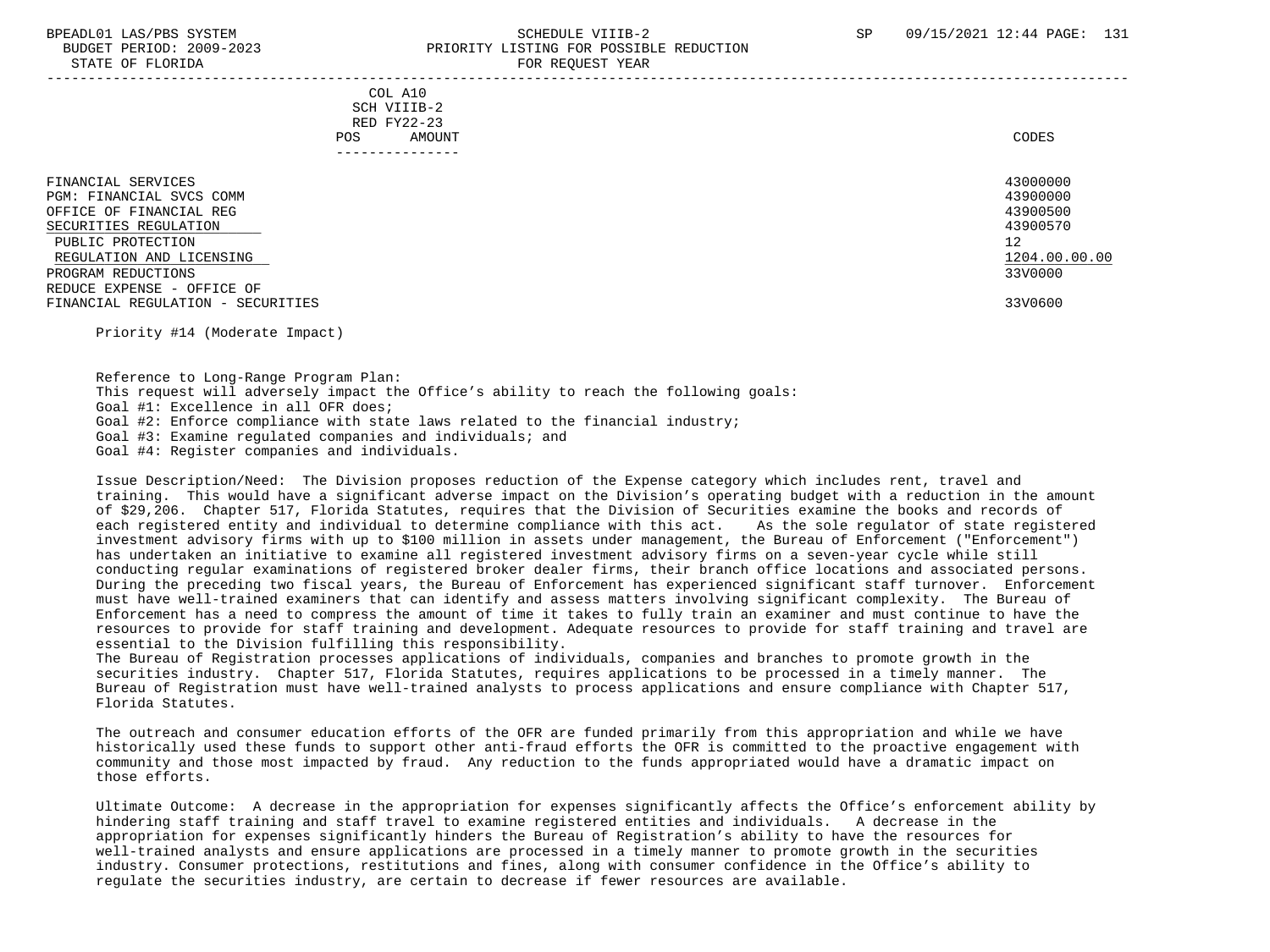#### BPEADL01 LAS/PBS SYSTEM SALL SALL SOMEDULE VIIIB-2 SP 09/15/2021 12:44 PAGE: 131 BUDGET PERIOD: 2009-2023 PRIORITY LISTING FOR POSSIBLE REDUCTION STATE OF FLORIDA FOR REQUEST YEAR -----------------------------------------------------------------------------------------------------------------------------------

 COL A10 SCH VIIIB-2 RED FY22-23<br>POS AMOUI POS AMOUNT NOTES AND AND A RESERVE AND A RESERVE AND LODGED AND LODGED AND LODGED AND LODGED AND LODGED AND LODGED AT A LODGED AND LODGED AT A LODGED AND LODGED AT A LODGED AND LODGED AT A LODGED AND LODGED AT A LODGED AND ---------------

| FINANCIAL SERVICES                                              | 43000000      |
|-----------------------------------------------------------------|---------------|
| PGM: FINANCIAL SVCS COMM                                        | 43900000      |
| OFFICE OF FINANCIAL REG                                         | 43900500      |
| SECURITIES REGULATION                                           | 43900570      |
| PUBLIC PROTECTION                                               | 12            |
| REGULATION AND LICENSING                                        | 1204.00.00.00 |
| PROGRAM REDUCTIONS                                              | 33V0000       |
| REDUCE EXPENSE - OFFICE OF<br>FINANCIAL REGULATION - SECURITIES | 33V0600       |

Priority #14 (Moderate Impact)

 Reference to Long-Range Program Plan: This request will adversely impact the Office's ability to reach the following goals: Goal #1: Excellence in all OFR does; Goal #2: Enforce compliance with state laws related to the financial industry; Goal #3: Examine regulated companies and individuals; and Goal #4: Register companies and individuals.

 Issue Description/Need: The Division proposes reduction of the Expense category which includes rent, travel and training. This would have a significant adverse impact on the Division's operating budget with a reduction in the amount of \$29,206. Chapter 517, Florida Statutes, requires that the Division of Securities examine the books and records of each registered entity and individual to determine compliance with this act. As the sole regulator of state registered investment advisory firms with up to \$100 million in assets under management, the Bureau of Enforcement ("Enforcement") has undertaken an initiative to examine all registered investment advisory firms on a seven-year cycle while still conducting regular examinations of registered broker dealer firms, their branch office locations and associated persons. During the preceding two fiscal years, the Bureau of Enforcement has experienced significant staff turnover. Enforcement must have well-trained examiners that can identify and assess matters involving significant complexity. The Bureau of Enforcement has a need to compress the amount of time it takes to fully train an examiner and must continue to have the resources to provide for staff training and development. Adequate resources to provide for staff training and travel are essential to the Division fulfilling this responsibility.

 The Bureau of Registration processes applications of individuals, companies and branches to promote growth in the securities industry. Chapter 517, Florida Statutes, requires applications to be processed in a timely manner. The Bureau of Registration must have well-trained analysts to process applications and ensure compliance with Chapter 517, Florida Statutes.

 The outreach and consumer education efforts of the OFR are funded primarily from this appropriation and while we have historically used these funds to support other anti-fraud efforts the OFR is committed to the proactive engagement with community and those most impacted by fraud. Any reduction to the funds appropriated would have a dramatic impact on those efforts.

 Ultimate Outcome: A decrease in the appropriation for expenses significantly affects the Office's enforcement ability by hindering staff training and staff travel to examine registered entities and individuals. A decrease in the appropriation for expenses significantly hinders the Bureau of Registration's ability to have the resources for well-trained analysts and ensure applications are processed in a timely manner to promote growth in the securities industry. Consumer protections, restitutions and fines, along with consumer confidence in the Office's ability to regulate the securities industry, are certain to decrease if fewer resources are available.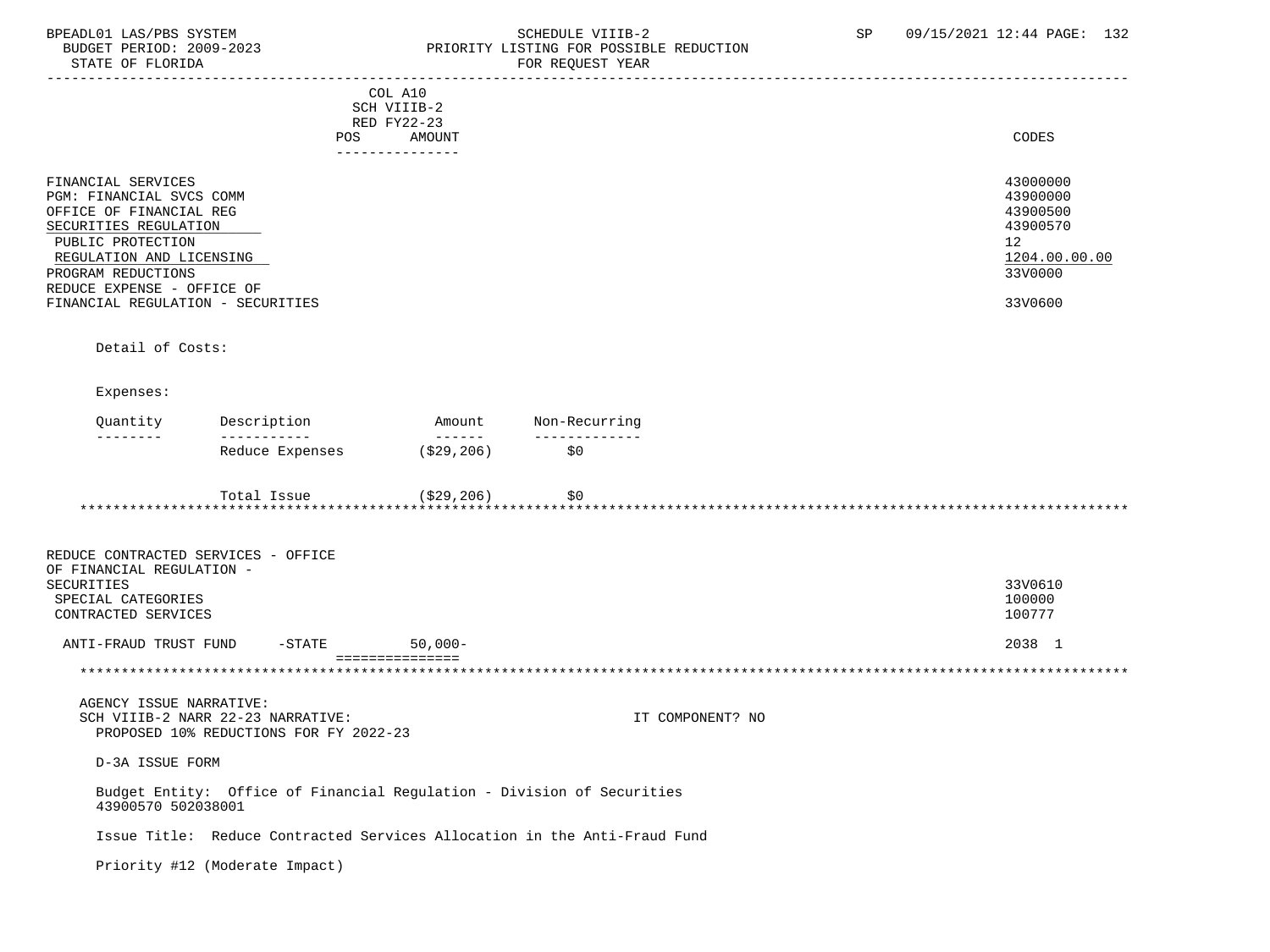STATE OF FLORIDA FOR REQUEST YEAR

## BPEADL01 LAS/PBS SYSTEM STRIM SCHEDULE VIIIB-2 SCHEDULE VIIIB-2 SP 09/15/2021 12:44 PAGE: 132 BUDGET PERIOD: 2009-2023 PRIORITY LISTING FOR POSSIBLE REDUCTION

|                                                                                                                                                                                                                                              | POS                                                                         | COL A10<br>SCH VIIIB-2<br>RED FY22-23<br>AMOUNT                                                                                                                                                                                                                                                                                                                                                                                                                                                  |                                                                           | CODES                                                                                     |
|----------------------------------------------------------------------------------------------------------------------------------------------------------------------------------------------------------------------------------------------|-----------------------------------------------------------------------------|--------------------------------------------------------------------------------------------------------------------------------------------------------------------------------------------------------------------------------------------------------------------------------------------------------------------------------------------------------------------------------------------------------------------------------------------------------------------------------------------------|---------------------------------------------------------------------------|-------------------------------------------------------------------------------------------|
|                                                                                                                                                                                                                                              |                                                                             | ---------------                                                                                                                                                                                                                                                                                                                                                                                                                                                                                  |                                                                           |                                                                                           |
| FINANCIAL SERVICES<br>PGM: FINANCIAL SVCS COMM<br>OFFICE OF FINANCIAL REG<br>SECURITIES REGULATION<br>PUBLIC PROTECTION<br>REGULATION AND LICENSING<br>PROGRAM REDUCTIONS<br>REDUCE EXPENSE - OFFICE OF<br>FINANCIAL REGULATION - SECURITIES |                                                                             |                                                                                                                                                                                                                                                                                                                                                                                                                                                                                                  |                                                                           | 43000000<br>43900000<br>43900500<br>43900570<br>12<br>1204.00.00.00<br>33V0000<br>33V0600 |
|                                                                                                                                                                                                                                              |                                                                             |                                                                                                                                                                                                                                                                                                                                                                                                                                                                                                  |                                                                           |                                                                                           |
| Detail of Costs:                                                                                                                                                                                                                             |                                                                             |                                                                                                                                                                                                                                                                                                                                                                                                                                                                                                  |                                                                           |                                                                                           |
| Expenses:                                                                                                                                                                                                                                    |                                                                             |                                                                                                                                                                                                                                                                                                                                                                                                                                                                                                  |                                                                           |                                                                                           |
| Quantity                                                                                                                                                                                                                                     | Description<br>-----------                                                  | Amount<br>$\begin{array}{cccccccccc} \multicolumn{2}{c}{} & \multicolumn{2}{c}{} & \multicolumn{2}{c}{} & \multicolumn{2}{c}{} & \multicolumn{2}{c}{} & \multicolumn{2}{c}{} & \multicolumn{2}{c}{} & \multicolumn{2}{c}{} & \multicolumn{2}{c}{} & \multicolumn{2}{c}{} & \multicolumn{2}{c}{} & \multicolumn{2}{c}{} & \multicolumn{2}{c}{} & \multicolumn{2}{c}{} & \multicolumn{2}{c}{} & \multicolumn{2}{c}{} & \multicolumn{2}{c}{} & \multicolumn{2}{c}{} & \multicolumn{2}{c}{} & \mult$ | Non-Recurring                                                             |                                                                                           |
|                                                                                                                                                                                                                                              | Reduce Expenses                                                             | (\$29,206)                                                                                                                                                                                                                                                                                                                                                                                                                                                                                       | \$0                                                                       |                                                                                           |
|                                                                                                                                                                                                                                              | Total Issue<br>******************************                               | (\$29,206)                                                                                                                                                                                                                                                                                                                                                                                                                                                                                       | \$0                                                                       |                                                                                           |
| REDUCE CONTRACTED SERVICES - OFFICE<br>OF FINANCIAL REGULATION -<br>SECURITIES<br>SPECIAL CATEGORIES<br>CONTRACTED SERVICES                                                                                                                  |                                                                             |                                                                                                                                                                                                                                                                                                                                                                                                                                                                                                  |                                                                           | 33V0610<br>100000<br>100777                                                               |
| ANTI-FRAUD TRUST FUND                                                                                                                                                                                                                        | $-$ STATE                                                                   | $50,000-$                                                                                                                                                                                                                                                                                                                                                                                                                                                                                        |                                                                           | 2038 1                                                                                    |
|                                                                                                                                                                                                                                              |                                                                             | ===============                                                                                                                                                                                                                                                                                                                                                                                                                                                                                  |                                                                           |                                                                                           |
|                                                                                                                                                                                                                                              |                                                                             |                                                                                                                                                                                                                                                                                                                                                                                                                                                                                                  |                                                                           |                                                                                           |
| AGENCY ISSUE NARRATIVE:                                                                                                                                                                                                                      | SCH VIIIB-2 NARR 22-23 NARRATIVE:<br>PROPOSED 10% REDUCTIONS FOR FY 2022-23 |                                                                                                                                                                                                                                                                                                                                                                                                                                                                                                  | IT COMPONENT? NO                                                          |                                                                                           |
| D-3A ISSUE FORM                                                                                                                                                                                                                              |                                                                             |                                                                                                                                                                                                                                                                                                                                                                                                                                                                                                  |                                                                           |                                                                                           |
| 43900570 502038001                                                                                                                                                                                                                           | Budget Entity: Office of Financial Regulation - Division of Securities      |                                                                                                                                                                                                                                                                                                                                                                                                                                                                                                  |                                                                           |                                                                                           |
|                                                                                                                                                                                                                                              |                                                                             |                                                                                                                                                                                                                                                                                                                                                                                                                                                                                                  | Issue Title: Reduce Contracted Services Allocation in the Anti-Fraud Fund |                                                                                           |
|                                                                                                                                                                                                                                              | Priority #12 (Moderate Impact)                                              |                                                                                                                                                                                                                                                                                                                                                                                                                                                                                                  |                                                                           |                                                                                           |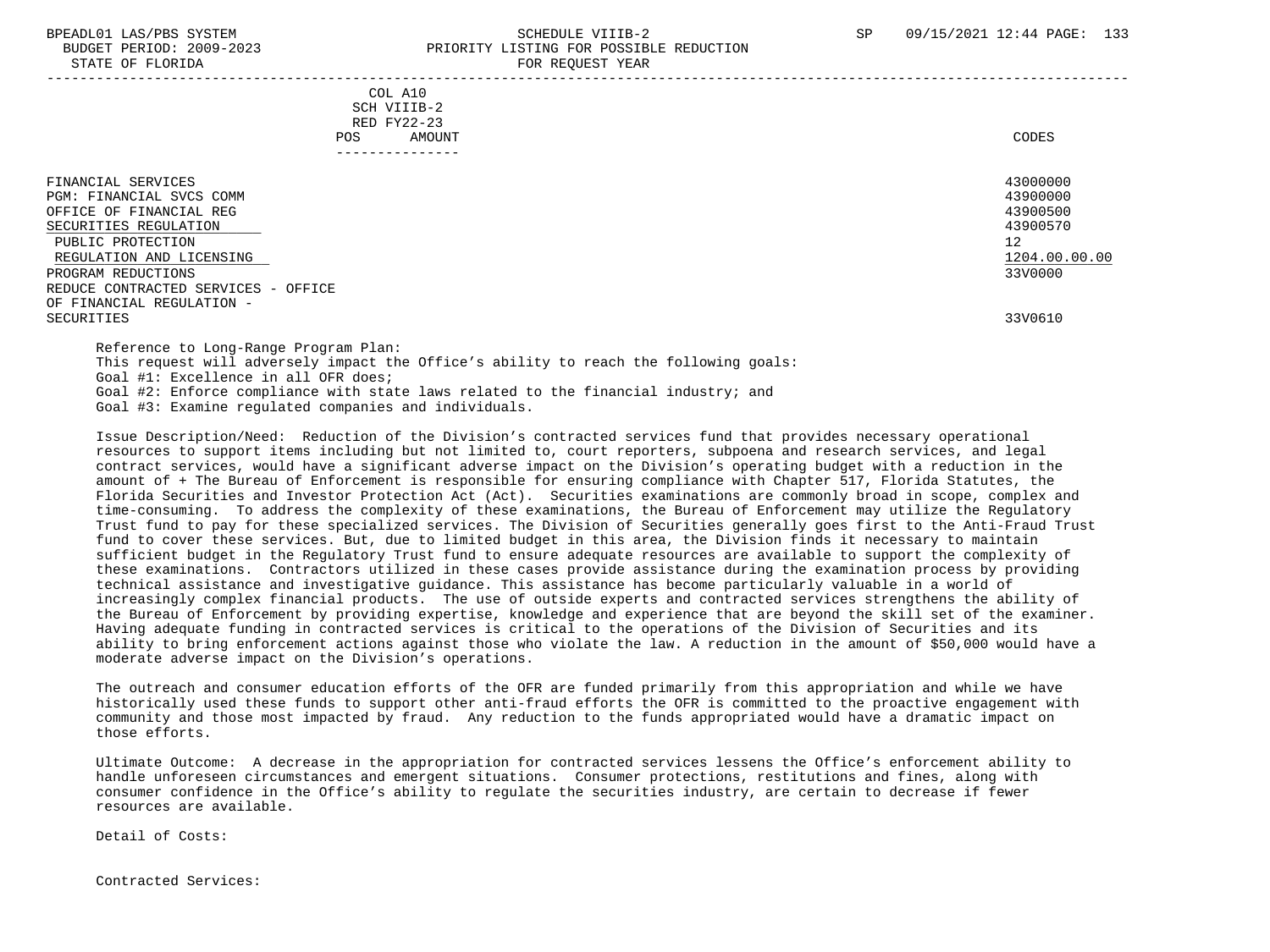| STATE OF FLORIDA                                                                                                                                                                                                                              | FOR REQUEST YEAR                                                                      |                                                                                |
|-----------------------------------------------------------------------------------------------------------------------------------------------------------------------------------------------------------------------------------------------|---------------------------------------------------------------------------------------|--------------------------------------------------------------------------------|
|                                                                                                                                                                                                                                               | COL A10<br>SCH VIIIB-2<br>RED FY22-23<br>AMOUNT<br>POS<br>--------------              | CODES                                                                          |
| FINANCIAL SERVICES<br>PGM: FINANCIAL SVCS COMM<br>OFFICE OF FINANCIAL REG<br>SECURITIES REGULATION<br>PUBLIC PROTECTION<br>REGULATION AND LICENSING<br>PROGRAM REDUCTIONS<br>REDUCE CONTRACTED SERVICES - OFFICE<br>OF FINANCIAL REGULATION - |                                                                                       | 43000000<br>43900000<br>43900500<br>43900570<br>12<br>1204.00.00.00<br>33V0000 |
| SECURITIES                                                                                                                                                                                                                                    |                                                                                       | 33V0610                                                                        |
| Reference to Long-Range Program Plan:                                                                                                                                                                                                         | This request will adversely impact the Office's ability to reach the following goals: |                                                                                |

 Goal #1: Excellence in all OFR does; Goal #2: Enforce compliance with state laws related to the financial industry; and

Goal #3: Examine regulated companies and individuals.

 Issue Description/Need: Reduction of the Division's contracted services fund that provides necessary operational resources to support items including but not limited to, court reporters, subpoena and research services, and legal contract services, would have a significant adverse impact on the Division's operating budget with a reduction in the amount of + The Bureau of Enforcement is responsible for ensuring compliance with Chapter 517, Florida Statutes, the Florida Securities and Investor Protection Act (Act). Securities examinations are commonly broad in scope, complex and time-consuming. To address the complexity of these examinations, the Bureau of Enforcement may utilize the Regulatory Trust fund to pay for these specialized services. The Division of Securities generally goes first to the Anti-Fraud Trust fund to cover these services. But, due to limited budget in this area, the Division finds it necessary to maintain sufficient budget in the Regulatory Trust fund to ensure adequate resources are available to support the complexity of these examinations. Contractors utilized in these cases provide assistance during the examination process by providing technical assistance and investigative guidance. This assistance has become particularly valuable in a world of increasingly complex financial products. The use of outside experts and contracted services strengthens the ability of the Bureau of Enforcement by providing expertise, knowledge and experience that are beyond the skill set of the examiner. Having adequate funding in contracted services is critical to the operations of the Division of Securities and its ability to bring enforcement actions against those who violate the law. A reduction in the amount of \$50,000 would have a moderate adverse impact on the Division's operations.

 The outreach and consumer education efforts of the OFR are funded primarily from this appropriation and while we have historically used these funds to support other anti-fraud efforts the OFR is committed to the proactive engagement with community and those most impacted by fraud. Any reduction to the funds appropriated would have a dramatic impact on those efforts.

 Ultimate Outcome: A decrease in the appropriation for contracted services lessens the Office's enforcement ability to handle unforeseen circumstances and emergent situations. Consumer protections, restitutions and fines, along with consumer confidence in the Office's ability to regulate the securities industry, are certain to decrease if fewer resources are available.

Detail of Costs:

Contracted Services: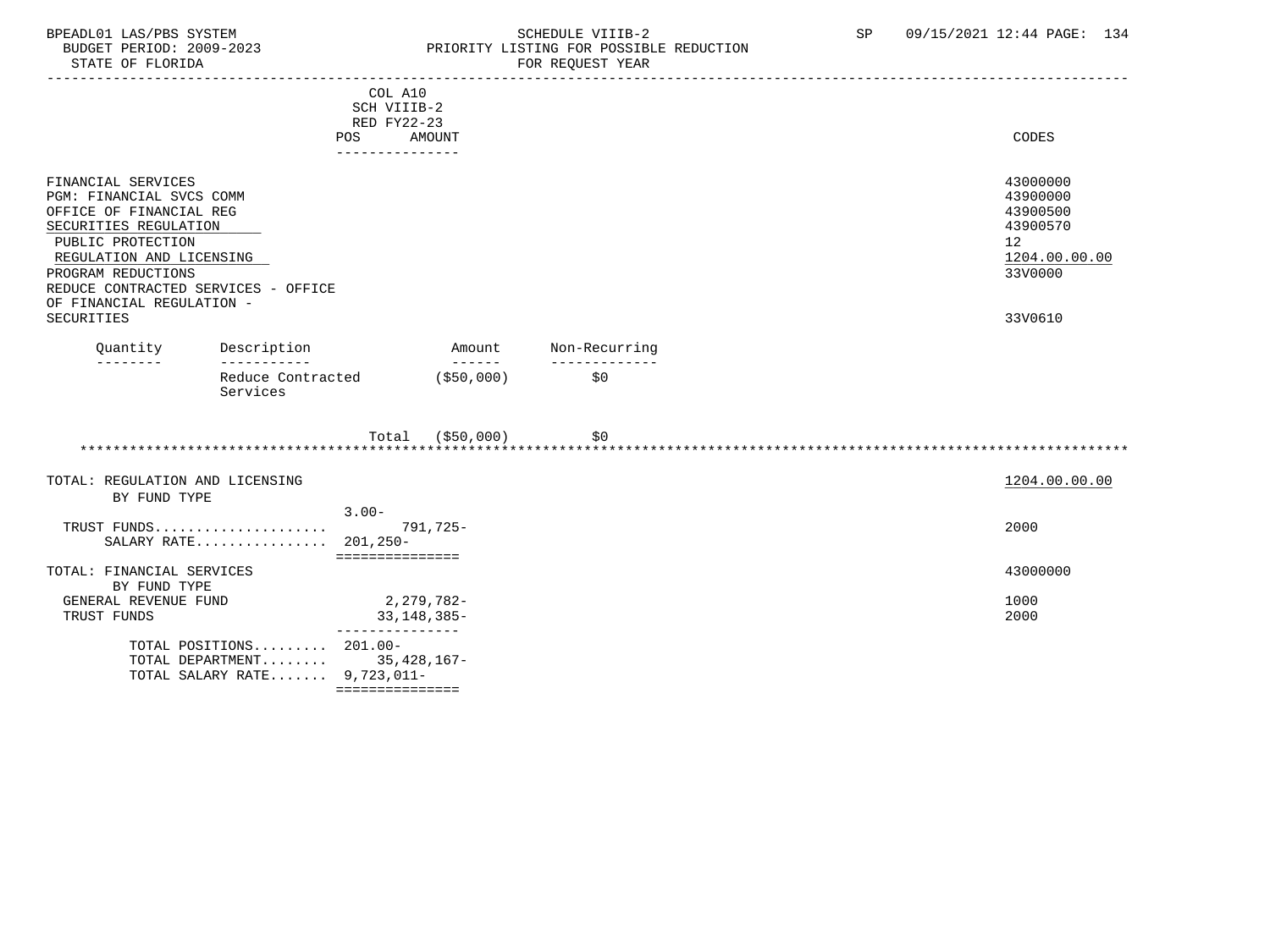### BPEADL01 LAS/PBS SYSTEM SOHEDULE VIIIB-2 SCHEDULE VIIIB-2 SP 09/15/2021 12:44 PAGE: 134 BUDGET PERIOD: 2009-2023 PRIORITY LISTING FOR POSSIBLE REDUCTION<br>STATE OF FLORIDA POR REQUEST YEAR FOR REQUEST YEAR

|                                                                                                                                                                                                                                                             |                                                                               | COL A10<br>SCH VIIIB-2<br>RED FY22-23<br><b>POS</b><br>--------------- | AMOUNT           |                      | <b>CODES</b>                                                                              |
|-------------------------------------------------------------------------------------------------------------------------------------------------------------------------------------------------------------------------------------------------------------|-------------------------------------------------------------------------------|------------------------------------------------------------------------|------------------|----------------------|-------------------------------------------------------------------------------------------|
| FINANCIAL SERVICES<br>PGM: FINANCIAL SVCS COMM<br>OFFICE OF FINANCIAL REG<br>SECURITIES REGULATION<br>PUBLIC PROTECTION<br>REGULATION AND LICENSING<br>PROGRAM REDUCTIONS<br>REDUCE CONTRACTED SERVICES - OFFICE<br>OF FINANCIAL REGULATION -<br>SECURITIES |                                                                               |                                                                        |                  |                      | 43000000<br>43900000<br>43900500<br>43900570<br>12<br>1204.00.00.00<br>33V0000<br>33V0610 |
| Quantity                                                                                                                                                                                                                                                    | Description                                                                   |                                                                        | Amount           | Non-Recurring        |                                                                                           |
| --------                                                                                                                                                                                                                                                    | ------------<br>Reduce Contracted<br>Services                                 |                                                                        | ( \$50,000)      | -------------<br>\$0 |                                                                                           |
|                                                                                                                                                                                                                                                             |                                                                               |                                                                        | Total (\$50,000) | \$0                  |                                                                                           |
| TOTAL: REGULATION AND LICENSING<br>BY FUND TYPE                                                                                                                                                                                                             |                                                                               |                                                                        |                  |                      | 1204.00.00.00                                                                             |
|                                                                                                                                                                                                                                                             | TRUST FUNDS<br>SALARY RATE 201,250-                                           | $3.00 -$<br>===============                                            | $791,725-$       |                      | 2000                                                                                      |
| TOTAL: FINANCIAL SERVICES<br>BY FUND TYPE                                                                                                                                                                                                                   |                                                                               |                                                                        |                  |                      | 43000000                                                                                  |
| GENERAL REVENUE FUND<br>TRUST FUNDS                                                                                                                                                                                                                         |                                                                               | 2,279,782-<br>33, 148, 385-<br>--------                                |                  |                      | 1000<br>2000                                                                              |
|                                                                                                                                                                                                                                                             | TOTAL POSITIONS 201.00-<br>TOTAL DEPARTMENT<br>TOTAL SALARY RATE $9,723,011-$ | 35,428,167-<br>===============                                         |                  |                      |                                                                                           |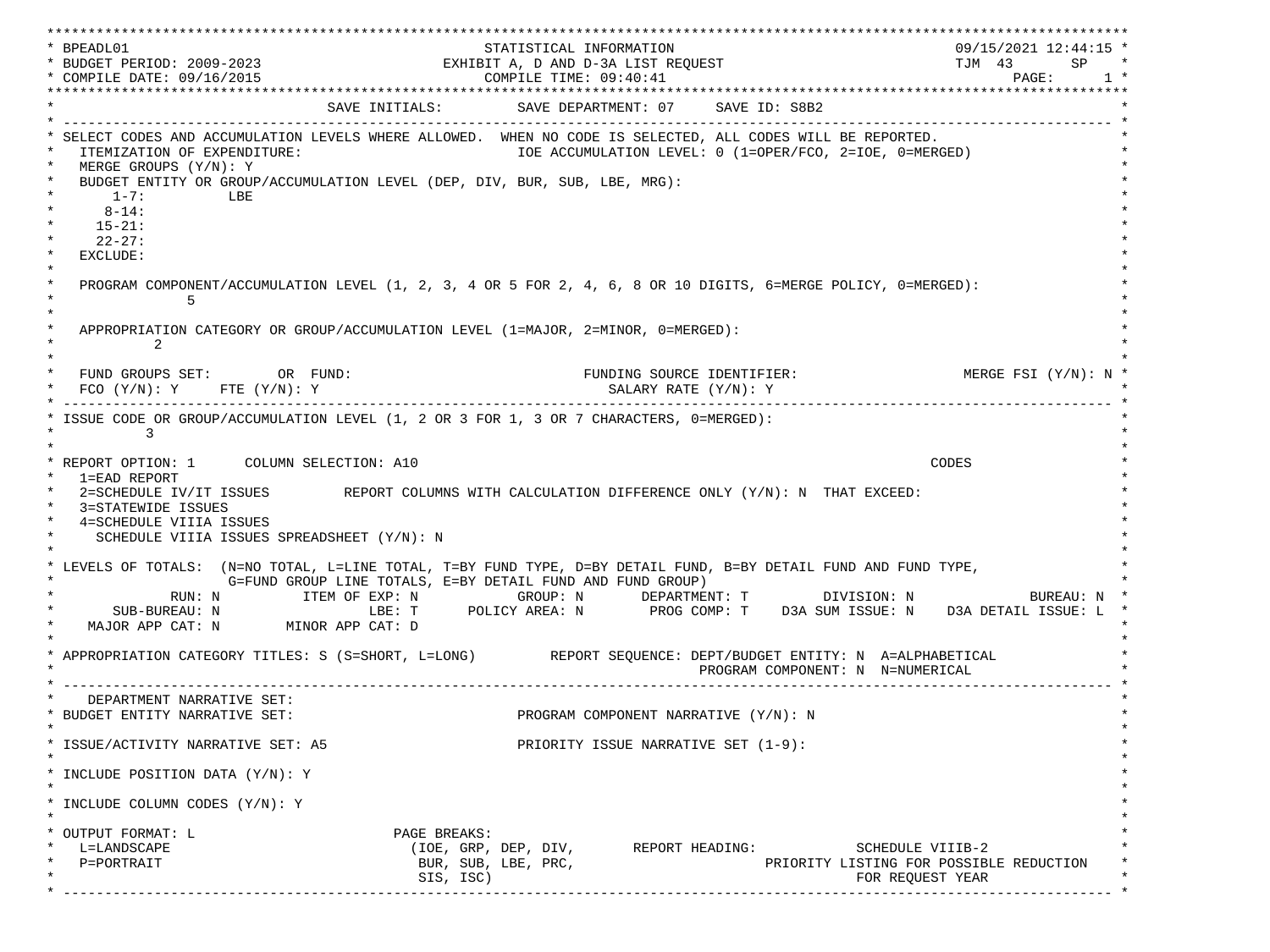\*\*\*\*\*\*\*\*\*\*\*\*\*\*\*\*\*\*\*\*\*\*\*\*\*\*\*\*\*\*\*\*\*\*\*\*\*\*\*\*\*\*\*\*\*\*\*\*\*\*\*\*\*\*\*\*\*\*\*\*\*\*\*\*\*\*\*\*\*\*\*\*\*\*\*\*\*\*\*\*\*\*\*\*\*\*\*\*\*\*\*\*\*\*\*\*\*\*\*\*\*\*\*\*\*\*\*\*\*\*\*\*\*\*\*\*\*\*\*\*\*\*\*\*\*\*\*\*\*\*\* \* BPEADL01 STATISTICAL INFORMATION 09/15/2021 12:44:15 \* \* BUDGET PERIOD: 2009-2023 EXHIBIT A, D AND D-3A LIST REQUEST TJM 43 SP \* \* COMPILE DATE: 09/16/2015 COMPILE TIME: 09:40:41 PAGE: 1 \* \*\*\*\*\*\*\*\*\*\*\*\*\*\*\*\*\*\*\*\*\*\*\*\*\*\*\*\*\*\*\*\*\*\*\*\*\*\*\*\*\*\*\*\*\*\*\*\*\*\*\*\*\*\*\*\*\*\*\*\*\*\*\*\*\*\*\*\*\*\*\*\*\*\*\*\*\*\*\*\*\*\*\*\*\*\*\*\*\*\*\*\*\*\*\*\*\*\*\*\*\*\*\*\*\*\*\*\*\*\*\*\*\*\*\*\*\*\*\*\*\*\*\*\*\*\*\*\*\*\*\* SAVE INITIALS: SAVE DEPARTMENT: 07 SAVE ID: S8B2 \* ------------------------------------------------------------------------------------------------------------------------------- \* SELECT CODES AND ACCUMULATION LEVELS WHERE ALLOWED. WHEN NO CODE IS SELECTED, ALL CODES WILL BE REPORTED. ITEMIZATION OF EXPENDITURE:  $\overline{10E}$  accumulation level: 0 (1=OPER/FCO, 2=IOE, 0=MERGED)  $MERGE$  GROUPS  $(Y/N): Y$ BUDGET ENTITY OR GROUP/ACCUMULATION LEVEL (DEP, DIV, BUR, SUB, LBE, MRG):  $*$  1-7: LBE  $*$  $*$  8-14:  $*$  $*$  15-21:  $*$  $*$  22-27: \* \* EXCLUDE: \*  $\star$   $\star$  \* PROGRAM COMPONENT/ACCUMULATION LEVEL (1, 2, 3, 4 OR 5 FOR 2, 4, 6, 8 OR 10 DIGITS, 6=MERGE POLICY, 0=MERGED): \*  $\star$  5  $\star$  $\star$   $\star$ APPROPRIATION CATEGORY OR GROUP/ACCUMULATION LEVEL (1=MAJOR, 2=MINOR, 0=MERGED):  $\star$  2  $\star$  $\star$   $\star$ FUND GROUPS SET: OR FUND: THE SOURCE IDENTIFIER: MERGE FSI (Y/N): N \* FCO (Y/N): Y FTE (Y/N): Y SALARY RATE (Y/N): Y \* \* ------------------------------------------------------------------------------------------------------------------------------- \* ISSUE CODE OR GROUP/ACCUMULATION LEVEL (1, 2 OR 3 FOR 1, 3 OR 7 CHARACTERS, 0=MERGED):  $\star$  3  $\star$  $\star$   $\star$  \* REPORT OPTION: 1 COLUMN SELECTION: A10 CODES \* \* 1=EAD REPORT \* 2=SCHEDULE IV/IT ISSUES REPORT COLUMNS WITH CALCULATION DIFFERENCE ONLY (Y/N): N THAT EXCEED: 3=STATEWIDE ISSUES 4=SCHEDULE VIIIA ISSUES SCHEDULE VIIIA ISSUES SPREADSHEET (Y/N): N \* \* \* LEVELS OF TOTALS: (N=NO TOTAL, L=LINE TOTAL, T=BY FUND TYPE, D=BY DETAIL FUND, B=BY DETAIL FUND AND FUND TYPE, \* G=FUND GROUP LINE TOTALS, E=BY DETAIL FUND AND FUND GROUP) \* RUN: N ITEM OF EXP: N GROUP: N DEPARTMENT: T DIVISION: N BUREAU: N \* \* SUB-BUREAU: N LBE: T POLICY AREA: N PROG COMP: T D3A SUM ISSUE: N D3A DETAIL ISSUE: L \* MAJOR APP CAT: N MINOR APP CAT: D \* \* APPROPRIATION CATEGORY TITLES: S (S=SHORT, L=LONG) REPORT SEQUENCE: DEPT/BUDGET ENTITY: N A=ALPHABETICAL PROGRAM COMPONENT: N N=NUMERICAL \* ------------------------------------------------------------------------------------------------------------------------------- \* DEPARTMENT NARRATIVE SET:<br>BUDGET ENTITY NARRATIVE SET: PROGRAM COMPONENT NARRATIVE (Y/N): N \* \* \* ISSUE/ACTIVITY NARRATIVE SET: A5 PRIORITY ISSUE NARRATIVE SET (1-9): \*  $\star$   $\star$  \* INCLUDE POSITION DATA (Y/N): Y \* \* \* INCLUDE COLUMN CODES  $(Y/N): Y$  \* \* \* OUTPUT FORMAT: L PAGE BREAKS: L=LANDSCAPE (IOE, GRP, DEP, DIV, REPORT HEADING: SCHEDULE VIIIB-2  ${\tt P=PORTRAIT} \hspace{1.5cm} {\tt BUR, SUB, LBE, PRC,} \hspace{1.5cm} {\tt PRC} {\tt PRLORITY LISTING FOR POSSIBLE REDUCTION}$  $\text{SIS. ISC}$  isc) \* ------------------------------------------------------------------------------------------------------------------------------- \*